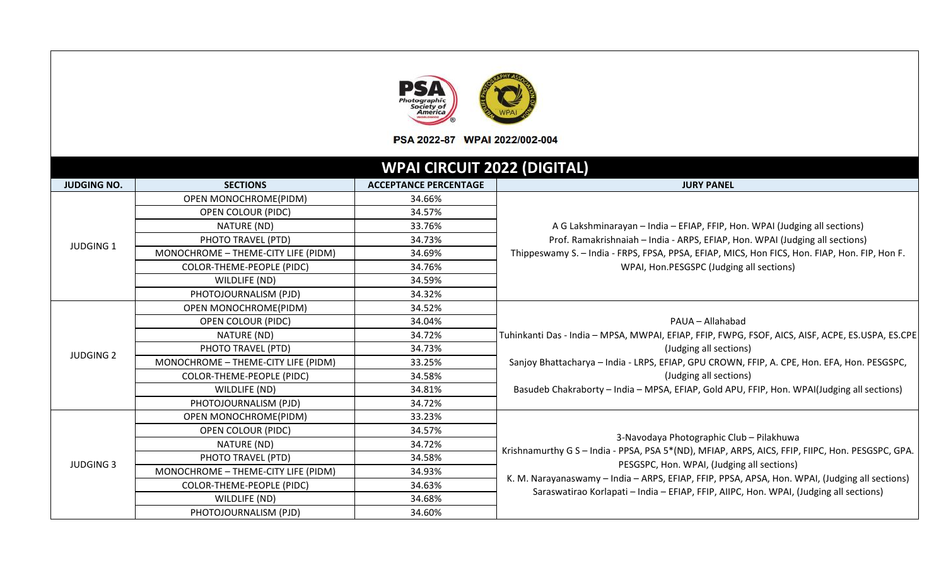|                    |                                            | Photographic<br>Society of<br><b>America</b><br>PSA 2022-87 WPAI 2022/002-004 |                                                                                                                                                            |  |
|--------------------|--------------------------------------------|-------------------------------------------------------------------------------|------------------------------------------------------------------------------------------------------------------------------------------------------------|--|
|                    |                                            | <b>WPAI CIRCUIT 2022 (DIGITAL)</b>                                            |                                                                                                                                                            |  |
| <b>JUDGING NO.</b> | <b>SECTIONS</b>                            | <b>ACCEPTANCE PERCENTAGE</b>                                                  | <b>JURY PANEL</b>                                                                                                                                          |  |
|                    | OPEN MONOCHROME(PIDM)                      | 34.66%                                                                        |                                                                                                                                                            |  |
|                    | <b>OPEN COLOUR (PIDC)</b>                  | 34.57%                                                                        | A G Lakshminarayan - India - EFIAP, FFIP, Hon. WPAI (Judging all sections)<br>Prof. Ramakrishnaiah - India - ARPS, EFIAP, Hon. WPAI (Judging all sections) |  |
|                    | NATURE (ND)                                | 33.76%                                                                        |                                                                                                                                                            |  |
| <b>JUDGING 1</b>   | PHOTO TRAVEL (PTD)                         | 34.73%                                                                        |                                                                                                                                                            |  |
|                    | MONOCHROME - THEME-CITY LIFE (PIDM)        | 34.69%<br>34.76%                                                              | Thippeswamy S. - India - FRPS, FPSA, PPSA, EFIAP, MICS, Hon FICS, Hon. FIAP, Hon. FIP, Hon F.                                                              |  |
|                    | COLOR-THEME-PEOPLE (PIDC)<br>WILDLIFE (ND) | 34.59%                                                                        | WPAI, Hon.PESGSPC (Judging all sections)                                                                                                                   |  |
|                    | PHOTOJOURNALISM (PJD)                      | 34.32%                                                                        |                                                                                                                                                            |  |
|                    | OPEN MONOCHROME(PIDM)                      | 34.52%                                                                        |                                                                                                                                                            |  |
|                    | <b>OPEN COLOUR (PIDC)</b>                  | 34.04%                                                                        | PAUA - Allahabad<br>Tuhinkanti Das - India - MPSA, MWPAI, EFIAP, FFIP, FWPG, FSOF, AICS, AISF, ACPE, ES.USPA, ES.CPE                                       |  |
|                    | NATURE (ND)                                | 34.72%                                                                        |                                                                                                                                                            |  |
|                    | PHOTO TRAVEL (PTD)                         | 34.73%                                                                        | (Judging all sections)                                                                                                                                     |  |
| <b>JUDGING 2</b>   | MONOCHROME - THEME-CITY LIFE (PIDM)        | 33.25%                                                                        | Sanjoy Bhattacharya - India - LRPS, EFIAP, GPU CROWN, FFIP, A. CPE, Hon. EFA, Hon. PESGSPC,                                                                |  |
|                    | COLOR-THEME-PEOPLE (PIDC)                  | 34.58%                                                                        | (Judging all sections)                                                                                                                                     |  |
|                    | WILDLIFE (ND)                              | 34.81%                                                                        | Basudeb Chakraborty - India - MPSA, EFIAP, Gold APU, FFIP, Hon. WPAI(Judging all sections)                                                                 |  |
|                    | PHOTOJOURNALISM (PJD)                      | 34.72%                                                                        |                                                                                                                                                            |  |
|                    | OPEN MONOCHROME(PIDM)                      | 33.23%                                                                        |                                                                                                                                                            |  |
|                    | <b>OPEN COLOUR (PIDC)</b>                  | 34.57%                                                                        |                                                                                                                                                            |  |
|                    | NATURE (ND)                                | 34.72%                                                                        | 3-Navodaya Photographic Club - Pilakhuwa                                                                                                                   |  |
| <b>JUDGING 3</b>   | PHOTO TRAVEL (PTD)                         | 34.58%                                                                        | Krishnamurthy G S - India - PPSA, PSA 5*(ND), MFIAP, ARPS, AICS, FFIP, FIIPC, Hon. PESGSPC, GPA.                                                           |  |
|                    | MONOCHROME - THEME-CITY LIFE (PIDM)        | 34.93%                                                                        | PESGSPC, Hon. WPAI, (Judging all sections)<br>K. M. Narayanaswamy - India - ARPS, EFIAP, FFIP, PPSA, APSA, Hon. WPAI, (Judging all sections)               |  |
|                    | COLOR-THEME-PEOPLE (PIDC)                  | 34.63%                                                                        | Saraswatirao Korlapati – India – EFIAP, FFIP, AIIPC, Hon. WPAI, (Judging all sections)                                                                     |  |
|                    | WILDLIFE (ND)                              | 34.68%                                                                        |                                                                                                                                                            |  |
|                    | PHOTOJOURNALISM (PJD)                      | 34.60%                                                                        |                                                                                                                                                            |  |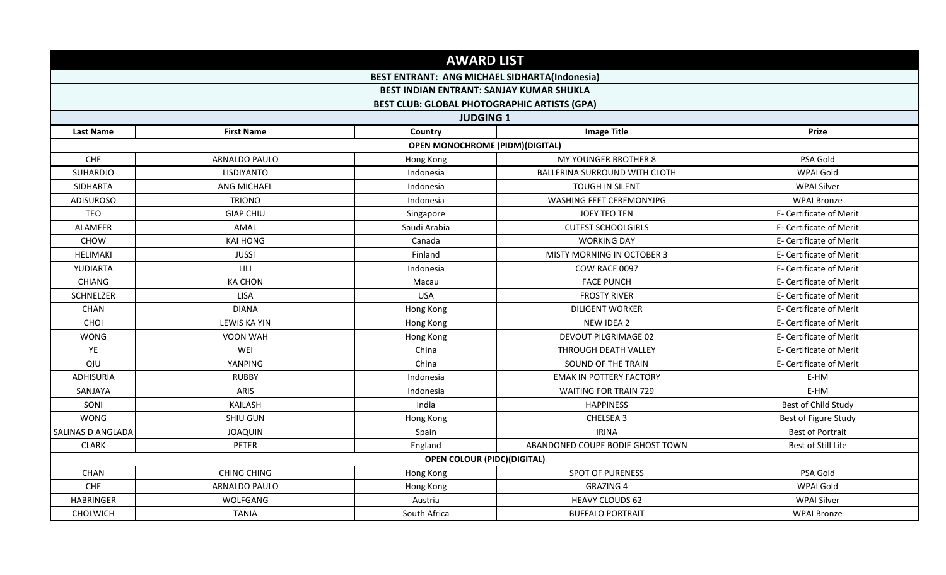|                   |                     | <b>AWARD LIST</b>                                    |                                  |                         |
|-------------------|---------------------|------------------------------------------------------|----------------------------------|-------------------------|
|                   |                     | <b>BEST ENTRANT: ANG MICHAEL SIDHARTA(Indonesia)</b> |                                  |                         |
|                   |                     | <b>BEST INDIAN ENTRANT: SANJAY KUMAR SHUKLA</b>      |                                  |                         |
|                   |                     | <b>BEST CLUB: GLOBAL PHOTOGRAPHIC ARTISTS (GPA)</b>  |                                  |                         |
|                   |                     | <b>JUDGING 1</b>                                     |                                  |                         |
| <b>Last Name</b>  | <b>First Name</b>   | Country                                              | <b>Image Title</b>               | Prize                   |
|                   |                     | <b>OPEN MONOCHROME (PIDM)(DIGITAL)</b>               |                                  |                         |
| CHE               | ARNALDO PAULO       | Hong Kong                                            | MY YOUNGER BROTHER 8             | PSA Gold                |
| SUHARDJO          | <b>LISDIYANTO</b>   | Indonesia                                            | BALLERINA SURROUND WITH CLOTH    | WPAI Gold               |
| SIDHARTA          | ANG MICHAEL         | Indonesia                                            | <b>TOUGH IN SILENT</b>           | <b>WPAI Silver</b>      |
| <b>ADISUROSO</b>  | <b>TRIONO</b>       | Indonesia                                            | WASHING FEET CEREMONYJPG         | <b>WPAI Bronze</b>      |
| TEO               | <b>GIAP CHIU</b>    | Singapore                                            | JOEY TEO TEN                     | E- Certificate of Merit |
| ALAMEER           | AMAL                | Saudi Arabia                                         | <b>CUTEST SCHOOLGIRLS</b>        | E- Certificate of Merit |
| <b>CHOW</b>       | KAI HONG            | Canada                                               | <b>WORKING DAY</b>               | E- Certificate of Merit |
| HELIMAKI          | <b>JUSSI</b>        | Finland                                              | MISTY MORNING IN OCTOBER 3       | E- Certificate of Merit |
| YUDIARTA          | LILI                | Indonesia                                            | COW RACE 0097                    | E- Certificate of Merit |
| <b>CHIANG</b>     | <b>KA CHON</b>      | Macau                                                | <b>FACE PUNCH</b>                | E- Certificate of Merit |
| SCHNELZER         | <b>LISA</b>         | <b>USA</b>                                           | <b>FROSTY RIVER</b>              | E- Certificate of Merit |
| CHAN              | <b>DIANA</b>        | Hong Kong                                            | <b>DILIGENT WORKER</b>           | E- Certificate of Merit |
| CHOI              | <b>LEWIS KA YIN</b> | Hong Kong                                            | NEW IDEA 2                       | E- Certificate of Merit |
| <b>WONG</b>       | VOON WAH            | Hong Kong                                            | <b>DEVOUT PILGRIMAGE 02</b>      | E- Certificate of Merit |
| YE                | WEI                 | China                                                | THROUGH DEATH VALLEY             | E- Certificate of Merit |
| QIU               | YANPING             | China                                                | SOUND OF THE TRAIN               | E- Certificate of Merit |
| <b>ADHISURIA</b>  | <b>RUBBY</b>        | Indonesia                                            | <b>EMAK IN POTTERY FACTORY</b>   | E-HM                    |
| SANJAYA           | ARIS                | Indonesia                                            | <b>WAITING FOR TRAIN 729</b>     | E-HM                    |
| SONI              | KAILASH             | India                                                | <b>HAPPINESS</b>                 | Best of Child Study     |
| <b>WONG</b>       | <b>SHIU GUN</b>     | Hong Kong                                            | CHELSEA 3                        | Best of Figure Study    |
| SALINAS D ANGLADA | <b>JOAQUIN</b>      | Spain                                                | <b>IRINA</b>                     | <b>Best of Portrait</b> |
| <b>CLARK</b>      | PETER               | England                                              | ABANDONED COUPE BODIE GHOST TOWN | Best of Still Life      |
|                   |                     | <b>OPEN COLOUR (PIDC)(DIGITAL)</b>                   |                                  |                         |
| CHAN              | <b>CHING CHING</b>  | Hong Kong                                            | <b>SPOT OF PURENESS</b>          | PSA Gold                |
| CHE               | ARNALDO PAULO       | Hong Kong                                            | <b>GRAZING 4</b>                 | WPAI Gold               |
| <b>HABRINGER</b>  | WOLFGANG            | Austria                                              | <b>HEAVY CLOUDS 62</b>           | <b>WPAI Silver</b>      |
| CHOLWICH          | <b>TANIA</b>        | South Africa                                         | <b>BUFFALO PORTRAIT</b>          | <b>WPAI Bronze</b>      |
|                   |                     |                                                      |                                  |                         |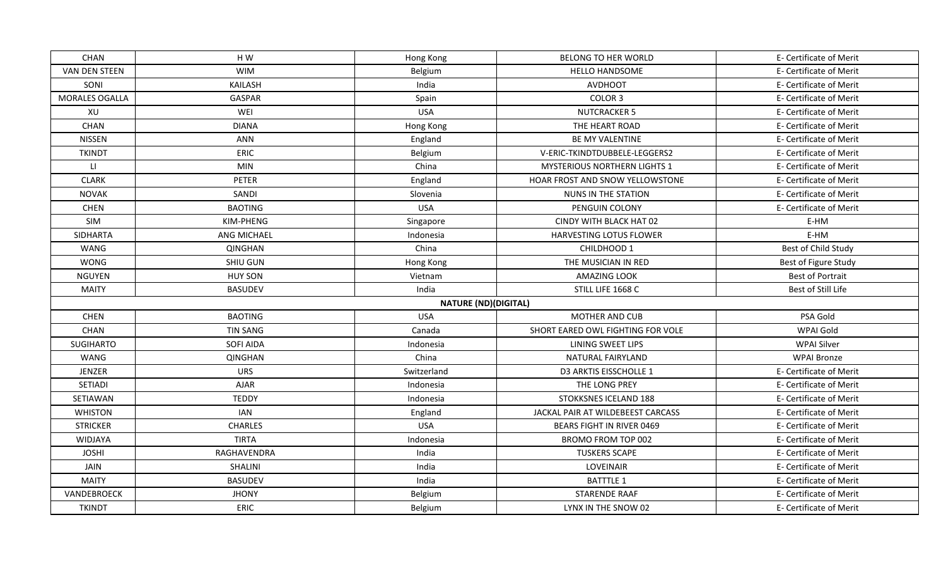| CHAN                          | H W             | Hong Kong                   | BELONG TO HER WORLD                    | E- Certificate of Merit |
|-------------------------------|-----------------|-----------------------------|----------------------------------------|-------------------------|
| <b>VAN DEN STEEN</b>          | <b>WIM</b>      | Belgium                     | <b>HELLO HANDSOME</b>                  | E- Certificate of Merit |
| SONI                          | <b>KAILASH</b>  | India                       | <b>AVDHOOT</b>                         | E- Certificate of Merit |
| MORALES OGALLA                | GASPAR          | Spain                       | COLOR 3                                | E- Certificate of Merit |
| XU                            | WEI             | <b>USA</b>                  | <b>NUTCRACKER 5</b>                    | E- Certificate of Merit |
| CHAN                          | <b>DIANA</b>    | Hong Kong                   | THE HEART ROAD                         | E- Certificate of Merit |
| NISSEN                        | <b>ANN</b>      | England                     | BE MY VALENTINE                        | E- Certificate of Merit |
| <b>TKINDT</b>                 | ERIC            | Belgium                     | V-ERIC-TKINDTDUBBELE-LEGGERS2          | E- Certificate of Merit |
| $\lfloor \frac{1}{2} \rfloor$ | <b>MIN</b>      | China                       | <b>MYSTERIOUS NORTHERN LIGHTS 1</b>    | E- Certificate of Merit |
| <b>CLARK</b>                  | <b>PETER</b>    | England                     | <b>HOAR FROST AND SNOW YELLOWSTONE</b> | E- Certificate of Merit |
| <b>NOVAK</b>                  | SANDI           | Slovenia                    | NUNS IN THE STATION                    | E- Certificate of Merit |
| <b>CHEN</b>                   | <b>BAOTING</b>  | <b>USA</b>                  | PENGUIN COLONY                         | E- Certificate of Merit |
| SIM                           | KIM-PHENG       | Singapore                   | CINDY WITH BLACK HAT 02                | E-HM                    |
| <b>SIDHARTA</b>               | ANG MICHAEL     | Indonesia                   | <b>HARVESTING LOTUS FLOWER</b>         | E-HM                    |
| WANG                          | QINGHAN         | China                       | CHILDHOOD 1                            | Best of Child Study     |
| <b>WONG</b>                   | SHIU GUN        | Hong Kong                   | THE MUSICIAN IN RED                    | Best of Figure Study    |
| <b>NGUYEN</b>                 | <b>HUY SON</b>  | Vietnam                     | <b>AMAZING LOOK</b>                    | <b>Best of Portrait</b> |
| <b>MAITY</b>                  | <b>BASUDEV</b>  | India                       | STILL LIFE 1668 C                      | Best of Still Life      |
|                               |                 | <b>NATURE (ND)(DIGITAL)</b> |                                        |                         |
| <b>CHEN</b>                   | <b>BAOTING</b>  | <b>USA</b>                  | <b>MOTHER AND CUB</b>                  | PSA Gold                |
| CHAN                          | <b>TIN SANG</b> | Canada                      | SHORT EARED OWL FIGHTING FOR VOLE      | WPAI Gold               |
| <b>SUGIHARTO</b>              | SOFI AIDA       | Indonesia                   | LINING SWEET LIPS                      | WPAI Silver             |
| WANG                          | <b>QINGHAN</b>  | China                       | NATURAL FAIRYLAND                      | <b>WPAI Bronze</b>      |
| <b>JENZER</b>                 | <b>URS</b>      | Switzerland                 | <b>D3 ARKTIS EISSCHOLLE 1</b>          | E- Certificate of Merit |
| SETIADI                       | <b>AJAR</b>     | Indonesia                   | THE LONG PREY                          | E- Certificate of Merit |
| SETIAWAN                      | <b>TEDDY</b>    | Indonesia                   | STOKKSNES ICELAND 188                  | E- Certificate of Merit |
| <b>WHISTON</b>                | IAN             | England                     | JACKAL PAIR AT WILDEBEEST CARCASS      | E- Certificate of Merit |
| <b>STRICKER</b>               | <b>CHARLES</b>  | <b>USA</b>                  | <b>BEARS FIGHT IN RIVER 0469</b>       | E- Certificate of Merit |
| WIDJAYA                       | <b>TIRTA</b>    | Indonesia                   | BROMO FROM TOP 002                     | E- Certificate of Merit |
| <b>JOSHI</b>                  | RAGHAVENDRA     | India                       | <b>TUSKERS SCAPE</b>                   | E- Certificate of Merit |
| JAIN                          | SHALINI         | India                       | LOVEINAIR                              | E- Certificate of Merit |
| <b>MAITY</b>                  | <b>BASUDEV</b>  | India                       | <b>BATTTLE 1</b>                       | E- Certificate of Merit |
| VANDEBROECK                   | <b>JHONY</b>    | Belgium                     | STARENDE RAAF                          | E- Certificate of Merit |
| <b>TKINDT</b>                 | ERIC            | Belgium                     | LYNX IN THE SNOW 02                    | E- Certificate of Merit |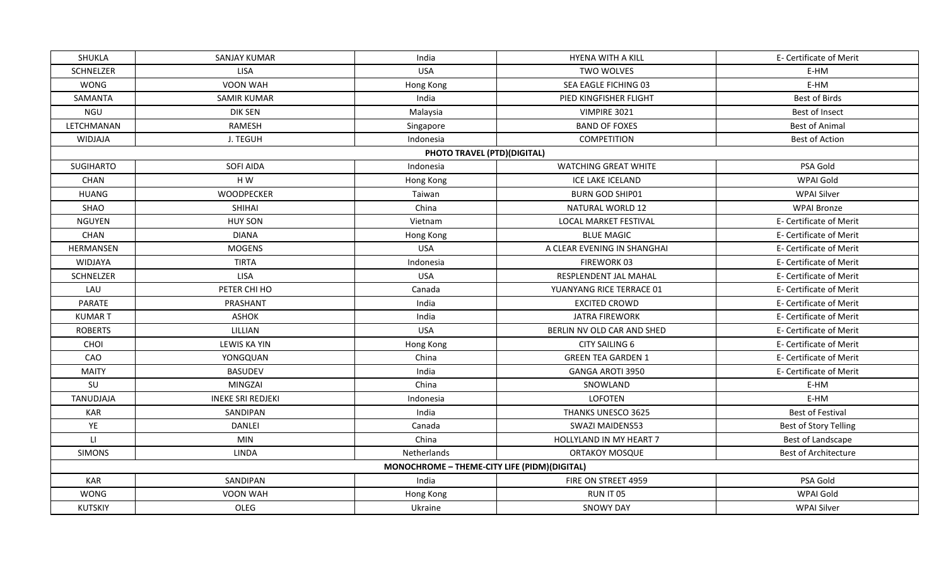| <b>SHUKLA</b>          | SANJAY KUMAR             | India                                        | HYENA WITH A KILL            | E- Certificate of Merit     |
|------------------------|--------------------------|----------------------------------------------|------------------------------|-----------------------------|
| SCHNELZER              | <b>LISA</b>              | <b>USA</b>                                   | <b>TWO WOLVES</b>            | E-HM                        |
| <b>WONG</b>            | <b>VOON WAH</b>          | Hong Kong                                    | SEA EAGLE FICHING 03         | E-HM                        |
| SAMANTA                | <b>SAMIR KUMAR</b>       | India                                        | PIED KINGFISHER FLIGHT       | <b>Best of Birds</b>        |
| NGU                    | <b>DIK SEN</b>           | Malaysia                                     | VIMPIRE 3021                 | Best of Insect              |
| LETCHMANAN             | RAMESH                   | Singapore                                    | <b>BAND OF FOXES</b>         | <b>Best of Animal</b>       |
| <b>WIDJAJA</b>         | J. TEGUH                 | Indonesia                                    | <b>COMPETITION</b>           | <b>Best of Action</b>       |
|                        |                          | PHOTO TRAVEL (PTD)(DIGITAL)                  |                              |                             |
| <b>SUGIHARTO</b>       | SOFI AIDA                | Indonesia                                    | <b>WATCHING GREAT WHITE</b>  | PSA Gold                    |
| CHAN                   | H W                      | Hong Kong                                    | ICE LAKE ICELAND             | WPAI Gold                   |
| <b>HUANG</b>           | WOODPECKER               | Taiwan                                       | <b>BURN GOD SHIP01</b>       | <b>WPAI Silver</b>          |
| SHAO                   | <b>SHIHAI</b>            | China                                        | NATURAL WORLD 12             | <b>WPAI Bronze</b>          |
| <b>NGUYEN</b>          | <b>HUY SON</b>           | Vietnam                                      | <b>LOCAL MARKET FESTIVAL</b> | E- Certificate of Merit     |
| CHAN                   | <b>DIANA</b>             | Hong Kong                                    | <b>BLUE MAGIC</b>            | E- Certificate of Merit     |
| HERMANSEN              | <b>MOGENS</b>            | <b>USA</b>                                   | A CLEAR EVENING IN SHANGHAI  | E- Certificate of Merit     |
| <b>WIDJAYA</b>         | <b>TIRTA</b>             | Indonesia                                    | FIREWORK 03                  | E- Certificate of Merit     |
| SCHNELZER              | LISA                     | <b>USA</b>                                   | RESPLENDENT JAL MAHAL        | E- Certificate of Merit     |
| LAU                    | PETER CHI HO             | Canada                                       | YUANYANG RICE TERRACE 01     | E- Certificate of Merit     |
| PARATE                 | PRASHANT                 | India                                        | <b>EXCITED CROWD</b>         | E- Certificate of Merit     |
| <b>KUMART</b>          | <b>ASHOK</b>             | India                                        | <b>JATRA FIREWORK</b>        | E- Certificate of Merit     |
| <b>ROBERTS</b>         | LILLIAN                  | <b>USA</b>                                   | BERLIN NV OLD CAR AND SHED   | E- Certificate of Merit     |
| CHOI                   | <b>LEWIS KA YIN</b>      | Hong Kong                                    | <b>CITY SAILING 6</b>        | E- Certificate of Merit     |
| CAO                    | YONGQUAN                 | China                                        | <b>GREEN TEA GARDEN 1</b>    | E- Certificate of Merit     |
| <b>MAITY</b>           | <b>BASUDEV</b>           | India                                        | <b>GANGA AROTI 3950</b>      | E- Certificate of Merit     |
| SU                     | MINGZAI                  | China                                        | SNOWLAND                     | E-HM                        |
| TANUDJAJA              | <b>INEKE SRI REDJEKI</b> | Indonesia                                    | <b>LOFOTEN</b>               | E-HM                        |
| <b>KAR</b>             | SANDIPAN                 | India                                        | THANKS UNESCO 3625           | <b>Best of Festival</b>     |
| YE                     | DANLEI                   | Canada                                       | SWAZI MAIDENS53              | Best of Story Telling       |
| $\mathsf{L}\mathsf{L}$ | <b>MIN</b>               | China                                        | HOLLYLAND IN MY HEART 7      | Best of Landscape           |
| <b>SIMONS</b>          | <b>LINDA</b>             | Netherlands                                  | <b>ORTAKOY MOSQUE</b>        | <b>Best of Architecture</b> |
|                        |                          | MONOCHROME - THEME-CITY LIFE (PIDM)(DIGITAL) |                              |                             |
| <b>KAR</b>             | SANDIPAN                 | India                                        | FIRE ON STREET 4959          | PSA Gold                    |
| <b>WONG</b>            | VOON WAH                 | Hong Kong                                    | RUN IT 05                    | WPAI Gold                   |
| <b>KUTSKIY</b>         | OLEG                     | Ukraine                                      | <b>SNOWY DAY</b>             | <b>WPAI Silver</b>          |
|                        |                          |                                              |                              |                             |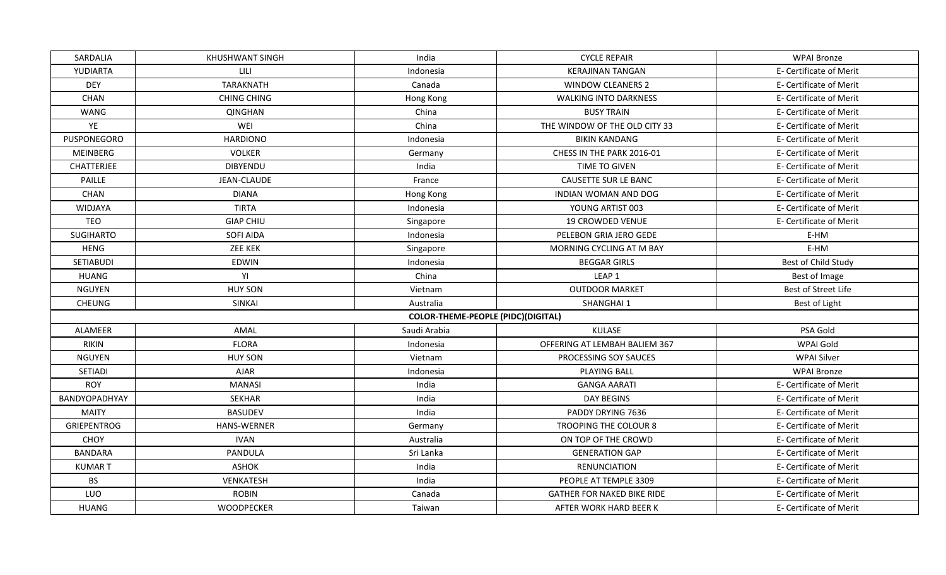| SARDALIA           | KHUSHWANT SINGH    | India                                     | <b>CYCLE REPAIR</b>               | <b>WPAI Bronze</b>      |
|--------------------|--------------------|-------------------------------------------|-----------------------------------|-------------------------|
| YUDIARTA           | LILI               | Indonesia                                 | <b>KERAJINAN TANGAN</b>           | E- Certificate of Merit |
| <b>DEY</b>         | <b>TARAKNATH</b>   | Canada                                    | <b>WINDOW CLEANERS 2</b>          | E- Certificate of Merit |
| CHAN               | <b>CHING CHING</b> | Hong Kong                                 | <b>WALKING INTO DARKNESS</b>      | E- Certificate of Merit |
| WANG               | <b>QINGHAN</b>     | China                                     | <b>BUSY TRAIN</b>                 | E- Certificate of Merit |
| YE                 | WEI                | China                                     | THE WINDOW OF THE OLD CITY 33     | E- Certificate of Merit |
| PUSPONEGORO        | <b>HARDIONO</b>    | Indonesia                                 | <b>BIKIN KANDANG</b>              | E- Certificate of Merit |
| <b>MEINBERG</b>    | <b>VOLKER</b>      | Germany                                   | CHESS IN THE PARK 2016-01         | E- Certificate of Merit |
| <b>CHATTERJEE</b>  | <b>DIBYENDU</b>    | India                                     | TIME TO GIVEN                     | E- Certificate of Merit |
| PAILLE             | <b>JEAN-CLAUDE</b> | France                                    | <b>CAUSETTE SUR LE BANC</b>       | E- Certificate of Merit |
| CHAN               | <b>DIANA</b>       | Hong Kong                                 | INDIAN WOMAN AND DOG              | E- Certificate of Merit |
| WIDJAYA            | <b>TIRTA</b>       | Indonesia                                 | YOUNG ARTIST 003                  | E- Certificate of Merit |
| <b>TEO</b>         | <b>GIAP CHIU</b>   | Singapore                                 | <b>19 CROWDED VENUE</b>           | E- Certificate of Merit |
| <b>SUGIHARTO</b>   | SOFI AIDA          | Indonesia                                 | PELEBON GRIA JERO GEDE            | E-HM                    |
| <b>HENG</b>        | <b>ZEE KEK</b>     | Singapore                                 | MORNING CYCLING AT M BAY          | E-HM                    |
| SETIABUDI          | EDWIN              | Indonesia                                 | <b>BEGGAR GIRLS</b>               | Best of Child Study     |
| <b>HUANG</b>       | YI                 | China                                     | LEAP <sub>1</sub>                 | Best of Image           |
| <b>NGUYEN</b>      | <b>HUY SON</b>     | Vietnam                                   | <b>OUTDOOR MARKET</b>             | Best of Street Life     |
| CHEUNG             | <b>SINKAI</b>      | Australia                                 | SHANGHAI 1                        | Best of Light           |
|                    |                    | <b>COLOR-THEME-PEOPLE (PIDC)(DIGITAL)</b> |                                   |                         |
| ALAMEER            | AMAL               | Saudi Arabia                              | KULASE                            | PSA Gold                |
| <b>RIKIN</b>       | <b>FLORA</b>       | Indonesia                                 | OFFERING AT LEMBAH BALIEM 367     | WPAI Gold               |
| <b>NGUYEN</b>      | <b>HUY SON</b>     | Vietnam                                   | PROCESSING SOY SAUCES             | <b>WPAI Silver</b>      |
| <b>SETIADI</b>     | <b>AJAR</b>        | Indonesia                                 | <b>PLAYING BALL</b>               | <b>WPAI Bronze</b>      |
| <b>ROY</b>         | <b>MANASI</b>      | India                                     | <b>GANGA AARATI</b>               | E- Certificate of Merit |
| BANDYOPADHYAY      | <b>SEKHAR</b>      | India                                     | <b>DAY BEGINS</b>                 | E- Certificate of Merit |
| <b>MAITY</b>       | <b>BASUDEV</b>     | India                                     | PADDY DRYING 7636                 | E- Certificate of Merit |
| <b>GRIEPENTROG</b> | <b>HANS-WERNER</b> | Germany                                   | TROOPING THE COLOUR 8             | E- Certificate of Merit |
| CHOY               | <b>IVAN</b>        | Australia                                 | ON TOP OF THE CROWD               | E- Certificate of Merit |
| <b>BANDARA</b>     | PANDULA            | Sri Lanka                                 | <b>GENERATION GAP</b>             | E- Certificate of Merit |
| <b>KUMART</b>      | <b>ASHOK</b>       | India                                     | <b>RENUNCIATION</b>               | E- Certificate of Merit |
| <b>BS</b>          | VENKATESH          | India                                     | PEOPLE AT TEMPLE 3309             | E- Certificate of Merit |
| LUO                | <b>ROBIN</b>       | Canada                                    | <b>GATHER FOR NAKED BIKE RIDE</b> | E- Certificate of Merit |
| <b>HUANG</b>       | <b>WOODPECKER</b>  | Taiwan                                    | AFTER WORK HARD BEER K            | E- Certificate of Merit |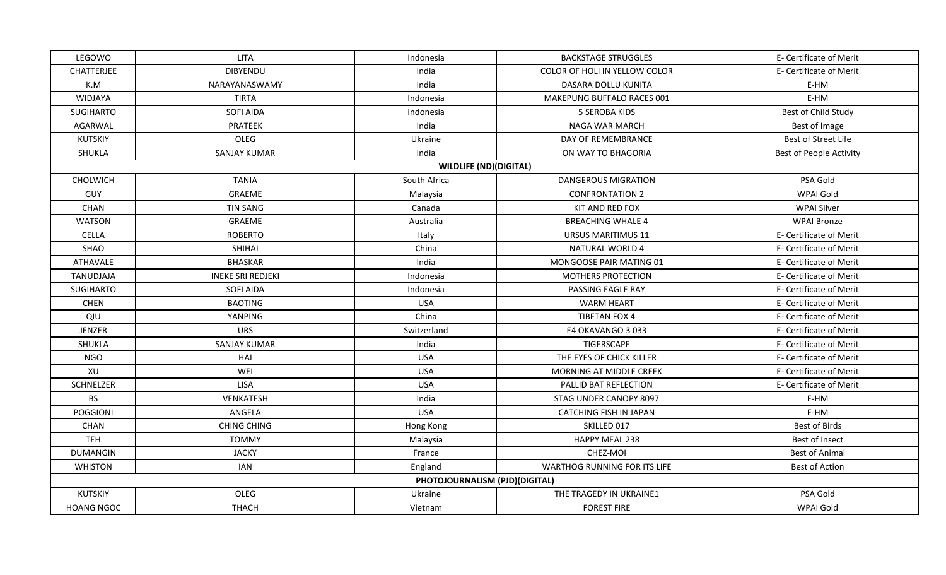| LEGOWO            | <b>LITA</b>              | Indonesia                      | <b>BACKSTAGE STRUGGLES</b>    | E- Certificate of Merit        |
|-------------------|--------------------------|--------------------------------|-------------------------------|--------------------------------|
| <b>CHATTERJEE</b> | <b>DIBYENDU</b>          | India                          | COLOR OF HOLI IN YELLOW COLOR | E- Certificate of Merit        |
| K.M               | NARAYANASWAMY            | India                          | DASARA DOLLU KUNITA           | E-HM                           |
| WIDJAYA           | <b>TIRTA</b>             | Indonesia                      | MAKEPUNG BUFFALO RACES 001    | E-HM                           |
| SUGIHARTO         | <b>SOFI AIDA</b>         | Indonesia                      | <b>5 SEROBA KIDS</b>          | Best of Child Study            |
| AGARWAL           | PRATEEK                  | India                          | NAGA WAR MARCH                | Best of Image                  |
| <b>KUTSKIY</b>    | OLEG                     | Ukraine                        | DAY OF REMEMBRANCE            | Best of Street Life            |
| SHUKLA            | <b>SANJAY KUMAR</b>      | India                          | ON WAY TO BHAGORIA            | <b>Best of People Activity</b> |
|                   |                          | <b>WILDLIFE (ND)(DIGITAL)</b>  |                               |                                |
| CHOLWICH          | <b>TANIA</b>             | South Africa                   | <b>DANGEROUS MIGRATION</b>    | PSA Gold                       |
| GUY               | GRAEME                   | Malaysia                       | <b>CONFRONTATION 2</b>        | WPAI Gold                      |
| CHAN              | <b>TIN SANG</b>          | Canada                         | KIT AND RED FOX               | <b>WPAI Silver</b>             |
| <b>WATSON</b>     | GRAEME                   | Australia                      | <b>BREACHING WHALE 4</b>      | <b>WPAI Bronze</b>             |
| <b>CELLA</b>      | <b>ROBERTO</b>           | Italy                          | <b>URSUS MARITIMUS 11</b>     | E- Certificate of Merit        |
| SHAO              | <b>SHIHAI</b>            | China                          | <b>NATURAL WORLD 4</b>        | E- Certificate of Merit        |
| <b>ATHAVALE</b>   | <b>BHASKAR</b>           | India                          | MONGOOSE PAIR MATING 01       | E- Certificate of Merit        |
| TANUDJAJA         | <b>INEKE SRI REDJEKI</b> | Indonesia                      | MOTHERS PROTECTION            | E- Certificate of Merit        |
| <b>SUGIHARTO</b>  | <b>SOFI AIDA</b>         | Indonesia                      | PASSING EAGLE RAY             | E- Certificate of Merit        |
| <b>CHEN</b>       | <b>BAOTING</b>           | <b>USA</b>                     | <b>WARM HEART</b>             | E- Certificate of Merit        |
| QIU               | YANPING                  | China                          | <b>TIBETAN FOX 4</b>          | E- Certificate of Merit        |
| JENZER            | <b>URS</b>               | Switzerland                    | E4 OKAVANGO 3 033             | E- Certificate of Merit        |
| SHUKLA            | <b>SANJAY KUMAR</b>      | India                          | TIGERSCAPE                    | E- Certificate of Merit        |
| <b>NGO</b>        | HAI                      | <b>USA</b>                     | THE EYES OF CHICK KILLER      | E- Certificate of Merit        |
| XU                | WEI                      | <b>USA</b>                     | MORNING AT MIDDLE CREEK       | E- Certificate of Merit        |
| SCHNELZER         | <b>LISA</b>              | <b>USA</b>                     | PALLID BAT REFLECTION         | E- Certificate of Merit        |
| <b>BS</b>         | VENKATESH                | India                          | STAG UNDER CANOPY 8097        | E-HM                           |
| <b>POGGIONI</b>   | ANGELA                   | <b>USA</b>                     | CATCHING FISH IN JAPAN        | E-HM                           |
| CHAN              | <b>CHING CHING</b>       | Hong Kong                      | SKILLED 017                   | Best of Birds                  |
| <b>TEH</b>        | <b>TOMMY</b>             | Malaysia                       | HAPPY MEAL 238                | Best of Insect                 |
| <b>DUMANGIN</b>   | <b>JACKY</b>             | France                         | CHEZ-MOI                      | <b>Best of Animal</b>          |
| <b>WHISTON</b>    | <b>IAN</b>               | England                        | WARTHOG RUNNING FOR ITS LIFE  | <b>Best of Action</b>          |
|                   |                          | PHOTOJOURNALISM (PJD)(DIGITAL) |                               |                                |
| <b>KUTSKIY</b>    | OLEG                     | Ukraine                        | THE TRAGEDY IN UKRAINE1       | PSA Gold                       |
| <b>HOANG NGOC</b> | <b>THACH</b>             | Vietnam                        | <b>FOREST FIRE</b>            | WPAI Gold                      |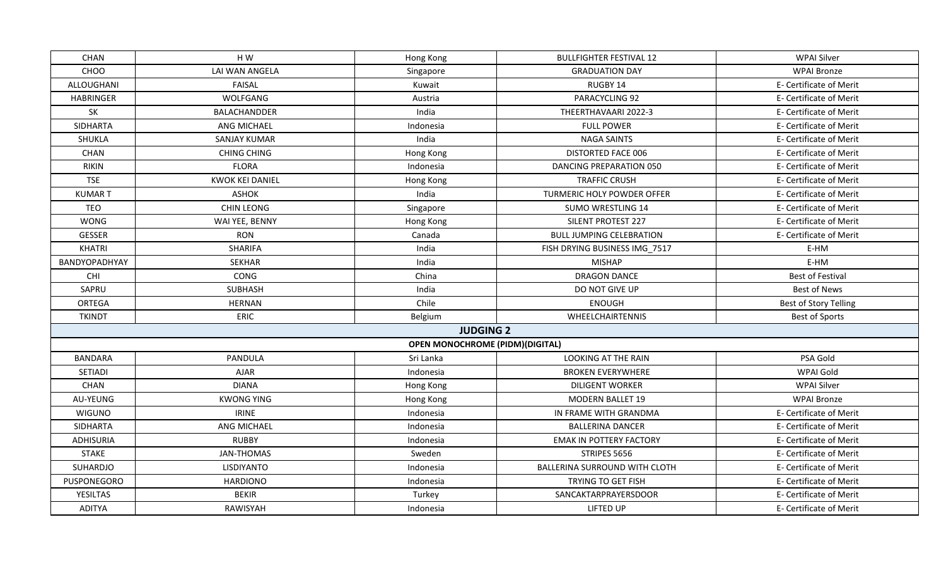| CHOO<br>LAI WAN ANGELA<br><b>GRADUATION DAY</b><br>Singapore<br>ALLOUGHANI<br><b>FAISAL</b><br>RUGBY 14<br>Kuwait<br>WOLFGANG<br>PARACYCLING 92<br><b>HABRINGER</b><br>Austria<br>SK<br>India<br>THEERTHAVAARI 2022-3<br>BALACHANDDER<br>SIDHARTA<br>ANG MICHAEL<br><b>FULL POWER</b><br>Indonesia<br>SHUKLA<br><b>SANJAY KUMAR</b><br>India<br><b>NAGA SAINTS</b><br>CHAN<br>DISTORTED FACE 006<br><b>CHING CHING</b><br>Hong Kong<br><b>FLORA</b><br><b>DANCING PREPARATION 050</b><br><b>RIKIN</b><br>Indonesia<br><b>TSE</b><br><b>KWOK KEI DANIEL</b><br><b>TRAFFIC CRUSH</b><br>Hong Kong<br><b>ASHOK</b><br>India<br>TURMERIC HOLY POWDER OFFER<br><b>KUMART</b><br><b>TEO</b><br><b>CHIN LEONG</b><br>Singapore<br><b>SUMO WRESTLING 14</b><br><b>WONG</b><br>WAI YEE, BENNY<br><b>SILENT PROTEST 227</b><br>Hong Kong<br><b>GESSER</b><br><b>RON</b><br><b>BULL JUMPING CELEBRATION</b><br>Canada<br><b>KHATRI</b><br>SHARIFA<br>India<br>FISH DRYING BUSINESS IMG 7517<br><b>SEKHAR</b><br><b>MISHAP</b><br><b>BANDYOPADHYAY</b><br>India<br>CHI<br>CONG<br>China<br><b>DRAGON DANCE</b><br>SAPRU<br><b>SUBHASH</b><br>India<br>DO NOT GIVE UP<br>Chile<br><b>ORTEGA</b><br><b>HERNAN</b><br><b>ENOUGH</b><br><b>TKINDT</b><br>ERIC<br>Belgium<br>WHEELCHAIRTENNIS<br><b>JUDGING 2</b><br><b>OPEN MONOCHROME (PIDM)(DIGITAL)</b> | <b>WPAI Bronze</b><br>E- Certificate of Merit<br>E- Certificate of Merit<br>E- Certificate of Merit<br>E- Certificate of Merit<br>E- Certificate of Merit<br>E- Certificate of Merit<br>E- Certificate of Merit<br>E- Certificate of Merit<br>E- Certificate of Merit<br>E- Certificate of Merit<br>E- Certificate of Merit<br>E- Certificate of Merit |
|--------------------------------------------------------------------------------------------------------------------------------------------------------------------------------------------------------------------------------------------------------------------------------------------------------------------------------------------------------------------------------------------------------------------------------------------------------------------------------------------------------------------------------------------------------------------------------------------------------------------------------------------------------------------------------------------------------------------------------------------------------------------------------------------------------------------------------------------------------------------------------------------------------------------------------------------------------------------------------------------------------------------------------------------------------------------------------------------------------------------------------------------------------------------------------------------------------------------------------------------------------------------------------------------------------------------------------------------|--------------------------------------------------------------------------------------------------------------------------------------------------------------------------------------------------------------------------------------------------------------------------------------------------------------------------------------------------------|
|                                                                                                                                                                                                                                                                                                                                                                                                                                                                                                                                                                                                                                                                                                                                                                                                                                                                                                                                                                                                                                                                                                                                                                                                                                                                                                                                            |                                                                                                                                                                                                                                                                                                                                                        |
|                                                                                                                                                                                                                                                                                                                                                                                                                                                                                                                                                                                                                                                                                                                                                                                                                                                                                                                                                                                                                                                                                                                                                                                                                                                                                                                                            |                                                                                                                                                                                                                                                                                                                                                        |
|                                                                                                                                                                                                                                                                                                                                                                                                                                                                                                                                                                                                                                                                                                                                                                                                                                                                                                                                                                                                                                                                                                                                                                                                                                                                                                                                            |                                                                                                                                                                                                                                                                                                                                                        |
|                                                                                                                                                                                                                                                                                                                                                                                                                                                                                                                                                                                                                                                                                                                                                                                                                                                                                                                                                                                                                                                                                                                                                                                                                                                                                                                                            |                                                                                                                                                                                                                                                                                                                                                        |
|                                                                                                                                                                                                                                                                                                                                                                                                                                                                                                                                                                                                                                                                                                                                                                                                                                                                                                                                                                                                                                                                                                                                                                                                                                                                                                                                            |                                                                                                                                                                                                                                                                                                                                                        |
|                                                                                                                                                                                                                                                                                                                                                                                                                                                                                                                                                                                                                                                                                                                                                                                                                                                                                                                                                                                                                                                                                                                                                                                                                                                                                                                                            |                                                                                                                                                                                                                                                                                                                                                        |
|                                                                                                                                                                                                                                                                                                                                                                                                                                                                                                                                                                                                                                                                                                                                                                                                                                                                                                                                                                                                                                                                                                                                                                                                                                                                                                                                            |                                                                                                                                                                                                                                                                                                                                                        |
|                                                                                                                                                                                                                                                                                                                                                                                                                                                                                                                                                                                                                                                                                                                                                                                                                                                                                                                                                                                                                                                                                                                                                                                                                                                                                                                                            |                                                                                                                                                                                                                                                                                                                                                        |
|                                                                                                                                                                                                                                                                                                                                                                                                                                                                                                                                                                                                                                                                                                                                                                                                                                                                                                                                                                                                                                                                                                                                                                                                                                                                                                                                            |                                                                                                                                                                                                                                                                                                                                                        |
|                                                                                                                                                                                                                                                                                                                                                                                                                                                                                                                                                                                                                                                                                                                                                                                                                                                                                                                                                                                                                                                                                                                                                                                                                                                                                                                                            |                                                                                                                                                                                                                                                                                                                                                        |
|                                                                                                                                                                                                                                                                                                                                                                                                                                                                                                                                                                                                                                                                                                                                                                                                                                                                                                                                                                                                                                                                                                                                                                                                                                                                                                                                            |                                                                                                                                                                                                                                                                                                                                                        |
|                                                                                                                                                                                                                                                                                                                                                                                                                                                                                                                                                                                                                                                                                                                                                                                                                                                                                                                                                                                                                                                                                                                                                                                                                                                                                                                                            |                                                                                                                                                                                                                                                                                                                                                        |
|                                                                                                                                                                                                                                                                                                                                                                                                                                                                                                                                                                                                                                                                                                                                                                                                                                                                                                                                                                                                                                                                                                                                                                                                                                                                                                                                            |                                                                                                                                                                                                                                                                                                                                                        |
|                                                                                                                                                                                                                                                                                                                                                                                                                                                                                                                                                                                                                                                                                                                                                                                                                                                                                                                                                                                                                                                                                                                                                                                                                                                                                                                                            | E-HM                                                                                                                                                                                                                                                                                                                                                   |
|                                                                                                                                                                                                                                                                                                                                                                                                                                                                                                                                                                                                                                                                                                                                                                                                                                                                                                                                                                                                                                                                                                                                                                                                                                                                                                                                            | E-HM                                                                                                                                                                                                                                                                                                                                                   |
|                                                                                                                                                                                                                                                                                                                                                                                                                                                                                                                                                                                                                                                                                                                                                                                                                                                                                                                                                                                                                                                                                                                                                                                                                                                                                                                                            | <b>Best of Festival</b>                                                                                                                                                                                                                                                                                                                                |
|                                                                                                                                                                                                                                                                                                                                                                                                                                                                                                                                                                                                                                                                                                                                                                                                                                                                                                                                                                                                                                                                                                                                                                                                                                                                                                                                            | <b>Best of News</b>                                                                                                                                                                                                                                                                                                                                    |
|                                                                                                                                                                                                                                                                                                                                                                                                                                                                                                                                                                                                                                                                                                                                                                                                                                                                                                                                                                                                                                                                                                                                                                                                                                                                                                                                            | <b>Best of Story Telling</b>                                                                                                                                                                                                                                                                                                                           |
|                                                                                                                                                                                                                                                                                                                                                                                                                                                                                                                                                                                                                                                                                                                                                                                                                                                                                                                                                                                                                                                                                                                                                                                                                                                                                                                                            | <b>Best of Sports</b>                                                                                                                                                                                                                                                                                                                                  |
|                                                                                                                                                                                                                                                                                                                                                                                                                                                                                                                                                                                                                                                                                                                                                                                                                                                                                                                                                                                                                                                                                                                                                                                                                                                                                                                                            |                                                                                                                                                                                                                                                                                                                                                        |
|                                                                                                                                                                                                                                                                                                                                                                                                                                                                                                                                                                                                                                                                                                                                                                                                                                                                                                                                                                                                                                                                                                                                                                                                                                                                                                                                            |                                                                                                                                                                                                                                                                                                                                                        |
| <b>BANDARA</b><br><b>LOOKING AT THE RAIN</b><br><b>PANDULA</b><br>Sri Lanka                                                                                                                                                                                                                                                                                                                                                                                                                                                                                                                                                                                                                                                                                                                                                                                                                                                                                                                                                                                                                                                                                                                                                                                                                                                                | PSA Gold                                                                                                                                                                                                                                                                                                                                               |
| <b>AJAR</b><br>SETIADI<br><b>BROKEN EVERYWHERE</b><br>Indonesia                                                                                                                                                                                                                                                                                                                                                                                                                                                                                                                                                                                                                                                                                                                                                                                                                                                                                                                                                                                                                                                                                                                                                                                                                                                                            | WPAI Gold                                                                                                                                                                                                                                                                                                                                              |
| CHAN<br><b>DIANA</b><br><b>DILIGENT WORKER</b><br>Hong Kong                                                                                                                                                                                                                                                                                                                                                                                                                                                                                                                                                                                                                                                                                                                                                                                                                                                                                                                                                                                                                                                                                                                                                                                                                                                                                | <b>WPAI Silver</b>                                                                                                                                                                                                                                                                                                                                     |
| AU-YEUNG<br><b>KWONG YING</b><br><b>MODERN BALLET 19</b><br>Hong Kong                                                                                                                                                                                                                                                                                                                                                                                                                                                                                                                                                                                                                                                                                                                                                                                                                                                                                                                                                                                                                                                                                                                                                                                                                                                                      | <b>WPAI Bronze</b>                                                                                                                                                                                                                                                                                                                                     |
| <b>IRINE</b><br><b>WIGUNO</b><br>Indonesia<br>IN FRAME WITH GRANDMA                                                                                                                                                                                                                                                                                                                                                                                                                                                                                                                                                                                                                                                                                                                                                                                                                                                                                                                                                                                                                                                                                                                                                                                                                                                                        | E- Certificate of Merit                                                                                                                                                                                                                                                                                                                                |
| <b>SIDHARTA</b><br>ANG MICHAEL<br><b>BALLERINA DANCER</b><br>Indonesia                                                                                                                                                                                                                                                                                                                                                                                                                                                                                                                                                                                                                                                                                                                                                                                                                                                                                                                                                                                                                                                                                                                                                                                                                                                                     | E- Certificate of Merit                                                                                                                                                                                                                                                                                                                                |
| <b>ADHISURIA</b><br><b>RUBBY</b><br><b>EMAK IN POTTERY FACTORY</b><br>Indonesia                                                                                                                                                                                                                                                                                                                                                                                                                                                                                                                                                                                                                                                                                                                                                                                                                                                                                                                                                                                                                                                                                                                                                                                                                                                            | E- Certificate of Merit                                                                                                                                                                                                                                                                                                                                |
| <b>STAKE</b><br><b>JAN-THOMAS</b><br>Sweden<br>STRIPES 5656                                                                                                                                                                                                                                                                                                                                                                                                                                                                                                                                                                                                                                                                                                                                                                                                                                                                                                                                                                                                                                                                                                                                                                                                                                                                                | E- Certificate of Merit                                                                                                                                                                                                                                                                                                                                |
| SUHARDJO<br><b>LISDIYANTO</b><br>Indonesia<br>BALLERINA SURROUND WITH CLOTH                                                                                                                                                                                                                                                                                                                                                                                                                                                                                                                                                                                                                                                                                                                                                                                                                                                                                                                                                                                                                                                                                                                                                                                                                                                                | E- Certificate of Merit                                                                                                                                                                                                                                                                                                                                |
| PUSPONEGORO<br><b>HARDIONO</b><br>Indonesia<br>TRYING TO GET FISH                                                                                                                                                                                                                                                                                                                                                                                                                                                                                                                                                                                                                                                                                                                                                                                                                                                                                                                                                                                                                                                                                                                                                                                                                                                                          | E- Certificate of Merit                                                                                                                                                                                                                                                                                                                                |
| <b>BEKIR</b><br><b>YESILTAS</b><br>SANCAKTARPRAYERSDOOR<br>Turkey                                                                                                                                                                                                                                                                                                                                                                                                                                                                                                                                                                                                                                                                                                                                                                                                                                                                                                                                                                                                                                                                                                                                                                                                                                                                          |                                                                                                                                                                                                                                                                                                                                                        |
| <b>ADITYA</b><br>RAWISYAH<br>LIFTED UP<br>E- Certificate of Merit<br>Indonesia                                                                                                                                                                                                                                                                                                                                                                                                                                                                                                                                                                                                                                                                                                                                                                                                                                                                                                                                                                                                                                                                                                                                                                                                                                                             | E- Certificate of Merit                                                                                                                                                                                                                                                                                                                                |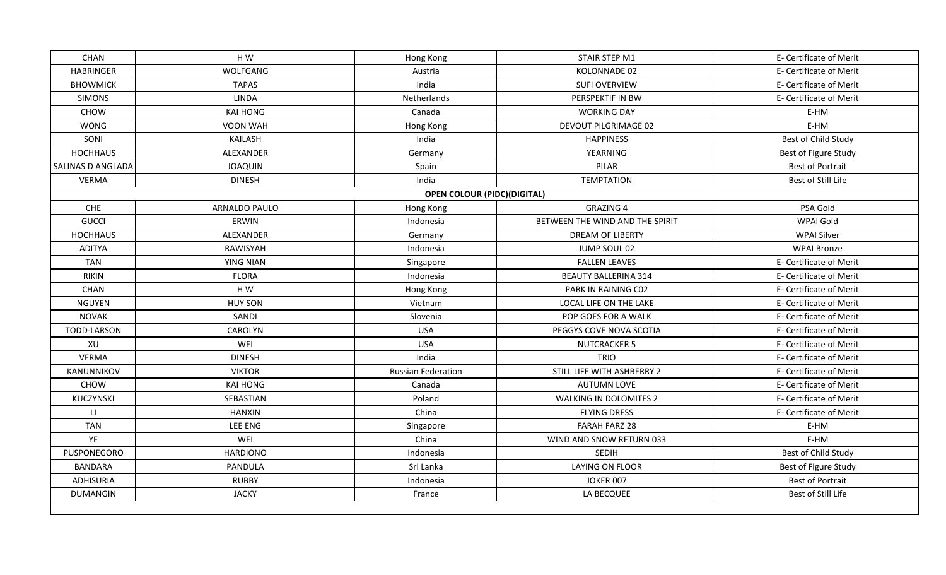| <b>CHAN</b>              | HW               | Hong Kong                          | STAIR STEP M1                   | E- Certificate of Merit |
|--------------------------|------------------|------------------------------------|---------------------------------|-------------------------|
| <b>HABRINGER</b>         | WOLFGANG         | Austria                            | KOLONNADE 02                    | E- Certificate of Merit |
| <b>BHOWMICK</b>          | <b>TAPAS</b>     | India                              | <b>SUFI OVERVIEW</b>            | E- Certificate of Merit |
| <b>SIMONS</b>            | <b>LINDA</b>     | Netherlands                        | PERSPEKTIF IN BW                | E- Certificate of Merit |
| CHOW                     | KAI HONG         | Canada                             | <b>WORKING DAY</b>              | E-HM                    |
| <b>WONG</b>              | <b>VOON WAH</b>  | Hong Kong                          | DEVOUT PILGRIMAGE 02            | E-HM                    |
| SONI                     | <b>KAILASH</b>   | India                              | <b>HAPPINESS</b>                | Best of Child Study     |
| <b>HOCHHAUS</b>          | ALEXANDER        | Germany                            | YEARNING                        | Best of Figure Study    |
| <b>SALINAS D ANGLADA</b> | <b>JOAQUIN</b>   | Spain                              | PILAR                           | <b>Best of Portrait</b> |
| <b>VERMA</b>             | <b>DINESH</b>    | India                              | <b>TEMPTATION</b>               | Best of Still Life      |
|                          |                  | <b>OPEN COLOUR (PIDC)(DIGITAL)</b> |                                 |                         |
| CHE                      | ARNALDO PAULO    | Hong Kong                          | <b>GRAZING 4</b>                | PSA Gold                |
| <b>GUCCI</b>             | ERWIN            | Indonesia                          | BETWEEN THE WIND AND THE SPIRIT | WPAI Gold               |
| <b>HOCHHAUS</b>          | ALEXANDER        | Germany                            | DREAM OF LIBERTY                | WPAI Silver             |
| <b>ADITYA</b>            | RAWISYAH         | Indonesia                          | JUMP SOUL 02                    | <b>WPAI Bronze</b>      |
| <b>TAN</b>               | YING NIAN        | Singapore                          | <b>FALLEN LEAVES</b>            | E- Certificate of Merit |
| <b>RIKIN</b>             | <b>FLORA</b>     | Indonesia                          | <b>BEAUTY BALLERINA 314</b>     | E- Certificate of Merit |
| CHAN                     | $\sf H$ W        | Hong Kong                          | PARK IN RAINING C02             | E- Certificate of Merit |
| <b>NGUYEN</b>            | <b>HUY SON</b>   | Vietnam                            | LOCAL LIFE ON THE LAKE          | E- Certificate of Merit |
| <b>NOVAK</b>             | SANDI            | Slovenia                           | POP GOES FOR A WALK             | E- Certificate of Merit |
| TODD-LARSON              | CAROLYN          | <b>USA</b>                         | PEGGYS COVE NOVA SCOTIA         | E- Certificate of Merit |
| XU                       | WEI              | <b>USA</b>                         | <b>NUTCRACKER 5</b>             | E- Certificate of Merit |
| <b>VERMA</b>             | <b>DINESH</b>    | India                              | <b>TRIO</b>                     | E- Certificate of Merit |
| KANUNNIKOV               | <b>VIKTOR</b>    | <b>Russian Federation</b>          | STILL LIFE WITH ASHBERRY 2      | E- Certificate of Merit |
| CHOW                     | KAI HONG         | Canada                             | <b>AUTUMN LOVE</b>              | E- Certificate of Merit |
| KUCZYNSKI                | <b>SEBASTIAN</b> | Poland                             | <b>WALKING IN DOLOMITES 2</b>   | E- Certificate of Merit |
| $\mathsf{L} \mathsf{I}$  | <b>HANXIN</b>    | China                              | <b>FLYING DRESS</b>             | E- Certificate of Merit |
| <b>TAN</b>               | LEE ENG          | Singapore                          | <b>FARAH FARZ 28</b>            | E-HM                    |
| YE                       | WEI              | China                              | WIND AND SNOW RETURN 033        | E-HM                    |
| PUSPONEGORO              | <b>HARDIONO</b>  | Indonesia                          | SEDIH                           | Best of Child Study     |
| <b>BANDARA</b>           | PANDULA          | Sri Lanka                          | LAYING ON FLOOR                 | Best of Figure Study    |
| <b>ADHISURIA</b>         | <b>RUBBY</b>     | Indonesia                          | <b>JOKER 007</b>                | <b>Best of Portrait</b> |
| <b>DUMANGIN</b>          | <b>JACKY</b>     | France                             | LA BECQUEE                      | Best of Still Life      |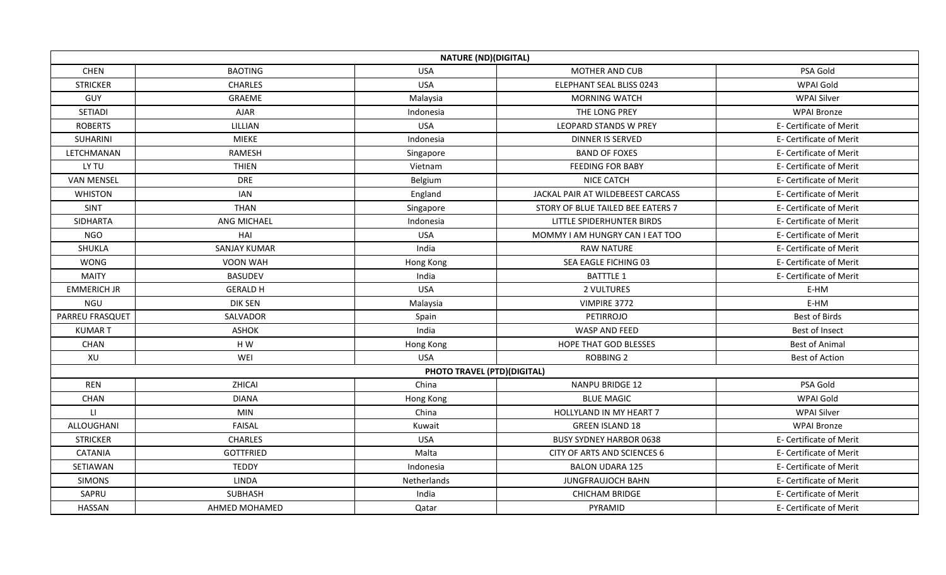|                    |                     | <b>NATURE (ND)(DIGITAL)</b> |                                   |                         |
|--------------------|---------------------|-----------------------------|-----------------------------------|-------------------------|
| <b>CHEN</b>        | <b>BAOTING</b>      | <b>USA</b>                  | MOTHER AND CUB                    | PSA Gold                |
| <b>STRICKER</b>    | <b>CHARLES</b>      | <b>USA</b>                  | ELEPHANT SEAL BLISS 0243          | WPAI Gold               |
| GUY                | GRAEME              | Malaysia                    | <b>MORNING WATCH</b>              | <b>WPAI Silver</b>      |
| <b>SETIADI</b>     | <b>AJAR</b>         | Indonesia                   | THE LONG PREY                     | <b>WPAI Bronze</b>      |
| <b>ROBERTS</b>     | LILLIAN             | <b>USA</b>                  | <b>LEOPARD STANDS W PREY</b>      | E- Certificate of Merit |
| <b>SUHARINI</b>    | <b>MIEKE</b>        | Indonesia                   | <b>DINNER IS SERVED</b>           | E- Certificate of Merit |
| LETCHMANAN         | <b>RAMESH</b>       | Singapore                   | <b>BAND OF FOXES</b>              | E- Certificate of Merit |
| LY TU              | <b>THIEN</b>        | Vietnam                     | <b>FEEDING FOR BABY</b>           | E- Certificate of Merit |
| <b>VAN MENSEL</b>  | <b>DRE</b>          | Belgium                     | <b>NICE CATCH</b>                 | E- Certificate of Merit |
| <b>WHISTON</b>     | <b>IAN</b>          | England                     | JACKAL PAIR AT WILDEBEEST CARCASS | E- Certificate of Merit |
| SINT               | <b>THAN</b>         | Singapore                   | STORY OF BLUE TAILED BEE EATERS 7 | E- Certificate of Merit |
| SIDHARTA           | ANG MICHAEL         | Indonesia                   | LITTLE SPIDERHUNTER BIRDS         | E- Certificate of Merit |
| <b>NGO</b>         | HAI                 | <b>USA</b>                  | MOMMY I AM HUNGRY CAN I EAT TOO   | E- Certificate of Merit |
| SHUKLA             | <b>SANJAY KUMAR</b> | India                       | <b>RAW NATURE</b>                 | E- Certificate of Merit |
| <b>WONG</b>        | VOON WAH            | Hong Kong                   | SEA EAGLE FICHING 03              | E- Certificate of Merit |
| <b>MAITY</b>       | <b>BASUDEV</b>      | India                       | <b>BATTTLE 1</b>                  | E- Certificate of Merit |
| <b>EMMERICH JR</b> | <b>GERALD H</b>     | <b>USA</b>                  | 2 VULTURES                        | E-HM                    |
| NGU                | <b>DIK SEN</b>      | Malaysia                    | VIMPIRE 3772                      | E-HM                    |
| PARREU FRASQUET    | SALVADOR            | Spain                       | <b>PETIRROJO</b>                  | <b>Best of Birds</b>    |
| <b>KUMART</b>      | <b>ASHOK</b>        | India                       | WASP AND FEED                     | Best of Insect          |
| <b>CHAN</b>        | H W                 | Hong Kong                   | HOPE THAT GOD BLESSES             | <b>Best of Animal</b>   |
| XU                 | WEI                 | <b>USA</b>                  | <b>ROBBING 2</b>                  | <b>Best of Action</b>   |
|                    |                     | PHOTO TRAVEL (PTD)(DIGITAL) |                                   |                         |
| <b>REN</b>         | ZHICAI              | China                       | NANPU BRIDGE 12                   | PSA Gold                |
| <b>CHAN</b>        | <b>DIANA</b>        | Hong Kong                   | <b>BLUE MAGIC</b>                 | WPAI Gold               |
| $\mathsf{L}$       | <b>MIN</b>          | China                       | HOLLYLAND IN MY HEART 7           | <b>WPAI Silver</b>      |
| ALLOUGHANI         | <b>FAISAL</b>       | Kuwait                      | <b>GREEN ISLAND 18</b>            | <b>WPAI Bronze</b>      |
| <b>STRICKER</b>    | <b>CHARLES</b>      | <b>USA</b>                  | <b>BUSY SYDNEY HARBOR 0638</b>    | E- Certificate of Merit |
| <b>CATANIA</b>     | <b>GOTTFRIED</b>    | Malta                       | CITY OF ARTS AND SCIENCES 6       | E- Certificate of Merit |
| SETIAWAN           | <b>TEDDY</b>        | Indonesia                   | <b>BALON UDARA 125</b>            | E- Certificate of Merit |
| <b>SIMONS</b>      | <b>LINDA</b>        | Netherlands                 | <b>JUNGFRAUJOCH BAHN</b>          | E- Certificate of Merit |
| SAPRU              | SUBHASH             | India                       | <b>CHICHAM BRIDGE</b>             | E- Certificate of Merit |
| HASSAN             | AHMED MOHAMED       | Qatar                       | PYRAMID                           | E- Certificate of Merit |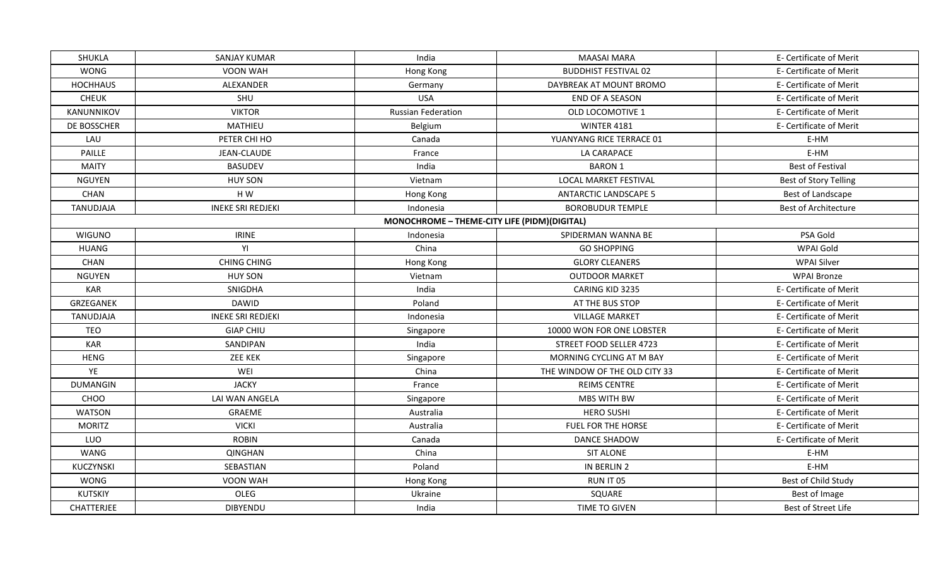| SHUKLA            | SANJAY KUMAR             | India                                        | <b>MAASAI MARA</b>            | E- Certificate of Merit     |
|-------------------|--------------------------|----------------------------------------------|-------------------------------|-----------------------------|
| <b>WONG</b>       | VOON WAH                 | Hong Kong                                    | <b>BUDDHIST FESTIVAL 02</b>   | E- Certificate of Merit     |
| <b>HOCHHAUS</b>   | ALEXANDER                | Germany                                      | DAYBREAK AT MOUNT BROMO       | E- Certificate of Merit     |
| <b>CHEUK</b>      | SHU                      | <b>USA</b>                                   | <b>END OF A SEASON</b>        | E- Certificate of Merit     |
| KANUNNIKOV        | <b>VIKTOR</b>            | <b>Russian Federation</b>                    | OLD LOCOMOTIVE 1              | E- Certificate of Merit     |
| DE BOSSCHER       | MATHIEU                  | Belgium                                      | <b>WINTER 4181</b>            | E- Certificate of Merit     |
| LAU               | PETER CHI HO             | Canada                                       | YUANYANG RICE TERRACE 01      | E-HM                        |
| PAILLE            | JEAN-CLAUDE              | France                                       | LA CARAPACE                   | E-HM                        |
| <b>MAITY</b>      | <b>BASUDEV</b>           | India                                        | <b>BARON 1</b>                | <b>Best of Festival</b>     |
| <b>NGUYEN</b>     | <b>HUY SON</b>           | Vietnam                                      | <b>LOCAL MARKET FESTIVAL</b>  | Best of Story Telling       |
| CHAN              | H W                      | Hong Kong                                    | <b>ANTARCTIC LANDSCAPE 5</b>  | Best of Landscape           |
| TANUDJAJA         | <b>INEKE SRI REDJEKI</b> | Indonesia                                    | <b>BOROBUDUR TEMPLE</b>       | <b>Best of Architecture</b> |
|                   |                          | MONOCHROME - THEME-CITY LIFE (PIDM)(DIGITAL) |                               |                             |
| <b>WIGUNO</b>     | <b>IRINE</b>             | Indonesia                                    | SPIDERMAN WANNA BE            | PSA Gold                    |
| <b>HUANG</b>      | YI                       | China                                        | <b>GO SHOPPING</b>            | WPAI Gold                   |
| CHAN              | <b>CHING CHING</b>       | Hong Kong                                    | <b>GLORY CLEANERS</b>         | <b>WPAI Silver</b>          |
| <b>NGUYEN</b>     | <b>HUY SON</b>           | Vietnam                                      | <b>OUTDOOR MARKET</b>         | <b>WPAI Bronze</b>          |
| <b>KAR</b>        | SNIGDHA                  | India                                        | CARING KID 3235               | E- Certificate of Merit     |
| GRZEGANEK         | <b>DAWID</b>             | Poland                                       | AT THE BUS STOP               | E- Certificate of Merit     |
| TANUDJAJA         | <b>INEKE SRI REDJEKI</b> | Indonesia                                    | <b>VILLAGE MARKET</b>         | E- Certificate of Merit     |
| <b>TEO</b>        | <b>GIAP CHIU</b>         | Singapore                                    | 10000 WON FOR ONE LOBSTER     | E- Certificate of Merit     |
| <b>KAR</b>        | SANDIPAN                 | India                                        | STREET FOOD SELLER 4723       | E- Certificate of Merit     |
| <b>HENG</b>       | ZEE KEK                  | Singapore                                    | MORNING CYCLING AT M BAY      | E- Certificate of Merit     |
| YE                | WEI                      | China                                        | THE WINDOW OF THE OLD CITY 33 | E- Certificate of Merit     |
| <b>DUMANGIN</b>   | <b>JACKY</b>             | France                                       | REIMS CENTRE                  | E- Certificate of Merit     |
| CHOO              | LAI WAN ANGELA           | Singapore                                    | <b>MBS WITH BW</b>            | E- Certificate of Merit     |
| <b>WATSON</b>     | GRAEME                   | Australia                                    | <b>HERO SUSHI</b>             | E- Certificate of Merit     |
| <b>MORITZ</b>     | <b>VICKI</b>             | Australia                                    | FUEL FOR THE HORSE            | E- Certificate of Merit     |
| LUO               | <b>ROBIN</b>             | Canada                                       | <b>DANCE SHADOW</b>           | E- Certificate of Merit     |
| WANG              | <b>QINGHAN</b>           | China                                        | <b>SIT ALONE</b>              | E-HM                        |
| KUCZYNSKI         | SEBASTIAN                | Poland                                       | IN BERLIN 2                   | E-HM                        |
| WONG              | VOON WAH                 | Hong Kong                                    | RUN IT 05                     | Best of Child Study         |
| <b>KUTSKIY</b>    | OLEG                     | Ukraine                                      | SQUARE                        | Best of Image               |
| <b>CHATTERJEE</b> | <b>DIBYENDU</b>          | India                                        | TIME TO GIVEN                 | Best of Street Life         |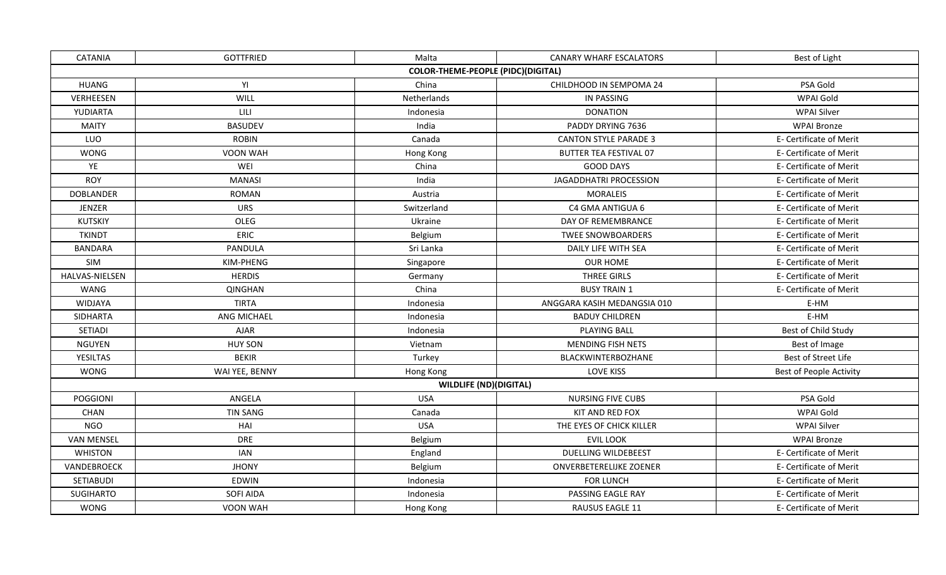| <b>CATANIA</b>    | <b>GOTTFRIED</b> | Malta                                     | <b>CANARY WHARF ESCALATORS</b> | Best of Light           |
|-------------------|------------------|-------------------------------------------|--------------------------------|-------------------------|
|                   |                  | <b>COLOR-THEME-PEOPLE (PIDC)(DIGITAL)</b> |                                |                         |
| <b>HUANG</b>      | YI               | China                                     | CHILDHOOD IN SEMPOMA 24        | PSA Gold                |
| VERHEESEN         | WILL             | Netherlands                               | <b>IN PASSING</b>              | WPAI Gold               |
| YUDIARTA          | LILI             | Indonesia                                 | <b>DONATION</b>                | <b>WPAI Silver</b>      |
| <b>MAITY</b>      | <b>BASUDEV</b>   | India                                     | PADDY DRYING 7636              | <b>WPAI Bronze</b>      |
| LUO               | <b>ROBIN</b>     | Canada                                    | <b>CANTON STYLE PARADE 3</b>   | E- Certificate of Merit |
| <b>WONG</b>       | VOON WAH         | Hong Kong                                 | <b>BUTTER TEA FESTIVAL 07</b>  | E- Certificate of Merit |
| YE                | WEI              | China                                     | <b>GOOD DAYS</b>               | E- Certificate of Merit |
| <b>ROY</b>        | <b>MANASI</b>    | India                                     | <b>JAGADDHATRI PROCESSION</b>  | E- Certificate of Merit |
| <b>DOBLANDER</b>  | <b>ROMAN</b>     | Austria                                   | <b>MORALEIS</b>                | E- Certificate of Merit |
| <b>JENZER</b>     | <b>URS</b>       | Switzerland                               | C4 GMA ANTIGUA 6               | E- Certificate of Merit |
| <b>KUTSKIY</b>    | OLEG             | Ukraine                                   | DAY OF REMEMBRANCE             | E- Certificate of Merit |
| <b>TKINDT</b>     | ERIC             | Belgium                                   | <b>TWEE SNOWBOARDERS</b>       | E- Certificate of Merit |
| <b>BANDARA</b>    | PANDULA          | Sri Lanka                                 | DAILY LIFE WITH SEA            | E- Certificate of Merit |
| SIM               | KIM-PHENG        | Singapore                                 | <b>OUR HOME</b>                | E- Certificate of Merit |
| HALVAS-NIELSEN    | <b>HERDIS</b>    | Germany                                   | <b>THREE GIRLS</b>             | E- Certificate of Merit |
| WANG              | <b>QINGHAN</b>   | China                                     | <b>BUSY TRAIN 1</b>            | E- Certificate of Merit |
| <b>WIDJAYA</b>    | <b>TIRTA</b>     | Indonesia                                 | ANGGARA KASIH MEDANGSIA 010    | E-HM                    |
| SIDHARTA          | ANG MICHAEL      | Indonesia                                 | <b>BADUY CHILDREN</b>          | E-HM                    |
| SETIADI           | <b>AJAR</b>      | Indonesia                                 | <b>PLAYING BALL</b>            | Best of Child Study     |
| <b>NGUYEN</b>     | <b>HUY SON</b>   | Vietnam                                   | <b>MENDING FISH NETS</b>       | Best of Image           |
| <b>YESILTAS</b>   | <b>BEKIR</b>     | Turkey                                    | BLACKWINTERBOZHANE             | Best of Street Life     |
| <b>WONG</b>       | WAI YEE, BENNY   | Hong Kong                                 | LOVE KISS                      | Best of People Activity |
|                   |                  | <b>WILDLIFE (ND)(DIGITAL)</b>             |                                |                         |
| <b>POGGIONI</b>   | ANGELA           | <b>USA</b>                                | NURSING FIVE CUBS              | PSA Gold                |
| <b>CHAN</b>       | <b>TIN SANG</b>  | Canada                                    | KIT AND RED FOX                | WPAI Gold               |
| <b>NGO</b>        | HAI              | <b>USA</b>                                | THE EYES OF CHICK KILLER       | <b>WPAI Silver</b>      |
| <b>VAN MENSEL</b> | <b>DRE</b>       | Belgium                                   | <b>EVIL LOOK</b>               | <b>WPAI Bronze</b>      |
| <b>WHISTON</b>    | <b>IAN</b>       | England                                   | <b>DUELLING WILDEBEEST</b>     | E- Certificate of Merit |
| VANDEBROECK       | <b>JHONY</b>     | Belgium                                   | ONVERBETERELIJKE ZOENER        | E- Certificate of Merit |
| <b>SETIABUDI</b>  | EDWIN            | Indonesia                                 | <b>FOR LUNCH</b>               | E- Certificate of Merit |
| <b>SUGIHARTO</b>  | <b>SOFI AIDA</b> | Indonesia                                 | PASSING EAGLE RAY              | E- Certificate of Merit |
| <b>WONG</b>       | VOON WAH         | Hong Kong                                 | RAUSUS EAGLE 11                | E- Certificate of Merit |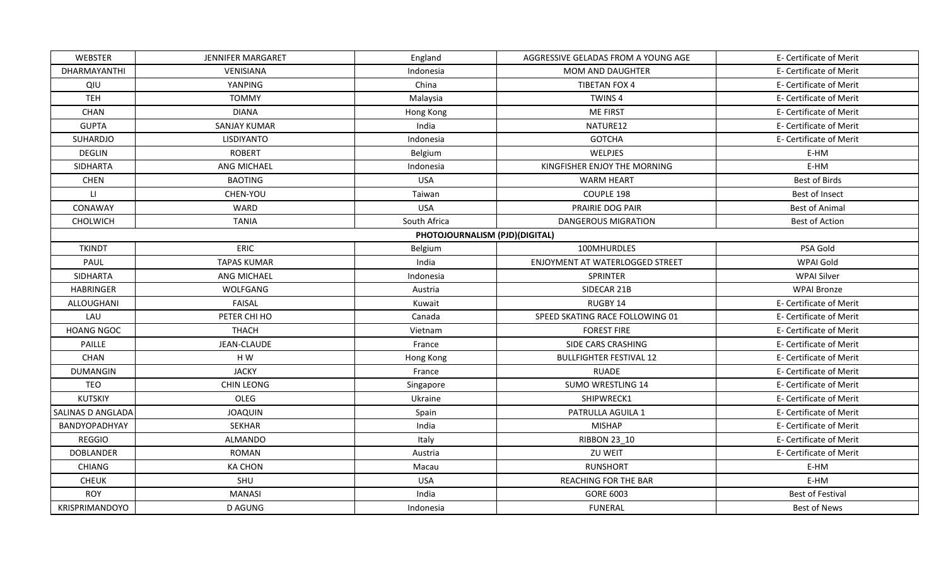| WEBSTER                | JENNIFER MARGARET   | England                        | AGGRESSIVE GELADAS FROM A YOUNG AGE | E- Certificate of Merit |
|------------------------|---------------------|--------------------------------|-------------------------------------|-------------------------|
| DHARMAYANTHI           | VENISIANA           | Indonesia                      | <b>MOM AND DAUGHTER</b>             | E- Certificate of Merit |
| QIU                    | YANPING             | China                          | <b>TIBETAN FOX 4</b>                | E- Certificate of Merit |
| <b>TEH</b>             | <b>TOMMY</b>        | Malaysia                       | TWINS <sub>4</sub>                  | E- Certificate of Merit |
| CHAN                   | <b>DIANA</b>        | Hong Kong                      | <b>ME FIRST</b>                     | E- Certificate of Merit |
| <b>GUPTA</b>           | <b>SANJAY KUMAR</b> | India                          | NATURE12                            | E- Certificate of Merit |
| SUHARDJO               | LISDIYANTO          | Indonesia                      | <b>GOTCHA</b>                       | E- Certificate of Merit |
| <b>DEGLIN</b>          | <b>ROBERT</b>       | Belgium                        | WELPJES                             | E-HM                    |
| <b>SIDHARTA</b>        | ANG MICHAEL         | Indonesia                      | KINGFISHER ENJOY THE MORNING        | E-HM                    |
| <b>CHEN</b>            | <b>BAOTING</b>      | <b>USA</b>                     | <b>WARM HEART</b>                   | <b>Best of Birds</b>    |
| $\mathsf{L}\mathsf{L}$ | CHEN-YOU            | Taiwan                         | COUPLE 198                          | Best of Insect          |
| CONAWAY                | WARD                | <b>USA</b>                     | PRAIRIE DOG PAIR                    | <b>Best of Animal</b>   |
| CHOLWICH               | <b>TANIA</b>        | South Africa                   | <b>DANGEROUS MIGRATION</b>          | <b>Best of Action</b>   |
|                        |                     | PHOTOJOURNALISM (PJD)(DIGITAL) |                                     |                         |
| <b>TKINDT</b>          | <b>ERIC</b>         | Belgium                        | 100MHURDLES                         | PSA Gold                |
| PAUL                   | <b>TAPAS KUMAR</b>  | India                          | ENJOYMENT AT WATERLOGGED STREET     | WPAI Gold               |
| <b>SIDHARTA</b>        | ANG MICHAEL         | Indonesia                      | SPRINTER                            | <b>WPAI Silver</b>      |
| <b>HABRINGER</b>       | WOLFGANG            | Austria                        | SIDECAR 21B                         | <b>WPAI Bronze</b>      |
| ALLOUGHANI             | <b>FAISAL</b>       | Kuwait                         | RUGBY 14                            | E- Certificate of Merit |
| LAU                    | PETER CHI HO        | Canada                         | SPEED SKATING RACE FOLLOWING 01     | E- Certificate of Merit |
| <b>HOANG NGOC</b>      | <b>THACH</b>        | Vietnam                        | <b>FOREST FIRE</b>                  | E- Certificate of Merit |
| PAILLE                 | JEAN-CLAUDE         | France                         | SIDE CARS CRASHING                  | E- Certificate of Merit |
| CHAN                   | H W                 | Hong Kong                      | <b>BULLFIGHTER FESTIVAL 12</b>      | E- Certificate of Merit |
| DUMANGIN               | <b>JACKY</b>        | France                         | <b>RUADE</b>                        | E- Certificate of Merit |
| <b>TEO</b>             | <b>CHIN LEONG</b>   | Singapore                      | <b>SUMO WRESTLING 14</b>            | E- Certificate of Merit |
| <b>KUTSKIY</b>         | OLEG                | Ukraine                        | SHIPWRECK1                          | E- Certificate of Merit |
| SALINAS D ANGLADA      | <b>JOAQUIN</b>      | Spain                          | PATRULLA AGUILA 1                   | E- Certificate of Merit |
| BANDYOPADHYAY          | <b>SEKHAR</b>       | India                          | <b>MISHAP</b>                       | E- Certificate of Merit |
| <b>REGGIO</b>          | <b>ALMANDO</b>      | Italy                          | <b>RIBBON 23 10</b>                 | E- Certificate of Merit |
| <b>DOBLANDER</b>       | <b>ROMAN</b>        | Austria                        | ZU WEIT                             | E- Certificate of Merit |
| <b>CHIANG</b>          | <b>KA CHON</b>      | Macau                          | <b>RUNSHORT</b>                     | E-HM                    |
| <b>CHEUK</b>           | SHU                 | <b>USA</b>                     | REACHING FOR THE BAR                | E-HM                    |
| <b>ROY</b>             | <b>MANASI</b>       | India                          | <b>GORE 6003</b>                    | <b>Best of Festival</b> |
| KRISPRIMANDOYO         | D AGUNG             | Indonesia                      | <b>FUNERAL</b>                      | <b>Best of News</b>     |
|                        |                     |                                |                                     |                         |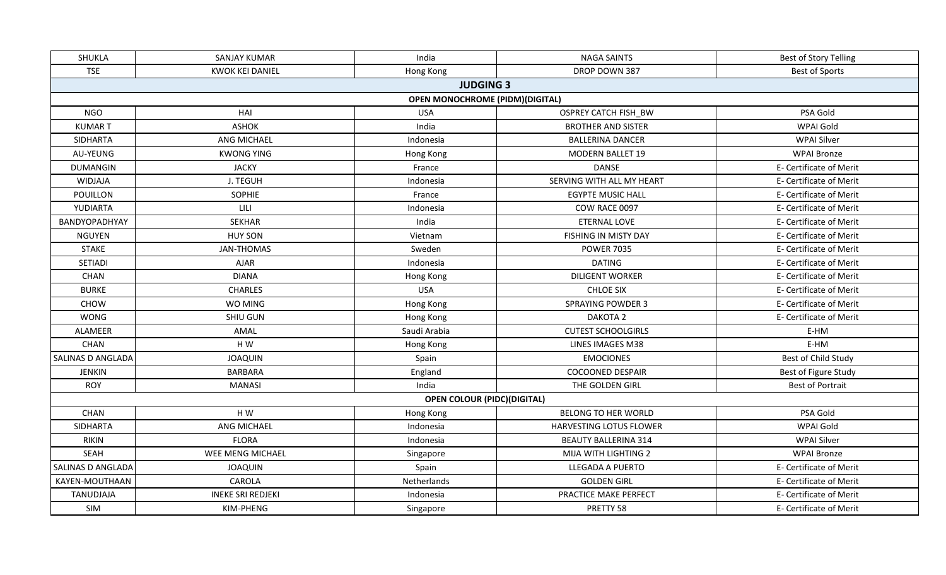| <b>TSE</b><br><b>KWOK KEI DANIEL</b><br>DROP DOWN 387<br>Hong Kong<br><b>JUDGING 3</b><br><b>OPEN MONOCHROME (PIDM) (DIGITAL)</b><br><b>NGO</b><br>HAI<br><b>USA</b><br>OSPREY CATCH FISH_BW<br><b>ASHOK</b><br>India<br><b>BROTHER AND SISTER</b><br><b>KUMART</b><br><b>SIDHARTA</b><br>ANG MICHAEL<br><b>BALLERINA DANCER</b><br>Indonesia<br><b>KWONG YING</b><br>AU-YEUNG<br><b>MODERN BALLET 19</b><br>Hong Kong<br><b>JACKY</b><br><b>DANSE</b><br><b>DUMANGIN</b><br>France<br>J. TEGUH<br>SERVING WITH ALL MY HEART<br><b>WIDJAJA</b><br>Indonesia<br>POUILLON<br>SOPHIE<br>France<br><b>EGYPTE MUSIC HALL</b><br>YUDIARTA<br>LILI<br>Indonesia<br>COW RACE 0097<br>BANDYOPADHYAY<br><b>SEKHAR</b><br>India<br>ETERNAL LOVE<br><b>NGUYEN</b><br><b>HUY SON</b><br>Vietnam<br>FISHING IN MISTY DAY<br><b>STAKE</b><br><b>JAN-THOMAS</b><br>Sweden<br><b>POWER 7035</b><br>SETIADI<br><b>DATING</b><br><b>AJAR</b><br>Indonesia<br><b>DIANA</b><br><b>DILIGENT WORKER</b><br>CHAN<br>Hong Kong<br><b>USA</b><br><b>CHARLES</b><br><b>CHLOE SIX</b><br><b>BURKE</b><br><b>SPRAYING POWDER 3</b><br>CHOW<br>WO MING<br>Hong Kong<br>DAKOTA <sub>2</sub><br><b>WONG</b><br>SHIU GUN<br>Hong Kong<br><b>CUTEST SCHOOLGIRLS</b><br>ALAMEER<br>AMAL<br>Saudi Arabia<br>E-HM<br>CHAN<br>H W<br>E-HM<br>Hong Kong<br>LINES IMAGES M38<br>SALINAS D ANGLADA<br><b>JOAQUIN</b><br><b>EMOCIONES</b><br>Spain<br><b>BARBARA</b><br>England<br><b>COCOONED DESPAIR</b><br>JENKIN<br><b>ROY</b><br><b>MANASI</b><br>India<br>THE GOLDEN GIRL<br><b>OPEN COLOUR (PIDC)(DIGITAL)</b><br>CHAN<br>H W<br><b>BELONG TO HER WORLD</b><br>Hong Kong<br><b>SIDHARTA</b><br>ANG MICHAEL<br>Indonesia<br>HARVESTING LOTUS FLOWER<br><b>FLORA</b><br><b>RIKIN</b><br>Indonesia<br><b>BEAUTY BALLERINA 314</b><br>SEAH<br>WEE MENG MICHAEL<br>MIJA WITH LIGHTING 2<br>Singapore<br>SALINAS D ANGLADA<br><b>JOAQUIN</b><br>Spain<br>LLEGADA A PUERTO<br>CAROLA<br><b>GOLDEN GIRL</b><br>KAYEN-MOUTHAAN<br>Netherlands | SHUKLA    | <b>SANJAY KUMAR</b>      | India     | <b>NAGA SAINTS</b>    | Best of Story Telling   |
|---------------------------------------------------------------------------------------------------------------------------------------------------------------------------------------------------------------------------------------------------------------------------------------------------------------------------------------------------------------------------------------------------------------------------------------------------------------------------------------------------------------------------------------------------------------------------------------------------------------------------------------------------------------------------------------------------------------------------------------------------------------------------------------------------------------------------------------------------------------------------------------------------------------------------------------------------------------------------------------------------------------------------------------------------------------------------------------------------------------------------------------------------------------------------------------------------------------------------------------------------------------------------------------------------------------------------------------------------------------------------------------------------------------------------------------------------------------------------------------------------------------------------------------------------------------------------------------------------------------------------------------------------------------------------------------------------------------------------------------------------------------------------------------------------------------------------------------------------------------------------------------------------------------------------------------------------------------------------------------------------|-----------|--------------------------|-----------|-----------------------|-------------------------|
|                                                                                                                                                                                                                                                                                                                                                                                                                                                                                                                                                                                                                                                                                                                                                                                                                                                                                                                                                                                                                                                                                                                                                                                                                                                                                                                                                                                                                                                                                                                                                                                                                                                                                                                                                                                                                                                                                                                                                                                                   |           |                          |           |                       | <b>Best of Sports</b>   |
|                                                                                                                                                                                                                                                                                                                                                                                                                                                                                                                                                                                                                                                                                                                                                                                                                                                                                                                                                                                                                                                                                                                                                                                                                                                                                                                                                                                                                                                                                                                                                                                                                                                                                                                                                                                                                                                                                                                                                                                                   |           |                          |           |                       |                         |
|                                                                                                                                                                                                                                                                                                                                                                                                                                                                                                                                                                                                                                                                                                                                                                                                                                                                                                                                                                                                                                                                                                                                                                                                                                                                                                                                                                                                                                                                                                                                                                                                                                                                                                                                                                                                                                                                                                                                                                                                   |           |                          |           |                       |                         |
|                                                                                                                                                                                                                                                                                                                                                                                                                                                                                                                                                                                                                                                                                                                                                                                                                                                                                                                                                                                                                                                                                                                                                                                                                                                                                                                                                                                                                                                                                                                                                                                                                                                                                                                                                                                                                                                                                                                                                                                                   |           |                          |           |                       | PSA Gold                |
|                                                                                                                                                                                                                                                                                                                                                                                                                                                                                                                                                                                                                                                                                                                                                                                                                                                                                                                                                                                                                                                                                                                                                                                                                                                                                                                                                                                                                                                                                                                                                                                                                                                                                                                                                                                                                                                                                                                                                                                                   |           |                          |           |                       | WPAI Gold               |
|                                                                                                                                                                                                                                                                                                                                                                                                                                                                                                                                                                                                                                                                                                                                                                                                                                                                                                                                                                                                                                                                                                                                                                                                                                                                                                                                                                                                                                                                                                                                                                                                                                                                                                                                                                                                                                                                                                                                                                                                   |           |                          |           |                       | <b>WPAI Silver</b>      |
|                                                                                                                                                                                                                                                                                                                                                                                                                                                                                                                                                                                                                                                                                                                                                                                                                                                                                                                                                                                                                                                                                                                                                                                                                                                                                                                                                                                                                                                                                                                                                                                                                                                                                                                                                                                                                                                                                                                                                                                                   |           |                          |           |                       | <b>WPAI Bronze</b>      |
|                                                                                                                                                                                                                                                                                                                                                                                                                                                                                                                                                                                                                                                                                                                                                                                                                                                                                                                                                                                                                                                                                                                                                                                                                                                                                                                                                                                                                                                                                                                                                                                                                                                                                                                                                                                                                                                                                                                                                                                                   |           |                          |           |                       | E- Certificate of Merit |
|                                                                                                                                                                                                                                                                                                                                                                                                                                                                                                                                                                                                                                                                                                                                                                                                                                                                                                                                                                                                                                                                                                                                                                                                                                                                                                                                                                                                                                                                                                                                                                                                                                                                                                                                                                                                                                                                                                                                                                                                   |           |                          |           |                       | E- Certificate of Merit |
|                                                                                                                                                                                                                                                                                                                                                                                                                                                                                                                                                                                                                                                                                                                                                                                                                                                                                                                                                                                                                                                                                                                                                                                                                                                                                                                                                                                                                                                                                                                                                                                                                                                                                                                                                                                                                                                                                                                                                                                                   |           |                          |           |                       | E- Certificate of Merit |
|                                                                                                                                                                                                                                                                                                                                                                                                                                                                                                                                                                                                                                                                                                                                                                                                                                                                                                                                                                                                                                                                                                                                                                                                                                                                                                                                                                                                                                                                                                                                                                                                                                                                                                                                                                                                                                                                                                                                                                                                   |           |                          |           |                       | E- Certificate of Merit |
|                                                                                                                                                                                                                                                                                                                                                                                                                                                                                                                                                                                                                                                                                                                                                                                                                                                                                                                                                                                                                                                                                                                                                                                                                                                                                                                                                                                                                                                                                                                                                                                                                                                                                                                                                                                                                                                                                                                                                                                                   |           |                          |           |                       | E- Certificate of Merit |
|                                                                                                                                                                                                                                                                                                                                                                                                                                                                                                                                                                                                                                                                                                                                                                                                                                                                                                                                                                                                                                                                                                                                                                                                                                                                                                                                                                                                                                                                                                                                                                                                                                                                                                                                                                                                                                                                                                                                                                                                   |           |                          |           |                       | E- Certificate of Merit |
|                                                                                                                                                                                                                                                                                                                                                                                                                                                                                                                                                                                                                                                                                                                                                                                                                                                                                                                                                                                                                                                                                                                                                                                                                                                                                                                                                                                                                                                                                                                                                                                                                                                                                                                                                                                                                                                                                                                                                                                                   |           |                          |           |                       | E- Certificate of Merit |
|                                                                                                                                                                                                                                                                                                                                                                                                                                                                                                                                                                                                                                                                                                                                                                                                                                                                                                                                                                                                                                                                                                                                                                                                                                                                                                                                                                                                                                                                                                                                                                                                                                                                                                                                                                                                                                                                                                                                                                                                   |           |                          |           |                       | E- Certificate of Merit |
|                                                                                                                                                                                                                                                                                                                                                                                                                                                                                                                                                                                                                                                                                                                                                                                                                                                                                                                                                                                                                                                                                                                                                                                                                                                                                                                                                                                                                                                                                                                                                                                                                                                                                                                                                                                                                                                                                                                                                                                                   |           |                          |           |                       | E- Certificate of Merit |
|                                                                                                                                                                                                                                                                                                                                                                                                                                                                                                                                                                                                                                                                                                                                                                                                                                                                                                                                                                                                                                                                                                                                                                                                                                                                                                                                                                                                                                                                                                                                                                                                                                                                                                                                                                                                                                                                                                                                                                                                   |           |                          |           |                       | E- Certificate of Merit |
|                                                                                                                                                                                                                                                                                                                                                                                                                                                                                                                                                                                                                                                                                                                                                                                                                                                                                                                                                                                                                                                                                                                                                                                                                                                                                                                                                                                                                                                                                                                                                                                                                                                                                                                                                                                                                                                                                                                                                                                                   |           |                          |           |                       | E- Certificate of Merit |
|                                                                                                                                                                                                                                                                                                                                                                                                                                                                                                                                                                                                                                                                                                                                                                                                                                                                                                                                                                                                                                                                                                                                                                                                                                                                                                                                                                                                                                                                                                                                                                                                                                                                                                                                                                                                                                                                                                                                                                                                   |           |                          |           |                       | E- Certificate of Merit |
|                                                                                                                                                                                                                                                                                                                                                                                                                                                                                                                                                                                                                                                                                                                                                                                                                                                                                                                                                                                                                                                                                                                                                                                                                                                                                                                                                                                                                                                                                                                                                                                                                                                                                                                                                                                                                                                                                                                                                                                                   |           |                          |           |                       |                         |
|                                                                                                                                                                                                                                                                                                                                                                                                                                                                                                                                                                                                                                                                                                                                                                                                                                                                                                                                                                                                                                                                                                                                                                                                                                                                                                                                                                                                                                                                                                                                                                                                                                                                                                                                                                                                                                                                                                                                                                                                   |           |                          |           |                       |                         |
|                                                                                                                                                                                                                                                                                                                                                                                                                                                                                                                                                                                                                                                                                                                                                                                                                                                                                                                                                                                                                                                                                                                                                                                                                                                                                                                                                                                                                                                                                                                                                                                                                                                                                                                                                                                                                                                                                                                                                                                                   |           |                          |           |                       | Best of Child Study     |
|                                                                                                                                                                                                                                                                                                                                                                                                                                                                                                                                                                                                                                                                                                                                                                                                                                                                                                                                                                                                                                                                                                                                                                                                                                                                                                                                                                                                                                                                                                                                                                                                                                                                                                                                                                                                                                                                                                                                                                                                   |           |                          |           |                       | Best of Figure Study    |
|                                                                                                                                                                                                                                                                                                                                                                                                                                                                                                                                                                                                                                                                                                                                                                                                                                                                                                                                                                                                                                                                                                                                                                                                                                                                                                                                                                                                                                                                                                                                                                                                                                                                                                                                                                                                                                                                                                                                                                                                   |           |                          |           |                       | <b>Best of Portrait</b> |
|                                                                                                                                                                                                                                                                                                                                                                                                                                                                                                                                                                                                                                                                                                                                                                                                                                                                                                                                                                                                                                                                                                                                                                                                                                                                                                                                                                                                                                                                                                                                                                                                                                                                                                                                                                                                                                                                                                                                                                                                   |           |                          |           |                       |                         |
|                                                                                                                                                                                                                                                                                                                                                                                                                                                                                                                                                                                                                                                                                                                                                                                                                                                                                                                                                                                                                                                                                                                                                                                                                                                                                                                                                                                                                                                                                                                                                                                                                                                                                                                                                                                                                                                                                                                                                                                                   |           |                          |           |                       | PSA Gold                |
|                                                                                                                                                                                                                                                                                                                                                                                                                                                                                                                                                                                                                                                                                                                                                                                                                                                                                                                                                                                                                                                                                                                                                                                                                                                                                                                                                                                                                                                                                                                                                                                                                                                                                                                                                                                                                                                                                                                                                                                                   |           |                          |           |                       | WPAI Gold               |
|                                                                                                                                                                                                                                                                                                                                                                                                                                                                                                                                                                                                                                                                                                                                                                                                                                                                                                                                                                                                                                                                                                                                                                                                                                                                                                                                                                                                                                                                                                                                                                                                                                                                                                                                                                                                                                                                                                                                                                                                   |           |                          |           |                       | <b>WPAI Silver</b>      |
|                                                                                                                                                                                                                                                                                                                                                                                                                                                                                                                                                                                                                                                                                                                                                                                                                                                                                                                                                                                                                                                                                                                                                                                                                                                                                                                                                                                                                                                                                                                                                                                                                                                                                                                                                                                                                                                                                                                                                                                                   |           |                          |           |                       | <b>WPAI Bronze</b>      |
|                                                                                                                                                                                                                                                                                                                                                                                                                                                                                                                                                                                                                                                                                                                                                                                                                                                                                                                                                                                                                                                                                                                                                                                                                                                                                                                                                                                                                                                                                                                                                                                                                                                                                                                                                                                                                                                                                                                                                                                                   |           |                          |           |                       | E- Certificate of Merit |
|                                                                                                                                                                                                                                                                                                                                                                                                                                                                                                                                                                                                                                                                                                                                                                                                                                                                                                                                                                                                                                                                                                                                                                                                                                                                                                                                                                                                                                                                                                                                                                                                                                                                                                                                                                                                                                                                                                                                                                                                   |           |                          |           |                       | E- Certificate of Merit |
|                                                                                                                                                                                                                                                                                                                                                                                                                                                                                                                                                                                                                                                                                                                                                                                                                                                                                                                                                                                                                                                                                                                                                                                                                                                                                                                                                                                                                                                                                                                                                                                                                                                                                                                                                                                                                                                                                                                                                                                                   | TANUDJAJA | <b>INEKE SRI REDJEKI</b> | Indonesia | PRACTICE MAKE PERFECT | E- Certificate of Merit |
| SIM<br>KIM-PHENG<br>PRETTY 58<br>Singapore                                                                                                                                                                                                                                                                                                                                                                                                                                                                                                                                                                                                                                                                                                                                                                                                                                                                                                                                                                                                                                                                                                                                                                                                                                                                                                                                                                                                                                                                                                                                                                                                                                                                                                                                                                                                                                                                                                                                                        |           |                          |           |                       | E- Certificate of Merit |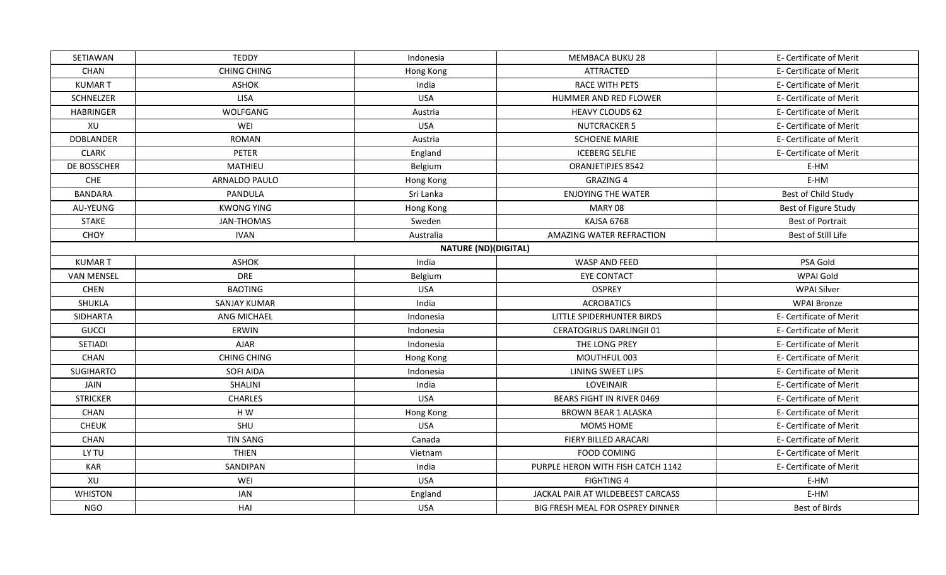| <b>SETIAWAN</b>   | <b>TEDDY</b>        | Indonesia                   | MEMBACA BUKU 28                   | E- Certificate of Merit |
|-------------------|---------------------|-----------------------------|-----------------------------------|-------------------------|
| CHAN              | <b>CHING CHING</b>  | Hong Kong                   | <b>ATTRACTED</b>                  | E- Certificate of Merit |
| <b>KUMART</b>     | <b>ASHOK</b>        | India                       | <b>RACE WITH PETS</b>             | E- Certificate of Merit |
| SCHNELZER         | <b>LISA</b>         | <b>USA</b>                  | HUMMER AND RED FLOWER             | E- Certificate of Merit |
| <b>HABRINGER</b>  | WOLFGANG            | Austria                     | <b>HEAVY CLOUDS 62</b>            | E- Certificate of Merit |
| XU                | WEI                 | <b>USA</b>                  | <b>NUTCRACKER 5</b>               | E- Certificate of Merit |
| <b>DOBLANDER</b>  | <b>ROMAN</b>        | Austria                     | <b>SCHOENE MARIE</b>              | E- Certificate of Merit |
| <b>CLARK</b>      | PETER               | England                     | <b>ICEBERG SELFIE</b>             | E- Certificate of Merit |
| DE BOSSCHER       | MATHIEU             | Belgium                     | ORANJETIPJES 8542                 | E-HM                    |
| CHE               | ARNALDO PAULO       | Hong Kong                   | <b>GRAZING 4</b>                  | E-HM                    |
| <b>BANDARA</b>    | PANDULA             | Sri Lanka                   | <b>ENJOYING THE WATER</b>         | Best of Child Study     |
| AU-YEUNG          | <b>KWONG YING</b>   | Hong Kong                   | MARY 08                           | Best of Figure Study    |
| <b>STAKE</b>      | <b>JAN-THOMAS</b>   | Sweden                      | KAJSA 6768                        | <b>Best of Portrait</b> |
| CHOY              | <b>IVAN</b>         | Australia                   | <b>AMAZING WATER REFRACTION</b>   | Best of Still Life      |
|                   |                     | <b>NATURE (ND)(DIGITAL)</b> |                                   |                         |
| <b>KUMART</b>     | <b>ASHOK</b>        | India                       | WASP AND FEED                     | PSA Gold                |
| <b>VAN MENSEL</b> | <b>DRE</b>          | Belgium                     | <b>EYE CONTACT</b>                | WPAI Gold               |
| <b>CHEN</b>       | <b>BAOTING</b>      | <b>USA</b>                  | <b>OSPREY</b>                     | <b>WPAI Silver</b>      |
| SHUKLA            | <b>SANJAY KUMAR</b> | India                       | <b>ACROBATICS</b>                 | <b>WPAI Bronze</b>      |
| <b>SIDHARTA</b>   | ANG MICHAEL         | Indonesia                   | LITTLE SPIDERHUNTER BIRDS         | E- Certificate of Merit |
| <b>GUCCI</b>      | ERWIN               | Indonesia                   | <b>CERATOGIRUS DARLINGII 01</b>   | E- Certificate of Merit |
| <b>SETIADI</b>    | <b>AJAR</b>         | Indonesia                   | THE LONG PREY                     | E- Certificate of Merit |
| <b>CHAN</b>       | <b>CHING CHING</b>  | Hong Kong                   | MOUTHFUL 003                      | E- Certificate of Merit |
| <b>SUGIHARTO</b>  | <b>SOFI AIDA</b>    | Indonesia                   | LINING SWEET LIPS                 | E- Certificate of Merit |
| JAIN              | SHALINI             | India                       | LOVEINAIR                         | E- Certificate of Merit |
| <b>STRICKER</b>   | <b>CHARLES</b>      | <b>USA</b>                  | <b>BEARS FIGHT IN RIVER 0469</b>  | E- Certificate of Merit |
| CHAN              | HW                  | Hong Kong                   | <b>BROWN BEAR 1 ALASKA</b>        | E- Certificate of Merit |
| <b>CHEUK</b>      | SHU                 | <b>USA</b>                  | MOMS HOME                         | E- Certificate of Merit |
| <b>CHAN</b>       | <b>TIN SANG</b>     | Canada                      | FIERY BILLED ARACARI              | E- Certificate of Merit |
| LY TU             | <b>THIEN</b>        | Vietnam                     | FOOD COMING                       | E- Certificate of Merit |
| <b>KAR</b>        | SANDIPAN            | India                       | PURPLE HERON WITH FISH CATCH 1142 | E- Certificate of Merit |
| XU                | WEI                 | <b>USA</b>                  | <b>FIGHTING 4</b>                 | E-HM                    |
| <b>WHISTON</b>    | <b>IAN</b>          | England                     | JACKAL PAIR AT WILDEBEEST CARCASS | E-HM                    |
| <b>NGO</b>        | HAI                 | <b>USA</b>                  | BIG FRESH MEAL FOR OSPREY DINNER  | Best of Birds           |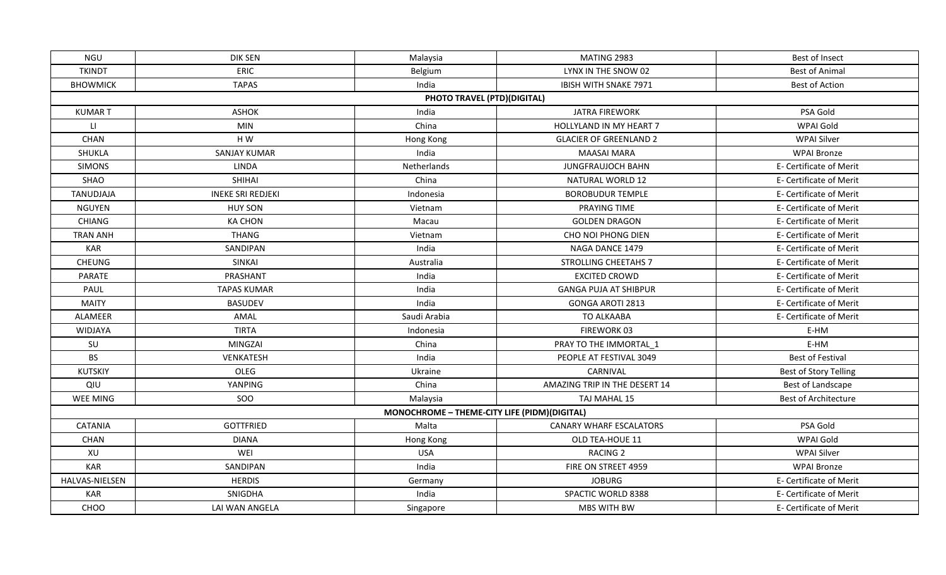| NGU             | DIK SEN                  | Malaysia                                     | MATING 2983                    | Best of Insect               |
|-----------------|--------------------------|----------------------------------------------|--------------------------------|------------------------------|
| <b>TKINDT</b>   | ERIC                     | Belgium                                      | LYNX IN THE SNOW 02            | <b>Best of Animal</b>        |
| <b>BHOWMICK</b> | <b>TAPAS</b>             | India                                        | IBISH WITH SNAKE 7971          | <b>Best of Action</b>        |
|                 |                          | PHOTO TRAVEL (PTD)(DIGITAL)                  |                                |                              |
| <b>KUMART</b>   | <b>ASHOK</b>             | India                                        | <b>JATRA FIREWORK</b>          | PSA Gold                     |
| LI.             | <b>MIN</b>               | China                                        | HOLLYLAND IN MY HEART 7        | WPAI Gold                    |
| CHAN            | H W                      | Hong Kong                                    | <b>GLACIER OF GREENLAND 2</b>  | <b>WPAI Silver</b>           |
| SHUKLA          | <b>SANJAY KUMAR</b>      | India                                        | <b>MAASAI MARA</b>             | <b>WPAI Bronze</b>           |
| <b>SIMONS</b>   | LINDA                    | Netherlands                                  | <b>JUNGFRAUJOCH BAHN</b>       | E- Certificate of Merit      |
| SHAO            | <b>SHIHAI</b>            | China                                        | NATURAL WORLD 12               | E- Certificate of Merit      |
| TANUDJAJA       | <b>INEKE SRI REDJEKI</b> | Indonesia                                    | <b>BOROBUDUR TEMPLE</b>        | E- Certificate of Merit      |
| <b>NGUYEN</b>   | <b>HUY SON</b>           | Vietnam                                      | PRAYING TIME                   | E- Certificate of Merit      |
| <b>CHIANG</b>   | <b>KA CHON</b>           | Macau                                        | <b>GOLDEN DRAGON</b>           | E- Certificate of Merit      |
| <b>TRAN ANH</b> | <b>THANG</b>             | Vietnam                                      | CHO NOI PHONG DIEN             | E- Certificate of Merit      |
| <b>KAR</b>      | SANDIPAN                 | India                                        | NAGA DANCE 1479                | E- Certificate of Merit      |
| <b>CHEUNG</b>   | <b>SINKAI</b>            | Australia                                    | <b>STROLLING CHEETAHS 7</b>    | E- Certificate of Merit      |
| <b>PARATE</b>   | PRASHANT                 | India                                        | <b>EXCITED CROWD</b>           | E- Certificate of Merit      |
| PAUL            | <b>TAPAS KUMAR</b>       | India                                        | <b>GANGA PUJA AT SHIBPUR</b>   | E- Certificate of Merit      |
| <b>MAITY</b>    | <b>BASUDEV</b>           | India                                        | <b>GONGA AROTI 2813</b>        | E- Certificate of Merit      |
| ALAMEER         | AMAL                     | Saudi Arabia                                 | <b>TO ALKAABA</b>              | E- Certificate of Merit      |
| WIDJAYA         | <b>TIRTA</b>             | Indonesia                                    | FIREWORK 03                    | E-HM                         |
| SU              | MINGZAI                  | China                                        | PRAY TO THE IMMORTAL_1         | E-HM                         |
| <b>BS</b>       | <b>VENKATESH</b>         | India                                        | PEOPLE AT FESTIVAL 3049        | <b>Best of Festival</b>      |
| <b>KUTSKIY</b>  | <b>OLEG</b>              | Ukraine                                      | CARNIVAL                       | <b>Best of Story Telling</b> |
| QIU             | YANPING                  | China                                        | AMAZING TRIP IN THE DESERT 14  | Best of Landscape            |
| WEE MING        | SOO                      | Malaysia                                     | TAJ MAHAL 15                   | Best of Architecture         |
|                 |                          | MONOCHROME - THEME-CITY LIFE (PIDM)(DIGITAL) |                                |                              |
| <b>CATANIA</b>  | <b>GOTTFRIED</b>         | Malta                                        | <b>CANARY WHARF ESCALATORS</b> | PSA Gold                     |
| <b>CHAN</b>     | <b>DIANA</b>             | Hong Kong                                    | OLD TEA-HOUE 11                | WPAI Gold                    |
| XU              | WEI                      | <b>USA</b>                                   | <b>RACING 2</b>                | <b>WPAI Silver</b>           |
| <b>KAR</b>      | SANDIPAN                 | India                                        | FIRE ON STREET 4959            | <b>WPAI Bronze</b>           |
| HALVAS-NIELSEN  | <b>HERDIS</b>            | Germany                                      | <b>JOBURG</b>                  | E- Certificate of Merit      |
| <b>KAR</b>      | SNIGDHA                  | India                                        | SPACTIC WORLD 8388             | E- Certificate of Merit      |
| CHOO            | LAI WAN ANGELA           | Singapore                                    | MBS WITH BW                    | E- Certificate of Merit      |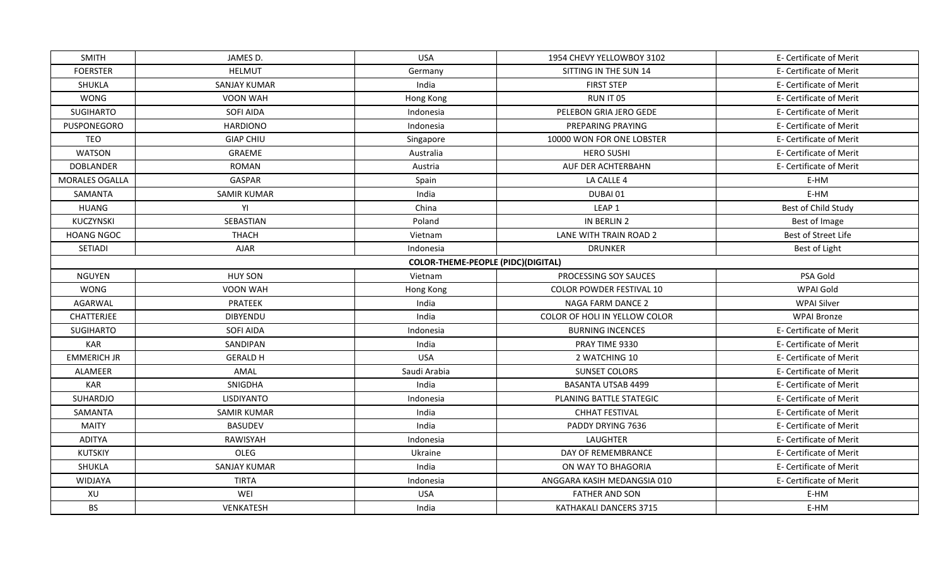| <b>SMITH</b>          | JAMES D.            | <b>USA</b>                                | 1954 CHEVY YELLOWBOY 3102     | E- Certificate of Merit |
|-----------------------|---------------------|-------------------------------------------|-------------------------------|-------------------------|
| <b>FOERSTER</b>       | <b>HELMUT</b>       | Germany                                   | SITTING IN THE SUN 14         | E- Certificate of Merit |
| <b>SHUKLA</b>         | <b>SANJAY KUMAR</b> | India                                     | <b>FIRST STEP</b>             | E- Certificate of Merit |
| <b>WONG</b>           | VOON WAH            | Hong Kong                                 | RUN IT 05                     | E- Certificate of Merit |
| <b>SUGIHARTO</b>      | SOFI AIDA           | Indonesia                                 | PELEBON GRIA JERO GEDE        | E- Certificate of Merit |
| PUSPONEGORO           | <b>HARDIONO</b>     | Indonesia                                 | PREPARING PRAYING             | E- Certificate of Merit |
| <b>TEO</b>            | <b>GIAP CHIU</b>    | Singapore                                 | 10000 WON FOR ONE LOBSTER     | E- Certificate of Merit |
| <b>WATSON</b>         | GRAEME              | Australia                                 | <b>HERO SUSHI</b>             | E- Certificate of Merit |
| <b>DOBLANDER</b>      | <b>ROMAN</b>        | Austria                                   | AUF DER ACHTERBAHN            | E- Certificate of Merit |
| <b>MORALES OGALLA</b> | <b>GASPAR</b>       | Spain                                     | LA CALLE 4                    | E-HM                    |
| <b>SAMANTA</b>        | <b>SAMIR KUMAR</b>  | India                                     | DUBAI 01                      | E-HM                    |
| <b>HUANG</b>          | YI                  | China                                     | LEAP <sub>1</sub>             | Best of Child Study     |
| KUCZYNSKI             | SEBASTIAN           | Poland                                    | IN BERLIN 2                   | Best of Image           |
| <b>HOANG NGOC</b>     | <b>THACH</b>        | Vietnam                                   | LANE WITH TRAIN ROAD 2        | Best of Street Life     |
| SETIADI               | <b>AJAR</b>         | Indonesia                                 | <b>DRUNKER</b>                | Best of Light           |
|                       |                     | <b>COLOR-THEME-PEOPLE (PIDC)(DIGITAL)</b> |                               |                         |
| <b>NGUYEN</b>         | <b>HUY SON</b>      | Vietnam                                   | PROCESSING SOY SAUCES         | PSA Gold                |
| <b>WONG</b>           | <b>VOON WAH</b>     | Hong Kong                                 | COLOR POWDER FESTIVAL 10      | WPAI Gold               |
| AGARWAL               | PRATEEK             | India                                     | <b>NAGA FARM DANCE 2</b>      | <b>WPAI Silver</b>      |
| <b>CHATTERJEE</b>     | <b>DIBYENDU</b>     | India                                     | COLOR OF HOLI IN YELLOW COLOR | <b>WPAI Bronze</b>      |
| SUGIHARTO             | <b>SOFI AIDA</b>    | Indonesia                                 | <b>BURNING INCENCES</b>       | E- Certificate of Merit |
| <b>KAR</b>            | SANDIPAN            | India                                     | PRAY TIME 9330                | E- Certificate of Merit |
| <b>EMMERICH JR</b>    | <b>GERALD H</b>     | <b>USA</b>                                | 2 WATCHING 10                 | E- Certificate of Merit |
| ALAMEER               | AMAL                | Saudi Arabia                              | <b>SUNSET COLORS</b>          | E- Certificate of Merit |
| <b>KAR</b>            | SNIGDHA             | India                                     | <b>BASANTA UTSAB 4499</b>     | E- Certificate of Merit |
| SUHARDJO              | LISDIYANTO          | Indonesia                                 | PLANING BATTLE STATEGIC       | E- Certificate of Merit |
| SAMANTA               | <b>SAMIR KUMAR</b>  | India                                     | <b>CHHAT FESTIVAL</b>         | E- Certificate of Merit |
| <b>MAITY</b>          | <b>BASUDEV</b>      | India                                     | PADDY DRYING 7636             | E- Certificate of Merit |
| <b>ADITYA</b>         | RAWISYAH            | Indonesia                                 | <b>LAUGHTER</b>               | E- Certificate of Merit |
| <b>KUTSKIY</b>        | OLEG                | Ukraine                                   | DAY OF REMEMBRANCE            | E- Certificate of Merit |
| SHUKLA                | <b>SANJAY KUMAR</b> | India                                     | ON WAY TO BHAGORIA            | E- Certificate of Merit |
| WIDJAYA               | <b>TIRTA</b>        | Indonesia                                 | ANGGARA KASIH MEDANGSIA 010   | E- Certificate of Merit |
| XU                    | WEI                 | <b>USA</b>                                | <b>FATHER AND SON</b>         | E-HM                    |
| <b>BS</b>             | <b>VENKATESH</b>    | India                                     | KATHAKALI DANCERS 3715        | E-HM                    |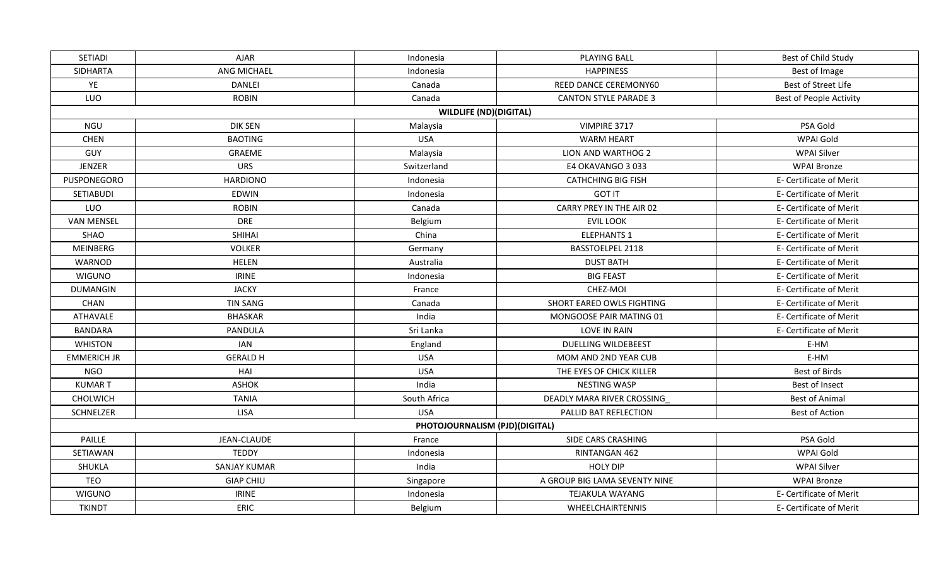| SETIADI            | <b>AJAR</b>         | Indonesia                      | <b>PLAYING BALL</b>           | Best of Child Study     |
|--------------------|---------------------|--------------------------------|-------------------------------|-------------------------|
| SIDHARTA           | ANG MICHAEL         | Indonesia                      | <b>HAPPINESS</b>              | Best of Image           |
| YE                 | DANLEI              | Canada                         | REED DANCE CEREMONY60         | Best of Street Life     |
| LUO                | <b>ROBIN</b>        | Canada                         | <b>CANTON STYLE PARADE 3</b>  | Best of People Activity |
|                    |                     | <b>WILDLIFE (ND)(DIGITAL)</b>  |                               |                         |
| NGU                | <b>DIK SEN</b>      | Malaysia                       | VIMPIRE 3717                  | PSA Gold                |
| <b>CHEN</b>        | <b>BAOTING</b>      | <b>USA</b>                     | <b>WARM HEART</b>             | WPAI Gold               |
| GUY                | GRAEME              | Malaysia                       | LION AND WARTHOG 2            | <b>WPAI Silver</b>      |
| <b>JENZER</b>      | <b>URS</b>          | Switzerland                    | E4 OKAVANGO 3 033             | <b>WPAI Bronze</b>      |
| PUSPONEGORO        | <b>HARDIONO</b>     | Indonesia                      | <b>CATHCHING BIG FISH</b>     | E- Certificate of Merit |
| SETIABUDI          | <b>EDWIN</b>        | Indonesia                      | <b>GOT IT</b>                 | E- Certificate of Merit |
| LUO                | <b>ROBIN</b>        | Canada                         | CARRY PREY IN THE AIR 02      | E- Certificate of Merit |
| <b>VAN MENSEL</b>  | <b>DRE</b>          | Belgium                        | <b>EVIL LOOK</b>              | E- Certificate of Merit |
| SHAO               | <b>SHIHAI</b>       | China                          | <b>ELEPHANTS 1</b>            | E- Certificate of Merit |
| MEINBERG           | <b>VOLKER</b>       | Germany                        | <b>BASSTOELPEL 2118</b>       | E- Certificate of Merit |
| WARNOD             | <b>HELEN</b>        | Australia                      | <b>DUST BATH</b>              | E- Certificate of Merit |
| <b>WIGUNO</b>      | <b>IRINE</b>        | Indonesia                      | <b>BIG FEAST</b>              | E- Certificate of Merit |
| <b>DUMANGIN</b>    | <b>JACKY</b>        | France                         | CHEZ-MOI                      | E- Certificate of Merit |
| CHAN               | <b>TIN SANG</b>     | Canada                         | SHORT EARED OWLS FIGHTING     | E- Certificate of Merit |
| <b>ATHAVALE</b>    | <b>BHASKAR</b>      | India                          | MONGOOSE PAIR MATING 01       | E- Certificate of Merit |
| <b>BANDARA</b>     | PANDULA             | Sri Lanka                      | <b>LOVE IN RAIN</b>           | E- Certificate of Merit |
| <b>WHISTON</b>     | <b>IAN</b>          | England                        | <b>DUELLING WILDEBEEST</b>    | E-HM                    |
| <b>EMMERICH JR</b> | <b>GERALD H</b>     | <b>USA</b>                     | MOM AND 2ND YEAR CUB          | E-HM                    |
| <b>NGO</b>         | HAI                 | <b>USA</b>                     | THE EYES OF CHICK KILLER      | Best of Birds           |
| <b>KUMART</b>      | <b>ASHOK</b>        | India                          | <b>NESTING WASP</b>           | Best of Insect          |
| CHOLWICH           | <b>TANIA</b>        | South Africa                   | DEADLY MARA RIVER CROSSING    | <b>Best of Animal</b>   |
| SCHNELZER          | <b>LISA</b>         | <b>USA</b>                     | PALLID BAT REFLECTION         | Best of Action          |
|                    |                     | PHOTOJOURNALISM (PJD)(DIGITAL) |                               |                         |
| PAILLE             | <b>JEAN-CLAUDE</b>  | France                         | SIDE CARS CRASHING            | PSA Gold                |
| SETIAWAN           | <b>TEDDY</b>        | Indonesia                      | RINTANGAN 462                 | WPAI Gold               |
| SHUKLA             | <b>SANJAY KUMAR</b> | India                          | <b>HOLY DIP</b>               | <b>WPAI Silver</b>      |
| TEO                | <b>GIAP CHIU</b>    | Singapore                      | A GROUP BIG LAMA SEVENTY NINE | <b>WPAI Bronze</b>      |
| <b>WIGUNO</b>      | <b>IRINE</b>        | Indonesia                      | <b>TEJAKULA WAYANG</b>        | E- Certificate of Merit |
| <b>TKINDT</b>      | <b>ERIC</b>         | Belgium                        | WHEELCHAIRTENNIS              | E- Certificate of Merit |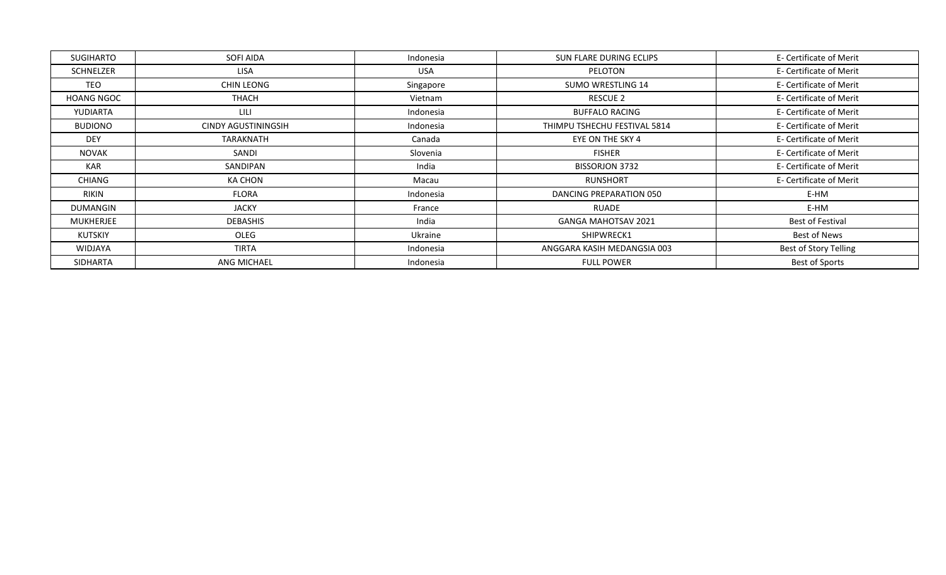| SUGIHARTO         | SOFI AIDA           | Indonesia  | SUN FLARE DURING ECLIPS      | E- Certificate of Merit |
|-------------------|---------------------|------------|------------------------------|-------------------------|
| SCHNELZER         | LISA                | <b>USA</b> | PELOTON                      | E- Certificate of Merit |
| <b>TEO</b>        | <b>CHIN LEONG</b>   | Singapore  | <b>SUMO WRESTLING 14</b>     | E- Certificate of Merit |
| <b>HOANG NGOC</b> | <b>THACH</b>        | Vietnam    | RESCUE 2                     | E- Certificate of Merit |
| YUDIARTA          | <b>LILI</b>         | Indonesia  | <b>BUFFALO RACING</b>        | E- Certificate of Merit |
| <b>BUDIONO</b>    | CINDY AGUSTININGSIH | Indonesia  | THIMPU TSHECHU FESTIVAL 5814 | E- Certificate of Merit |
| <b>DEY</b>        | TARAKNATH           | Canada     | EYE ON THE SKY 4             | E- Certificate of Merit |
| <b>NOVAK</b>      | SANDI               | Slovenia   | <b>FISHER</b>                | E- Certificate of Merit |
| <b>KAR</b>        | <b>SANDIPAN</b>     | India      | <b>BISSORJON 3732</b>        | E- Certificate of Merit |
| CHIANG            | KA CHON             | Macau      | RUNSHORT                     | E- Certificate of Merit |
| <b>RIKIN</b>      | <b>FLORA</b>        | Indonesia  | DANCING PREPARATION 050      | E-HM                    |
| <b>DUMANGIN</b>   | JACKY               | France     | <b>RUADE</b>                 | E-HM                    |
| MUKHERJEE         | <b>DEBASHIS</b>     | India      | GANGA MAHOTSAV 2021          | Best of Festival        |
| KUTSKIY           | OLEG                | Ukraine    | SHIPWRECK1                   | Best of News            |
| WIDJAYA           | TIRTA               | Indonesia  | ANGGARA KASIH MEDANGSIA 003  | Best of Story Telling   |
| SIDHARTA          | ANG MICHAEL         | Indonesia  | <b>FULL POWER</b>            | <b>Best of Sports</b>   |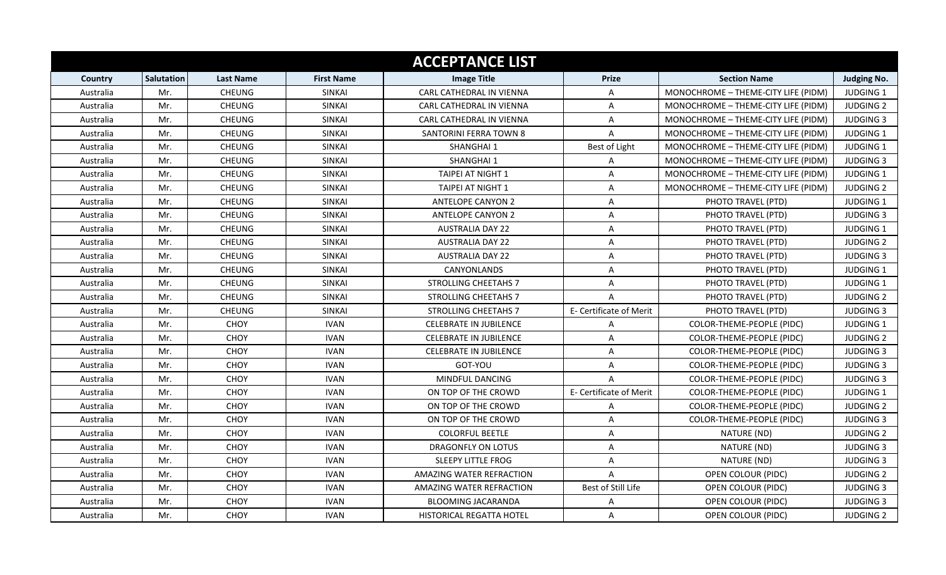|           |            |                  |                   | <b>ACCEPTANCE LIST</b>          |                         |                                     |                    |
|-----------|------------|------------------|-------------------|---------------------------------|-------------------------|-------------------------------------|--------------------|
| Country   | Salutation | <b>Last Name</b> | <b>First Name</b> | <b>Image Title</b>              | <b>Prize</b>            | <b>Section Name</b>                 | <b>Judging No.</b> |
| Australia | Mr.        | <b>CHEUNG</b>    | <b>SINKAI</b>     | CARL CATHEDRAL IN VIENNA        | $\mathsf{A}$            | MONOCHROME - THEME-CITY LIFE (PIDM) | <b>JUDGING 1</b>   |
| Australia | Mr.        | CHEUNG           | SINKAI            | CARL CATHEDRAL IN VIENNA        | $\overline{A}$          | MONOCHROME - THEME-CITY LIFE (PIDM) | <b>JUDGING 2</b>   |
| Australia | Mr.        | CHEUNG           | <b>SINKAI</b>     | CARL CATHEDRAL IN VIENNA        | $\overline{A}$          | MONOCHROME - THEME-CITY LIFE (PIDM) | <b>JUDGING 3</b>   |
| Australia | Mr.        | <b>CHEUNG</b>    | <b>SINKAI</b>     | <b>SANTORINI FERRA TOWN 8</b>   | $\mathsf{A}$            | MONOCHROME - THEME-CITY LIFE (PIDM) | <b>JUDGING 1</b>   |
| Australia | Mr.        | CHEUNG           | SINKAI            | SHANGHAI 1                      | Best of Light           | MONOCHROME - THEME-CITY LIFE (PIDM) | JUDGING 1          |
| Australia | Mr.        | CHEUNG           | <b>SINKAI</b>     | SHANGHAI 1                      | $\mathsf{A}$            | MONOCHROME - THEME-CITY LIFE (PIDM) | <b>JUDGING 3</b>   |
| Australia | Mr.        | CHEUNG           | <b>SINKAI</b>     | <b>TAIPEI AT NIGHT 1</b>        | $\mathsf{A}$            | MONOCHROME - THEME-CITY LIFE (PIDM) | <b>JUDGING 1</b>   |
| Australia | Mr.        | CHEUNG           | <b>SINKAI</b>     | TAIPEI AT NIGHT 1               | $\overline{A}$          | MONOCHROME - THEME-CITY LIFE (PIDM) | <b>JUDGING 2</b>   |
| Australia | Mr.        | CHEUNG           | <b>SINKAI</b>     | <b>ANTELOPE CANYON 2</b>        | A                       | PHOTO TRAVEL (PTD)                  | JUDGING 1          |
| Australia | Mr.        | CHEUNG           | <b>SINKAI</b>     | <b>ANTELOPE CANYON 2</b>        | $\mathsf{A}$            | PHOTO TRAVEL (PTD)                  | <b>JUDGING 3</b>   |
| Australia | Mr.        | CHEUNG           | <b>SINKAI</b>     | <b>AUSTRALIA DAY 22</b>         | A                       | PHOTO TRAVEL (PTD)                  | <b>JUDGING 1</b>   |
| Australia | Mr.        | CHEUNG           | <b>SINKAI</b>     | <b>AUSTRALIA DAY 22</b>         | A                       | PHOTO TRAVEL (PTD)                  | <b>JUDGING 2</b>   |
| Australia | Mr.        | CHEUNG           | <b>SINKAI</b>     | <b>AUSTRALIA DAY 22</b>         | $\overline{A}$          | PHOTO TRAVEL (PTD)                  | <b>JUDGING 3</b>   |
| Australia | Mr.        | CHEUNG           | <b>SINKAI</b>     | CANYONLANDS                     | A                       | PHOTO TRAVEL (PTD)                  | <b>JUDGING 1</b>   |
| Australia | Mr.        | CHEUNG           | <b>SINKAI</b>     | <b>STROLLING CHEETAHS 7</b>     | $\overline{A}$          | PHOTO TRAVEL (PTD)                  | <b>JUDGING 1</b>   |
| Australia | Mr.        | CHEUNG           | <b>SINKAI</b>     | <b>STROLLING CHEETAHS 7</b>     | $\overline{A}$          | PHOTO TRAVEL (PTD)                  | <b>JUDGING 2</b>   |
| Australia | Mr.        | <b>CHEUNG</b>    | <b>SINKAI</b>     | <b>STROLLING CHEETAHS 7</b>     | E- Certificate of Merit | PHOTO TRAVEL (PTD)                  | <b>JUDGING 3</b>   |
| Australia | Mr.        | CHOY             | <b>IVAN</b>       | <b>CELEBRATE IN JUBILENCE</b>   | A                       | COLOR-THEME-PEOPLE (PIDC)           | <b>JUDGING 1</b>   |
| Australia | Mr.        | CHOY             | <b>IVAN</b>       | <b>CELEBRATE IN JUBILENCE</b>   | $\overline{A}$          | COLOR-THEME-PEOPLE (PIDC)           | <b>JUDGING 2</b>   |
| Australia | Mr.        | <b>CHOY</b>      | <b>IVAN</b>       | <b>CELEBRATE IN JUBILENCE</b>   | $\overline{A}$          | COLOR-THEME-PEOPLE (PIDC)           | <b>JUDGING 3</b>   |
| Australia | Mr.        | CHOY             | <b>IVAN</b>       | GOT-YOU                         | A                       | <b>COLOR-THEME-PEOPLE (PIDC)</b>    | <b>JUDGING 3</b>   |
| Australia | Mr.        | <b>CHOY</b>      | <b>IVAN</b>       | MINDFUL DANCING                 | $\overline{A}$          | COLOR-THEME-PEOPLE (PIDC)           | <b>JUDGING 3</b>   |
| Australia | Mr.        | CHOY             | <b>IVAN</b>       | ON TOP OF THE CROWD             | E- Certificate of Merit | COLOR-THEME-PEOPLE (PIDC)           | <b>JUDGING 1</b>   |
| Australia | Mr.        | CHOY             | <b>IVAN</b>       | ON TOP OF THE CROWD             | A                       | <b>COLOR-THEME-PEOPLE (PIDC)</b>    | <b>JUDGING 2</b>   |
| Australia | Mr.        | CHOY             | <b>IVAN</b>       | ON TOP OF THE CROWD             | A                       | COLOR-THEME-PEOPLE (PIDC)           | <b>JUDGING 3</b>   |
| Australia | Mr.        | CHOY             | <b>IVAN</b>       | <b>COLORFUL BEETLE</b>          | $\overline{A}$          | NATURE (ND)                         | <b>JUDGING 2</b>   |
| Australia | Mr.        | CHOY             | <b>IVAN</b>       | DRAGONFLY ON LOTUS              | $\overline{A}$          | NATURE (ND)                         | <b>JUDGING 3</b>   |
| Australia | Mr.        | CHOY             | <b>IVAN</b>       | <b>SLEEPY LITTLE FROG</b>       | $\overline{A}$          | NATURE (ND)                         | <b>JUDGING 3</b>   |
| Australia | Mr.        | CHOY             | <b>IVAN</b>       | AMAZING WATER REFRACTION        | $\overline{A}$          | OPEN COLOUR (PIDC)                  | <b>JUDGING 2</b>   |
| Australia | Mr.        | <b>CHOY</b>      | <b>IVAN</b>       | AMAZING WATER REFRACTION        | Best of Still Life      | <b>OPEN COLOUR (PIDC)</b>           | <b>JUDGING 3</b>   |
| Australia | Mr.        | <b>CHOY</b>      | <b>IVAN</b>       | <b>BLOOMING JACARANDA</b>       | A                       | OPEN COLOUR (PIDC)                  | <b>JUDGING 3</b>   |
| Australia | Mr.        | CHOY             | <b>IVAN</b>       | <b>HISTORICAL REGATTA HOTEL</b> | $\mathsf{A}$            | OPEN COLOUR (PIDC)                  | <b>JUDGING 2</b>   |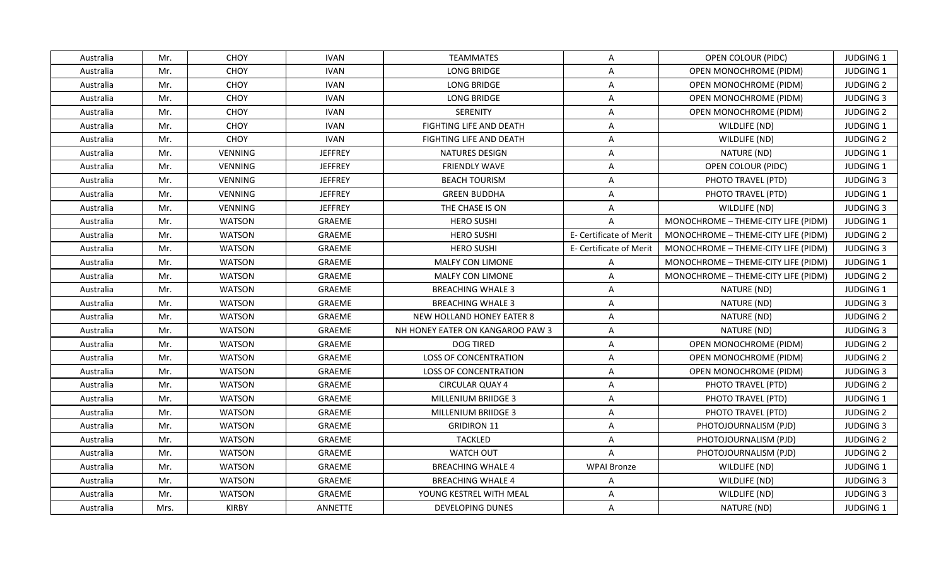| Australia | Mr.  | <b>CHOY</b>   | <b>IVAN</b>    | <b>TEAMMATES</b>                 | $\mathsf{A}$            | OPEN COLOUR (PIDC)                  | <b>JUDGING 1</b> |
|-----------|------|---------------|----------------|----------------------------------|-------------------------|-------------------------------------|------------------|
| Australia | Mr.  | CHOY          | <b>IVAN</b>    | <b>LONG BRIDGE</b>               | $\mathsf{A}$            | OPEN MONOCHROME (PIDM)              | JUDGING 1        |
| Australia | Mr.  | CHOY          | <b>IVAN</b>    | <b>LONG BRIDGE</b>               | $\mathsf{A}$            | <b>OPEN MONOCHROME (PIDM)</b>       | <b>JUDGING 2</b> |
| Australia | Mr.  | CHOY          | <b>IVAN</b>    | LONG BRIDGE                      | $\mathsf{A}$            | OPEN MONOCHROME (PIDM)              | <b>JUDGING 3</b> |
| Australia | Mr.  | CHOY          | <b>IVAN</b>    | <b>SERENITY</b>                  | $\overline{A}$          | <b>OPEN MONOCHROME (PIDM)</b>       | <b>JUDGING 2</b> |
| Australia | Mr.  | CHOY          | <b>IVAN</b>    | <b>FIGHTING LIFE AND DEATH</b>   | A                       | WILDLIFE (ND)                       | <b>JUDGING 1</b> |
| Australia | Mr.  | CHOY          | <b>IVAN</b>    | FIGHTING LIFE AND DEATH          | A                       | WILDLIFE (ND)                       | <b>JUDGING 2</b> |
| Australia | Mr.  | VENNING       | <b>JEFFREY</b> | <b>NATURES DESIGN</b>            | $\overline{A}$          | NATURE (ND)                         | JUDGING 1        |
| Australia | Mr.  | VENNING       | <b>JEFFREY</b> | <b>FRIENDLY WAVE</b>             | A                       | OPEN COLOUR (PIDC)                  | JUDGING 1        |
| Australia | Mr.  | VENNING       | <b>JEFFREY</b> | <b>BEACH TOURISM</b>             | A                       | PHOTO TRAVEL (PTD)                  | <b>JUDGING 3</b> |
| Australia | Mr.  | VENNING       | <b>JEFFREY</b> | <b>GREEN BUDDHA</b>              | A                       | PHOTO TRAVEL (PTD)                  | JUDGING 1        |
| Australia | Mr.  | VENNING       | <b>JEFFREY</b> | THE CHASE IS ON                  | $\mathsf{A}$            | WILDLIFE (ND)                       | <b>JUDGING 3</b> |
| Australia | Mr.  | <b>WATSON</b> | GRAEME         | <b>HERO SUSHI</b>                | $\overline{A}$          | MONOCHROME - THEME-CITY LIFE (PIDM) | JUDGING 1        |
| Australia | Mr.  | <b>WATSON</b> | GRAEME         | <b>HERO SUSHI</b>                | E- Certificate of Merit | MONOCHROME - THEME-CITY LIFE (PIDM) | <b>JUDGING 2</b> |
| Australia | Mr.  | <b>WATSON</b> | GRAEME         | <b>HERO SUSHI</b>                | E- Certificate of Merit | MONOCHROME - THEME-CITY LIFE (PIDM) | <b>JUDGING 3</b> |
| Australia | Mr.  | <b>WATSON</b> | GRAEME         | MALFY CON LIMONE                 | $\mathsf{A}$            | MONOCHROME - THEME-CITY LIFE (PIDM) | JUDGING 1        |
| Australia | Mr.  | <b>WATSON</b> | GRAEME         | <b>MALFY CON LIMONE</b>          | $\mathsf{A}$            | MONOCHROME - THEME-CITY LIFE (PIDM) | <b>JUDGING 2</b> |
| Australia | Mr.  | <b>WATSON</b> | GRAEME         | <b>BREACHING WHALE 3</b>         | $\mathsf{A}$            | NATURE (ND)                         | JUDGING 1        |
| Australia | Mr.  | <b>WATSON</b> | GRAEME         | <b>BREACHING WHALE 3</b>         | $\mathsf{A}$            | NATURE (ND)                         | <b>JUDGING 3</b> |
| Australia | Mr.  | <b>WATSON</b> | GRAEME         | NEW HOLLAND HONEY EATER 8        | A                       | NATURE (ND)                         | <b>JUDGING 2</b> |
| Australia | Mr.  | <b>WATSON</b> | GRAEME         | NH HONEY EATER ON KANGAROO PAW 3 | $\overline{A}$          | NATURE (ND)                         | <b>JUDGING 3</b> |
| Australia | Mr.  | <b>WATSON</b> | GRAEME         | <b>DOG TIRED</b>                 | $\mathsf{A}$            | OPEN MONOCHROME (PIDM)              | <b>JUDGING 2</b> |
| Australia | Mr.  | <b>WATSON</b> | GRAEME         | <b>LOSS OF CONCENTRATION</b>     | A                       | <b>OPEN MONOCHROME (PIDM)</b>       | <b>JUDGING 2</b> |
| Australia | Mr.  | <b>WATSON</b> | GRAEME         | <b>LOSS OF CONCENTRATION</b>     | $\mathsf{A}$            | <b>OPEN MONOCHROME (PIDM)</b>       | <b>JUDGING 3</b> |
| Australia | Mr.  | <b>WATSON</b> | GRAEME         | <b>CIRCULAR QUAY 4</b>           | A                       | PHOTO TRAVEL (PTD)                  | <b>JUDGING 2</b> |
| Australia | Mr.  | <b>WATSON</b> | GRAEME         | MILLENIUM BRIIDGE 3              | $\mathsf{A}$            | PHOTO TRAVEL (PTD)                  | JUDGING 1        |
| Australia | Mr.  | <b>WATSON</b> | GRAEME         | <b>MILLENIUM BRIIDGE 3</b>       | $\mathsf{A}$            | PHOTO TRAVEL (PTD)                  | <b>JUDGING 2</b> |
| Australia | Mr.  | <b>WATSON</b> | GRAEME         | <b>GRIDIRON 11</b>               | A                       | PHOTOJOURNALISM (PJD)               | <b>JUDGING 3</b> |
| Australia | Mr.  | <b>WATSON</b> | GRAEME         | <b>TACKLED</b>                   | $\overline{A}$          | PHOTOJOURNALISM (PJD)               | <b>JUDGING 2</b> |
| Australia | Mr.  | <b>WATSON</b> | GRAEME         | WATCH OUT                        | $\overline{A}$          | PHOTOJOURNALISM (PJD)               | <b>JUDGING 2</b> |
| Australia | Mr.  | <b>WATSON</b> | GRAEME         | <b>BREACHING WHALE 4</b>         | <b>WPAI Bronze</b>      | WILDLIFE (ND)                       | JUDGING 1        |
| Australia | Mr.  | <b>WATSON</b> | GRAEME         | <b>BREACHING WHALE 4</b>         | A                       | WILDLIFE (ND)                       | <b>JUDGING 3</b> |
| Australia | Mr.  | <b>WATSON</b> | GRAEME         | YOUNG KESTREL WITH MEAL          | A                       | WILDLIFE (ND)                       | <b>JUDGING 3</b> |
| Australia | Mrs. | <b>KIRBY</b>  | ANNETTE        | <b>DEVELOPING DUNES</b>          | $\mathsf{A}$            | NATURE (ND)                         | JUDGING 1        |
|           |      |               |                |                                  |                         |                                     |                  |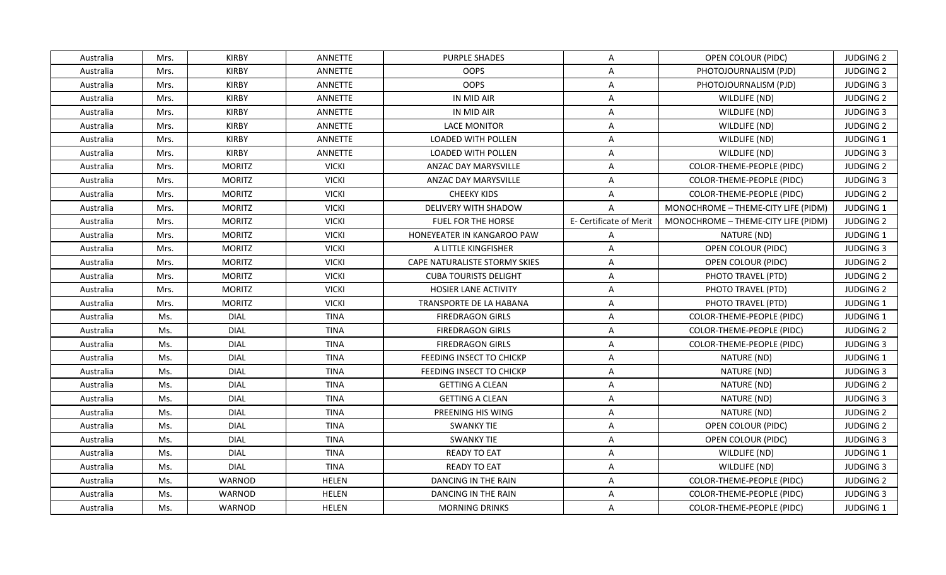| Australia | Mrs. | <b>KIRBY</b>  | ANNETTE        | <b>PURPLE SHADES</b>          | $\mathsf{A}$            | OPEN COLOUR (PIDC)                  | <b>JUDGING 2</b> |
|-----------|------|---------------|----------------|-------------------------------|-------------------------|-------------------------------------|------------------|
| Australia | Mrs. | <b>KIRBY</b>  | ANNETTE        | <b>OOPS</b>                   | $\mathsf{A}$            | PHOTOJOURNALISM (PJD)               | <b>JUDGING 2</b> |
| Australia | Mrs. | <b>KIRBY</b>  | ANNETTE        | <b>OOPS</b>                   | $\mathsf{A}$            | PHOTOJOURNALISM (PJD)               | <b>JUDGING 3</b> |
| Australia | Mrs. | <b>KIRBY</b>  | <b>ANNETTE</b> | IN MID AIR                    | $\mathsf{A}$            | WILDLIFE (ND)                       | <b>JUDGING 2</b> |
| Australia | Mrs. | <b>KIRBY</b>  | <b>ANNETTE</b> | IN MID AIR                    | A                       | WILDLIFE (ND)                       | <b>JUDGING 3</b> |
| Australia | Mrs. | <b>KIRBY</b>  | ANNETTE        | LACE MONITOR                  | $\mathsf{A}$            | WILDLIFE (ND)                       | <b>JUDGING 2</b> |
| Australia | Mrs. | <b>KIRBY</b>  | ANNETTE        | <b>LOADED WITH POLLEN</b>     | $\mathsf{A}$            | WILDLIFE (ND)                       | JUDGING 1        |
| Australia | Mrs. | <b>KIRBY</b>  | ANNETTE        | LOADED WITH POLLEN            | $\overline{A}$          | WILDLIFE (ND)                       | <b>JUDGING 3</b> |
| Australia | Mrs. | <b>MORITZ</b> | <b>VICKI</b>   | ANZAC DAY MARYSVILLE          | $\mathsf{A}$            | COLOR-THEME-PEOPLE (PIDC)           | <b>JUDGING 2</b> |
| Australia | Mrs. | <b>MORITZ</b> | <b>VICKI</b>   | <b>ANZAC DAY MARYSVILLE</b>   | $\overline{A}$          | COLOR-THEME-PEOPLE (PIDC)           | <b>JUDGING 3</b> |
| Australia | Mrs. | <b>MORITZ</b> | <b>VICKI</b>   | <b>CHEEKY KIDS</b>            | A                       | COLOR-THEME-PEOPLE (PIDC)           | <b>JUDGING 2</b> |
| Australia | Mrs. | <b>MORITZ</b> | <b>VICKI</b>   | DELIVERY WITH SHADOW          | $\mathsf{A}$            | MONOCHROME - THEME-CITY LIFE (PIDM) | JUDGING 1        |
| Australia | Mrs. | <b>MORITZ</b> | <b>VICKI</b>   | FUEL FOR THE HORSE            | E- Certificate of Merit | MONOCHROME - THEME-CITY LIFE (PIDM) | <b>JUDGING 2</b> |
| Australia | Mrs. | <b>MORITZ</b> | <b>VICKI</b>   | HONEYEATER IN KANGAROO PAW    | A                       | NATURE (ND)                         | JUDGING 1        |
| Australia | Mrs. | <b>MORITZ</b> | <b>VICKI</b>   | A LITTLE KINGFISHER           | $\overline{A}$          | OPEN COLOUR (PIDC)                  | <b>JUDGING 3</b> |
| Australia | Mrs. | <b>MORITZ</b> | <b>VICKI</b>   | CAPE NATURALISTE STORMY SKIES | A                       | OPEN COLOUR (PIDC)                  | <b>JUDGING 2</b> |
| Australia | Mrs. | <b>MORITZ</b> | <b>VICKI</b>   | <b>CUBA TOURISTS DELIGHT</b>  | $\mathsf{A}$            | PHOTO TRAVEL (PTD)                  | <b>JUDGING 2</b> |
| Australia | Mrs. | <b>MORITZ</b> | <b>VICKI</b>   | HOSIER LANE ACTIVITY          | $\mathsf{A}$            | PHOTO TRAVEL (PTD)                  | <b>JUDGING 2</b> |
| Australia | Mrs. | <b>MORITZ</b> | <b>VICKI</b>   | TRANSPORTE DE LA HABANA       | $\mathsf{A}$            | PHOTO TRAVEL (PTD)                  | <b>JUDGING 1</b> |
| Australia | Ms.  | <b>DIAL</b>   | <b>TINA</b>    | <b>FIREDRAGON GIRLS</b>       | $\mathsf{A}$            | COLOR-THEME-PEOPLE (PIDC)           | <b>JUDGING 1</b> |
| Australia | Ms.  | <b>DIAL</b>   | <b>TINA</b>    | <b>FIREDRAGON GIRLS</b>       | $\mathsf{A}$            | COLOR-THEME-PEOPLE (PIDC)           | <b>JUDGING 2</b> |
| Australia | Ms.  | <b>DIAL</b>   | <b>TINA</b>    | <b>FIREDRAGON GIRLS</b>       | $\overline{A}$          | COLOR-THEME-PEOPLE (PIDC)           | <b>JUDGING 3</b> |
| Australia | Ms.  | <b>DIAL</b>   | <b>TINA</b>    | FEEDING INSECT TO CHICKP      | A                       | NATURE (ND)                         | JUDGING 1        |
| Australia | Ms.  | <b>DIAL</b>   | <b>TINA</b>    | FEEDING INSECT TO CHICKP      | $\mathsf{A}$            | NATURE (ND)                         | <b>JUDGING 3</b> |
| Australia | Ms.  | <b>DIAL</b>   | <b>TINA</b>    | <b>GETTING A CLEAN</b>        | A                       | NATURE (ND)                         | <b>JUDGING 2</b> |
| Australia | Ms.  | <b>DIAL</b>   | <b>TINA</b>    | <b>GETTING A CLEAN</b>        | $\mathsf{A}$            | NATURE (ND)                         | <b>JUDGING 3</b> |
| Australia | Ms.  | <b>DIAL</b>   | <b>TINA</b>    | PREENING HIS WING             | $\mathsf{A}$            | NATURE (ND)                         | <b>JUDGING 2</b> |
| Australia | Ms.  | <b>DIAL</b>   | <b>TINA</b>    | <b>SWANKY TIE</b>             | $\mathsf{A}$            | <b>OPEN COLOUR (PIDC)</b>           | <b>JUDGING 2</b> |
| Australia | Ms.  | <b>DIAL</b>   | <b>TINA</b>    | <b>SWANKY TIE</b>             | $\mathsf{A}$            | OPEN COLOUR (PIDC)                  | <b>JUDGING 3</b> |
| Australia | Ms.  | <b>DIAL</b>   | <b>TINA</b>    | <b>READY TO EAT</b>           | $\mathsf{A}$            | WILDLIFE (ND)                       | JUDGING 1        |
| Australia | Ms.  | <b>DIAL</b>   | <b>TINA</b>    | <b>READY TO EAT</b>           | $\mathsf{A}$            | WILDLIFE (ND)                       | <b>JUDGING 3</b> |
| Australia | Ms.  | WARNOD        | <b>HELEN</b>   | DANCING IN THE RAIN           | A                       | COLOR-THEME-PEOPLE (PIDC)           | <b>JUDGING 2</b> |
| Australia | Ms.  | WARNOD        | <b>HELEN</b>   | DANCING IN THE RAIN           | A                       | COLOR-THEME-PEOPLE (PIDC)           | <b>JUDGING 3</b> |
| Australia | Ms.  | WARNOD        | <b>HELEN</b>   | <b>MORNING DRINKS</b>         | $\mathsf{A}$            | COLOR-THEME-PEOPLE (PIDC)           | <b>JUDGING 1</b> |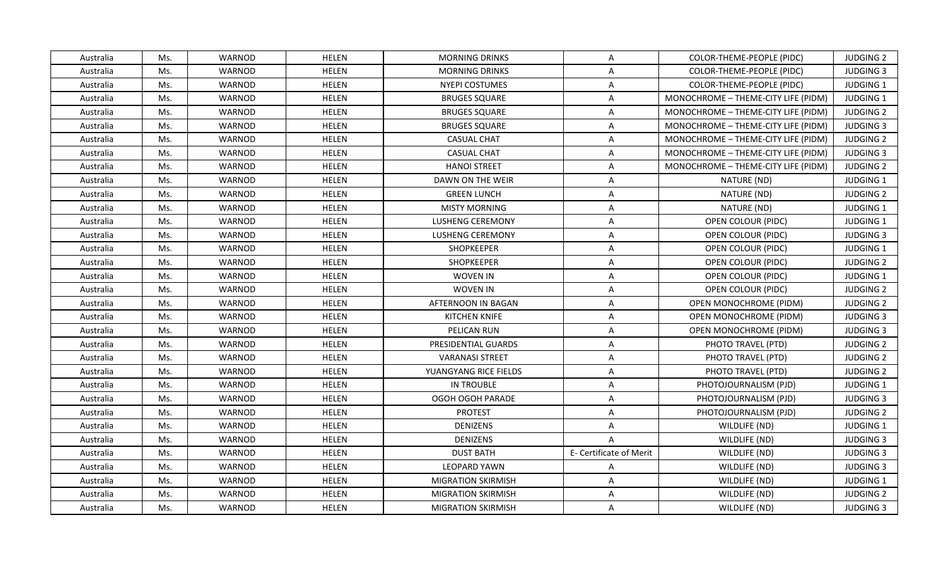| Australia | Ms. | WARNOD        | <b>HELEN</b> | <b>MORNING DRINKS</b>     | A                       | COLOR-THEME-PEOPLE (PIDC)           | <b>JUDGING 2</b> |
|-----------|-----|---------------|--------------|---------------------------|-------------------------|-------------------------------------|------------------|
| Australia | Ms. | WARNOD        | <b>HELEN</b> | <b>MORNING DRINKS</b>     | A                       | COLOR-THEME-PEOPLE (PIDC)           | <b>JUDGING 3</b> |
| Australia | Ms. | WARNOD        | <b>HELEN</b> | <b>NYEPI COSTUMES</b>     | $\mathsf{A}$            | COLOR-THEME-PEOPLE (PIDC)           | JUDGING 1        |
| Australia | Ms. | WARNOD        | <b>HELEN</b> | <b>BRUGES SQUARE</b>      | A                       | MONOCHROME - THEME-CITY LIFE (PIDM) | <b>JUDGING 1</b> |
| Australia | Ms. | WARNOD        | <b>HELEN</b> | <b>BRUGES SQUARE</b>      | $\overline{A}$          | MONOCHROME - THEME-CITY LIFE (PIDM) | <b>JUDGING 2</b> |
| Australia | Ms. | WARNOD        | <b>HELEN</b> | <b>BRUGES SQUARE</b>      | $\mathsf{A}$            | MONOCHROME - THEME-CITY LIFE (PIDM) | <b>JUDGING 3</b> |
| Australia | Ms. | WARNOD        | <b>HELEN</b> | <b>CASUAL CHAT</b>        | A                       | MONOCHROME - THEME-CITY LIFE (PIDM) | <b>JUDGING 2</b> |
| Australia | Ms. | WARNOD        | <b>HELEN</b> | <b>CASUAL CHAT</b>        | $\mathsf{A}$            | MONOCHROME - THEME-CITY LIFE (PIDM) | <b>JUDGING 3</b> |
| Australia | Ms. | WARNOD        | <b>HELEN</b> | <b>HANOI STREET</b>       | $\mathsf{A}$            | MONOCHROME - THEME-CITY LIFE (PIDM) | <b>JUDGING 2</b> |
| Australia | Ms. | WARNOD        | <b>HELEN</b> | DAWN ON THE WEIR          | A                       | NATURE (ND)                         | JUDGING 1        |
| Australia | Ms. | WARNOD        | <b>HELEN</b> | <b>GREEN LUNCH</b>        | A                       | NATURE (ND)                         | <b>JUDGING 2</b> |
| Australia | Ms. | WARNOD        | <b>HELEN</b> | <b>MISTY MORNING</b>      | A                       | NATURE (ND)                         | JUDGING 1        |
| Australia | Ms. | <b>WARNOD</b> | <b>HELEN</b> | <b>LUSHENG CEREMONY</b>   | $\mathsf{A}$            | OPEN COLOUR (PIDC)                  | JUDGING 1        |
| Australia | Ms. | WARNOD        | <b>HELEN</b> | <b>LUSHENG CEREMONY</b>   | $\mathsf{A}$            | OPEN COLOUR (PIDC)                  | <b>JUDGING 3</b> |
| Australia | Ms. | WARNOD        | <b>HELEN</b> | <b>SHOPKEEPER</b>         | A                       | OPEN COLOUR (PIDC)                  | <b>JUDGING 1</b> |
| Australia | Ms. | WARNOD        | <b>HELEN</b> | SHOPKEEPER                | $\overline{A}$          | OPEN COLOUR (PIDC)                  | <b>JUDGING 2</b> |
| Australia | Ms. | WARNOD        | <b>HELEN</b> | WOVEN IN                  | $\mathsf{A}$            | OPEN COLOUR (PIDC)                  | JUDGING 1        |
| Australia | Ms. | WARNOD        | <b>HELEN</b> | <b>WOVEN IN</b>           | $\mathsf{A}$            | OPEN COLOUR (PIDC)                  | <b>JUDGING 2</b> |
| Australia | Ms. | WARNOD        | <b>HELEN</b> | AFTERNOON IN BAGAN        | $\mathsf{A}$            | <b>OPEN MONOCHROME (PIDM)</b>       | <b>JUDGING 2</b> |
| Australia | Ms. | WARNOD        | <b>HELEN</b> | <b>KITCHEN KNIFE</b>      | A                       | OPEN MONOCHROME (PIDM)              | <b>JUDGING 3</b> |
| Australia | Ms. | WARNOD        | <b>HELEN</b> | PELICAN RUN               | $\overline{A}$          | OPEN MONOCHROME (PIDM)              | <b>JUDGING 3</b> |
| Australia | Ms. | WARNOD        | <b>HELEN</b> | PRESIDENTIAL GUARDS       | $\mathsf{A}$            | PHOTO TRAVEL (PTD)                  | <b>JUDGING 2</b> |
| Australia | Ms. | WARNOD        | <b>HELEN</b> | <b>VARANASI STREET</b>    | A                       | PHOTO TRAVEL (PTD)                  | <b>JUDGING 2</b> |
| Australia | Ms. | WARNOD        | <b>HELEN</b> | YUANGYANG RICE FIELDS     | $\mathsf{A}$            | PHOTO TRAVEL (PTD)                  | <b>JUDGING 2</b> |
| Australia | Ms. | WARNOD        | <b>HELEN</b> | IN TROUBLE                | A                       | PHOTOJOURNALISM (PJD)               | JUDGING 1        |
| Australia | Ms. | WARNOD        | <b>HELEN</b> | OGOH OGOH PARADE          | $\mathsf{A}$            | PHOTOJOURNALISM (PJD)               | <b>JUDGING 3</b> |
| Australia | Ms. | WARNOD        | <b>HELEN</b> | <b>PROTEST</b>            | $\mathsf{A}$            | PHOTOJOURNALISM (PJD)               | <b>JUDGING 2</b> |
| Australia | Ms. | WARNOD        | <b>HELEN</b> | <b>DENIZENS</b>           | A                       | WILDLIFE (ND)                       | JUDGING 1        |
| Australia | Ms. | WARNOD        | <b>HELEN</b> | <b>DENIZENS</b>           | $\overline{A}$          | WILDLIFE (ND)                       | <b>JUDGING 3</b> |
| Australia | Ms. | WARNOD        | <b>HELEN</b> | <b>DUST BATH</b>          | E- Certificate of Merit | WILDLIFE (ND)                       | <b>JUDGING 3</b> |
| Australia | Ms. | WARNOD        | <b>HELEN</b> | LEOPARD YAWN              | $\mathsf{A}$            | WILDLIFE (ND)                       | <b>JUDGING 3</b> |
| Australia | Ms. | WARNOD        | <b>HELEN</b> | <b>MIGRATION SKIRMISH</b> | A                       | WILDLIFE (ND)                       | JUDGING 1        |
| Australia | Ms. | WARNOD        | <b>HELEN</b> | <b>MIGRATION SKIRMISH</b> | A                       | WILDLIFE (ND)                       | <b>JUDGING 2</b> |
| Australia | Ms. | WARNOD        | <b>HELEN</b> | <b>MIGRATION SKIRMISH</b> | $\mathsf{A}$            | WILDLIFE (ND)                       | <b>JUDGING 3</b> |
|           |     |               |              |                           |                         |                                     |                  |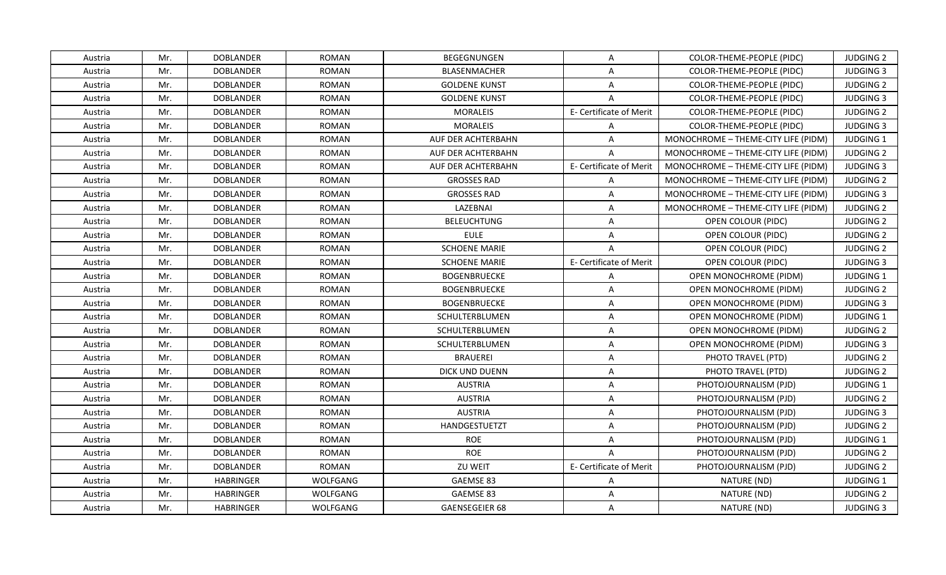| Austria | Mr. | <b>DOBLANDER</b> | <b>ROMAN</b> | <b>BEGEGNUNGEN</b>        | A                       | COLOR-THEME-PEOPLE (PIDC)           | <b>JUDGING 2</b> |
|---------|-----|------------------|--------------|---------------------------|-------------------------|-------------------------------------|------------------|
| Austria | Mr. | <b>DOBLANDER</b> | <b>ROMAN</b> | BLASENMACHER              | A                       | COLOR-THEME-PEOPLE (PIDC)           | <b>JUDGING 3</b> |
| Austria | Mr. | <b>DOBLANDER</b> | <b>ROMAN</b> | <b>GOLDENE KUNST</b>      | $\mathsf{A}$            | COLOR-THEME-PEOPLE (PIDC)           | <b>JUDGING 2</b> |
| Austria | Mr. | <b>DOBLANDER</b> | <b>ROMAN</b> | <b>GOLDENE KUNST</b>      | $\mathsf{A}$            | COLOR-THEME-PEOPLE (PIDC)           | <b>JUDGING 3</b> |
| Austria | Mr. | <b>DOBLANDER</b> | <b>ROMAN</b> | <b>MORALEIS</b>           | E- Certificate of Merit | COLOR-THEME-PEOPLE (PIDC)           | <b>JUDGING 2</b> |
| Austria | Mr. | <b>DOBLANDER</b> | <b>ROMAN</b> | <b>MORALEIS</b>           | $\mathsf{A}$            | COLOR-THEME-PEOPLE (PIDC)           | <b>JUDGING 3</b> |
| Austria | Mr. | <b>DOBLANDER</b> | <b>ROMAN</b> | <b>AUF DER ACHTERBAHN</b> | $\overline{A}$          | MONOCHROME - THEME-CITY LIFE (PIDM) | JUDGING 1        |
| Austria | Mr. | <b>DOBLANDER</b> | <b>ROMAN</b> | AUF DER ACHTERBAHN        | $\mathsf{A}$            | MONOCHROME - THEME-CITY LIFE (PIDM) | <b>JUDGING 2</b> |
| Austria | Mr. | <b>DOBLANDER</b> | <b>ROMAN</b> | AUF DER ACHTERBAHN        | E- Certificate of Merit | MONOCHROME - THEME-CITY LIFE (PIDM) | <b>JUDGING 3</b> |
| Austria | Mr. | <b>DOBLANDER</b> | <b>ROMAN</b> | <b>GROSSES RAD</b>        | $\mathsf{A}$            | MONOCHROME - THEME-CITY LIFE (PIDM) | <b>JUDGING 2</b> |
| Austria | Mr. | <b>DOBLANDER</b> | <b>ROMAN</b> | <b>GROSSES RAD</b>        | $\mathsf{A}$            | MONOCHROME - THEME-CITY LIFE (PIDM) | <b>JUDGING 3</b> |
| Austria | Mr. | <b>DOBLANDER</b> | <b>ROMAN</b> | LAZEBNAI                  | $\mathsf{A}$            | MONOCHROME - THEME-CITY LIFE (PIDM) | <b>JUDGING 2</b> |
| Austria | Mr. | <b>DOBLANDER</b> | <b>ROMAN</b> | <b>BELEUCHTUNG</b>        | $\mathsf{A}$            | OPEN COLOUR (PIDC)                  | <b>JUDGING 2</b> |
| Austria | Mr. | <b>DOBLANDER</b> | <b>ROMAN</b> | <b>EULE</b>               | $\mathsf{A}$            | OPEN COLOUR (PIDC)                  | <b>JUDGING 2</b> |
| Austria | Mr. | <b>DOBLANDER</b> | <b>ROMAN</b> | <b>SCHOENE MARIE</b>      | $\overline{A}$          | <b>OPEN COLOUR (PIDC)</b>           | <b>JUDGING 2</b> |
| Austria | Mr. | <b>DOBLANDER</b> | <b>ROMAN</b> | <b>SCHOENE MARIE</b>      | E- Certificate of Merit | OPEN COLOUR (PIDC)                  | <b>JUDGING 3</b> |
| Austria | Mr. | <b>DOBLANDER</b> | <b>ROMAN</b> | <b>BOGENBRUECKE</b>       | A                       | OPEN MONOCHROME (PIDM)              | JUDGING 1        |
| Austria | Mr. | <b>DOBLANDER</b> | <b>ROMAN</b> | <b>BOGENBRUECKE</b>       | $\mathsf{A}$            | OPEN MONOCHROME (PIDM)              | <b>JUDGING 2</b> |
| Austria | Mr. | <b>DOBLANDER</b> | <b>ROMAN</b> | <b>BOGENBRUECKE</b>       | $\mathsf{A}$            | OPEN MONOCHROME (PIDM)              | <b>JUDGING 3</b> |
| Austria | Mr. | <b>DOBLANDER</b> | <b>ROMAN</b> | SCHULTERBLUMEN            | $\mathsf{A}$            | <b>OPEN MONOCHROME (PIDM)</b>       | JUDGING 1        |
| Austria | Mr. | <b>DOBLANDER</b> | <b>ROMAN</b> | SCHULTERBLUMEN            | $\mathsf{A}$            | OPEN MONOCHROME (PIDM)              | <b>JUDGING 2</b> |
| Austria | Mr. | <b>DOBLANDER</b> | <b>ROMAN</b> | SCHULTERBLUMEN            | A                       | OPEN MONOCHROME (PIDM)              | <b>JUDGING 3</b> |
| Austria | Mr. | <b>DOBLANDER</b> | <b>ROMAN</b> | <b>BRAUEREI</b>           | $\mathsf{A}$            | PHOTO TRAVEL (PTD)                  | <b>JUDGING 2</b> |
| Austria | Mr. | <b>DOBLANDER</b> | <b>ROMAN</b> | DICK UND DUENN            | $\mathsf{A}$            | PHOTO TRAVEL (PTD)                  | <b>JUDGING 2</b> |
| Austria | Mr. | <b>DOBLANDER</b> | <b>ROMAN</b> | <b>AUSTRIA</b>            | $\mathsf{A}$            | PHOTOJOURNALISM (PJD)               | JUDGING 1        |
| Austria | Mr. | <b>DOBLANDER</b> | <b>ROMAN</b> | <b>AUSTRIA</b>            | $\mathsf{A}$            | PHOTOJOURNALISM (PJD)               | <b>JUDGING 2</b> |
| Austria | Mr. | <b>DOBLANDER</b> | <b>ROMAN</b> | <b>AUSTRIA</b>            | A                       | PHOTOJOURNALISM (PJD)               | <b>JUDGING 3</b> |
| Austria | Mr. | <b>DOBLANDER</b> | <b>ROMAN</b> | HANDGESTUETZT             | $\mathsf{A}$            | PHOTOJOURNALISM (PJD)               | <b>JUDGING 2</b> |
| Austria | Mr. | <b>DOBLANDER</b> | <b>ROMAN</b> | <b>ROE</b>                | $\mathsf{A}$            | PHOTOJOURNALISM (PJD)               | JUDGING 1        |
| Austria | Mr. | <b>DOBLANDER</b> | <b>ROMAN</b> | <b>ROE</b>                | $\overline{A}$          | PHOTOJOURNALISM (PJD)               | <b>JUDGING 2</b> |
| Austria | Mr. | <b>DOBLANDER</b> | <b>ROMAN</b> | ZU WEIT                   | E- Certificate of Merit | PHOTOJOURNALISM (PJD)               | <b>JUDGING 2</b> |
| Austria | Mr. | <b>HABRINGER</b> | WOLFGANG     | GAEMSE 83                 | A                       | NATURE (ND)                         | JUDGING 1        |
| Austria | Mr. | <b>HABRINGER</b> | WOLFGANG     | GAEMSE 83                 | $\mathsf{A}$            | NATURE (ND)                         | <b>JUDGING 2</b> |
| Austria | Mr. | <b>HABRINGER</b> | WOLFGANG     | GAENSEGEIER 68            | $\mathsf{A}$            | NATURE (ND)                         | <b>JUDGING 3</b> |
|         |     |                  |              |                           |                         |                                     |                  |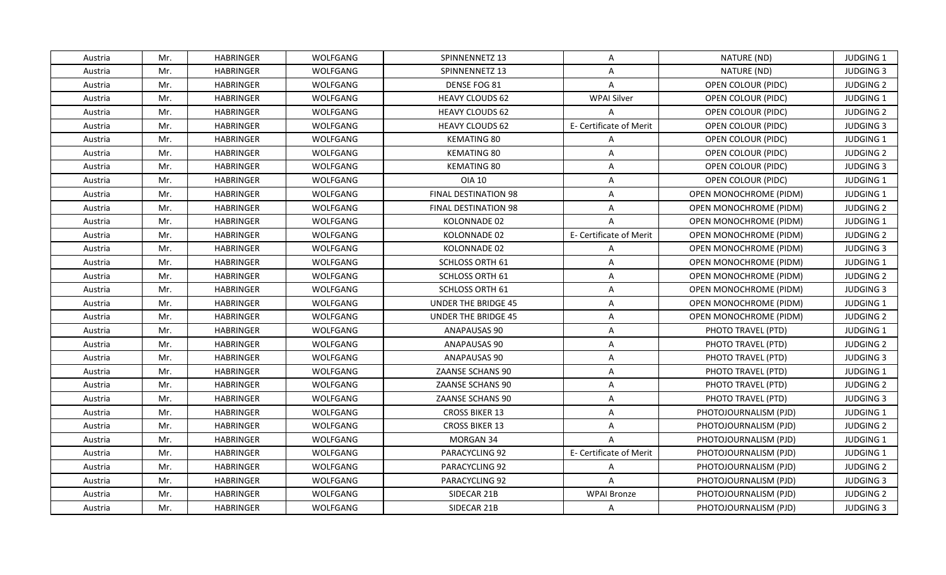| Austria | Mr. | <b>HABRINGER</b> | WOLFGANG        | SPINNENNETZ 13              | A                       | NATURE (ND)                   | <b>JUDGING 1</b> |
|---------|-----|------------------|-----------------|-----------------------------|-------------------------|-------------------------------|------------------|
| Austria | Mr. | <b>HABRINGER</b> | WOLFGANG        | SPINNENNETZ 13              | A                       | NATURE (ND)                   | <b>JUDGING 3</b> |
| Austria | Mr. | <b>HABRINGER</b> | WOLFGANG        | DENSE FOG 81                | $\overline{A}$          | OPEN COLOUR (PIDC)            | <b>JUDGING 2</b> |
| Austria | Mr. | <b>HABRINGER</b> | WOLFGANG        | <b>HEAVY CLOUDS 62</b>      | <b>WPAI Silver</b>      | OPEN COLOUR (PIDC)            | JUDGING 1        |
| Austria | Mr. | <b>HABRINGER</b> | WOLFGANG        | <b>HEAVY CLOUDS 62</b>      | A                       | <b>OPEN COLOUR (PIDC)</b>     | <b>JUDGING 2</b> |
| Austria | Mr. | <b>HABRINGER</b> | WOLFGANG        | <b>HEAVY CLOUDS 62</b>      | E- Certificate of Merit | OPEN COLOUR (PIDC)            | <b>JUDGING 3</b> |
| Austria | Mr. | <b>HABRINGER</b> | WOLFGANG        | KEMATING 80                 | $\overline{A}$          | OPEN COLOUR (PIDC)            | JUDGING 1        |
| Austria | Mr. | <b>HABRINGER</b> | WOLFGANG        | <b>KEMATING 80</b>          | $\overline{A}$          | OPEN COLOUR (PIDC)            | <b>JUDGING 2</b> |
| Austria | Mr. | <b>HABRINGER</b> | WOLFGANG        | <b>KEMATING 80</b>          | $\overline{A}$          | <b>OPEN COLOUR (PIDC)</b>     | <b>JUDGING 3</b> |
| Austria | Mr. | <b>HABRINGER</b> | WOLFGANG        | <b>OIA 10</b>               | $\overline{A}$          | OPEN COLOUR (PIDC)            | JUDGING 1        |
| Austria | Mr. | <b>HABRINGER</b> | WOLFGANG        | <b>FINAL DESTINATION 98</b> | $\mathsf{A}$            | OPEN MONOCHROME (PIDM)        | <b>JUDGING 1</b> |
| Austria | Mr. | <b>HABRINGER</b> | WOLFGANG        | <b>FINAL DESTINATION 98</b> | $\mathsf{A}$            | <b>OPEN MONOCHROME (PIDM)</b> | <b>JUDGING 2</b> |
| Austria | Mr. | <b>HABRINGER</b> | WOLFGANG        | KOLONNADE 02                | $\overline{A}$          | <b>OPEN MONOCHROME (PIDM)</b> | JUDGING 1        |
| Austria | Mr. | <b>HABRINGER</b> | WOLFGANG        | KOLONNADE 02                | E- Certificate of Merit | OPEN MONOCHROME (PIDM)        | <b>JUDGING 2</b> |
| Austria | Mr. | <b>HABRINGER</b> | WOLFGANG        | KOLONNADE 02                | $\overline{A}$          | <b>OPEN MONOCHROME (PIDM)</b> | <b>JUDGING 3</b> |
| Austria | Mr. | <b>HABRINGER</b> | WOLFGANG        | <b>SCHLOSS ORTH 61</b>      | $\overline{A}$          | OPEN MONOCHROME (PIDM)        | <b>JUDGING 1</b> |
| Austria | Mr. | <b>HABRINGER</b> | WOLFGANG        | SCHLOSS ORTH 61             | $\mathsf{A}$            | OPEN MONOCHROME (PIDM)        | <b>JUDGING 2</b> |
| Austria | Mr. | <b>HABRINGER</b> | WOLFGANG        | SCHLOSS ORTH 61             | $\overline{A}$          | OPEN MONOCHROME (PIDM)        | <b>JUDGING 3</b> |
| Austria | Mr. | <b>HABRINGER</b> | WOLFGANG        | UNDER THE BRIDGE 45         | A                       | OPEN MONOCHROME (PIDM)        | <b>JUDGING 1</b> |
| Austria | Mr. | <b>HABRINGER</b> | WOLFGANG        | <b>UNDER THE BRIDGE 45</b>  | $\overline{A}$          | <b>OPEN MONOCHROME (PIDM)</b> | <b>JUDGING 2</b> |
| Austria | Mr. | <b>HABRINGER</b> | WOLFGANG        | ANAPAUSAS 90                | $\mathsf{A}$            | PHOTO TRAVEL (PTD)            | <b>JUDGING 1</b> |
| Austria | Mr. | <b>HABRINGER</b> | WOLFGANG        | ANAPAUSAS 90                | $\mathsf{A}$            | PHOTO TRAVEL (PTD)            | <b>JUDGING 2</b> |
| Austria | Mr. | <b>HABRINGER</b> | WOLFGANG        | ANAPAUSAS 90                | $\overline{A}$          | PHOTO TRAVEL (PTD)            | <b>JUDGING 3</b> |
| Austria | Mr. | <b>HABRINGER</b> | WOLFGANG        | <b>ZAANSE SCHANS 90</b>     | A                       | PHOTO TRAVEL (PTD)            | <b>JUDGING 1</b> |
| Austria | Mr. | <b>HABRINGER</b> | WOLFGANG        | ZAANSE SCHANS 90            | $\overline{A}$          | PHOTO TRAVEL (PTD)            | <b>JUDGING 2</b> |
| Austria | Mr. | <b>HABRINGER</b> | WOLFGANG        | ZAANSE SCHANS 90            | $\overline{A}$          | PHOTO TRAVEL (PTD)            | <b>JUDGING 3</b> |
| Austria | Mr. | <b>HABRINGER</b> | WOLFGANG        | <b>CROSS BIKER 13</b>       | A                       | PHOTOJOURNALISM (PJD)         | JUDGING 1        |
| Austria | Mr. | <b>HABRINGER</b> | WOLFGANG        | <b>CROSS BIKER 13</b>       | $\mathsf{A}$            | PHOTOJOURNALISM (PJD)         | <b>JUDGING 2</b> |
| Austria | Mr. | <b>HABRINGER</b> | WOLFGANG        | MORGAN 34                   | $\overline{A}$          | PHOTOJOURNALISM (PJD)         | <b>JUDGING 1</b> |
| Austria | Mr. | <b>HABRINGER</b> | WOLFGANG        | PARACYCLING 92              | E- Certificate of Merit | PHOTOJOURNALISM (PJD)         | JUDGING 1        |
| Austria | Mr. | <b>HABRINGER</b> | WOLFGANG        | PARACYCLING 92              | $\mathsf{A}$            | PHOTOJOURNALISM (PJD)         | <b>JUDGING 2</b> |
| Austria | Mr. | <b>HABRINGER</b> | WOLFGANG        | PARACYCLING 92              | A                       | PHOTOJOURNALISM (PJD)         | <b>JUDGING 3</b> |
| Austria | Mr. | <b>HABRINGER</b> | WOLFGANG        | SIDECAR 21B                 | <b>WPAI Bronze</b>      | PHOTOJOURNALISM (PJD)         | <b>JUDGING 2</b> |
| Austria | Mr. | <b>HABRINGER</b> | <b>WOLFGANG</b> | SIDECAR 21B                 | $\mathsf{A}$            | PHOTOJOURNALISM (PJD)         | JUDGING 3        |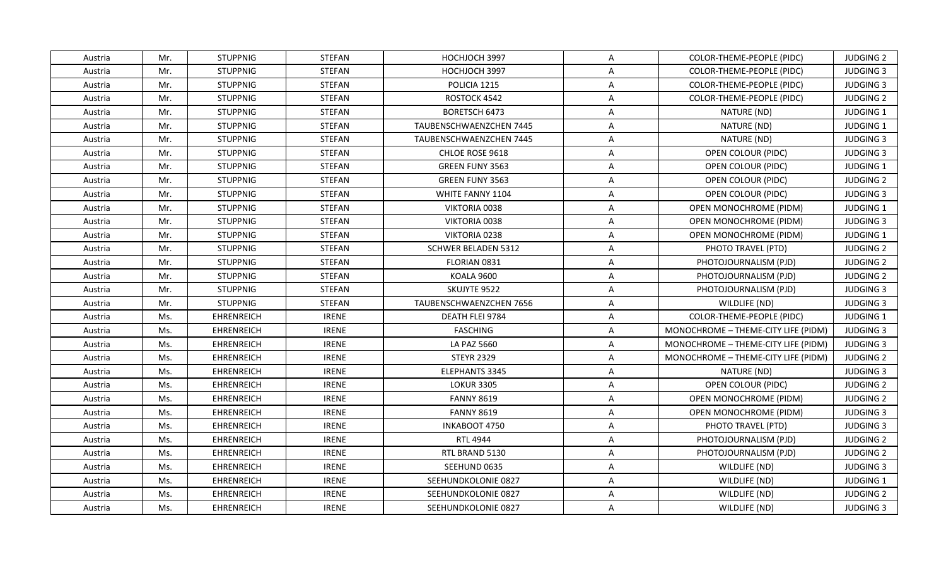| Austria | Mr. | <b>STUPPNIG</b>   | STEFAN        | HOCHJOCH 3997              | $\mathsf{A}$   | COLOR-THEME-PEOPLE (PIDC)           | <b>JUDGING 2</b> |
|---------|-----|-------------------|---------------|----------------------------|----------------|-------------------------------------|------------------|
| Austria | Mr. | <b>STUPPNIG</b>   | <b>STEFAN</b> | HOCHJOCH 3997              | A              | COLOR-THEME-PEOPLE (PIDC)           | <b>JUDGING 3</b> |
| Austria | Mr. | <b>STUPPNIG</b>   | <b>STEFAN</b> | POLICIA 1215               | $\mathsf{A}$   | COLOR-THEME-PEOPLE (PIDC)           | <b>JUDGING 3</b> |
| Austria | Mr. | <b>STUPPNIG</b>   | <b>STEFAN</b> | ROSTOCK 4542               | $\overline{A}$ | COLOR-THEME-PEOPLE (PIDC)           | <b>JUDGING 2</b> |
| Austria | Mr. | <b>STUPPNIG</b>   | STEFAN        | BORETSCH 6473              | $\overline{A}$ | NATURE (ND)                         | <b>JUDGING 1</b> |
| Austria | Mr. | <b>STUPPNIG</b>   | <b>STEFAN</b> | TAUBENSCHWAENZCHEN 7445    | A              | NATURE (ND)                         | <b>JUDGING 1</b> |
| Austria | Mr. | <b>STUPPNIG</b>   | <b>STEFAN</b> | TAUBENSCHWAENZCHEN 7445    | $\mathsf{A}$   | NATURE (ND)                         | <b>JUDGING 3</b> |
| Austria | Mr. | <b>STUPPNIG</b>   | <b>STEFAN</b> | CHLOE ROSE 9618            | $\overline{A}$ | <b>OPEN COLOUR (PIDC)</b>           | <b>JUDGING 3</b> |
| Austria | Mr. | <b>STUPPNIG</b>   | <b>STEFAN</b> | GREEN FUNY 3563            | $\mathsf{A}$   | OPEN COLOUR (PIDC)                  | JUDGING 1        |
| Austria | Mr. | <b>STUPPNIG</b>   | STEFAN        | GREEN FUNY 3563            | A              | OPEN COLOUR (PIDC)                  | <b>JUDGING 2</b> |
| Austria | Mr. | <b>STUPPNIG</b>   | <b>STEFAN</b> | WHITE FANNY 1104           | $\overline{A}$ | OPEN COLOUR (PIDC)                  | <b>JUDGING 3</b> |
| Austria | Mr. | <b>STUPPNIG</b>   | <b>STEFAN</b> | VIKTORIA 0038              | A              | <b>OPEN MONOCHROME (PIDM)</b>       | JUDGING 1        |
| Austria | Mr. | <b>STUPPNIG</b>   | <b>STEFAN</b> | VIKTORIA 0038              | $\overline{A}$ | OPEN MONOCHROME (PIDM)              | <b>JUDGING 3</b> |
| Austria | Mr. | <b>STUPPNIG</b>   | STEFAN        | VIKTORIA 0238              | $\overline{A}$ | OPEN MONOCHROME (PIDM)              | JUDGING 1        |
| Austria | Mr. | <b>STUPPNIG</b>   | <b>STEFAN</b> | <b>SCHWER BELADEN 5312</b> | A              | PHOTO TRAVEL (PTD)                  | <b>JUDGING 2</b> |
| Austria | Mr. | <b>STUPPNIG</b>   | STEFAN        | FLORIAN 0831               | A              | PHOTOJOURNALISM (PJD)               | <b>JUDGING 2</b> |
| Austria | Mr. | <b>STUPPNIG</b>   | <b>STEFAN</b> | KOALA 9600                 | $\overline{A}$ | PHOTOJOURNALISM (PJD)               | <b>JUDGING 2</b> |
| Austria | Mr. | <b>STUPPNIG</b>   | <b>STEFAN</b> | SKUJYTE 9522               | $\overline{A}$ | PHOTOJOURNALISM (PJD)               | <b>JUDGING 3</b> |
| Austria | Mr. | <b>STUPPNIG</b>   | <b>STEFAN</b> | TAUBENSCHWAENZCHEN 7656    | $\overline{A}$ | WILDLIFE (ND)                       | <b>JUDGING 3</b> |
| Austria | Ms. | <b>EHRENREICH</b> | <b>IRENE</b>  | DEATH FLEI 9784            | $\overline{A}$ | COLOR-THEME-PEOPLE (PIDC)           | <b>JUDGING 1</b> |
| Austria | Ms. | <b>EHRENREICH</b> | <b>IRENE</b>  | <b>FASCHING</b>            | A              | MONOCHROME - THEME-CITY LIFE (PIDM) | <b>JUDGING 3</b> |
| Austria | Ms. | <b>EHRENREICH</b> | <b>IRENE</b>  | LA PAZ 5660                | $\overline{A}$ | MONOCHROME - THEME-CITY LIFE (PIDM) | <b>JUDGING 3</b> |
| Austria | Ms. | <b>EHRENREICH</b> | <b>IRENE</b>  | <b>STEYR 2329</b>          | $\overline{A}$ | MONOCHROME - THEME-CITY LIFE (PIDM) | <b>JUDGING 2</b> |
| Austria | Ms. | <b>EHRENREICH</b> | <b>IRENE</b>  | ELEPHANTS 3345             | $\mathsf{A}$   | NATURE (ND)                         | <b>JUDGING 3</b> |
| Austria | Ms. | <b>EHRENREICH</b> | <b>IRENE</b>  | <b>LOKUR 3305</b>          | A              | OPEN COLOUR (PIDC)                  | <b>JUDGING 2</b> |
| Austria | Ms. | <b>EHRENREICH</b> | <b>IRENE</b>  | <b>FANNY 8619</b>          | $\overline{A}$ | OPEN MONOCHROME (PIDM)              | <b>JUDGING 2</b> |
| Austria | Ms. | <b>EHRENREICH</b> | <b>IRENE</b>  | <b>FANNY 8619</b>          | $\overline{A}$ | OPEN MONOCHROME (PIDM)              | <b>JUDGING 3</b> |
| Austria | Ms. | <b>EHRENREICH</b> | <b>IRENE</b>  | INKABOOT 4750              | $\overline{A}$ | PHOTO TRAVEL (PTD)                  | <b>JUDGING 3</b> |
| Austria | Ms. | <b>EHRENREICH</b> | <b>IRENE</b>  | <b>RTL 4944</b>            | $\overline{A}$ | PHOTOJOURNALISM (PJD)               | <b>JUDGING 2</b> |
| Austria | Ms. | <b>EHRENREICH</b> | <b>IRENE</b>  | RTL BRAND 5130             | $\overline{A}$ | PHOTOJOURNALISM (PJD)               | <b>JUDGING 2</b> |
| Austria | Ms. | <b>EHRENREICH</b> | <b>IRENE</b>  | SEEHUND 0635               | $\overline{A}$ | WILDLIFE (ND)                       | <b>JUDGING 3</b> |
| Austria | Ms. | <b>EHRENREICH</b> | <b>IRENE</b>  | SEEHUNDKOLONIE 0827        | $\mathsf{A}$   | WILDLIFE (ND)                       | JUDGING 1        |
| Austria | Ms. | <b>EHRENREICH</b> | <b>IRENE</b>  | SEEHUNDKOLONIE 0827        | A              | WILDLIFE (ND)                       | <b>JUDGING 2</b> |
| Austria | Ms. | <b>EHRENREICH</b> | <b>IRENE</b>  | SEEHUNDKOLONIE 0827        | $\mathsf{A}$   | WILDLIFE (ND)                       | <b>JUDGING 3</b> |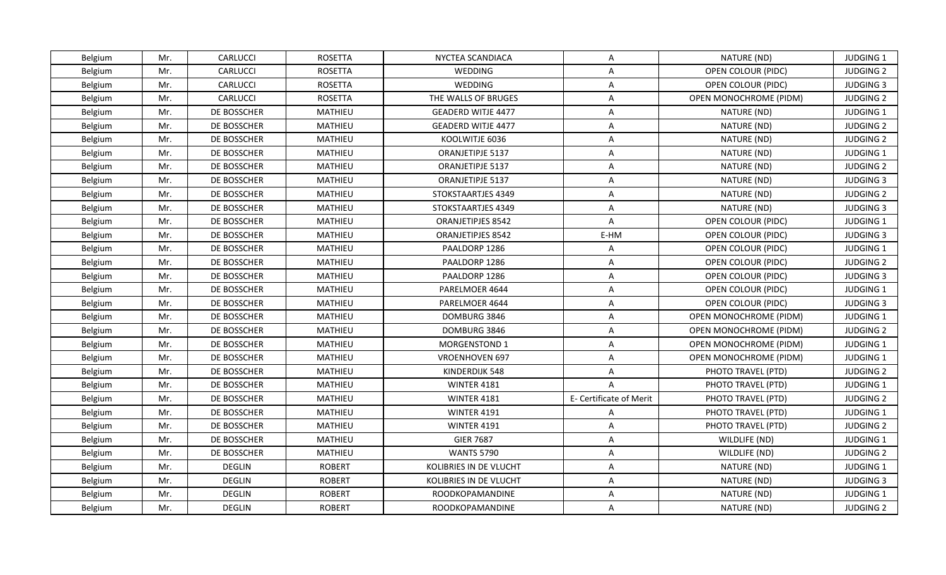| Belgium | Mr. | CARLUCCI      | <b>ROSETTA</b> | NYCTEA SCANDIACA          | $\mathsf{A}$            | NATURE (ND)                   | <b>JUDGING 1</b> |
|---------|-----|---------------|----------------|---------------------------|-------------------------|-------------------------------|------------------|
| Belgium | Mr. | CARLUCCI      | <b>ROSETTA</b> | WEDDING                   | $\mathsf{A}$            | OPEN COLOUR (PIDC)            | <b>JUDGING 2</b> |
| Belgium | Mr. | CARLUCCI      | ROSETTA        | WEDDING                   | $\mathsf{A}$            | OPEN COLOUR (PIDC)            | <b>JUDGING 3</b> |
| Belgium | Mr. | CARLUCCI      | ROSETTA        | THE WALLS OF BRUGES       | $\mathsf{A}$            | OPEN MONOCHROME (PIDM)        | <b>JUDGING 2</b> |
| Belgium | Mr. | DE BOSSCHER   | MATHIEU        | <b>GEADERD WITJE 4477</b> | A                       | NATURE (ND)                   | JUDGING 1        |
| Belgium | Mr. | DE BOSSCHER   | MATHIEU        | <b>GEADERD WITJE 4477</b> | A                       | NATURE (ND)                   | <b>JUDGING 2</b> |
| Belgium | Mr. | DE BOSSCHER   | MATHIEU        | KOOLWITJE 6036            | $\mathsf{A}$            | NATURE (ND)                   | <b>JUDGING 2</b> |
| Belgium | Mr. | DE BOSSCHER   | MATHIEU        | ORANJETIPJE 5137          | $\mathsf{A}$            | NATURE (ND)                   | JUDGING 1        |
| Belgium | Mr. | DE BOSSCHER   | MATHIEU        | ORANJETIPJE 5137          | $\mathsf{A}$            | NATURE (ND)                   | <b>JUDGING 2</b> |
| Belgium | Mr. | DE BOSSCHER   | MATHIEU        | ORANJETIPJE 5137          | $\mathsf{A}$            | NATURE (ND)                   | <b>JUDGING 3</b> |
| Belgium | Mr. | DE BOSSCHER   | MATHIEU        | STOKSTAARTJES 4349        | $\mathsf{A}$            | NATURE (ND)                   | <b>JUDGING 2</b> |
| Belgium | Mr. | DE BOSSCHER   | MATHIEU        | STOKSTAARTJES 4349        | $\mathsf{A}$            | NATURE (ND)                   | <b>JUDGING 3</b> |
| Belgium | Mr. | DE BOSSCHER   | MATHIEU        | ORANJETIPJES 8542         | $\overline{A}$          | OPEN COLOUR (PIDC)            | JUDGING 1        |
| Belgium | Mr. | DE BOSSCHER   | MATHIEU        | ORANJETIPJES 8542         | E-HM                    | OPEN COLOUR (PIDC)            | <b>JUDGING 3</b> |
| Belgium | Mr. | DE BOSSCHER   | MATHIEU        | PAALDORP 1286             | A                       | OPEN COLOUR (PIDC)            | JUDGING 1        |
| Belgium | Mr. | DE BOSSCHER   | MATHIEU        | PAALDORP 1286             | $\mathsf{A}$            | OPEN COLOUR (PIDC)            | <b>JUDGING 2</b> |
| Belgium | Mr. | DE BOSSCHER   | MATHIEU        | PAALDORP 1286             | $\mathsf{A}$            | OPEN COLOUR (PIDC)            | <b>JUDGING 3</b> |
| Belgium | Mr. | DE BOSSCHER   | MATHIEU        | PARELMOER 4644            | $\mathsf{A}$            | OPEN COLOUR (PIDC)            | JUDGING 1        |
| Belgium | Mr. | DE BOSSCHER   | MATHIEU        | PARELMOER 4644            | $\mathsf{A}$            | OPEN COLOUR (PIDC)            | <b>JUDGING 3</b> |
| Belgium | Mr. | DE BOSSCHER   | MATHIEU        | DOMBURG 3846              | A                       | OPEN MONOCHROME (PIDM)        | JUDGING 1        |
| Belgium | Mr. | DE BOSSCHER   | MATHIEU        | DOMBURG 3846              | $\mathsf{A}$            | <b>OPEN MONOCHROME (PIDM)</b> | <b>JUDGING 2</b> |
| Belgium | Mr. | DE BOSSCHER   | MATHIEU        | MORGENSTOND 1             | $\mathsf{A}$            | OPEN MONOCHROME (PIDM)        | JUDGING 1        |
| Belgium | Mr. | DE BOSSCHER   | MATHIEU        | <b>VROENHOVEN 697</b>     | $\overline{A}$          | OPEN MONOCHROME (PIDM)        | JUDGING 1        |
| Belgium | Mr. | DE BOSSCHER   | MATHIEU        | KINDERDIJK 548            | $\mathsf{A}$            | PHOTO TRAVEL (PTD)            | <b>JUDGING 2</b> |
| Belgium | Mr. | DE BOSSCHER   | MATHIEU        | <b>WINTER 4181</b>        | $\overline{A}$          | PHOTO TRAVEL (PTD)            | <b>JUDGING 1</b> |
| Belgium | Mr. | DE BOSSCHER   | MATHIEU        | <b>WINTER 4181</b>        | E- Certificate of Merit | PHOTO TRAVEL (PTD)            | <b>JUDGING 2</b> |
| Belgium | Mr. | DE BOSSCHER   | MATHIEU        | <b>WINTER 4191</b>        | A                       | PHOTO TRAVEL (PTD)            | JUDGING 1        |
| Belgium | Mr. | DE BOSSCHER   | MATHIEU        | <b>WINTER 4191</b>        | $\mathsf{A}$            | PHOTO TRAVEL (PTD)            | <b>JUDGING 2</b> |
| Belgium | Mr. | DE BOSSCHER   | MATHIEU        | <b>GIER 7687</b>          | A                       | WILDLIFE (ND)                 | JUDGING 1        |
| Belgium | Mr. | DE BOSSCHER   | MATHIEU        | <b>WANTS 5790</b>         | $\mathsf{A}$            | WILDLIFE (ND)                 | <b>JUDGING 2</b> |
| Belgium | Mr. | <b>DEGLIN</b> | <b>ROBERT</b>  | KOLIBRIES IN DE VLUCHT    | $\mathsf{A}$            | NATURE (ND)                   | JUDGING 1        |
| Belgium | Mr. | <b>DEGLIN</b> | <b>ROBERT</b>  | KOLIBRIES IN DE VLUCHT    | $\mathsf{A}$            | NATURE (ND)                   | <b>JUDGING 3</b> |
| Belgium | Mr. | <b>DEGLIN</b> | <b>ROBERT</b>  | ROODKOPAMANDINE           | $\mathsf{A}$            | NATURE (ND)                   | JUDGING 1        |
| Belgium | Mr. | <b>DEGLIN</b> | <b>ROBERT</b>  | <b>ROODKOPAMANDINE</b>    | A                       | NATURE (ND)                   | <b>JUDGING 2</b> |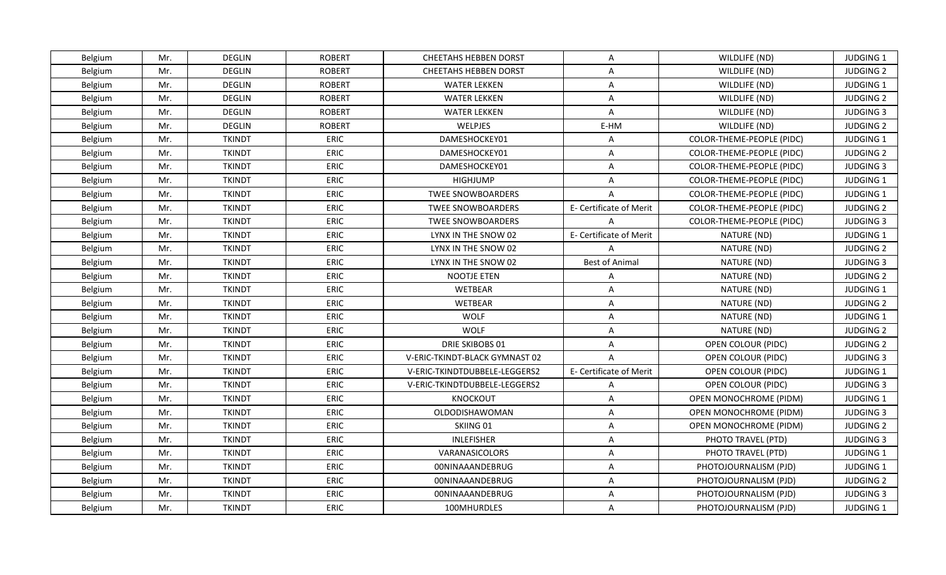| Belgium | Mr. | <b>DEGLIN</b> | <b>ROBERT</b> | <b>CHEETAHS HEBBEN DORST</b>   | A                       | WILDLIFE (ND)                    | <b>JUDGING 1</b> |
|---------|-----|---------------|---------------|--------------------------------|-------------------------|----------------------------------|------------------|
| Belgium | Mr. | <b>DEGLIN</b> | <b>ROBERT</b> | <b>CHEETAHS HEBBEN DORST</b>   | $\mathsf{A}$            | WILDLIFE (ND)                    | <b>JUDGING 2</b> |
| Belgium | Mr. | <b>DEGLIN</b> | <b>ROBERT</b> | <b>WATER LEKKEN</b>            | $\mathsf{A}$            | WILDLIFE (ND)                    | JUDGING 1        |
| Belgium | Mr. | <b>DEGLIN</b> | <b>ROBERT</b> | <b>WATER LEKKEN</b>            | A                       | WILDLIFE (ND)                    | <b>JUDGING 2</b> |
| Belgium | Mr. | <b>DEGLIN</b> | <b>ROBERT</b> | <b>WATER LEKKEN</b>            | $\overline{A}$          | WILDLIFE (ND)                    | <b>JUDGING 3</b> |
| Belgium | Mr. | <b>DEGLIN</b> | <b>ROBERT</b> | WELPJES                        | E-HM                    | WILDLIFE (ND)                    | <b>JUDGING 2</b> |
| Belgium | Mr. | <b>TKINDT</b> | <b>ERIC</b>   | DAMESHOCKEY01                  | $\mathsf{A}$            | COLOR-THEME-PEOPLE (PIDC)        | JUDGING 1        |
| Belgium | Mr. | <b>TKINDT</b> | <b>ERIC</b>   | DAMESHOCKEY01                  | $\mathsf{A}$            | COLOR-THEME-PEOPLE (PIDC)        | <b>JUDGING 2</b> |
| Belgium | Mr. | <b>TKINDT</b> | <b>ERIC</b>   | DAMESHOCKEY01                  | $\mathsf{A}$            | COLOR-THEME-PEOPLE (PIDC)        | <b>JUDGING 3</b> |
| Belgium | Mr. | <b>TKINDT</b> | <b>ERIC</b>   | HIGHJUMP                       | A                       | COLOR-THEME-PEOPLE (PIDC)        | JUDGING 1        |
| Belgium | Mr. | <b>TKINDT</b> | ERIC          | <b>TWEE SNOWBOARDERS</b>       | A                       | COLOR-THEME-PEOPLE (PIDC)        | JUDGING 1        |
| Belgium | Mr. | <b>TKINDT</b> | <b>ERIC</b>   | <b>TWEE SNOWBOARDERS</b>       | E- Certificate of Merit | <b>COLOR-THEME-PEOPLE (PIDC)</b> | <b>JUDGING 2</b> |
| Belgium | Mr. | <b>TKINDT</b> | ERIC          | <b>TWEE SNOWBOARDERS</b>       | $\Delta$                | COLOR-THEME-PEOPLE (PIDC)        | <b>JUDGING 3</b> |
| Belgium | Mr. | <b>TKINDT</b> | ERIC          | LYNX IN THE SNOW 02            | E- Certificate of Merit | NATURE (ND)                      | JUDGING 1        |
| Belgium | Mr. | <b>TKINDT</b> | <b>ERIC</b>   | LYNX IN THE SNOW 02            | $\mathsf{A}$            | NATURE (ND)                      | <b>JUDGING 2</b> |
| Belgium | Mr. | <b>TKINDT</b> | ERIC          | LYNX IN THE SNOW 02            | <b>Best of Animal</b>   | NATURE (ND)                      | <b>JUDGING 3</b> |
| Belgium | Mr. | <b>TKINDT</b> | <b>ERIC</b>   | <b>NOOTJE ETEN</b>             | A                       | NATURE (ND)                      | <b>JUDGING 2</b> |
| Belgium | Mr. | <b>TKINDT</b> | <b>ERIC</b>   | <b>WETBEAR</b>                 | $\mathsf{A}$            | NATURE (ND)                      | JUDGING 1        |
| Belgium | Mr. | <b>TKINDT</b> | <b>ERIC</b>   | <b>WETBEAR</b>                 | A                       | NATURE (ND)                      | <b>JUDGING 2</b> |
| Belgium | Mr. | <b>TKINDT</b> | <b>ERIC</b>   | <b>WOLF</b>                    | $\mathsf{A}$            | NATURE (ND)                      | JUDGING 1        |
| Belgium | Mr. | <b>TKINDT</b> | ERIC          | <b>WOLF</b>                    | $\mathsf{A}$            | NATURE (ND)                      | <b>JUDGING 2</b> |
| Belgium | Mr. | <b>TKINDT</b> | <b>ERIC</b>   | <b>DRIE SKIBOBS 01</b>         | $\mathsf{A}$            | <b>OPEN COLOUR (PIDC)</b>        | <b>JUDGING 2</b> |
| Belgium | Mr. | <b>TKINDT</b> | ERIC          | V-ERIC-TKINDT-BLACK GYMNAST 02 | $\overline{A}$          | OPEN COLOUR (PIDC)               | <b>JUDGING 3</b> |
| Belgium | Mr. | <b>TKINDT</b> | <b>ERIC</b>   | V-ERIC-TKINDTDUBBELE-LEGGERS2  | E- Certificate of Merit | OPEN COLOUR (PIDC)               | <b>JUDGING 1</b> |
| Belgium | Mr. | <b>TKINDT</b> | <b>ERIC</b>   | V-ERIC-TKINDTDUBBELE-LEGGERS2  | $\mathsf{A}$            | OPEN COLOUR (PIDC)               | <b>JUDGING 3</b> |
| Belgium | Mr. | <b>TKINDT</b> | ERIC          | KNOCKOUT                       | $\mathsf{A}$            | OPEN MONOCHROME (PIDM)           | JUDGING 1        |
| Belgium | Mr. | <b>TKINDT</b> | ERIC          | OLDODISHAWOMAN                 | $\mathsf{A}$            | OPEN MONOCHROME (PIDM)           | <b>JUDGING 3</b> |
| Belgium | Mr. | <b>TKINDT</b> | <b>ERIC</b>   | SKIING 01                      | $\mathsf{A}$            | OPEN MONOCHROME (PIDM)           | <b>JUDGING 2</b> |
| Belgium | Mr. | <b>TKINDT</b> | <b>ERIC</b>   | <b>INLEFISHER</b>              | A                       | PHOTO TRAVEL (PTD)               | <b>JUDGING 3</b> |
| Belgium | Mr. | <b>TKINDT</b> | <b>ERIC</b>   | VARANASICOLORS                 | $\mathsf{A}$            | PHOTO TRAVEL (PTD)               | JUDGING 1        |
| Belgium | Mr. | <b>TKINDT</b> | ERIC          | <b>00NINAAANDEBRUG</b>         | $\mathsf{A}$            | PHOTOJOURNALISM (PJD)            | JUDGING 1        |
| Belgium | Mr. | <b>TKINDT</b> | ERIC          | <b>00NINAAANDEBRUG</b>         | $\mathsf{A}$            | PHOTOJOURNALISM (PJD)            | <b>JUDGING 2</b> |
| Belgium | Mr. | <b>TKINDT</b> | ERIC          | 00NINAAANDEBRUG                | $\mathsf{A}$            | PHOTOJOURNALISM (PJD)            | <b>JUDGING 3</b> |
| Belgium | Mr. | <b>TKINDT</b> | <b>ERIC</b>   | 100MHURDLES                    | A                       | PHOTOJOURNALISM (PJD)            | JUDGING 1        |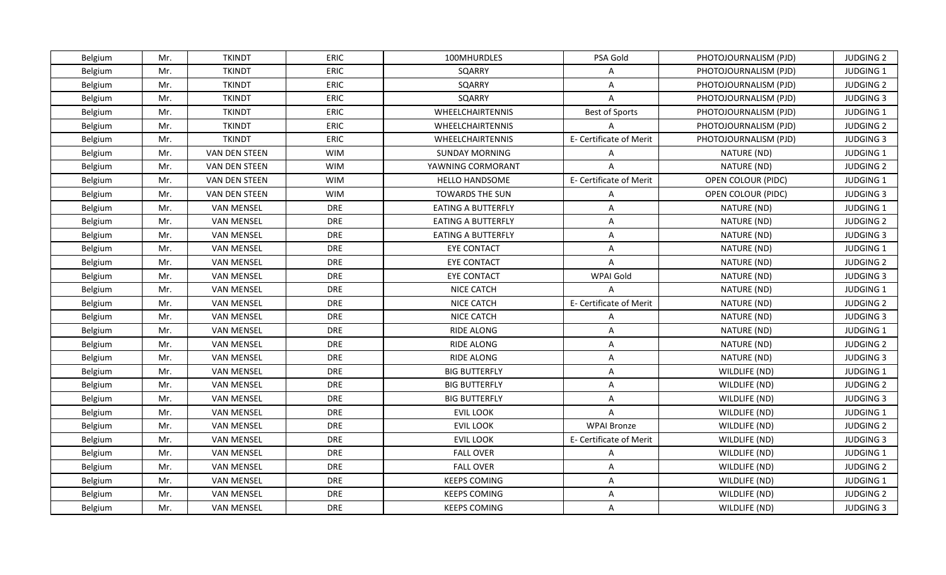| Belgium | Mr. | <b>TKINDT</b>     | <b>ERIC</b> | 100MHURDLES               | PSA Gold                | PHOTOJOURNALISM (PJD) | <b>JUDGING 2</b> |
|---------|-----|-------------------|-------------|---------------------------|-------------------------|-----------------------|------------------|
| Belgium | Mr. | <b>TKINDT</b>     | <b>ERIC</b> | SQARRY                    | A                       | PHOTOJOURNALISM (PJD) | JUDGING 1        |
| Belgium | Mr. | <b>TKINDT</b>     | <b>ERIC</b> | SQARRY                    | $\mathsf{A}$            | PHOTOJOURNALISM (PJD) | <b>JUDGING 2</b> |
| Belgium | Mr. | <b>TKINDT</b>     | <b>ERIC</b> | SQARRY                    | $\mathsf{A}$            | PHOTOJOURNALISM (PJD) | <b>JUDGING 3</b> |
| Belgium | Mr. | <b>TKINDT</b>     | ERIC        | WHEELCHAIRTENNIS          | <b>Best of Sports</b>   | PHOTOJOURNALISM (PJD) | JUDGING 1        |
| Belgium | Mr. | <b>TKINDT</b>     | ERIC        | WHEELCHAIRTENNIS          | A                       | PHOTOJOURNALISM (PJD) | <b>JUDGING 2</b> |
| Belgium | Mr. | <b>TKINDT</b>     | ERIC        | WHEELCHAIRTENNIS          | E- Certificate of Merit | PHOTOJOURNALISM (PJD) | <b>JUDGING 3</b> |
| Belgium | Mr. | VAN DEN STEEN     | <b>WIM</b>  | <b>SUNDAY MORNING</b>     | $\mathsf{A}$            | NATURE (ND)           | JUDGING 1        |
| Belgium | Mr. | VAN DEN STEEN     | <b>WIM</b>  | YAWNING CORMORANT         | $\Delta$                | NATURE (ND)           | <b>JUDGING 2</b> |
| Belgium | Mr. | VAN DEN STEEN     | <b>WIM</b>  | <b>HELLO HANDSOME</b>     | E- Certificate of Merit | OPEN COLOUR (PIDC)    | JUDGING 1        |
| Belgium | Mr. | VAN DEN STEEN     | <b>WIM</b>  | <b>TOWARDS THE SUN</b>    | A                       | OPEN COLOUR (PIDC)    | <b>JUDGING 3</b> |
| Belgium | Mr. | <b>VAN MENSEL</b> | <b>DRE</b>  | <b>EATING A BUTTERFLY</b> | $\mathsf{A}$            | NATURE (ND)           | JUDGING 1        |
| Belgium | Mr. | <b>VAN MENSEL</b> | <b>DRE</b>  | <b>EATING A BUTTERFLY</b> | $\mathsf{A}$            | NATURE (ND)           | <b>JUDGING 2</b> |
| Belgium | Mr. | <b>VAN MENSEL</b> | DRE         | <b>EATING A BUTTERFLY</b> | $\mathsf{A}$            | NATURE (ND)           | <b>JUDGING 3</b> |
| Belgium | Mr. | <b>VAN MENSEL</b> | <b>DRE</b>  | <b>EYE CONTACT</b>        | $\mathsf{A}$            | NATURE (ND)           | JUDGING 1        |
| Belgium | Mr. | <b>VAN MENSEL</b> | <b>DRE</b>  | <b>EYE CONTACT</b>        | $\mathsf{A}$            | NATURE (ND)           | <b>JUDGING 2</b> |
| Belgium | Mr. | <b>VAN MENSEL</b> | <b>DRE</b>  | <b>EYE CONTACT</b>        | WPAI Gold               | NATURE (ND)           | <b>JUDGING 3</b> |
| Belgium | Mr. | <b>VAN MENSEL</b> | <b>DRE</b>  | <b>NICE CATCH</b>         | $\overline{A}$          | NATURE (ND)           | JUDGING 1        |
| Belgium | Mr. | <b>VAN MENSEL</b> | <b>DRE</b>  | <b>NICE CATCH</b>         | E- Certificate of Merit | NATURE (ND)           | <b>JUDGING 2</b> |
| Belgium | Mr. | <b>VAN MENSEL</b> | <b>DRE</b>  | <b>NICE CATCH</b>         | $\mathsf{A}$            | NATURE (ND)           | <b>JUDGING 3</b> |
| Belgium | Mr. | <b>VAN MENSEL</b> | <b>DRE</b>  | RIDE ALONG                | $\mathsf{A}$            | NATURE (ND)           | JUDGING 1        |
| Belgium | Mr. | <b>VAN MENSEL</b> | <b>DRE</b>  | RIDE ALONG                | $\mathsf{A}$            | NATURE (ND)           | <b>JUDGING 2</b> |
| Belgium | Mr. | <b>VAN MENSEL</b> | <b>DRE</b>  | RIDE ALONG                | A                       | NATURE (ND)           | <b>JUDGING 3</b> |
| Belgium | Mr. | <b>VAN MENSEL</b> | <b>DRE</b>  | <b>BIG BUTTERFLY</b>      | $\mathsf{A}$            | WILDLIFE (ND)         | <b>JUDGING 1</b> |
| Belgium | Mr. | <b>VAN MENSEL</b> | <b>DRE</b>  | <b>BIG BUTTERFLY</b>      | $\overline{A}$          | WILDLIFE (ND)         | <b>JUDGING 2</b> |
| Belgium | Mr. | <b>VAN MENSEL</b> | <b>DRE</b>  | <b>BIG BUTTERFLY</b>      | A                       | WILDLIFE (ND)         | <b>JUDGING 3</b> |
| Belgium | Mr. | <b>VAN MENSEL</b> | <b>DRE</b>  | <b>EVIL LOOK</b>          | $\mathsf{A}$            | WILDLIFE (ND)         | JUDGING 1        |
| Belgium | Mr. | <b>VAN MENSEL</b> | <b>DRE</b>  | <b>EVIL LOOK</b>          | <b>WPAI Bronze</b>      | WILDLIFE (ND)         | <b>JUDGING 2</b> |
| Belgium | Mr. | <b>VAN MENSEL</b> | <b>DRE</b>  | <b>EVIL LOOK</b>          | E- Certificate of Merit | WILDLIFE (ND)         | <b>JUDGING 3</b> |
| Belgium | Mr. | <b>VAN MENSEL</b> | <b>DRE</b>  | <b>FALL OVER</b>          | $\mathsf{A}$            | WILDLIFE (ND)         | JUDGING 1        |
| Belgium | Mr. | <b>VAN MENSEL</b> | <b>DRE</b>  | <b>FALL OVER</b>          | A                       | WILDLIFE (ND)         | <b>JUDGING 2</b> |
| Belgium | Mr. | <b>VAN MENSEL</b> | <b>DRE</b>  | <b>KEEPS COMING</b>       | $\mathsf{A}$            | WILDLIFE (ND)         | JUDGING 1        |
| Belgium | Mr. | <b>VAN MENSEL</b> | <b>DRE</b>  | <b>KEEPS COMING</b>       | A                       | WILDLIFE (ND)         | <b>JUDGING 2</b> |
| Belgium | Mr. | <b>VAN MENSEL</b> | <b>DRE</b>  | <b>KEEPS COMING</b>       | $\mathsf{A}$            | WILDLIFE (ND)         | <b>JUDGING 3</b> |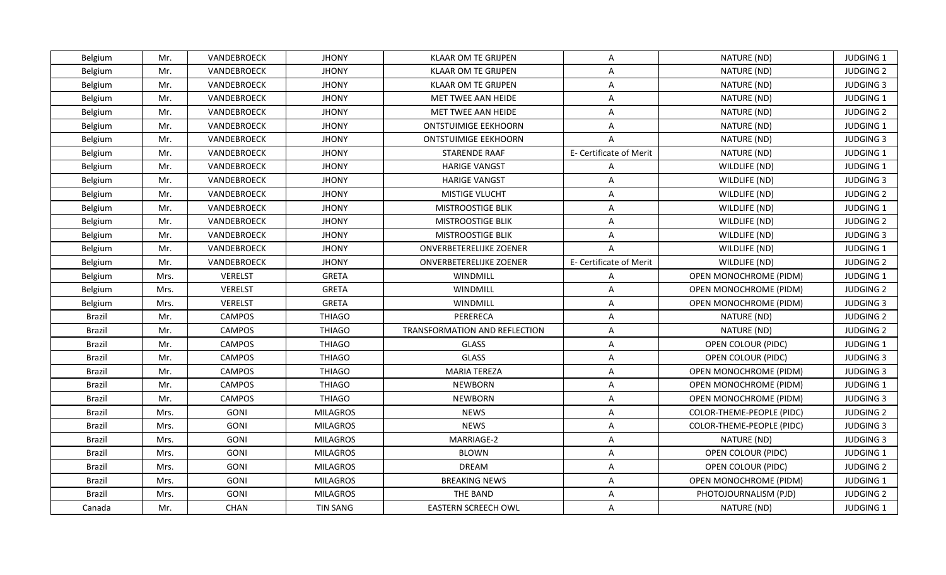| Belgium | Mr.  | VANDEBROECK    | <b>JHONY</b>    | <b>KLAAR OM TE GRIJPEN</b>     | $\mathsf{A}$            | NATURE (ND)                      | <b>JUDGING 1</b> |
|---------|------|----------------|-----------------|--------------------------------|-------------------------|----------------------------------|------------------|
| Belgium | Mr.  | VANDEBROECK    | <b>JHONY</b>    | <b>KLAAR OM TE GRIJPEN</b>     | $\overline{A}$          | NATURE (ND)                      | <b>JUDGING 2</b> |
| Belgium | Mr.  | VANDEBROECK    | <b>JHONY</b>    | <b>KLAAR OM TE GRIJPEN</b>     | $\mathsf{A}$            | NATURE (ND)                      | <b>JUDGING 3</b> |
| Belgium | Mr.  | VANDEBROECK    | <b>JHONY</b>    | MET TWEE AAN HEIDE             | $\mathsf{A}$            | NATURE (ND)                      | JUDGING 1        |
| Belgium | Mr.  | VANDEBROECK    | <b>JHONY</b>    | MET TWEE AAN HEIDE             | A                       | NATURE (ND)                      | <b>JUDGING 2</b> |
| Belgium | Mr.  | VANDEBROECK    | <b>JHONY</b>    | <b>ONTSTUIMIGE EEKHOORN</b>    | A                       | NATURE (ND)                      | <b>JUDGING 1</b> |
| Belgium | Mr.  | VANDEBROECK    | <b>JHONY</b>    | <b>ONTSTUIMIGE EEKHOORN</b>    | $\overline{A}$          | NATURE (ND)                      | <b>JUDGING 3</b> |
| Belgium | Mr.  | VANDEBROECK    | <b>JHONY</b>    | <b>STARENDE RAAF</b>           | E- Certificate of Merit | NATURE (ND)                      | JUDGING 1        |
| Belgium | Mr.  | VANDEBROECK    | <b>JHONY</b>    | <b>HARIGE VANGST</b>           | $\mathsf{A}$            | WILDLIFE (ND)                    | JUDGING 1        |
| Belgium | Mr.  | VANDEBROECK    | <b>JHONY</b>    | <b>HARIGE VANGST</b>           | $\overline{A}$          | WILDLIFE (ND)                    | <b>JUDGING 3</b> |
| Belgium | Mr.  | VANDEBROECK    | <b>JHONY</b>    | MISTIGE VLUCHT                 | $\mathsf{A}$            | WILDLIFE (ND)                    | <b>JUDGING 2</b> |
| Belgium | Mr.  | VANDEBROECK    | <b>JHONY</b>    | MISTROOSTIGE BLIK              | A                       | WILDLIFE (ND)                    | JUDGING 1        |
| Belgium | Mr.  | VANDEBROECK    | <b>JHONY</b>    | MISTROOSTIGE BLIK              | $\mathsf{A}$            | WILDLIFE (ND)                    | <b>JUDGING 2</b> |
| Belgium | Mr.  | VANDEBROECK    | <b>JHONY</b>    | MISTROOSTIGE BLIK              | A                       | WILDLIFE (ND)                    | <b>JUDGING 3</b> |
| Belgium | Mr.  | VANDEBROECK    | <b>JHONY</b>    | <b>ONVERBETERELIJKE ZOENER</b> | $\overline{A}$          | WILDLIFE (ND)                    | JUDGING 1        |
| Belgium | Mr.  | VANDEBROECK    | <b>JHONY</b>    | ONVERBETERELIJKE ZOENER        | E- Certificate of Merit | WILDLIFE (ND)                    | <b>JUDGING 2</b> |
| Belgium | Mrs. | <b>VERELST</b> | <b>GRETA</b>    | WINDMILL                       | A                       | OPEN MONOCHROME (PIDM)           | JUDGING 1        |
| Belgium | Mrs. | <b>VERELST</b> | <b>GRETA</b>    | WINDMILL                       | $\mathsf{A}$            | OPEN MONOCHROME (PIDM)           | <b>JUDGING 2</b> |
| Belgium | Mrs. | <b>VERELST</b> | <b>GRETA</b>    | <b>WINDMILL</b>                | $\mathsf{A}$            | OPEN MONOCHROME (PIDM)           | <b>JUDGING 3</b> |
| Brazil  | Mr.  | <b>CAMPOS</b>  | <b>THIAGO</b>   | PERERECA                       | $\mathsf{A}$            | NATURE (ND)                      | <b>JUDGING 2</b> |
| Brazil  | Mr.  | CAMPOS         | <b>THIAGO</b>   | TRANSFORMATION AND REFLECTION  | A                       | NATURE (ND)                      | <b>JUDGING 2</b> |
| Brazil  | Mr.  | <b>CAMPOS</b>  | <b>THIAGO</b>   | <b>GLASS</b>                   | $\overline{A}$          | OPEN COLOUR (PIDC)               | JUDGING 1        |
| Brazil  | Mr.  | <b>CAMPOS</b>  | <b>THIAGO</b>   | <b>GLASS</b>                   | A                       | OPEN COLOUR (PIDC)               | <b>JUDGING 3</b> |
| Brazil  | Mr.  | CAMPOS         | <b>THIAGO</b>   | <b>MARIA TEREZA</b>            | $\mathsf{A}$            | OPEN MONOCHROME (PIDM)           | <b>JUDGING 3</b> |
| Brazil  | Mr.  | CAMPOS         | <b>THIAGO</b>   | <b>NEWBORN</b>                 | A                       | OPEN MONOCHROME (PIDM)           | JUDGING 1        |
| Brazil  | Mr.  | <b>CAMPOS</b>  | <b>THIAGO</b>   | <b>NEWBORN</b>                 | $\overline{A}$          | OPEN MONOCHROME (PIDM)           | <b>JUDGING 3</b> |
| Brazil  | Mrs. | GONI           | <b>MILAGROS</b> | <b>NEWS</b>                    | $\mathsf{A}$            | COLOR-THEME-PEOPLE (PIDC)        | <b>JUDGING 2</b> |
| Brazil  | Mrs. | GONI           | <b>MILAGROS</b> | <b>NEWS</b>                    | $\mathsf{A}$            | <b>COLOR-THEME-PEOPLE (PIDC)</b> | <b>JUDGING 3</b> |
| Brazil  | Mrs. | GONI           | <b>MILAGROS</b> | MARRIAGE-2                     | $\mathsf{A}$            | NATURE (ND)                      | <b>JUDGING 3</b> |
| Brazil  | Mrs. | GONI           | <b>MILAGROS</b> | <b>BLOWN</b>                   | $\mathsf{A}$            | OPEN COLOUR (PIDC)               | <b>JUDGING 1</b> |
| Brazil  | Mrs. | GONI           | <b>MILAGROS</b> | <b>DREAM</b>                   | $\mathsf{A}$            | OPEN COLOUR (PIDC)               | <b>JUDGING 2</b> |
| Brazil  | Mrs. | GONI           | <b>MILAGROS</b> | <b>BREAKING NEWS</b>           | A                       | OPEN MONOCHROME (PIDM)           | JUDGING 1        |
| Brazil  | Mrs. | GONI           | <b>MILAGROS</b> | THE BAND                       | $\overline{A}$          | PHOTOJOURNALISM (PJD)            | <b>JUDGING 2</b> |
| Canada  | Mr.  | <b>CHAN</b>    | <b>TIN SANG</b> | <b>EASTERN SCREECH OWL</b>     | A                       | NATURE (ND)                      | <b>JUDGING 1</b> |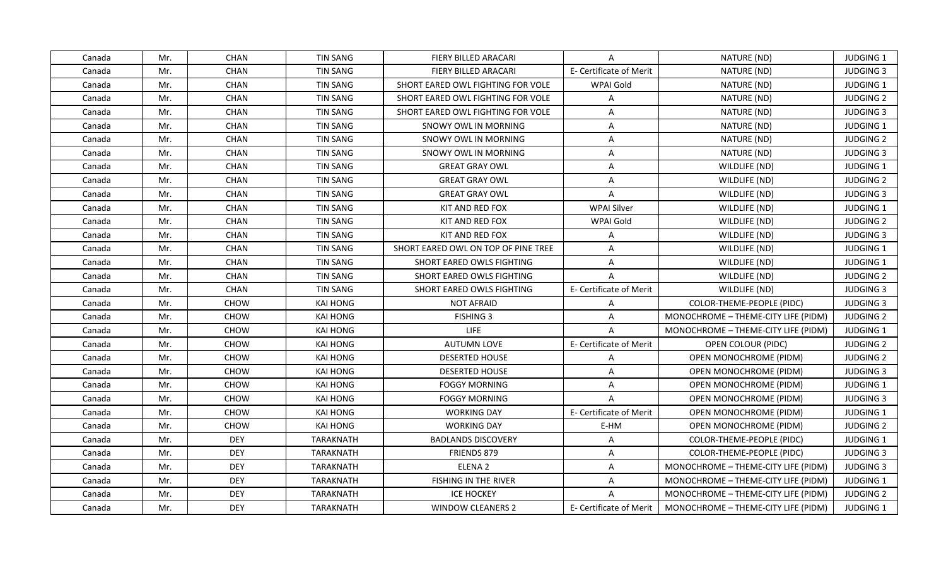| Canada | Mr. | <b>CHAN</b> | <b>TIN SANG</b>  | FIERY BILLED ARACARI                | A                       | NATURE (ND)                         | <b>JUDGING 1</b> |
|--------|-----|-------------|------------------|-------------------------------------|-------------------------|-------------------------------------|------------------|
| Canada | Mr. | CHAN        | <b>TIN SANG</b>  | <b>FIERY BILLED ARACARI</b>         | E- Certificate of Merit | NATURE (ND)                         | <b>JUDGING 3</b> |
| Canada | Mr. | CHAN        | TIN SANG         | SHORT EARED OWL FIGHTING FOR VOLE   | <b>WPAI Gold</b>        | NATURE (ND)                         | JUDGING 1        |
| Canada | Mr. | CHAN        | <b>TIN SANG</b>  | SHORT EARED OWL FIGHTING FOR VOLE   | $\mathsf{A}$            | NATURE (ND)                         | <b>JUDGING 2</b> |
| Canada | Mr. | CHAN        | <b>TIN SANG</b>  | SHORT EARED OWL FIGHTING FOR VOLE   | A                       | NATURE (ND)                         | <b>JUDGING 3</b> |
| Canada | Mr. | CHAN        | TIN SANG         | SNOWY OWL IN MORNING                | $\mathsf{A}$            | NATURE (ND)                         | JUDGING 1        |
| Canada | Mr. | <b>CHAN</b> | <b>TIN SANG</b>  | <b>SNOWY OWL IN MORNING</b>         | $\mathsf{A}$            | NATURE (ND)                         | <b>JUDGING 2</b> |
| Canada | Mr. | CHAN        | <b>TIN SANG</b>  | SNOWY OWL IN MORNING                | $\mathsf{A}$            | NATURE (ND)                         | <b>JUDGING 3</b> |
| Canada | Mr. | <b>CHAN</b> | <b>TIN SANG</b>  | <b>GREAT GRAY OWL</b>               | $\overline{A}$          | WILDLIFE (ND)                       | JUDGING 1        |
| Canada | Mr. | CHAN        | <b>TIN SANG</b>  | <b>GREAT GRAY OWL</b>               | $\mathsf{A}$            | WILDLIFE (ND)                       | <b>JUDGING 2</b> |
| Canada | Mr. | <b>CHAN</b> | <b>TIN SANG</b>  | <b>GREAT GRAY OWL</b>               | A                       | WILDLIFE (ND)                       | <b>JUDGING 3</b> |
| Canada | Mr. | CHAN        | <b>TIN SANG</b>  | KIT AND RED FOX                     | <b>WPAI Silver</b>      | WILDLIFE (ND)                       | JUDGING 1        |
| Canada | Mr. | CHAN        | <b>TIN SANG</b>  | KIT AND RED FOX                     | WPAI Gold               | WILDLIFE (ND)                       | <b>JUDGING 2</b> |
| Canada | Mr. | CHAN        | <b>TIN SANG</b>  | KIT AND RED FOX                     | A                       | WILDLIFE (ND)                       | <b>JUDGING 3</b> |
| Canada | Mr. | CHAN        | <b>TIN SANG</b>  | SHORT EARED OWL ON TOP OF PINE TREE | A                       | WILDLIFE (ND)                       | JUDGING 1        |
| Canada | Mr. | CHAN        | <b>TIN SANG</b>  | SHORT EARED OWLS FIGHTING           | A                       | WILDLIFE (ND)                       | <b>JUDGING 1</b> |
| Canada | Mr. | CHAN        | <b>TIN SANG</b>  | SHORT EARED OWLS FIGHTING           | $\mathsf{A}$            | WILDLIFE (ND)                       | <b>JUDGING 2</b> |
| Canada | Mr. | <b>CHAN</b> | <b>TIN SANG</b>  | SHORT EARED OWLS FIGHTING           | E- Certificate of Merit | WILDLIFE (ND)                       | <b>JUDGING 3</b> |
| Canada | Mr. | CHOW        | <b>KAI HONG</b>  | <b>NOT AFRAID</b>                   | $\overline{A}$          | COLOR-THEME-PEOPLE (PIDC)           | <b>JUDGING 3</b> |
| Canada | Mr. | CHOW        | <b>KAI HONG</b>  | <b>FISHING 3</b>                    | A                       | MONOCHROME - THEME-CITY LIFE (PIDM) | <b>JUDGING 2</b> |
| Canada | Mr. | CHOW        | <b>KAI HONG</b>  | <b>LIFE</b>                         | $\mathsf{A}$            | MONOCHROME - THEME-CITY LIFE (PIDM) | <b>JUDGING 1</b> |
| Canada | Mr. | CHOW        | <b>KAI HONG</b>  | <b>AUTUMN LOVE</b>                  | E- Certificate of Merit | OPEN COLOUR (PIDC)                  | <b>JUDGING 2</b> |
| Canada | Mr. | CHOW        | <b>KAI HONG</b>  | <b>DESERTED HOUSE</b>               | $\mathsf{A}$            | OPEN MONOCHROME (PIDM)              | <b>JUDGING 2</b> |
| Canada | Mr. | CHOW        | <b>KAI HONG</b>  | <b>DESERTED HOUSE</b>               | $\mathsf{A}$            | <b>OPEN MONOCHROME (PIDM)</b>       | <b>JUDGING 3</b> |
| Canada | Mr. | <b>CHOW</b> | <b>KAI HONG</b>  | <b>FOGGY MORNING</b>                | A                       | <b>OPEN MONOCHROME (PIDM)</b>       | <b>JUDGING 1</b> |
| Canada | Mr. | CHOW        | <b>KAI HONG</b>  | FOGGY MORNING                       | A                       | <b>OPEN MONOCHROME (PIDM)</b>       | <b>JUDGING 3</b> |
| Canada | Mr. | CHOW        | KAI HONG         | <b>WORKING DAY</b>                  | E- Certificate of Merit | <b>OPEN MONOCHROME (PIDM)</b>       | <b>JUDGING 1</b> |
| Canada | Mr. | CHOW        | <b>KAI HONG</b>  | <b>WORKING DAY</b>                  | E-HM                    | OPEN MONOCHROME (PIDM)              | <b>JUDGING 2</b> |
| Canada | Mr. | <b>DEY</b>  | <b>TARAKNATH</b> | <b>BADLANDS DISCOVERY</b>           | A                       | COLOR-THEME-PEOPLE (PIDC)           | <b>JUDGING 1</b> |
| Canada | Mr. | <b>DEY</b>  | <b>TARAKNATH</b> | <b>FRIENDS 879</b>                  | $\mathsf{A}$            | COLOR-THEME-PEOPLE (PIDC)           | <b>JUDGING 3</b> |
| Canada | Mr. | <b>DEY</b>  | <b>TARAKNATH</b> | ELENA <sub>2</sub>                  | $\mathsf{A}$            | MONOCHROME - THEME-CITY LIFE (PIDM) | <b>JUDGING 3</b> |
| Canada | Mr. | <b>DEY</b>  | TARAKNATH        | FISHING IN THE RIVER                | $\mathsf{A}$            | MONOCHROME - THEME-CITY LIFE (PIDM) | <b>JUDGING 1</b> |
| Canada | Mr. | <b>DEY</b>  | <b>TARAKNATH</b> | <b>ICE HOCKEY</b>                   | $\overline{A}$          | MONOCHROME - THEME-CITY LIFE (PIDM) | <b>JUDGING 2</b> |
| Canada | Mr. | <b>DEY</b>  | <b>TARAKNATH</b> | <b>WINDOW CLEANERS 2</b>            | E- Certificate of Merit | MONOCHROME - THEME-CITY LIFE (PIDM) | <b>JUDGING 1</b> |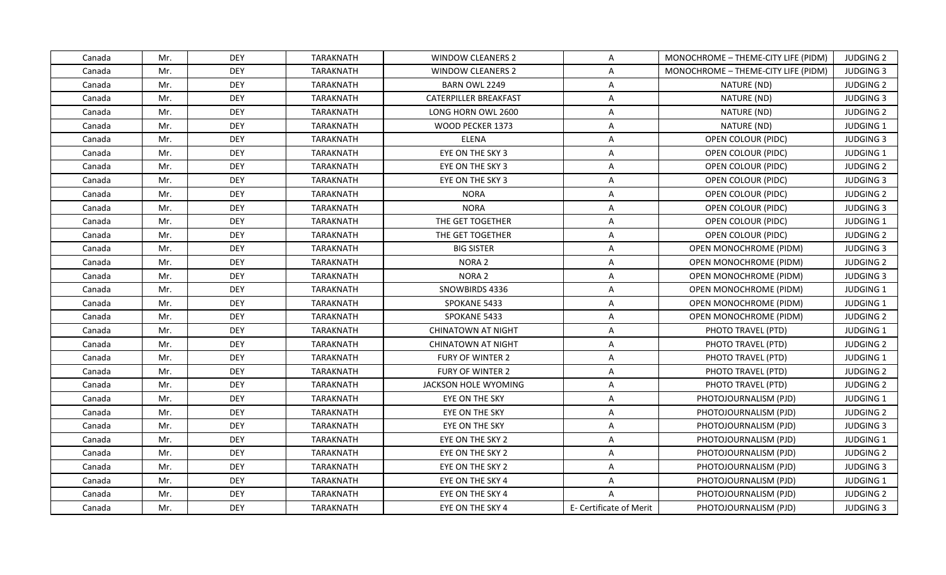| Canada | Mr. | <b>DEY</b> | TARAKNATH        | <b>WINDOW CLEANERS 2</b>     | A                       | MONOCHROME - THEME-CITY LIFE (PIDM) | <b>JUDGING 2</b> |
|--------|-----|------------|------------------|------------------------------|-------------------------|-------------------------------------|------------------|
| Canada | Mr. | <b>DEY</b> | <b>TARAKNATH</b> | <b>WINDOW CLEANERS 2</b>     | $\overline{A}$          | MONOCHROME - THEME-CITY LIFE (PIDM) | <b>JUDGING 3</b> |
| Canada | Mr. | <b>DEY</b> | <b>TARAKNATH</b> | BARN OWL 2249                | $\mathsf{A}$            | NATURE (ND)                         | <b>JUDGING 2</b> |
| Canada | Mr. | <b>DEY</b> | <b>TARAKNATH</b> | <b>CATERPILLER BREAKFAST</b> | $\mathsf{A}$            | NATURE (ND)                         | <b>JUDGING 3</b> |
| Canada | Mr. | <b>DEY</b> | <b>TARAKNATH</b> | LONG HORN OWL 2600           | A                       | NATURE (ND)                         | <b>JUDGING 2</b> |
| Canada | Mr. | <b>DEY</b> | <b>TARAKNATH</b> | <b>WOOD PECKER 1373</b>      | A                       | NATURE (ND)                         | <b>JUDGING 1</b> |
| Canada | Mr. | <b>DEY</b> | <b>TARAKNATH</b> | <b>ELENA</b>                 | A                       | OPEN COLOUR (PIDC)                  | <b>JUDGING 3</b> |
| Canada | Mr. | <b>DEY</b> | <b>TARAKNATH</b> | EYE ON THE SKY 3             | $\mathsf{A}$            | OPEN COLOUR (PIDC)                  | <b>JUDGING 1</b> |
| Canada | Mr. | <b>DEY</b> | TARAKNATH        | EYE ON THE SKY 3             | $\mathsf{A}$            | OPEN COLOUR (PIDC)                  | <b>JUDGING 2</b> |
| Canada | Mr. | <b>DEY</b> | <b>TARAKNATH</b> | EYE ON THE SKY 3             | A                       | OPEN COLOUR (PIDC)                  | <b>JUDGING 3</b> |
| Canada | Mr. | <b>DEY</b> | <b>TARAKNATH</b> | <b>NORA</b>                  | $\mathsf{A}$            | OPEN COLOUR (PIDC)                  | <b>JUDGING 2</b> |
| Canada | Mr. | <b>DEY</b> | <b>TARAKNATH</b> | <b>NORA</b>                  | A                       | OPEN COLOUR (PIDC)                  | <b>JUDGING 3</b> |
| Canada | Mr. | <b>DEY</b> | <b>TARAKNATH</b> | THE GET TOGETHER             | $\mathsf{A}$            | OPEN COLOUR (PIDC)                  | JUDGING 1        |
| Canada | Mr. | <b>DEY</b> | <b>TARAKNATH</b> | THE GET TOGETHER             | A                       | OPEN COLOUR (PIDC)                  | <b>JUDGING 2</b> |
| Canada | Mr. | <b>DEY</b> | <b>TARAKNATH</b> | <b>BIG SISTER</b>            | A                       | OPEN MONOCHROME (PIDM)              | <b>JUDGING 3</b> |
| Canada | Mr. | <b>DEY</b> | <b>TARAKNATH</b> | NORA <sub>2</sub>            | A                       | OPEN MONOCHROME (PIDM)              | <b>JUDGING 2</b> |
| Canada | Mr. | <b>DEY</b> | <b>TARAKNATH</b> | NORA <sub>2</sub>            | A                       | OPEN MONOCHROME (PIDM)              | <b>JUDGING 3</b> |
| Canada | Mr. | <b>DEY</b> | TARAKNATH        | SNOWBIRDS 4336               | $\mathsf{A}$            | OPEN MONOCHROME (PIDM)              | JUDGING 1        |
| Canada | Mr. | <b>DEY</b> | <b>TARAKNATH</b> | SPOKANE 5433                 | A                       | OPEN MONOCHROME (PIDM)              | <b>JUDGING 1</b> |
| Canada | Mr. | <b>DEY</b> | <b>TARAKNATH</b> | SPOKANE 5433                 | $\mathsf{A}$            | <b>OPEN MONOCHROME (PIDM)</b>       | <b>JUDGING 2</b> |
| Canada | Mr. | <b>DEY</b> | <b>TARAKNATH</b> | CHINATOWN AT NIGHT           | A                       | PHOTO TRAVEL (PTD)                  | <b>JUDGING 1</b> |
| Canada | Mr. | <b>DEY</b> | <b>TARAKNATH</b> | <b>CHINATOWN AT NIGHT</b>    | $\overline{A}$          | PHOTO TRAVEL (PTD)                  | <b>JUDGING 2</b> |
| Canada | Mr. | <b>DEY</b> | <b>TARAKNATH</b> | FURY OF WINTER 2             | A                       | PHOTO TRAVEL (PTD)                  | JUDGING 1        |
| Canada | Mr. | <b>DEY</b> | <b>TARAKNATH</b> | <b>FURY OF WINTER 2</b>      | $\mathsf{A}$            | PHOTO TRAVEL (PTD)                  | <b>JUDGING 2</b> |
| Canada | Mr. | <b>DEY</b> | <b>TARAKNATH</b> | JACKSON HOLE WYOMING         | A                       | PHOTO TRAVEL (PTD)                  | <b>JUDGING 2</b> |
| Canada | Mr. | <b>DEY</b> | <b>TARAKNATH</b> | EYE ON THE SKY               | $\overline{A}$          | PHOTOJOURNALISM (PJD)               | JUDGING 1        |
| Canada | Mr. | <b>DEY</b> | TARAKNATH        | EYE ON THE SKY               | $\mathsf{A}$            | PHOTOJOURNALISM (PJD)               | <b>JUDGING 2</b> |
| Canada | Mr. | <b>DEY</b> | <b>TARAKNATH</b> | EYE ON THE SKY               | $\mathsf{A}$            | PHOTOJOURNALISM (PJD)               | <b>JUDGING 3</b> |
| Canada | Mr. | <b>DEY</b> | <b>TARAKNATH</b> | EYE ON THE SKY 2             | A                       | PHOTOJOURNALISM (PJD)               | <b>JUDGING 1</b> |
| Canada | Mr. | <b>DEY</b> | <b>TARAKNATH</b> | EYE ON THE SKY 2             | $\mathsf{A}$            | PHOTOJOURNALISM (PJD)               | <b>JUDGING 2</b> |
| Canada | Mr. | <b>DEY</b> | <b>TARAKNATH</b> | EYE ON THE SKY 2             | $\mathsf{A}$            | PHOTOJOURNALISM (PJD)               | <b>JUDGING 3</b> |
| Canada | Mr. | <b>DEY</b> | TARAKNATH        | EYE ON THE SKY 4             | $\mathsf{A}$            | PHOTOJOURNALISM (PJD)               | <b>JUDGING 1</b> |
| Canada | Mr. | <b>DEY</b> | <b>TARAKNATH</b> | EYE ON THE SKY 4             | $\overline{A}$          | PHOTOJOURNALISM (PJD)               | <b>JUDGING 2</b> |
| Canada | Mr. | <b>DEY</b> | <b>TARAKNATH</b> | EYE ON THE SKY 4             | E- Certificate of Merit | PHOTOJOURNALISM (PJD)               | <b>JUDGING 3</b> |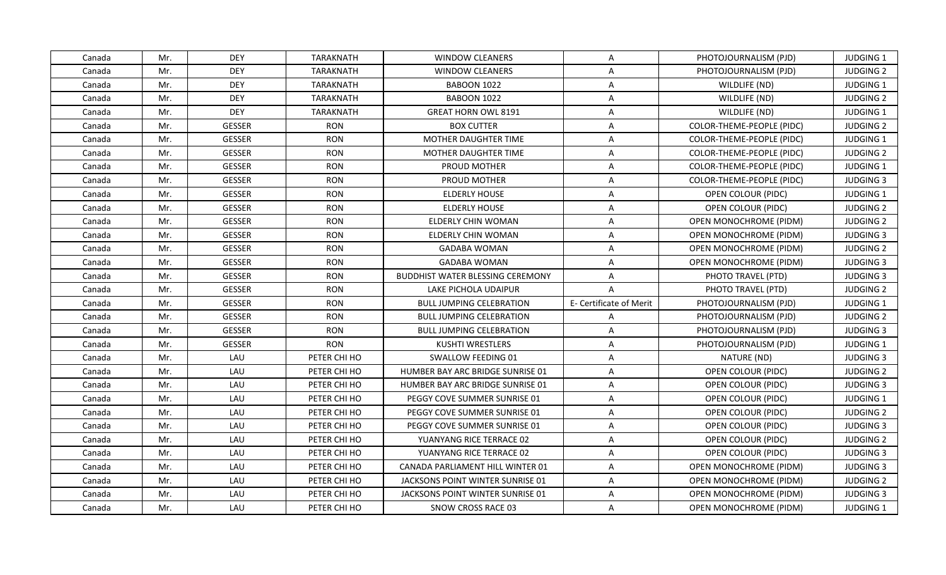| Canada | Mr. | <b>DEY</b>    | TARAKNATH        | <b>WINDOW CLEANERS</b>                  | $\mathsf{A}$            | PHOTOJOURNALISM (PJD)            | <b>JUDGING 1</b> |
|--------|-----|---------------|------------------|-----------------------------------------|-------------------------|----------------------------------|------------------|
| Canada | Mr. | <b>DEY</b>    | <b>TARAKNATH</b> | <b>WINDOW CLEANERS</b>                  | $\overline{A}$          | PHOTOJOURNALISM (PJD)            | <b>JUDGING 2</b> |
| Canada | Mr. | <b>DEY</b>    | <b>TARAKNATH</b> | <b>BABOON 1022</b>                      | $\mathsf{A}$            | WILDLIFE (ND)                    | JUDGING 1        |
| Canada | Mr. | <b>DEY</b>    | <b>TARAKNATH</b> | <b>BABOON 1022</b>                      | $\mathsf{A}$            | WILDLIFE (ND)                    | <b>JUDGING 2</b> |
| Canada | Mr. | <b>DEY</b>    | <b>TARAKNATH</b> | <b>GREAT HORN OWL 8191</b>              | A                       | WILDLIFE (ND)                    | <b>JUDGING 1</b> |
| Canada | Mr. | <b>GESSER</b> | <b>RON</b>       | <b>BOX CUTTER</b>                       | A                       | COLOR-THEME-PEOPLE (PIDC)        | <b>JUDGING 2</b> |
| Canada | Mr. | GESSER        | <b>RON</b>       | MOTHER DAUGHTER TIME                    | A                       | COLOR-THEME-PEOPLE (PIDC)        | JUDGING 1        |
| Canada | Mr. | <b>GESSER</b> | <b>RON</b>       | MOTHER DAUGHTER TIME                    | $\mathsf{A}$            | <b>COLOR-THEME-PEOPLE (PIDC)</b> | <b>JUDGING 2</b> |
| Canada | Mr. | <b>GESSER</b> | <b>RON</b>       | <b>PROUD MOTHER</b>                     | $\mathsf{A}$            | COLOR-THEME-PEOPLE (PIDC)        | JUDGING 1        |
| Canada | Mr. | GESSER        | <b>RON</b>       | <b>PROUD MOTHER</b>                     | $\overline{A}$          | COLOR-THEME-PEOPLE (PIDC)        | <b>JUDGING 3</b> |
| Canada | Mr. | <b>GESSER</b> | <b>RON</b>       | <b>ELDERLY HOUSE</b>                    | $\mathsf{A}$            | OPEN COLOUR (PIDC)               | JUDGING 1        |
| Canada | Mr. | <b>GESSER</b> | <b>RON</b>       | <b>ELDERLY HOUSE</b>                    | $\mathsf{A}$            | OPEN COLOUR (PIDC)               | <b>JUDGING 2</b> |
| Canada | Mr. | <b>GESSER</b> | <b>RON</b>       | ELDERLY CHIN WOMAN                      | $\mathsf{A}$            | OPEN MONOCHROME (PIDM)           | <b>JUDGING 2</b> |
| Canada | Mr. | GESSER        | <b>RON</b>       | ELDERLY CHIN WOMAN                      | $\mathsf{A}$            | <b>OPEN MONOCHROME (PIDM)</b>    | <b>JUDGING 3</b> |
| Canada | Mr. | <b>GESSER</b> | <b>RON</b>       | <b>GADABA WOMAN</b>                     | A                       | OPEN MONOCHROME (PIDM)           | <b>JUDGING 2</b> |
| Canada | Mr. | GESSER        | <b>RON</b>       | <b>GADABA WOMAN</b>                     | A                       | OPEN MONOCHROME (PIDM)           | <b>JUDGING 3</b> |
| Canada | Mr. | <b>GESSER</b> | <b>RON</b>       | <b>BUDDHIST WATER BLESSING CEREMONY</b> | $\mathsf{A}$            | PHOTO TRAVEL (PTD)               | <b>JUDGING 3</b> |
| Canada | Mr. | <b>GESSER</b> | <b>RON</b>       | LAKE PICHOLA UDAIPUR                    | $\overline{A}$          | PHOTO TRAVEL (PTD)               | <b>JUDGING 2</b> |
| Canada | Mr. | <b>GESSER</b> | <b>RON</b>       | <b>BULL JUMPING CELEBRATION</b>         | E- Certificate of Merit | PHOTOJOURNALISM (PJD)            | <b>JUDGING 1</b> |
| Canada | Mr. | <b>GESSER</b> | <b>RON</b>       | <b>BULL JUMPING CELEBRATION</b>         | $\mathsf{A}$            | PHOTOJOURNALISM (PJD)            | <b>JUDGING 2</b> |
| Canada | Mr. | GESSER        | <b>RON</b>       | <b>BULL JUMPING CELEBRATION</b>         | $\mathsf{A}$            | PHOTOJOURNALISM (PJD)            | <b>JUDGING 3</b> |
| Canada | Mr. | <b>GESSER</b> | <b>RON</b>       | <b>KUSHTI WRESTLERS</b>                 | $\mathsf{A}$            | PHOTOJOURNALISM (PJD)            | JUDGING 1        |
| Canada | Mr. | LAU           | PETER CHI HO     | SWALLOW FEEDING 01                      | $\mathsf{A}$            | NATURE (ND)                      | <b>JUDGING 3</b> |
| Canada | Mr. | LAU           | PETER CHI HO     | HUMBER BAY ARC BRIDGE SUNRISE 01        | $\mathsf{A}$            | OPEN COLOUR (PIDC)               | <b>JUDGING 2</b> |
| Canada | Mr. | LAU           | PETER CHI HO     | HUMBER BAY ARC BRIDGE SUNRISE 01        | A                       | OPEN COLOUR (PIDC)               | <b>JUDGING 3</b> |
| Canada | Mr. | LAU           | PETER CHI HO     | PEGGY COVE SUMMER SUNRISE 01            | $\overline{A}$          | OPEN COLOUR (PIDC)               | JUDGING 1        |
| Canada | Mr. | LAU           | PETER CHI HO     | PEGGY COVE SUMMER SUNRISE 01            | $\mathsf{A}$            | OPEN COLOUR (PIDC)               | <b>JUDGING 2</b> |
| Canada | Mr. | LAU           | PETER CHI HO     | PEGGY COVE SUMMER SUNRISE 01            | $\mathsf{A}$            | OPEN COLOUR (PIDC)               | <b>JUDGING 3</b> |
| Canada | Mr. | LAU           | PETER CHI HO     | YUANYANG RICE TERRACE 02                | A                       | OPEN COLOUR (PIDC)               | <b>JUDGING 2</b> |
| Canada | Mr. | LAU           | PETER CHI HO     | YUANYANG RICE TERRACE 02                | $\mathsf{A}$            | OPEN COLOUR (PIDC)               | <b>JUDGING 3</b> |
| Canada | Mr. | LAU           | PETER CHI HO     | CANADA PARLIAMENT HILL WINTER 01        | $\mathsf{A}$            | <b>OPEN MONOCHROME (PIDM)</b>    | <b>JUDGING 3</b> |
| Canada | Mr. | LAU           | PETER CHI HO     | JACKSONS POINT WINTER SUNRISE 01        | $\mathsf{A}$            | OPEN MONOCHROME (PIDM)           | <b>JUDGING 2</b> |
| Canada | Mr. | LAU           | PETER CHI HO     | JACKSONS POINT WINTER SUNRISE 01        | $\overline{A}$          | OPEN MONOCHROME (PIDM)           | <b>JUDGING 3</b> |
| Canada | Mr. | LAU           | PETER CHI HO     | SNOW CROSS RACE 03                      | A                       | OPEN MONOCHROME (PIDM)           | <b>JUDGING 1</b> |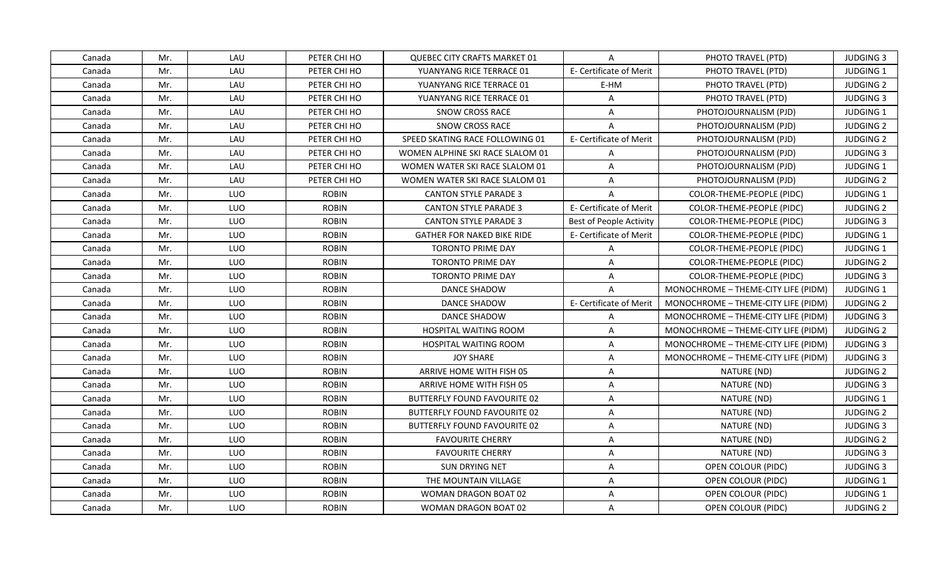| Canada | Mr. | LAU | PETER CHI HO | <b>QUEBEC CITY CRAFTS MARKET 01</b> | A                       | PHOTO TRAVEL (PTD)                  | <b>JUDGING 3</b> |
|--------|-----|-----|--------------|-------------------------------------|-------------------------|-------------------------------------|------------------|
| Canada | Mr. | LAU | PETER CHI HO | YUANYANG RICE TERRACE 01            | E- Certificate of Merit | PHOTO TRAVEL (PTD)                  | JUDGING 1        |
| Canada | Mr. | LAU | PETER CHI HO | YUANYANG RICE TERRACE 01            | E-HM                    | PHOTO TRAVEL (PTD)                  | <b>JUDGING 2</b> |
| Canada | Mr. | LAU | PETER CHI HO | YUANYANG RICE TERRACE 01            | $\mathsf{A}$            | PHOTO TRAVEL (PTD)                  | <b>JUDGING 3</b> |
| Canada | Mr. | LAU | PETER CHI HO | SNOW CROSS RACE                     | A                       | PHOTOJOURNALISM (PJD)               | JUDGING 1        |
| Canada | Mr. | LAU | PETER CHI HO | <b>SNOW CROSS RACE</b>              | A                       | PHOTOJOURNALISM (PJD)               | <b>JUDGING 2</b> |
| Canada | Mr. | LAU | PETER CHI HO | SPEED SKATING RACE FOLLOWING 01     | E- Certificate of Merit | PHOTOJOURNALISM (PJD)               | <b>JUDGING 2</b> |
| Canada | Mr. | LAU | PETER CHI HO | WOMEN ALPHINE SKI RACE SLALOM 01    | $\mathsf{A}$            | PHOTOJOURNALISM (PJD)               | <b>JUDGING 3</b> |
| Canada | Mr. | LAU | PETER CHI HO | WOMEN WATER SKI RACE SLALOM 01      | $\overline{A}$          | PHOTOJOURNALISM (PJD)               | <b>JUDGING 1</b> |
| Canada | Mr. | LAU | PETER CHI HO | WOMEN WATER SKI RACE SLALOM 01      | A                       | PHOTOJOURNALISM (PJD)               | <b>JUDGING 2</b> |
| Canada | Mr. | LUO | <b>ROBIN</b> | <b>CANTON STYLE PARADE 3</b>        | A                       | COLOR-THEME-PEOPLE (PIDC)           | <b>JUDGING 1</b> |
| Canada | Mr. | LUO | <b>ROBIN</b> | <b>CANTON STYLE PARADE 3</b>        | E- Certificate of Merit | COLOR-THEME-PEOPLE (PIDC)           | <b>JUDGING 2</b> |
| Canada | Mr. | LUO | <b>ROBIN</b> | <b>CANTON STYLE PARADE 3</b>        | Best of People Activity | COLOR-THEME-PEOPLE (PIDC)           | <b>JUDGING 3</b> |
| Canada | Mr. | LUO | <b>ROBIN</b> | <b>GATHER FOR NAKED BIKE RIDE</b>   | E- Certificate of Merit | COLOR-THEME-PEOPLE (PIDC)           | JUDGING 1        |
| Canada | Mr. | LUO | <b>ROBIN</b> | <b>TORONTO PRIME DAY</b>            | A                       | COLOR-THEME-PEOPLE (PIDC)           | JUDGING 1        |
| Canada | Mr. | LUO | <b>ROBIN</b> | <b>TORONTO PRIME DAY</b>            | A                       | COLOR-THEME-PEOPLE (PIDC)           | <b>JUDGING 2</b> |
| Canada | Mr. | LUO | <b>ROBIN</b> | <b>TORONTO PRIME DAY</b>            | $\mathsf{A}$            | COLOR-THEME-PEOPLE (PIDC)           | <b>JUDGING 3</b> |
| Canada | Mr. | LUO | <b>ROBIN</b> | <b>DANCE SHADOW</b>                 | $\mathsf{A}$            | MONOCHROME - THEME-CITY LIFE (PIDM) | <b>JUDGING 1</b> |
| Canada | Mr. | LUO | <b>ROBIN</b> | DANCE SHADOW                        | E- Certificate of Merit | MONOCHROME - THEME-CITY LIFE (PIDM) | <b>JUDGING 2</b> |
| Canada | Mr. | LUO | <b>ROBIN</b> | DANCE SHADOW                        | $\mathsf{A}$            | MONOCHROME - THEME-CITY LIFE (PIDM) | <b>JUDGING 3</b> |
| Canada | Mr. | LUO | <b>ROBIN</b> | <b>HOSPITAL WAITING ROOM</b>        | $\mathsf{A}$            | MONOCHROME - THEME-CITY LIFE (PIDM) | <b>JUDGING 2</b> |
| Canada | Mr. | LUO | <b>ROBIN</b> | HOSPITAL WAITING ROOM               | $\mathsf{A}$            | MONOCHROME - THEME-CITY LIFE (PIDM) | <b>JUDGING 3</b> |
| Canada | Mr. | LUO | <b>ROBIN</b> | <b>JOY SHARE</b>                    | $\mathsf{A}$            | MONOCHROME - THEME-CITY LIFE (PIDM) | <b>JUDGING 3</b> |
| Canada | Mr. | LUO | <b>ROBIN</b> | ARRIVE HOME WITH FISH 05            | $\mathsf{A}$            | NATURE (ND)                         | <b>JUDGING 2</b> |
| Canada | Mr. | LUO | <b>ROBIN</b> | ARRIVE HOME WITH FISH 05            | A                       | NATURE (ND)                         | <b>JUDGING 3</b> |
| Canada | Mr. | LUO | <b>ROBIN</b> | <b>BUTTERFLY FOUND FAVOURITE 02</b> | $\overline{A}$          | NATURE (ND)                         | JUDGING 1        |
| Canada | Mr. | LUO | <b>ROBIN</b> | <b>BUTTERFLY FOUND FAVOURITE 02</b> | $\mathsf{A}$            | NATURE (ND)                         | <b>JUDGING 2</b> |
| Canada | Mr. | LUO | <b>ROBIN</b> | <b>BUTTERFLY FOUND FAVOURITE 02</b> | $\mathsf{A}$            | NATURE (ND)                         | <b>JUDGING 3</b> |
| Canada | Mr. | LUO | <b>ROBIN</b> | <b>FAVOURITE CHERRY</b>             | A                       | NATURE (ND)                         | <b>JUDGING 2</b> |
| Canada | Mr. | LUO | <b>ROBIN</b> | <b>FAVOURITE CHERRY</b>             | $\mathsf{A}$            | NATURE (ND)                         | <b>JUDGING 3</b> |
| Canada | Mr. | LUO | <b>ROBIN</b> | <b>SUN DRYING NET</b>               | $\mathsf{A}$            | OPEN COLOUR (PIDC)                  | <b>JUDGING 3</b> |
| Canada | Mr. | LUO | <b>ROBIN</b> | THE MOUNTAIN VILLAGE                | A                       | OPEN COLOUR (PIDC)                  | <b>JUDGING 1</b> |
| Canada | Mr. | LUO | <b>ROBIN</b> | WOMAN DRAGON BOAT 02                | $\overline{A}$          | OPEN COLOUR (PIDC)                  | JUDGING 1        |
| Canada | Mr. | LUO | <b>ROBIN</b> | <b>WOMAN DRAGON BOAT 02</b>         | A                       | OPEN COLOUR (PIDC)                  | <b>JUDGING 2</b> |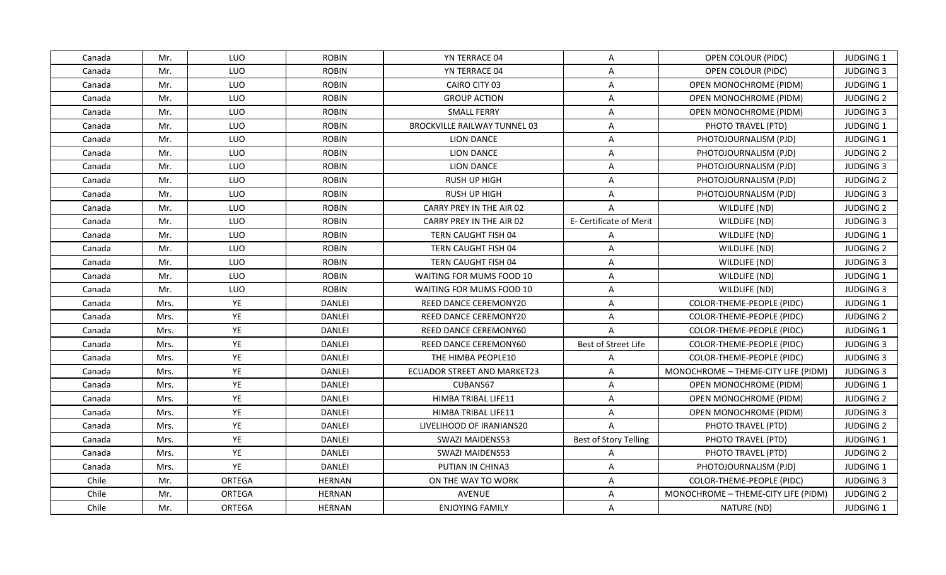| Canada | Mr.  | <b>LUO</b> | <b>ROBIN</b>  | YN TERRACE 04                | $\mathsf{A}$            | OPEN COLOUR (PIDC)                  | <b>JUDGING 1</b> |
|--------|------|------------|---------------|------------------------------|-------------------------|-------------------------------------|------------------|
| Canada | Mr.  | LUO        | <b>ROBIN</b>  | YN TERRACE 04                | $\mathsf{A}$            | OPEN COLOUR (PIDC)                  | <b>JUDGING 3</b> |
| Canada | Mr.  | LUO        | <b>ROBIN</b>  | CAIRO CITY 03                | $\mathsf{A}$            | <b>OPEN MONOCHROME (PIDM)</b>       | JUDGING 1        |
| Canada | Mr.  | LUO        | <b>ROBIN</b>  | <b>GROUP ACTION</b>          | $\mathsf{A}$            | OPEN MONOCHROME (PIDM)              | <b>JUDGING 2</b> |
| Canada | Mr.  | LUO        | <b>ROBIN</b>  | <b>SMALL FERRY</b>           | $\overline{A}$          | OPEN MONOCHROME (PIDM)              | <b>JUDGING 3</b> |
| Canada | Mr.  | LUO        | <b>ROBIN</b>  | BROCKVILLE RAILWAY TUNNEL 03 | A                       | PHOTO TRAVEL (PTD)                  | <b>JUDGING 1</b> |
| Canada | Mr.  | LUO        | <b>ROBIN</b>  | <b>LION DANCE</b>            | $\mathsf{A}$            | PHOTOJOURNALISM (PJD)               | JUDGING 1        |
| Canada | Mr.  | LUO        | <b>ROBIN</b>  | LION DANCE                   | $\mathsf{A}$            | PHOTOJOURNALISM (PJD)               | <b>JUDGING 2</b> |
| Canada | Mr.  | LUO        | <b>ROBIN</b>  | LION DANCE                   | $\mathsf{A}$            | PHOTOJOURNALISM (PJD)               | <b>JUDGING 3</b> |
| Canada | Mr.  | LUO        | <b>ROBIN</b>  | <b>RUSH UP HIGH</b>          | $\overline{A}$          | PHOTOJOURNALISM (PJD)               | <b>JUDGING 2</b> |
| Canada | Mr.  | LUO        | <b>ROBIN</b>  | <b>RUSH UP HIGH</b>          | A                       | PHOTOJOURNALISM (PJD)               | <b>JUDGING 3</b> |
| Canada | Mr.  | LUO        | <b>ROBIN</b>  | CARRY PREY IN THE AIR 02     | $\overline{A}$          | WILDLIFE (ND)                       | <b>JUDGING 2</b> |
| Canada | Mr.  | LUO        | <b>ROBIN</b>  | CARRY PREY IN THE AIR 02     | E- Certificate of Merit | WILDLIFE (ND)                       | <b>JUDGING 3</b> |
| Canada | Mr.  | LUO        | <b>ROBIN</b>  | TERN CAUGHT FISH 04          | A                       | WILDLIFE (ND)                       | JUDGING 1        |
| Canada | Mr.  | LUO        | <b>ROBIN</b>  | TERN CAUGHT FISH 04          | $\overline{A}$          | WILDLIFE (ND)                       | <b>JUDGING 2</b> |
| Canada | Mr.  | LUO        | <b>ROBIN</b>  | TERN CAUGHT FISH 04          | A                       | WILDLIFE (ND)                       | <b>JUDGING 3</b> |
| Canada | Mr.  | LUO        | <b>ROBIN</b>  | WAITING FOR MUMS FOOD 10     | A                       | WILDLIFE (ND)                       | JUDGING 1        |
| Canada | Mr.  | LUO        | <b>ROBIN</b>  | WAITING FOR MUMS FOOD 10     | $\mathsf{A}$            | WILDLIFE (ND)                       | <b>JUDGING 3</b> |
| Canada | Mrs. | YE         | <b>DANLEI</b> | <b>REED DANCE CEREMONY20</b> | $\overline{A}$          | COLOR-THEME-PEOPLE (PIDC)           | <b>JUDGING 1</b> |
| Canada | Mrs. | YE         | <b>DANLEI</b> | <b>REED DANCE CEREMONY20</b> | $\mathsf{A}$            | COLOR-THEME-PEOPLE (PIDC)           | <b>JUDGING 2</b> |
| Canada | Mrs. | YE         | DANLEI        | REED DANCE CEREMONY60        | A                       | COLOR-THEME-PEOPLE (PIDC)           | JUDGING 1        |
| Canada | Mrs. | YE         | <b>DANLEI</b> | REED DANCE CEREMONY60        | Best of Street Life     | COLOR-THEME-PEOPLE (PIDC)           | <b>JUDGING 3</b> |
| Canada | Mrs. | YE         | DANLEI        | THE HIMBA PEOPLE10           | A                       | COLOR-THEME-PEOPLE (PIDC)           | <b>JUDGING 3</b> |
| Canada | Mrs. | YE         | <b>DANLEI</b> | ECUADOR STREET AND MARKET23  | $\overline{A}$          | MONOCHROME - THEME-CITY LIFE (PIDM) | <b>JUDGING 3</b> |
| Canada | Mrs. | YE         | <b>DANLEI</b> | CUBANS67                     | $\mathsf{A}$            | <b>OPEN MONOCHROME (PIDM)</b>       | JUDGING 1        |
| Canada | Mrs. | YE         | DANLEI        | HIMBA TRIBAL LIFE11          | $\mathsf{A}$            | OPEN MONOCHROME (PIDM)              | <b>JUDGING 2</b> |
| Canada | Mrs. | YE         | <b>DANLEI</b> | HIMBA TRIBAL LIFE11          | A                       | OPEN MONOCHROME (PIDM)              | <b>JUDGING 3</b> |
| Canada | Mrs. | YE         | <b>DANLEI</b> | LIVELIHOOD OF IRANIANS20     | $\overline{A}$          | PHOTO TRAVEL (PTD)                  | <b>JUDGING 2</b> |
| Canada | Mrs. | YE         | <b>DANLEI</b> | <b>SWAZI MAIDENS53</b>       | Best of Story Telling   | PHOTO TRAVEL (PTD)                  | <b>JUDGING 1</b> |
| Canada | Mrs. | YE         | <b>DANLEI</b> | <b>SWAZI MAIDENS53</b>       | $\mathsf{A}$            | PHOTO TRAVEL (PTD)                  | <b>JUDGING 2</b> |
| Canada | Mrs. | YE         | <b>DANLEI</b> | PUTIAN IN CHINA3             | $\mathsf{A}$            | PHOTOJOURNALISM (PJD)               | JUDGING 1        |
| Chile  | Mr.  | ORTEGA     | <b>HERNAN</b> | ON THE WAY TO WORK           | $\mathsf{A}$            | COLOR-THEME-PEOPLE (PIDC)           | <b>JUDGING 3</b> |
| Chile  | Mr.  | ORTEGA     | <b>HERNAN</b> | <b>AVENUE</b>                | A                       | MONOCHROME - THEME-CITY LIFE (PIDM) | <b>JUDGING 2</b> |
| Chile  | Mr.  | ORTEGA     | <b>HERNAN</b> | <b>ENJOYING FAMILY</b>       | A                       | NATURE (ND)                         | JUDGING 1        |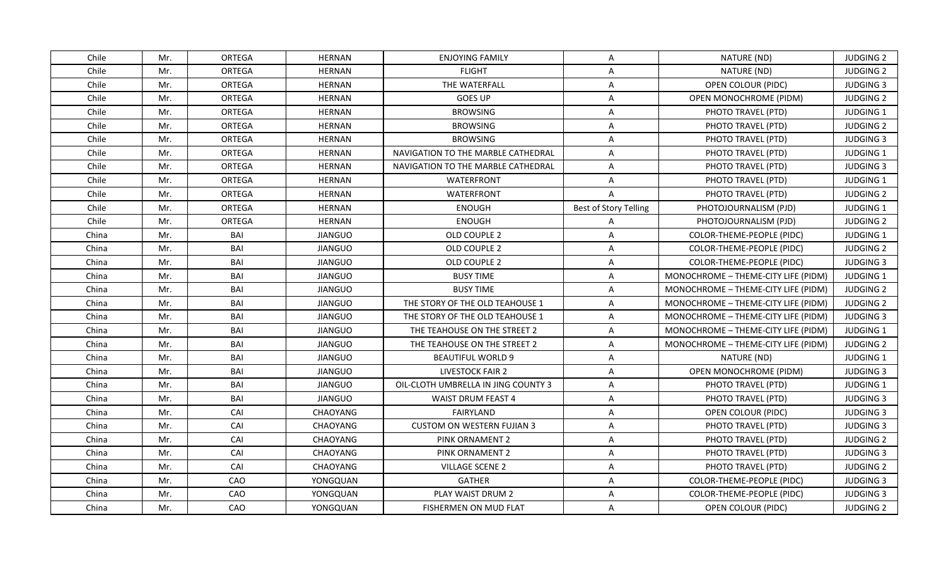| Chile<br>Mr.<br>ORTEGA<br><b>HERNAN</b><br><b>ENJOYING FAMILY</b><br>A<br>NATURE (ND)<br>Chile<br>Mr.<br>ORTEGA<br><b>HERNAN</b><br><b>FLIGHT</b><br>NATURE (ND)<br>A<br>Chile<br>Mr.<br>ORTEGA<br><b>HERNAN</b><br>THE WATERFALL<br>OPEN COLOUR (PIDC)<br>A<br>Chile<br>Mr.<br>ORTEGA<br><b>HERNAN</b><br><b>GOES UP</b><br>$\mathsf{A}$<br>OPEN MONOCHROME (PIDM)<br>Mr.<br>ORTEGA<br>Chile<br><b>HERNAN</b><br><b>BROWSING</b><br>A<br>PHOTO TRAVEL (PTD)<br>Chile<br>ORTEGA<br>Mr.<br><b>HERNAN</b><br><b>BROWSING</b><br>A<br>PHOTO TRAVEL (PTD)<br>Chile<br>Mr.<br>ORTEGA<br><b>HERNAN</b><br><b>BROWSING</b><br>PHOTO TRAVEL (PTD)<br>A<br>Chile<br>Mr.<br>ORTEGA<br><b>HERNAN</b><br>NAVIGATION TO THE MARBLE CATHEDRAL<br>A<br>PHOTO TRAVEL (PTD)<br>Chile<br>Mr.<br>ORTEGA<br><b>HERNAN</b><br>NAVIGATION TO THE MARBLE CATHEDRAL<br>A<br>PHOTO TRAVEL (PTD)<br>Chile<br>Mr.<br>ORTEGA<br><b>HERNAN</b><br><b>WATERFRONT</b><br>PHOTO TRAVEL (PTD)<br>A<br>Chile<br>Mr.<br>ORTEGA<br><b>HERNAN</b><br><b>WATERFRONT</b><br>PHOTO TRAVEL (PTD)<br>A<br>Chile<br>ORTEGA<br><b>Best of Story Telling</b><br>Mr.<br><b>HERNAN</b><br><b>ENOUGH</b><br>PHOTOJOURNALISM (PJD)<br>Chile<br>Mr.<br>ORTEGA<br><b>HERNAN</b><br><b>ENOUGH</b><br>PHOTOJOURNALISM (PJD)<br>A<br>China<br>Mr.<br>BAI<br><b>JIANGUO</b><br>OLD COUPLE 2<br>A<br>COLOR-THEME-PEOPLE (PIDC)<br>BAI<br>China<br>Mr.<br><b>JIANGUO</b><br>OLD COUPLE 2<br>$\overline{A}$<br>COLOR-THEME-PEOPLE (PIDC)<br>China<br>Mr.<br>BAI<br><b>JIANGUO</b><br>OLD COUPLE 2<br>A<br>COLOR-THEME-PEOPLE (PIDC)<br>China<br>Mr.<br>BAI<br><b>JIANGUO</b><br><b>BUSY TIME</b><br>$\overline{\mathsf{A}}$<br>MONOCHROME - THEME-CITY LIFE (PIDM)<br>Mr.<br>BAI<br><b>JIANGUO</b><br><b>BUSY TIME</b><br>$\overline{A}$<br>MONOCHROME - THEME-CITY LIFE (PIDM)<br>China<br>BAI<br>China<br>Mr.<br><b>JIANGUO</b><br>THE STORY OF THE OLD TEAHOUSE 1<br>A<br>MONOCHROME - THEME-CITY LIFE (PIDM)<br>Mr.<br><b>BAI</b><br>China<br><b>JIANGUO</b><br>THE STORY OF THE OLD TEAHOUSE 1<br>A<br>MONOCHROME - THEME-CITY LIFE (PIDM)<br>China<br>Mr.<br>BAI<br><b>JIANGUO</b><br>THE TEAHOUSE ON THE STREET 2<br>A<br>MONOCHROME - THEME-CITY LIFE (PIDM)<br>China<br>Mr.<br>BAI<br><b>JIANGUO</b><br>THE TEAHOUSE ON THE STREET 2<br>MONOCHROME - THEME-CITY LIFE (PIDM)<br>A<br>BAI<br>China<br>Mr.<br><b>JIANGUO</b><br>NATURE (ND)<br><b>BEAUTIFUL WORLD 9</b><br>$\mathsf{A}$<br>Mr.<br>BAI<br><b>JIANGUO</b><br>LIVESTOCK FAIR 2<br>OPEN MONOCHROME (PIDM)<br>China<br>$\mathsf{A}$<br>Mr.<br><b>BAI</b><br>China<br><b>JIANGUO</b><br>OIL-CLOTH UMBRELLA IN JING COUNTY 3<br>A<br>PHOTO TRAVEL (PTD)<br>China<br>Mr.<br>BAI<br><b>JIANGUO</b><br>A<br><b>WAIST DRUM FEAST 4</b><br>PHOTO TRAVEL (PTD)<br>China<br>Mr.<br>CAI<br>CHAOYANG<br>FAIRYLAND<br>$\overline{\mathsf{A}}$<br>OPEN COLOUR (PIDC)<br>Mr.<br>CAI<br><b>CUSTOM ON WESTERN FUJIAN 3</b><br>PHOTO TRAVEL (PTD)<br>China<br>CHAOYANG<br>A<br>Mr.<br>CAI<br>China<br><b>CHAOYANG</b><br>PINK ORNAMENT 2<br>A<br>PHOTO TRAVEL (PTD)<br>Mr.<br>CAI<br>CHAOYANG<br>China<br>PINK ORNAMENT 2<br>A<br>PHOTO TRAVEL (PTD)<br>China<br>Mr.<br>CAI<br>CHAOYANG<br><b>VILLAGE SCENE 2</b><br>A<br>PHOTO TRAVEL (PTD)<br>Mr.<br>CAO<br><b>GATHER</b><br>China<br>YONGQUAN<br>A<br>COLOR-THEME-PEOPLE (PIDC)<br>Mr.<br>CAO<br>China<br>YONGQUAN<br>PLAY WAIST DRUM 2<br>$\overline{A}$<br>COLOR-THEME-PEOPLE (PIDC)<br>CAO<br>China<br>Mr.<br>YONGQUAN<br>FISHERMEN ON MUD FLAT<br>A<br>OPEN COLOUR (PIDC) |  |  |  |                  |
|------------------------------------------------------------------------------------------------------------------------------------------------------------------------------------------------------------------------------------------------------------------------------------------------------------------------------------------------------------------------------------------------------------------------------------------------------------------------------------------------------------------------------------------------------------------------------------------------------------------------------------------------------------------------------------------------------------------------------------------------------------------------------------------------------------------------------------------------------------------------------------------------------------------------------------------------------------------------------------------------------------------------------------------------------------------------------------------------------------------------------------------------------------------------------------------------------------------------------------------------------------------------------------------------------------------------------------------------------------------------------------------------------------------------------------------------------------------------------------------------------------------------------------------------------------------------------------------------------------------------------------------------------------------------------------------------------------------------------------------------------------------------------------------------------------------------------------------------------------------------------------------------------------------------------------------------------------------------------------------------------------------------------------------------------------------------------------------------------------------------------------------------------------------------------------------------------------------------------------------------------------------------------------------------------------------------------------------------------------------------------------------------------------------------------------------------------------------------------------------------------------------------------------------------------------------------------------------------------------------------------------------------------------------------------------------------------------------------------------------------------------------------------------------------------------------------------------------------------------------------------------------------------------------------------------------------------------------------------------------------------------------------------------------------------------------------------------------------------------------------------------------------------------------------------------------------------------------------------------------------------------------------------------------------------------------------------------------------------------------------------------------------------------------------------------------------------------------------------------------------------------------------|--|--|--|------------------|
|                                                                                                                                                                                                                                                                                                                                                                                                                                                                                                                                                                                                                                                                                                                                                                                                                                                                                                                                                                                                                                                                                                                                                                                                                                                                                                                                                                                                                                                                                                                                                                                                                                                                                                                                                                                                                                                                                                                                                                                                                                                                                                                                                                                                                                                                                                                                                                                                                                                                                                                                                                                                                                                                                                                                                                                                                                                                                                                                                                                                                                                                                                                                                                                                                                                                                                                                                                                                                                                                                                                        |  |  |  | <b>JUDGING 2</b> |
|                                                                                                                                                                                                                                                                                                                                                                                                                                                                                                                                                                                                                                                                                                                                                                                                                                                                                                                                                                                                                                                                                                                                                                                                                                                                                                                                                                                                                                                                                                                                                                                                                                                                                                                                                                                                                                                                                                                                                                                                                                                                                                                                                                                                                                                                                                                                                                                                                                                                                                                                                                                                                                                                                                                                                                                                                                                                                                                                                                                                                                                                                                                                                                                                                                                                                                                                                                                                                                                                                                                        |  |  |  | <b>JUDGING 2</b> |
|                                                                                                                                                                                                                                                                                                                                                                                                                                                                                                                                                                                                                                                                                                                                                                                                                                                                                                                                                                                                                                                                                                                                                                                                                                                                                                                                                                                                                                                                                                                                                                                                                                                                                                                                                                                                                                                                                                                                                                                                                                                                                                                                                                                                                                                                                                                                                                                                                                                                                                                                                                                                                                                                                                                                                                                                                                                                                                                                                                                                                                                                                                                                                                                                                                                                                                                                                                                                                                                                                                                        |  |  |  | <b>JUDGING 3</b> |
|                                                                                                                                                                                                                                                                                                                                                                                                                                                                                                                                                                                                                                                                                                                                                                                                                                                                                                                                                                                                                                                                                                                                                                                                                                                                                                                                                                                                                                                                                                                                                                                                                                                                                                                                                                                                                                                                                                                                                                                                                                                                                                                                                                                                                                                                                                                                                                                                                                                                                                                                                                                                                                                                                                                                                                                                                                                                                                                                                                                                                                                                                                                                                                                                                                                                                                                                                                                                                                                                                                                        |  |  |  | <b>JUDGING 2</b> |
|                                                                                                                                                                                                                                                                                                                                                                                                                                                                                                                                                                                                                                                                                                                                                                                                                                                                                                                                                                                                                                                                                                                                                                                                                                                                                                                                                                                                                                                                                                                                                                                                                                                                                                                                                                                                                                                                                                                                                                                                                                                                                                                                                                                                                                                                                                                                                                                                                                                                                                                                                                                                                                                                                                                                                                                                                                                                                                                                                                                                                                                                                                                                                                                                                                                                                                                                                                                                                                                                                                                        |  |  |  | JUDGING 1        |
|                                                                                                                                                                                                                                                                                                                                                                                                                                                                                                                                                                                                                                                                                                                                                                                                                                                                                                                                                                                                                                                                                                                                                                                                                                                                                                                                                                                                                                                                                                                                                                                                                                                                                                                                                                                                                                                                                                                                                                                                                                                                                                                                                                                                                                                                                                                                                                                                                                                                                                                                                                                                                                                                                                                                                                                                                                                                                                                                                                                                                                                                                                                                                                                                                                                                                                                                                                                                                                                                                                                        |  |  |  | <b>JUDGING 2</b> |
|                                                                                                                                                                                                                                                                                                                                                                                                                                                                                                                                                                                                                                                                                                                                                                                                                                                                                                                                                                                                                                                                                                                                                                                                                                                                                                                                                                                                                                                                                                                                                                                                                                                                                                                                                                                                                                                                                                                                                                                                                                                                                                                                                                                                                                                                                                                                                                                                                                                                                                                                                                                                                                                                                                                                                                                                                                                                                                                                                                                                                                                                                                                                                                                                                                                                                                                                                                                                                                                                                                                        |  |  |  | <b>JUDGING 3</b> |
|                                                                                                                                                                                                                                                                                                                                                                                                                                                                                                                                                                                                                                                                                                                                                                                                                                                                                                                                                                                                                                                                                                                                                                                                                                                                                                                                                                                                                                                                                                                                                                                                                                                                                                                                                                                                                                                                                                                                                                                                                                                                                                                                                                                                                                                                                                                                                                                                                                                                                                                                                                                                                                                                                                                                                                                                                                                                                                                                                                                                                                                                                                                                                                                                                                                                                                                                                                                                                                                                                                                        |  |  |  | JUDGING 1        |
|                                                                                                                                                                                                                                                                                                                                                                                                                                                                                                                                                                                                                                                                                                                                                                                                                                                                                                                                                                                                                                                                                                                                                                                                                                                                                                                                                                                                                                                                                                                                                                                                                                                                                                                                                                                                                                                                                                                                                                                                                                                                                                                                                                                                                                                                                                                                                                                                                                                                                                                                                                                                                                                                                                                                                                                                                                                                                                                                                                                                                                                                                                                                                                                                                                                                                                                                                                                                                                                                                                                        |  |  |  | <b>JUDGING 3</b> |
|                                                                                                                                                                                                                                                                                                                                                                                                                                                                                                                                                                                                                                                                                                                                                                                                                                                                                                                                                                                                                                                                                                                                                                                                                                                                                                                                                                                                                                                                                                                                                                                                                                                                                                                                                                                                                                                                                                                                                                                                                                                                                                                                                                                                                                                                                                                                                                                                                                                                                                                                                                                                                                                                                                                                                                                                                                                                                                                                                                                                                                                                                                                                                                                                                                                                                                                                                                                                                                                                                                                        |  |  |  | JUDGING 1        |
|                                                                                                                                                                                                                                                                                                                                                                                                                                                                                                                                                                                                                                                                                                                                                                                                                                                                                                                                                                                                                                                                                                                                                                                                                                                                                                                                                                                                                                                                                                                                                                                                                                                                                                                                                                                                                                                                                                                                                                                                                                                                                                                                                                                                                                                                                                                                                                                                                                                                                                                                                                                                                                                                                                                                                                                                                                                                                                                                                                                                                                                                                                                                                                                                                                                                                                                                                                                                                                                                                                                        |  |  |  | <b>JUDGING 2</b> |
|                                                                                                                                                                                                                                                                                                                                                                                                                                                                                                                                                                                                                                                                                                                                                                                                                                                                                                                                                                                                                                                                                                                                                                                                                                                                                                                                                                                                                                                                                                                                                                                                                                                                                                                                                                                                                                                                                                                                                                                                                                                                                                                                                                                                                                                                                                                                                                                                                                                                                                                                                                                                                                                                                                                                                                                                                                                                                                                                                                                                                                                                                                                                                                                                                                                                                                                                                                                                                                                                                                                        |  |  |  | JUDGING 1        |
|                                                                                                                                                                                                                                                                                                                                                                                                                                                                                                                                                                                                                                                                                                                                                                                                                                                                                                                                                                                                                                                                                                                                                                                                                                                                                                                                                                                                                                                                                                                                                                                                                                                                                                                                                                                                                                                                                                                                                                                                                                                                                                                                                                                                                                                                                                                                                                                                                                                                                                                                                                                                                                                                                                                                                                                                                                                                                                                                                                                                                                                                                                                                                                                                                                                                                                                                                                                                                                                                                                                        |  |  |  | <b>JUDGING 2</b> |
|                                                                                                                                                                                                                                                                                                                                                                                                                                                                                                                                                                                                                                                                                                                                                                                                                                                                                                                                                                                                                                                                                                                                                                                                                                                                                                                                                                                                                                                                                                                                                                                                                                                                                                                                                                                                                                                                                                                                                                                                                                                                                                                                                                                                                                                                                                                                                                                                                                                                                                                                                                                                                                                                                                                                                                                                                                                                                                                                                                                                                                                                                                                                                                                                                                                                                                                                                                                                                                                                                                                        |  |  |  | JUDGING 1        |
|                                                                                                                                                                                                                                                                                                                                                                                                                                                                                                                                                                                                                                                                                                                                                                                                                                                                                                                                                                                                                                                                                                                                                                                                                                                                                                                                                                                                                                                                                                                                                                                                                                                                                                                                                                                                                                                                                                                                                                                                                                                                                                                                                                                                                                                                                                                                                                                                                                                                                                                                                                                                                                                                                                                                                                                                                                                                                                                                                                                                                                                                                                                                                                                                                                                                                                                                                                                                                                                                                                                        |  |  |  | <b>JUDGING 2</b> |
|                                                                                                                                                                                                                                                                                                                                                                                                                                                                                                                                                                                                                                                                                                                                                                                                                                                                                                                                                                                                                                                                                                                                                                                                                                                                                                                                                                                                                                                                                                                                                                                                                                                                                                                                                                                                                                                                                                                                                                                                                                                                                                                                                                                                                                                                                                                                                                                                                                                                                                                                                                                                                                                                                                                                                                                                                                                                                                                                                                                                                                                                                                                                                                                                                                                                                                                                                                                                                                                                                                                        |  |  |  | <b>JUDGING 3</b> |
|                                                                                                                                                                                                                                                                                                                                                                                                                                                                                                                                                                                                                                                                                                                                                                                                                                                                                                                                                                                                                                                                                                                                                                                                                                                                                                                                                                                                                                                                                                                                                                                                                                                                                                                                                                                                                                                                                                                                                                                                                                                                                                                                                                                                                                                                                                                                                                                                                                                                                                                                                                                                                                                                                                                                                                                                                                                                                                                                                                                                                                                                                                                                                                                                                                                                                                                                                                                                                                                                                                                        |  |  |  | JUDGING 1        |
|                                                                                                                                                                                                                                                                                                                                                                                                                                                                                                                                                                                                                                                                                                                                                                                                                                                                                                                                                                                                                                                                                                                                                                                                                                                                                                                                                                                                                                                                                                                                                                                                                                                                                                                                                                                                                                                                                                                                                                                                                                                                                                                                                                                                                                                                                                                                                                                                                                                                                                                                                                                                                                                                                                                                                                                                                                                                                                                                                                                                                                                                                                                                                                                                                                                                                                                                                                                                                                                                                                                        |  |  |  | <b>JUDGING 2</b> |
|                                                                                                                                                                                                                                                                                                                                                                                                                                                                                                                                                                                                                                                                                                                                                                                                                                                                                                                                                                                                                                                                                                                                                                                                                                                                                                                                                                                                                                                                                                                                                                                                                                                                                                                                                                                                                                                                                                                                                                                                                                                                                                                                                                                                                                                                                                                                                                                                                                                                                                                                                                                                                                                                                                                                                                                                                                                                                                                                                                                                                                                                                                                                                                                                                                                                                                                                                                                                                                                                                                                        |  |  |  | <b>JUDGING 2</b> |
|                                                                                                                                                                                                                                                                                                                                                                                                                                                                                                                                                                                                                                                                                                                                                                                                                                                                                                                                                                                                                                                                                                                                                                                                                                                                                                                                                                                                                                                                                                                                                                                                                                                                                                                                                                                                                                                                                                                                                                                                                                                                                                                                                                                                                                                                                                                                                                                                                                                                                                                                                                                                                                                                                                                                                                                                                                                                                                                                                                                                                                                                                                                                                                                                                                                                                                                                                                                                                                                                                                                        |  |  |  | <b>JUDGING 3</b> |
|                                                                                                                                                                                                                                                                                                                                                                                                                                                                                                                                                                                                                                                                                                                                                                                                                                                                                                                                                                                                                                                                                                                                                                                                                                                                                                                                                                                                                                                                                                                                                                                                                                                                                                                                                                                                                                                                                                                                                                                                                                                                                                                                                                                                                                                                                                                                                                                                                                                                                                                                                                                                                                                                                                                                                                                                                                                                                                                                                                                                                                                                                                                                                                                                                                                                                                                                                                                                                                                                                                                        |  |  |  | <b>JUDGING 1</b> |
|                                                                                                                                                                                                                                                                                                                                                                                                                                                                                                                                                                                                                                                                                                                                                                                                                                                                                                                                                                                                                                                                                                                                                                                                                                                                                                                                                                                                                                                                                                                                                                                                                                                                                                                                                                                                                                                                                                                                                                                                                                                                                                                                                                                                                                                                                                                                                                                                                                                                                                                                                                                                                                                                                                                                                                                                                                                                                                                                                                                                                                                                                                                                                                                                                                                                                                                                                                                                                                                                                                                        |  |  |  | <b>JUDGING 2</b> |
|                                                                                                                                                                                                                                                                                                                                                                                                                                                                                                                                                                                                                                                                                                                                                                                                                                                                                                                                                                                                                                                                                                                                                                                                                                                                                                                                                                                                                                                                                                                                                                                                                                                                                                                                                                                                                                                                                                                                                                                                                                                                                                                                                                                                                                                                                                                                                                                                                                                                                                                                                                                                                                                                                                                                                                                                                                                                                                                                                                                                                                                                                                                                                                                                                                                                                                                                                                                                                                                                                                                        |  |  |  | JUDGING 1        |
|                                                                                                                                                                                                                                                                                                                                                                                                                                                                                                                                                                                                                                                                                                                                                                                                                                                                                                                                                                                                                                                                                                                                                                                                                                                                                                                                                                                                                                                                                                                                                                                                                                                                                                                                                                                                                                                                                                                                                                                                                                                                                                                                                                                                                                                                                                                                                                                                                                                                                                                                                                                                                                                                                                                                                                                                                                                                                                                                                                                                                                                                                                                                                                                                                                                                                                                                                                                                                                                                                                                        |  |  |  | <b>JUDGING 3</b> |
|                                                                                                                                                                                                                                                                                                                                                                                                                                                                                                                                                                                                                                                                                                                                                                                                                                                                                                                                                                                                                                                                                                                                                                                                                                                                                                                                                                                                                                                                                                                                                                                                                                                                                                                                                                                                                                                                                                                                                                                                                                                                                                                                                                                                                                                                                                                                                                                                                                                                                                                                                                                                                                                                                                                                                                                                                                                                                                                                                                                                                                                                                                                                                                                                                                                                                                                                                                                                                                                                                                                        |  |  |  | <b>JUDGING 1</b> |
|                                                                                                                                                                                                                                                                                                                                                                                                                                                                                                                                                                                                                                                                                                                                                                                                                                                                                                                                                                                                                                                                                                                                                                                                                                                                                                                                                                                                                                                                                                                                                                                                                                                                                                                                                                                                                                                                                                                                                                                                                                                                                                                                                                                                                                                                                                                                                                                                                                                                                                                                                                                                                                                                                                                                                                                                                                                                                                                                                                                                                                                                                                                                                                                                                                                                                                                                                                                                                                                                                                                        |  |  |  | <b>JUDGING 3</b> |
|                                                                                                                                                                                                                                                                                                                                                                                                                                                                                                                                                                                                                                                                                                                                                                                                                                                                                                                                                                                                                                                                                                                                                                                                                                                                                                                                                                                                                                                                                                                                                                                                                                                                                                                                                                                                                                                                                                                                                                                                                                                                                                                                                                                                                                                                                                                                                                                                                                                                                                                                                                                                                                                                                                                                                                                                                                                                                                                                                                                                                                                                                                                                                                                                                                                                                                                                                                                                                                                                                                                        |  |  |  | <b>JUDGING 3</b> |
|                                                                                                                                                                                                                                                                                                                                                                                                                                                                                                                                                                                                                                                                                                                                                                                                                                                                                                                                                                                                                                                                                                                                                                                                                                                                                                                                                                                                                                                                                                                                                                                                                                                                                                                                                                                                                                                                                                                                                                                                                                                                                                                                                                                                                                                                                                                                                                                                                                                                                                                                                                                                                                                                                                                                                                                                                                                                                                                                                                                                                                                                                                                                                                                                                                                                                                                                                                                                                                                                                                                        |  |  |  | <b>JUDGING 3</b> |
|                                                                                                                                                                                                                                                                                                                                                                                                                                                                                                                                                                                                                                                                                                                                                                                                                                                                                                                                                                                                                                                                                                                                                                                                                                                                                                                                                                                                                                                                                                                                                                                                                                                                                                                                                                                                                                                                                                                                                                                                                                                                                                                                                                                                                                                                                                                                                                                                                                                                                                                                                                                                                                                                                                                                                                                                                                                                                                                                                                                                                                                                                                                                                                                                                                                                                                                                                                                                                                                                                                                        |  |  |  | <b>JUDGING 2</b> |
|                                                                                                                                                                                                                                                                                                                                                                                                                                                                                                                                                                                                                                                                                                                                                                                                                                                                                                                                                                                                                                                                                                                                                                                                                                                                                                                                                                                                                                                                                                                                                                                                                                                                                                                                                                                                                                                                                                                                                                                                                                                                                                                                                                                                                                                                                                                                                                                                                                                                                                                                                                                                                                                                                                                                                                                                                                                                                                                                                                                                                                                                                                                                                                                                                                                                                                                                                                                                                                                                                                                        |  |  |  | <b>JUDGING 3</b> |
|                                                                                                                                                                                                                                                                                                                                                                                                                                                                                                                                                                                                                                                                                                                                                                                                                                                                                                                                                                                                                                                                                                                                                                                                                                                                                                                                                                                                                                                                                                                                                                                                                                                                                                                                                                                                                                                                                                                                                                                                                                                                                                                                                                                                                                                                                                                                                                                                                                                                                                                                                                                                                                                                                                                                                                                                                                                                                                                                                                                                                                                                                                                                                                                                                                                                                                                                                                                                                                                                                                                        |  |  |  | <b>JUDGING 2</b> |
|                                                                                                                                                                                                                                                                                                                                                                                                                                                                                                                                                                                                                                                                                                                                                                                                                                                                                                                                                                                                                                                                                                                                                                                                                                                                                                                                                                                                                                                                                                                                                                                                                                                                                                                                                                                                                                                                                                                                                                                                                                                                                                                                                                                                                                                                                                                                                                                                                                                                                                                                                                                                                                                                                                                                                                                                                                                                                                                                                                                                                                                                                                                                                                                                                                                                                                                                                                                                                                                                                                                        |  |  |  | <b>JUDGING 3</b> |
|                                                                                                                                                                                                                                                                                                                                                                                                                                                                                                                                                                                                                                                                                                                                                                                                                                                                                                                                                                                                                                                                                                                                                                                                                                                                                                                                                                                                                                                                                                                                                                                                                                                                                                                                                                                                                                                                                                                                                                                                                                                                                                                                                                                                                                                                                                                                                                                                                                                                                                                                                                                                                                                                                                                                                                                                                                                                                                                                                                                                                                                                                                                                                                                                                                                                                                                                                                                                                                                                                                                        |  |  |  | <b>JUDGING 3</b> |
|                                                                                                                                                                                                                                                                                                                                                                                                                                                                                                                                                                                                                                                                                                                                                                                                                                                                                                                                                                                                                                                                                                                                                                                                                                                                                                                                                                                                                                                                                                                                                                                                                                                                                                                                                                                                                                                                                                                                                                                                                                                                                                                                                                                                                                                                                                                                                                                                                                                                                                                                                                                                                                                                                                                                                                                                                                                                                                                                                                                                                                                                                                                                                                                                                                                                                                                                                                                                                                                                                                                        |  |  |  | <b>JUDGING 2</b> |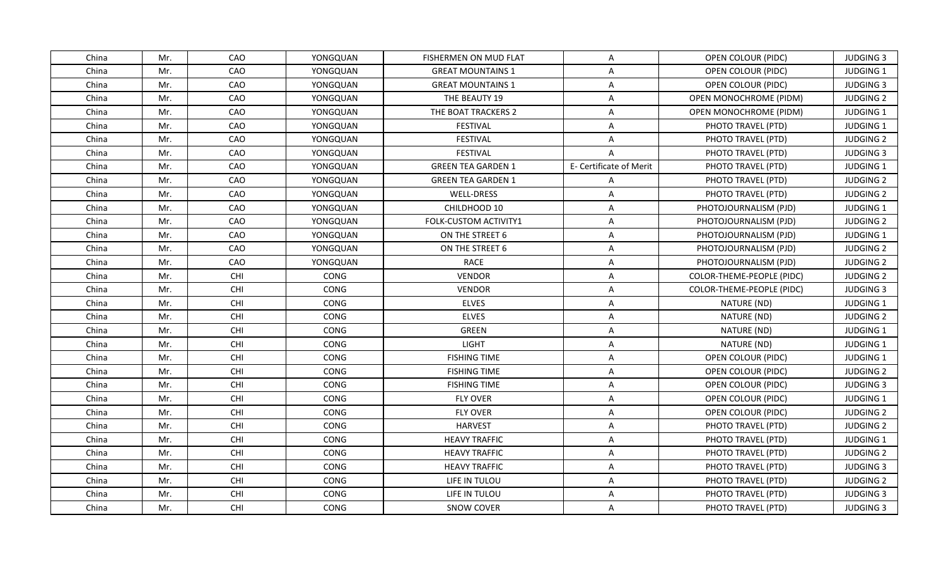| China | Mr. | CAO        | YONGQUAN    | FISHERMEN ON MUD FLAT     | A                       | OPEN COLOUR (PIDC)        | <b>JUDGING 3</b> |
|-------|-----|------------|-------------|---------------------------|-------------------------|---------------------------|------------------|
| China | Mr. | CAO        | YONGQUAN    | <b>GREAT MOUNTAINS 1</b>  | A                       | OPEN COLOUR (PIDC)        | JUDGING 1        |
| China | Mr. | CAO        | YONGQUAN    | <b>GREAT MOUNTAINS 1</b>  | A                       | OPEN COLOUR (PIDC)        | <b>JUDGING 3</b> |
| China | Mr. | CAO        | YONGQUAN    | THE BEAUTY 19             | A                       | OPEN MONOCHROME (PIDM)    | <b>JUDGING 2</b> |
| China | Mr. | CAO        | YONGQUAN    | THE BOAT TRACKERS 2       | A                       | OPEN MONOCHROME (PIDM)    | JUDGING 1        |
| China | Mr. | CAO        | YONGQUAN    | <b>FESTIVAL</b>           | A                       | PHOTO TRAVEL (PTD)        | JUDGING 1        |
| China | Mr. | CAO        | YONGQUAN    | <b>FESTIVAL</b>           | A                       | PHOTO TRAVEL (PTD)        | <b>JUDGING 2</b> |
| China | Mr. | CAO        | YONGQUAN    | FESTIVAL                  | $\overline{A}$          | PHOTO TRAVEL (PTD)        | <b>JUDGING 3</b> |
| China | Mr. | CAO        | YONGQUAN    | <b>GREEN TEA GARDEN 1</b> | E- Certificate of Merit | PHOTO TRAVEL (PTD)        | <b>JUDGING 1</b> |
| China | Mr. | CAO        | YONGQUAN    | <b>GREEN TEA GARDEN 1</b> | $\overline{A}$          | PHOTO TRAVEL (PTD)        | <b>JUDGING 2</b> |
| China | Mr. | CAO        | YONGQUAN    | WELL-DRESS                | $\mathsf{A}$            | PHOTO TRAVEL (PTD)        | <b>JUDGING 2</b> |
| China | Mr. | CAO        | YONGQUAN    | CHILDHOOD 10              | A                       | PHOTOJOURNALISM (PJD)     | JUDGING 1        |
| China | Mr. | CAO        | YONGQUAN    | FOLK-CUSTOM ACTIVITY1     | A                       | PHOTOJOURNALISM (PJD)     | <b>JUDGING 2</b> |
| China | Mr. | CAO        | YONGQUAN    | ON THE STREET 6           | A                       | PHOTOJOURNALISM (PJD)     | JUDGING 1        |
| China | Mr. | CAO        | YONGQUAN    | ON THE STREET 6           | A                       | PHOTOJOURNALISM (PJD)     | <b>JUDGING 2</b> |
| China | Mr. | CAO        | YONGQUAN    | <b>RACE</b>               | $\overline{\mathsf{A}}$ | PHOTOJOURNALISM (PJD)     | <b>JUDGING 2</b> |
| China | Mr. | CHI        | CONG        | <b>VENDOR</b>             | A                       | COLOR-THEME-PEOPLE (PIDC) | <b>JUDGING 2</b> |
| China | Mr. | CHI        | CONG        | <b>VENDOR</b>             | $\overline{\mathsf{A}}$ | COLOR-THEME-PEOPLE (PIDC) | <b>JUDGING 3</b> |
| China | Mr. | CHI        | <b>CONG</b> | <b>ELVES</b>              | A                       | NATURE (ND)               | <b>JUDGING 1</b> |
| China | Mr. | CHI        | CONG        | <b>ELVES</b>              | $\overline{A}$          | NATURE (ND)               | <b>JUDGING 2</b> |
| China | Mr. | CHI        | CONG        | GREEN                     | A                       | NATURE (ND)               | JUDGING 1        |
| China | Mr. | CHI        | CONG        | <b>LIGHT</b>              | A                       | NATURE (ND)               | JUDGING 1        |
| China | Mr. | CHI        | CONG        | <b>FISHING TIME</b>       | $\overline{\mathsf{A}}$ | OPEN COLOUR (PIDC)        | JUDGING 1        |
| China | Mr. | CHI        | CONG        | <b>FISHING TIME</b>       | $\mathsf{A}$            | OPEN COLOUR (PIDC)        | <b>JUDGING 2</b> |
| China | Mr. | CHI        | CONG        | <b>FISHING TIME</b>       | A                       | OPEN COLOUR (PIDC)        | <b>JUDGING 3</b> |
| China | Mr. | CHI        | CONG        | <b>FLY OVER</b>           | $\overline{\mathsf{A}}$ | OPEN COLOUR (PIDC)        | JUDGING 1        |
| China | Mr. | CHI        | CONG        | <b>FLY OVER</b>           | $\overline{\mathsf{A}}$ | OPEN COLOUR (PIDC)        | <b>JUDGING 2</b> |
| China | Mr. | CHI        | CONG        | <b>HARVEST</b>            | A                       | PHOTO TRAVEL (PTD)        | <b>JUDGING 2</b> |
| China | Mr. | CHI        | CONG        | <b>HEAVY TRAFFIC</b>      | $\overline{A}$          | PHOTO TRAVEL (PTD)        | JUDGING 1        |
| China | Mr. | CHI        | CONG        | <b>HEAVY TRAFFIC</b>      | A                       | PHOTO TRAVEL (PTD)        | <b>JUDGING 2</b> |
| China | Mr. | CHI        | CONG        | <b>HEAVY TRAFFIC</b>      | A                       | PHOTO TRAVEL (PTD)        | <b>JUDGING 3</b> |
| China | Mr. | CHI        | CONG        | LIFE IN TULOU             | $\overline{\mathsf{A}}$ | PHOTO TRAVEL (PTD)        | <b>JUDGING 2</b> |
| China | Mr. | CHI        | CONG        | LIFE IN TULOU             | A                       | PHOTO TRAVEL (PTD)        | <b>JUDGING 3</b> |
| China | Mr. | <b>CHI</b> | CONG        | <b>SNOW COVER</b>         | $\mathsf{A}$            | PHOTO TRAVEL (PTD)        | <b>JUDGING 3</b> |
|       |     |            |             |                           |                         |                           |                  |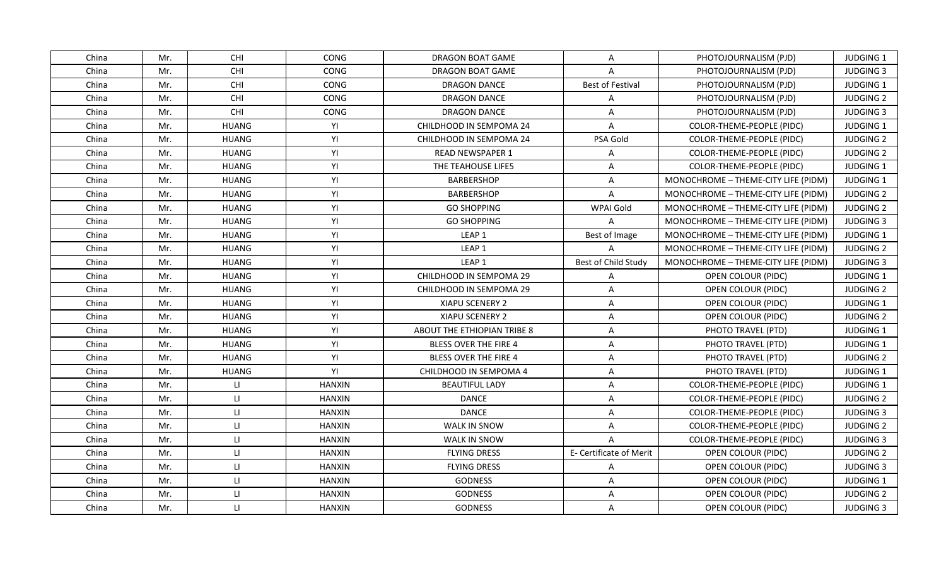| China | Mr. | <b>CHI</b>              | CONG          | DRAGON BOAT GAME             | $\mathsf{A}$            | PHOTOJOURNALISM (PJD)               | <b>JUDGING 1</b> |
|-------|-----|-------------------------|---------------|------------------------------|-------------------------|-------------------------------------|------------------|
| China | Mr. | CHI                     | CONG          | <b>DRAGON BOAT GAME</b>      | A                       | PHOTOJOURNALISM (PJD)               | <b>JUDGING 3</b> |
| China | Mr. | CHI                     | CONG          | <b>DRAGON DANCE</b>          | <b>Best of Festival</b> | PHOTOJOURNALISM (PJD)               | JUDGING 1        |
| China | Mr. | CHI                     | CONG          | <b>DRAGON DANCE</b>          | $\mathsf{A}$            | PHOTOJOURNALISM (PJD)               | <b>JUDGING 2</b> |
| China | Mr. | CHI                     | CONG          | DRAGON DANCE                 | A                       | PHOTOJOURNALISM (PJD)               | <b>JUDGING 3</b> |
| China | Mr. | <b>HUANG</b>            | YI            | CHILDHOOD IN SEMPOMA 24      | A                       | COLOR-THEME-PEOPLE (PIDC)           | <b>JUDGING 1</b> |
| China | Mr. | <b>HUANG</b>            | YI            | CHILDHOOD IN SEMPOMA 24      | PSA Gold                | COLOR-THEME-PEOPLE (PIDC)           | <b>JUDGING 2</b> |
| China | Mr. | <b>HUANG</b>            | YI            | <b>READ NEWSPAPER 1</b>      | Α                       | COLOR-THEME-PEOPLE (PIDC)           | <b>JUDGING 2</b> |
| China | Mr. | <b>HUANG</b>            | YI            | THE TEAHOUSE LIFE5           | $\overline{A}$          | COLOR-THEME-PEOPLE (PIDC)           | <b>JUDGING 1</b> |
| China | Mr. | <b>HUANG</b>            | YI            | <b>BARBERSHOP</b>            | A                       | MONOCHROME - THEME-CITY LIFE (PIDM) | JUDGING 1        |
| China | Mr. | <b>HUANG</b>            | YI            | <b>BARBERSHOP</b>            | A                       | MONOCHROME - THEME-CITY LIFE (PIDM) | <b>JUDGING 2</b> |
| China | Mr. | <b>HUANG</b>            | YI            | <b>GO SHOPPING</b>           | WPAI Gold               | MONOCHROME - THEME-CITY LIFE (PIDM) | <b>JUDGING 2</b> |
| China | Mr. | <b>HUANG</b>            | YI            | <b>GO SHOPPING</b>           | $\mathsf{A}$            | MONOCHROME - THEME-CITY LIFE (PIDM) | <b>JUDGING 3</b> |
| China | Mr. | <b>HUANG</b>            | YI            | LEAP <sub>1</sub>            | Best of Image           | MONOCHROME - THEME-CITY LIFE (PIDM) | JUDGING 1        |
| China | Mr. | <b>HUANG</b>            | YI            | LEAP <sub>1</sub>            | $\overline{A}$          | MONOCHROME - THEME-CITY LIFE (PIDM) | <b>JUDGING 2</b> |
| China | Mr. | <b>HUANG</b>            | YI            | LEAP 1                       | Best of Child Study     | MONOCHROME - THEME-CITY LIFE (PIDM) | <b>JUDGING 3</b> |
| China | Mr. | <b>HUANG</b>            | YI            | CHILDHOOD IN SEMPOMA 29      | Α                       | OPEN COLOUR (PIDC)                  | JUDGING 1        |
| China | Mr. | <b>HUANG</b>            | YI            | CHILDHOOD IN SEMPOMA 29      | $\overline{A}$          | OPEN COLOUR (PIDC)                  | <b>JUDGING 2</b> |
| China | Mr. | <b>HUANG</b>            | YI            | XIAPU SCENERY 2              | A                       | OPEN COLOUR (PIDC)                  | <b>JUDGING 1</b> |
| China | Mr. | <b>HUANG</b>            | YI            | <b>XIAPU SCENERY 2</b>       | Α                       | OPEN COLOUR (PIDC)                  | <b>JUDGING 2</b> |
| China | Mr. | <b>HUANG</b>            | YI            | ABOUT THE ETHIOPIAN TRIBE 8  | Α                       | PHOTO TRAVEL (PTD)                  | <b>JUDGING 1</b> |
| China | Mr. | <b>HUANG</b>            | YI            | <b>BLESS OVER THE FIRE 4</b> | Α                       | PHOTO TRAVEL (PTD)                  | JUDGING 1        |
| China | Mr. | <b>HUANG</b>            | YI            | <b>BLESS OVER THE FIRE 4</b> | $\mathsf{A}$            | PHOTO TRAVEL (PTD)                  | <b>JUDGING 2</b> |
| China | Mr. | <b>HUANG</b>            | YI            | CHILDHOOD IN SEMPOMA 4       | $\mathsf{A}$            | PHOTO TRAVEL (PTD)                  | JUDGING 1        |
| China | Mr. | LI.                     | <b>HANXIN</b> | <b>BEAUTIFUL LADY</b>        | A                       | COLOR-THEME-PEOPLE (PIDC)           | <b>JUDGING 1</b> |
| China | Mr. | $\mathsf{L} \mathsf{L}$ | <b>HANXIN</b> | <b>DANCE</b>                 | A                       | COLOR-THEME-PEOPLE (PIDC)           | <b>JUDGING 2</b> |
| China | Mr. | $\mathbf{H}$            | <b>HANXIN</b> | <b>DANCE</b>                 | A                       | COLOR-THEME-PEOPLE (PIDC)           | <b>JUDGING 3</b> |
| China | Mr. | $\mathsf{H}$            | <b>HANXIN</b> | WALK IN SNOW                 | $\mathsf{A}$            | COLOR-THEME-PEOPLE (PIDC)           | <b>JUDGING 2</b> |
| China | Mr. | $\mathsf{L}\mathsf{L}$  | <b>HANXIN</b> | <b>WALK IN SNOW</b>          | $\overline{A}$          | COLOR-THEME-PEOPLE (PIDC)           | <b>JUDGING 3</b> |
| China | Mr. | $\mathsf{L}$            | <b>HANXIN</b> | <b>FLYING DRESS</b>          | E- Certificate of Merit | OPEN COLOUR (PIDC)                  | <b>JUDGING 2</b> |
| China | Mr. | $\mathsf{L} \mathsf{L}$ | <b>HANXIN</b> | <b>FLYING DRESS</b>          | $\mathsf{A}$            | OPEN COLOUR (PIDC)                  | <b>JUDGING 3</b> |
| China | Mr. | $\mathbf{H}$            | <b>HANXIN</b> | <b>GODNESS</b>               | A                       | OPEN COLOUR (PIDC)                  | JUDGING 1        |
| China | Mr. | $\mathsf{L}\mathsf{L}$  | <b>HANXIN</b> | <b>GODNESS</b>               | $\overline{A}$          | OPEN COLOUR (PIDC)                  | <b>JUDGING 2</b> |
| China | Mr. | LI.                     | HANXIN        | <b>GODNESS</b>               | A                       | OPEN COLOUR (PIDC)                  | <b>JUDGING 3</b> |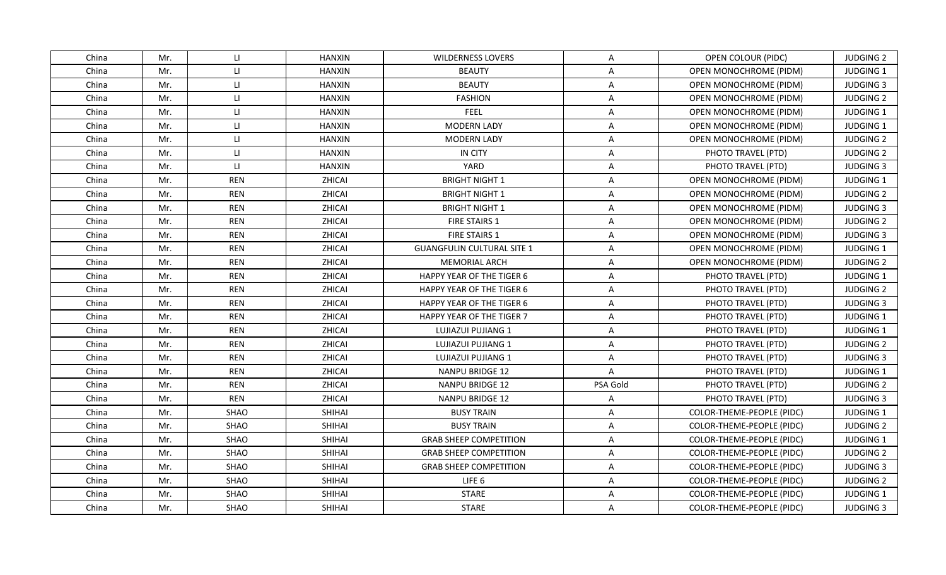| China | Mr. | LI.          | <b>HANXIN</b> | <b>WILDERNESS LOVERS</b>          | A              | OPEN COLOUR (PIDC)        | <b>JUDGING 2</b> |
|-------|-----|--------------|---------------|-----------------------------------|----------------|---------------------------|------------------|
| China | Mr. | $\mathsf{L}$ | <b>HANXIN</b> | <b>BEAUTY</b>                     | A              | OPEN MONOCHROME (PIDM)    | JUDGING 1        |
| China | Mr. | $\mathsf{H}$ | <b>HANXIN</b> | <b>BEAUTY</b>                     | Α              | OPEN MONOCHROME (PIDM)    | <b>JUDGING 3</b> |
| China | Mr. | $\mathsf{L}$ | <b>HANXIN</b> | <b>FASHION</b>                    | $\mathsf{A}$   | OPEN MONOCHROME (PIDM)    | <b>JUDGING 2</b> |
| China | Mr. | $\mathsf{L}$ | <b>HANXIN</b> | FEEL                              | $\overline{A}$ | OPEN MONOCHROME (PIDM)    | JUDGING 1        |
| China | Mr. | $\mathsf{L}$ | <b>HANXIN</b> | <b>MODERN LADY</b>                | A              | OPEN MONOCHROME (PIDM)    | <b>JUDGING 1</b> |
| China | Mr. | $\mathsf{L}$ | <b>HANXIN</b> | <b>MODERN LADY</b>                | A              | OPEN MONOCHROME (PIDM)    | <b>JUDGING 2</b> |
| China | Mr. | $\mathsf{H}$ | <b>HANXIN</b> | IN CITY                           | A              | PHOTO TRAVEL (PTD)        | <b>JUDGING 2</b> |
| China | Mr. | $\mathbf{H}$ | <b>HANXIN</b> | YARD                              | $\overline{A}$ | PHOTO TRAVEL (PTD)        | <b>JUDGING 3</b> |
| China | Mr. | <b>REN</b>   | ZHICAI        | <b>BRIGHT NIGHT 1</b>             | A              | OPEN MONOCHROME (PIDM)    | JUDGING 1        |
| China | Mr. | <b>REN</b>   | <b>ZHICAI</b> | <b>BRIGHT NIGHT 1</b>             | A              | OPEN MONOCHROME (PIDM)    | <b>JUDGING 2</b> |
| China | Mr. | <b>REN</b>   | ZHICAI        | <b>BRIGHT NIGHT 1</b>             | A              | OPEN MONOCHROME (PIDM)    | <b>JUDGING 3</b> |
| China | Mr. | <b>REN</b>   | ZHICAI        | <b>FIRE STAIRS 1</b>              | A              | OPEN MONOCHROME (PIDM)    | <b>JUDGING 2</b> |
| China | Mr. | <b>REN</b>   | ZHICAI        | FIRE STAIRS 1                     | A              | OPEN MONOCHROME (PIDM)    | <b>JUDGING 3</b> |
| China | Mr. | <b>REN</b>   | ZHICAI        | <b>GUANGFULIN CULTURAL SITE 1</b> | $\overline{A}$ | OPEN MONOCHROME (PIDM)    | JUDGING 1        |
| China | Mr. | <b>REN</b>   | <b>ZHICAI</b> | <b>MEMORIAL ARCH</b>              | A              | OPEN MONOCHROME (PIDM)    | <b>JUDGING 2</b> |
| China | Mr. | <b>REN</b>   | ZHICAI        | <b>HAPPY YEAR OF THE TIGER 6</b>  | A              | PHOTO TRAVEL (PTD)        | JUDGING 1        |
| China | Mr. | <b>REN</b>   | ZHICAI        | <b>HAPPY YEAR OF THE TIGER 6</b>  | $\overline{A}$ | PHOTO TRAVEL (PTD)        | <b>JUDGING 2</b> |
| China | Mr. | <b>REN</b>   | ZHICAI        | <b>HAPPY YEAR OF THE TIGER 6</b>  | A              | PHOTO TRAVEL (PTD)        | <b>JUDGING 3</b> |
| China | Mr. | <b>REN</b>   | ZHICAI        | HAPPY YEAR OF THE TIGER 7         | Α              | PHOTO TRAVEL (PTD)        | JUDGING 1        |
| China | Mr. | <b>REN</b>   | ZHICAI        | LUJIAZUI PUJIANG 1                | Α              | PHOTO TRAVEL (PTD)        | <b>JUDGING 1</b> |
| China | Mr. | <b>REN</b>   | ZHICAI        | LUJIAZUI PUJIANG 1                | Α              | PHOTO TRAVEL (PTD)        | <b>JUDGING 2</b> |
| China | Mr. | <b>REN</b>   | ZHICAI        | LUJIAZUI PUJIANG 1                | $\mathsf{A}$   | PHOTO TRAVEL (PTD)        | <b>JUDGING 3</b> |
| China | Mr. | <b>REN</b>   | ZHICAI        | <b>NANPU BRIDGE 12</b>            | $\mathsf{A}$   | PHOTO TRAVEL (PTD)        | JUDGING 1        |
| China | Mr. | <b>REN</b>   | <b>ZHICAI</b> | <b>NANPU BRIDGE 12</b>            | PSA Gold       | PHOTO TRAVEL (PTD)        | <b>JUDGING 2</b> |
| China | Mr. | <b>REN</b>   | ZHICAI        | NANPU BRIDGE 12                   | Α              | PHOTO TRAVEL (PTD)        | <b>JUDGING 3</b> |
| China | Mr. | SHAO         | SHIHAI        | <b>BUSY TRAIN</b>                 | Α              | COLOR-THEME-PEOPLE (PIDC) | <b>JUDGING 1</b> |
| China | Mr. | SHAO         | <b>SHIHAI</b> | <b>BUSY TRAIN</b>                 | A              | COLOR-THEME-PEOPLE (PIDC) | <b>JUDGING 2</b> |
| China | Mr. | SHAO         | <b>SHIHAI</b> | <b>GRAB SHEEP COMPETITION</b>     | A              | COLOR-THEME-PEOPLE (PIDC) | <b>JUDGING 1</b> |
| China | Mr. | <b>SHAO</b>  | <b>SHIHAI</b> | <b>GRAB SHEEP COMPETITION</b>     | $\overline{A}$ | COLOR-THEME-PEOPLE (PIDC) | <b>JUDGING 2</b> |
| China | Mr. | SHAO         | <b>SHIHAI</b> | <b>GRAB SHEEP COMPETITION</b>     | A              | COLOR-THEME-PEOPLE (PIDC) | <b>JUDGING 3</b> |
| China | Mr. | SHAO         | SHIHAI        | LIFE 6                            | A              | COLOR-THEME-PEOPLE (PIDC) | <b>JUDGING 2</b> |
| China | Mr. | SHAO         | SHIHAI        | <b>STARE</b>                      | A              | COLOR-THEME-PEOPLE (PIDC) | JUDGING 1        |
| China | Mr. | <b>SHAO</b>  | SHIHAI        | <b>STARE</b>                      | A              | COLOR-THEME-PEOPLE (PIDC) | <b>JUDGING 3</b> |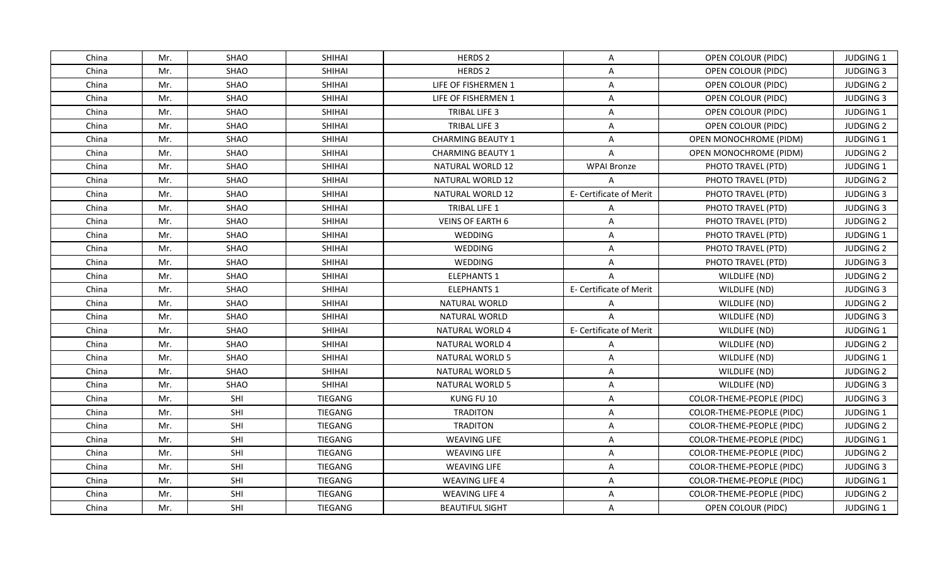| China | Mr. | <b>SHAO</b> | <b>SHIHAI</b>  | HERDS 2                  | A                       | OPEN COLOUR (PIDC)        | <b>JUDGING 1</b> |
|-------|-----|-------------|----------------|--------------------------|-------------------------|---------------------------|------------------|
| China | Mr. | SHAO        | <b>SHIHAI</b>  | <b>HERDS 2</b>           | A                       | OPEN COLOUR (PIDC)        | <b>JUDGING 3</b> |
| China | Mr. | <b>SHAO</b> | SHIHAI         | LIFE OF FISHERMEN 1      | $\mathsf{A}$            | OPEN COLOUR (PIDC)        | <b>JUDGING 2</b> |
| China | Mr. | SHAO        | SHIHAI         | LIFE OF FISHERMEN 1      | $\mathsf{A}$            | OPEN COLOUR (PIDC)        | <b>JUDGING 3</b> |
| China | Mr. | SHAO        | <b>SHIHAI</b>  | TRIBAL LIFE 3            | A                       | OPEN COLOUR (PIDC)        | JUDGING 1        |
| China | Mr. | <b>SHAO</b> | <b>SHIHAI</b>  | TRIBAL LIFE 3            | A                       | OPEN COLOUR (PIDC)        | <b>JUDGING 2</b> |
| China | Mr. | SHAO        | <b>SHIHAI</b>  | <b>CHARMING BEAUTY 1</b> | A                       | OPEN MONOCHROME (PIDM)    | JUDGING 1        |
| China | Mr. | SHAO        | <b>SHIHAI</b>  | <b>CHARMING BEAUTY 1</b> | $\overline{A}$          | OPEN MONOCHROME (PIDM)    | <b>JUDGING 2</b> |
| China | Mr. | <b>SHAO</b> | <b>SHIHAI</b>  | <b>NATURAL WORLD 12</b>  | <b>WPAI Bronze</b>      | PHOTO TRAVEL (PTD)        | <b>JUDGING 1</b> |
| China | Mr. | SHAO        | SHIHAI         | NATURAL WORLD 12         | $\overline{A}$          | PHOTO TRAVEL (PTD)        | <b>JUDGING 2</b> |
| China | Mr. | SHAO        | <b>SHIHAI</b>  | NATURAL WORLD 12         | E- Certificate of Merit | PHOTO TRAVEL (PTD)        | <b>JUDGING 3</b> |
| China | Mr. | SHAO        | <b>SHIHAI</b>  | TRIBAL LIFE 1            | Α                       | PHOTO TRAVEL (PTD)        | <b>JUDGING 3</b> |
| China | Mr. | SHAO        | SHIHAI         | <b>VEINS OF EARTH 6</b>  | A                       | PHOTO TRAVEL (PTD)        | <b>JUDGING 2</b> |
| China | Mr. | SHAO        | SHIHAI         | WEDDING                  | A                       | PHOTO TRAVEL (PTD)        | JUDGING 1        |
| China | Mr. | SHAO        | SHIHAI         | WEDDING                  | Α                       | PHOTO TRAVEL (PTD)        | <b>JUDGING 2</b> |
| China | Mr. | SHAO        | <b>SHIHAI</b>  | <b>WEDDING</b>           | A                       | PHOTO TRAVEL (PTD)        | <b>JUDGING 3</b> |
| China | Mr. | SHAO        | SHIHAI         | <b>ELEPHANTS 1</b>       | $\overline{A}$          | WILDLIFE (ND)             | <b>JUDGING 2</b> |
| China | Mr. | <b>SHAO</b> | <b>SHIHAI</b>  | <b>ELEPHANTS 1</b>       | E- Certificate of Merit | WILDLIFE (ND)             | <b>JUDGING 3</b> |
| China | Mr. | <b>SHAO</b> | SHIHAI         | NATURAL WORLD            | $\overline{A}$          | WILDLIFE (ND)             | <b>JUDGING 2</b> |
| China | Mr. | SHAO        | SHIHAI         | NATURAL WORLD            | A                       | WILDLIFE (ND)             | <b>JUDGING 3</b> |
| China | Mr. | SHAO        | <b>SHIHAI</b>  | NATURAL WORLD 4          | E- Certificate of Merit | WILDLIFE (ND)             | <b>JUDGING 1</b> |
| China | Mr. | SHAO        | <b>SHIHAI</b>  | NATURAL WORLD 4          | Α                       | WILDLIFE (ND)             | <b>JUDGING 2</b> |
| China | Mr. | <b>SHAO</b> | SHIHAI         | <b>NATURAL WORLD 5</b>   | A                       | WILDLIFE (ND)             | JUDGING 1        |
| China | Mr. | SHAO        | <b>SHIHAI</b>  | <b>NATURAL WORLD 5</b>   | $\mathsf{A}$            | WILDLIFE (ND)             | <b>JUDGING 2</b> |
| China | Mr. | SHAO        | <b>SHIHAI</b>  | <b>NATURAL WORLD 5</b>   | A                       | WILDLIFE (ND)             | <b>JUDGING 3</b> |
| China | Mr. | SHI         | TIEGANG        | KUNG FU 10               | A                       | COLOR-THEME-PEOPLE (PIDC) | <b>JUDGING 3</b> |
| China | Mr. | SHI         | TIEGANG        | <b>TRADITON</b>          | A                       | COLOR-THEME-PEOPLE (PIDC) | JUDGING 1        |
| China | Mr. | SHI         | <b>TIEGANG</b> | <b>TRADITON</b>          | A                       | COLOR-THEME-PEOPLE (PIDC) | <b>JUDGING 2</b> |
| China | Mr. | SHI         | TIEGANG        | <b>WEAVING LIFE</b>      | Α                       | COLOR-THEME-PEOPLE (PIDC) | <b>JUDGING 1</b> |
| China | Mr. | SHI         | <b>TIEGANG</b> | <b>WEAVING LIFE</b>      | Α                       | COLOR-THEME-PEOPLE (PIDC) | <b>JUDGING 2</b> |
| China | Mr. | SHI         | TIEGANG        | <b>WEAVING LIFE</b>      | A                       | COLOR-THEME-PEOPLE (PIDC) | <b>JUDGING 3</b> |
| China | Mr. | SHI         | <b>TIEGANG</b> | <b>WEAVING LIFE 4</b>    | A                       | COLOR-THEME-PEOPLE (PIDC) | JUDGING 1        |
| China | Mr. | SHI         | TIEGANG        | <b>WEAVING LIFE 4</b>    | A                       | COLOR-THEME-PEOPLE (PIDC) | <b>JUDGING 2</b> |
| China | Mr. | SHI         | TIEGANG        | <b>BEAUTIFUL SIGHT</b>   | A                       | OPEN COLOUR (PIDC)        | <b>JUDGING 1</b> |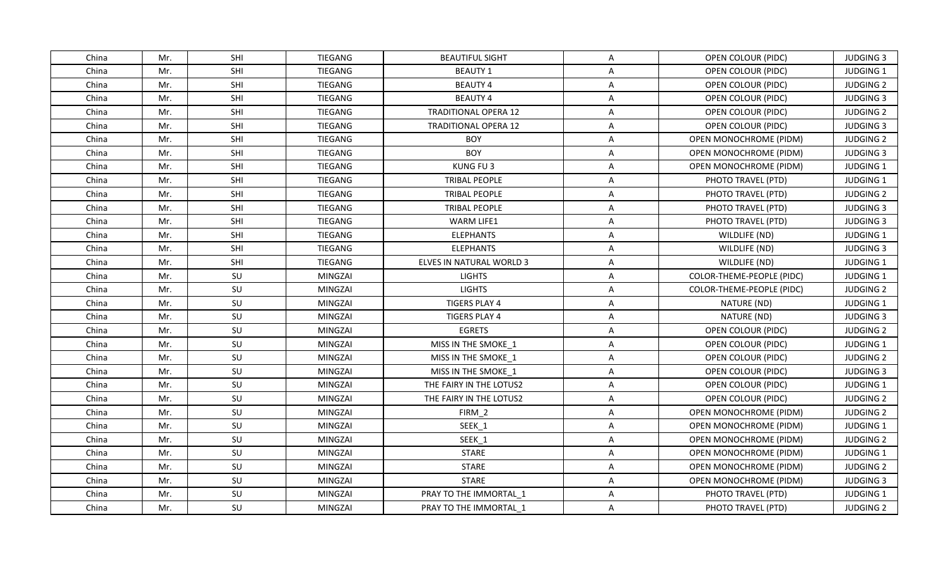| China | Mr. | <b>SHI</b> | <b>TIEGANG</b> | <b>BEAUTIFUL SIGHT</b>      | A                       | OPEN COLOUR (PIDC)            | <b>JUDGING 3</b> |
|-------|-----|------------|----------------|-----------------------------|-------------------------|-------------------------------|------------------|
| China | Mr. | SHI        | <b>TIEGANG</b> | <b>BEAUTY 1</b>             | A                       | OPEN COLOUR (PIDC)            | JUDGING 1        |
| China | Mr. | SHI        | <b>TIEGANG</b> | <b>BEAUTY 4</b>             | A                       | OPEN COLOUR (PIDC)            | <b>JUDGING 2</b> |
| China | Mr. | SHI        | TIEGANG        | <b>BEAUTY 4</b>             | A                       | OPEN COLOUR (PIDC)            | <b>JUDGING 3</b> |
| China | Mr. | SHI        | <b>TIEGANG</b> | <b>TRADITIONAL OPERA 12</b> | A                       | OPEN COLOUR (PIDC)            | <b>JUDGING 2</b> |
| China | Mr. | SHI        | TIEGANG        | <b>TRADITIONAL OPERA 12</b> | A                       | OPEN COLOUR (PIDC)            | <b>JUDGING 3</b> |
| China | Mr. | SHI        | <b>TIEGANG</b> | <b>BOY</b>                  | A                       | OPEN MONOCHROME (PIDM)        | <b>JUDGING 2</b> |
| China | Mr. | SHI        | <b>TIEGANG</b> | <b>BOY</b>                  | A                       | OPEN MONOCHROME (PIDM)        | <b>JUDGING 3</b> |
| China | Mr. | SHI        | <b>TIEGANG</b> | KUNG FU <sub>3</sub>        | A                       | OPEN MONOCHROME (PIDM)        | JUDGING 1        |
| China | Mr. | SHI        | TIEGANG        | <b>TRIBAL PEOPLE</b>        | A                       | PHOTO TRAVEL (PTD)            | JUDGING 1        |
| China | Mr. | SHI        | TIEGANG        | <b>TRIBAL PEOPLE</b>        | A                       | PHOTO TRAVEL (PTD)            | <b>JUDGING 2</b> |
| China | Mr. | SHI        | <b>TIEGANG</b> | <b>TRIBAL PEOPLE</b>        | $\overline{\mathsf{A}}$ | PHOTO TRAVEL (PTD)            | <b>JUDGING 3</b> |
| China | Mr. | SHI        | <b>TIEGANG</b> | WARM LIFE1                  | A                       | PHOTO TRAVEL (PTD)            | <b>JUDGING 3</b> |
| China | Mr. | SHI        | <b>TIEGANG</b> | <b>ELEPHANTS</b>            | A                       | WILDLIFE (ND)                 | JUDGING 1        |
| China | Mr. | SHI        | TIEGANG        | <b>ELEPHANTS</b>            | A                       | WILDLIFE (ND)                 | <b>JUDGING 3</b> |
| China | Mr. | SHI        | <b>TIEGANG</b> | ELVES IN NATURAL WORLD 3    | A                       | WILDLIFE (ND)                 | <b>JUDGING 1</b> |
| China | Mr. | SU         | <b>MINGZAI</b> | <b>LIGHTS</b>               | A                       | COLOR-THEME-PEOPLE (PIDC)     | JUDGING 1        |
| China | Mr. | SU         | MINGZAI        | <b>LIGHTS</b>               | $\overline{A}$          | COLOR-THEME-PEOPLE (PIDC)     | <b>JUDGING 2</b> |
| China | Mr. | SU         | <b>MINGZAI</b> | <b>TIGERS PLAY 4</b>        | A                       | NATURE (ND)                   | <b>JUDGING 1</b> |
| China | Mr. | SU         | MINGZAI        | <b>TIGERS PLAY 4</b>        | A                       | NATURE (ND)                   | <b>JUDGING 3</b> |
| China | Mr. | SU         | <b>MINGZAI</b> | <b>EGRETS</b>               | A                       | OPEN COLOUR (PIDC)            | <b>JUDGING 2</b> |
| China | Mr. | SU         | MINGZAI        | MISS IN THE SMOKE 1         | $\overline{\mathsf{A}}$ | OPEN COLOUR (PIDC)            | JUDGING 1        |
| China | Mr. | SU         | <b>MINGZAI</b> | MISS IN THE SMOKE 1         | A                       | OPEN COLOUR (PIDC)            | <b>JUDGING 2</b> |
| China | Mr. | SU         | <b>MINGZAI</b> | MISS IN THE SMOKE 1         | A                       | OPEN COLOUR (PIDC)            | <b>JUDGING 3</b> |
| China | Mr. | SU         | <b>MINGZAI</b> | THE FAIRY IN THE LOTUS2     | A                       | OPEN COLOUR (PIDC)            | <b>JUDGING 1</b> |
| China | Mr. | SU         | <b>MINGZAI</b> | THE FAIRY IN THE LOTUS2     | A                       | OPEN COLOUR (PIDC)            | <b>JUDGING 2</b> |
| China | Mr. | SU         | MINGZAI        | FIRM 2                      | A                       | OPEN MONOCHROME (PIDM)        | <b>JUDGING 2</b> |
| China | Mr. | SU         | MINGZAI        | SEEK 1                      | A                       | OPEN MONOCHROME (PIDM)        | JUDGING 1        |
| China | Mr. | SU         | MINGZAI        | SEEK 1                      | A                       | <b>OPEN MONOCHROME (PIDM)</b> | <b>JUDGING 2</b> |
| China | Mr. | SU         | <b>MINGZAI</b> | <b>STARE</b>                | $\overline{A}$          | OPEN MONOCHROME (PIDM)        | <b>JUDGING 1</b> |
| China | Mr. | SU         | MINGZAI        | <b>STARE</b>                | A                       | <b>OPEN MONOCHROME (PIDM)</b> | <b>JUDGING 2</b> |
| China | Mr. | SU         | <b>MINGZAI</b> | <b>STARE</b>                | $\overline{A}$          | OPEN MONOCHROME (PIDM)        | <b>JUDGING 3</b> |
| China | Mr. | SU         | MINGZAI        | PRAY TO THE IMMORTAL 1      | A                       | PHOTO TRAVEL (PTD)            | JUDGING 1        |
| China | Mr. | SU         | MINGZAI        | PRAY TO THE IMMORTAL 1      | A                       | PHOTO TRAVEL (PTD)            | <b>JUDGING 2</b> |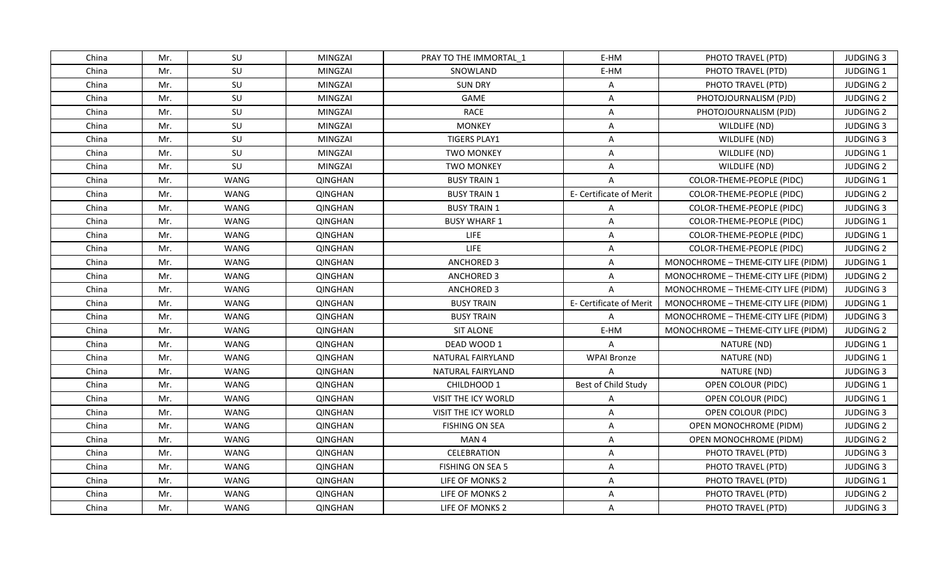| China | Mr. | SU   | MINGZAI        | PRAY TO THE IMMORTAL 1 | E-HM                    | PHOTO TRAVEL (PTD)                  | <b>JUDGING 3</b> |
|-------|-----|------|----------------|------------------------|-------------------------|-------------------------------------|------------------|
| China | Mr. | SU   | <b>MINGZAI</b> | SNOWLAND               | E-HM                    | PHOTO TRAVEL (PTD)                  | JUDGING 1        |
| China | Mr. | SU   | MINGZAI        | <b>SUN DRY</b>         | A                       | PHOTO TRAVEL (PTD)                  | <b>JUDGING 2</b> |
| China | Mr. | SU   | MINGZAI        | GAME                   | A                       | PHOTOJOURNALISM (PJD)               | <b>JUDGING 2</b> |
| China | Mr. | SU   | MINGZAI        | <b>RACE</b>            | A                       | PHOTOJOURNALISM (PJD)               | <b>JUDGING 2</b> |
| China | Mr. | SU   | MINGZAI        | <b>MONKEY</b>          | A                       | WILDLIFE (ND)                       | <b>JUDGING 3</b> |
| China | Mr. | SU   | <b>MINGZAI</b> | <b>TIGERS PLAY1</b>    | A                       | WILDLIFE (ND)                       | <b>JUDGING 3</b> |
| China | Mr. | SU   | MINGZAI        | <b>TWO MONKEY</b>      | A                       | WILDLIFE (ND)                       | JUDGING 1        |
| China | Mr. | SU   | MINGZAI        | <b>TWO MONKEY</b>      | A                       | WILDLIFE (ND)                       | <b>JUDGING 2</b> |
| China | Mr. | WANG | <b>QINGHAN</b> | <b>BUSY TRAIN 1</b>    | A                       | COLOR-THEME-PEOPLE (PIDC)           | JUDGING 1        |
| China | Mr. | WANG | <b>QINGHAN</b> | <b>BUSY TRAIN 1</b>    | E- Certificate of Merit | COLOR-THEME-PEOPLE (PIDC)           | <b>JUDGING 2</b> |
| China | Mr. | WANG | <b>QINGHAN</b> | <b>BUSY TRAIN 1</b>    | A                       | COLOR-THEME-PEOPLE (PIDC)           | <b>JUDGING 3</b> |
| China | Mr. | WANG | QINGHAN        | <b>BUSY WHARF 1</b>    | A                       | COLOR-THEME-PEOPLE (PIDC)           | JUDGING 1        |
| China | Mr. | WANG | <b>QINGHAN</b> | <b>LIFE</b>            | $\overline{A}$          | COLOR-THEME-PEOPLE (PIDC)           | JUDGING 1        |
| China | Mr. | WANG | <b>QINGHAN</b> | <b>LIFE</b>            | A                       | <b>COLOR-THEME-PEOPLE (PIDC)</b>    | <b>JUDGING 2</b> |
| China | Mr. | WANG | QINGHAN        | <b>ANCHORED 3</b>      | A                       | MONOCHROME - THEME-CITY LIFE (PIDM) | <b>JUDGING 1</b> |
| China | Mr. | WANG | <b>QINGHAN</b> | ANCHORED 3             | A                       | MONOCHROME - THEME-CITY LIFE (PIDM) | <b>JUDGING 2</b> |
| China | Mr. | WANG | QINGHAN        | ANCHORED 3             | $\mathsf{A}$            | MONOCHROME - THEME-CITY LIFE (PIDM) | <b>JUDGING 3</b> |
| China | Mr. | WANG | <b>QINGHAN</b> | <b>BUSY TRAIN</b>      | E- Certificate of Merit | MONOCHROME - THEME-CITY LIFE (PIDM) | JUDGING 1        |
| China | Mr. | WANG | <b>QINGHAN</b> | <b>BUSY TRAIN</b>      | $\mathsf{A}$            | MONOCHROME - THEME-CITY LIFE (PIDM) | <b>JUDGING 3</b> |
| China | Mr. | WANG | <b>QINGHAN</b> | <b>SIT ALONE</b>       | E-HM                    | MONOCHROME - THEME-CITY LIFE (PIDM) | <b>JUDGING 2</b> |
| China | Mr. | WANG | <b>QINGHAN</b> | DEAD WOOD 1            | $\mathsf{A}$            | NATURE (ND)                         | JUDGING 1        |
| China | Mr. | WANG | <b>QINGHAN</b> | NATURAL FAIRYLAND      | <b>WPAI Bronze</b>      | NATURE (ND)                         | JUDGING 1        |
| China | Mr. | WANG | QINGHAN        | NATURAL FAIRYLAND      | $\overline{A}$          | NATURE (ND)                         | <b>JUDGING 3</b> |
| China | Mr. | WANG | QINGHAN        | CHILDHOOD 1            | Best of Child Study     | OPEN COLOUR (PIDC)                  | JUDGING 1        |
| China | Mr. | WANG | QINGHAN        | VISIT THE ICY WORLD    | A                       | OPEN COLOUR (PIDC)                  | JUDGING 1        |
| China | Mr. | WANG | QINGHAN        | VISIT THE ICY WORLD    | A                       | OPEN COLOUR (PIDC)                  | <b>JUDGING 3</b> |
| China | Mr. | WANG | <b>QINGHAN</b> | <b>FISHING ON SEA</b>  | A                       | OPEN MONOCHROME (PIDM)              | <b>JUDGING 2</b> |
| China | Mr. | WANG | QINGHAN        | MAN <sub>4</sub>       | A                       | OPEN MONOCHROME (PIDM)              | <b>JUDGING 2</b> |
| China | Mr. | WANG | <b>QINGHAN</b> | <b>CELEBRATION</b>     | A                       | PHOTO TRAVEL (PTD)                  | <b>JUDGING 3</b> |
| China | Mr. | WANG | QINGHAN        | FISHING ON SEA 5       | A                       | PHOTO TRAVEL (PTD)                  | <b>JUDGING 3</b> |
| China | Mr. | WANG | QINGHAN        | LIFE OF MONKS 2        | A                       | PHOTO TRAVEL (PTD)                  | JUDGING 1        |
| China | Mr. | WANG | QINGHAN        | LIFE OF MONKS 2        | A                       | PHOTO TRAVEL (PTD)                  | <b>JUDGING 2</b> |
| China | Mr. | WANG | QINGHAN        | LIFE OF MONKS 2        | A                       | PHOTO TRAVEL (PTD)                  | <b>JUDGING 3</b> |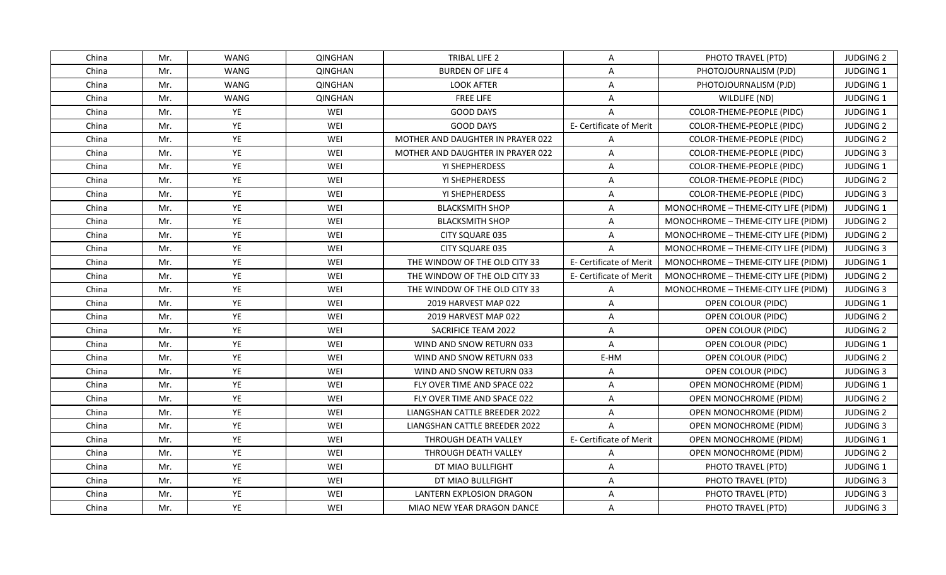| China | Mr. | WANG | QINGHAN        | TRIBAL LIFE 2                     | A                       | PHOTO TRAVEL (PTD)                  | <b>JUDGING 2</b> |
|-------|-----|------|----------------|-----------------------------------|-------------------------|-------------------------------------|------------------|
| China | Mr. | WANG | <b>QINGHAN</b> | <b>BURDEN OF LIFE 4</b>           | A                       | PHOTOJOURNALISM (PJD)               | JUDGING 1        |
| China | Mr. | WANG | QINGHAN        | <b>LOOK AFTER</b>                 | A                       | PHOTOJOURNALISM (PJD)               | JUDGING 1        |
| China | Mr. | WANG | <b>QINGHAN</b> | <b>FREE LIFE</b>                  | A                       | WILDLIFE (ND)                       | JUDGING 1        |
| China | Mr. | YE   | WEI            | <b>GOOD DAYS</b>                  | $\overline{A}$          | COLOR-THEME-PEOPLE (PIDC)           | JUDGING 1        |
| China | Mr. | YE   | WEI            | <b>GOOD DAYS</b>                  | E- Certificate of Merit | COLOR-THEME-PEOPLE (PIDC)           | <b>JUDGING 2</b> |
| China | Mr. | YE   | WEI            | MOTHER AND DAUGHTER IN PRAYER 022 | A                       | COLOR-THEME-PEOPLE (PIDC)           | <b>JUDGING 2</b> |
| China | Mr. | YE   | WEI            | MOTHER AND DAUGHTER IN PRAYER 022 | $\overline{A}$          | COLOR-THEME-PEOPLE (PIDC)           | <b>JUDGING 3</b> |
| China | Mr. | YE   | WEI            | YI SHEPHERDESS                    | A                       | COLOR-THEME-PEOPLE (PIDC)           | JUDGING 1        |
| China | Mr. | YE   | WEI            | YI SHEPHERDESS                    | A                       | COLOR-THEME-PEOPLE (PIDC)           | <b>JUDGING 2</b> |
| China | Mr. | YE   | WEI            | YI SHEPHERDESS                    | A                       | COLOR-THEME-PEOPLE (PIDC)           | <b>JUDGING 3</b> |
| China | Mr. | YE   | WEI            | <b>BLACKSMITH SHOP</b>            | A                       | MONOCHROME - THEME-CITY LIFE (PIDM) | JUDGING 1        |
| China | Mr. | YE   | WEI            | <b>BLACKSMITH SHOP</b>            | $\overline{A}$          | MONOCHROME - THEME-CITY LIFE (PIDM) | <b>JUDGING 2</b> |
| China | Mr. | YE   | WEI            | CITY SQUARE 035                   | A                       | MONOCHROME - THEME-CITY LIFE (PIDM) | <b>JUDGING 2</b> |
| China | Mr. | YE   | WEI            | CITY SQUARE 035                   | $\overline{A}$          | MONOCHROME - THEME-CITY LIFE (PIDM) | <b>JUDGING 3</b> |
| China | Mr. | YE   | WEI            | THE WINDOW OF THE OLD CITY 33     | E- Certificate of Merit | MONOCHROME - THEME-CITY LIFE (PIDM) | <b>JUDGING 1</b> |
| China | Mr. | YE   | WEI            | THE WINDOW OF THE OLD CITY 33     | E- Certificate of Merit | MONOCHROME - THEME-CITY LIFE (PIDM) | <b>JUDGING 2</b> |
| China | Mr. | YE   | WEI            | THE WINDOW OF THE OLD CITY 33     | $\overline{A}$          | MONOCHROME - THEME-CITY LIFE (PIDM) | <b>JUDGING 3</b> |
| China | Mr. | YE   | WEI            | 2019 HARVEST MAP 022              | $\overline{A}$          | OPEN COLOUR (PIDC)                  | <b>JUDGING 1</b> |
| China | Mr. | YE   | WEI            | 2019 HARVEST MAP 022              | A                       | OPEN COLOUR (PIDC)                  | <b>JUDGING 2</b> |
| China | Mr. | YE   | WEI            | SACRIFICE TEAM 2022               | A                       | OPEN COLOUR (PIDC)                  | <b>JUDGING 2</b> |
| China | Mr. | YE   | WEI            | WIND AND SNOW RETURN 033          | $\overline{A}$          | OPEN COLOUR (PIDC)                  | JUDGING 1        |
| China | Mr. | YE   | WEI            | WIND AND SNOW RETURN 033          | E-HM                    | OPEN COLOUR (PIDC)                  | <b>JUDGING 2</b> |
| China | Mr. | YE   | WEI            | WIND AND SNOW RETURN 033          | A                       | OPEN COLOUR (PIDC)                  | <b>JUDGING 3</b> |
| China | Mr. | YE   | WEI            | FLY OVER TIME AND SPACE 022       | A                       | OPEN MONOCHROME (PIDM)              | JUDGING 1        |
| China | Mr. | YE   | WEI            | FLY OVER TIME AND SPACE 022       | $\mathsf{A}$            | OPEN MONOCHROME (PIDM)              | <b>JUDGING 2</b> |
| China | Mr. | YE   | WEI            | LIANGSHAN CATTLE BREEDER 2022     | A                       | <b>OPEN MONOCHROME (PIDM)</b>       | <b>JUDGING 2</b> |
| China | Mr. | YE   | WEI            | LIANGSHAN CATTLE BREEDER 2022     | $\overline{A}$          | OPEN MONOCHROME (PIDM)              | <b>JUDGING 3</b> |
| China | Mr. | YE   | WEI            | THROUGH DEATH VALLEY              | E- Certificate of Merit | <b>OPEN MONOCHROME (PIDM)</b>       | <b>JUDGING 1</b> |
| China | Mr. | YE   | WEI            | THROUGH DEATH VALLEY              | $\mathsf{A}$            | <b>OPEN MONOCHROME (PIDM)</b>       | <b>JUDGING 2</b> |
| China | Mr. | YE   | WEI            | DT MIAO BULLFIGHT                 | A                       | PHOTO TRAVEL (PTD)                  | <b>JUDGING 1</b> |
| China | Mr. | YE   | WEI            | DT MIAO BULLFIGHT                 | A                       | PHOTO TRAVEL (PTD)                  | <b>JUDGING 3</b> |
| China | Mr. | YE   | WEI            | LANTERN EXPLOSION DRAGON          | A                       | PHOTO TRAVEL (PTD)                  | <b>JUDGING 3</b> |
| China | Mr. | YE   | WEI            | MIAO NEW YEAR DRAGON DANCE        | A                       | PHOTO TRAVEL (PTD)                  | <b>JUDGING 3</b> |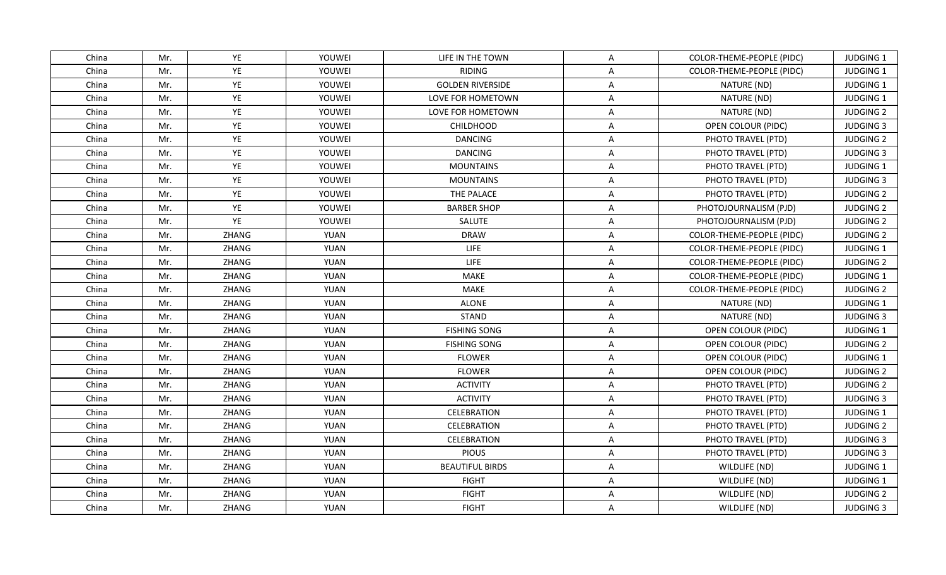| China | Mr. | YE    | YOUWEI      | LIFE IN THE TOWN        | Α                       | COLOR-THEME-PEOPLE (PIDC) | <b>JUDGING 1</b> |
|-------|-----|-------|-------------|-------------------------|-------------------------|---------------------------|------------------|
| China | Mr. | YE    | YOUWEI      | <b>RIDING</b>           | A                       | COLOR-THEME-PEOPLE (PIDC) | JUDGING 1        |
| China | Mr. | YE    | YOUWEI      | <b>GOLDEN RIVERSIDE</b> | $\mathsf{A}$            | NATURE (ND)               | JUDGING 1        |
| China | Mr. | YE    | YOUWEI      | LOVE FOR HOMETOWN       | $\mathsf{A}$            | NATURE (ND)               | JUDGING 1        |
| China | Mr. | YE    | YOUWEI      | LOVE FOR HOMETOWN       | A                       | NATURE (ND)               | <b>JUDGING 2</b> |
| China | Mr. | YE    | YOUWEI      | <b>CHILDHOOD</b>        | A                       | OPEN COLOUR (PIDC)        | <b>JUDGING 3</b> |
| China | Mr. | YE    | YOUWEI      | <b>DANCING</b>          | A                       | PHOTO TRAVEL (PTD)        | <b>JUDGING 2</b> |
| China | Mr. | YE    | YOUWEI      | <b>DANCING</b>          | A                       | PHOTO TRAVEL (PTD)        | <b>JUDGING 3</b> |
| China | Mr. | YE    | YOUWEI      | <b>MOUNTAINS</b>        | A                       | PHOTO TRAVEL (PTD)        | JUDGING 1        |
| China | Mr. | YE    | YOUWEI      | <b>MOUNTAINS</b>        | A                       | PHOTO TRAVEL (PTD)        | <b>JUDGING 3</b> |
| China | Mr. | YE    | YOUWEI      | THE PALACE              | Α                       | PHOTO TRAVEL (PTD)        | <b>JUDGING 2</b> |
| China | Mr. | YE    | YOUWEI      | <b>BARBER SHOP</b>      | A                       | PHOTOJOURNALISM (PJD)     | <b>JUDGING 2</b> |
| China | Mr. | YE    | YOUWEI      | SALUTE                  | A                       | PHOTOJOURNALISM (PJD)     | <b>JUDGING 2</b> |
| China | Mr. | ZHANG | <b>YUAN</b> | <b>DRAW</b>             | A                       | COLOR-THEME-PEOPLE (PIDC) | <b>JUDGING 2</b> |
| China | Mr. | ZHANG | <b>YUAN</b> | LIFE                    | $\overline{A}$          | COLOR-THEME-PEOPLE (PIDC) | JUDGING 1        |
| China | Mr. | ZHANG | YUAN        | <b>LIFE</b>             | Α                       | COLOR-THEME-PEOPLE (PIDC) | <b>JUDGING 2</b> |
| China | Mr. | ZHANG | <b>YUAN</b> | <b>MAKE</b>             | $\overline{\mathsf{A}}$ | COLOR-THEME-PEOPLE (PIDC) | JUDGING 1        |
| China | Mr. | ZHANG | <b>YUAN</b> | <b>MAKE</b>             | $\overline{A}$          | COLOR-THEME-PEOPLE (PIDC) | <b>JUDGING 2</b> |
| China | Mr. | ZHANG | <b>YUAN</b> | <b>ALONE</b>            | A                       | NATURE (ND)               | <b>JUDGING 1</b> |
| China | Mr. | ZHANG | <b>YUAN</b> | <b>STAND</b>            | Α                       | NATURE (ND)               | <b>JUDGING 3</b> |
| China | Mr. | ZHANG | <b>YUAN</b> | <b>FISHING SONG</b>     | Α                       | OPEN COLOUR (PIDC)        | JUDGING 1        |
| China | Mr. | ZHANG | <b>YUAN</b> | <b>FISHING SONG</b>     | Α                       | OPEN COLOUR (PIDC)        | <b>JUDGING 2</b> |
| China | Mr. | ZHANG | <b>YUAN</b> | <b>FLOWER</b>           | $\mathsf{A}$            | OPEN COLOUR (PIDC)        | JUDGING 1        |
| China | Mr. | ZHANG | <b>YUAN</b> | <b>FLOWER</b>           | A                       | OPEN COLOUR (PIDC)        | <b>JUDGING 2</b> |
| China | Mr. | ZHANG | <b>YUAN</b> | <b>ACTIVITY</b>         | A                       | PHOTO TRAVEL (PTD)        | <b>JUDGING 2</b> |
| China | Mr. | ZHANG | <b>YUAN</b> | <b>ACTIVITY</b>         | A                       | PHOTO TRAVEL (PTD)        | <b>JUDGING 3</b> |
| China | Mr. | ZHANG | <b>YUAN</b> | CELEBRATION             | A                       | PHOTO TRAVEL (PTD)        | JUDGING 1        |
| China | Mr. | ZHANG | <b>YUAN</b> | <b>CELEBRATION</b>      | A                       | PHOTO TRAVEL (PTD)        | <b>JUDGING 2</b> |
| China | Mr. | ZHANG | <b>YUAN</b> | CELEBRATION             | Α                       | PHOTO TRAVEL (PTD)        | <b>JUDGING 3</b> |
| China | Mr. | ZHANG | <b>YUAN</b> | <b>PIOUS</b>            | Α                       | PHOTO TRAVEL (PTD)        | <b>JUDGING 3</b> |
| China | Mr. | ZHANG | <b>YUAN</b> | <b>BEAUTIFUL BIRDS</b>  | A                       | WILDLIFE (ND)             | JUDGING 1        |
| China | Mr. | ZHANG | <b>YUAN</b> | <b>FIGHT</b>            | A                       | WILDLIFE (ND)             | JUDGING 1        |
| China | Mr. | ZHANG | <b>YUAN</b> | <b>FIGHT</b>            | A                       | WILDLIFE (ND)             | <b>JUDGING 2</b> |
| China | Mr. | ZHANG | <b>YUAN</b> | <b>FIGHT</b>            | A                       | WILDLIFE (ND)             | <b>JUDGING 3</b> |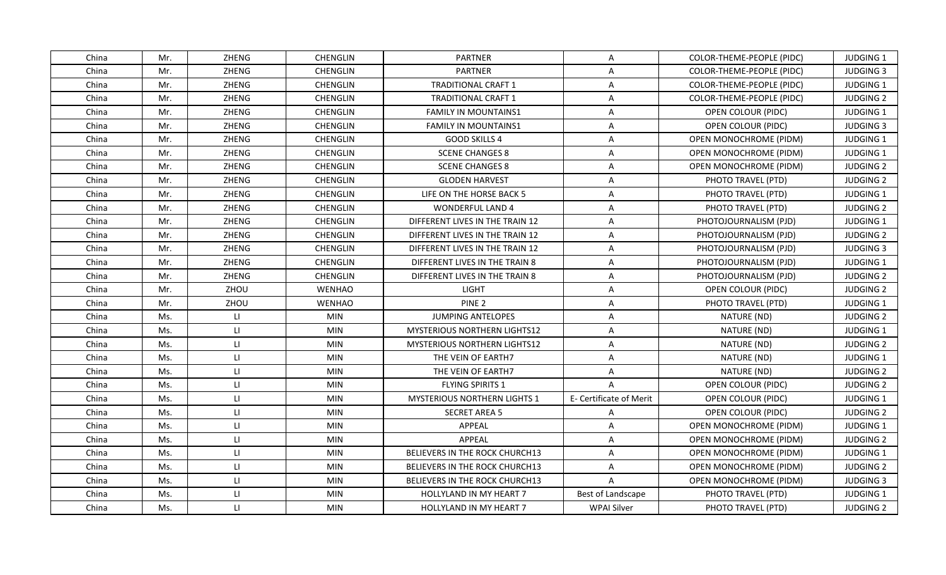| China | Mr. | ZHENG                   | <b>CHENGLIN</b> | <b>PARTNER</b>                        | A                       | COLOR-THEME-PEOPLE (PIDC)     | <b>JUDGING 1</b> |
|-------|-----|-------------------------|-----------------|---------------------------------------|-------------------------|-------------------------------|------------------|
| China | Mr. | ZHENG                   | CHENGLIN        | <b>PARTNER</b>                        | A                       | COLOR-THEME-PEOPLE (PIDC)     | <b>JUDGING 3</b> |
| China | Mr. | ZHENG                   | CHENGLIN        | <b>TRADITIONAL CRAFT 1</b>            | $\mathsf{A}$            | COLOR-THEME-PEOPLE (PIDC)     | JUDGING 1        |
| China | Mr. | ZHENG                   | <b>CHENGLIN</b> | <b>TRADITIONAL CRAFT 1</b>            | Α                       | COLOR-THEME-PEOPLE (PIDC)     | <b>JUDGING 2</b> |
| China | Mr. | ZHENG                   | <b>CHENGLIN</b> | <b>FAMILY IN MOUNTAINS1</b>           | Α                       | OPEN COLOUR (PIDC)            | <b>JUDGING 1</b> |
| China | Mr. | ZHENG                   | <b>CHENGLIN</b> | <b>FAMILY IN MOUNTAINS1</b>           | A                       | OPEN COLOUR (PIDC)            | <b>JUDGING 3</b> |
| China | Mr. | ZHENG                   | CHENGLIN        | <b>GOOD SKILLS 4</b>                  | $\overline{\mathsf{A}}$ | OPEN MONOCHROME (PIDM)        | JUDGING 1        |
| China | Mr. | ZHENG                   | CHENGLIN        | <b>SCENE CHANGES 8</b>                | A                       | OPEN MONOCHROME (PIDM)        | JUDGING 1        |
| China | Mr. | ZHENG                   | <b>CHENGLIN</b> | <b>SCENE CHANGES 8</b>                | Α                       | OPEN MONOCHROME (PIDM)        | <b>JUDGING 2</b> |
| China | Mr. | ZHENG                   | <b>CHENGLIN</b> | <b>GLODEN HARVEST</b>                 | Α                       | PHOTO TRAVEL (PTD)            | <b>JUDGING 2</b> |
| China | Mr. | ZHENG                   | <b>CHENGLIN</b> | LIFE ON THE HORSE BACK 5              | $\mathsf{A}$            | PHOTO TRAVEL (PTD)            | <b>JUDGING 1</b> |
| China | Mr. | ZHENG                   | <b>CHENGLIN</b> | <b>WONDERFUL LAND 4</b>               | $\overline{A}$          | PHOTO TRAVEL (PTD)            | <b>JUDGING 2</b> |
| China | Mr. | ZHENG                   | CHENGLIN        | DIFFERENT LIVES IN THE TRAIN 12       | A                       | PHOTOJOURNALISM (PJD)         | JUDGING 1        |
| China | Mr. | ZHENG                   | <b>CHENGLIN</b> | DIFFERENT LIVES IN THE TRAIN 12       | $\mathsf{A}$            | PHOTOJOURNALISM (PJD)         | <b>JUDGING 2</b> |
| China | Mr. | ZHENG                   | CHENGLIN        | DIFFERENT LIVES IN THE TRAIN 12       | $\overline{A}$          | PHOTOJOURNALISM (PJD)         | <b>JUDGING 3</b> |
| China | Mr. | ZHENG                   | <b>CHENGLIN</b> | DIFFERENT LIVES IN THE TRAIN 8        | A                       | PHOTOJOURNALISM (PJD)         | <b>JUDGING 1</b> |
| China | Mr. | ZHENG                   | CHENGLIN        | DIFFERENT LIVES IN THE TRAIN 8        | A                       | PHOTOJOURNALISM (PJD)         | <b>JUDGING 2</b> |
| China | Mr. | ZHOU                    | <b>WENHAO</b>   | <b>LIGHT</b>                          | $\overline{A}$          | OPEN COLOUR (PIDC)            | <b>JUDGING 2</b> |
| China | Mr. | ZHOU                    | <b>WENHAO</b>   | PINE <sub>2</sub>                     | Α                       | PHOTO TRAVEL (PTD)            | <b>JUDGING 1</b> |
| China | Ms. | $\mathsf{H}$            | <b>MIN</b>      | <b>JUMPING ANTELOPES</b>              | $\overline{A}$          | NATURE (ND)                   | <b>JUDGING 2</b> |
| China | Ms. | LI.                     | <b>MIN</b>      | <b>MYSTERIOUS NORTHERN LIGHTS12</b>   | Α                       | NATURE (ND)                   | <b>JUDGING 1</b> |
| China | Ms. | $\mathbf{H}$            | <b>MIN</b>      | <b>MYSTERIOUS NORTHERN LIGHTS12</b>   | $\mathsf{A}$            | NATURE (ND)                   | <b>JUDGING 2</b> |
| China | Ms. | $\mathsf{H}$            | <b>MIN</b>      | THE VEIN OF EARTH7                    | A                       | NATURE (ND)                   | JUDGING 1        |
| China | Ms. | $\mathsf{L} \mathsf{L}$ | <b>MIN</b>      | THE VEIN OF EARTH7                    | A                       | NATURE (ND)                   | <b>JUDGING 2</b> |
| China | Ms. | $\mathsf{L}$            | <b>MIN</b>      | FLYING SPIRITS 1                      | $\overline{A}$          | <b>OPEN COLOUR (PIDC)</b>     | <b>JUDGING 2</b> |
| China | Ms. | $\mathsf{L} \mathsf{L}$ | <b>MIN</b>      | <b>MYSTERIOUS NORTHERN LIGHTS 1</b>   | E- Certificate of Merit | OPEN COLOUR (PIDC)            | <b>JUDGING 1</b> |
| China | Ms. | $\mathsf{H}$            | <b>MIN</b>      | <b>SECRET AREA 5</b>                  | A                       | OPEN COLOUR (PIDC)            | <b>JUDGING 2</b> |
| China | Ms. | $\mathsf{H}$            | <b>MIN</b>      | <b>APPEAL</b>                         | A                       | OPEN MONOCHROME (PIDM)        | JUDGING 1        |
| China | Ms. | $\mathsf{L}$            | <b>MIN</b>      | <b>APPEAL</b>                         | A                       | OPEN MONOCHROME (PIDM)        | <b>JUDGING 2</b> |
| China | Ms. | $\mathsf{L} \mathsf{L}$ | <b>MIN</b>      | BELIEVERS IN THE ROCK CHURCH13        | Α                       | OPEN MONOCHROME (PIDM)        | <b>JUDGING 1</b> |
| China | Ms. | $\mathsf{H}$            | <b>MIN</b>      | <b>BELIEVERS IN THE ROCK CHURCH13</b> | A                       | <b>OPEN MONOCHROME (PIDM)</b> | <b>JUDGING 2</b> |
| China | Ms. | $\mathsf{L}$            | MIN             | BELIEVERS IN THE ROCK CHURCH13        | $\mathsf{A}$            | OPEN MONOCHROME (PIDM)        | <b>JUDGING 3</b> |
| China | Ms. | $\mathsf{H}$            | <b>MIN</b>      | <b>HOLLYLAND IN MY HEART 7</b>        | Best of Landscape       | PHOTO TRAVEL (PTD)            | JUDGING 1        |
| China | Ms. | $\mathsf{L} \mathsf{L}$ | MIN             | HOLLYLAND IN MY HEART 7               | <b>WPAI Silver</b>      | PHOTO TRAVEL (PTD)            | <b>JUDGING 2</b> |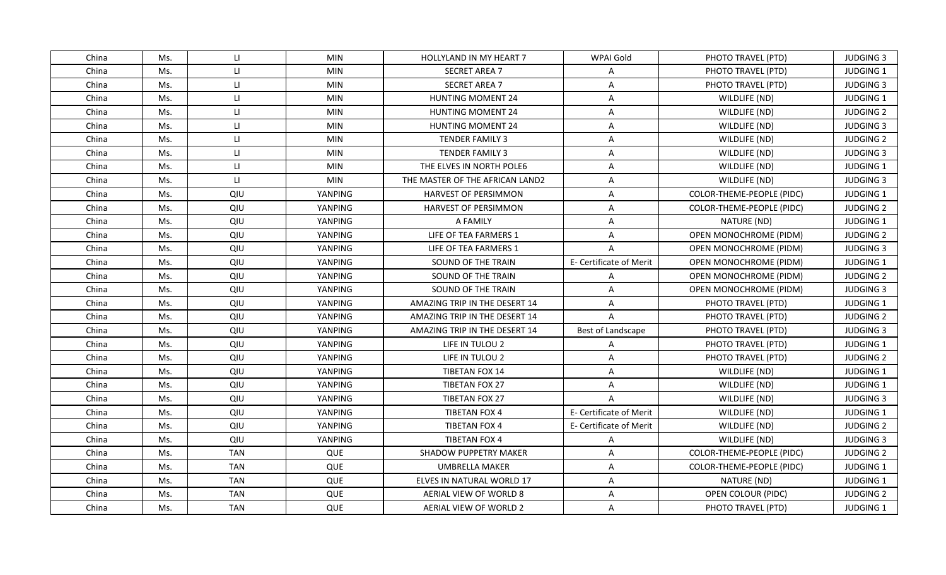| China | Ms. | $\mathsf{L}$            | <b>MIN</b>     | <b>HOLLYLAND IN MY HEART 7</b>  | WPAI Gold               | PHOTO TRAVEL (PTD)            | <b>JUDGING 3</b> |
|-------|-----|-------------------------|----------------|---------------------------------|-------------------------|-------------------------------|------------------|
| China | Ms. | $\mathsf{L}$            | <b>MIN</b>     | <b>SECRET AREA 7</b>            | $\overline{A}$          | PHOTO TRAVEL (PTD)            | JUDGING 1        |
| China | Ms. | $\mathsf{L}\mathsf{L}$  | <b>MIN</b>     | <b>SECRET AREA 7</b>            | $\overline{A}$          | PHOTO TRAVEL (PTD)            | <b>JUDGING 3</b> |
| China | Ms. | $\mathsf{L}$            | <b>MIN</b>     | <b>HUNTING MOMENT 24</b>        | A                       | WILDLIFE (ND)                 | JUDGING 1        |
| China | Ms. | $\mathsf{L} \mathsf{L}$ | <b>MIN</b>     | <b>HUNTING MOMENT 24</b>        | A                       | WILDLIFE (ND)                 | <b>JUDGING 2</b> |
| China | Ms. | $\mathsf{L}\mathsf{L}$  | <b>MIN</b>     | HUNTING MOMENT 24               | A                       | WILDLIFE (ND)                 | <b>JUDGING 3</b> |
| China | Ms. | $\mathsf{L}\mathsf{L}$  | <b>MIN</b>     | TENDER FAMILY 3                 | A                       | WILDLIFE (ND)                 | <b>JUDGING 2</b> |
| China | Ms. | $\mathsf{L} \mathsf{L}$ | <b>MIN</b>     | TENDER FAMILY 3                 | A                       | WILDLIFE (ND)                 | <b>JUDGING 3</b> |
| China | Ms. | $\mathsf{L}$            | <b>MIN</b>     | THE ELVES IN NORTH POLE6        | A                       | WILDLIFE (ND)                 | JUDGING 1        |
| China | Ms. | $\mathsf{L}\mathsf{L}$  | <b>MIN</b>     | THE MASTER OF THE AFRICAN LAND2 | $\overline{A}$          | WILDLIFE (ND)                 | <b>JUDGING 3</b> |
| China | Ms. | QIU                     | YANPING        | HARVEST OF PERSIMMON            | A                       | COLOR-THEME-PEOPLE (PIDC)     | <b>JUDGING 1</b> |
| China | Ms. | QIU                     | YANPING        | HARVEST OF PERSIMMON            | A                       | COLOR-THEME-PEOPLE (PIDC)     | <b>JUDGING 2</b> |
| China | Ms. | QIU                     | YANPING        | A FAMILY                        | A                       | NATURE (ND)                   | JUDGING 1        |
| China | Ms. | QIU                     | YANPING        | LIFE OF TEA FARMERS 1           | A                       | OPEN MONOCHROME (PIDM)        | <b>JUDGING 2</b> |
| China | Ms. | QIU                     | YANPING        | LIFE OF TEA FARMERS 1           | $\overline{A}$          | OPEN MONOCHROME (PIDM)        | <b>JUDGING 3</b> |
| China | Ms. | QIU                     | YANPING        | SOUND OF THE TRAIN              | E- Certificate of Merit | <b>OPEN MONOCHROME (PIDM)</b> | <b>JUDGING 1</b> |
| China | Ms. | QIU                     | YANPING        | SOUND OF THE TRAIN              | A                       | <b>OPEN MONOCHROME (PIDM)</b> | <b>JUDGING 2</b> |
| China | Ms. | QIU                     | YANPING        | SOUND OF THE TRAIN              | $\overline{A}$          | OPEN MONOCHROME (PIDM)        | <b>JUDGING 3</b> |
| China | Ms. | QIU                     | YANPING        | AMAZING TRIP IN THE DESERT 14   | A                       | PHOTO TRAVEL (PTD)            | JUDGING 1        |
| China | Ms. | QIU                     | YANPING        | AMAZING TRIP IN THE DESERT 14   | $\overline{A}$          | PHOTO TRAVEL (PTD)            | <b>JUDGING 2</b> |
| China | Ms. | QIU                     | YANPING        | AMAZING TRIP IN THE DESERT 14   | Best of Landscape       | PHOTO TRAVEL (PTD)            | <b>JUDGING 3</b> |
| China | Ms. | QIU                     | YANPING        | LIFE IN TULOU 2                 | $\overline{A}$          | PHOTO TRAVEL (PTD)            | <b>JUDGING 1</b> |
| China | Ms. | QIU                     | YANPING        | LIFE IN TULOU 2                 | A                       | PHOTO TRAVEL (PTD)            | <b>JUDGING 2</b> |
| China | Ms. | QIU                     | YANPING        | <b>TIBETAN FOX 14</b>           | A                       | WILDLIFE (ND)                 | JUDGING 1        |
| China | Ms. | QIU                     | <b>YANPING</b> | TIBETAN FOX 27                  | A                       | WILDLIFE (ND)                 | JUDGING 1        |
| China | Ms. | QIU                     | YANPING        | TIBETAN FOX 27                  | $\overline{A}$          | WILDLIFE (ND)                 | <b>JUDGING 3</b> |
| China | Ms. | QIU                     | YANPING        | <b>TIBETAN FOX 4</b>            | E- Certificate of Merit | WILDLIFE (ND)                 | JUDGING 1        |
| China | Ms. | QIU                     | YANPING        | <b>TIBETAN FOX 4</b>            | E- Certificate of Merit | WILDLIFE (ND)                 | <b>JUDGING 2</b> |
| China | Ms. | QIU                     | YANPING        | TIBETAN FOX 4                   | A                       | WILDLIFE (ND)                 | <b>JUDGING 3</b> |
| China | Ms. | <b>TAN</b>              | QUE            | SHADOW PUPPETRY MAKER           | $\overline{A}$          | COLOR-THEME-PEOPLE (PIDC)     | <b>JUDGING 2</b> |
| China | Ms. | <b>TAN</b>              | QUE            | <b>UMBRELLA MAKER</b>           | A                       | COLOR-THEME-PEOPLE (PIDC)     | <b>JUDGING 1</b> |
| China | Ms. | <b>TAN</b>              | QUE            | ELVES IN NATURAL WORLD 17       | A                       | NATURE (ND)                   | JUDGING 1        |
| China | Ms. | <b>TAN</b>              | QUE            | AERIAL VIEW OF WORLD 8          | A                       | OPEN COLOUR (PIDC)            | <b>JUDGING 2</b> |
| China | Ms. | TAN                     | QUE            | AERIAL VIEW OF WORLD 2          | A                       | PHOTO TRAVEL (PTD)            | <b>JUDGING 1</b> |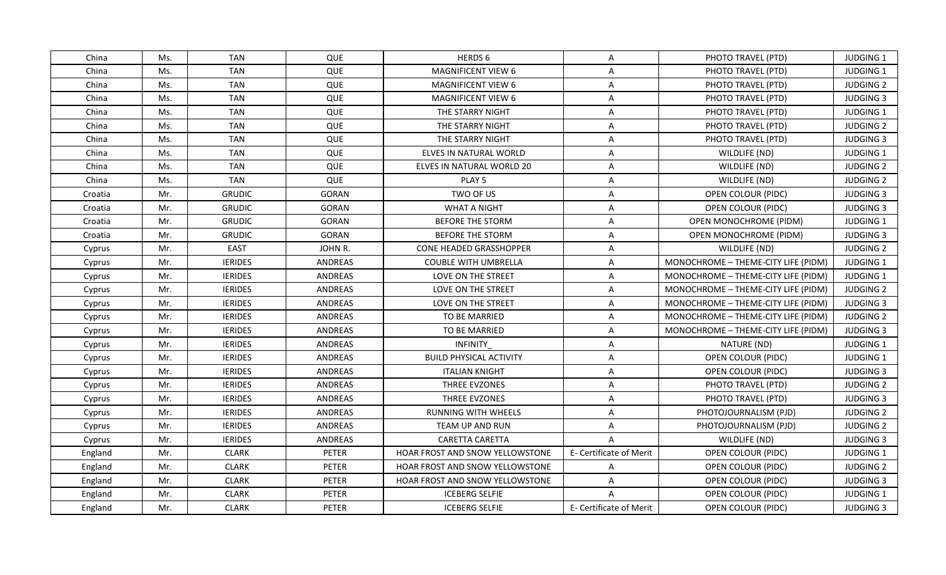| China   | Ms. | <b>TAN</b>     | QUE            | HERDS 6                                | Α                       | PHOTO TRAVEL (PTD)                  | <b>JUDGING 1</b> |
|---------|-----|----------------|----------------|----------------------------------------|-------------------------|-------------------------------------|------------------|
| China   | Ms. | <b>TAN</b>     | QUE            | <b>MAGNIFICENT VIEW 6</b>              | A                       | PHOTO TRAVEL (PTD)                  | JUDGING 1        |
| China   | Ms. | <b>TAN</b>     | QUE            | <b>MAGNIFICENT VIEW 6</b>              | Α                       | PHOTO TRAVEL (PTD)                  | <b>JUDGING 2</b> |
| China   | Ms. | <b>TAN</b>     | QUE            | MAGNIFICENT VIEW 6                     | $\mathsf{A}$            | PHOTO TRAVEL (PTD)                  | <b>JUDGING 3</b> |
| China   | Ms. | <b>TAN</b>     | QUE            | THE STARRY NIGHT                       | A                       | PHOTO TRAVEL (PTD)                  | JUDGING 1        |
| China   | Ms. | <b>TAN</b>     | QUE            | THE STARRY NIGHT                       | A                       | PHOTO TRAVEL (PTD)                  | <b>JUDGING 2</b> |
| China   | Ms. | <b>TAN</b>     | QUE            | THE STARRY NIGHT                       | A                       | PHOTO TRAVEL (PTD)                  | <b>JUDGING 3</b> |
| China   | Ms. | <b>TAN</b>     | QUE            | ELVES IN NATURAL WORLD                 | A                       | WILDLIFE (ND)                       | JUDGING 1        |
| China   | Ms. | <b>TAN</b>     | QUE            | ELVES IN NATURAL WORLD 20              | A                       | WILDLIFE (ND)                       | <b>JUDGING 2</b> |
| China   | Ms. | <b>TAN</b>     | QUE            | PLAY <sub>5</sub>                      | A                       | WILDLIFE (ND)                       | <b>JUDGING 2</b> |
| Croatia | Mr. | <b>GRUDIC</b>  | <b>GORAN</b>   | TWO OF US                              | Α                       | OPEN COLOUR (PIDC)                  | <b>JUDGING 3</b> |
| Croatia | Mr. | <b>GRUDIC</b>  | <b>GORAN</b>   | <b>WHAT A NIGHT</b>                    | A                       | OPEN COLOUR (PIDC)                  | <b>JUDGING 3</b> |
| Croatia | Mr. | <b>GRUDIC</b>  | <b>GORAN</b>   | BEFORE THE STORM                       | A                       | OPEN MONOCHROME (PIDM)              | JUDGING 1        |
| Croatia | Mr. | <b>GRUDIC</b>  | <b>GORAN</b>   | <b>BEFORE THE STORM</b>                | A                       | OPEN MONOCHROME (PIDM)              | <b>JUDGING 3</b> |
| Cyprus  | Mr. | <b>EAST</b>    | JOHN R.        | CONE HEADED GRASSHOPPER                | $\overline{\mathsf{A}}$ | WILDLIFE (ND)                       | <b>JUDGING 2</b> |
| Cyprus  | Mr. | <b>IERIDES</b> | <b>ANDREAS</b> | <b>COUBLE WITH UMBRELLA</b>            | A                       | MONOCHROME - THEME-CITY LIFE (PIDM) | <b>JUDGING 1</b> |
| Cyprus  | Mr. | <b>IERIDES</b> | ANDREAS        | LOVE ON THE STREET                     | A                       | MONOCHROME - THEME-CITY LIFE (PIDM) | JUDGING 1        |
| Cyprus  | Mr. | <b>IERIDES</b> | ANDREAS        | LOVE ON THE STREET                     | $\overline{A}$          | MONOCHROME - THEME-CITY LIFE (PIDM) | <b>JUDGING 2</b> |
| Cyprus  | Mr. | <b>IERIDES</b> | <b>ANDREAS</b> | LOVE ON THE STREET                     | A                       | MONOCHROME - THEME-CITY LIFE (PIDM) | <b>JUDGING 3</b> |
| Cyprus  | Mr. | <b>IERIDES</b> | ANDREAS        | TO BE MARRIED                          | Α                       | MONOCHROME - THEME-CITY LIFE (PIDM) | <b>JUDGING 2</b> |
| Cyprus  | Mr. | <b>IERIDES</b> | ANDREAS        | TO BE MARRIED                          | Α                       | MONOCHROME - THEME-CITY LIFE (PIDM) | <b>JUDGING 3</b> |
| Cyprus  | Mr. | <b>IERIDES</b> | ANDREAS        | <b>INFINITY</b>                        | Α                       | NATURE (ND)                         | JUDGING 1        |
| Cyprus  | Mr. | <b>IERIDES</b> | <b>ANDREAS</b> | <b>BUILD PHYSICAL ACTIVITY</b>         | $\mathsf{A}$            | OPEN COLOUR (PIDC)                  | JUDGING 1        |
| Cyprus  | Mr. | <b>IERIDES</b> | ANDREAS        | <b>ITALIAN KNIGHT</b>                  | A                       | OPEN COLOUR (PIDC)                  | <b>JUDGING 3</b> |
| Cyprus  | Mr. | <b>IERIDES</b> | ANDREAS        | THREE EVZONES                          | A                       | PHOTO TRAVEL (PTD)                  | <b>JUDGING 2</b> |
| Cyprus  | Mr. | <b>IERIDES</b> | ANDREAS        | THREE EVZONES                          | A                       | PHOTO TRAVEL (PTD)                  | <b>JUDGING 3</b> |
| Cyprus  | Mr. | <b>IERIDES</b> | ANDREAS        | <b>RUNNING WITH WHEELS</b>             | Α                       | PHOTOJOURNALISM (PJD)               | <b>JUDGING 2</b> |
| Cyprus  | Mr. | <b>IERIDES</b> | ANDREAS        | TEAM UP AND RUN                        | A                       | PHOTOJOURNALISM (PJD)               | <b>JUDGING 2</b> |
| Cyprus  | Mr. | <b>IERIDES</b> | ANDREAS        | CARETTA CARETTA                        | $\overline{A}$          | WILDLIFE (ND)                       | <b>JUDGING 3</b> |
| England | Mr. | <b>CLARK</b>   | PETER          | <b>HOAR FROST AND SNOW YELLOWSTONE</b> | E- Certificate of Merit | OPEN COLOUR (PIDC)                  | JUDGING 1        |
| England | Mr. | <b>CLARK</b>   | PETER          | HOAR FROST AND SNOW YELLOWSTONE        | A                       | OPEN COLOUR (PIDC)                  | <b>JUDGING 2</b> |
| England | Mr. | <b>CLARK</b>   | PETER          | <b>HOAR FROST AND SNOW YELLOWSTONE</b> | A                       | OPEN COLOUR (PIDC)                  | <b>JUDGING 3</b> |
| England | Mr. | <b>CLARK</b>   | <b>PETER</b>   | <b>ICEBERG SELFIE</b>                  | $\overline{A}$          | OPEN COLOUR (PIDC)                  | JUDGING 1        |
| England | Mr. | <b>CLARK</b>   | PETER          | <b>ICEBERG SELFIE</b>                  | E- Certificate of Merit | OPEN COLOUR (PIDC)                  | <b>JUDGING 3</b> |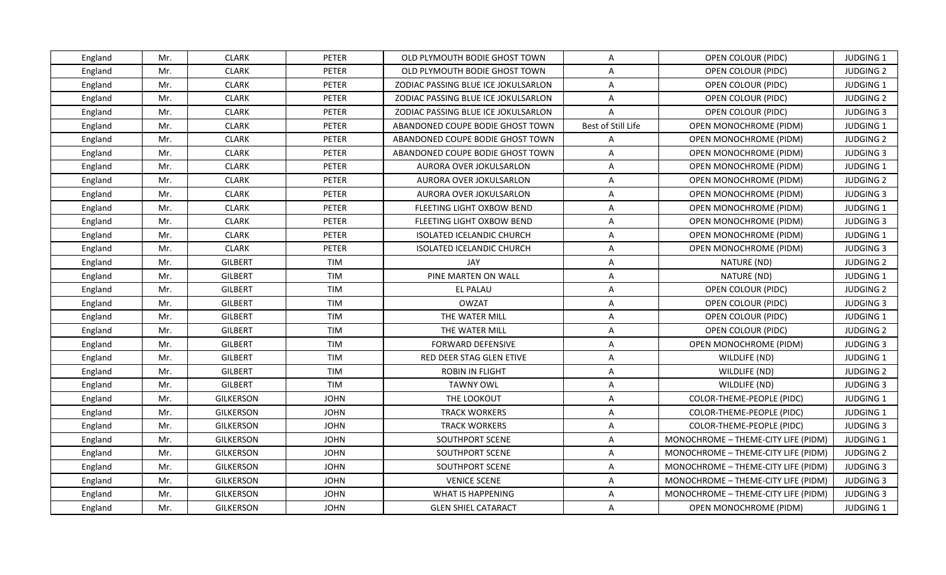| England | Mr. | <b>CLARK</b>     | <b>PETER</b> | OLD PLYMOUTH BODIE GHOST TOWN       | A                  | OPEN COLOUR (PIDC)                  | <b>JUDGING 1</b> |
|---------|-----|------------------|--------------|-------------------------------------|--------------------|-------------------------------------|------------------|
| England | Mr. | <b>CLARK</b>     | PETER        | OLD PLYMOUTH BODIE GHOST TOWN       | A                  | OPEN COLOUR (PIDC)                  | <b>JUDGING 2</b> |
| England | Mr. | <b>CLARK</b>     | PETER        | ZODIAC PASSING BLUE ICE JOKULSARLON | A                  | OPEN COLOUR (PIDC)                  | JUDGING 1        |
| England | Mr. | <b>CLARK</b>     | <b>PETER</b> | ZODIAC PASSING BLUE ICE JOKULSARLON | A                  | OPEN COLOUR (PIDC)                  | <b>JUDGING 2</b> |
| England | Mr. | <b>CLARK</b>     | PETER        | ZODIAC PASSING BLUE ICE JOKULSARLON | A                  | OPEN COLOUR (PIDC)                  | <b>JUDGING 3</b> |
| England | Mr. | <b>CLARK</b>     | <b>PETER</b> | ABANDONED COUPE BODIE GHOST TOWN    | Best of Still Life | OPEN MONOCHROME (PIDM)              | JUDGING 1        |
| England | Mr. | <b>CLARK</b>     | <b>PETER</b> | ABANDONED COUPE BODIE GHOST TOWN    | A                  | OPEN MONOCHROME (PIDM)              | <b>JUDGING 2</b> |
| England | Mr. | <b>CLARK</b>     | PETER        | ABANDONED COUPE BODIE GHOST TOWN    | A                  | OPEN MONOCHROME (PIDM)              | <b>JUDGING 3</b> |
| England | Mr. | <b>CLARK</b>     | <b>PETER</b> | AURORA OVER JOKULSARLON             | A                  | OPEN MONOCHROME (PIDM)              | JUDGING 1        |
| England | Mr. | <b>CLARK</b>     | PETER        | AURORA OVER JOKULSARLON             | A                  | <b>OPEN MONOCHROME (PIDM)</b>       | <b>JUDGING 2</b> |
| England | Mr. | <b>CLARK</b>     | <b>PETER</b> | AURORA OVER JOKULSARLON             | A                  | OPEN MONOCHROME (PIDM)              | <b>JUDGING 3</b> |
| England | Mr. | <b>CLARK</b>     | PETER        | FLEETING LIGHT OXBOW BEND           | A                  | OPEN MONOCHROME (PIDM)              | JUDGING 1        |
| England | Mr. | <b>CLARK</b>     | PETER        | FLEETING LIGHT OXBOW BEND           | A                  | OPEN MONOCHROME (PIDM)              | <b>JUDGING 3</b> |
| England | Mr. | <b>CLARK</b>     | <b>PETER</b> | <b>ISOLATED ICELANDIC CHURCH</b>    | A                  | <b>OPEN MONOCHROME (PIDM)</b>       | JUDGING 1        |
| England | Mr. | <b>CLARK</b>     | PETER        | <b>ISOLATED ICELANDIC CHURCH</b>    | A                  | OPEN MONOCHROME (PIDM)              | <b>JUDGING 3</b> |
| England | Mr. | <b>GILBERT</b>   | TIM          | JAY                                 | A                  | NATURE (ND)                         | <b>JUDGING 2</b> |
| England | Mr. | <b>GILBERT</b>   | <b>TIM</b>   | PINE MARTEN ON WALL                 | A                  | NATURE (ND)                         | JUDGING 1        |
| England | Mr. | <b>GILBERT</b>   | <b>TIM</b>   | EL PALAU                            | $\overline{A}$     | OPEN COLOUR (PIDC)                  | <b>JUDGING 2</b> |
| England | Mr. | <b>GILBERT</b>   | <b>TIM</b>   | <b>OWZAT</b>                        | A                  | OPEN COLOUR (PIDC)                  | <b>JUDGING 3</b> |
| England | Mr. | <b>GILBERT</b>   | <b>TIM</b>   | THE WATER MILL                      | A                  | OPEN COLOUR (PIDC)                  | JUDGING 1        |
| England | Mr. | <b>GILBERT</b>   | <b>TIM</b>   | THE WATER MILL                      | A                  | OPEN COLOUR (PIDC)                  | <b>JUDGING 2</b> |
| England | Mr. | <b>GILBERT</b>   | TIM          | <b>FORWARD DEFENSIVE</b>            | A                  | OPEN MONOCHROME (PIDM)              | <b>JUDGING 3</b> |
| England | Mr. | <b>GILBERT</b>   | TIM          | RED DEER STAG GLEN ETIVE            | A                  | WILDLIFE (ND)                       | JUDGING 1        |
| England | Mr. | <b>GILBERT</b>   | <b>TIM</b>   | <b>ROBIN IN FLIGHT</b>              | A                  | WILDLIFE (ND)                       | <b>JUDGING 2</b> |
| England | Mr. | <b>GILBERT</b>   | <b>TIM</b>   | <b>TAWNY OWL</b>                    | A                  | WILDLIFE (ND)                       | <b>JUDGING 3</b> |
| England | Mr. | <b>GILKERSON</b> | <b>JOHN</b>  | THE LOOKOUT                         | A                  | COLOR-THEME-PEOPLE (PIDC)           | <b>JUDGING 1</b> |
| England | Mr. | GILKERSON        | <b>JOHN</b>  | <b>TRACK WORKERS</b>                | A                  | COLOR-THEME-PEOPLE (PIDC)           | JUDGING 1        |
| England | Mr. | <b>GILKERSON</b> | <b>JOHN</b>  | <b>TRACK WORKERS</b>                | A                  | COLOR-THEME-PEOPLE (PIDC)           | <b>JUDGING 3</b> |
| England | Mr. | GILKERSON        | <b>JOHN</b>  | SOUTHPORT SCENE                     | A                  | MONOCHROME - THEME-CITY LIFE (PIDM) | JUDGING 1        |
| England | Mr. | <b>GILKERSON</b> | <b>JOHN</b>  | SOUTHPORT SCENE                     | A                  | MONOCHROME - THEME-CITY LIFE (PIDM) | <b>JUDGING 2</b> |
| England | Mr. | GILKERSON        | <b>JOHN</b>  | SOUTHPORT SCENE                     | A                  | MONOCHROME - THEME-CITY LIFE (PIDM) | <b>JUDGING 3</b> |
| England | Mr. | GILKERSON        | <b>JOHN</b>  | <b>VENICE SCENE</b>                 | A                  | MONOCHROME - THEME-CITY LIFE (PIDM) | <b>JUDGING 3</b> |
| England | Mr. | <b>GILKERSON</b> | <b>JOHN</b>  | <b>WHAT IS HAPPENING</b>            | A                  | MONOCHROME - THEME-CITY LIFE (PIDM) | <b>JUDGING 3</b> |
| England | Mr. | GILKERSON        | <b>JOHN</b>  | <b>GLEN SHIEL CATARACT</b>          | $\mathsf{A}$       | OPEN MONOCHROME (PIDM)              | <b>JUDGING 1</b> |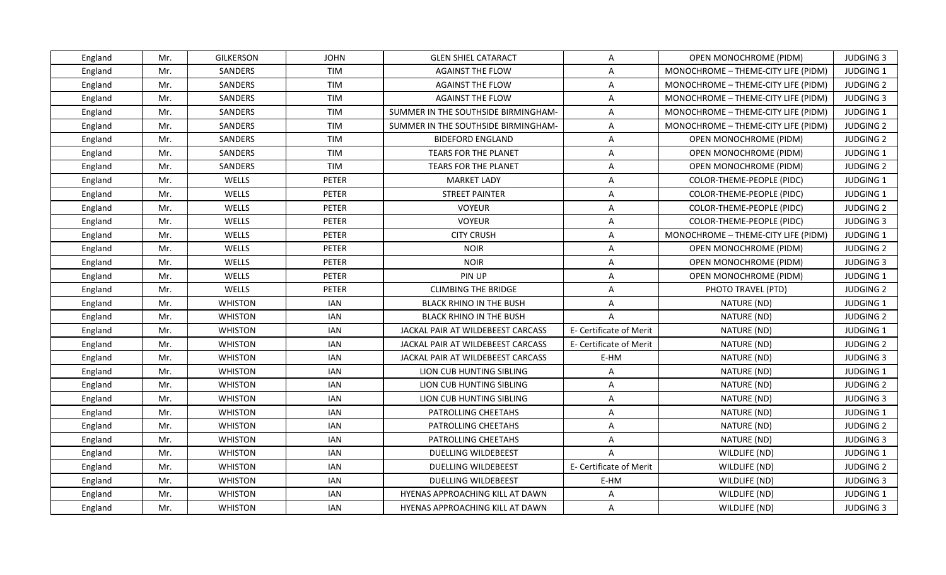| England | Mr. | GILKERSON      | <b>JOHN</b>  | <b>GLEN SHIEL CATARACT</b>          | $\overline{A}$          | OPEN MONOCHROME (PIDM)              | <b>JUDGING 3</b> |
|---------|-----|----------------|--------------|-------------------------------------|-------------------------|-------------------------------------|------------------|
| England | Mr. | SANDERS        | <b>TIM</b>   | <b>AGAINST THE FLOW</b>             | A                       | MONOCHROME - THEME-CITY LIFE (PIDM) | <b>JUDGING 1</b> |
| England | Mr. | SANDERS        | TIM          | <b>AGAINST THE FLOW</b>             | A                       | MONOCHROME - THEME-CITY LIFE (PIDM) | <b>JUDGING 2</b> |
| England | Mr. | SANDERS        | TIM          | <b>AGAINST THE FLOW</b>             | A                       | MONOCHROME - THEME-CITY LIFE (PIDM) | <b>JUDGING 3</b> |
| England | Mr. | SANDERS        | TIM          | SUMMER IN THE SOUTHSIDE BIRMINGHAM- | A                       | MONOCHROME - THEME-CITY LIFE (PIDM) | <b>JUDGING 1</b> |
| England | Mr. | SANDERS        | TIM          | SUMMER IN THE SOUTHSIDE BIRMINGHAM- | A                       | MONOCHROME - THEME-CITY LIFE (PIDM) | <b>JUDGING 2</b> |
| England | Mr. | SANDERS        | TIM          | <b>BIDEFORD ENGLAND</b>             | A                       | <b>OPEN MONOCHROME (PIDM)</b>       | <b>JUDGING 2</b> |
| England | Mr. | SANDERS        | TIM          | TEARS FOR THE PLANET                | A                       | OPEN MONOCHROME (PIDM)              | JUDGING 1        |
| England | Mr. | SANDERS        | <b>TIM</b>   | TEARS FOR THE PLANET                | A                       | OPEN MONOCHROME (PIDM)              | <b>JUDGING 2</b> |
| England | Mr. | WELLS          | PETER        | <b>MARKET LADY</b>                  | A                       | COLOR-THEME-PEOPLE (PIDC)           | JUDGING 1        |
| England | Mr. | WELLS          | PETER        | <b>STREET PAINTER</b>               | A                       | COLOR-THEME-PEOPLE (PIDC)           | JUDGING 1        |
| England | Mr. | WELLS          | PETER        | <b>VOYEUR</b>                       | A                       | COLOR-THEME-PEOPLE (PIDC)           | <b>JUDGING 2</b> |
| England | Mr. | WELLS          | <b>PETER</b> | <b>VOYEUR</b>                       | A                       | COLOR-THEME-PEOPLE (PIDC)           | <b>JUDGING 3</b> |
| England | Mr. | WELLS          | <b>PETER</b> | <b>CITY CRUSH</b>                   | A                       | MONOCHROME - THEME-CITY LIFE (PIDM) | <b>JUDGING 1</b> |
| England | Mr. | WELLS          | <b>PETER</b> | <b>NOIR</b>                         | A                       | OPEN MONOCHROME (PIDM)              | <b>JUDGING 2</b> |
| England | Mr. | <b>WELLS</b>   | PETER        | <b>NOIR</b>                         | A                       | OPEN MONOCHROME (PIDM)              | <b>JUDGING 3</b> |
| England | Mr. | WELLS          | <b>PETER</b> | PIN UP                              | A                       | <b>OPEN MONOCHROME (PIDM)</b>       | <b>JUDGING 1</b> |
| England | Mr. | WELLS          | <b>PETER</b> | <b>CLIMBING THE BRIDGE</b>          | A                       | PHOTO TRAVEL (PTD)                  | <b>JUDGING 2</b> |
| England | Mr. | <b>WHISTON</b> | IAN          | <b>BLACK RHINO IN THE BUSH</b>      | A                       | NATURE (ND)                         | <b>JUDGING 1</b> |
| England | Mr. | <b>WHISTON</b> | <b>IAN</b>   | <b>BLACK RHINO IN THE BUSH</b>      | $\overline{A}$          | NATURE (ND)                         | <b>JUDGING 2</b> |
| England | Mr. | <b>WHISTON</b> | IAN          | JACKAL PAIR AT WILDEBEEST CARCASS   | E- Certificate of Merit | NATURE (ND)                         | <b>JUDGING 1</b> |
| England | Mr. | <b>WHISTON</b> | <b>IAN</b>   | JACKAL PAIR AT WILDEBEEST CARCASS   | E- Certificate of Merit | NATURE (ND)                         | <b>JUDGING 2</b> |
| England | Mr. | <b>WHISTON</b> | <b>IAN</b>   | JACKAL PAIR AT WILDEBEEST CARCASS   | E-HM                    | NATURE (ND)                         | <b>JUDGING 3</b> |
| England | Mr. | <b>WHISTON</b> | <b>IAN</b>   | LION CUB HUNTING SIBLING            | A                       | NATURE (ND)                         | <b>JUDGING 1</b> |
| England | Mr. | <b>WHISTON</b> | <b>IAN</b>   | LION CUB HUNTING SIBLING            | A                       | NATURE (ND)                         | <b>JUDGING 2</b> |
| England | Mr. | <b>WHISTON</b> | IAN          | LION CUB HUNTING SIBLING            | A                       | NATURE (ND)                         | <b>JUDGING 3</b> |
| England | Mr. | <b>WHISTON</b> | <b>IAN</b>   | PATROLLING CHEETAHS                 | A                       | NATURE (ND)                         | <b>JUDGING 1</b> |
| England | Mr. | <b>WHISTON</b> | <b>IAN</b>   | PATROLLING CHEETAHS                 | A                       | NATURE (ND)                         | <b>JUDGING 2</b> |
| England | Mr. | <b>WHISTON</b> | IAN          | PATROLLING CHEETAHS                 | A                       | NATURE (ND)                         | <b>JUDGING 3</b> |
| England | Mr. | <b>WHISTON</b> | <b>IAN</b>   | <b>DUELLING WILDEBEEST</b>          | $\overline{A}$          | WILDLIFE (ND)                       | <b>JUDGING 1</b> |
| England | Mr. | <b>WHISTON</b> | <b>IAN</b>   | DUELLING WILDEBEEST                 | E- Certificate of Merit | WILDLIFE (ND)                       | <b>JUDGING 2</b> |
| England | Mr. | <b>WHISTON</b> | IAN          | <b>DUELLING WILDEBEEST</b>          | E-HM                    | WILDLIFE (ND)                       | <b>JUDGING 3</b> |
| England | Mr. | <b>WHISTON</b> | <b>IAN</b>   | HYENAS APPROACHING KILL AT DAWN     | A                       | WILDLIFE (ND)                       | JUDGING 1        |
| England | Mr. | <b>WHISTON</b> | IAN          | HYENAS APPROACHING KILL AT DAWN     | A                       | WILDLIFE (ND)                       | <b>JUDGING 3</b> |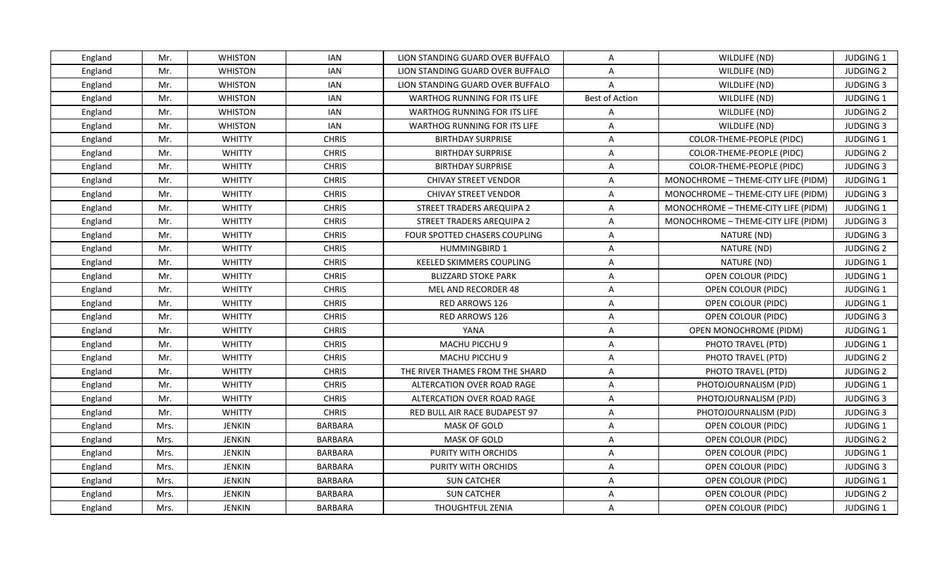| England | Mr.  | <b>WHISTON</b> | IAN            | LION STANDING GUARD OVER BUFFALO    | A                       | WILDLIFE (ND)                       | <b>JUDGING 1</b> |
|---------|------|----------------|----------------|-------------------------------------|-------------------------|-------------------------------------|------------------|
| England | Mr.  | <b>WHISTON</b> | <b>IAN</b>     | LION STANDING GUARD OVER BUFFALO    | $\overline{A}$          | WILDLIFE (ND)                       | <b>JUDGING 2</b> |
| England | Mr.  | <b>WHISTON</b> | <b>IAN</b>     | LION STANDING GUARD OVER BUFFALO    | $\overline{A}$          | WILDLIFE (ND)                       | <b>JUDGING 3</b> |
| England | Mr.  | <b>WHISTON</b> | <b>IAN</b>     | <b>WARTHOG RUNNING FOR ITS LIFE</b> | Best of Action          | WILDLIFE (ND)                       | <b>JUDGING 1</b> |
| England | Mr.  | <b>WHISTON</b> | IAN            | WARTHOG RUNNING FOR ITS LIFE        | A                       | WILDLIFE (ND)                       | <b>JUDGING 2</b> |
| England | Mr.  | <b>WHISTON</b> | IAN            | <b>WARTHOG RUNNING FOR ITS LIFE</b> | A                       | WILDLIFE (ND)                       | <b>JUDGING 3</b> |
| England | Mr.  | <b>WHITTY</b>  | <b>CHRIS</b>   | <b>BIRTHDAY SURPRISE</b>            | A                       | COLOR-THEME-PEOPLE (PIDC)           | JUDGING 1        |
| England | Mr.  | <b>WHITTY</b>  | <b>CHRIS</b>   | <b>BIRTHDAY SURPRISE</b>            | A                       | COLOR-THEME-PEOPLE (PIDC)           | <b>JUDGING 2</b> |
| England | Mr.  | <b>WHITTY</b>  | <b>CHRIS</b>   | <b>BIRTHDAY SURPRISE</b>            | A                       | COLOR-THEME-PEOPLE (PIDC)           | <b>JUDGING 3</b> |
| England | Mr.  | <b>WHITTY</b>  | <b>CHRIS</b>   | <b>CHIVAY STREET VENDOR</b>         | A                       | MONOCHROME - THEME-CITY LIFE (PIDM) | JUDGING 1        |
| England | Mr.  | <b>WHITTY</b>  | <b>CHRIS</b>   | <b>CHIVAY STREET VENDOR</b>         | A                       | MONOCHROME - THEME-CITY LIFE (PIDM) | <b>JUDGING 3</b> |
| England | Mr.  | <b>WHITTY</b>  | <b>CHRIS</b>   | STREET TRADERS AREQUIPA 2           | A                       | MONOCHROME - THEME-CITY LIFE (PIDM) | JUDGING 1        |
| England | Mr.  | <b>WHITTY</b>  | <b>CHRIS</b>   | STREET TRADERS AREQUIPA 2           | A                       | MONOCHROME - THEME-CITY LIFE (PIDM) | <b>JUDGING 3</b> |
| England | Mr.  | <b>WHITTY</b>  | <b>CHRIS</b>   | FOUR SPOTTED CHASERS COUPLING       | A                       | NATURE (ND)                         | <b>JUDGING 3</b> |
| England | Mr.  | <b>WHITTY</b>  | <b>CHRIS</b>   | <b>HUMMINGBIRD 1</b>                | A                       | NATURE (ND)                         | <b>JUDGING 2</b> |
| England | Mr.  | <b>WHITTY</b>  | <b>CHRIS</b>   | KEELED SKIMMERS COUPLING            | A                       | NATURE (ND)                         | JUDGING 1        |
| England | Mr.  | <b>WHITTY</b>  | <b>CHRIS</b>   | <b>BLIZZARD STOKE PARK</b>          | $\overline{A}$          | OPEN COLOUR (PIDC)                  | JUDGING 1        |
| England | Mr.  | <b>WHITTY</b>  | <b>CHRIS</b>   | MEL AND RECORDER 48                 | A                       | OPEN COLOUR (PIDC)                  | JUDGING 1        |
| England | Mr.  | <b>WHITTY</b>  | <b>CHRIS</b>   | <b>RED ARROWS 126</b>               | A                       | OPEN COLOUR (PIDC)                  | <b>JUDGING 1</b> |
| England | Mr.  | <b>WHITTY</b>  | <b>CHRIS</b>   | RED ARROWS 126                      | $\overline{\mathsf{A}}$ | OPEN COLOUR (PIDC)                  | <b>JUDGING 3</b> |
| England | Mr.  | <b>WHITTY</b>  | <b>CHRIS</b>   | YANA                                | A                       | OPEN MONOCHROME (PIDM)              | <b>JUDGING 1</b> |
| England | Mr.  | <b>WHITTY</b>  | <b>CHRIS</b>   | MACHU PICCHU 9                      | A                       | PHOTO TRAVEL (PTD)                  | JUDGING 1        |
| England | Mr.  | <b>WHITTY</b>  | <b>CHRIS</b>   | MACHU PICCHU 9                      | A                       | PHOTO TRAVEL (PTD)                  | <b>JUDGING 2</b> |
| England | Mr.  | <b>WHITTY</b>  | <b>CHRIS</b>   | THE RIVER THAMES FROM THE SHARD     | A                       | PHOTO TRAVEL (PTD)                  | <b>JUDGING 2</b> |
| England | Mr.  | <b>WHITTY</b>  | <b>CHRIS</b>   | ALTERCATION OVER ROAD RAGE          | A                       | PHOTOJOURNALISM (PJD)               | JUDGING 1        |
| England | Mr.  | <b>WHITTY</b>  | <b>CHRIS</b>   | ALTERCATION OVER ROAD RAGE          | A                       | PHOTOJOURNALISM (PJD)               | <b>JUDGING 3</b> |
| England | Mr.  | <b>WHITTY</b>  | <b>CHRIS</b>   | RED BULL AIR RACE BUDAPEST 97       | A                       | PHOTOJOURNALISM (PJD)               | <b>JUDGING 3</b> |
| England | Mrs. | <b>JENKIN</b>  | <b>BARBARA</b> | <b>MASK OF GOLD</b>                 | A                       | OPEN COLOUR (PIDC)                  | JUDGING 1        |
| England | Mrs. | <b>JENKIN</b>  | <b>BARBARA</b> | <b>MASK OF GOLD</b>                 | A                       | OPEN COLOUR (PIDC)                  | <b>JUDGING 2</b> |
| England | Mrs. | <b>JENKIN</b>  | <b>BARBARA</b> | PURITY WITH ORCHIDS                 | A                       | OPEN COLOUR (PIDC)                  | JUDGING 1        |
| England | Mrs. | <b>JENKIN</b>  | BARBARA        | PURITY WITH ORCHIDS                 | A                       | OPEN COLOUR (PIDC)                  | <b>JUDGING 3</b> |
| England | Mrs. | JENKIN         | BARBARA        | <b>SUN CATCHER</b>                  | A                       | OPEN COLOUR (PIDC)                  | JUDGING 1        |
| England | Mrs. | <b>JENKIN</b>  | <b>BARBARA</b> | <b>SUN CATCHER</b>                  | $\overline{\mathsf{A}}$ | OPEN COLOUR (PIDC)                  | <b>JUDGING 2</b> |
| England | Mrs. | JENKIN         | BARBARA        | <b>THOUGHTFUL ZENIA</b>             | A                       | OPEN COLOUR (PIDC)                  | <b>JUDGING 1</b> |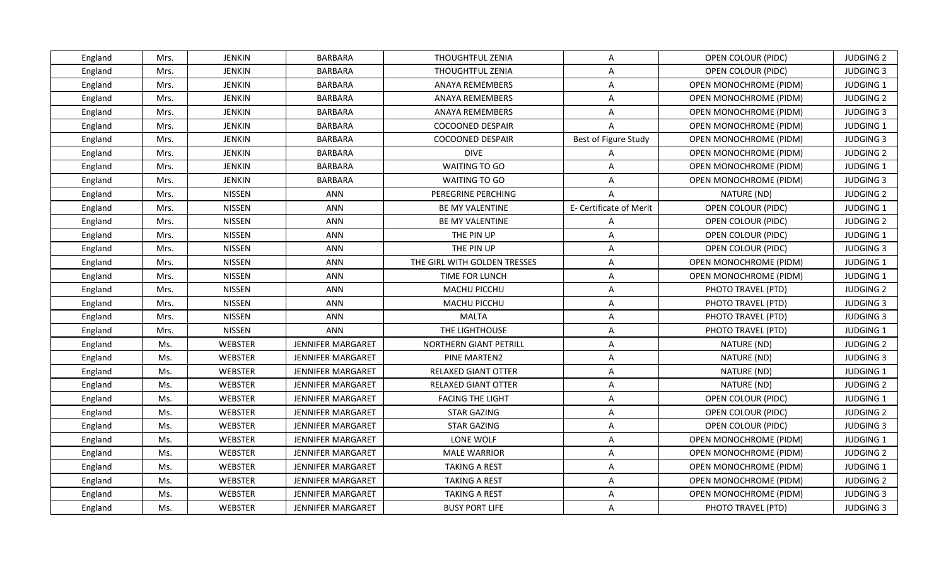| England | Mrs. | <b>JENKIN</b>  | <b>BARBARA</b>           | THOUGHTFUL ZENIA             | A                       | OPEN COLOUR (PIDC)            | <b>JUDGING 2</b> |
|---------|------|----------------|--------------------------|------------------------------|-------------------------|-------------------------------|------------------|
| England | Mrs. | <b>JENKIN</b>  | <b>BARBARA</b>           | THOUGHTFUL ZENIA             | $\overline{\mathsf{A}}$ | <b>OPEN COLOUR (PIDC)</b>     | <b>JUDGING 3</b> |
| England | Mrs. | <b>JENKIN</b>  | BARBARA                  | ANAYA REMEMBERS              | A                       | OPEN MONOCHROME (PIDM)        | JUDGING 1        |
| England | Mrs. | JENKIN         | <b>BARBARA</b>           | <b>ANAYA REMEMBERS</b>       | A                       | OPEN MONOCHROME (PIDM)        | <b>JUDGING 2</b> |
| England | Mrs. | <b>JENKIN</b>  | <b>BARBARA</b>           | <b>ANAYA REMEMBERS</b>       | A                       | <b>OPEN MONOCHROME (PIDM)</b> | <b>JUDGING 3</b> |
| England | Mrs. | JENKIN         | <b>BARBARA</b>           | <b>COCOONED DESPAIR</b>      | $\overline{A}$          | OPEN MONOCHROME (PIDM)        | <b>JUDGING 1</b> |
| England | Mrs. | <b>JENKIN</b>  | BARBARA                  | <b>COCOONED DESPAIR</b>      | Best of Figure Study    | OPEN MONOCHROME (PIDM)        | <b>JUDGING 3</b> |
| England | Mrs. | JENKIN         | <b>BARBARA</b>           | <b>DIVE</b>                  | A                       | OPEN MONOCHROME (PIDM)        | <b>JUDGING 2</b> |
| England | Mrs. | <b>JENKIN</b>  | <b>BARBARA</b>           | WAITING TO GO                | $\overline{A}$          | <b>OPEN MONOCHROME (PIDM)</b> | <b>JUDGING 1</b> |
| England | Mrs. | <b>JENKIN</b>  | <b>BARBARA</b>           | WAITING TO GO                | A                       | <b>OPEN MONOCHROME (PIDM)</b> | <b>JUDGING 3</b> |
| England | Mrs. | <b>NISSEN</b>  | ANN                      | PEREGRINE PERCHING           | $\mathsf{A}$            | NATURE (ND)                   | <b>JUDGING 2</b> |
| England | Mrs. | <b>NISSEN</b>  | <b>ANN</b>               | BE MY VALENTINE              | E- Certificate of Merit | OPEN COLOUR (PIDC)            | JUDGING 1        |
| England | Mrs. | <b>NISSEN</b>  | <b>ANN</b>               | BE MY VALENTINE              | A                       | OPEN COLOUR (PIDC)            | <b>JUDGING 2</b> |
| England | Mrs. | <b>NISSEN</b>  | <b>ANN</b>               | THE PIN UP                   | A                       | OPEN COLOUR (PIDC)            | JUDGING 1        |
| England | Mrs. | <b>NISSEN</b>  | <b>ANN</b>               | THE PIN UP                   | A                       | OPEN COLOUR (PIDC)            | <b>JUDGING 3</b> |
| England | Mrs. | <b>NISSEN</b>  | ANN                      | THE GIRL WITH GOLDEN TRESSES | $\overline{\mathsf{A}}$ | OPEN MONOCHROME (PIDM)        | JUDGING 1        |
| England | Mrs. | <b>NISSEN</b>  | ANN                      | TIME FOR LUNCH               | A                       | OPEN MONOCHROME (PIDM)        | JUDGING 1        |
| England | Mrs. | <b>NISSEN</b>  | <b>ANN</b>               | MACHU PICCHU                 | $\overline{\mathsf{A}}$ | PHOTO TRAVEL (PTD)            | <b>JUDGING 2</b> |
| England | Mrs. | <b>NISSEN</b>  | <b>ANN</b>               | <b>MACHU PICCHU</b>          | A                       | PHOTO TRAVEL (PTD)            | <b>JUDGING 3</b> |
| England | Mrs. | <b>NISSEN</b>  | <b>ANN</b>               | <b>MALTA</b>                 | $\overline{\mathsf{A}}$ | PHOTO TRAVEL (PTD)            | <b>JUDGING 3</b> |
| England | Mrs. | <b>NISSEN</b>  | <b>ANN</b>               | THE LIGHTHOUSE               | $\overline{\mathsf{A}}$ | PHOTO TRAVEL (PTD)            | JUDGING 1        |
| England | Ms.  | WEBSTER        | JENNIFER MARGARET        | NORTHERN GIANT PETRILL       | A                       | NATURE (ND)                   | <b>JUDGING 2</b> |
| England | Ms.  | WEBSTER        | <b>JENNIFER MARGARET</b> | PINE MARTEN2                 | A                       | NATURE (ND)                   | <b>JUDGING 3</b> |
| England | Ms.  | <b>WEBSTER</b> | <b>JENNIFER MARGARET</b> | RELAXED GIANT OTTER          | A                       | NATURE (ND)                   | <b>JUDGING 1</b> |
| England | Ms.  | WEBSTER        | JENNIFER MARGARET        | RELAXED GIANT OTTER          | $\overline{A}$          | NATURE (ND)                   | <b>JUDGING 2</b> |
| England | Ms.  | WEBSTER        | <b>JENNIFER MARGARET</b> | <b>FACING THE LIGHT</b>      | A                       | OPEN COLOUR (PIDC)            | JUDGING 1        |
| England | Ms.  | WEBSTER        | JENNIFER MARGARET        | <b>STAR GAZING</b>           | A                       | OPEN COLOUR (PIDC)            | <b>JUDGING 2</b> |
| England | Ms.  | WEBSTER        | <b>JENNIFER MARGARET</b> | <b>STAR GAZING</b>           | $\overline{\mathsf{A}}$ | OPEN COLOUR (PIDC)            | <b>JUDGING 3</b> |
| England | Ms.  | WEBSTER        | JENNIFER MARGARET        | LONE WOLF                    | A                       | OPEN MONOCHROME (PIDM)        | <b>JUDGING 1</b> |
| England | Ms.  | WEBSTER        | JENNIFER MARGARET        | <b>MALE WARRIOR</b>          | A                       | OPEN MONOCHROME (PIDM)        | <b>JUDGING 2</b> |
| England | Ms.  | WEBSTER        | JENNIFER MARGARET        | <b>TAKING A REST</b>         | A                       | OPEN MONOCHROME (PIDM)        | JUDGING 1        |
| England | Ms.  | WEBSTER        | JENNIFER MARGARET        | <b>TAKING A REST</b>         | A                       | <b>OPEN MONOCHROME (PIDM)</b> | <b>JUDGING 2</b> |
| England | Ms.  | WEBSTER        | JENNIFER MARGARET        | <b>TAKING A REST</b>         | A                       | OPEN MONOCHROME (PIDM)        | <b>JUDGING 3</b> |
| England | Ms.  | WEBSTER        | <b>JENNIFER MARGARET</b> | <b>BUSY PORT LIFE</b>        | A                       | PHOTO TRAVEL (PTD)            | <b>JUDGING 3</b> |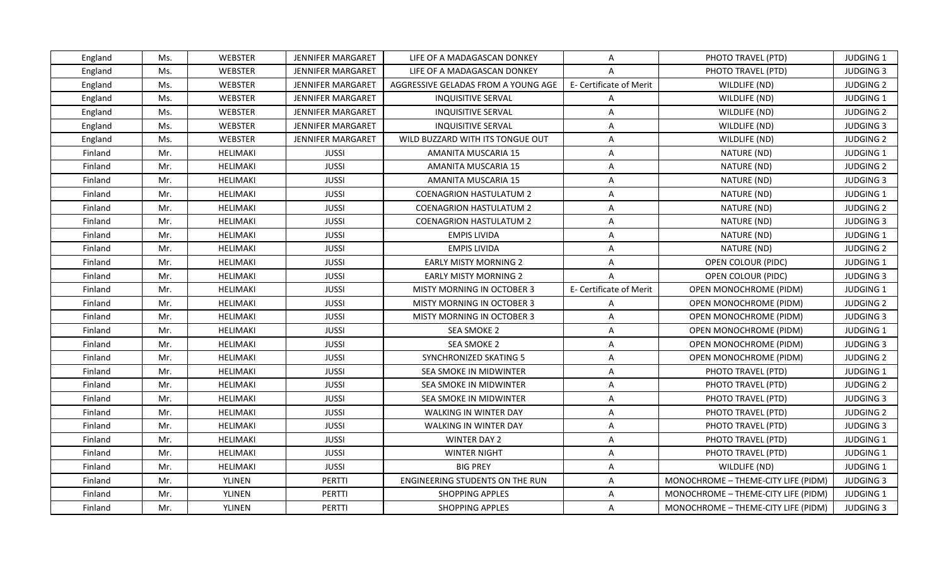| <b>WEBSTER</b><br>England<br>Ms.<br>JENNIFER MARGARET<br>LIFE OF A MADAGASCAN DONKEY<br>A<br>PHOTO TRAVEL (PTD)<br><b>WEBSTER</b><br>Ms.<br>JENNIFER MARGARET<br>LIFE OF A MADAGASCAN DONKEY<br>PHOTO TRAVEL (PTD)<br>England<br>$\overline{A}$<br>WEBSTER<br><b>JENNIFER MARGARET</b><br>AGGRESSIVE GELADAS FROM A YOUNG AGE<br>E- Certificate of Merit<br>WILDLIFE (ND)<br>Ms.<br>England<br>Ms.<br>WEBSTER<br><b>JENNIFER MARGARET</b><br><b>INQUISITIVE SERVAL</b><br>WILDLIFE (ND)<br>England<br>A<br>England<br>Ms.<br>WEBSTER<br><b>JENNIFER MARGARET</b><br><b>INQUISITIVE SERVAL</b><br>A<br>WILDLIFE (ND)<br><b>WEBSTER</b><br>England<br>Ms.<br><b>JENNIFER MARGARET</b><br><b>INQUISITIVE SERVAL</b><br>A<br>WILDLIFE (ND)<br>Ms.<br>WEBSTER<br>JENNIFER MARGARET<br>A<br>England<br>WILD BUZZARD WITH ITS TONGUE OUT<br>WILDLIFE (ND)<br>Mr.<br><b>HELIMAKI</b><br><b>JUSSI</b><br>AMANITA MUSCARIA 15<br>A<br>NATURE (ND)<br>Finland<br>Mr.<br><b>HELIMAKI</b><br><b>JUSSI</b><br>NATURE (ND)<br>Finland<br>AMANITA MUSCARIA 15<br>Α<br>Finland<br>Mr.<br><b>HELIMAKI</b><br><b>JUSSI</b><br>AMANITA MUSCARIA 15<br>Α<br>NATURE (ND)<br>Mr.<br>Finland<br>HELIMAKI<br><b>JUSSI</b><br><b>COENAGRION HASTULATUM 2</b><br>A<br>NATURE (ND)<br>HELIMAKI<br>Finland<br>Mr.<br><b>JUSSI</b><br><b>COENAGRION HASTULATUM 2</b><br>Α<br>NATURE (ND)<br><b>JUSSI</b><br>Mr.<br><b>HELIMAKI</b><br><b>COENAGRION HASTULATUM 2</b><br>A<br>NATURE (ND)<br>Finland<br><b>JUSSI</b><br>Finland<br>Mr.<br>HELIMAKI<br><b>EMPIS LIVIDA</b><br>$\mathsf{A}$<br>NATURE (ND)<br>Finland<br>Mr.<br>HELIMAKI<br><b>JUSSI</b><br><b>EMPIS LIVIDA</b><br>NATURE (ND)<br>A<br>Finland<br>Mr.<br>HELIMAKI<br><b>JUSSI</b><br><b>EARLY MISTY MORNING 2</b><br>OPEN COLOUR (PIDC)<br>A<br>Mr.<br><b>HELIMAKI</b><br><b>JUSSI</b><br><b>EARLY MISTY MORNING 2</b><br>Finland<br>$\overline{A}$<br>OPEN COLOUR (PIDC)<br>Mr.<br>HELIMAKI<br><b>JUSSI</b><br><b>MISTY MORNING IN OCTOBER 3</b><br>E- Certificate of Merit<br>OPEN MONOCHROME (PIDM)<br>Finland<br>Mr.<br><b>HELIMAKI</b><br><b>JUSSI</b><br>Finland<br><b>MISTY MORNING IN OCTOBER 3</b><br>$\overline{A}$<br>OPEN MONOCHROME (PIDM)<br>Finland<br>Mr.<br>HELIMAKI<br><b>JUSSI</b><br><b>MISTY MORNING IN OCTOBER 3</b><br>$\overline{A}$<br>OPEN MONOCHROME (PIDM)<br>Mr.<br><b>HELIMAKI</b><br><b>JUSSI</b><br>Finland<br>SEA SMOKE 2<br>Α<br><b>OPEN MONOCHROME (PIDM)</b><br>Mr.<br>HELIMAKI<br><b>JUSSI</b><br>SEA SMOKE 2<br>Finland<br>Α<br>OPEN MONOCHROME (PIDM)<br><b>JUSSI</b><br>Finland<br>Mr.<br><b>HELIMAKI</b><br>SYNCHRONIZED SKATING 5<br>A<br>OPEN MONOCHROME (PIDM)<br>Mr.<br><b>JUSSI</b><br>Finland<br>HELIMAKI<br>SEA SMOKE IN MIDWINTER<br>A<br>PHOTO TRAVEL (PTD)<br>Finland<br>Mr.<br><b>HELIMAKI</b><br><b>JUSSI</b><br>SEA SMOKE IN MIDWINTER<br>$\overline{A}$<br>PHOTO TRAVEL (PTD)<br>Finland<br>Mr.<br>HELIMAKI<br><b>JUSSI</b><br>A<br>PHOTO TRAVEL (PTD)<br>SEA SMOKE IN MIDWINTER<br>Mr.<br><b>HELIMAKI</b><br><b>JUSSI</b><br>A<br>PHOTO TRAVEL (PTD)<br>Finland<br>WALKING IN WINTER DAY<br>Mr.<br><b>HELIMAKI</b><br><b>JUSSI</b><br>A<br>PHOTO TRAVEL (PTD)<br>Finland<br><b>WALKING IN WINTER DAY</b><br>Mr.<br><b>HELIMAKI</b><br><b>JUSSI</b><br><b>WINTER DAY 2</b><br>A<br>PHOTO TRAVEL (PTD)<br>Finland<br>Finland<br>Mr.<br><b>JUSSI</b><br>HELIMAKI<br><b>WINTER NIGHT</b><br>Α<br>PHOTO TRAVEL (PTD)<br>Mr.<br><b>HELIMAKI</b><br><b>JUSSI</b><br>Finland<br><b>BIG PREY</b><br>A<br>WILDLIFE (ND)<br>Mr.<br>YLINEN<br>PERTTI<br>ENGINEERING STUDENTS ON THE RUN<br>MONOCHROME - THEME-CITY LIFE (PIDM)<br>Finland<br>A |         |     |        |        |                        |   |                                     |                  |
|---------------------------------------------------------------------------------------------------------------------------------------------------------------------------------------------------------------------------------------------------------------------------------------------------------------------------------------------------------------------------------------------------------------------------------------------------------------------------------------------------------------------------------------------------------------------------------------------------------------------------------------------------------------------------------------------------------------------------------------------------------------------------------------------------------------------------------------------------------------------------------------------------------------------------------------------------------------------------------------------------------------------------------------------------------------------------------------------------------------------------------------------------------------------------------------------------------------------------------------------------------------------------------------------------------------------------------------------------------------------------------------------------------------------------------------------------------------------------------------------------------------------------------------------------------------------------------------------------------------------------------------------------------------------------------------------------------------------------------------------------------------------------------------------------------------------------------------------------------------------------------------------------------------------------------------------------------------------------------------------------------------------------------------------------------------------------------------------------------------------------------------------------------------------------------------------------------------------------------------------------------------------------------------------------------------------------------------------------------------------------------------------------------------------------------------------------------------------------------------------------------------------------------------------------------------------------------------------------------------------------------------------------------------------------------------------------------------------------------------------------------------------------------------------------------------------------------------------------------------------------------------------------------------------------------------------------------------------------------------------------------------------------------------------------------------------------------------------------------------------------------------------------------------------------------------------------------------------------------------------------------------------------------------------------------------------------------------------------------------------------------------------------------------------------------------------------------------------------------------------------------------------------------------------------------------------------------------------------------------------------|---------|-----|--------|--------|------------------------|---|-------------------------------------|------------------|
|                                                                                                                                                                                                                                                                                                                                                                                                                                                                                                                                                                                                                                                                                                                                                                                                                                                                                                                                                                                                                                                                                                                                                                                                                                                                                                                                                                                                                                                                                                                                                                                                                                                                                                                                                                                                                                                                                                                                                                                                                                                                                                                                                                                                                                                                                                                                                                                                                                                                                                                                                                                                                                                                                                                                                                                                                                                                                                                                                                                                                                                                                                                                                                                                                                                                                                                                                                                                                                                                                                                                                                                                                           |         |     |        |        |                        |   |                                     | <b>JUDGING 1</b> |
|                                                                                                                                                                                                                                                                                                                                                                                                                                                                                                                                                                                                                                                                                                                                                                                                                                                                                                                                                                                                                                                                                                                                                                                                                                                                                                                                                                                                                                                                                                                                                                                                                                                                                                                                                                                                                                                                                                                                                                                                                                                                                                                                                                                                                                                                                                                                                                                                                                                                                                                                                                                                                                                                                                                                                                                                                                                                                                                                                                                                                                                                                                                                                                                                                                                                                                                                                                                                                                                                                                                                                                                                                           |         |     |        |        |                        |   |                                     | <b>JUDGING 3</b> |
|                                                                                                                                                                                                                                                                                                                                                                                                                                                                                                                                                                                                                                                                                                                                                                                                                                                                                                                                                                                                                                                                                                                                                                                                                                                                                                                                                                                                                                                                                                                                                                                                                                                                                                                                                                                                                                                                                                                                                                                                                                                                                                                                                                                                                                                                                                                                                                                                                                                                                                                                                                                                                                                                                                                                                                                                                                                                                                                                                                                                                                                                                                                                                                                                                                                                                                                                                                                                                                                                                                                                                                                                                           |         |     |        |        |                        |   |                                     | <b>JUDGING 2</b> |
|                                                                                                                                                                                                                                                                                                                                                                                                                                                                                                                                                                                                                                                                                                                                                                                                                                                                                                                                                                                                                                                                                                                                                                                                                                                                                                                                                                                                                                                                                                                                                                                                                                                                                                                                                                                                                                                                                                                                                                                                                                                                                                                                                                                                                                                                                                                                                                                                                                                                                                                                                                                                                                                                                                                                                                                                                                                                                                                                                                                                                                                                                                                                                                                                                                                                                                                                                                                                                                                                                                                                                                                                                           |         |     |        |        |                        |   |                                     | <b>JUDGING 1</b> |
|                                                                                                                                                                                                                                                                                                                                                                                                                                                                                                                                                                                                                                                                                                                                                                                                                                                                                                                                                                                                                                                                                                                                                                                                                                                                                                                                                                                                                                                                                                                                                                                                                                                                                                                                                                                                                                                                                                                                                                                                                                                                                                                                                                                                                                                                                                                                                                                                                                                                                                                                                                                                                                                                                                                                                                                                                                                                                                                                                                                                                                                                                                                                                                                                                                                                                                                                                                                                                                                                                                                                                                                                                           |         |     |        |        |                        |   |                                     | <b>JUDGING 2</b> |
|                                                                                                                                                                                                                                                                                                                                                                                                                                                                                                                                                                                                                                                                                                                                                                                                                                                                                                                                                                                                                                                                                                                                                                                                                                                                                                                                                                                                                                                                                                                                                                                                                                                                                                                                                                                                                                                                                                                                                                                                                                                                                                                                                                                                                                                                                                                                                                                                                                                                                                                                                                                                                                                                                                                                                                                                                                                                                                                                                                                                                                                                                                                                                                                                                                                                                                                                                                                                                                                                                                                                                                                                                           |         |     |        |        |                        |   |                                     | <b>JUDGING 3</b> |
|                                                                                                                                                                                                                                                                                                                                                                                                                                                                                                                                                                                                                                                                                                                                                                                                                                                                                                                                                                                                                                                                                                                                                                                                                                                                                                                                                                                                                                                                                                                                                                                                                                                                                                                                                                                                                                                                                                                                                                                                                                                                                                                                                                                                                                                                                                                                                                                                                                                                                                                                                                                                                                                                                                                                                                                                                                                                                                                                                                                                                                                                                                                                                                                                                                                                                                                                                                                                                                                                                                                                                                                                                           |         |     |        |        |                        |   |                                     | <b>JUDGING 2</b> |
|                                                                                                                                                                                                                                                                                                                                                                                                                                                                                                                                                                                                                                                                                                                                                                                                                                                                                                                                                                                                                                                                                                                                                                                                                                                                                                                                                                                                                                                                                                                                                                                                                                                                                                                                                                                                                                                                                                                                                                                                                                                                                                                                                                                                                                                                                                                                                                                                                                                                                                                                                                                                                                                                                                                                                                                                                                                                                                                                                                                                                                                                                                                                                                                                                                                                                                                                                                                                                                                                                                                                                                                                                           |         |     |        |        |                        |   |                                     | JUDGING 1        |
|                                                                                                                                                                                                                                                                                                                                                                                                                                                                                                                                                                                                                                                                                                                                                                                                                                                                                                                                                                                                                                                                                                                                                                                                                                                                                                                                                                                                                                                                                                                                                                                                                                                                                                                                                                                                                                                                                                                                                                                                                                                                                                                                                                                                                                                                                                                                                                                                                                                                                                                                                                                                                                                                                                                                                                                                                                                                                                                                                                                                                                                                                                                                                                                                                                                                                                                                                                                                                                                                                                                                                                                                                           |         |     |        |        |                        |   |                                     | <b>JUDGING 2</b> |
|                                                                                                                                                                                                                                                                                                                                                                                                                                                                                                                                                                                                                                                                                                                                                                                                                                                                                                                                                                                                                                                                                                                                                                                                                                                                                                                                                                                                                                                                                                                                                                                                                                                                                                                                                                                                                                                                                                                                                                                                                                                                                                                                                                                                                                                                                                                                                                                                                                                                                                                                                                                                                                                                                                                                                                                                                                                                                                                                                                                                                                                                                                                                                                                                                                                                                                                                                                                                                                                                                                                                                                                                                           |         |     |        |        |                        |   |                                     | <b>JUDGING 3</b> |
|                                                                                                                                                                                                                                                                                                                                                                                                                                                                                                                                                                                                                                                                                                                                                                                                                                                                                                                                                                                                                                                                                                                                                                                                                                                                                                                                                                                                                                                                                                                                                                                                                                                                                                                                                                                                                                                                                                                                                                                                                                                                                                                                                                                                                                                                                                                                                                                                                                                                                                                                                                                                                                                                                                                                                                                                                                                                                                                                                                                                                                                                                                                                                                                                                                                                                                                                                                                                                                                                                                                                                                                                                           |         |     |        |        |                        |   |                                     | <b>JUDGING 1</b> |
|                                                                                                                                                                                                                                                                                                                                                                                                                                                                                                                                                                                                                                                                                                                                                                                                                                                                                                                                                                                                                                                                                                                                                                                                                                                                                                                                                                                                                                                                                                                                                                                                                                                                                                                                                                                                                                                                                                                                                                                                                                                                                                                                                                                                                                                                                                                                                                                                                                                                                                                                                                                                                                                                                                                                                                                                                                                                                                                                                                                                                                                                                                                                                                                                                                                                                                                                                                                                                                                                                                                                                                                                                           |         |     |        |        |                        |   |                                     | <b>JUDGING 2</b> |
|                                                                                                                                                                                                                                                                                                                                                                                                                                                                                                                                                                                                                                                                                                                                                                                                                                                                                                                                                                                                                                                                                                                                                                                                                                                                                                                                                                                                                                                                                                                                                                                                                                                                                                                                                                                                                                                                                                                                                                                                                                                                                                                                                                                                                                                                                                                                                                                                                                                                                                                                                                                                                                                                                                                                                                                                                                                                                                                                                                                                                                                                                                                                                                                                                                                                                                                                                                                                                                                                                                                                                                                                                           |         |     |        |        |                        |   |                                     | <b>JUDGING 3</b> |
|                                                                                                                                                                                                                                                                                                                                                                                                                                                                                                                                                                                                                                                                                                                                                                                                                                                                                                                                                                                                                                                                                                                                                                                                                                                                                                                                                                                                                                                                                                                                                                                                                                                                                                                                                                                                                                                                                                                                                                                                                                                                                                                                                                                                                                                                                                                                                                                                                                                                                                                                                                                                                                                                                                                                                                                                                                                                                                                                                                                                                                                                                                                                                                                                                                                                                                                                                                                                                                                                                                                                                                                                                           |         |     |        |        |                        |   |                                     | JUDGING 1        |
|                                                                                                                                                                                                                                                                                                                                                                                                                                                                                                                                                                                                                                                                                                                                                                                                                                                                                                                                                                                                                                                                                                                                                                                                                                                                                                                                                                                                                                                                                                                                                                                                                                                                                                                                                                                                                                                                                                                                                                                                                                                                                                                                                                                                                                                                                                                                                                                                                                                                                                                                                                                                                                                                                                                                                                                                                                                                                                                                                                                                                                                                                                                                                                                                                                                                                                                                                                                                                                                                                                                                                                                                                           |         |     |        |        |                        |   |                                     | <b>JUDGING 2</b> |
|                                                                                                                                                                                                                                                                                                                                                                                                                                                                                                                                                                                                                                                                                                                                                                                                                                                                                                                                                                                                                                                                                                                                                                                                                                                                                                                                                                                                                                                                                                                                                                                                                                                                                                                                                                                                                                                                                                                                                                                                                                                                                                                                                                                                                                                                                                                                                                                                                                                                                                                                                                                                                                                                                                                                                                                                                                                                                                                                                                                                                                                                                                                                                                                                                                                                                                                                                                                                                                                                                                                                                                                                                           |         |     |        |        |                        |   |                                     | <b>JUDGING 1</b> |
|                                                                                                                                                                                                                                                                                                                                                                                                                                                                                                                                                                                                                                                                                                                                                                                                                                                                                                                                                                                                                                                                                                                                                                                                                                                                                                                                                                                                                                                                                                                                                                                                                                                                                                                                                                                                                                                                                                                                                                                                                                                                                                                                                                                                                                                                                                                                                                                                                                                                                                                                                                                                                                                                                                                                                                                                                                                                                                                                                                                                                                                                                                                                                                                                                                                                                                                                                                                                                                                                                                                                                                                                                           |         |     |        |        |                        |   |                                     | <b>JUDGING 3</b> |
|                                                                                                                                                                                                                                                                                                                                                                                                                                                                                                                                                                                                                                                                                                                                                                                                                                                                                                                                                                                                                                                                                                                                                                                                                                                                                                                                                                                                                                                                                                                                                                                                                                                                                                                                                                                                                                                                                                                                                                                                                                                                                                                                                                                                                                                                                                                                                                                                                                                                                                                                                                                                                                                                                                                                                                                                                                                                                                                                                                                                                                                                                                                                                                                                                                                                                                                                                                                                                                                                                                                                                                                                                           |         |     |        |        |                        |   |                                     | JUDGING 1        |
|                                                                                                                                                                                                                                                                                                                                                                                                                                                                                                                                                                                                                                                                                                                                                                                                                                                                                                                                                                                                                                                                                                                                                                                                                                                                                                                                                                                                                                                                                                                                                                                                                                                                                                                                                                                                                                                                                                                                                                                                                                                                                                                                                                                                                                                                                                                                                                                                                                                                                                                                                                                                                                                                                                                                                                                                                                                                                                                                                                                                                                                                                                                                                                                                                                                                                                                                                                                                                                                                                                                                                                                                                           |         |     |        |        |                        |   |                                     | <b>JUDGING 2</b> |
|                                                                                                                                                                                                                                                                                                                                                                                                                                                                                                                                                                                                                                                                                                                                                                                                                                                                                                                                                                                                                                                                                                                                                                                                                                                                                                                                                                                                                                                                                                                                                                                                                                                                                                                                                                                                                                                                                                                                                                                                                                                                                                                                                                                                                                                                                                                                                                                                                                                                                                                                                                                                                                                                                                                                                                                                                                                                                                                                                                                                                                                                                                                                                                                                                                                                                                                                                                                                                                                                                                                                                                                                                           |         |     |        |        |                        |   |                                     | <b>JUDGING 3</b> |
|                                                                                                                                                                                                                                                                                                                                                                                                                                                                                                                                                                                                                                                                                                                                                                                                                                                                                                                                                                                                                                                                                                                                                                                                                                                                                                                                                                                                                                                                                                                                                                                                                                                                                                                                                                                                                                                                                                                                                                                                                                                                                                                                                                                                                                                                                                                                                                                                                                                                                                                                                                                                                                                                                                                                                                                                                                                                                                                                                                                                                                                                                                                                                                                                                                                                                                                                                                                                                                                                                                                                                                                                                           |         |     |        |        |                        |   |                                     | <b>JUDGING 1</b> |
|                                                                                                                                                                                                                                                                                                                                                                                                                                                                                                                                                                                                                                                                                                                                                                                                                                                                                                                                                                                                                                                                                                                                                                                                                                                                                                                                                                                                                                                                                                                                                                                                                                                                                                                                                                                                                                                                                                                                                                                                                                                                                                                                                                                                                                                                                                                                                                                                                                                                                                                                                                                                                                                                                                                                                                                                                                                                                                                                                                                                                                                                                                                                                                                                                                                                                                                                                                                                                                                                                                                                                                                                                           |         |     |        |        |                        |   |                                     | <b>JUDGING 3</b> |
|                                                                                                                                                                                                                                                                                                                                                                                                                                                                                                                                                                                                                                                                                                                                                                                                                                                                                                                                                                                                                                                                                                                                                                                                                                                                                                                                                                                                                                                                                                                                                                                                                                                                                                                                                                                                                                                                                                                                                                                                                                                                                                                                                                                                                                                                                                                                                                                                                                                                                                                                                                                                                                                                                                                                                                                                                                                                                                                                                                                                                                                                                                                                                                                                                                                                                                                                                                                                                                                                                                                                                                                                                           |         |     |        |        |                        |   |                                     | <b>JUDGING 2</b> |
|                                                                                                                                                                                                                                                                                                                                                                                                                                                                                                                                                                                                                                                                                                                                                                                                                                                                                                                                                                                                                                                                                                                                                                                                                                                                                                                                                                                                                                                                                                                                                                                                                                                                                                                                                                                                                                                                                                                                                                                                                                                                                                                                                                                                                                                                                                                                                                                                                                                                                                                                                                                                                                                                                                                                                                                                                                                                                                                                                                                                                                                                                                                                                                                                                                                                                                                                                                                                                                                                                                                                                                                                                           |         |     |        |        |                        |   |                                     | JUDGING 1        |
|                                                                                                                                                                                                                                                                                                                                                                                                                                                                                                                                                                                                                                                                                                                                                                                                                                                                                                                                                                                                                                                                                                                                                                                                                                                                                                                                                                                                                                                                                                                                                                                                                                                                                                                                                                                                                                                                                                                                                                                                                                                                                                                                                                                                                                                                                                                                                                                                                                                                                                                                                                                                                                                                                                                                                                                                                                                                                                                                                                                                                                                                                                                                                                                                                                                                                                                                                                                                                                                                                                                                                                                                                           |         |     |        |        |                        |   |                                     | <b>JUDGING 2</b> |
|                                                                                                                                                                                                                                                                                                                                                                                                                                                                                                                                                                                                                                                                                                                                                                                                                                                                                                                                                                                                                                                                                                                                                                                                                                                                                                                                                                                                                                                                                                                                                                                                                                                                                                                                                                                                                                                                                                                                                                                                                                                                                                                                                                                                                                                                                                                                                                                                                                                                                                                                                                                                                                                                                                                                                                                                                                                                                                                                                                                                                                                                                                                                                                                                                                                                                                                                                                                                                                                                                                                                                                                                                           |         |     |        |        |                        |   |                                     | <b>JUDGING 3</b> |
|                                                                                                                                                                                                                                                                                                                                                                                                                                                                                                                                                                                                                                                                                                                                                                                                                                                                                                                                                                                                                                                                                                                                                                                                                                                                                                                                                                                                                                                                                                                                                                                                                                                                                                                                                                                                                                                                                                                                                                                                                                                                                                                                                                                                                                                                                                                                                                                                                                                                                                                                                                                                                                                                                                                                                                                                                                                                                                                                                                                                                                                                                                                                                                                                                                                                                                                                                                                                                                                                                                                                                                                                                           |         |     |        |        |                        |   |                                     | <b>JUDGING 2</b> |
|                                                                                                                                                                                                                                                                                                                                                                                                                                                                                                                                                                                                                                                                                                                                                                                                                                                                                                                                                                                                                                                                                                                                                                                                                                                                                                                                                                                                                                                                                                                                                                                                                                                                                                                                                                                                                                                                                                                                                                                                                                                                                                                                                                                                                                                                                                                                                                                                                                                                                                                                                                                                                                                                                                                                                                                                                                                                                                                                                                                                                                                                                                                                                                                                                                                                                                                                                                                                                                                                                                                                                                                                                           |         |     |        |        |                        |   |                                     | <b>JUDGING 3</b> |
|                                                                                                                                                                                                                                                                                                                                                                                                                                                                                                                                                                                                                                                                                                                                                                                                                                                                                                                                                                                                                                                                                                                                                                                                                                                                                                                                                                                                                                                                                                                                                                                                                                                                                                                                                                                                                                                                                                                                                                                                                                                                                                                                                                                                                                                                                                                                                                                                                                                                                                                                                                                                                                                                                                                                                                                                                                                                                                                                                                                                                                                                                                                                                                                                                                                                                                                                                                                                                                                                                                                                                                                                                           |         |     |        |        |                        |   |                                     | <b>JUDGING 1</b> |
|                                                                                                                                                                                                                                                                                                                                                                                                                                                                                                                                                                                                                                                                                                                                                                                                                                                                                                                                                                                                                                                                                                                                                                                                                                                                                                                                                                                                                                                                                                                                                                                                                                                                                                                                                                                                                                                                                                                                                                                                                                                                                                                                                                                                                                                                                                                                                                                                                                                                                                                                                                                                                                                                                                                                                                                                                                                                                                                                                                                                                                                                                                                                                                                                                                                                                                                                                                                                                                                                                                                                                                                                                           |         |     |        |        |                        |   |                                     | JUDGING 1        |
|                                                                                                                                                                                                                                                                                                                                                                                                                                                                                                                                                                                                                                                                                                                                                                                                                                                                                                                                                                                                                                                                                                                                                                                                                                                                                                                                                                                                                                                                                                                                                                                                                                                                                                                                                                                                                                                                                                                                                                                                                                                                                                                                                                                                                                                                                                                                                                                                                                                                                                                                                                                                                                                                                                                                                                                                                                                                                                                                                                                                                                                                                                                                                                                                                                                                                                                                                                                                                                                                                                                                                                                                                           |         |     |        |        |                        |   |                                     | <b>JUDGING 1</b> |
|                                                                                                                                                                                                                                                                                                                                                                                                                                                                                                                                                                                                                                                                                                                                                                                                                                                                                                                                                                                                                                                                                                                                                                                                                                                                                                                                                                                                                                                                                                                                                                                                                                                                                                                                                                                                                                                                                                                                                                                                                                                                                                                                                                                                                                                                                                                                                                                                                                                                                                                                                                                                                                                                                                                                                                                                                                                                                                                                                                                                                                                                                                                                                                                                                                                                                                                                                                                                                                                                                                                                                                                                                           |         |     |        |        |                        |   |                                     | <b>JUDGING 3</b> |
|                                                                                                                                                                                                                                                                                                                                                                                                                                                                                                                                                                                                                                                                                                                                                                                                                                                                                                                                                                                                                                                                                                                                                                                                                                                                                                                                                                                                                                                                                                                                                                                                                                                                                                                                                                                                                                                                                                                                                                                                                                                                                                                                                                                                                                                                                                                                                                                                                                                                                                                                                                                                                                                                                                                                                                                                                                                                                                                                                                                                                                                                                                                                                                                                                                                                                                                                                                                                                                                                                                                                                                                                                           | Finland | Mr. | YLINEN | PERTTI | <b>SHOPPING APPLES</b> | A | MONOCHROME - THEME-CITY LIFE (PIDM) | JUDGING 1        |
| Mr.<br>YLINEN<br>Finland<br>PERTTI<br><b>SHOPPING APPLES</b><br>$\mathsf{A}$<br>MONOCHROME - THEME-CITY LIFE (PIDM)                                                                                                                                                                                                                                                                                                                                                                                                                                                                                                                                                                                                                                                                                                                                                                                                                                                                                                                                                                                                                                                                                                                                                                                                                                                                                                                                                                                                                                                                                                                                                                                                                                                                                                                                                                                                                                                                                                                                                                                                                                                                                                                                                                                                                                                                                                                                                                                                                                                                                                                                                                                                                                                                                                                                                                                                                                                                                                                                                                                                                                                                                                                                                                                                                                                                                                                                                                                                                                                                                                       |         |     |        |        |                        |   |                                     | <b>JUDGING 3</b> |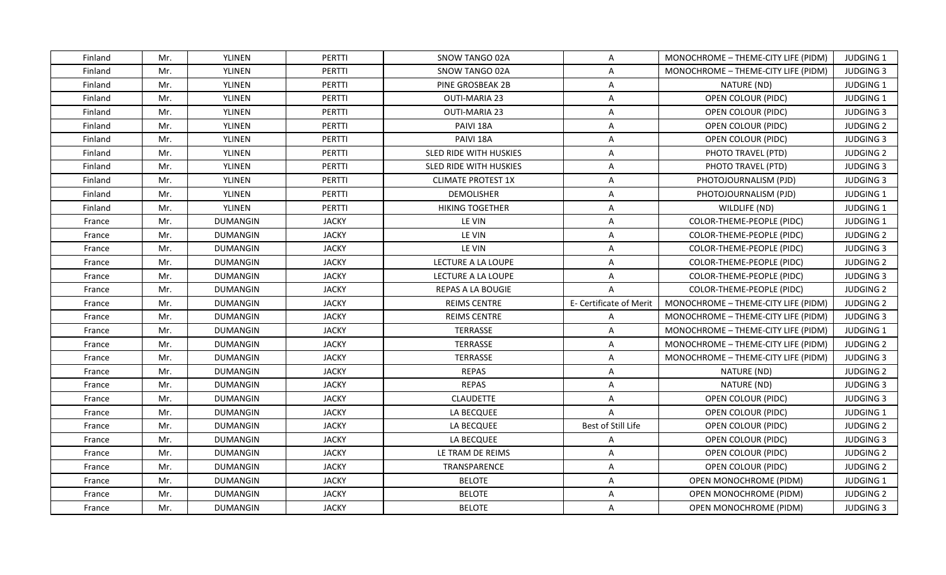| Finland | Mr. | YLINEN          | <b>PERTTI</b> | SNOW TANGO 02A                | $\mathsf{A}$            | MONOCHROME - THEME-CITY LIFE (PIDM) | <b>JUDGING 1</b> |
|---------|-----|-----------------|---------------|-------------------------------|-------------------------|-------------------------------------|------------------|
| Finland | Mr. | YLINEN          | <b>PERTTI</b> | SNOW TANGO 02A                | $\mathsf{A}$            | MONOCHROME - THEME-CITY LIFE (PIDM) | <b>JUDGING 3</b> |
| Finland | Mr. | YLINEN          | PERTTI        | PINE GROSBEAK 2B              | $\mathsf{A}$            | NATURE (ND)                         | <b>JUDGING 1</b> |
| Finland | Mr. | YLINEN          | <b>PERTTI</b> | <b>OUTI-MARIA 23</b>          | A                       | OPEN COLOUR (PIDC)                  | <b>JUDGING 1</b> |
| Finland | Mr. | YLINEN          | <b>PERTTI</b> | <b>OUTI-MARIA 23</b>          | $\overline{A}$          | OPEN COLOUR (PIDC)                  | <b>JUDGING 3</b> |
| Finland | Mr. | <b>YLINEN</b>   | <b>PERTTI</b> | PAIVI 18A                     | A                       | OPEN COLOUR (PIDC)                  | <b>JUDGING 2</b> |
| Finland | Mr. | YLINEN          | <b>PERTTI</b> | PAIVI 18A                     | $\mathsf{A}$            | OPEN COLOUR (PIDC)                  | <b>JUDGING 3</b> |
| Finland | Mr. | YLINEN          | PERTTI        | SLED RIDE WITH HUSKIES        | $\mathsf{A}$            | PHOTO TRAVEL (PTD)                  | <b>JUDGING 2</b> |
| Finland | Mr. | YLINEN          | PERTTI        | <b>SLED RIDE WITH HUSKIES</b> | $\mathsf{A}$            | PHOTO TRAVEL (PTD)                  | <b>JUDGING 3</b> |
| Finland | Mr. | YLINEN          | PERTTI        | <b>CLIMATE PROTEST 1X</b>     | $\overline{A}$          | PHOTOJOURNALISM (PJD)               | <b>JUDGING 3</b> |
| Finland | Mr. | YLINEN          | PERTTI        | <b>DEMOLISHER</b>             | A                       | PHOTOJOURNALISM (PJD)               | <b>JUDGING 1</b> |
| Finland | Mr. | YLINEN          | PERTTI        | <b>HIKING TOGETHER</b>        | A                       | WILDLIFE (ND)                       | JUDGING 1        |
| France  | Mr. | <b>DUMANGIN</b> | <b>JACKY</b>  | LE VIN                        | $\mathsf{A}$            | COLOR-THEME-PEOPLE (PIDC)           | JUDGING 1        |
| France  | Mr. | <b>DUMANGIN</b> | <b>JACKY</b>  | LE VIN                        | $\mathsf{A}$            | COLOR-THEME-PEOPLE (PIDC)           | <b>JUDGING 2</b> |
| France  | Mr. | <b>DUMANGIN</b> | <b>JACKY</b>  | LE VIN                        | $\overline{A}$          | COLOR-THEME-PEOPLE (PIDC)           | <b>JUDGING 3</b> |
| France  | Mr. | DUMANGIN        | <b>JACKY</b>  | LECTURE A LA LOUPE            | A                       | COLOR-THEME-PEOPLE (PIDC)           | <b>JUDGING 2</b> |
| France  | Mr. | <b>DUMANGIN</b> | <b>JACKY</b>  | LECTURE A LA LOUPE            | A                       | COLOR-THEME-PEOPLE (PIDC)           | <b>JUDGING 3</b> |
| France  | Mr. | <b>DUMANGIN</b> | <b>JACKY</b>  | REPAS A LA BOUGIE             | $\overline{A}$          | COLOR-THEME-PEOPLE (PIDC)           | <b>JUDGING 2</b> |
| France  | Mr. | <b>DUMANGIN</b> | <b>JACKY</b>  | <b>REIMS CENTRE</b>           | E- Certificate of Merit | MONOCHROME - THEME-CITY LIFE (PIDM) | <b>JUDGING 2</b> |
| France  | Mr. | <b>DUMANGIN</b> | <b>JACKY</b>  | <b>REIMS CENTRE</b>           | $\mathsf{A}$            | MONOCHROME - THEME-CITY LIFE (PIDM) | <b>JUDGING 3</b> |
| France  | Mr. | <b>DUMANGIN</b> | <b>JACKY</b>  | TERRASSE                      | A                       | MONOCHROME - THEME-CITY LIFE (PIDM) | JUDGING 1        |
| France  | Mr. | <b>DUMANGIN</b> | <b>JACKY</b>  | <b>TERRASSE</b>               | $\mathsf{A}$            | MONOCHROME - THEME-CITY LIFE (PIDM) | <b>JUDGING 2</b> |
| France  | Mr. | <b>DUMANGIN</b> | <b>JACKY</b>  | <b>TERRASSE</b>               | $\overline{A}$          | MONOCHROME - THEME-CITY LIFE (PIDM) | <b>JUDGING 3</b> |
| France  | Mr. | <b>DUMANGIN</b> | <b>JACKY</b>  | <b>REPAS</b>                  | $\mathsf{A}$            | NATURE (ND)                         | <b>JUDGING 2</b> |
| France  | Mr. | <b>DUMANGIN</b> | <b>JACKY</b>  | <b>REPAS</b>                  | $\mathsf{A}$            | NATURE (ND)                         | <b>JUDGING 3</b> |
| France  | Mr. | <b>DUMANGIN</b> | <b>JACKY</b>  | <b>CLAUDETTE</b>              | $\mathsf{A}$            | OPEN COLOUR (PIDC)                  | <b>JUDGING 3</b> |
| France  | Mr. | <b>DUMANGIN</b> | <b>JACKY</b>  | LA BECQUEE                    | $\mathsf{A}$            | OPEN COLOUR (PIDC)                  | JUDGING 1        |
| France  | Mr. | <b>DUMANGIN</b> | <b>JACKY</b>  | LA BECQUEE                    | Best of Still Life      | OPEN COLOUR (PIDC)                  | <b>JUDGING 2</b> |
| France  | Mr. | <b>DUMANGIN</b> | <b>JACKY</b>  | LA BECQUEE                    | $\mathsf{A}$            | OPEN COLOUR (PIDC)                  | <b>JUDGING 3</b> |
| France  | Mr. | <b>DUMANGIN</b> | <b>JACKY</b>  | LE TRAM DE REIMS              | $\mathsf{A}$            | OPEN COLOUR (PIDC)                  | <b>JUDGING 2</b> |
| France  | Mr. | <b>DUMANGIN</b> | <b>JACKY</b>  | TRANSPARENCE                  | $\mathsf{A}$            | OPEN COLOUR (PIDC)                  | <b>JUDGING 2</b> |
| France  | Mr. | <b>DUMANGIN</b> | <b>JACKY</b>  | <b>BELOTE</b>                 | $\mathsf{A}$            | OPEN MONOCHROME (PIDM)              | JUDGING 1        |
| France  | Mr. | <b>DUMANGIN</b> | <b>JACKY</b>  | <b>BELOTE</b>                 | A                       | OPEN MONOCHROME (PIDM)              | <b>JUDGING 2</b> |
| France  | Mr. | <b>DUMANGIN</b> | <b>JACKY</b>  | <b>BELOTE</b>                 | $\mathsf{A}$            | OPEN MONOCHROME (PIDM)              | <b>JUDGING 3</b> |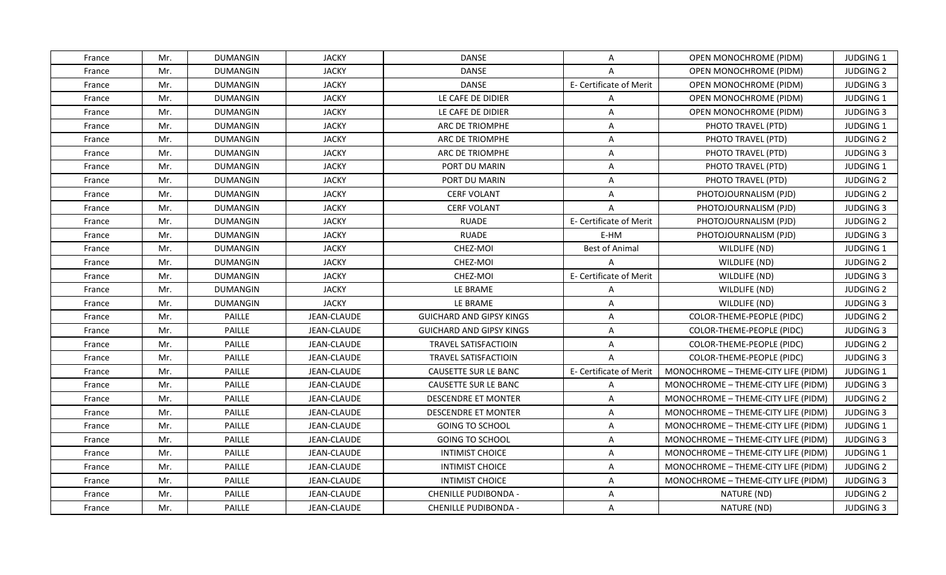| France | Mr. | <b>DUMANGIN</b> | <b>JACKY</b>       | <b>DANSE</b>                    | $\mathsf{A}$            | OPEN MONOCHROME (PIDM)              | <b>JUDGING 1</b> |
|--------|-----|-----------------|--------------------|---------------------------------|-------------------------|-------------------------------------|------------------|
| France | Mr. | <b>DUMANGIN</b> | <b>JACKY</b>       | <b>DANSE</b>                    | A                       | <b>OPEN MONOCHROME (PIDM)</b>       | <b>JUDGING 2</b> |
| France | Mr. | <b>DUMANGIN</b> | <b>JACKY</b>       | <b>DANSE</b>                    | E- Certificate of Merit | OPEN MONOCHROME (PIDM)              | <b>JUDGING 3</b> |
| France | Mr. | <b>DUMANGIN</b> | <b>JACKY</b>       | LE CAFE DE DIDIER               | $\mathsf{A}$            | <b>OPEN MONOCHROME (PIDM)</b>       | <b>JUDGING 1</b> |
| France | Mr. | <b>DUMANGIN</b> | <b>JACKY</b>       | LE CAFE DE DIDIER               | A                       | OPEN MONOCHROME (PIDM)              | <b>JUDGING 3</b> |
| France | Mr. | <b>DUMANGIN</b> | <b>JACKY</b>       | ARC DE TRIOMPHE                 | A                       | PHOTO TRAVEL (PTD)                  | JUDGING 1        |
| France | Mr. | <b>DUMANGIN</b> | <b>JACKY</b>       | ARC DE TRIOMPHE                 | $\mathsf{A}$            | PHOTO TRAVEL (PTD)                  | <b>JUDGING 2</b> |
| France | Mr. | <b>DUMANGIN</b> | <b>JACKY</b>       | <b>ARC DE TRIOMPHE</b>          | $\overline{A}$          | PHOTO TRAVEL (PTD)                  | <b>JUDGING 3</b> |
| France | Mr. | <b>DUMANGIN</b> | <b>JACKY</b>       | PORT DU MARIN                   | $\mathsf{A}$            | PHOTO TRAVEL (PTD)                  | <b>JUDGING 1</b> |
| France | Mr. | <b>DUMANGIN</b> | <b>JACKY</b>       | PORT DU MARIN                   | $\mathsf{A}$            | PHOTO TRAVEL (PTD)                  | <b>JUDGING 2</b> |
| France | Mr. | <b>DUMANGIN</b> | <b>JACKY</b>       | <b>CERF VOLANT</b>              | $\mathsf{A}$            | PHOTOJOURNALISM (PJD)               | <b>JUDGING 2</b> |
| France | Mr. | <b>DUMANGIN</b> | <b>JACKY</b>       | <b>CERF VOLANT</b>              | A                       | PHOTOJOURNALISM (PJD)               | <b>JUDGING 3</b> |
| France | Mr. | <b>DUMANGIN</b> | <b>JACKY</b>       | <b>RUADE</b>                    | E- Certificate of Merit | PHOTOJOURNALISM (PJD)               | <b>JUDGING 2</b> |
| France | Mr. | <b>DUMANGIN</b> | <b>JACKY</b>       | <b>RUADE</b>                    | E-HM                    | PHOTOJOURNALISM (PJD)               | <b>JUDGING 3</b> |
| France | Mr. | <b>DUMANGIN</b> | <b>JACKY</b>       | CHEZ-MOI                        | <b>Best of Animal</b>   | WILDLIFE (ND)                       | JUDGING 1        |
| France | Mr. | DUMANGIN        | <b>JACKY</b>       | CHEZ-MOI                        | $\overline{A}$          | WILDLIFE (ND)                       | <b>JUDGING 2</b> |
| France | Mr. | <b>DUMANGIN</b> | <b>JACKY</b>       | CHEZ-MOI                        | E- Certificate of Merit | WILDLIFE (ND)                       | <b>JUDGING 3</b> |
| France | Mr. | <b>DUMANGIN</b> | <b>JACKY</b>       | LE BRAME                        | $\mathsf{A}$            | WILDLIFE (ND)                       | <b>JUDGING 2</b> |
| France | Mr. | <b>DUMANGIN</b> | <b>JACKY</b>       | LE BRAME                        | A                       | WILDLIFE (ND)                       | <b>JUDGING 3</b> |
| France | Mr. | PAILLE          | <b>JEAN-CLAUDE</b> | <b>GUICHARD AND GIPSY KINGS</b> | A                       | COLOR-THEME-PEOPLE (PIDC)           | <b>JUDGING 2</b> |
| France | Mr. | PAILLE          | JEAN-CLAUDE        | <b>GUICHARD AND GIPSY KINGS</b> | A                       | COLOR-THEME-PEOPLE (PIDC)           | <b>JUDGING 3</b> |
| France | Mr. | PAILLE          | JEAN-CLAUDE        | TRAVEL SATISFACTIOIN            | $\mathsf{A}$            | COLOR-THEME-PEOPLE (PIDC)           | <b>JUDGING 2</b> |
| France | Mr. | PAILLE          | JEAN-CLAUDE        | <b>TRAVEL SATISFACTIOIN</b>     | $\overline{A}$          | COLOR-THEME-PEOPLE (PIDC)           | <b>JUDGING 3</b> |
| France | Mr. | PAILLE          | JEAN-CLAUDE        | CAUSETTE SUR LE BANC            | E- Certificate of Merit | MONOCHROME - THEME-CITY LIFE (PIDM) | <b>JUDGING 1</b> |
| France | Mr. | PAILLE          | JEAN-CLAUDE        | CAUSETTE SUR LE BANC            | $\mathsf{A}$            | MONOCHROME - THEME-CITY LIFE (PIDM) | <b>JUDGING 3</b> |
| France | Mr. | PAILLE          | JEAN-CLAUDE        | DESCENDRE ET MONTER             | A                       | MONOCHROME - THEME-CITY LIFE (PIDM) | <b>JUDGING 2</b> |
| France | Mr. | PAILLE          | JEAN-CLAUDE        | <b>DESCENDRE ET MONTER</b>      | $\mathsf{A}$            | MONOCHROME - THEME-CITY LIFE (PIDM) | <b>JUDGING 3</b> |
| France | Mr. | PAILLE          | JEAN-CLAUDE        | <b>GOING TO SCHOOL</b>          | A                       | MONOCHROME - THEME-CITY LIFE (PIDM) | JUDGING 1        |
| France | Mr. | PAILLE          | JEAN-CLAUDE        | <b>GOING TO SCHOOL</b>          | $\mathsf{A}$            | MONOCHROME - THEME-CITY LIFE (PIDM) | <b>JUDGING 3</b> |
| France | Mr. | PAILLE          | JEAN-CLAUDE        | <b>INTIMIST CHOICE</b>          | A                       | MONOCHROME - THEME-CITY LIFE (PIDM) | JUDGING 1        |
| France | Mr. | PAILLE          | JEAN-CLAUDE        | <b>INTIMIST CHOICE</b>          | $\mathsf{A}$            | MONOCHROME - THEME-CITY LIFE (PIDM) | <b>JUDGING 2</b> |
| France | Mr. | PAILLE          | JEAN-CLAUDE        | <b>INTIMIST CHOICE</b>          | $\mathsf{A}$            | MONOCHROME - THEME-CITY LIFE (PIDM) | <b>JUDGING 3</b> |
| France | Mr. | PAILLE          | JEAN-CLAUDE        | <b>CHENILLE PUDIBONDA -</b>     | $\overline{A}$          | NATURE (ND)                         | <b>JUDGING 2</b> |
| France | Mr. | PAILLE          | JEAN-CLAUDE        | <b>CHENILLE PUDIBONDA -</b>     | $\mathsf{A}$            | NATURE (ND)                         | <b>JUDGING 3</b> |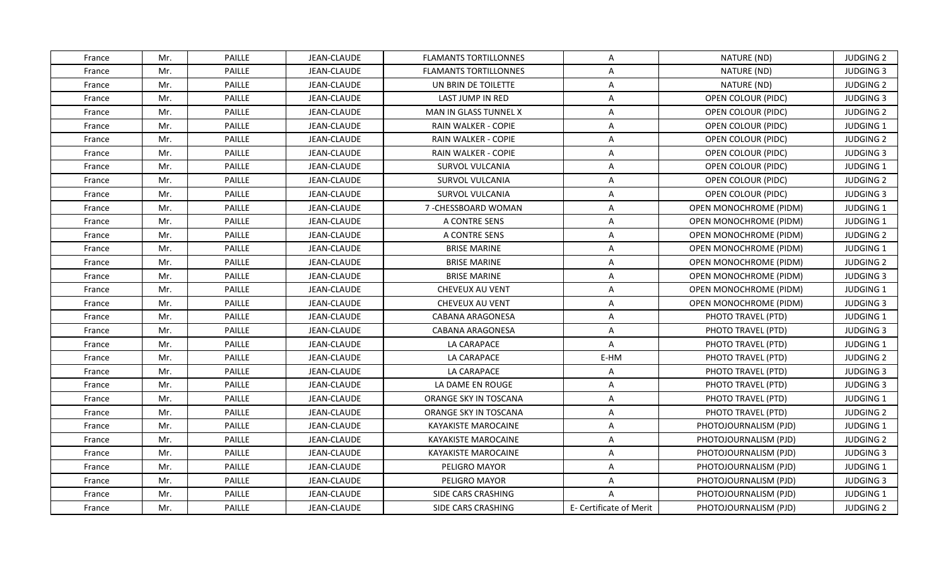| France | Mr. | PAILLE | JEAN-CLAUDE        | <b>FLAMANTS TORTILLONNES</b> | A                       | NATURE (ND)                   | <b>JUDGING 2</b> |
|--------|-----|--------|--------------------|------------------------------|-------------------------|-------------------------------|------------------|
| France | Mr. | PAILLE | <b>JEAN-CLAUDE</b> | <b>FLAMANTS TORTILLONNES</b> | A                       | NATURE (ND)                   | <b>JUDGING 3</b> |
| France | Mr. | PAILLE | JEAN-CLAUDE        | UN BRIN DE TOILETTE          | A                       | NATURE (ND)                   | <b>JUDGING 2</b> |
| France | Mr. | PAILLE | JEAN-CLAUDE        | LAST JUMP IN RED             | $\mathsf{A}$            | OPEN COLOUR (PIDC)            | <b>JUDGING 3</b> |
| France | Mr. | PAILLE | JEAN-CLAUDE        | <b>MAN IN GLASS TUNNEL X</b> | A                       | OPEN COLOUR (PIDC)            | <b>JUDGING 2</b> |
| France | Mr. | PAILLE | JEAN-CLAUDE        | RAIN WALKER - COPIE          | $\mathsf{A}$            | OPEN COLOUR (PIDC)            | JUDGING 1        |
| France | Mr. | PAILLE | <b>JEAN-CLAUDE</b> | RAIN WALKER - COPIE          | $\mathsf{A}$            | OPEN COLOUR (PIDC)            | <b>JUDGING 2</b> |
| France | Mr. | PAILLE | JEAN-CLAUDE        | RAIN WALKER - COPIE          | $\mathsf{A}$            | OPEN COLOUR (PIDC)            | <b>JUDGING 3</b> |
| France | Mr. | PAILLE | <b>JEAN-CLAUDE</b> | SURVOL VULCANIA              | $\mathsf{A}$            | OPEN COLOUR (PIDC)            | <b>JUDGING 1</b> |
| France | Mr. | PAILLE | JEAN-CLAUDE        | SURVOL VULCANIA              | A                       | OPEN COLOUR (PIDC)            | <b>JUDGING 2</b> |
| France | Mr. | PAILLE | JEAN-CLAUDE        | SURVOL VULCANIA              | A                       | OPEN COLOUR (PIDC)            | <b>JUDGING 3</b> |
| France | Mr. | PAILLE | JEAN-CLAUDE        | 7-CHESSBOARD WOMAN           | A                       | <b>OPEN MONOCHROME (PIDM)</b> | JUDGING 1        |
| France | Mr. | PAILLE | JEAN-CLAUDE        | A CONTRE SENS                | $\mathsf{A}$            | OPEN MONOCHROME (PIDM)        | JUDGING 1        |
| France | Mr. | PAILLE | JEAN-CLAUDE        | A CONTRE SENS                | $\mathsf{A}$            | <b>OPEN MONOCHROME (PIDM)</b> | <b>JUDGING 2</b> |
| France | Mr. | PAILLE | JEAN-CLAUDE        | <b>BRISE MARINE</b>          | A                       | <b>OPEN MONOCHROME (PIDM)</b> | JUDGING 1        |
| France | Mr. | PAILLE | JEAN-CLAUDE        | <b>BRISE MARINE</b>          | A                       | OPEN MONOCHROME (PIDM)        | <b>JUDGING 2</b> |
| France | Mr. | PAILLE | JEAN-CLAUDE        | <b>BRISE MARINE</b>          | A                       | <b>OPEN MONOCHROME (PIDM)</b> | <b>JUDGING 3</b> |
| France | Mr. | PAILLE | <b>JEAN-CLAUDE</b> | CHEVEUX AU VENT              | $\mathsf{A}$            | OPEN MONOCHROME (PIDM)        | <b>JUDGING 1</b> |
| France | Mr. | PAILLE | JEAN-CLAUDE        | <b>CHEVEUX AU VENT</b>       | A                       | OPEN MONOCHROME (PIDM)        | <b>JUDGING 3</b> |
| France | Mr. | PAILLE | JEAN-CLAUDE        | <b>CABANA ARAGONESA</b>      | A                       | PHOTO TRAVEL (PTD)            | <b>JUDGING 1</b> |
| France | Mr. | PAILLE | JEAN-CLAUDE        | CABANA ARAGONESA             | $\mathsf{A}$            | PHOTO TRAVEL (PTD)            | <b>JUDGING 3</b> |
| France | Mr. | PAILLE | JEAN-CLAUDE        | LA CARAPACE                  | $\mathsf{A}$            | PHOTO TRAVEL (PTD)            | <b>JUDGING 1</b> |
| France | Mr. | PAILLE | <b>JEAN-CLAUDE</b> | LA CARAPACE                  | E-HM                    | PHOTO TRAVEL (PTD)            | <b>JUDGING 2</b> |
| France | Mr. | PAILLE | JEAN-CLAUDE        | LA CARAPACE                  | A                       | PHOTO TRAVEL (PTD)            | <b>JUDGING 3</b> |
| France | Mr. | PAILLE | <b>JEAN-CLAUDE</b> | LA DAME EN ROUGE             | $\overline{A}$          | PHOTO TRAVEL (PTD)            | <b>JUDGING 3</b> |
| France | Mr. | PAILLE | JEAN-CLAUDE        | ORANGE SKY IN TOSCANA        | A                       | PHOTO TRAVEL (PTD)            | JUDGING 1        |
| France | Mr. | PAILLE | JEAN-CLAUDE        | ORANGE SKY IN TOSCANA        | A                       | PHOTO TRAVEL (PTD)            | <b>JUDGING 2</b> |
| France | Mr. | PAILLE | JEAN-CLAUDE        | KAYAKISTE MAROCAINE          | $\mathsf{A}$            | PHOTOJOURNALISM (PJD)         | JUDGING 1        |
| France | Mr. | PAILLE | JEAN-CLAUDE        | <b>KAYAKISTE MAROCAINE</b>   | A                       | PHOTOJOURNALISM (PJD)         | <b>JUDGING 2</b> |
| France | Mr. | PAILLE | <b>JEAN-CLAUDE</b> | <b>KAYAKISTE MAROCAINE</b>   | $\mathsf{A}$            | PHOTOJOURNALISM (PJD)         | <b>JUDGING 3</b> |
| France | Mr. | PAILLE | JEAN-CLAUDE        | PELIGRO MAYOR                | $\mathsf{A}$            | PHOTOJOURNALISM (PJD)         | <b>JUDGING 1</b> |
| France | Mr. | PAILLE | JEAN-CLAUDE        | PELIGRO MAYOR                | $\mathsf{A}$            | PHOTOJOURNALISM (PJD)         | <b>JUDGING 3</b> |
| France | Mr. | PAILLE | JEAN-CLAUDE        | SIDE CARS CRASHING           | $\overline{A}$          | PHOTOJOURNALISM (PJD)         | JUDGING 1        |
| France | Mr. | PAILLE | JEAN-CLAUDE        | SIDE CARS CRASHING           | E- Certificate of Merit | PHOTOJOURNALISM (PJD)         | <b>JUDGING 2</b> |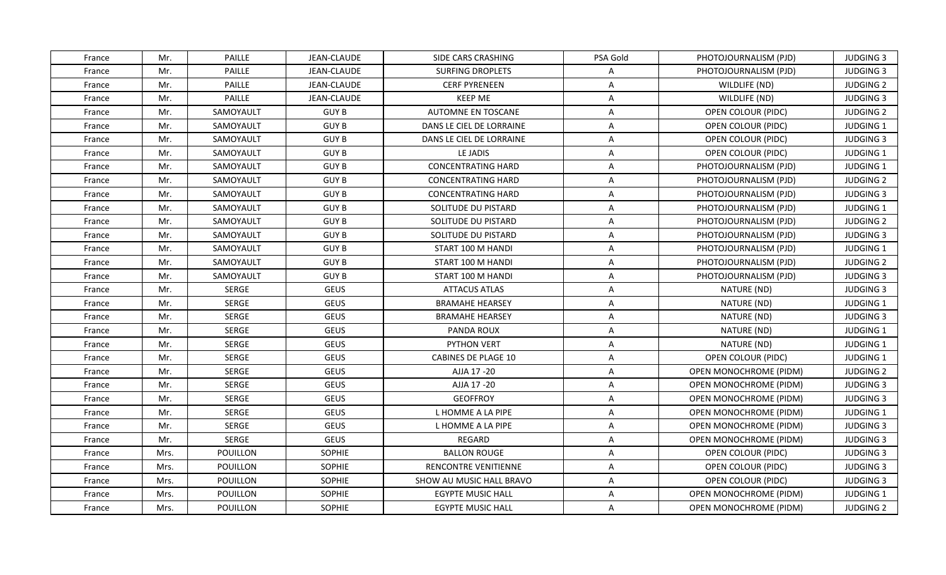| France | Mr.  | PAILLE    | JEAN-CLAUDE        | SIDE CARS CRASHING         | PSA Gold       | PHOTOJOURNALISM (PJD)         | <b>JUDGING 3</b> |
|--------|------|-----------|--------------------|----------------------------|----------------|-------------------------------|------------------|
| France | Mr.  | PAILLE    | <b>JEAN-CLAUDE</b> | <b>SURFING DROPLETS</b>    | A              | PHOTOJOURNALISM (PJD)         | <b>JUDGING 3</b> |
| France | Mr.  | PAILLE    | JEAN-CLAUDE        | <b>CERF PYRENEEN</b>       | $\mathsf{A}$   | WILDLIFE (ND)                 | <b>JUDGING 2</b> |
| France | Mr.  | PAILLE    | JEAN-CLAUDE        | <b>KEEP ME</b>             | $\mathsf{A}$   | WILDLIFE (ND)                 | <b>JUDGING 3</b> |
| France | Mr.  | SAMOYAULT | <b>GUY B</b>       | AUTOMNE EN TOSCANE         | A              | OPEN COLOUR (PIDC)            | <b>JUDGING 2</b> |
| France | Mr.  | SAMOYAULT | <b>GUY B</b>       | DANS LE CIEL DE LORRAINE   | A              | OPEN COLOUR (PIDC)            | <b>JUDGING 1</b> |
| France | Mr.  | SAMOYAULT | <b>GUY B</b>       | DANS LE CIEL DE LORRAINE   | A              | OPEN COLOUR (PIDC)            | <b>JUDGING 3</b> |
| France | Mr.  | SAMOYAULT | <b>GUY B</b>       | LE JADIS                   | $\mathsf{A}$   | OPEN COLOUR (PIDC)            | <b>JUDGING 1</b> |
| France | Mr.  | SAMOYAULT | <b>GUY B</b>       | <b>CONCENTRATING HARD</b>  | A              | PHOTOJOURNALISM (PJD)         | <b>JUDGING 1</b> |
| France | Mr.  | SAMOYAULT | <b>GUY B</b>       | <b>CONCENTRATING HARD</b>  | A              | PHOTOJOURNALISM (PJD)         | <b>JUDGING 2</b> |
| France | Mr.  | SAMOYAULT | <b>GUY B</b>       | <b>CONCENTRATING HARD</b>  | $\mathsf{A}$   | PHOTOJOURNALISM (PJD)         | <b>JUDGING 3</b> |
| France | Mr.  | SAMOYAULT | <b>GUY B</b>       | SOLITUDE DU PISTARD        | A              | PHOTOJOURNALISM (PJD)         | JUDGING 1        |
| France | Mr.  | SAMOYAULT | <b>GUY B</b>       | SOLITUDE DU PISTARD        | $\mathsf{A}$   | PHOTOJOURNALISM (PJD)         | <b>JUDGING 2</b> |
| France | Mr.  | SAMOYAULT | <b>GUY B</b>       | SOLITUDE DU PISTARD        | A              | PHOTOJOURNALISM (PJD)         | <b>JUDGING 3</b> |
| France | Mr.  | SAMOYAULT | <b>GUY B</b>       | START 100 M HANDI          | A              | PHOTOJOURNALISM (PJD)         | JUDGING 1        |
| France | Mr.  | SAMOYAULT | <b>GUY B</b>       | START 100 M HANDI          | A              | PHOTOJOURNALISM (PJD)         | <b>JUDGING 2</b> |
| France | Mr.  | SAMOYAULT | <b>GUY B</b>       | START 100 M HANDI          | $\mathsf{A}$   | PHOTOJOURNALISM (PJD)         | <b>JUDGING 3</b> |
| France | Mr.  | SERGE     | <b>GEUS</b>        | <b>ATTACUS ATLAS</b>       | $\mathsf{A}$   | NATURE (ND)                   | <b>JUDGING 3</b> |
| France | Mr.  | SERGE     | <b>GEUS</b>        | <b>BRAMAHE HEARSEY</b>     | A              | NATURE (ND)                   | <b>JUDGING 1</b> |
| France | Mr.  | SERGE     | <b>GEUS</b>        | <b>BRAMAHE HEARSEY</b>     | $\mathsf{A}$   | NATURE (ND)                   | <b>JUDGING 3</b> |
| France | Mr.  | SERGE     | <b>GEUS</b>        | PANDA ROUX                 | A              | NATURE (ND)                   | <b>JUDGING 1</b> |
| France | Mr.  | SERGE     | <b>GEUS</b>        | PYTHON VERT                | $\overline{A}$ | NATURE (ND)                   | JUDGING 1        |
| France | Mr.  | SERGE     | <b>GEUS</b>        | <b>CABINES DE PLAGE 10</b> | A              | OPEN COLOUR (PIDC)            | JUDGING 1        |
| France | Mr.  | SERGE     | <b>GEUS</b>        | AJJA 17 - 20               | $\mathsf{A}$   | <b>OPEN MONOCHROME (PIDM)</b> | <b>JUDGING 2</b> |
| France | Mr.  | SERGE     | <b>GEUS</b>        | AJJA 17 -20                | A              | OPEN MONOCHROME (PIDM)        | <b>JUDGING 3</b> |
| France | Mr.  | SERGE     | <b>GEUS</b>        | <b>GEOFFROY</b>            | $\overline{A}$ | OPEN MONOCHROME (PIDM)        | <b>JUDGING 3</b> |
| France | Mr.  | SERGE     | <b>GEUS</b>        | L HOMME A LA PIPE          | $\mathsf{A}$   | <b>OPEN MONOCHROME (PIDM)</b> | JUDGING 1        |
| France | Mr.  | SERGE     | <b>GEUS</b>        | L HOMME A LA PIPE          | $\mathsf{A}$   | <b>OPEN MONOCHROME (PIDM)</b> | <b>JUDGING 3</b> |
| France | Mr.  | SERGE     | <b>GEUS</b>        | <b>REGARD</b>              | A              | OPEN MONOCHROME (PIDM)        | <b>JUDGING 3</b> |
| France | Mrs. | POUILLON  | SOPHIE             | <b>BALLON ROUGE</b>        | $\mathsf{A}$   | OPEN COLOUR (PIDC)            | <b>JUDGING 3</b> |
| France | Mrs. | POUILLON  | SOPHIE             | RENCONTRE VENITIENNE       | $\mathsf{A}$   | OPEN COLOUR (PIDC)            | <b>JUDGING 3</b> |
| France | Mrs. | POUILLON  | SOPHIE             | SHOW AU MUSIC HALL BRAVO   | A              | OPEN COLOUR (PIDC)            | <b>JUDGING 3</b> |
| France | Mrs. | POUILLON  | SOPHIE             | <b>EGYPTE MUSIC HALL</b>   | $\overline{A}$ | OPEN MONOCHROME (PIDM)        | JUDGING 1        |
| France | Mrs. | POUILLON  | <b>SOPHIE</b>      | <b>EGYPTE MUSIC HALL</b>   | $\mathsf{A}$   | OPEN MONOCHROME (PIDM)        | <b>JUDGING 2</b> |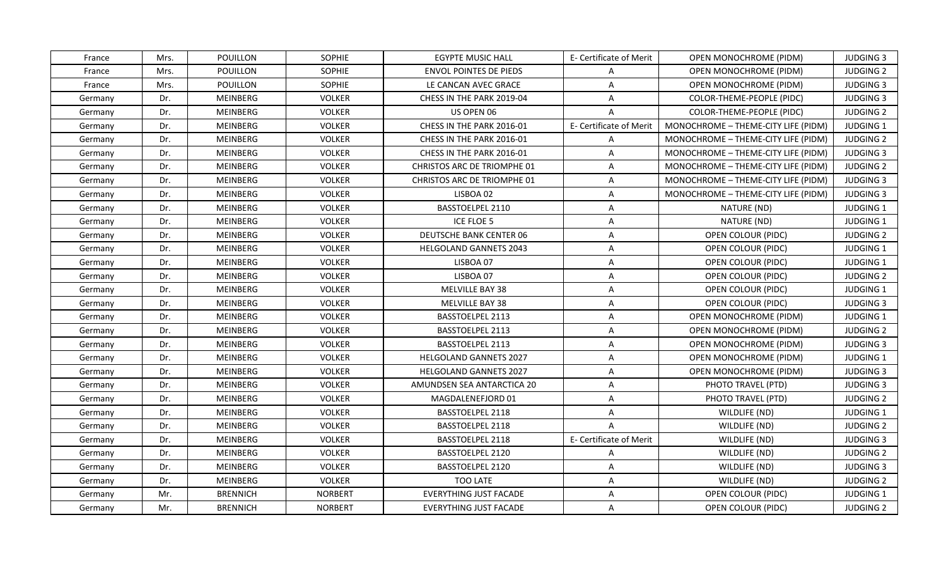| France  | Mrs. | POUILLON        | <b>SOPHIE</b>  | EGYPTE MUSIC HALL                  | E- Certificate of Merit | OPEN MONOCHROME (PIDM)              | <b>JUDGING 3</b> |
|---------|------|-----------------|----------------|------------------------------------|-------------------------|-------------------------------------|------------------|
| France  | Mrs. | POUILLON        | SOPHIE         | <b>ENVOL POINTES DE PIEDS</b>      | A                       | <b>OPEN MONOCHROME (PIDM)</b>       | <b>JUDGING 2</b> |
| France  | Mrs. | POUILLON        | SOPHIE         | LE CANCAN AVEC GRACE               | $\mathsf{A}$            | OPEN MONOCHROME (PIDM)              | <b>JUDGING 3</b> |
| Germany | Dr.  | MEINBERG        | <b>VOLKER</b>  | CHESS IN THE PARK 2019-04          | $\mathsf{A}$            | COLOR-THEME-PEOPLE (PIDC)           | <b>JUDGING 3</b> |
| Germany | Dr.  | MEINBERG        | <b>VOLKER</b>  | US OPEN 06                         | A                       | COLOR-THEME-PEOPLE (PIDC)           | <b>JUDGING 2</b> |
| Germany | Dr.  | MEINBERG        | <b>VOLKER</b>  | CHESS IN THE PARK 2016-01          | E- Certificate of Merit | MONOCHROME - THEME-CITY LIFE (PIDM) | JUDGING 1        |
| Germany | Dr.  | MEINBERG        | <b>VOLKER</b>  | CHESS IN THE PARK 2016-01          | $\mathsf{A}$            | MONOCHROME - THEME-CITY LIFE (PIDM) | <b>JUDGING 2</b> |
| Germany | Dr.  | <b>MEINBERG</b> | <b>VOLKER</b>  | CHESS IN THE PARK 2016-01          | $\mathsf{A}$            | MONOCHROME - THEME-CITY LIFE (PIDM) | <b>JUDGING 3</b> |
| Germany | Dr.  | MEINBERG        | <b>VOLKER</b>  | <b>CHRISTOS ARC DE TRIOMPHE 01</b> | $\mathsf{A}$            | MONOCHROME - THEME-CITY LIFE (PIDM) | <b>JUDGING 2</b> |
| Germany | Dr.  | MEINBERG        | <b>VOLKER</b>  | <b>CHRISTOS ARC DE TRIOMPHE 01</b> | A                       | MONOCHROME - THEME-CITY LIFE (PIDM) | <b>JUDGING 3</b> |
| Germany | Dr.  | MEINBERG        | <b>VOLKER</b>  | LISBOA 02                          | $\mathsf{A}$            | MONOCHROME - THEME-CITY LIFE (PIDM) | <b>JUDGING 3</b> |
| Germany | Dr.  | MEINBERG        | <b>VOLKER</b>  | BASSTOELPEL 2110                   | A                       | NATURE (ND)                         | JUDGING 1        |
| Germany | Dr.  | MEINBERG        | <b>VOLKER</b>  | ICE FLOE 5                         | $\mathsf{A}$            | NATURE (ND)                         | JUDGING 1        |
| Germany | Dr.  | MEINBERG        | <b>VOLKER</b>  | <b>DEUTSCHE BANK CENTER 06</b>     | A                       | OPEN COLOUR (PIDC)                  | <b>JUDGING 2</b> |
| Germany | Dr.  | MEINBERG        | <b>VOLKER</b>  | <b>HELGOLAND GANNETS 2043</b>      | $\mathsf{A}$            | OPEN COLOUR (PIDC)                  | JUDGING 1        |
| Germany | Dr.  | MEINBERG        | <b>VOLKER</b>  | LISBOA 07                          | A                       | OPEN COLOUR (PIDC)                  | <b>JUDGING 1</b> |
| Germany | Dr.  | MEINBERG        | <b>VOLKER</b>  | LISBOA 07                          | $\mathsf{A}$            | OPEN COLOUR (PIDC)                  | <b>JUDGING 2</b> |
| Germany | Dr.  | MEINBERG        | <b>VOLKER</b>  | MELVILLE BAY 38                    | $\mathsf{A}$            | OPEN COLOUR (PIDC)                  | JUDGING 1        |
| Germany | Dr.  | MEINBERG        | <b>VOLKER</b>  | MELVILLE BAY 38                    | $\mathsf{A}$            | OPEN COLOUR (PIDC)                  | <b>JUDGING 3</b> |
| Germany | Dr.  | MEINBERG        | <b>VOLKER</b>  | BASSTOELPEL 2113                   | $\overline{A}$          | OPEN MONOCHROME (PIDM)              | JUDGING 1        |
| Germany | Dr.  | MEINBERG        | <b>VOLKER</b>  | BASSTOELPEL 2113                   | A                       | OPEN MONOCHROME (PIDM)              | <b>JUDGING 2</b> |
| Germany | Dr.  | MEINBERG        | <b>VOLKER</b>  | BASSTOELPEL 2113                   | $\overline{A}$          | <b>OPEN MONOCHROME (PIDM)</b>       | <b>JUDGING 3</b> |
| Germany | Dr.  | MEINBERG        | <b>VOLKER</b>  | HELGOLAND GANNETS 2027             | $\mathsf{A}$            | OPEN MONOCHROME (PIDM)              | JUDGING 1        |
| Germany | Dr.  | MEINBERG        | <b>VOLKER</b>  | <b>HELGOLAND GANNETS 2027</b>      | $\mathsf{A}$            | OPEN MONOCHROME (PIDM)              | <b>JUDGING 3</b> |
| Germany | Dr.  | MEINBERG        | <b>VOLKER</b>  | AMUNDSEN SEA ANTARCTICA 20         | A                       | PHOTO TRAVEL (PTD)                  | <b>JUDGING 3</b> |
| Germany | Dr.  | MEINBERG        | <b>VOLKER</b>  | MAGDALENEFJORD 01                  | $\overline{A}$          | PHOTO TRAVEL (PTD)                  | <b>JUDGING 2</b> |
| Germany | Dr.  | MEINBERG        | <b>VOLKER</b>  | BASSTOELPEL 2118                   | $\mathsf{A}$            | WILDLIFE (ND)                       | JUDGING 1        |
| Germany | Dr.  | MEINBERG        | <b>VOLKER</b>  | BASSTOELPEL 2118                   | $\mathsf{A}$            | WILDLIFE (ND)                       | <b>JUDGING 2</b> |
| Germany | Dr.  | MEINBERG        | <b>VOLKER</b>  | BASSTOELPEL 2118                   | E- Certificate of Merit | WILDLIFE (ND)                       | <b>JUDGING 3</b> |
| Germany | Dr.  | MEINBERG        | <b>VOLKER</b>  | BASSTOELPEL 2120                   | $\mathsf{A}$            | WILDLIFE (ND)                       | <b>JUDGING 2</b> |
| Germany | Dr.  | MEINBERG        | <b>VOLKER</b>  | BASSTOELPEL 2120                   | $\mathsf{A}$            | WILDLIFE (ND)                       | <b>JUDGING 3</b> |
| Germany | Dr.  | MEINBERG        | <b>VOLKER</b>  | <b>TOO LATE</b>                    | A                       | WILDLIFE (ND)                       | <b>JUDGING 2</b> |
| Germany | Mr.  | <b>BRENNICH</b> | <b>NORBERT</b> | <b>EVERYTHING JUST FACADE</b>      | $\overline{A}$          | OPEN COLOUR (PIDC)                  | JUDGING 1        |
| Germany | Mr.  | <b>BRENNICH</b> | <b>NORBERT</b> | <b>EVERYTHING JUST FACADE</b>      | A                       | OPEN COLOUR (PIDC)                  | <b>JUDGING 2</b> |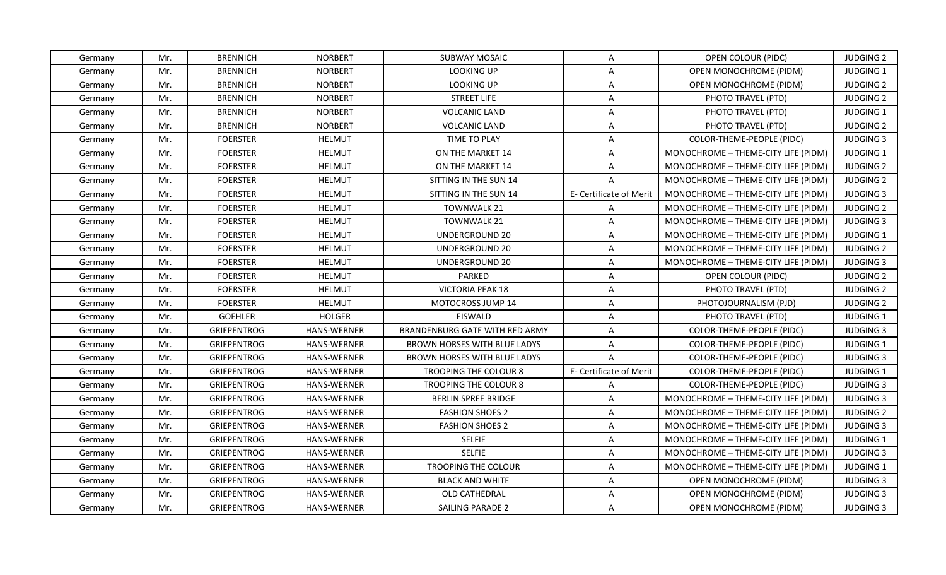| Germany | Mr. | <b>BRENNICH</b>    | <b>NORBERT</b>     | <b>SUBWAY MOSAIC</b>                | A                       | OPEN COLOUR (PIDC)                  | <b>JUDGING 2</b> |
|---------|-----|--------------------|--------------------|-------------------------------------|-------------------------|-------------------------------------|------------------|
| Germany | Mr. | <b>BRENNICH</b>    | <b>NORBERT</b>     | <b>LOOKING UP</b>                   | A                       | OPEN MONOCHROME (PIDM)              | JUDGING 1        |
| Germany | Mr. | <b>BRENNICH</b>    | <b>NORBERT</b>     | LOOKING UP                          | $\mathsf{A}$            | OPEN MONOCHROME (PIDM)              | <b>JUDGING 2</b> |
| Germany | Mr. | <b>BRENNICH</b>    | <b>NORBERT</b>     | <b>STREET LIFE</b>                  | $\mathsf{A}$            | PHOTO TRAVEL (PTD)                  | <b>JUDGING 2</b> |
| Germany | Mr. | <b>BRENNICH</b>    | <b>NORBERT</b>     | <b>VOLCANIC LAND</b>                | A                       | PHOTO TRAVEL (PTD)                  | JUDGING 1        |
| Germany | Mr. | <b>BRENNICH</b>    | <b>NORBERT</b>     | <b>VOLCANIC LAND</b>                | $\mathsf{A}$            | PHOTO TRAVEL (PTD)                  | <b>JUDGING 2</b> |
| Germany | Mr. | <b>FOERSTER</b>    | <b>HELMUT</b>      | <b>TIME TO PLAY</b>                 | $\mathsf{A}$            | COLOR-THEME-PEOPLE (PIDC)           | <b>JUDGING 3</b> |
| Germany | Mr. | <b>FOERSTER</b>    | <b>HELMUT</b>      | ON THE MARKET 14                    | $\mathsf{A}$            | MONOCHROME - THEME-CITY LIFE (PIDM) | JUDGING 1        |
| Germany | Mr. | <b>FOERSTER</b>    | <b>HELMUT</b>      | ON THE MARKET 14                    | $\overline{A}$          | MONOCHROME - THEME-CITY LIFE (PIDM) | <b>JUDGING 2</b> |
| Germany | Mr. | <b>FOERSTER</b>    | <b>HELMUT</b>      | SITTING IN THE SUN 14               | $\mathsf{A}$            | MONOCHROME - THEME-CITY LIFE (PIDM) | <b>JUDGING 2</b> |
| Germany | Mr. | <b>FOERSTER</b>    | <b>HELMUT</b>      | SITTING IN THE SUN 14               | E- Certificate of Merit | MONOCHROME - THEME-CITY LIFE (PIDM) | <b>JUDGING 3</b> |
| Germany | Mr. | <b>FOERSTER</b>    | <b>HELMUT</b>      | <b>TOWNWALK 21</b>                  | $\mathsf{A}$            | MONOCHROME - THEME-CITY LIFE (PIDM) | <b>JUDGING 2</b> |
| Germany | Mr. | <b>FOERSTER</b>    | <b>HELMUT</b>      | TOWNWALK 21                         | $\mathsf{A}$            | MONOCHROME - THEME-CITY LIFE (PIDM) | <b>JUDGING 3</b> |
| Germany | Mr. | <b>FOERSTER</b>    | <b>HELMUT</b>      | <b>UNDERGROUND 20</b>               | $\mathsf{A}$            | MONOCHROME - THEME-CITY LIFE (PIDM) | JUDGING 1        |
| Germany | Mr. | <b>FOERSTER</b>    | <b>HELMUT</b>      | UNDERGROUND 20                      | A                       | MONOCHROME - THEME-CITY LIFE (PIDM) | <b>JUDGING 2</b> |
| Germany | Mr. | <b>FOERSTER</b>    | <b>HELMUT</b>      | UNDERGROUND 20                      | A                       | MONOCHROME - THEME-CITY LIFE (PIDM) | <b>JUDGING 3</b> |
| Germany | Mr. | <b>FOERSTER</b>    | <b>HELMUT</b>      | PARKED                              | A                       | OPEN COLOUR (PIDC)                  | <b>JUDGING 2</b> |
| Germany | Mr. | <b>FOERSTER</b>    | <b>HELMUT</b>      | <b>VICTORIA PEAK 18</b>             | $\mathsf{A}$            | PHOTO TRAVEL (PTD)                  | <b>JUDGING 2</b> |
| Germany | Mr. | <b>FOERSTER</b>    | <b>HELMUT</b>      | MOTOCROSS JUMP 14                   | $\mathsf{A}$            | PHOTOJOURNALISM (PJD)               | <b>JUDGING 2</b> |
| Germany | Mr. | <b>GOEHLER</b>     | <b>HOLGER</b>      | EISWALD                             | A                       | PHOTO TRAVEL (PTD)                  | <b>JUDGING 1</b> |
| Germany | Mr. | <b>GRIEPENTROG</b> | HANS-WERNER        | BRANDENBURG GATE WITH RED ARMY      | $\mathsf{A}$            | <b>COLOR-THEME-PEOPLE (PIDC)</b>    | <b>JUDGING 3</b> |
| Germany | Mr. | <b>GRIEPENTROG</b> | <b>HANS-WERNER</b> | <b>BROWN HORSES WITH BLUE LADYS</b> | A                       | COLOR-THEME-PEOPLE (PIDC)           | JUDGING 1        |
| Germany | Mr. | <b>GRIEPENTROG</b> | <b>HANS-WERNER</b> | <b>BROWN HORSES WITH BLUE LADYS</b> | $\mathsf{A}$            | COLOR-THEME-PEOPLE (PIDC)           | <b>JUDGING 3</b> |
| Germany | Mr. | <b>GRIEPENTROG</b> | <b>HANS-WERNER</b> | <b>TROOPING THE COLOUR 8</b>        | E- Certificate of Merit | COLOR-THEME-PEOPLE (PIDC)           | JUDGING 1        |
| Germany | Mr. | GRIEPENTROG        | <b>HANS-WERNER</b> | TROOPING THE COLOUR 8               | A                       | COLOR-THEME-PEOPLE (PIDC)           | <b>JUDGING 3</b> |
| Germany | Mr. | <b>GRIEPENTROG</b> | <b>HANS-WERNER</b> | BERLIN SPREE BRIDGE                 | A                       | MONOCHROME - THEME-CITY LIFE (PIDM) | <b>JUDGING 3</b> |
| Germany | Mr. | <b>GRIEPENTROG</b> | <b>HANS-WERNER</b> | <b>FASHION SHOES 2</b>              | $\mathsf{A}$            | MONOCHROME - THEME-CITY LIFE (PIDM) | <b>JUDGING 2</b> |
| Germany | Mr. | <b>GRIEPENTROG</b> | <b>HANS-WERNER</b> | <b>FASHION SHOES 2</b>              | $\mathsf{A}$            | MONOCHROME - THEME-CITY LIFE (PIDM) | <b>JUDGING 3</b> |
| Germany | Mr. | <b>GRIEPENTROG</b> | <b>HANS-WERNER</b> | <b>SELFIE</b>                       | $\mathsf{A}$            | MONOCHROME - THEME-CITY LIFE (PIDM) | JUDGING 1        |
| Germany | Mr. | GRIEPENTROG        | <b>HANS-WERNER</b> | <b>SELFIE</b>                       | $\mathsf{A}$            | MONOCHROME - THEME-CITY LIFE (PIDM) | <b>JUDGING 3</b> |
| Germany | Mr. | <b>GRIEPENTROG</b> | HANS-WERNER        | TROOPING THE COLOUR                 | $\mathsf{A}$            | MONOCHROME - THEME-CITY LIFE (PIDM) | <b>JUDGING 1</b> |
| Germany | Mr. | GRIEPENTROG        | <b>HANS-WERNER</b> | <b>BLACK AND WHITE</b>              | $\mathsf{A}$            | OPEN MONOCHROME (PIDM)              | <b>JUDGING 3</b> |
| Germany | Mr. | <b>GRIEPENTROG</b> | HANS-WERNER        | OLD CATHEDRAL                       | A                       | OPEN MONOCHROME (PIDM)              | <b>JUDGING 3</b> |
| Germany | Mr. | <b>GRIEPENTROG</b> | <b>HANS-WERNER</b> | SAILING PARADE 2                    | $\mathsf{A}$            | OPEN MONOCHROME (PIDM)              | <b>JUDGING 3</b> |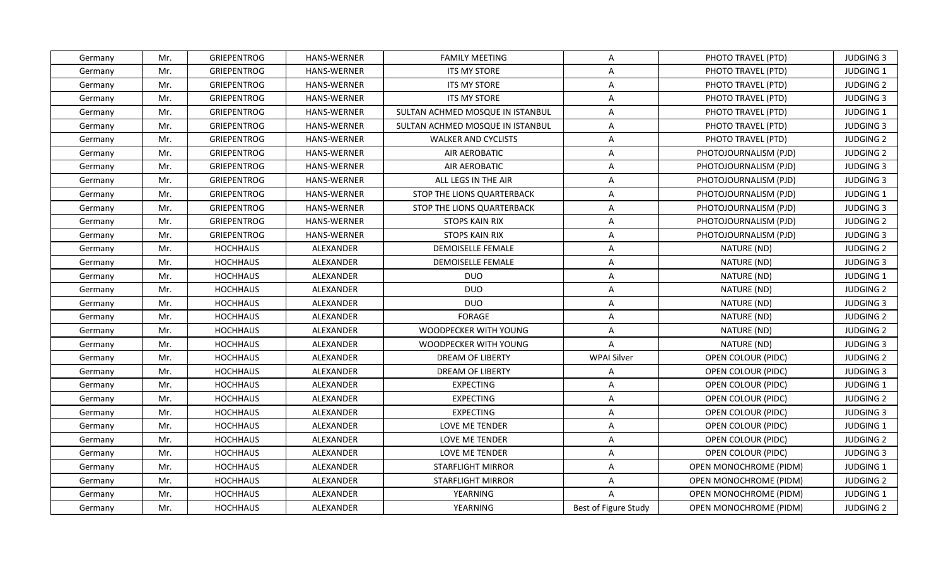| Germany | Mr. | <b>GRIEPENTROG</b> | <b>HANS-WERNER</b> | <b>FAMILY MEETING</b>            | A                    | PHOTO TRAVEL (PTD)            | <b>JUDGING 3</b> |
|---------|-----|--------------------|--------------------|----------------------------------|----------------------|-------------------------------|------------------|
| Germany | Mr. | GRIEPENTROG        | <b>HANS-WERNER</b> | <b>ITS MY STORE</b>              | A                    | PHOTO TRAVEL (PTD)            | JUDGING 1        |
| Germany | Mr. | <b>GRIEPENTROG</b> | <b>HANS-WERNER</b> | <b>ITS MY STORE</b>              | $\mathsf{A}$         | PHOTO TRAVEL (PTD)            | <b>JUDGING 2</b> |
| Germany | Mr. | GRIEPENTROG        | <b>HANS-WERNER</b> | <b>ITS MY STORE</b>              | A                    | PHOTO TRAVEL (PTD)            | <b>JUDGING 3</b> |
| Germany | Mr. | <b>GRIEPENTROG</b> | <b>HANS-WERNER</b> | SULTAN ACHMED MOSQUE IN ISTANBUL | $\overline{A}$       | PHOTO TRAVEL (PTD)            | JUDGING 1        |
| Germany | Mr. | <b>GRIEPENTROG</b> | HANS-WERNER        | SULTAN ACHMED MOSQUE IN ISTANBUL | $\mathsf{A}$         | PHOTO TRAVEL (PTD)            | <b>JUDGING 3</b> |
| Germany | Mr. | GRIEPENTROG        | <b>HANS-WERNER</b> | <b>WALKER AND CYCLISTS</b>       | $\mathsf{A}$         | PHOTO TRAVEL (PTD)            | <b>JUDGING 2</b> |
| Germany | Mr. | <b>GRIEPENTROG</b> | <b>HANS-WERNER</b> | AIR AEROBATIC                    | $\mathsf{A}$         | PHOTOJOURNALISM (PJD)         | <b>JUDGING 2</b> |
| Germany | Mr. | <b>GRIEPENTROG</b> | <b>HANS-WERNER</b> | AIR AEROBATIC                    | $\mathsf{A}$         | PHOTOJOURNALISM (PJD)         | <b>JUDGING 3</b> |
| Germany | Mr. | <b>GRIEPENTROG</b> | HANS-WERNER        | ALL LEGS IN THE AIR              | $\overline{A}$       | PHOTOJOURNALISM (PJD)         | <b>JUDGING 3</b> |
| Germany | Mr. | GRIEPENTROG        | HANS-WERNER        | STOP THE LIONS QUARTERBACK       | A                    | PHOTOJOURNALISM (PJD)         | JUDGING 1        |
| Germany | Mr. | GRIEPENTROG        | <b>HANS-WERNER</b> | STOP THE LIONS QUARTERBACK       | A                    | PHOTOJOURNALISM (PJD)         | <b>JUDGING 3</b> |
| Germany | Mr. | <b>GRIEPENTROG</b> | <b>HANS-WERNER</b> | <b>STOPS KAIN RIX</b>            | $\mathsf{A}$         | PHOTOJOURNALISM (PJD)         | <b>JUDGING 2</b> |
| Germany | Mr. | <b>GRIEPENTROG</b> | HANS-WERNER        | STOPS KAIN RIX                   | $\mathsf{A}$         | PHOTOJOURNALISM (PJD)         | <b>JUDGING 3</b> |
| Germany | Mr. | <b>HOCHHAUS</b>    | <b>ALEXANDER</b>   | <b>DEMOISELLE FEMALE</b>         | A                    | NATURE (ND)                   | <b>JUDGING 2</b> |
| Germany | Mr. | <b>HOCHHAUS</b>    | ALEXANDER          | <b>DEMOISELLE FEMALE</b>         | A                    | NATURE (ND)                   | <b>JUDGING 3</b> |
| Germany | Mr. | <b>HOCHHAUS</b>    | ALEXANDER          | <b>DUO</b>                       | $\mathsf{A}$         | NATURE (ND)                   | JUDGING 1        |
| Germany | Mr. | <b>HOCHHAUS</b>    | ALEXANDER          | <b>DUO</b>                       | $\mathsf{A}$         | NATURE (ND)                   | <b>JUDGING 2</b> |
| Germany | Mr. | <b>HOCHHAUS</b>    | ALEXANDER          | <b>DUO</b>                       | A                    | NATURE (ND)                   | <b>JUDGING 3</b> |
| Germany | Mr. | <b>HOCHHAUS</b>    | ALEXANDER          | <b>FORAGE</b>                    | $\mathsf{A}$         | NATURE (ND)                   | <b>JUDGING 2</b> |
| Germany | Mr. | <b>HOCHHAUS</b>    | ALEXANDER          | WOODPECKER WITH YOUNG            | A                    | NATURE (ND)                   | <b>JUDGING 2</b> |
| Germany | Mr. | <b>HOCHHAUS</b>    | ALEXANDER          | WOODPECKER WITH YOUNG            | $\mathsf{A}$         | NATURE (ND)                   | <b>JUDGING 3</b> |
| Germany | Mr. | <b>HOCHHAUS</b>    | ALEXANDER          | <b>DREAM OF LIBERTY</b>          | <b>WPAI Silver</b>   | OPEN COLOUR (PIDC)            | <b>JUDGING 2</b> |
| Germany | Mr. | <b>HOCHHAUS</b>    | ALEXANDER          | DREAM OF LIBERTY                 | A                    | OPEN COLOUR (PIDC)            | <b>JUDGING 3</b> |
| Germany | Mr. | <b>HOCHHAUS</b>    | ALEXANDER          | <b>EXPECTING</b>                 | $\mathsf{A}$         | OPEN COLOUR (PIDC)            | JUDGING 1        |
| Germany | Mr. | <b>HOCHHAUS</b>    | ALEXANDER          | <b>EXPECTING</b>                 | $\mathsf{A}$         | OPEN COLOUR (PIDC)            | <b>JUDGING 2</b> |
| Germany | Mr. | <b>HOCHHAUS</b>    | ALEXANDER          | <b>EXPECTING</b>                 | A                    | OPEN COLOUR (PIDC)            | <b>JUDGING 3</b> |
| Germany | Mr. | <b>HOCHHAUS</b>    | ALEXANDER          | LOVE ME TENDER                   | $\overline{A}$       | OPEN COLOUR (PIDC)            | JUDGING 1        |
| Germany | Mr. | <b>HOCHHAUS</b>    | ALEXANDER          | LOVE ME TENDER                   | A                    | OPEN COLOUR (PIDC)            | <b>JUDGING 2</b> |
| Germany | Mr. | <b>HOCHHAUS</b>    | ALEXANDER          | LOVE ME TENDER                   | $\mathsf{A}$         | OPEN COLOUR (PIDC)            | <b>JUDGING 3</b> |
| Germany | Mr. | <b>HOCHHAUS</b>    | ALEXANDER          | <b>STARFLIGHT MIRROR</b>         | $\mathsf{A}$         | OPEN MONOCHROME (PIDM)        | JUDGING 1        |
| Germany | Mr. | <b>HOCHHAUS</b>    | ALEXANDER          | <b>STARFLIGHT MIRROR</b>         | A                    | OPEN MONOCHROME (PIDM)        | <b>JUDGING 2</b> |
| Germany | Mr. | <b>HOCHHAUS</b>    | ALEXANDER          | YEARNING                         | $\overline{A}$       | <b>OPEN MONOCHROME (PIDM)</b> | JUDGING 1        |
| Germany | Mr. | <b>HOCHHAUS</b>    | ALEXANDER          | YEARNING                         | Best of Figure Study | OPEN MONOCHROME (PIDM)        | <b>JUDGING 2</b> |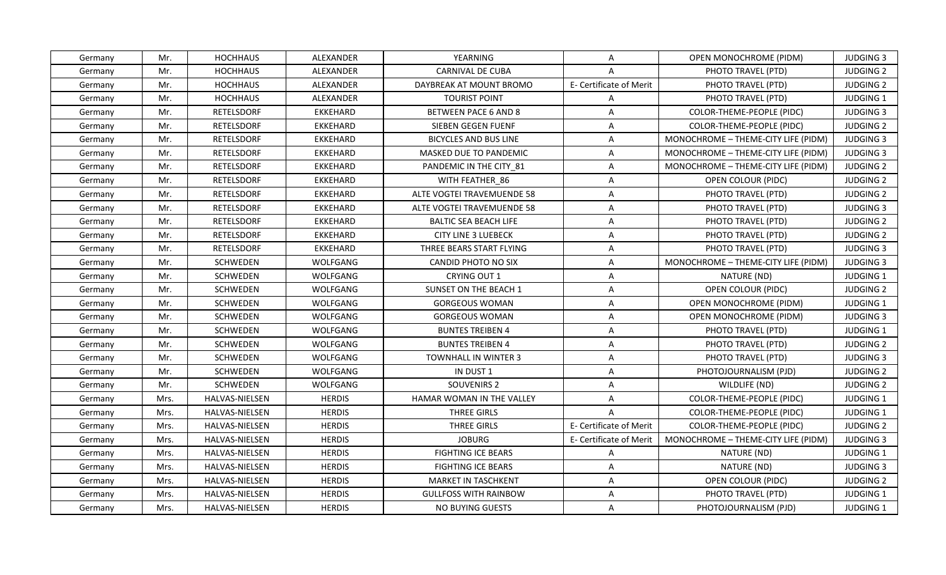| Germany | Mr.  | <b>HOCHHAUS</b>   | ALEXANDER        | YEARNING                     | $\mathsf{A}$            | OPEN MONOCHROME (PIDM)              | <b>JUDGING 3</b> |
|---------|------|-------------------|------------------|------------------------------|-------------------------|-------------------------------------|------------------|
| Germany | Mr.  | <b>HOCHHAUS</b>   | ALEXANDER        | <b>CARNIVAL DE CUBA</b>      | $\overline{A}$          | PHOTO TRAVEL (PTD)                  | <b>JUDGING 2</b> |
| Germany | Mr.  | <b>HOCHHAUS</b>   | ALEXANDER        | DAYBREAK AT MOUNT BROMO      | E- Certificate of Merit | PHOTO TRAVEL (PTD)                  | <b>JUDGING 2</b> |
| Germany | Mr.  | <b>HOCHHAUS</b>   | <b>ALEXANDER</b> | <b>TOURIST POINT</b>         | A                       | PHOTO TRAVEL (PTD)                  | JUDGING 1        |
| Germany | Mr.  | <b>RETELSDORF</b> | <b>EKKEHARD</b>  | BETWEEN PACE 6 AND 8         | A                       | COLOR-THEME-PEOPLE (PIDC)           | <b>JUDGING 3</b> |
| Germany | Mr.  | <b>RETELSDORF</b> | <b>EKKEHARD</b>  | SIEBEN GEGEN FUENF           | A                       | COLOR-THEME-PEOPLE (PIDC)           | <b>JUDGING 2</b> |
| Germany | Mr.  | <b>RETELSDORF</b> | <b>EKKEHARD</b>  | BICYCLES AND BUS LINE        | A                       | MONOCHROME - THEME-CITY LIFE (PIDM) | <b>JUDGING 3</b> |
| Germany | Mr.  | <b>RETELSDORF</b> | <b>EKKEHARD</b>  | MASKED DUE TO PANDEMIC       | $\mathsf{A}$            | MONOCHROME - THEME-CITY LIFE (PIDM) | <b>JUDGING 3</b> |
| Germany | Mr.  | <b>RETELSDORF</b> | EKKEHARD         | PANDEMIC IN THE CITY 81      | $\mathsf{A}$            | MONOCHROME - THEME-CITY LIFE (PIDM) | <b>JUDGING 2</b> |
| Germany | Mr.  | RETELSDORF        | <b>EKKEHARD</b>  | WITH FEATHER 86              | $\overline{A}$          | OPEN COLOUR (PIDC)                  | <b>JUDGING 2</b> |
| Germany | Mr.  | RETELSDORF        | <b>EKKEHARD</b>  | ALTE VOGTEI TRAVEMUENDE 58   | $\mathsf{A}$            | PHOTO TRAVEL (PTD)                  | <b>JUDGING 2</b> |
| Germany | Mr.  | <b>RETELSDORF</b> | <b>EKKEHARD</b>  | ALTE VOGTEI TRAVEMUENDE 58   | $\mathsf{A}$            | PHOTO TRAVEL (PTD)                  | <b>JUDGING 3</b> |
| Germany | Mr.  | <b>RETELSDORF</b> | <b>EKKEHARD</b>  | <b>BALTIC SEA BEACH LIFE</b> | $\mathsf{A}$            | PHOTO TRAVEL (PTD)                  | <b>JUDGING 2</b> |
| Germany | Mr.  | <b>RETELSDORF</b> | EKKEHARD         | <b>CITY LINE 3 LUEBECK</b>   | A                       | PHOTO TRAVEL (PTD)                  | <b>JUDGING 2</b> |
| Germany | Mr.  | <b>RETELSDORF</b> | <b>EKKEHARD</b>  | THREE BEARS START FLYING     | A                       | PHOTO TRAVEL (PTD)                  | <b>JUDGING 3</b> |
| Germany | Mr.  | SCHWEDEN          | WOLFGANG         | CANDID PHOTO NO SIX          | A                       | MONOCHROME - THEME-CITY LIFE (PIDM) | <b>JUDGING 3</b> |
| Germany | Mr.  | <b>SCHWEDEN</b>   | WOLFGANG         | CRYING OUT 1                 | $\overline{A}$          | NATURE (ND)                         | JUDGING 1        |
| Germany | Mr.  | SCHWEDEN          | WOLFGANG         | SUNSET ON THE BEACH 1        | $\mathsf{A}$            | OPEN COLOUR (PIDC)                  | <b>JUDGING 2</b> |
| Germany | Mr.  | SCHWEDEN          | WOLFGANG         | <b>GORGEOUS WOMAN</b>        | A                       | <b>OPEN MONOCHROME (PIDM)</b>       | <b>JUDGING 1</b> |
| Germany | Mr.  | SCHWEDEN          | WOLFGANG         | <b>GORGEOUS WOMAN</b>        | $\mathsf{A}$            | <b>OPEN MONOCHROME (PIDM)</b>       | <b>JUDGING 3</b> |
| Germany | Mr.  | SCHWEDEN          | WOLFGANG         | <b>BUNTES TREIBEN 4</b>      | A                       | PHOTO TRAVEL (PTD)                  | JUDGING 1        |
| Germany | Mr.  | SCHWEDEN          | WOLFGANG         | <b>BUNTES TREIBEN 4</b>      | $\overline{A}$          | PHOTO TRAVEL (PTD)                  | <b>JUDGING 2</b> |
| Germany | Mr.  | SCHWEDEN          | WOLFGANG         | <b>TOWNHALL IN WINTER 3</b>  | $\mathsf{A}$            | PHOTO TRAVEL (PTD)                  | <b>JUDGING 3</b> |
| Germany | Mr.  | SCHWEDEN          | WOLFGANG         | IN DUST 1                    | A                       | PHOTOJOURNALISM (PJD)               | <b>JUDGING 2</b> |
| Germany | Mr.  | <b>SCHWEDEN</b>   | WOLFGANG         | SOUVENIRS 2                  | A                       | WILDLIFE (ND)                       | <b>JUDGING 2</b> |
| Germany | Mrs. | HALVAS-NIELSEN    | <b>HERDIS</b>    | HAMAR WOMAN IN THE VALLEY    | $\overline{A}$          | COLOR-THEME-PEOPLE (PIDC)           | JUDGING 1        |
| Germany | Mrs. | HALVAS-NIELSEN    | <b>HERDIS</b>    | THREE GIRLS                  | $\mathsf{A}$            | COLOR-THEME-PEOPLE (PIDC)           | JUDGING 1        |
| Germany | Mrs. | HALVAS-NIELSEN    | <b>HERDIS</b>    | THREE GIRLS                  | E- Certificate of Merit | COLOR-THEME-PEOPLE (PIDC)           | <b>JUDGING 2</b> |
| Germany | Mrs. | HALVAS-NIELSEN    | <b>HERDIS</b>    | <b>JOBURG</b>                | E- Certificate of Merit | MONOCHROME - THEME-CITY LIFE (PIDM) | <b>JUDGING 3</b> |
| Germany | Mrs. | HALVAS-NIELSEN    | <b>HERDIS</b>    | <b>FIGHTING ICE BEARS</b>    | $\mathsf{A}$            | NATURE (ND)                         | <b>JUDGING 1</b> |
| Germany | Mrs. | HALVAS-NIELSEN    | <b>HERDIS</b>    | FIGHTING ICE BEARS           | $\mathsf{A}$            | NATURE (ND)                         | <b>JUDGING 3</b> |
| Germany | Mrs. | HALVAS-NIELSEN    | <b>HERDIS</b>    | MARKET IN TASCHKENT          | $\mathsf{A}$            | OPEN COLOUR (PIDC)                  | <b>JUDGING 2</b> |
| Germany | Mrs. | HALVAS-NIELSEN    | <b>HERDIS</b>    | <b>GULLFOSS WITH RAINBOW</b> | $\overline{A}$          | PHOTO TRAVEL (PTD)                  | JUDGING 1        |
| Germany | Mrs. | HALVAS-NIELSEN    | <b>HERDIS</b>    | <b>NO BUYING GUESTS</b>      | A                       | PHOTOJOURNALISM (PJD)               | <b>JUDGING 1</b> |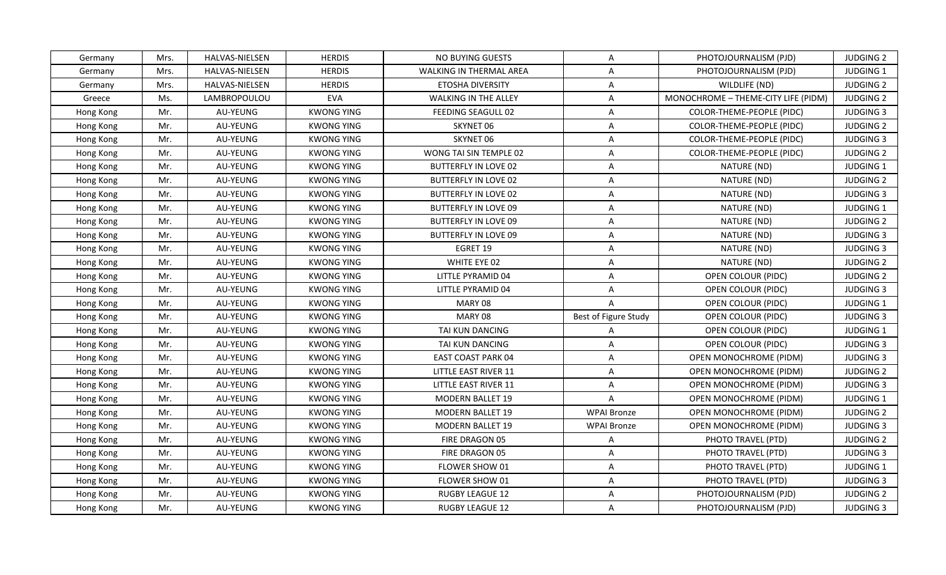| Germany   | Mrs. | <b>HALVAS-NIELSEN</b> | <b>HERDIS</b>     | NO BUYING GUESTS            | $\overline{A}$          | PHOTOJOURNALISM (PJD)               | <b>JUDGING 2</b> |
|-----------|------|-----------------------|-------------------|-----------------------------|-------------------------|-------------------------------------|------------------|
| Germany   | Mrs. | HALVAS-NIELSEN        | <b>HERDIS</b>     | WALKING IN THERMAL AREA     | A                       | PHOTOJOURNALISM (PJD)               | JUDGING 1        |
| Germany   | Mrs. | HALVAS-NIELSEN        | <b>HERDIS</b>     | ETOSHA DIVERSITY            | A                       | WILDLIFE (ND)                       | <b>JUDGING 2</b> |
| Greece    | Ms.  | LAMBROPOULOU          | <b>EVA</b>        | WALKING IN THE ALLEY        | $\overline{A}$          | MONOCHROME - THEME-CITY LIFE (PIDM) | <b>JUDGING 2</b> |
| Hong Kong | Mr.  | AU-YEUNG              | <b>KWONG YING</b> | FEEDING SEAGULL 02          | A                       | COLOR-THEME-PEOPLE (PIDC)           | <b>JUDGING 3</b> |
| Hong Kong | Mr.  | AU-YEUNG              | <b>KWONG YING</b> | SKYNET 06                   | A                       | COLOR-THEME-PEOPLE (PIDC)           | <b>JUDGING 2</b> |
| Hong Kong | Mr.  | AU-YEUNG              | <b>KWONG YING</b> | SKYNET 06                   | A                       | COLOR-THEME-PEOPLE (PIDC)           | <b>JUDGING 3</b> |
| Hong Kong | Mr.  | AU-YEUNG              | <b>KWONG YING</b> | WONG TAI SIN TEMPLE 02      | $\overline{\mathsf{A}}$ | COLOR-THEME-PEOPLE (PIDC)           | <b>JUDGING 2</b> |
| Hong Kong | Mr.  | AU-YEUNG              | <b>KWONG YING</b> | BUTTERFLY IN LOVE 02        | A                       | NATURE (ND)                         | <b>JUDGING 1</b> |
| Hong Kong | Mr.  | AU-YEUNG              | <b>KWONG YING</b> | BUTTERFLY IN LOVE 02        | A                       | NATURE (ND)                         | <b>JUDGING 2</b> |
| Hong Kong | Mr.  | AU-YEUNG              | <b>KWONG YING</b> | <b>BUTTERFLY IN LOVE 02</b> | A                       | NATURE (ND)                         | <b>JUDGING 3</b> |
| Hong Kong | Mr.  | AU-YEUNG              | <b>KWONG YING</b> | <b>BUTTERFLY IN LOVE 09</b> | A                       | NATURE (ND)                         | JUDGING 1        |
| Hong Kong | Mr.  | AU-YEUNG              | <b>KWONG YING</b> | <b>BUTTERFLY IN LOVE 09</b> | A                       | NATURE (ND)                         | <b>JUDGING 2</b> |
| Hong Kong | Mr.  | AU-YEUNG              | <b>KWONG YING</b> | BUTTERFLY IN LOVE 09        | A                       | NATURE (ND)                         | <b>JUDGING 3</b> |
| Hong Kong | Mr.  | AU-YEUNG              | <b>KWONG YING</b> | EGRET 19                    | A                       | NATURE (ND)                         | <b>JUDGING 3</b> |
| Hong Kong | Mr.  | AU-YEUNG              | <b>KWONG YING</b> | WHITE EYE 02                | A                       | NATURE (ND)                         | <b>JUDGING 2</b> |
| Hong Kong | Mr.  | AU-YEUNG              | <b>KWONG YING</b> | LITTLE PYRAMID 04           | A                       | OPEN COLOUR (PIDC)                  | <b>JUDGING 2</b> |
| Hong Kong | Mr.  | AU-YEUNG              | <b>KWONG YING</b> | LITTLE PYRAMID 04           | A                       | OPEN COLOUR (PIDC)                  | <b>JUDGING 3</b> |
| Hong Kong | Mr.  | AU-YEUNG              | <b>KWONG YING</b> | MARY 08                     | $\overline{A}$          | OPEN COLOUR (PIDC)                  | <b>JUDGING 1</b> |
| Hong Kong | Mr.  | AU-YEUNG              | <b>KWONG YING</b> | MARY 08                     | Best of Figure Study    | OPEN COLOUR (PIDC)                  | <b>JUDGING 3</b> |
| Hong Kong | Mr.  | AU-YEUNG              | <b>KWONG YING</b> | TAI KUN DANCING             | A                       | OPEN COLOUR (PIDC)                  | JUDGING 1        |
| Hong Kong | Mr.  | AU-YEUNG              | <b>KWONG YING</b> | TAI KUN DANCING             | A                       | OPEN COLOUR (PIDC)                  | <b>JUDGING 3</b> |
| Hong Kong | Mr.  | AU-YEUNG              | <b>KWONG YING</b> | <b>EAST COAST PARK 04</b>   | A                       | OPEN MONOCHROME (PIDM)              | <b>JUDGING 3</b> |
| Hong Kong | Mr.  | AU-YEUNG              | <b>KWONG YING</b> | LITTLE EAST RIVER 11        | A                       | OPEN MONOCHROME (PIDM)              | <b>JUDGING 2</b> |
| Hong Kong | Mr.  | AU-YEUNG              | <b>KWONG YING</b> | LITTLE EAST RIVER 11        | A                       | OPEN MONOCHROME (PIDM)              | <b>JUDGING 3</b> |
| Hong Kong | Mr.  | AU-YEUNG              | <b>KWONG YING</b> | <b>MODERN BALLET 19</b>     | A                       | OPEN MONOCHROME (PIDM)              | JUDGING 1        |
| Hong Kong | Mr.  | AU-YEUNG              | <b>KWONG YING</b> | <b>MODERN BALLET 19</b>     | <b>WPAI Bronze</b>      | OPEN MONOCHROME (PIDM)              | <b>JUDGING 2</b> |
| Hong Kong | Mr.  | AU-YEUNG              | <b>KWONG YING</b> | <b>MODERN BALLET 19</b>     | <b>WPAI Bronze</b>      | OPEN MONOCHROME (PIDM)              | <b>JUDGING 3</b> |
| Hong Kong | Mr.  | AU-YEUNG              | <b>KWONG YING</b> | FIRE DRAGON 05              | $\overline{A}$          | PHOTO TRAVEL (PTD)                  | <b>JUDGING 2</b> |
| Hong Kong | Mr.  | AU-YEUNG              | <b>KWONG YING</b> | FIRE DRAGON 05              | A                       | PHOTO TRAVEL (PTD)                  | <b>JUDGING 3</b> |
| Hong Kong | Mr.  | AU-YEUNG              | <b>KWONG YING</b> | FLOWER SHOW 01              | A                       | PHOTO TRAVEL (PTD)                  | JUDGING 1        |
| Hong Kong | Mr.  | AU-YEUNG              | <b>KWONG YING</b> | FLOWER SHOW 01              | A                       | PHOTO TRAVEL (PTD)                  | <b>JUDGING 3</b> |
| Hong Kong | Mr.  | AU-YEUNG              | <b>KWONG YING</b> | RUGBY LEAGUE 12             | A                       | PHOTOJOURNALISM (PJD)               | <b>JUDGING 2</b> |
| Hong Kong | Mr.  | AU-YEUNG              | <b>KWONG YING</b> | <b>RUGBY LEAGUE 12</b>      | $\mathsf{A}$            | PHOTOJOURNALISM (PJD)               | JUDGING 3        |
|           |      |                       |                   |                             |                         |                                     |                  |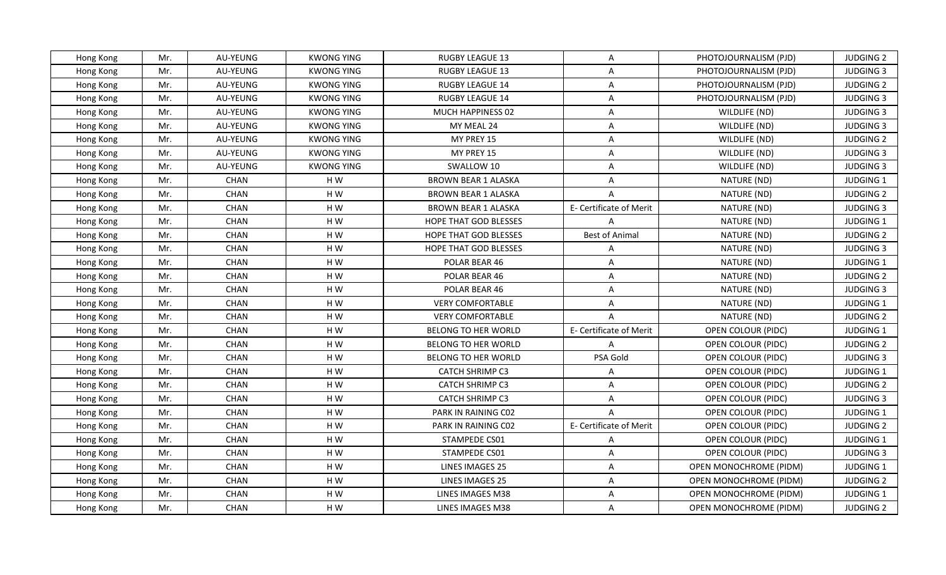| Hong Kong | Mr. | AU-YEUNG    | <b>KWONG YING</b> | RUGBY LEAGUE 13              | A                       | PHOTOJOURNALISM (PJD)  | <b>JUDGING 2</b> |
|-----------|-----|-------------|-------------------|------------------------------|-------------------------|------------------------|------------------|
| Hong Kong | Mr. | AU-YEUNG    | <b>KWONG YING</b> | <b>RUGBY LEAGUE 13</b>       | A                       | PHOTOJOURNALISM (PJD)  | <b>JUDGING 3</b> |
| Hong Kong | Mr. | AU-YEUNG    | <b>KWONG YING</b> | RUGBY LEAGUE 14              | A                       | PHOTOJOURNALISM (PJD)  | <b>JUDGING 2</b> |
| Hong Kong | Mr. | AU-YEUNG    | <b>KWONG YING</b> | RUGBY LEAGUE 14              | A                       | PHOTOJOURNALISM (PJD)  | <b>JUDGING 3</b> |
| Hong Kong | Mr. | AU-YEUNG    | <b>KWONG YING</b> | MUCH HAPPINESS 02            | A                       | WILDLIFE (ND)          | <b>JUDGING 3</b> |
| Hong Kong | Mr. | AU-YEUNG    | <b>KWONG YING</b> | MY MEAL 24                   | A                       | WILDLIFE (ND)          | <b>JUDGING 3</b> |
| Hong Kong | Mr. | AU-YEUNG    | <b>KWONG YING</b> | MY PREY 15                   | $\overline{\mathsf{A}}$ | WILDLIFE (ND)          | <b>JUDGING 2</b> |
| Hong Kong | Mr. | AU-YEUNG    | <b>KWONG YING</b> | MY PREY 15                   | $\overline{A}$          | WILDLIFE (ND)          | <b>JUDGING 3</b> |
| Hong Kong | Mr. | AU-YEUNG    | <b>KWONG YING</b> | SWALLOW 10                   | A                       | WILDLIFE (ND)          | <b>JUDGING 3</b> |
| Hong Kong | Mr. | <b>CHAN</b> | HW                | <b>BROWN BEAR 1 ALASKA</b>   | $\overline{A}$          | NATURE (ND)            | JUDGING 1        |
| Hong Kong | Mr. | <b>CHAN</b> | HW                | <b>BROWN BEAR 1 ALASKA</b>   | $\overline{A}$          | NATURE (ND)            | <b>JUDGING 2</b> |
| Hong Kong | Mr. | CHAN        | H W               | <b>BROWN BEAR 1 ALASKA</b>   | E- Certificate of Merit | NATURE (ND)            | <b>JUDGING 3</b> |
| Hong Kong | Mr. | CHAN        | H W               | HOPE THAT GOD BLESSES        | $\overline{A}$          | NATURE (ND)            | JUDGING 1        |
| Hong Kong | Mr. | CHAN        | HW                | <b>HOPE THAT GOD BLESSES</b> | <b>Best of Animal</b>   | NATURE (ND)            | <b>JUDGING 2</b> |
| Hong Kong | Mr. | CHAN        | HW                | HOPE THAT GOD BLESSES        | $\overline{A}$          | NATURE (ND)            | <b>JUDGING 3</b> |
| Hong Kong | Mr. | CHAN        | H W               | POLAR BEAR 46                | A                       | NATURE (ND)            | <b>JUDGING 1</b> |
| Hong Kong | Mr. | <b>CHAN</b> | H W               | POLAR BEAR 46                | A                       | NATURE (ND)            | <b>JUDGING 2</b> |
| Hong Kong | Mr. | CHAN        | HW                | POLAR BEAR 46                | A                       | NATURE (ND)            | <b>JUDGING 3</b> |
| Hong Kong | Mr. | <b>CHAN</b> | H W               | <b>VERY COMFORTABLE</b>      | A                       | NATURE (ND)            | <b>JUDGING 1</b> |
| Hong Kong | Mr. | CHAN        | HW                | <b>VERY COMFORTABLE</b>      | $\overline{A}$          | NATURE (ND)            | <b>JUDGING 2</b> |
| Hong Kong | Mr. | CHAN        | HW                | BELONG TO HER WORLD          | E- Certificate of Merit | OPEN COLOUR (PIDC)     | <b>JUDGING 1</b> |
| Hong Kong | Mr. | <b>CHAN</b> | H W               | BELONG TO HER WORLD          | $\overline{A}$          | OPEN COLOUR (PIDC)     | <b>JUDGING 2</b> |
| Hong Kong | Mr. | CHAN        | HW                | BELONG TO HER WORLD          | PSA Gold                | OPEN COLOUR (PIDC)     | <b>JUDGING 3</b> |
| Hong Kong | Mr. | CHAN        | HW                | <b>CATCH SHRIMP C3</b>       | A                       | OPEN COLOUR (PIDC)     | <b>JUDGING 1</b> |
| Hong Kong | Mr. | CHAN        | HW                | <b>CATCH SHRIMP C3</b>       | A                       | OPEN COLOUR (PIDC)     | <b>JUDGING 2</b> |
| Hong Kong | Mr. | <b>CHAN</b> | HW                | <b>CATCH SHRIMP C3</b>       | A                       | OPEN COLOUR (PIDC)     | <b>JUDGING 3</b> |
| Hong Kong | Mr. | <b>CHAN</b> | HW                | PARK IN RAINING C02          | $\overline{A}$          | OPEN COLOUR (PIDC)     | <b>JUDGING 1</b> |
| Hong Kong | Mr. | CHAN        | H W               | PARK IN RAINING C02          | E- Certificate of Merit | OPEN COLOUR (PIDC)     | <b>JUDGING 2</b> |
| Hong Kong | Mr. | CHAN        | H W               | STAMPEDE CS01                | $\overline{A}$          | OPEN COLOUR (PIDC)     | JUDGING 1        |
| Hong Kong | Mr. | CHAN        | H W               | STAMPEDE CS01                | A                       | OPEN COLOUR (PIDC)     | <b>JUDGING 3</b> |
| Hong Kong | Mr. | CHAN        | H W               | LINES IMAGES 25              | A                       | OPEN MONOCHROME (PIDM) | JUDGING 1        |
| Hong Kong | Mr. | CHAN        | HW                | LINES IMAGES 25              | A                       | OPEN MONOCHROME (PIDM) | <b>JUDGING 2</b> |
| Hong Kong | Mr. | CHAN        | H W               | LINES IMAGES M38             | A                       | OPEN MONOCHROME (PIDM) | JUDGING 1        |
| Hong Kong | Mr. | <b>CHAN</b> | H W               | LINES IMAGES M38             | A                       | OPEN MONOCHROME (PIDM) | <b>JUDGING 2</b> |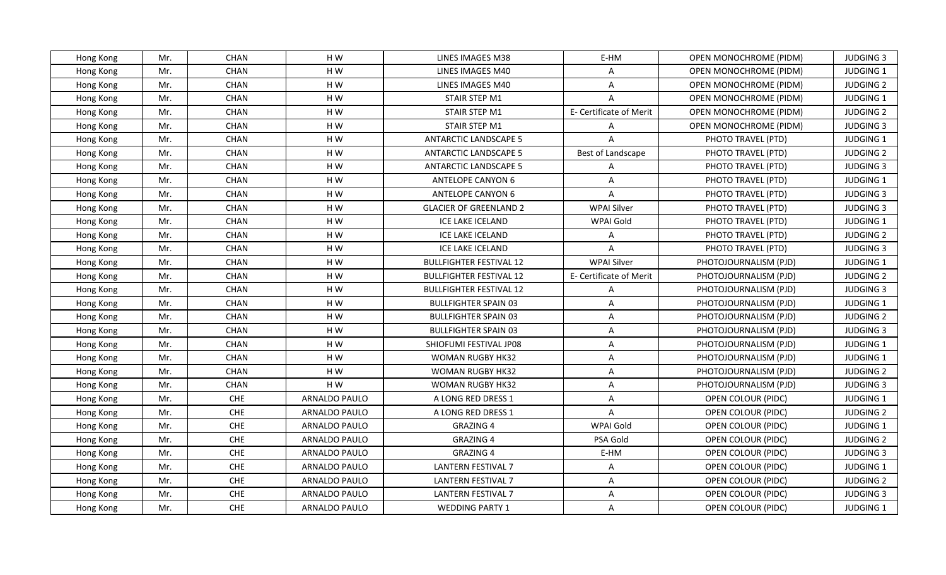| Hong Kong | Mr. | CHAN        | H W           | LINES IMAGES M38               | E-HM                    | OPEN MONOCHROME (PIDM)        | <b>JUDGING 3</b> |
|-----------|-----|-------------|---------------|--------------------------------|-------------------------|-------------------------------|------------------|
| Hong Kong | Mr. | <b>CHAN</b> | HW            | LINES IMAGES M40               | A                       | OPEN MONOCHROME (PIDM)        | JUDGING 1        |
| Hong Kong | Mr. | CHAN        | HW            | LINES IMAGES M40               | A                       | OPEN MONOCHROME (PIDM)        | <b>JUDGING 2</b> |
| Hong Kong | Mr. | <b>CHAN</b> | HW            | STAIR STEP M1                  | $\Delta$                | <b>OPEN MONOCHROME (PIDM)</b> | JUDGING 1        |
| Hong Kong | Mr. | CHAN        | H W           | STAIR STEP M1                  | E- Certificate of Merit | OPEN MONOCHROME (PIDM)        | <b>JUDGING 2</b> |
| Hong Kong | Mr. | <b>CHAN</b> | H W           | STAIR STEP M1                  | A                       | OPEN MONOCHROME (PIDM)        | <b>JUDGING 3</b> |
| Hong Kong | Mr. | CHAN        | HW            | <b>ANTARCTIC LANDSCAPE 5</b>   | $\overline{A}$          | PHOTO TRAVEL (PTD)            | JUDGING 1        |
| Hong Kong | Mr. | CHAN        | H W           | <b>ANTARCTIC LANDSCAPE 5</b>   | Best of Landscape       | PHOTO TRAVEL (PTD)            | <b>JUDGING 2</b> |
| Hong Kong | Mr. | <b>CHAN</b> | H W           | <b>ANTARCTIC LANDSCAPE 5</b>   | A                       | PHOTO TRAVEL (PTD)            | <b>JUDGING 3</b> |
| Hong Kong | Mr. | CHAN        | H W           | <b>ANTELOPE CANYON 6</b>       | $\overline{A}$          | PHOTO TRAVEL (PTD)            | JUDGING 1        |
| Hong Kong | Mr. | CHAN        | HW            | <b>ANTELOPE CANYON 6</b>       | A                       | PHOTO TRAVEL (PTD)            | <b>JUDGING 3</b> |
| Hong Kong | Mr. | CHAN        | HW            | <b>GLACIER OF GREENLAND 2</b>  | <b>WPAI Silver</b>      | PHOTO TRAVEL (PTD)            | <b>JUDGING 3</b> |
| Hong Kong | Mr. | CHAN        | H W           | ICE LAKE ICELAND               | WPAI Gold               | PHOTO TRAVEL (PTD)            | JUDGING 1        |
| Hong Kong | Mr. | CHAN        | H W           | ICE LAKE ICELAND               | A                       | PHOTO TRAVEL (PTD)            | <b>JUDGING 2</b> |
| Hong Kong | Mr. | CHAN        | H W           | ICE LAKE ICELAND               | A                       | PHOTO TRAVEL (PTD)            | <b>JUDGING 3</b> |
| Hong Kong | Mr. | <b>CHAN</b> | HW            | <b>BULLFIGHTER FESTIVAL 12</b> | <b>WPAI Silver</b>      | PHOTOJOURNALISM (PJD)         | JUDGING 1        |
| Hong Kong | Mr. | <b>CHAN</b> | HW            | <b>BULLFIGHTER FESTIVAL 12</b> | E- Certificate of Merit | PHOTOJOURNALISM (PJD)         | <b>JUDGING 2</b> |
| Hong Kong | Mr. | CHAN        | H W           | <b>BULLFIGHTER FESTIVAL 12</b> | A                       | PHOTOJOURNALISM (PJD)         | <b>JUDGING 3</b> |
| Hong Kong | Mr. | <b>CHAN</b> | H W           | <b>BULLFIGHTER SPAIN 03</b>    | A                       | PHOTOJOURNALISM (PJD)         | <b>JUDGING 1</b> |
| Hong Kong | Mr. | CHAN        | H W           | <b>BULLFIGHTER SPAIN 03</b>    | A                       | PHOTOJOURNALISM (PJD)         | <b>JUDGING 2</b> |
| Hong Kong | Mr. | <b>CHAN</b> | H W           | <b>BULLFIGHTER SPAIN 03</b>    | A                       | PHOTOJOURNALISM (PJD)         | <b>JUDGING 3</b> |
| Hong Kong | Mr. | CHAN        | HW            | SHIOFUMI FESTIVAL JP08         | A                       | PHOTOJOURNALISM (PJD)         | JUDGING 1        |
| Hong Kong | Mr. | CHAN        | H W           | <b>WOMAN RUGBY HK32</b>        | A                       | PHOTOJOURNALISM (PJD)         | JUDGING 1        |
| Hong Kong | Mr. | <b>CHAN</b> | H W           | WOMAN RUGBY HK32               | A                       | PHOTOJOURNALISM (PJD)         | <b>JUDGING 2</b> |
| Hong Kong | Mr. | <b>CHAN</b> | H W           | <b>WOMAN RUGBY HK32</b>        | A                       | PHOTOJOURNALISM (PJD)         | <b>JUDGING 3</b> |
| Hong Kong | Mr. | ${\sf CHE}$ | ARNALDO PAULO | A LONG RED DRESS 1             | $\overline{A}$          | OPEN COLOUR (PIDC)            | <b>JUDGING 1</b> |
| Hong Kong | Mr. | CHE         | ARNALDO PAULO | A LONG RED DRESS 1             | $\overline{A}$          | OPEN COLOUR (PIDC)            | <b>JUDGING 2</b> |
| Hong Kong | Mr. | CHE         | ARNALDO PAULO | <b>GRAZING 4</b>               | WPAI Gold               | OPEN COLOUR (PIDC)            | JUDGING 1        |
| Hong Kong | Mr. | CHE         | ARNALDO PAULO | <b>GRAZING 4</b>               | PSA Gold                | OPEN COLOUR (PIDC)            | <b>JUDGING 2</b> |
| Hong Kong | Mr. | CHE         | ARNALDO PAULO | <b>GRAZING 4</b>               | E-HM                    | OPEN COLOUR (PIDC)            | <b>JUDGING 3</b> |
| Hong Kong | Mr. | CHE         | ARNALDO PAULO | <b>LANTERN FESTIVAL 7</b>      | A                       | OPEN COLOUR (PIDC)            | JUDGING 1        |
| Hong Kong | Mr. | CHE         | ARNALDO PAULO | LANTERN FESTIVAL 7             | A                       | OPEN COLOUR (PIDC)            | <b>JUDGING 2</b> |
| Hong Kong | Mr. | CHE         | ARNALDO PAULO | <b>LANTERN FESTIVAL 7</b>      | A                       | OPEN COLOUR (PIDC)            | <b>JUDGING 3</b> |
| Hong Kong | Mr. | CHE         | ARNALDO PAULO | <b>WEDDING PARTY 1</b>         | A                       | OPEN COLOUR (PIDC)            | <b>JUDGING 1</b> |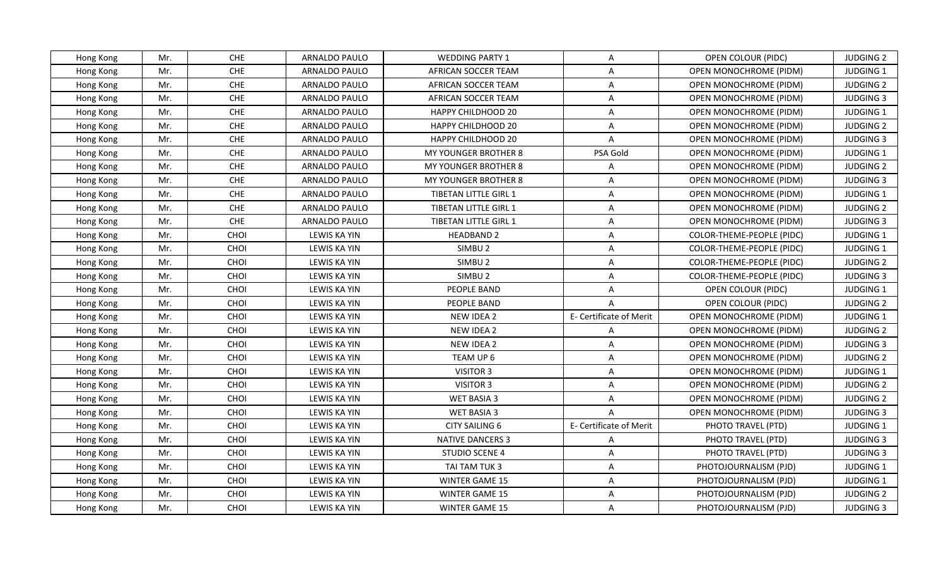| Hong Kong | Mr. | <b>CHE</b> | ARNALDO PAULO       | <b>WEDDING PARTY 1</b>      | A                       | OPEN COLOUR (PIDC)               | <b>JUDGING 2</b> |
|-----------|-----|------------|---------------------|-----------------------------|-------------------------|----------------------------------|------------------|
| Hong Kong | Mr. | <b>CHE</b> | ARNALDO PAULO       | AFRICAN SOCCER TEAM         | A                       | OPEN MONOCHROME (PIDM)           | JUDGING 1        |
| Hong Kong | Mr. | <b>CHE</b> | ARNALDO PAULO       | AFRICAN SOCCER TEAM         | A                       | OPEN MONOCHROME (PIDM)           | <b>JUDGING 2</b> |
| Hong Kong | Mr. | CHE        | ARNALDO PAULO       | AFRICAN SOCCER TEAM         | A                       | OPEN MONOCHROME (PIDM)           | <b>JUDGING 3</b> |
| Hong Kong | Mr. | CHE        | ARNALDO PAULO       | <b>HAPPY CHILDHOOD 20</b>   | A                       | <b>OPEN MONOCHROME (PIDM)</b>    | <b>JUDGING 1</b> |
| Hong Kong | Mr. | CHE        | ARNALDO PAULO       | <b>HAPPY CHILDHOOD 20</b>   | A                       | OPEN MONOCHROME (PIDM)           | <b>JUDGING 2</b> |
| Hong Kong | Mr. | CHE        | ARNALDO PAULO       | <b>HAPPY CHILDHOOD 20</b>   | A                       | OPEN MONOCHROME (PIDM)           | <b>JUDGING 3</b> |
| Hong Kong | Mr. | CHE        | ARNALDO PAULO       | MY YOUNGER BROTHER 8        | PSA Gold                | OPEN MONOCHROME (PIDM)           | <b>JUDGING 1</b> |
| Hong Kong | Mr. | <b>CHE</b> | ARNALDO PAULO       | <b>MY YOUNGER BROTHER 8</b> | A                       | <b>OPEN MONOCHROME (PIDM)</b>    | <b>JUDGING 2</b> |
| Hong Kong | Mr. | CHE        | ARNALDO PAULO       | MY YOUNGER BROTHER 8        | A                       | <b>OPEN MONOCHROME (PIDM)</b>    | <b>JUDGING 3</b> |
| Hong Kong | Mr. | CHE        | ARNALDO PAULO       | TIBETAN LITTLE GIRL 1       | A                       | OPEN MONOCHROME (PIDM)           | JUDGING 1        |
| Hong Kong | Mr. | CHE        | ARNALDO PAULO       | TIBETAN LITTLE GIRL 1       | A                       | <b>OPEN MONOCHROME (PIDM)</b>    | <b>JUDGING 2</b> |
| Hong Kong | Mr. | CHE        | ARNALDO PAULO       | TIBETAN LITTLE GIRL 1       | $\overline{A}$          | OPEN MONOCHROME (PIDM)           | <b>JUDGING 3</b> |
| Hong Kong | Mr. | CHOI       | LEWIS KA YIN        | <b>HEADBAND 2</b>           | A                       | COLOR-THEME-PEOPLE (PIDC)        | <b>JUDGING 1</b> |
| Hong Kong | Mr. | CHOI       | LEWIS KA YIN        | SIMBU <sub>2</sub>          | A                       | <b>COLOR-THEME-PEOPLE (PIDC)</b> | JUDGING 1        |
| Hong Kong | Mr. | CHOI       | <b>LEWIS KA YIN</b> | SIMBU <sub>2</sub>          | A                       | COLOR-THEME-PEOPLE (PIDC)        | <b>JUDGING 2</b> |
| Hong Kong | Mr. | CHOI       | LEWIS KA YIN        | SIMBU <sub>2</sub>          | A                       | COLOR-THEME-PEOPLE (PIDC)        | <b>JUDGING 3</b> |
| Hong Kong | Mr. | CHOI       | LEWIS KA YIN        | PEOPLE BAND                 | $\overline{A}$          | OPEN COLOUR (PIDC)               | JUDGING 1        |
| Hong Kong | Mr. | CHOI       | LEWIS KA YIN        | PEOPLE BAND                 | $\overline{A}$          | OPEN COLOUR (PIDC)               | <b>JUDGING 2</b> |
| Hong Kong | Mr. | CHOI       | LEWIS KA YIN        | NEW IDEA 2                  | E- Certificate of Merit | OPEN MONOCHROME (PIDM)           | <b>JUDGING 1</b> |
| Hong Kong | Mr. | CHOI       | <b>LEWIS KA YIN</b> | NEW IDEA 2                  | A                       | OPEN MONOCHROME (PIDM)           | <b>JUDGING 2</b> |
| Hong Kong | Mr. | CHOI       | LEWIS KA YIN        | NEW IDEA 2                  | $\mathsf{A}$            | OPEN MONOCHROME (PIDM)           | <b>JUDGING 3</b> |
| Hong Kong | Mr. | CHOI       | LEWIS KA YIN        | TEAM UP 6                   | A                       | OPEN MONOCHROME (PIDM)           | <b>JUDGING 2</b> |
| Hong Kong | Mr. | CHOI       | LEWIS KA YIN        | VISITOR 3                   | A                       | OPEN MONOCHROME (PIDM)           | <b>JUDGING 1</b> |
| Hong Kong | Mr. | CHOI       | LEWIS KA YIN        | VISITOR 3                   | $\overline{A}$          | OPEN MONOCHROME (PIDM)           | <b>JUDGING 2</b> |
| Hong Kong | Mr. | CHOI       | LEWIS KA YIN        | WET BASIA 3                 | A                       | OPEN MONOCHROME (PIDM)           | <b>JUDGING 2</b> |
| Hong Kong | Mr. | CHOI       | LEWIS KA YIN        | WET BASIA 3                 | $\mathsf{A}$            | OPEN MONOCHROME (PIDM)           | <b>JUDGING 3</b> |
| Hong Kong | Mr. | CHOI       | LEWIS KA YIN        | CITY SAILING 6              | E- Certificate of Merit | PHOTO TRAVEL (PTD)               | JUDGING 1        |
| Hong Kong | Mr. | CHOI       | LEWIS KA YIN        | <b>NATIVE DANCERS 3</b>     | A                       | PHOTO TRAVEL (PTD)               | <b>JUDGING 3</b> |
| Hong Kong | Mr. | CHOI       | LEWIS KA YIN        | STUDIO SCENE 4              | A                       | PHOTO TRAVEL (PTD)               | <b>JUDGING 3</b> |
| Hong Kong | Mr. | CHOI       | LEWIS KA YIN        | TAI TAM TUK 3               | A                       | PHOTOJOURNALISM (PJD)            | JUDGING 1        |
| Hong Kong | Mr. | CHOI       | LEWIS KA YIN        | <b>WINTER GAME 15</b>       | $\mathsf{A}$            | PHOTOJOURNALISM (PJD)            | <b>JUDGING 1</b> |
| Hong Kong | Mr. | CHOI       | LEWIS KA YIN        | WINTER GAME 15              | A                       | PHOTOJOURNALISM (PJD)            | <b>JUDGING 2</b> |
| Hong Kong | Mr. | CHOI       | LEWIS KA YIN        | WINTER GAME 15              | A                       | PHOTOJOURNALISM (PJD)            | <b>JUDGING 3</b> |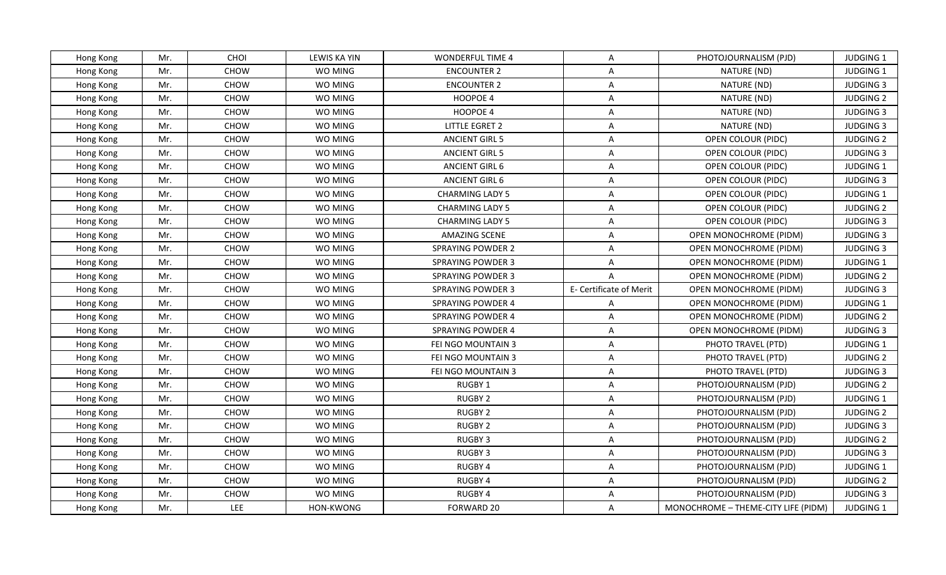| <b>CHOI</b><br>LEWIS KA YIN<br>Mr.<br><b>WONDERFUL TIME 4</b><br>$\mathsf{A}$<br>PHOTOJOURNALISM (PJD)<br>Hong Kong<br>CHOW<br>WO MING<br><b>ENCOUNTER 2</b><br>NATURE (ND)<br>Hong Kong<br>Mr.<br>A | <b>JUDGING 1</b> |
|------------------------------------------------------------------------------------------------------------------------------------------------------------------------------------------------------|------------------|
|                                                                                                                                                                                                      |                  |
|                                                                                                                                                                                                      | JUDGING 1        |
| CHOW<br>WO MING<br><b>ENCOUNTER 2</b><br>NATURE (ND)<br>Mr.<br>A<br>Hong Kong                                                                                                                        | <b>JUDGING 3</b> |
| CHOW<br>HOOPOE 4<br>A<br>Mr.<br>WO MING<br>NATURE (ND)<br>Hong Kong                                                                                                                                  | <b>JUDGING 2</b> |
| CHOW<br>WO MING<br>HOOPOE 4<br>Mr.<br>A<br>NATURE (ND)<br>Hong Kong                                                                                                                                  | <b>JUDGING 3</b> |
| CHOW<br>WO MING<br>LITTLE EGRET 2<br>A<br>Mr.<br>NATURE (ND)<br>Hong Kong                                                                                                                            | <b>JUDGING 3</b> |
| CHOW<br>WO MING<br><b>ANCIENT GIRL 5</b><br>A<br>Mr.<br>OPEN COLOUR (PIDC)<br>Hong Kong                                                                                                              | <b>JUDGING 2</b> |
| CHOW<br>WO MING<br><b>ANCIENT GIRL 5</b><br>$\overline{A}$<br>OPEN COLOUR (PIDC)<br>Mr.<br>Hong Kong                                                                                                 | <b>JUDGING 3</b> |
| CHOW<br>Mr.<br>WO MING<br>ANCIENT GIRL 6<br>A<br>OPEN COLOUR (PIDC)<br>Hong Kong                                                                                                                     | <b>JUDGING 1</b> |
| <b>CHOW</b><br>WO MING<br>A<br>Mr.<br>ANCIENT GIRL 6<br>OPEN COLOUR (PIDC)<br>Hong Kong                                                                                                              | <b>JUDGING 3</b> |
| CHOW<br>WO MING<br>A<br>Mr.<br><b>CHARMING LADY 5</b><br>OPEN COLOUR (PIDC)<br>Hong Kong                                                                                                             | JUDGING 1        |
| CHOW<br>Mr.<br>WO MING<br><b>CHARMING LADY 5</b><br>A<br>OPEN COLOUR (PIDC)<br>Hong Kong                                                                                                             | <b>JUDGING 2</b> |
| CHOW<br>WO MING<br><b>CHARMING LADY 5</b><br>A<br>OPEN COLOUR (PIDC)<br>Mr.<br>Hong Kong                                                                                                             | <b>JUDGING 3</b> |
| Mr.<br><b>CHOW</b><br>WO MING<br>AMAZING SCENE<br>A<br>OPEN MONOCHROME (PIDM)<br>Hong Kong                                                                                                           | <b>JUDGING 3</b> |
| <b>CHOW</b><br>Mr.<br>WO MING<br>A<br>SPRAYING POWDER 2<br>OPEN MONOCHROME (PIDM)<br>Hong Kong                                                                                                       | <b>JUDGING 3</b> |
| CHOW<br>Mr.<br>WO MING<br><b>SPRAYING POWDER 3</b><br>A<br>OPEN MONOCHROME (PIDM)<br>Hong Kong                                                                                                       | <b>JUDGING 1</b> |
| CHOW<br>WO MING<br><b>SPRAYING POWDER 3</b><br>OPEN MONOCHROME (PIDM)<br>Mr.<br>$\mathsf{A}$<br>Hong Kong                                                                                            | <b>JUDGING 2</b> |
| CHOW<br>WO MING<br><b>SPRAYING POWDER 3</b><br>E- Certificate of Merit<br>OPEN MONOCHROME (PIDM)<br>Mr.<br>Hong Kong                                                                                 | <b>JUDGING 3</b> |
| CHOW<br>WO MING<br>Mr.<br><b>SPRAYING POWDER 4</b><br>$\mathsf{A}$<br>OPEN MONOCHROME (PIDM)<br>Hong Kong                                                                                            | <b>JUDGING 1</b> |
| <b>CHOW</b><br>WO MING<br>$\overline{\mathsf{A}}$<br>Mr.<br><b>SPRAYING POWDER 4</b><br>OPEN MONOCHROME (PIDM)<br>Hong Kong                                                                          | <b>JUDGING 2</b> |
| CHOW<br>Mr.<br>WO MING<br><b>SPRAYING POWDER 4</b><br>A<br>OPEN MONOCHROME (PIDM)<br>Hong Kong                                                                                                       | <b>JUDGING 3</b> |
| CHOW<br>WO MING<br>PHOTO TRAVEL (PTD)<br>Mr.<br>FEI NGO MOUNTAIN 3<br>$\mathsf{A}$<br>Hong Kong                                                                                                      | JUDGING 1        |
| <b>CHOW</b><br>Mr.<br>WO MING<br>FEI NGO MOUNTAIN 3<br>A<br>PHOTO TRAVEL (PTD)<br>Hong Kong                                                                                                          | <b>JUDGING 2</b> |
| <b>CHOW</b><br>WO MING<br>PHOTO TRAVEL (PTD)<br>Mr.<br>FEI NGO MOUNTAIN 3<br>A<br>Hong Kong                                                                                                          | <b>JUDGING 3</b> |
| CHOW<br>Mr.<br>WO MING<br><b>RUGBY 1</b><br>A<br>PHOTOJOURNALISM (PJD)<br>Hong Kong                                                                                                                  | <b>JUDGING 2</b> |
| CHOW<br><b>RUGBY 2</b><br>$\overline{A}$<br>Mr.<br>WO MING<br>PHOTOJOURNALISM (PJD)<br>Hong Kong                                                                                                     | JUDGING 1        |
| CHOW<br>WO MING<br><b>RUGBY 2</b><br>Mr.<br>A<br>PHOTOJOURNALISM (PJD)<br>Hong Kong                                                                                                                  | <b>JUDGING 2</b> |
| CHOW<br>WO MING<br>Mr.<br><b>RUGBY 2</b><br>A<br>PHOTOJOURNALISM (PJD)<br>Hong Kong                                                                                                                  | <b>JUDGING 3</b> |
| CHOW<br><b>RUGBY 3</b><br>WO MING<br>A<br>PHOTOJOURNALISM (PJD)<br>Mr.<br>Hong Kong                                                                                                                  | <b>JUDGING 2</b> |
| <b>CHOW</b><br>Mr.<br>WO MING<br><b>RUGBY 3</b><br>A<br>PHOTOJOURNALISM (PJD)<br>Hong Kong                                                                                                           | <b>JUDGING 3</b> |
| CHOW<br>WO MING<br>RUGBY 4<br>A<br>PHOTOJOURNALISM (PJD)<br>Mr.<br>Hong Kong                                                                                                                         | JUDGING 1        |
| Mr.<br><b>CHOW</b><br>WO MING<br>RUGBY 4<br>A<br>PHOTOJOURNALISM (PJD)<br>Hong Kong                                                                                                                  | <b>JUDGING 2</b> |
| Mr.<br>CHOW<br>WO MING<br>RUGBY 4<br>PHOTOJOURNALISM (PJD)<br>A<br>Hong Kong                                                                                                                         | <b>JUDGING 3</b> |
| Mr.<br>LEE.<br>HON-KWONG<br><b>FORWARD 20</b><br>A<br>MONOCHROME - THEME-CITY LIFE (PIDM)<br>Hong Kong                                                                                               | <b>JUDGING 1</b> |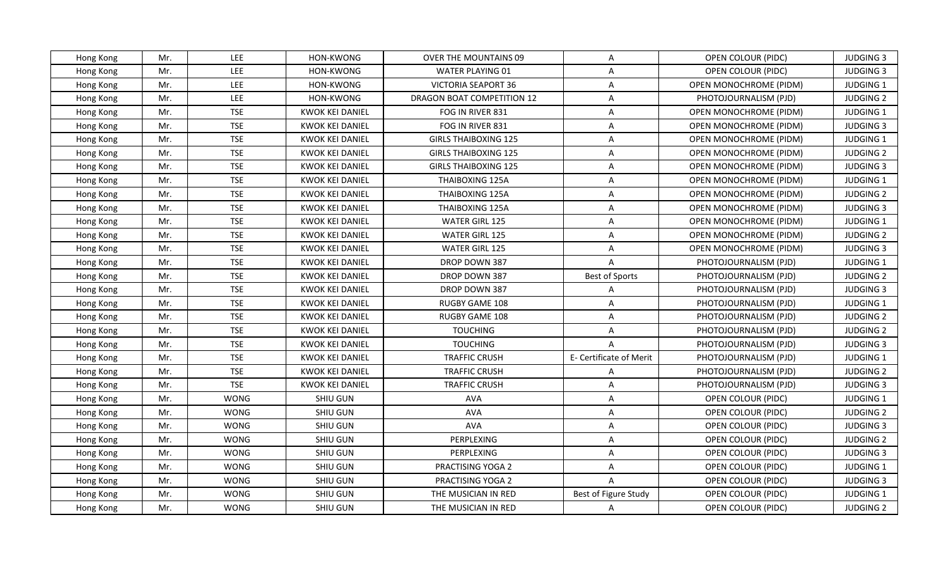| Hong Kong | Mr. | <b>LEE</b>  | HON-KWONG              | <b>OVER THE MOUNTAINS 09</b> | A                       | OPEN COLOUR (PIDC)            | <b>JUDGING 3</b> |
|-----------|-----|-------------|------------------------|------------------------------|-------------------------|-------------------------------|------------------|
| Hong Kong | Mr. | LEE         | HON-KWONG              | <b>WATER PLAYING 01</b>      | $\overline{\mathsf{A}}$ | OPEN COLOUR (PIDC)            | <b>JUDGING 3</b> |
| Hong Kong | Mr. | LEE         | HON-KWONG              | VICTORIA SEAPORT 36          | A                       | OPEN MONOCHROME (PIDM)        | JUDGING 1        |
| Hong Kong | Mr. | LEE         | HON-KWONG              | DRAGON BOAT COMPETITION 12   | $\overline{\mathsf{A}}$ | PHOTOJOURNALISM (PJD)         | <b>JUDGING 2</b> |
| Hong Kong | Mr. | <b>TSE</b>  | <b>KWOK KEI DANIEL</b> | FOG IN RIVER 831             | A                       | OPEN MONOCHROME (PIDM)        | <b>JUDGING 1</b> |
| Hong Kong | Mr. | <b>TSE</b>  | <b>KWOK KEI DANIEL</b> | FOG IN RIVER 831             | A                       | OPEN MONOCHROME (PIDM)        | <b>JUDGING 3</b> |
| Hong Kong | Mr. | <b>TSE</b>  | <b>KWOK KEI DANIEL</b> | <b>GIRLS THAIBOXING 125</b>  | $\overline{\mathsf{A}}$ | OPEN MONOCHROME (PIDM)        | JUDGING 1        |
| Hong Kong | Mr. | <b>TSE</b>  | <b>KWOK KEI DANIEL</b> | <b>GIRLS THAIBOXING 125</b>  | $\overline{A}$          | <b>OPEN MONOCHROME (PIDM)</b> | <b>JUDGING 2</b> |
| Hong Kong | Mr. | <b>TSE</b>  | <b>KWOK KEI DANIEL</b> | <b>GIRLS THAIBOXING 125</b>  | $\overline{\mathsf{A}}$ | <b>OPEN MONOCHROME (PIDM)</b> | <b>JUDGING 3</b> |
| Hong Kong | Mr. | <b>TSE</b>  | <b>KWOK KEI DANIEL</b> | <b>THAIBOXING 125A</b>       | $\overline{A}$          | OPEN MONOCHROME (PIDM)        | JUDGING 1        |
| Hong Kong | Mr. | <b>TSE</b>  | <b>KWOK KEI DANIEL</b> | THAIBOXING 125A              | A                       | OPEN MONOCHROME (PIDM)        | <b>JUDGING 2</b> |
| Hong Kong | Mr. | <b>TSE</b>  | <b>KWOK KEI DANIEL</b> | THAIBOXING 125A              | A                       | OPEN MONOCHROME (PIDM)        | <b>JUDGING 3</b> |
| Hong Kong | Mr. | <b>TSE</b>  | <b>KWOK KEI DANIEL</b> | WATER GIRL 125               | $\overline{A}$          | OPEN MONOCHROME (PIDM)        | JUDGING 1        |
| Hong Kong | Mr. | <b>TSE</b>  | <b>KWOK KEI DANIEL</b> | WATER GIRL 125               | A                       | OPEN MONOCHROME (PIDM)        | <b>JUDGING 2</b> |
| Hong Kong | Mr. | <b>TSE</b>  | <b>KWOK KEI DANIEL</b> | WATER GIRL 125               | A                       | OPEN MONOCHROME (PIDM)        | <b>JUDGING 3</b> |
| Hong Kong | Mr. | <b>TSE</b>  | KWOK KEI DANIEL        | DROP DOWN 387                | A                       | PHOTOJOURNALISM (PJD)         | JUDGING 1        |
| Hong Kong | Mr. | <b>TSE</b>  | <b>KWOK KEI DANIEL</b> | DROP DOWN 387                | <b>Best of Sports</b>   | PHOTOJOURNALISM (PJD)         | <b>JUDGING 2</b> |
| Hong Kong | Mr. | <b>TSE</b>  | <b>KWOK KEI DANIEL</b> | DROP DOWN 387                | $\overline{A}$          | PHOTOJOURNALISM (PJD)         | <b>JUDGING 3</b> |
| Hong Kong | Mr. | <b>TSE</b>  | <b>KWOK KEI DANIEL</b> | <b>RUGBY GAME 108</b>        | A                       | PHOTOJOURNALISM (PJD)         | <b>JUDGING 1</b> |
| Hong Kong | Mr. | <b>TSE</b>  | <b>KWOK KEI DANIEL</b> | RUGBY GAME 108               | $\overline{A}$          | PHOTOJOURNALISM (PJD)         | <b>JUDGING 2</b> |
| Hong Kong | Mr. | <b>TSE</b>  | KWOK KEI DANIEL        | <b>TOUCHING</b>              | A                       | PHOTOJOURNALISM (PJD)         | <b>JUDGING 2</b> |
| Hong Kong | Mr. | <b>TSE</b>  | <b>KWOK KEI DANIEL</b> | <b>TOUCHING</b>              | $\overline{A}$          | PHOTOJOURNALISM (PJD)         | <b>JUDGING 3</b> |
| Hong Kong | Mr. | <b>TSE</b>  | <b>KWOK KEI DANIEL</b> | <b>TRAFFIC CRUSH</b>         | E- Certificate of Merit | PHOTOJOURNALISM (PJD)         | JUDGING 1        |
| Hong Kong | Mr. | <b>TSE</b>  | <b>KWOK KEI DANIEL</b> | <b>TRAFFIC CRUSH</b>         | A                       | PHOTOJOURNALISM (PJD)         | <b>JUDGING 2</b> |
| Hong Kong | Mr. | <b>TSE</b>  | <b>KWOK KEI DANIEL</b> | <b>TRAFFIC CRUSH</b>         | A                       | PHOTOJOURNALISM (PJD)         | <b>JUDGING 3</b> |
| Hong Kong | Mr. | <b>WONG</b> | SHIU GUN               | <b>AVA</b>                   | $\overline{\mathsf{A}}$ | OPEN COLOUR (PIDC)            | JUDGING 1        |
| Hong Kong | Mr. | <b>WONG</b> | SHIU GUN               | <b>AVA</b>                   | A                       | OPEN COLOUR (PIDC)            | <b>JUDGING 2</b> |
| Hong Kong | Mr. | <b>WONG</b> | <b>SHIU GUN</b>        | AVA                          | A                       | OPEN COLOUR (PIDC)            | <b>JUDGING 3</b> |
| Hong Kong | Mr. | <b>WONG</b> | SHIU GUN               | PERPLEXING                   | A                       | OPEN COLOUR (PIDC)            | <b>JUDGING 2</b> |
| Hong Kong | Mr. | <b>WONG</b> | SHIU GUN               | PERPLEXING                   | A                       | OPEN COLOUR (PIDC)            | <b>JUDGING 3</b> |
| Hong Kong | Mr. | <b>WONG</b> | SHIU GUN               | PRACTISING YOGA 2            | A                       | OPEN COLOUR (PIDC)            | JUDGING 1        |
| Hong Kong | Mr. | <b>WONG</b> | SHIU GUN               | PRACTISING YOGA 2            | $\overline{A}$          | OPEN COLOUR (PIDC)            | <b>JUDGING 3</b> |
| Hong Kong | Mr. | <b>WONG</b> | SHIU GUN               | THE MUSICIAN IN RED          | Best of Figure Study    | OPEN COLOUR (PIDC)            | JUDGING 1        |
| Hong Kong | Mr. | <b>WONG</b> | SHIU GUN               | THE MUSICIAN IN RED          | A                       | OPEN COLOUR (PIDC)            | <b>JUDGING 2</b> |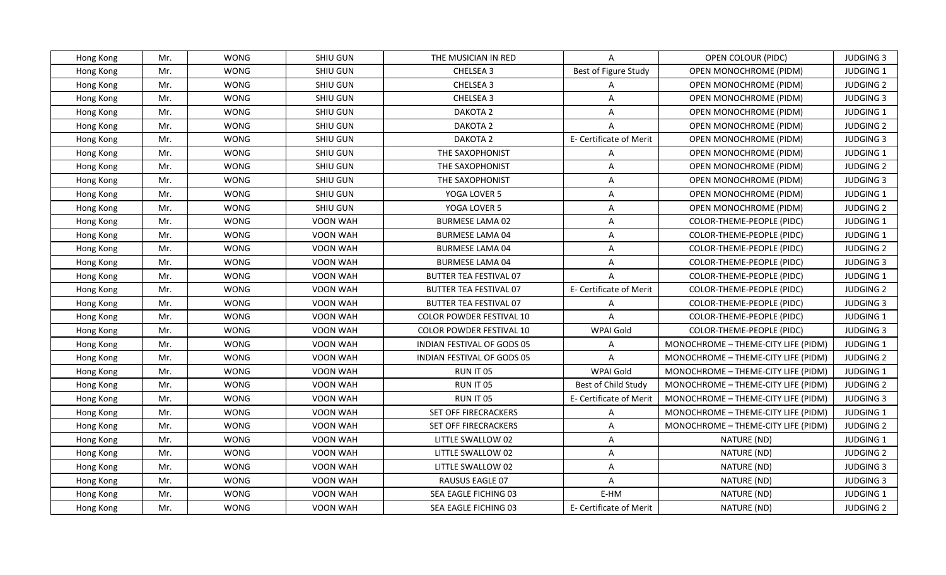| Hong Kong | Mr. | <b>WONG</b> | SHIU GUN        | THE MUSICIAN IN RED             | A                       | OPEN COLOUR (PIDC)                  | <b>JUDGING 3</b> |
|-----------|-----|-------------|-----------------|---------------------------------|-------------------------|-------------------------------------|------------------|
| Hong Kong | Mr. | <b>WONG</b> | SHIU GUN        | CHELSEA 3                       | Best of Figure Study    | OPEN MONOCHROME (PIDM)              | JUDGING 1        |
| Hong Kong | Mr. | <b>WONG</b> | SHIU GUN        | CHELSEA 3                       | $\mathsf{A}$            | OPEN MONOCHROME (PIDM)              | <b>JUDGING 2</b> |
| Hong Kong | Mr. | <b>WONG</b> | <b>SHIU GUN</b> | CHELSEA 3                       | $\overline{A}$          | OPEN MONOCHROME (PIDM)              | <b>JUDGING 3</b> |
| Hong Kong | Mr. | <b>WONG</b> | SHIU GUN        | DAKOTA 2                        | A                       | <b>OPEN MONOCHROME (PIDM)</b>       | JUDGING 1        |
| Hong Kong | Mr. | <b>WONG</b> | SHIU GUN        | DAKOTA 2                        | A                       | OPEN MONOCHROME (PIDM)              | <b>JUDGING 2</b> |
| Hong Kong | Mr. | <b>WONG</b> | SHIU GUN        | DAKOTA 2                        | E- Certificate of Merit | OPEN MONOCHROME (PIDM)              | <b>JUDGING 3</b> |
| Hong Kong | Mr. | <b>WONG</b> | SHIU GUN        | THE SAXOPHONIST                 | A                       | OPEN MONOCHROME (PIDM)              | JUDGING 1        |
| Hong Kong | Mr. | <b>WONG</b> | <b>SHIU GUN</b> | THE SAXOPHONIST                 | $\overline{A}$          | OPEN MONOCHROME (PIDM)              | <b>JUDGING 2</b> |
| Hong Kong | Mr. | <b>WONG</b> | SHIU GUN        | THE SAXOPHONIST                 | $\overline{\mathsf{A}}$ | OPEN MONOCHROME (PIDM)              | <b>JUDGING 3</b> |
| Hong Kong | Mr. | <b>WONG</b> | SHIU GUN        | YOGA LOVER 5                    | A                       | OPEN MONOCHROME (PIDM)              | <b>JUDGING 1</b> |
| Hong Kong | Mr. | <b>WONG</b> | <b>SHIU GUN</b> | YOGA LOVER 5                    | A                       | <b>OPEN MONOCHROME (PIDM)</b>       | <b>JUDGING 2</b> |
| Hong Kong | Mr. | <b>WONG</b> | VOON WAH        | <b>BURMESE LAMA 02</b>          | A                       | COLOR-THEME-PEOPLE (PIDC)           | JUDGING 1        |
| Hong Kong | Mr. | <b>WONG</b> | VOON WAH        | <b>BURMESE LAMA 04</b>          | A                       | COLOR-THEME-PEOPLE (PIDC)           | <b>JUDGING 1</b> |
| Hong Kong | Mr. | <b>WONG</b> | VOON WAH        | <b>BURMESE LAMA 04</b>          | A                       | <b>COLOR-THEME-PEOPLE (PIDC)</b>    | <b>JUDGING 2</b> |
| Hong Kong | Mr. | <b>WONG</b> | VOON WAH        | BURMESE LAMA 04                 | A                       | COLOR-THEME-PEOPLE (PIDC)           | <b>JUDGING 3</b> |
| Hong Kong | Mr. | <b>WONG</b> | VOON WAH        | <b>BUTTER TEA FESTIVAL 07</b>   | $\overline{A}$          | COLOR-THEME-PEOPLE (PIDC)           | JUDGING 1        |
| Hong Kong | Mr. | <b>WONG</b> | VOON WAH        | <b>BUTTER TEA FESTIVAL 07</b>   | E- Certificate of Merit | COLOR-THEME-PEOPLE (PIDC)           | <b>JUDGING 2</b> |
| Hong Kong | Mr. | <b>WONG</b> | <b>VOON WAH</b> | <b>BUTTER TEA FESTIVAL 07</b>   | A                       | COLOR-THEME-PEOPLE (PIDC)           | <b>JUDGING 3</b> |
| Hong Kong | Mr. | <b>WONG</b> | VOON WAH        | <b>COLOR POWDER FESTIVAL 10</b> | $\overline{A}$          | COLOR-THEME-PEOPLE (PIDC)           | JUDGING 1        |
| Hong Kong | Mr. | <b>WONG</b> | <b>VOON WAH</b> | <b>COLOR POWDER FESTIVAL 10</b> | WPAI Gold               | COLOR-THEME-PEOPLE (PIDC)           | <b>JUDGING 3</b> |
| Hong Kong | Mr. | <b>WONG</b> | <b>VOON WAH</b> | INDIAN FESTIVAL OF GODS 05      | A                       | MONOCHROME - THEME-CITY LIFE (PIDM) | JUDGING 1        |
| Hong Kong | Mr. | <b>WONG</b> | VOON WAH        | INDIAN FESTIVAL OF GODS 05      | $\overline{A}$          | MONOCHROME - THEME-CITY LIFE (PIDM) | <b>JUDGING 2</b> |
| Hong Kong | Mr. | <b>WONG</b> | <b>VOON WAH</b> | RUN IT 05                       | WPAI Gold               | MONOCHROME - THEME-CITY LIFE (PIDM) | <b>JUDGING 1</b> |
| Hong Kong | Mr. | <b>WONG</b> | VOON WAH        | RUN IT 05                       | Best of Child Study     | MONOCHROME - THEME-CITY LIFE (PIDM) | <b>JUDGING 2</b> |
| Hong Kong | Mr. | <b>WONG</b> | VOON WAH        | RUN IT 05                       | E- Certificate of Merit | MONOCHROME - THEME-CITY LIFE (PIDM) | <b>JUDGING 3</b> |
| Hong Kong | Mr. | <b>WONG</b> | VOON WAH        | SET OFF FIRECRACKERS            | A                       | MONOCHROME - THEME-CITY LIFE (PIDM) | JUDGING 1        |
| Hong Kong | Mr. | <b>WONG</b> | VOON WAH        | SET OFF FIRECRACKERS            | $\overline{\mathsf{A}}$ | MONOCHROME - THEME-CITY LIFE (PIDM) | <b>JUDGING 2</b> |
| Hong Kong | Mr. | <b>WONG</b> | <b>VOON WAH</b> | LITTLE SWALLOW 02               | A                       | NATURE (ND)                         | <b>JUDGING 1</b> |
| Hong Kong | Mr. | <b>WONG</b> | VOON WAH        | LITTLE SWALLOW 02               | A                       | NATURE (ND)                         | <b>JUDGING 2</b> |
| Hong Kong | Mr. | <b>WONG</b> | VOON WAH        | LITTLE SWALLOW 02               | A                       | NATURE (ND)                         | <b>JUDGING 3</b> |
| Hong Kong | Mr. | <b>WONG</b> | VOON WAH        | RAUSUS EAGLE 07                 | $\mathsf{A}$            | NATURE (ND)                         | <b>JUDGING 3</b> |
| Hong Kong | Mr. | <b>WONG</b> | VOON WAH        | SEA EAGLE FICHING 03            | E-HM                    | NATURE (ND)                         | JUDGING 1        |
| Hong Kong | Mr. | <b>WONG</b> | VOON WAH        | SEA EAGLE FICHING 03            | E- Certificate of Merit | NATURE (ND)                         | <b>JUDGING 2</b> |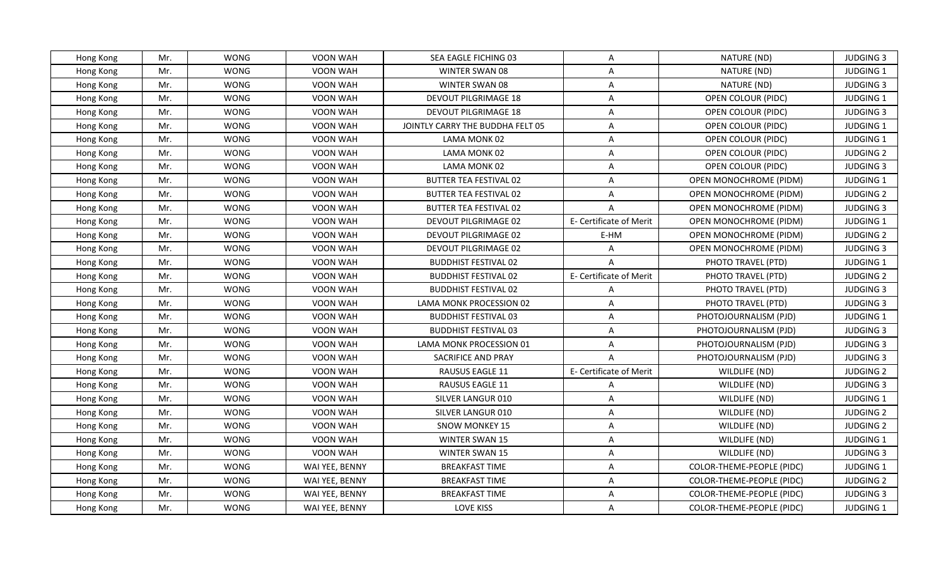| Hong Kong | Mr. | <b>WONG</b> | VOON WAH       | SEA EAGLE FICHING 03             | A                       | NATURE (ND)               | <b>JUDGING 3</b> |
|-----------|-----|-------------|----------------|----------------------------------|-------------------------|---------------------------|------------------|
| Hong Kong | Mr. | <b>WONG</b> | VOON WAH       | WINTER SWAN 08                   | A                       | NATURE (ND)               | JUDGING 1        |
| Hong Kong | Mr. | <b>WONG</b> | VOON WAH       | WINTER SWAN 08                   | $\mathsf{A}$            | NATURE (ND)               | <b>JUDGING 3</b> |
| Hong Kong | Mr. | <b>WONG</b> | VOON WAH       | DEVOUT PILGRIMAGE 18             | A                       | OPEN COLOUR (PIDC)        | JUDGING 1        |
| Hong Kong | Mr. | <b>WONG</b> | VOON WAH       | DEVOUT PILGRIMAGE 18             | A                       | OPEN COLOUR (PIDC)        | <b>JUDGING 3</b> |
| Hong Kong | Mr. | <b>WONG</b> | VOON WAH       | JOINTLY CARRY THE BUDDHA FELT 05 | A                       | OPEN COLOUR (PIDC)        | <b>JUDGING 1</b> |
| Hong Kong | Mr. | <b>WONG</b> | VOON WAH       | LAMA MONK 02                     | A                       | OPEN COLOUR (PIDC)        | JUDGING 1        |
| Hong Kong | Mr. | <b>WONG</b> | VOON WAH       | LAMA MONK 02                     | A                       | OPEN COLOUR (PIDC)        | <b>JUDGING 2</b> |
| Hong Kong | Mr. | <b>WONG</b> | VOON WAH       | LAMA MONK 02                     | A                       | OPEN COLOUR (PIDC)        | <b>JUDGING 3</b> |
| Hong Kong | Mr. | <b>WONG</b> | VOON WAH       | <b>BUTTER TEA FESTIVAL 02</b>    | A                       | OPEN MONOCHROME (PIDM)    | JUDGING 1        |
| Hong Kong | Mr. | <b>WONG</b> | VOON WAH       | <b>BUTTER TEA FESTIVAL 02</b>    | A                       | OPEN MONOCHROME (PIDM)    | <b>JUDGING 2</b> |
| Hong Kong | Mr. | <b>WONG</b> | VOON WAH       | <b>BUTTER TEA FESTIVAL 02</b>    | $\overline{A}$          | OPEN MONOCHROME (PIDM)    | <b>JUDGING 3</b> |
| Hong Kong | Mr. | <b>WONG</b> | VOON WAH       | DEVOUT PILGRIMAGE 02             | E- Certificate of Merit | OPEN MONOCHROME (PIDM)    | JUDGING 1        |
| Hong Kong | Mr. | <b>WONG</b> | VOON WAH       | DEVOUT PILGRIMAGE 02             | E-HM                    | OPEN MONOCHROME (PIDM)    | <b>JUDGING 2</b> |
| Hong Kong | Mr. | <b>WONG</b> | VOON WAH       | DEVOUT PILGRIMAGE 02             | A                       | OPEN MONOCHROME (PIDM)    | <b>JUDGING 3</b> |
| Hong Kong | Mr. | <b>WONG</b> | VOON WAH       | <b>BUDDHIST FESTIVAL 02</b>      | A                       | PHOTO TRAVEL (PTD)        | <b>JUDGING 1</b> |
| Hong Kong | Mr. | <b>WONG</b> | VOON WAH       | <b>BUDDHIST FESTIVAL 02</b>      | E- Certificate of Merit | PHOTO TRAVEL (PTD)        | <b>JUDGING 2</b> |
| Hong Kong | Mr. | <b>WONG</b> | VOON WAH       | <b>BUDDHIST FESTIVAL 02</b>      | A                       | PHOTO TRAVEL (PTD)        | <b>JUDGING 3</b> |
| Hong Kong | Mr. | <b>WONG</b> | VOON WAH       | LAMA MONK PROCESSION 02          | A                       | PHOTO TRAVEL (PTD)        | <b>JUDGING 3</b> |
| Hong Kong | Mr. | <b>WONG</b> | VOON WAH       | <b>BUDDHIST FESTIVAL 03</b>      | A                       | PHOTOJOURNALISM (PJD)     | JUDGING 1        |
| Hong Kong | Mr. | <b>WONG</b> | VOON WAH       | <b>BUDDHIST FESTIVAL 03</b>      | A                       | PHOTOJOURNALISM (PJD)     | <b>JUDGING 3</b> |
| Hong Kong | Mr. | <b>WONG</b> | VOON WAH       | LAMA MONK PROCESSION 01          | A                       | PHOTOJOURNALISM (PJD)     | <b>JUDGING 3</b> |
| Hong Kong | Mr. | <b>WONG</b> | VOON WAH       | SACRIFICE AND PRAY               | $\overline{A}$          | PHOTOJOURNALISM (PJD)     | <b>JUDGING 3</b> |
| Hong Kong | Mr. | <b>WONG</b> | VOON WAH       | RAUSUS EAGLE 11                  | E- Certificate of Merit | WILDLIFE (ND)             | <b>JUDGING 2</b> |
| Hong Kong | Mr. | <b>WONG</b> | VOON WAH       | RAUSUS EAGLE 11                  | A                       | WILDLIFE (ND)             | <b>JUDGING 3</b> |
| Hong Kong | Mr. | <b>WONG</b> | VOON WAH       | SILVER LANGUR 010                | A                       | WILDLIFE (ND)             | JUDGING 1        |
| Hong Kong | Mr. | <b>WONG</b> | VOON WAH       | SILVER LANGUR 010                | A                       | WILDLIFE (ND)             | <b>JUDGING 2</b> |
| Hong Kong | Mr. | <b>WONG</b> | VOON WAH       | <b>SNOW MONKEY 15</b>            | A                       | WILDLIFE (ND)             | <b>JUDGING 2</b> |
| Hong Kong | Mr. | <b>WONG</b> | VOON WAH       | <b>WINTER SWAN 15</b>            | A                       | WILDLIFE (ND)             | <b>JUDGING 1</b> |
| Hong Kong | Mr. | <b>WONG</b> | VOON WAH       | <b>WINTER SWAN 15</b>            | A                       | WILDLIFE (ND)             | <b>JUDGING 3</b> |
| Hong Kong | Mr. | <b>WONG</b> | WAI YEE, BENNY | <b>BREAKFAST TIME</b>            | A                       | COLOR-THEME-PEOPLE (PIDC) | <b>JUDGING 1</b> |
| Hong Kong | Mr. | WONG        | WAI YEE, BENNY | <b>BREAKFAST TIME</b>            | A                       | COLOR-THEME-PEOPLE (PIDC) | <b>JUDGING 2</b> |
| Hong Kong | Mr. | <b>WONG</b> | WAI YEE, BENNY | <b>BREAKFAST TIME</b>            | A                       | COLOR-THEME-PEOPLE (PIDC) | <b>JUDGING 3</b> |
| Hong Kong | Mr. | WONG        | WAI YEE, BENNY | LOVE KISS                        | A                       | COLOR-THEME-PEOPLE (PIDC) | <b>JUDGING 1</b> |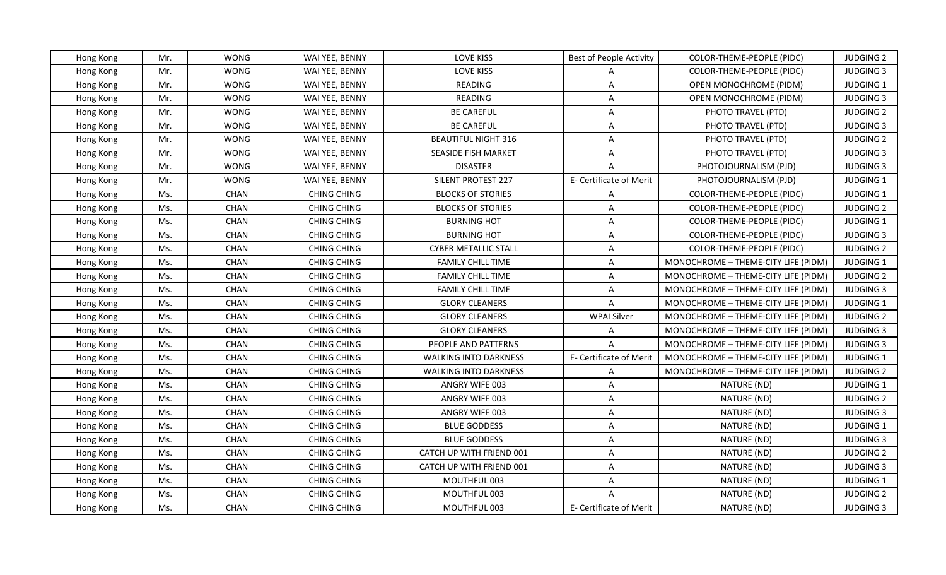| Hong Kong | Mr. | <b>WONG</b> | WAI YEE, BENNY     | LOVE KISS                    | <b>Best of People Activity</b> | COLOR-THEME-PEOPLE (PIDC)           | <b>JUDGING 2</b> |
|-----------|-----|-------------|--------------------|------------------------------|--------------------------------|-------------------------------------|------------------|
| Hong Kong | Mr. | <b>WONG</b> | WAI YEE, BENNY     | <b>LOVE KISS</b>             | $\mathsf{A}$                   | COLOR-THEME-PEOPLE (PIDC)           | <b>JUDGING 3</b> |
| Hong Kong | Mr. | <b>WONG</b> | WAI YEE, BENNY     | READING                      | A                              | OPEN MONOCHROME (PIDM)              | JUDGING 1        |
| Hong Kong | Mr. | <b>WONG</b> | WAI YEE, BENNY     | READING                      | A                              | OPEN MONOCHROME (PIDM)              | <b>JUDGING 3</b> |
| Hong Kong | Mr. | <b>WONG</b> | WAI YEE, BENNY     | <b>BE CAREFUL</b>            | A                              | PHOTO TRAVEL (PTD)                  | <b>JUDGING 2</b> |
| Hong Kong | Mr. | <b>WONG</b> | WAI YEE, BENNY     | <b>BE CAREFUL</b>            | A                              | PHOTO TRAVEL (PTD)                  | <b>JUDGING 3</b> |
| Hong Kong | Mr. | <b>WONG</b> | WAI YEE, BENNY     | <b>BEAUTIFUL NIGHT 316</b>   | A                              | PHOTO TRAVEL (PTD)                  | <b>JUDGING 2</b> |
| Hong Kong | Mr. | <b>WONG</b> | WAI YEE, BENNY     | SEASIDE FISH MARKET          | A                              | PHOTO TRAVEL (PTD)                  | <b>JUDGING 3</b> |
| Hong Kong | Mr. | <b>WONG</b> | WAI YEE, BENNY     | <b>DISASTER</b>              | $\overline{A}$                 | PHOTOJOURNALISM (PJD)               | <b>JUDGING 3</b> |
| Hong Kong | Mr. | <b>WONG</b> | WAI YEE, BENNY     | <b>SILENT PROTEST 227</b>    | E- Certificate of Merit        | PHOTOJOURNALISM (PJD)               | JUDGING 1        |
| Hong Kong | Ms. | CHAN        | <b>CHING CHING</b> | <b>BLOCKS OF STORIES</b>     | A                              | COLOR-THEME-PEOPLE (PIDC)           | JUDGING 1        |
| Hong Kong | Ms. | CHAN        | <b>CHING CHING</b> | <b>BLOCKS OF STORIES</b>     | A                              | COLOR-THEME-PEOPLE (PIDC)           | <b>JUDGING 2</b> |
| Hong Kong | Ms. | CHAN        | <b>CHING CHING</b> | <b>BURNING HOT</b>           | A                              | COLOR-THEME-PEOPLE (PIDC)           | JUDGING 1        |
| Hong Kong | Ms. | CHAN        | <b>CHING CHING</b> | <b>BURNING HOT</b>           | A                              | COLOR-THEME-PEOPLE (PIDC)           | <b>JUDGING 3</b> |
| Hong Kong | Ms. | <b>CHAN</b> | <b>CHING CHING</b> | <b>CYBER METALLIC STALL</b>  | A                              | COLOR-THEME-PEOPLE (PIDC)           | <b>JUDGING 2</b> |
| Hong Kong | Ms. | CHAN        | <b>CHING CHING</b> | <b>FAMILY CHILL TIME</b>     | A                              | MONOCHROME - THEME-CITY LIFE (PIDM) | JUDGING 1        |
| Hong Kong | Ms. | CHAN        | <b>CHING CHING</b> | <b>FAMILY CHILL TIME</b>     | A                              | MONOCHROME - THEME-CITY LIFE (PIDM) | <b>JUDGING 2</b> |
| Hong Kong | Ms. | CHAN        | <b>CHING CHING</b> | <b>FAMILY CHILL TIME</b>     | A                              | MONOCHROME - THEME-CITY LIFE (PIDM) | <b>JUDGING 3</b> |
| Hong Kong | Ms. | <b>CHAN</b> | <b>CHING CHING</b> | <b>GLORY CLEANERS</b>        | $\overline{A}$                 | MONOCHROME - THEME-CITY LIFE (PIDM) | <b>JUDGING 1</b> |
| Hong Kong | Ms. | <b>CHAN</b> | <b>CHING CHING</b> | <b>GLORY CLEANERS</b>        | <b>WPAI Silver</b>             | MONOCHROME - THEME-CITY LIFE (PIDM) | <b>JUDGING 2</b> |
| Hong Kong | Ms. | CHAN        | <b>CHING CHING</b> | <b>GLORY CLEANERS</b>        | A                              | MONOCHROME - THEME-CITY LIFE (PIDM) | <b>JUDGING 3</b> |
| Hong Kong | Ms. | <b>CHAN</b> | <b>CHING CHING</b> | PEOPLE AND PATTERNS          | $\mathsf{A}$                   | MONOCHROME - THEME-CITY LIFE (PIDM) | <b>JUDGING 3</b> |
| Hong Kong | Ms. | CHAN        | <b>CHING CHING</b> | <b>WALKING INTO DARKNESS</b> | E- Certificate of Merit        | MONOCHROME - THEME-CITY LIFE (PIDM) | JUDGING 1        |
| Hong Kong | Ms. | CHAN        | <b>CHING CHING</b> | <b>WALKING INTO DARKNESS</b> | A                              | MONOCHROME - THEME-CITY LIFE (PIDM) | <b>JUDGING 2</b> |
| Hong Kong | Ms. | <b>CHAN</b> | <b>CHING CHING</b> | ANGRY WIFE 003               | A                              | NATURE (ND)                         | JUDGING 1        |
| Hong Kong | Ms. | CHAN        | <b>CHING CHING</b> | ANGRY WIFE 003               | A                              | NATURE (ND)                         | <b>JUDGING 2</b> |
| Hong Kong | Ms. | CHAN        | <b>CHING CHING</b> | ANGRY WIFE 003               | A                              | NATURE (ND)                         | <b>JUDGING 3</b> |
| Hong Kong | Ms. | CHAN        | <b>CHING CHING</b> | <b>BLUE GODDESS</b>          | A                              | NATURE (ND)                         | JUDGING 1        |
| Hong Kong | Ms. | <b>CHAN</b> | <b>CHING CHING</b> | <b>BLUE GODDESS</b>          | $\overline{A}$                 | NATURE (ND)                         | <b>JUDGING 3</b> |
| Hong Kong | Ms. | CHAN        | <b>CHING CHING</b> | CATCH UP WITH FRIEND 001     | A                              | NATURE (ND)                         | <b>JUDGING 2</b> |
| Hong Kong | Ms. | CHAN        | <b>CHING CHING</b> | CATCH UP WITH FRIEND 001     | A                              | NATURE (ND)                         | <b>JUDGING 3</b> |
| Hong Kong | Ms. | CHAN        | <b>CHING CHING</b> | MOUTHFUL 003                 | A                              | NATURE (ND)                         | JUDGING 1        |
| Hong Kong | Ms. | CHAN        | <b>CHING CHING</b> | MOUTHFUL 003                 | A                              | NATURE (ND)                         | <b>JUDGING 2</b> |
| Hong Kong | Ms. | <b>CHAN</b> | <b>CHING CHING</b> | MOUTHFUL 003                 | E- Certificate of Merit        | NATURE (ND)                         | JUDGING 3        |
|           |     |             |                    |                              |                                |                                     |                  |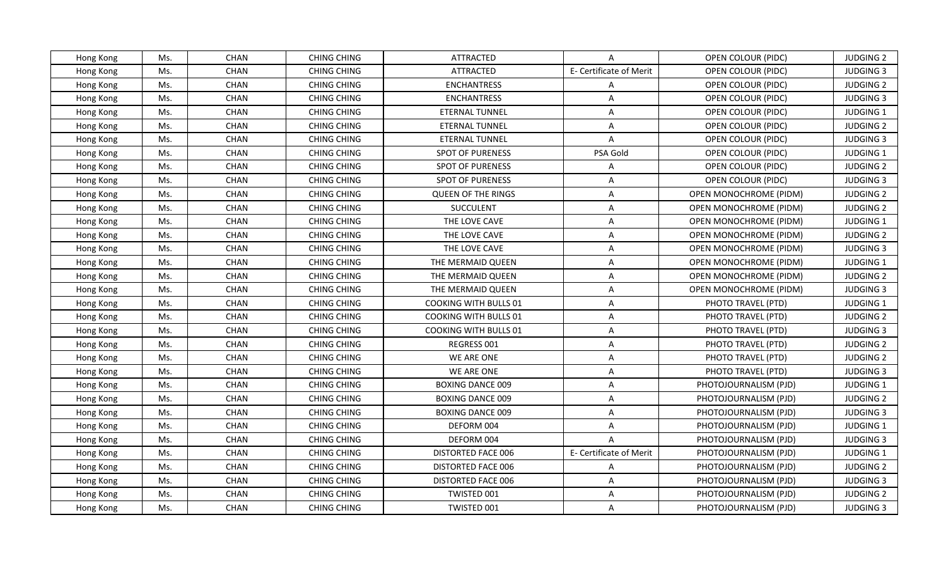| Hong Kong | Ms. | <b>CHAN</b> | <b>CHING CHING</b> | ATTRACTED                    | A                       | OPEN COLOUR (PIDC)            | <b>JUDGING 2</b> |
|-----------|-----|-------------|--------------------|------------------------------|-------------------------|-------------------------------|------------------|
| Hong Kong | Ms. | <b>CHAN</b> | <b>CHING CHING</b> | <b>ATTRACTED</b>             | E- Certificate of Merit | OPEN COLOUR (PIDC)            | <b>JUDGING 3</b> |
| Hong Kong | Ms. | CHAN        | <b>CHING CHING</b> | <b>ENCHANTRESS</b>           | A                       | OPEN COLOUR (PIDC)            | <b>JUDGING 2</b> |
| Hong Kong | Ms. | CHAN        | <b>CHING CHING</b> | <b>ENCHANTRESS</b>           | $\overline{A}$          | OPEN COLOUR (PIDC)            | <b>JUDGING 3</b> |
| Hong Kong | Ms. | CHAN        | <b>CHING CHING</b> | <b>ETERNAL TUNNEL</b>        | A                       | OPEN COLOUR (PIDC)            | JUDGING 1        |
| Hong Kong | Ms. | <b>CHAN</b> | <b>CHING CHING</b> | ETERNAL TUNNEL               | A                       | OPEN COLOUR (PIDC)            | <b>JUDGING 2</b> |
| Hong Kong | Ms. | <b>CHAN</b> | <b>CHING CHING</b> | <b>ETERNAL TUNNEL</b>        | $\overline{A}$          | OPEN COLOUR (PIDC)            | <b>JUDGING 3</b> |
| Hong Kong | Ms. | CHAN        | <b>CHING CHING</b> | <b>SPOT OF PURENESS</b>      | PSA Gold                | OPEN COLOUR (PIDC)            | JUDGING 1        |
| Hong Kong | Ms. | <b>CHAN</b> | <b>CHING CHING</b> | <b>SPOT OF PURENESS</b>      | $\overline{A}$          | OPEN COLOUR (PIDC)            | <b>JUDGING 2</b> |
| Hong Kong | Ms. | CHAN        | <b>CHING CHING</b> | <b>SPOT OF PURENESS</b>      | A                       | OPEN COLOUR (PIDC)            | <b>JUDGING 3</b> |
| Hong Kong | Ms. | CHAN        | <b>CHING CHING</b> | <b>QUEEN OF THE RINGS</b>    | A                       | OPEN MONOCHROME (PIDM)        | <b>JUDGING 2</b> |
| Hong Kong | Ms. | <b>CHAN</b> | <b>CHING CHING</b> | <b>SUCCULENT</b>             | A                       | <b>OPEN MONOCHROME (PIDM)</b> | <b>JUDGING 2</b> |
| Hong Kong | Ms. | CHAN        | <b>CHING CHING</b> | THE LOVE CAVE                | A                       | OPEN MONOCHROME (PIDM)        | JUDGING 1        |
| Hong Kong | Ms. | CHAN        | <b>CHING CHING</b> | THE LOVE CAVE                | A                       | OPEN MONOCHROME (PIDM)        | <b>JUDGING 2</b> |
| Hong Kong | Ms. | CHAN        | <b>CHING CHING</b> | THE LOVE CAVE                | A                       | <b>OPEN MONOCHROME (PIDM)</b> | <b>JUDGING 3</b> |
| Hong Kong | Ms. | CHAN        | <b>CHING CHING</b> | THE MERMAID QUEEN            | A                       | OPEN MONOCHROME (PIDM)        | <b>JUDGING 1</b> |
| Hong Kong | Ms. | CHAN        | <b>CHING CHING</b> | THE MERMAID QUEEN            | A                       | OPEN MONOCHROME (PIDM)        | <b>JUDGING 2</b> |
| Hong Kong | Ms. | <b>CHAN</b> | <b>CHING CHING</b> | THE MERMAID QUEEN            | A                       | OPEN MONOCHROME (PIDM)        | <b>JUDGING 3</b> |
| Hong Kong | Ms. | <b>CHAN</b> | <b>CHING CHING</b> | <b>COOKING WITH BULLS 01</b> | A                       | PHOTO TRAVEL (PTD)            | <b>JUDGING 1</b> |
| Hong Kong | Ms. | CHAN        | <b>CHING CHING</b> | <b>COOKING WITH BULLS 01</b> | A                       | PHOTO TRAVEL (PTD)            | <b>JUDGING 2</b> |
| Hong Kong | Ms. | CHAN        | CHING CHING        | <b>COOKING WITH BULLS 01</b> | A                       | PHOTO TRAVEL (PTD)            | <b>JUDGING 3</b> |
| Hong Kong | Ms. | CHAN        | <b>CHING CHING</b> | REGRESS 001                  | A                       | PHOTO TRAVEL (PTD)            | <b>JUDGING 2</b> |
| Hong Kong | Ms. | CHAN        | <b>CHING CHING</b> | WE ARE ONE                   | A                       | PHOTO TRAVEL (PTD)            | <b>JUDGING 2</b> |
| Hong Kong | Ms. | <b>CHAN</b> | <b>CHING CHING</b> | WE ARE ONE                   | A                       | PHOTO TRAVEL (PTD)            | <b>JUDGING 3</b> |
| Hong Kong | Ms. | CHAN        | <b>CHING CHING</b> | <b>BOXING DANCE 009</b>      | A                       | PHOTOJOURNALISM (PJD)         | JUDGING 1        |
| Hong Kong | Ms. | CHAN        | <b>CHING CHING</b> | <b>BOXING DANCE 009</b>      | A                       | PHOTOJOURNALISM (PJD)         | <b>JUDGING 2</b> |
| Hong Kong | Ms. | CHAN        | <b>CHING CHING</b> | <b>BOXING DANCE 009</b>      | A                       | PHOTOJOURNALISM (PJD)         | <b>JUDGING 3</b> |
| Hong Kong | Ms. | CHAN        | <b>CHING CHING</b> | DEFORM 004                   | A                       | PHOTOJOURNALISM (PJD)         | JUDGING 1        |
| Hong Kong | Ms. | <b>CHAN</b> | <b>CHING CHING</b> | DEFORM 004                   | $\overline{A}$          | PHOTOJOURNALISM (PJD)         | <b>JUDGING 3</b> |
| Hong Kong | Ms. | CHAN        | <b>CHING CHING</b> | <b>DISTORTED FACE 006</b>    | E- Certificate of Merit | PHOTOJOURNALISM (PJD)         | JUDGING 1        |
| Hong Kong | Ms. | CHAN        | <b>CHING CHING</b> | DISTORTED FACE 006           | A                       | PHOTOJOURNALISM (PJD)         | <b>JUDGING 2</b> |
| Hong Kong | Ms. | CHAN        | <b>CHING CHING</b> | DISTORTED FACE 006           | $\mathsf{A}$            | PHOTOJOURNALISM (PJD)         | <b>JUDGING 3</b> |
| Hong Kong | Ms. | CHAN        | <b>CHING CHING</b> | TWISTED 001                  | A                       | PHOTOJOURNALISM (PJD)         | <b>JUDGING 2</b> |
| Hong Kong | Ms. | <b>CHAN</b> | <b>CHING CHING</b> | TWISTED 001                  | A                       | PHOTOJOURNALISM (PJD)         | <b>JUDGING 3</b> |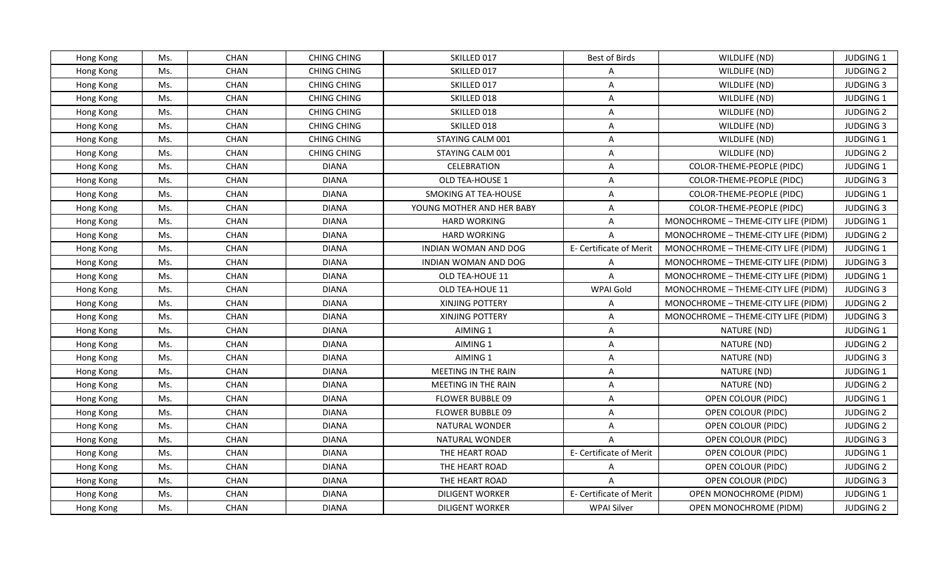| <b>CHAN</b><br><b>CHING CHING</b><br>SKILLED 017<br>Best of Birds<br>WILDLIFE (ND)<br><b>JUDGING 1</b><br>Hong Kong<br>Ms.<br><b>CHAN</b><br><b>CHING CHING</b><br>SKILLED 017<br><b>JUDGING 2</b><br>Ms.<br>WILDLIFE (ND)<br>Hong Kong<br>A<br>CHAN<br><b>CHING CHING</b><br>SKILLED 017<br>A<br><b>JUDGING 3</b><br>Ms.<br>WILDLIFE (ND)<br>Hong Kong<br>CHAN<br>SKILLED 018<br>Ms.<br><b>CHING CHING</b><br>A<br>WILDLIFE (ND)<br>JUDGING 1<br>Hong Kong<br><b>CHAN</b><br>Ms.<br><b>CHING CHING</b><br>SKILLED 018<br>$\overline{\mathsf{A}}$<br>WILDLIFE (ND)<br><b>JUDGING 2</b><br>Hong Kong<br>Ms.<br>CHAN<br><b>CHING CHING</b><br>SKILLED 018<br>WILDLIFE (ND)<br><b>JUDGING 3</b><br>Hong Kong<br>A<br><b>CHAN</b><br><b>CHING CHING</b><br>Ms.<br>STAYING CALM 001<br>A<br>WILDLIFE (ND)<br>JUDGING 1<br>Hong Kong<br>CHAN<br><b>CHING CHING</b><br>A<br>WILDLIFE (ND)<br><b>JUDGING 2</b><br>Ms.<br>STAYING CALM 001<br>Hong Kong<br>CHAN<br>Ms.<br><b>DIANA</b><br>CELEBRATION<br>A<br>COLOR-THEME-PEOPLE (PIDC)<br>JUDGING 1<br>Hong Kong<br>CHAN<br>Ms.<br><b>DIANA</b><br>OLD TEA-HOUSE 1<br>$\overline{\mathsf{A}}$<br>COLOR-THEME-PEOPLE (PIDC)<br><b>JUDGING 3</b><br>Hong Kong<br>Ms.<br>CHAN<br><b>DIANA</b><br>SMOKING AT TEA-HOUSE<br>A<br><b>JUDGING 1</b><br>COLOR-THEME-PEOPLE (PIDC)<br>Hong Kong<br><b>CHAN</b><br><b>JUDGING 3</b><br>Ms.<br><b>DIANA</b><br>YOUNG MOTHER AND HER BABY<br>A<br>COLOR-THEME-PEOPLE (PIDC)<br>Hong Kong<br>CHAN<br>JUDGING 1<br>Ms.<br><b>DIANA</b><br><b>HARD WORKING</b><br>A<br>MONOCHROME - THEME-CITY LIFE (PIDM)<br>Hong Kong<br>CHAN<br>Ms.<br><b>DIANA</b><br><b>HARD WORKING</b><br>$\overline{A}$<br>MONOCHROME - THEME-CITY LIFE (PIDM)<br><b>JUDGING 2</b><br>Hong Kong<br>Ms.<br>CHAN<br>E- Certificate of Merit<br>JUDGING 1<br><b>DIANA</b><br>INDIAN WOMAN AND DOG<br>MONOCHROME - THEME-CITY LIFE (PIDM)<br>Hong Kong<br>CHAN<br>Ms.<br><b>DIANA</b><br>INDIAN WOMAN AND DOG<br>A<br>MONOCHROME - THEME-CITY LIFE (PIDM)<br><b>JUDGING 3</b><br>Hong Kong<br>CHAN<br><b>DIANA</b><br>A<br>JUDGING 1<br>Ms.<br>OLD TEA-HOUE 11<br>MONOCHROME - THEME-CITY LIFE (PIDM)<br>Hong Kong<br>CHAN<br>Ms.<br><b>DIANA</b><br>OLD TEA-HOUE 11<br>WPAI Gold<br>MONOCHROME - THEME-CITY LIFE (PIDM)<br><b>JUDGING 3</b><br>Hong Kong<br>CHAN<br><b>DIANA</b><br><b>JUDGING 2</b><br>Ms.<br>XINJING POTTERY<br>$\mathsf{A}$<br>MONOCHROME - THEME-CITY LIFE (PIDM)<br>Hong Kong<br>Ms.<br>CHAN<br>XINJING POTTERY<br><b>JUDGING 3</b><br><b>DIANA</b><br>A<br>MONOCHROME - THEME-CITY LIFE (PIDM)<br>Hong Kong<br>Ms.<br>CHAN<br><b>DIANA</b><br>AIMING 1<br>A<br>NATURE (ND)<br><b>JUDGING 1</b><br>Hong Kong<br>Ms.<br>CHAN<br><b>DIANA</b><br>AIMING 1<br>A<br>NATURE (ND)<br><b>JUDGING 2</b><br>Hong Kong<br><b>CHAN</b><br>AIMING 1<br><b>JUDGING 3</b><br>Ms.<br><b>DIANA</b><br>A<br>NATURE (ND)<br>Hong Kong<br>CHAN<br>MEETING IN THE RAIN<br>A<br>JUDGING 1<br>Ms.<br><b>DIANA</b><br>NATURE (ND)<br>Hong Kong<br>CHAN<br>Ms.<br><b>DIANA</b><br><b>MEETING IN THE RAIN</b><br>NATURE (ND)<br><b>JUDGING 2</b><br>Hong Kong<br>A<br>CHAN<br>JUDGING 1<br>Ms.<br><b>DIANA</b><br>FLOWER BUBBLE 09<br>A<br>OPEN COLOUR (PIDC)<br>Hong Kong<br>CHAN<br><b>FLOWER BUBBLE 09</b><br>A<br><b>JUDGING 2</b><br>Ms.<br><b>DIANA</b><br>OPEN COLOUR (PIDC)<br>Hong Kong<br><b>CHAN</b><br>Ms.<br><b>DIANA</b><br>NATURAL WONDER<br>A<br>OPEN COLOUR (PIDC)<br><b>JUDGING 2</b><br>Hong Kong<br>CHAN<br>Ms.<br><b>DIANA</b><br>NATURAL WONDER<br>$\overline{A}$<br>OPEN COLOUR (PIDC)<br><b>JUDGING 3</b><br>Hong Kong<br>CHAN<br>E- Certificate of Merit<br>JUDGING 1<br>Ms.<br><b>DIANA</b><br>THE HEART ROAD<br>OPEN COLOUR (PIDC)<br>Hong Kong<br>CHAN<br>THE HEART ROAD<br><b>JUDGING 2</b><br>Ms.<br><b>DIANA</b><br>A<br>OPEN COLOUR (PIDC)<br>Hong Kong<br>THE HEART ROAD<br>OPEN COLOUR (PIDC)<br><b>JUDGING 3</b><br>Ms.<br>CHAN<br><b>DIANA</b><br>$\mathsf{A}$<br>Hong Kong<br>Ms.<br>CHAN<br><b>DIANA</b><br><b>DILIGENT WORKER</b><br>E- Certificate of Merit<br>OPEN MONOCHROME (PIDM)<br>JUDGING 1<br>Hong Kong<br>Ms.<br><b>CHAN</b><br><b>DIANA</b><br><b>DILIGENT WORKER</b><br><b>WPAI Silver</b><br>OPEN MONOCHROME (PIDM)<br><b>JUDGING 2</b><br>Hong Kong |  |  |  |  |
|---------------------------------------------------------------------------------------------------------------------------------------------------------------------------------------------------------------------------------------------------------------------------------------------------------------------------------------------------------------------------------------------------------------------------------------------------------------------------------------------------------------------------------------------------------------------------------------------------------------------------------------------------------------------------------------------------------------------------------------------------------------------------------------------------------------------------------------------------------------------------------------------------------------------------------------------------------------------------------------------------------------------------------------------------------------------------------------------------------------------------------------------------------------------------------------------------------------------------------------------------------------------------------------------------------------------------------------------------------------------------------------------------------------------------------------------------------------------------------------------------------------------------------------------------------------------------------------------------------------------------------------------------------------------------------------------------------------------------------------------------------------------------------------------------------------------------------------------------------------------------------------------------------------------------------------------------------------------------------------------------------------------------------------------------------------------------------------------------------------------------------------------------------------------------------------------------------------------------------------------------------------------------------------------------------------------------------------------------------------------------------------------------------------------------------------------------------------------------------------------------------------------------------------------------------------------------------------------------------------------------------------------------------------------------------------------------------------------------------------------------------------------------------------------------------------------------------------------------------------------------------------------------------------------------------------------------------------------------------------------------------------------------------------------------------------------------------------------------------------------------------------------------------------------------------------------------------------------------------------------------------------------------------------------------------------------------------------------------------------------------------------------------------------------------------------------------------------------------------------------------------------------------------------------------------------------------------------------------------------------------------------------------------------------------------------------------------------------------------------------------------------------------------------------------------------------------------------------------------------------------------------------------------------------------------------------------------------------------------------------------------------------------------------------------------------------------------------------------------------------------------------------------------------------------------------------------------------------------------------------------|--|--|--|--|
|                                                                                                                                                                                                                                                                                                                                                                                                                                                                                                                                                                                                                                                                                                                                                                                                                                                                                                                                                                                                                                                                                                                                                                                                                                                                                                                                                                                                                                                                                                                                                                                                                                                                                                                                                                                                                                                                                                                                                                                                                                                                                                                                                                                                                                                                                                                                                                                                                                                                                                                                                                                                                                                                                                                                                                                                                                                                                                                                                                                                                                                                                                                                                                                                                                                                                                                                                                                                                                                                                                                                                                                                                                                                                                                                                                                                                                                                                                                                                                                                                                                                                                                                                                                                                                                   |  |  |  |  |
|                                                                                                                                                                                                                                                                                                                                                                                                                                                                                                                                                                                                                                                                                                                                                                                                                                                                                                                                                                                                                                                                                                                                                                                                                                                                                                                                                                                                                                                                                                                                                                                                                                                                                                                                                                                                                                                                                                                                                                                                                                                                                                                                                                                                                                                                                                                                                                                                                                                                                                                                                                                                                                                                                                                                                                                                                                                                                                                                                                                                                                                                                                                                                                                                                                                                                                                                                                                                                                                                                                                                                                                                                                                                                                                                                                                                                                                                                                                                                                                                                                                                                                                                                                                                                                                   |  |  |  |  |
|                                                                                                                                                                                                                                                                                                                                                                                                                                                                                                                                                                                                                                                                                                                                                                                                                                                                                                                                                                                                                                                                                                                                                                                                                                                                                                                                                                                                                                                                                                                                                                                                                                                                                                                                                                                                                                                                                                                                                                                                                                                                                                                                                                                                                                                                                                                                                                                                                                                                                                                                                                                                                                                                                                                                                                                                                                                                                                                                                                                                                                                                                                                                                                                                                                                                                                                                                                                                                                                                                                                                                                                                                                                                                                                                                                                                                                                                                                                                                                                                                                                                                                                                                                                                                                                   |  |  |  |  |
|                                                                                                                                                                                                                                                                                                                                                                                                                                                                                                                                                                                                                                                                                                                                                                                                                                                                                                                                                                                                                                                                                                                                                                                                                                                                                                                                                                                                                                                                                                                                                                                                                                                                                                                                                                                                                                                                                                                                                                                                                                                                                                                                                                                                                                                                                                                                                                                                                                                                                                                                                                                                                                                                                                                                                                                                                                                                                                                                                                                                                                                                                                                                                                                                                                                                                                                                                                                                                                                                                                                                                                                                                                                                                                                                                                                                                                                                                                                                                                                                                                                                                                                                                                                                                                                   |  |  |  |  |
|                                                                                                                                                                                                                                                                                                                                                                                                                                                                                                                                                                                                                                                                                                                                                                                                                                                                                                                                                                                                                                                                                                                                                                                                                                                                                                                                                                                                                                                                                                                                                                                                                                                                                                                                                                                                                                                                                                                                                                                                                                                                                                                                                                                                                                                                                                                                                                                                                                                                                                                                                                                                                                                                                                                                                                                                                                                                                                                                                                                                                                                                                                                                                                                                                                                                                                                                                                                                                                                                                                                                                                                                                                                                                                                                                                                                                                                                                                                                                                                                                                                                                                                                                                                                                                                   |  |  |  |  |
|                                                                                                                                                                                                                                                                                                                                                                                                                                                                                                                                                                                                                                                                                                                                                                                                                                                                                                                                                                                                                                                                                                                                                                                                                                                                                                                                                                                                                                                                                                                                                                                                                                                                                                                                                                                                                                                                                                                                                                                                                                                                                                                                                                                                                                                                                                                                                                                                                                                                                                                                                                                                                                                                                                                                                                                                                                                                                                                                                                                                                                                                                                                                                                                                                                                                                                                                                                                                                                                                                                                                                                                                                                                                                                                                                                                                                                                                                                                                                                                                                                                                                                                                                                                                                                                   |  |  |  |  |
|                                                                                                                                                                                                                                                                                                                                                                                                                                                                                                                                                                                                                                                                                                                                                                                                                                                                                                                                                                                                                                                                                                                                                                                                                                                                                                                                                                                                                                                                                                                                                                                                                                                                                                                                                                                                                                                                                                                                                                                                                                                                                                                                                                                                                                                                                                                                                                                                                                                                                                                                                                                                                                                                                                                                                                                                                                                                                                                                                                                                                                                                                                                                                                                                                                                                                                                                                                                                                                                                                                                                                                                                                                                                                                                                                                                                                                                                                                                                                                                                                                                                                                                                                                                                                                                   |  |  |  |  |
|                                                                                                                                                                                                                                                                                                                                                                                                                                                                                                                                                                                                                                                                                                                                                                                                                                                                                                                                                                                                                                                                                                                                                                                                                                                                                                                                                                                                                                                                                                                                                                                                                                                                                                                                                                                                                                                                                                                                                                                                                                                                                                                                                                                                                                                                                                                                                                                                                                                                                                                                                                                                                                                                                                                                                                                                                                                                                                                                                                                                                                                                                                                                                                                                                                                                                                                                                                                                                                                                                                                                                                                                                                                                                                                                                                                                                                                                                                                                                                                                                                                                                                                                                                                                                                                   |  |  |  |  |
|                                                                                                                                                                                                                                                                                                                                                                                                                                                                                                                                                                                                                                                                                                                                                                                                                                                                                                                                                                                                                                                                                                                                                                                                                                                                                                                                                                                                                                                                                                                                                                                                                                                                                                                                                                                                                                                                                                                                                                                                                                                                                                                                                                                                                                                                                                                                                                                                                                                                                                                                                                                                                                                                                                                                                                                                                                                                                                                                                                                                                                                                                                                                                                                                                                                                                                                                                                                                                                                                                                                                                                                                                                                                                                                                                                                                                                                                                                                                                                                                                                                                                                                                                                                                                                                   |  |  |  |  |
|                                                                                                                                                                                                                                                                                                                                                                                                                                                                                                                                                                                                                                                                                                                                                                                                                                                                                                                                                                                                                                                                                                                                                                                                                                                                                                                                                                                                                                                                                                                                                                                                                                                                                                                                                                                                                                                                                                                                                                                                                                                                                                                                                                                                                                                                                                                                                                                                                                                                                                                                                                                                                                                                                                                                                                                                                                                                                                                                                                                                                                                                                                                                                                                                                                                                                                                                                                                                                                                                                                                                                                                                                                                                                                                                                                                                                                                                                                                                                                                                                                                                                                                                                                                                                                                   |  |  |  |  |
|                                                                                                                                                                                                                                                                                                                                                                                                                                                                                                                                                                                                                                                                                                                                                                                                                                                                                                                                                                                                                                                                                                                                                                                                                                                                                                                                                                                                                                                                                                                                                                                                                                                                                                                                                                                                                                                                                                                                                                                                                                                                                                                                                                                                                                                                                                                                                                                                                                                                                                                                                                                                                                                                                                                                                                                                                                                                                                                                                                                                                                                                                                                                                                                                                                                                                                                                                                                                                                                                                                                                                                                                                                                                                                                                                                                                                                                                                                                                                                                                                                                                                                                                                                                                                                                   |  |  |  |  |
|                                                                                                                                                                                                                                                                                                                                                                                                                                                                                                                                                                                                                                                                                                                                                                                                                                                                                                                                                                                                                                                                                                                                                                                                                                                                                                                                                                                                                                                                                                                                                                                                                                                                                                                                                                                                                                                                                                                                                                                                                                                                                                                                                                                                                                                                                                                                                                                                                                                                                                                                                                                                                                                                                                                                                                                                                                                                                                                                                                                                                                                                                                                                                                                                                                                                                                                                                                                                                                                                                                                                                                                                                                                                                                                                                                                                                                                                                                                                                                                                                                                                                                                                                                                                                                                   |  |  |  |  |
|                                                                                                                                                                                                                                                                                                                                                                                                                                                                                                                                                                                                                                                                                                                                                                                                                                                                                                                                                                                                                                                                                                                                                                                                                                                                                                                                                                                                                                                                                                                                                                                                                                                                                                                                                                                                                                                                                                                                                                                                                                                                                                                                                                                                                                                                                                                                                                                                                                                                                                                                                                                                                                                                                                                                                                                                                                                                                                                                                                                                                                                                                                                                                                                                                                                                                                                                                                                                                                                                                                                                                                                                                                                                                                                                                                                                                                                                                                                                                                                                                                                                                                                                                                                                                                                   |  |  |  |  |
|                                                                                                                                                                                                                                                                                                                                                                                                                                                                                                                                                                                                                                                                                                                                                                                                                                                                                                                                                                                                                                                                                                                                                                                                                                                                                                                                                                                                                                                                                                                                                                                                                                                                                                                                                                                                                                                                                                                                                                                                                                                                                                                                                                                                                                                                                                                                                                                                                                                                                                                                                                                                                                                                                                                                                                                                                                                                                                                                                                                                                                                                                                                                                                                                                                                                                                                                                                                                                                                                                                                                                                                                                                                                                                                                                                                                                                                                                                                                                                                                                                                                                                                                                                                                                                                   |  |  |  |  |
|                                                                                                                                                                                                                                                                                                                                                                                                                                                                                                                                                                                                                                                                                                                                                                                                                                                                                                                                                                                                                                                                                                                                                                                                                                                                                                                                                                                                                                                                                                                                                                                                                                                                                                                                                                                                                                                                                                                                                                                                                                                                                                                                                                                                                                                                                                                                                                                                                                                                                                                                                                                                                                                                                                                                                                                                                                                                                                                                                                                                                                                                                                                                                                                                                                                                                                                                                                                                                                                                                                                                                                                                                                                                                                                                                                                                                                                                                                                                                                                                                                                                                                                                                                                                                                                   |  |  |  |  |
|                                                                                                                                                                                                                                                                                                                                                                                                                                                                                                                                                                                                                                                                                                                                                                                                                                                                                                                                                                                                                                                                                                                                                                                                                                                                                                                                                                                                                                                                                                                                                                                                                                                                                                                                                                                                                                                                                                                                                                                                                                                                                                                                                                                                                                                                                                                                                                                                                                                                                                                                                                                                                                                                                                                                                                                                                                                                                                                                                                                                                                                                                                                                                                                                                                                                                                                                                                                                                                                                                                                                                                                                                                                                                                                                                                                                                                                                                                                                                                                                                                                                                                                                                                                                                                                   |  |  |  |  |
|                                                                                                                                                                                                                                                                                                                                                                                                                                                                                                                                                                                                                                                                                                                                                                                                                                                                                                                                                                                                                                                                                                                                                                                                                                                                                                                                                                                                                                                                                                                                                                                                                                                                                                                                                                                                                                                                                                                                                                                                                                                                                                                                                                                                                                                                                                                                                                                                                                                                                                                                                                                                                                                                                                                                                                                                                                                                                                                                                                                                                                                                                                                                                                                                                                                                                                                                                                                                                                                                                                                                                                                                                                                                                                                                                                                                                                                                                                                                                                                                                                                                                                                                                                                                                                                   |  |  |  |  |
|                                                                                                                                                                                                                                                                                                                                                                                                                                                                                                                                                                                                                                                                                                                                                                                                                                                                                                                                                                                                                                                                                                                                                                                                                                                                                                                                                                                                                                                                                                                                                                                                                                                                                                                                                                                                                                                                                                                                                                                                                                                                                                                                                                                                                                                                                                                                                                                                                                                                                                                                                                                                                                                                                                                                                                                                                                                                                                                                                                                                                                                                                                                                                                                                                                                                                                                                                                                                                                                                                                                                                                                                                                                                                                                                                                                                                                                                                                                                                                                                                                                                                                                                                                                                                                                   |  |  |  |  |
|                                                                                                                                                                                                                                                                                                                                                                                                                                                                                                                                                                                                                                                                                                                                                                                                                                                                                                                                                                                                                                                                                                                                                                                                                                                                                                                                                                                                                                                                                                                                                                                                                                                                                                                                                                                                                                                                                                                                                                                                                                                                                                                                                                                                                                                                                                                                                                                                                                                                                                                                                                                                                                                                                                                                                                                                                                                                                                                                                                                                                                                                                                                                                                                                                                                                                                                                                                                                                                                                                                                                                                                                                                                                                                                                                                                                                                                                                                                                                                                                                                                                                                                                                                                                                                                   |  |  |  |  |
|                                                                                                                                                                                                                                                                                                                                                                                                                                                                                                                                                                                                                                                                                                                                                                                                                                                                                                                                                                                                                                                                                                                                                                                                                                                                                                                                                                                                                                                                                                                                                                                                                                                                                                                                                                                                                                                                                                                                                                                                                                                                                                                                                                                                                                                                                                                                                                                                                                                                                                                                                                                                                                                                                                                                                                                                                                                                                                                                                                                                                                                                                                                                                                                                                                                                                                                                                                                                                                                                                                                                                                                                                                                                                                                                                                                                                                                                                                                                                                                                                                                                                                                                                                                                                                                   |  |  |  |  |
|                                                                                                                                                                                                                                                                                                                                                                                                                                                                                                                                                                                                                                                                                                                                                                                                                                                                                                                                                                                                                                                                                                                                                                                                                                                                                                                                                                                                                                                                                                                                                                                                                                                                                                                                                                                                                                                                                                                                                                                                                                                                                                                                                                                                                                                                                                                                                                                                                                                                                                                                                                                                                                                                                                                                                                                                                                                                                                                                                                                                                                                                                                                                                                                                                                                                                                                                                                                                                                                                                                                                                                                                                                                                                                                                                                                                                                                                                                                                                                                                                                                                                                                                                                                                                                                   |  |  |  |  |
|                                                                                                                                                                                                                                                                                                                                                                                                                                                                                                                                                                                                                                                                                                                                                                                                                                                                                                                                                                                                                                                                                                                                                                                                                                                                                                                                                                                                                                                                                                                                                                                                                                                                                                                                                                                                                                                                                                                                                                                                                                                                                                                                                                                                                                                                                                                                                                                                                                                                                                                                                                                                                                                                                                                                                                                                                                                                                                                                                                                                                                                                                                                                                                                                                                                                                                                                                                                                                                                                                                                                                                                                                                                                                                                                                                                                                                                                                                                                                                                                                                                                                                                                                                                                                                                   |  |  |  |  |
|                                                                                                                                                                                                                                                                                                                                                                                                                                                                                                                                                                                                                                                                                                                                                                                                                                                                                                                                                                                                                                                                                                                                                                                                                                                                                                                                                                                                                                                                                                                                                                                                                                                                                                                                                                                                                                                                                                                                                                                                                                                                                                                                                                                                                                                                                                                                                                                                                                                                                                                                                                                                                                                                                                                                                                                                                                                                                                                                                                                                                                                                                                                                                                                                                                                                                                                                                                                                                                                                                                                                                                                                                                                                                                                                                                                                                                                                                                                                                                                                                                                                                                                                                                                                                                                   |  |  |  |  |
|                                                                                                                                                                                                                                                                                                                                                                                                                                                                                                                                                                                                                                                                                                                                                                                                                                                                                                                                                                                                                                                                                                                                                                                                                                                                                                                                                                                                                                                                                                                                                                                                                                                                                                                                                                                                                                                                                                                                                                                                                                                                                                                                                                                                                                                                                                                                                                                                                                                                                                                                                                                                                                                                                                                                                                                                                                                                                                                                                                                                                                                                                                                                                                                                                                                                                                                                                                                                                                                                                                                                                                                                                                                                                                                                                                                                                                                                                                                                                                                                                                                                                                                                                                                                                                                   |  |  |  |  |
|                                                                                                                                                                                                                                                                                                                                                                                                                                                                                                                                                                                                                                                                                                                                                                                                                                                                                                                                                                                                                                                                                                                                                                                                                                                                                                                                                                                                                                                                                                                                                                                                                                                                                                                                                                                                                                                                                                                                                                                                                                                                                                                                                                                                                                                                                                                                                                                                                                                                                                                                                                                                                                                                                                                                                                                                                                                                                                                                                                                                                                                                                                                                                                                                                                                                                                                                                                                                                                                                                                                                                                                                                                                                                                                                                                                                                                                                                                                                                                                                                                                                                                                                                                                                                                                   |  |  |  |  |
|                                                                                                                                                                                                                                                                                                                                                                                                                                                                                                                                                                                                                                                                                                                                                                                                                                                                                                                                                                                                                                                                                                                                                                                                                                                                                                                                                                                                                                                                                                                                                                                                                                                                                                                                                                                                                                                                                                                                                                                                                                                                                                                                                                                                                                                                                                                                                                                                                                                                                                                                                                                                                                                                                                                                                                                                                                                                                                                                                                                                                                                                                                                                                                                                                                                                                                                                                                                                                                                                                                                                                                                                                                                                                                                                                                                                                                                                                                                                                                                                                                                                                                                                                                                                                                                   |  |  |  |  |
|                                                                                                                                                                                                                                                                                                                                                                                                                                                                                                                                                                                                                                                                                                                                                                                                                                                                                                                                                                                                                                                                                                                                                                                                                                                                                                                                                                                                                                                                                                                                                                                                                                                                                                                                                                                                                                                                                                                                                                                                                                                                                                                                                                                                                                                                                                                                                                                                                                                                                                                                                                                                                                                                                                                                                                                                                                                                                                                                                                                                                                                                                                                                                                                                                                                                                                                                                                                                                                                                                                                                                                                                                                                                                                                                                                                                                                                                                                                                                                                                                                                                                                                                                                                                                                                   |  |  |  |  |
|                                                                                                                                                                                                                                                                                                                                                                                                                                                                                                                                                                                                                                                                                                                                                                                                                                                                                                                                                                                                                                                                                                                                                                                                                                                                                                                                                                                                                                                                                                                                                                                                                                                                                                                                                                                                                                                                                                                                                                                                                                                                                                                                                                                                                                                                                                                                                                                                                                                                                                                                                                                                                                                                                                                                                                                                                                                                                                                                                                                                                                                                                                                                                                                                                                                                                                                                                                                                                                                                                                                                                                                                                                                                                                                                                                                                                                                                                                                                                                                                                                                                                                                                                                                                                                                   |  |  |  |  |
|                                                                                                                                                                                                                                                                                                                                                                                                                                                                                                                                                                                                                                                                                                                                                                                                                                                                                                                                                                                                                                                                                                                                                                                                                                                                                                                                                                                                                                                                                                                                                                                                                                                                                                                                                                                                                                                                                                                                                                                                                                                                                                                                                                                                                                                                                                                                                                                                                                                                                                                                                                                                                                                                                                                                                                                                                                                                                                                                                                                                                                                                                                                                                                                                                                                                                                                                                                                                                                                                                                                                                                                                                                                                                                                                                                                                                                                                                                                                                                                                                                                                                                                                                                                                                                                   |  |  |  |  |
|                                                                                                                                                                                                                                                                                                                                                                                                                                                                                                                                                                                                                                                                                                                                                                                                                                                                                                                                                                                                                                                                                                                                                                                                                                                                                                                                                                                                                                                                                                                                                                                                                                                                                                                                                                                                                                                                                                                                                                                                                                                                                                                                                                                                                                                                                                                                                                                                                                                                                                                                                                                                                                                                                                                                                                                                                                                                                                                                                                                                                                                                                                                                                                                                                                                                                                                                                                                                                                                                                                                                                                                                                                                                                                                                                                                                                                                                                                                                                                                                                                                                                                                                                                                                                                                   |  |  |  |  |
|                                                                                                                                                                                                                                                                                                                                                                                                                                                                                                                                                                                                                                                                                                                                                                                                                                                                                                                                                                                                                                                                                                                                                                                                                                                                                                                                                                                                                                                                                                                                                                                                                                                                                                                                                                                                                                                                                                                                                                                                                                                                                                                                                                                                                                                                                                                                                                                                                                                                                                                                                                                                                                                                                                                                                                                                                                                                                                                                                                                                                                                                                                                                                                                                                                                                                                                                                                                                                                                                                                                                                                                                                                                                                                                                                                                                                                                                                                                                                                                                                                                                                                                                                                                                                                                   |  |  |  |  |
|                                                                                                                                                                                                                                                                                                                                                                                                                                                                                                                                                                                                                                                                                                                                                                                                                                                                                                                                                                                                                                                                                                                                                                                                                                                                                                                                                                                                                                                                                                                                                                                                                                                                                                                                                                                                                                                                                                                                                                                                                                                                                                                                                                                                                                                                                                                                                                                                                                                                                                                                                                                                                                                                                                                                                                                                                                                                                                                                                                                                                                                                                                                                                                                                                                                                                                                                                                                                                                                                                                                                                                                                                                                                                                                                                                                                                                                                                                                                                                                                                                                                                                                                                                                                                                                   |  |  |  |  |
|                                                                                                                                                                                                                                                                                                                                                                                                                                                                                                                                                                                                                                                                                                                                                                                                                                                                                                                                                                                                                                                                                                                                                                                                                                                                                                                                                                                                                                                                                                                                                                                                                                                                                                                                                                                                                                                                                                                                                                                                                                                                                                                                                                                                                                                                                                                                                                                                                                                                                                                                                                                                                                                                                                                                                                                                                                                                                                                                                                                                                                                                                                                                                                                                                                                                                                                                                                                                                                                                                                                                                                                                                                                                                                                                                                                                                                                                                                                                                                                                                                                                                                                                                                                                                                                   |  |  |  |  |
|                                                                                                                                                                                                                                                                                                                                                                                                                                                                                                                                                                                                                                                                                                                                                                                                                                                                                                                                                                                                                                                                                                                                                                                                                                                                                                                                                                                                                                                                                                                                                                                                                                                                                                                                                                                                                                                                                                                                                                                                                                                                                                                                                                                                                                                                                                                                                                                                                                                                                                                                                                                                                                                                                                                                                                                                                                                                                                                                                                                                                                                                                                                                                                                                                                                                                                                                                                                                                                                                                                                                                                                                                                                                                                                                                                                                                                                                                                                                                                                                                                                                                                                                                                                                                                                   |  |  |  |  |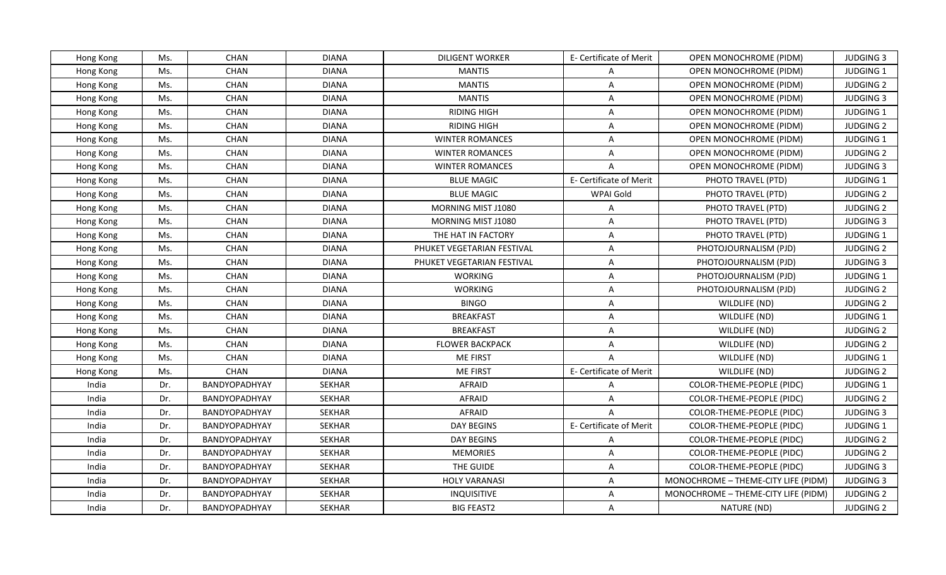| Hong Kong | Ms. | <b>CHAN</b>          | DIANA         | <b>DILIGENT WORKER</b>     | E- Certificate of Merit | OPEN MONOCHROME (PIDM)              | <b>JUDGING 3</b> |
|-----------|-----|----------------------|---------------|----------------------------|-------------------------|-------------------------------------|------------------|
| Hong Kong | Ms. | <b>CHAN</b>          | <b>DIANA</b>  | <b>MANTIS</b>              | A                       | OPEN MONOCHROME (PIDM)              | JUDGING 1        |
| Hong Kong | Ms. | CHAN                 | <b>DIANA</b>  | <b>MANTIS</b>              | $\overline{\mathsf{A}}$ | OPEN MONOCHROME (PIDM)              | <b>JUDGING 2</b> |
| Hong Kong | Ms. | CHAN                 | <b>DIANA</b>  | <b>MANTIS</b>              | A                       | OPEN MONOCHROME (PIDM)              | <b>JUDGING 3</b> |
| Hong Kong | Ms. | CHAN                 | <b>DIANA</b>  | <b>RIDING HIGH</b>         | A                       | OPEN MONOCHROME (PIDM)              | JUDGING 1        |
| Hong Kong | Ms. | <b>CHAN</b>          | <b>DIANA</b>  | <b>RIDING HIGH</b>         | A                       | OPEN MONOCHROME (PIDM)              | <b>JUDGING 2</b> |
| Hong Kong | Ms. | <b>CHAN</b>          | <b>DIANA</b>  | <b>WINTER ROMANCES</b>     | $\overline{\mathsf{A}}$ | OPEN MONOCHROME (PIDM)              | JUDGING 1        |
| Hong Kong | Ms. | <b>CHAN</b>          | <b>DIANA</b>  | <b>WINTER ROMANCES</b>     | $\overline{A}$          | <b>OPEN MONOCHROME (PIDM)</b>       | <b>JUDGING 2</b> |
| Hong Kong | Ms. | CHAN                 | <b>DIANA</b>  | <b>WINTER ROMANCES</b>     | $\overline{A}$          | OPEN MONOCHROME (PIDM)              | <b>JUDGING 3</b> |
| Hong Kong | Ms. | CHAN                 | <b>DIANA</b>  | <b>BLUE MAGIC</b>          | E- Certificate of Merit | PHOTO TRAVEL (PTD)                  | JUDGING 1        |
| Hong Kong | Ms. | <b>CHAN</b>          | <b>DIANA</b>  | <b>BLUE MAGIC</b>          | WPAI Gold               | PHOTO TRAVEL (PTD)                  | <b>JUDGING 2</b> |
| Hong Kong | Ms. | <b>CHAN</b>          | <b>DIANA</b>  | MORNING MIST J1080         | A                       | PHOTO TRAVEL (PTD)                  | <b>JUDGING 2</b> |
| Hong Kong | Ms. | CHAN                 | <b>DIANA</b>  | MORNING MIST J1080         | $\overline{\mathsf{A}}$ | PHOTO TRAVEL (PTD)                  | <b>JUDGING 3</b> |
| Hong Kong | Ms. | CHAN                 | <b>DIANA</b>  | THE HAT IN FACTORY         | A                       | PHOTO TRAVEL (PTD)                  | JUDGING 1        |
| Hong Kong | Ms. | <b>CHAN</b>          | <b>DIANA</b>  | PHUKET VEGETARIAN FESTIVAL | A                       | PHOTOJOURNALISM (PJD)               | <b>JUDGING 2</b> |
| Hong Kong | Ms. | CHAN                 | <b>DIANA</b>  | PHUKET VEGETARIAN FESTIVAL | A                       | PHOTOJOURNALISM (PJD)               | <b>JUDGING 3</b> |
| Hong Kong | Ms. | <b>CHAN</b>          | <b>DIANA</b>  | <b>WORKING</b>             | A                       | PHOTOJOURNALISM (PJD)               | <b>JUDGING 1</b> |
| Hong Kong | Ms. | <b>CHAN</b>          | <b>DIANA</b>  | <b>WORKING</b>             | $\overline{\mathsf{A}}$ | PHOTOJOURNALISM (PJD)               | <b>JUDGING 2</b> |
| Hong Kong | Ms. | <b>CHAN</b>          | <b>DIANA</b>  | <b>BINGO</b>               | A                       | WILDLIFE (ND)                       | <b>JUDGING 2</b> |
| Hong Kong | Ms. | CHAN                 | <b>DIANA</b>  | <b>BREAKFAST</b>           | $\overline{\mathsf{A}}$ | WILDLIFE (ND)                       | JUDGING 1        |
| Hong Kong | Ms. | CHAN                 | <b>DIANA</b>  | <b>BREAKFAST</b>           | A                       | WILDLIFE (ND)                       | <b>JUDGING 2</b> |
| Hong Kong | Ms. | <b>CHAN</b>          | <b>DIANA</b>  | <b>FLOWER BACKPACK</b>     | A                       | WILDLIFE (ND)                       | <b>JUDGING 2</b> |
| Hong Kong | Ms. | CHAN                 | <b>DIANA</b>  | <b>ME FIRST</b>            | $\overline{A}$          | WILDLIFE (ND)                       | JUDGING 1        |
| Hong Kong | Ms. | <b>CHAN</b>          | <b>DIANA</b>  | <b>ME FIRST</b>            | E- Certificate of Merit | WILDLIFE (ND)                       | <b>JUDGING 2</b> |
| India     | Dr. | BANDYOPADHYAY        | <b>SEKHAR</b> | <b>AFRAID</b>              | A                       | COLOR-THEME-PEOPLE (PIDC)           | JUDGING 1        |
| India     | Dr. | <b>BANDYOPADHYAY</b> | <b>SEKHAR</b> | <b>AFRAID</b>              | $\overline{A}$          | COLOR-THEME-PEOPLE (PIDC)           | <b>JUDGING 2</b> |
| India     | Dr. | BANDYOPADHYAY        | SEKHAR        | <b>AFRAID</b>              | $\overline{A}$          | COLOR-THEME-PEOPLE (PIDC)           | <b>JUDGING 3</b> |
| India     | Dr. | BANDYOPADHYAY        | <b>SEKHAR</b> | <b>DAY BEGINS</b>          | E- Certificate of Merit | <b>COLOR-THEME-PEOPLE (PIDC)</b>    | JUDGING 1        |
| India     | Dr. | BANDYOPADHYAY        | <b>SEKHAR</b> | <b>DAY BEGINS</b>          | $\overline{A}$          | COLOR-THEME-PEOPLE (PIDC)           | <b>JUDGING 2</b> |
| India     | Dr. | BANDYOPADHYAY        | <b>SEKHAR</b> | <b>MEMORIES</b>            | A                       | COLOR-THEME-PEOPLE (PIDC)           | <b>JUDGING 2</b> |
| India     | Dr. | BANDYOPADHYAY        | <b>SEKHAR</b> | THE GUIDE                  | $\overline{\mathsf{A}}$ | COLOR-THEME-PEOPLE (PIDC)           | <b>JUDGING 3</b> |
| India     | Dr. | BANDYOPADHYAY        | SEKHAR        | <b>HOLY VARANASI</b>       | A                       | MONOCHROME - THEME-CITY LIFE (PIDM) | <b>JUDGING 3</b> |
| India     | Dr. | BANDYOPADHYAY        | <b>SEKHAR</b> | <b>INQUISITIVE</b>         | $\overline{\mathsf{A}}$ | MONOCHROME - THEME-CITY LIFE (PIDM) | <b>JUDGING 2</b> |
| India     | Dr. | BANDYOPADHYAY        | <b>SEKHAR</b> | <b>BIG FEAST2</b>          | A                       | NATURE (ND)                         | <b>JUDGING 2</b> |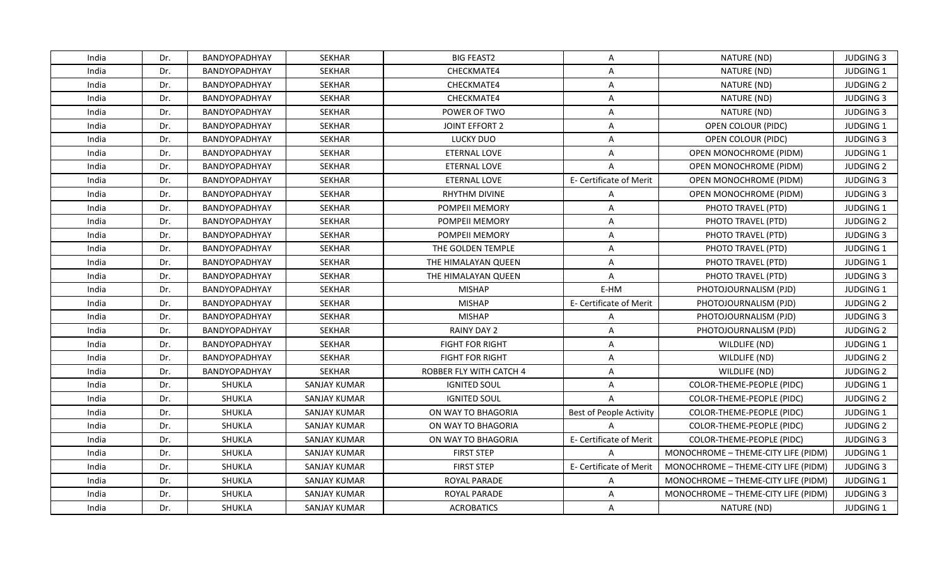| India | Dr. | BANDYOPADHYAY        | <b>SEKHAR</b>       | <b>BIG FEAST2</b>       | A                              | NATURE (ND)                         | <b>JUDGING 3</b> |
|-------|-----|----------------------|---------------------|-------------------------|--------------------------------|-------------------------------------|------------------|
| India | Dr. | <b>BANDYOPADHYAY</b> | <b>SEKHAR</b>       | CHECKMATE4              | A                              | NATURE (ND)                         | JUDGING 1        |
| India | Dr. | BANDYOPADHYAY        | <b>SEKHAR</b>       | CHECKMATE4              | $\overline{\mathsf{A}}$        | NATURE (ND)                         | <b>JUDGING 2</b> |
| India | Dr. | BANDYOPADHYAY        | <b>SEKHAR</b>       | CHECKMATE4              | A                              | NATURE (ND)                         | <b>JUDGING 3</b> |
| India | Dr. | BANDYOPADHYAY        | <b>SEKHAR</b>       | POWER OF TWO            | $\overline{\mathsf{A}}$        | NATURE (ND)                         | <b>JUDGING 3</b> |
| India | Dr. | BANDYOPADHYAY        | <b>SEKHAR</b>       | <b>JOINT EFFORT 2</b>   | A                              | OPEN COLOUR (PIDC)                  | <b>JUDGING 1</b> |
| India | Dr. | BANDYOPADHYAY        | <b>SEKHAR</b>       | LUCKY DUO               | A                              | OPEN COLOUR (PIDC)                  | <b>JUDGING 3</b> |
| India | Dr. | BANDYOPADHYAY        | <b>SEKHAR</b>       | ETERNAL LOVE            | $\overline{A}$                 | OPEN MONOCHROME (PIDM)              | JUDGING 1        |
| India | Dr. | BANDYOPADHYAY        | SEKHAR              | <b>ETERNAL LOVE</b>     | $\overline{A}$                 | OPEN MONOCHROME (PIDM)              | <b>JUDGING 2</b> |
| India | Dr. | BANDYOPADHYAY        | <b>SEKHAR</b>       | <b>ETERNAL LOVE</b>     | E- Certificate of Merit        | OPEN MONOCHROME (PIDM)              | <b>JUDGING 3</b> |
| India | Dr. | BANDYOPADHYAY        | <b>SEKHAR</b>       | RHYTHM DIVINE           | A                              | OPEN MONOCHROME (PIDM)              | <b>JUDGING 3</b> |
| India | Dr. | BANDYOPADHYAY        | <b>SEKHAR</b>       | POMPEII MEMORY          | A                              | PHOTO TRAVEL (PTD)                  | JUDGING 1        |
| India | Dr. | BANDYOPADHYAY        | <b>SEKHAR</b>       | POMPEII MEMORY          | $\overline{\mathsf{A}}$        | PHOTO TRAVEL (PTD)                  | <b>JUDGING 2</b> |
| India | Dr. | BANDYOPADHYAY        | SEKHAR              | POMPEII MEMORY          | A                              | PHOTO TRAVEL (PTD)                  | <b>JUDGING 3</b> |
| India | Dr. | BANDYOPADHYAY        | <b>SEKHAR</b>       | THE GOLDEN TEMPLE       | A                              | PHOTO TRAVEL (PTD)                  | <b>JUDGING 1</b> |
| India | Dr. | BANDYOPADHYAY        | <b>SEKHAR</b>       | THE HIMALAYAN QUEEN     | $\overline{\mathsf{A}}$        | PHOTO TRAVEL (PTD)                  | JUDGING 1        |
| India | Dr. | BANDYOPADHYAY        | <b>SEKHAR</b>       | THE HIMALAYAN QUEEN     | A                              | PHOTO TRAVEL (PTD)                  | <b>JUDGING 3</b> |
| India | Dr. | <b>BANDYOPADHYAY</b> | <b>SEKHAR</b>       | <b>MISHAP</b>           | E-HM                           | PHOTOJOURNALISM (PJD)               | JUDGING 1        |
| India | Dr. | BANDYOPADHYAY        | <b>SEKHAR</b>       | <b>MISHAP</b>           | E- Certificate of Merit        | PHOTOJOURNALISM (PJD)               | <b>JUDGING 2</b> |
| India | Dr. | BANDYOPADHYAY        | <b>SEKHAR</b>       | <b>MISHAP</b>           | $\overline{A}$                 | PHOTOJOURNALISM (PJD)               | <b>JUDGING 3</b> |
| India | Dr. | BANDYOPADHYAY        | <b>SEKHAR</b>       | <b>RAINY DAY 2</b>      | $\overline{A}$                 | PHOTOJOURNALISM (PJD)               | <b>JUDGING 2</b> |
| India | Dr. | BANDYOPADHYAY        | SEKHAR              | <b>FIGHT FOR RIGHT</b>  | A                              | WILDLIFE (ND)                       | <b>JUDGING 1</b> |
| India | Dr. | BANDYOPADHYAY        | <b>SEKHAR</b>       | <b>FIGHT FOR RIGHT</b>  | A                              | WILDLIFE (ND)                       | <b>JUDGING 2</b> |
| India | Dr. | BANDYOPADHYAY        | SEKHAR              | ROBBER FLY WITH CATCH 4 | A                              | WILDLIFE (ND)                       | <b>JUDGING 2</b> |
| India | Dr. | SHUKLA               | <b>SANJAY KUMAR</b> | <b>IGNITED SOUL</b>     | A                              | COLOR-THEME-PEOPLE (PIDC)           | JUDGING 1        |
| India | Dr. | SHUKLA               | <b>SANJAY KUMAR</b> | <b>IGNITED SOUL</b>     | $\overline{A}$                 | COLOR-THEME-PEOPLE (PIDC)           | <b>JUDGING 2</b> |
| India | Dr. | SHUKLA               | <b>SANJAY KUMAR</b> | ON WAY TO BHAGORIA      | <b>Best of People Activity</b> | <b>COLOR-THEME-PEOPLE (PIDC)</b>    | JUDGING 1        |
| India | Dr. | SHUKLA               | <b>SANJAY KUMAR</b> | ON WAY TO BHAGORIA      | $\Delta$                       | COLOR-THEME-PEOPLE (PIDC)           | <b>JUDGING 2</b> |
| India | Dr. | SHUKLA               | <b>SANJAY KUMAR</b> | ON WAY TO BHAGORIA      | E- Certificate of Merit        | COLOR-THEME-PEOPLE (PIDC)           | <b>JUDGING 3</b> |
| India | Dr. | SHUKLA               | <b>SANJAY KUMAR</b> | <b>FIRST STEP</b>       | $\overline{A}$                 | MONOCHROME - THEME-CITY LIFE (PIDM) | JUDGING 1        |
| India | Dr. | SHUKLA               | <b>SANJAY KUMAR</b> | <b>FIRST STEP</b>       | E- Certificate of Merit        | MONOCHROME - THEME-CITY LIFE (PIDM) | <b>JUDGING 3</b> |
| India | Dr. | SHUKLA               | <b>SANJAY KUMAR</b> | ROYAL PARADE            | A                              | MONOCHROME - THEME-CITY LIFE (PIDM) | <b>JUDGING 1</b> |
| India | Dr. | SHUKLA               | <b>SANJAY KUMAR</b> | ROYAL PARADE            | A                              | MONOCHROME - THEME-CITY LIFE (PIDM) | <b>JUDGING 3</b> |
| India | Dr. | SHUKLA               | <b>SANJAY KUMAR</b> | <b>ACROBATICS</b>       | A                              | NATURE (ND)                         | JUDGING 1        |
|       |     |                      |                     |                         |                                |                                     |                  |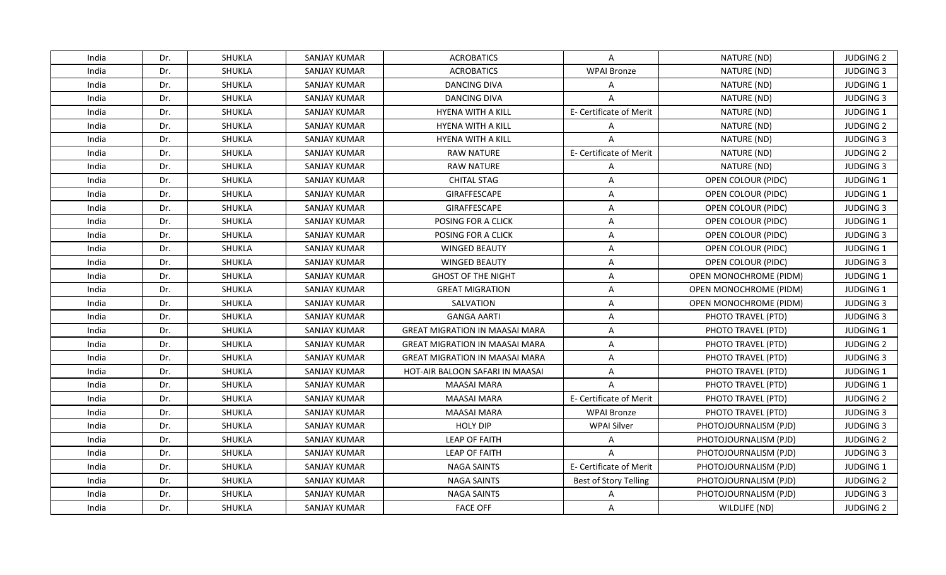| India | Dr. | SHUKLA | SANJAY KUMAR        | <b>ACROBATICS</b>                     | A                       | NATURE (ND)                   | <b>JUDGING 2</b> |
|-------|-----|--------|---------------------|---------------------------------------|-------------------------|-------------------------------|------------------|
| India | Dr. | SHUKLA | <b>SANJAY KUMAR</b> | <b>ACROBATICS</b>                     | <b>WPAI Bronze</b>      | NATURE (ND)                   | <b>JUDGING 3</b> |
| India | Dr. | SHUKLA | <b>SANJAY KUMAR</b> | DANCING DIVA                          | $\overline{A}$          | NATURE (ND)                   | JUDGING 1        |
| India | Dr. | SHUKLA | <b>SANJAY KUMAR</b> | <b>DANCING DIVA</b>                   | $\overline{A}$          | NATURE (ND)                   | <b>JUDGING 3</b> |
| India | Dr. | SHUKLA | <b>SANJAY KUMAR</b> | <b>HYENA WITH A KILL</b>              | E- Certificate of Merit | NATURE (ND)                   | JUDGING 1        |
| India | Dr. | SHUKLA | SANJAY KUMAR        | <b>HYENA WITH A KILL</b>              | A                       | NATURE (ND)                   | <b>JUDGING 2</b> |
| India | Dr. | SHUKLA | <b>SANJAY KUMAR</b> | <b>HYENA WITH A KILL</b>              | $\Delta$                | NATURE (ND)                   | <b>JUDGING 3</b> |
| India | Dr. | SHUKLA | <b>SANJAY KUMAR</b> | <b>RAW NATURE</b>                     | E- Certificate of Merit | NATURE (ND)                   | <b>JUDGING 2</b> |
| India | Dr. | SHUKLA | SANJAY KUMAR        | <b>RAW NATURE</b>                     | $\overline{A}$          | NATURE (ND)                   | <b>JUDGING 3</b> |
| India | Dr. | SHUKLA | SANJAY KUMAR        | <b>CHITAL STAG</b>                    | A                       | OPEN COLOUR (PIDC)            | JUDGING 1        |
| India | Dr. | SHUKLA | SANJAY KUMAR        | GIRAFFESCAPE                          | A                       | OPEN COLOUR (PIDC)            | JUDGING 1        |
| India | Dr. | SHUKLA | <b>SANJAY KUMAR</b> | GIRAFFESCAPE                          | A                       | OPEN COLOUR (PIDC)            | <b>JUDGING 3</b> |
| India | Dr. | SHUKLA | <b>SANJAY KUMAR</b> | POSING FOR A CLICK                    | A                       | OPEN COLOUR (PIDC)            | JUDGING 1        |
| India | Dr. | SHUKLA | <b>SANJAY KUMAR</b> | POSING FOR A CLICK                    | A                       | OPEN COLOUR (PIDC)            | <b>JUDGING 3</b> |
| India | Dr. | SHUKLA | SANJAY KUMAR        | <b>WINGED BEAUTY</b>                  | A                       | OPEN COLOUR (PIDC)            | JUDGING 1        |
| India | Dr. | SHUKLA | SANJAY KUMAR        | <b>WINGED BEAUTY</b>                  | A                       | OPEN COLOUR (PIDC)            | <b>JUDGING 3</b> |
| India | Dr. | SHUKLA | <b>SANJAY KUMAR</b> | <b>GHOST OF THE NIGHT</b>             | A                       | OPEN MONOCHROME (PIDM)        | JUDGING 1        |
| India | Dr. | SHUKLA | <b>SANJAY KUMAR</b> | <b>GREAT MIGRATION</b>                | A                       | <b>OPEN MONOCHROME (PIDM)</b> | JUDGING 1        |
| India | Dr. | SHUKLA | SANJAY KUMAR        | SALVATION                             | A                       | <b>OPEN MONOCHROME (PIDM)</b> | <b>JUDGING 3</b> |
| India | Dr. | SHUKLA | <b>SANJAY KUMAR</b> | <b>GANGA AARTI</b>                    | A                       | PHOTO TRAVEL (PTD)            | <b>JUDGING 3</b> |
| India | Dr. | SHUKLA | <b>SANJAY KUMAR</b> | <b>GREAT MIGRATION IN MAASAI MARA</b> | A                       | PHOTO TRAVEL (PTD)            | JUDGING 1        |
| India | Dr. | SHUKLA | <b>SANJAY KUMAR</b> | <b>GREAT MIGRATION IN MAASAI MARA</b> | A                       | PHOTO TRAVEL (PTD)            | <b>JUDGING 2</b> |
| India | Dr. | SHUKLA | <b>SANJAY KUMAR</b> | <b>GREAT MIGRATION IN MAASAI MARA</b> | A                       | PHOTO TRAVEL (PTD)            | <b>JUDGING 3</b> |
| India | Dr. | SHUKLA | <b>SANJAY KUMAR</b> | HOT-AIR BALOON SAFARI IN MAASAI       | $\overline{A}$          | PHOTO TRAVEL (PTD)            | JUDGING 1        |
| India | Dr. | SHUKLA | <b>SANJAY KUMAR</b> | <b>MAASAI MARA</b>                    | $\overline{A}$          | PHOTO TRAVEL (PTD)            | JUDGING 1        |
| India | Dr. | SHUKLA | <b>SANJAY KUMAR</b> | <b>MAASAI MARA</b>                    | E- Certificate of Merit | PHOTO TRAVEL (PTD)            | <b>JUDGING 2</b> |
| India | Dr. | SHUKLA | <b>SANJAY KUMAR</b> | <b>MAASAI MARA</b>                    | <b>WPAI Bronze</b>      | PHOTO TRAVEL (PTD)            | <b>JUDGING 3</b> |
| India | Dr. | SHUKLA | <b>SANJAY KUMAR</b> | <b>HOLY DIP</b>                       | <b>WPAI Silver</b>      | PHOTOJOURNALISM (PJD)         | <b>JUDGING 3</b> |
| India | Dr. | SHUKLA | <b>SANJAY KUMAR</b> | <b>LEAP OF FAITH</b>                  | $\mathsf{A}$            | PHOTOJOURNALISM (PJD)         | <b>JUDGING 2</b> |
| India | Dr. | SHUKLA | <b>SANJAY KUMAR</b> | <b>LEAP OF FAITH</b>                  | $\overline{A}$          | PHOTOJOURNALISM (PJD)         | <b>JUDGING 3</b> |
| India | Dr. | SHUKLA | SANJAY KUMAR        | <b>NAGA SAINTS</b>                    | E- Certificate of Merit | PHOTOJOURNALISM (PJD)         | JUDGING 1        |
| India | Dr. | SHUKLA | SANJAY KUMAR        | <b>NAGA SAINTS</b>                    | Best of Story Telling   | PHOTOJOURNALISM (PJD)         | <b>JUDGING 2</b> |
| India | Dr. | SHUKLA | <b>SANJAY KUMAR</b> | <b>NAGA SAINTS</b>                    | $\overline{A}$          | PHOTOJOURNALISM (PJD)         | <b>JUDGING 3</b> |
| India | Dr. | SHUKLA | <b>SANJAY KUMAR</b> | <b>FACE OFF</b>                       | $\mathsf{A}$            | WILDLIFE (ND)                 | <b>JUDGING 2</b> |
|       |     |        |                     |                                       |                         |                               |                  |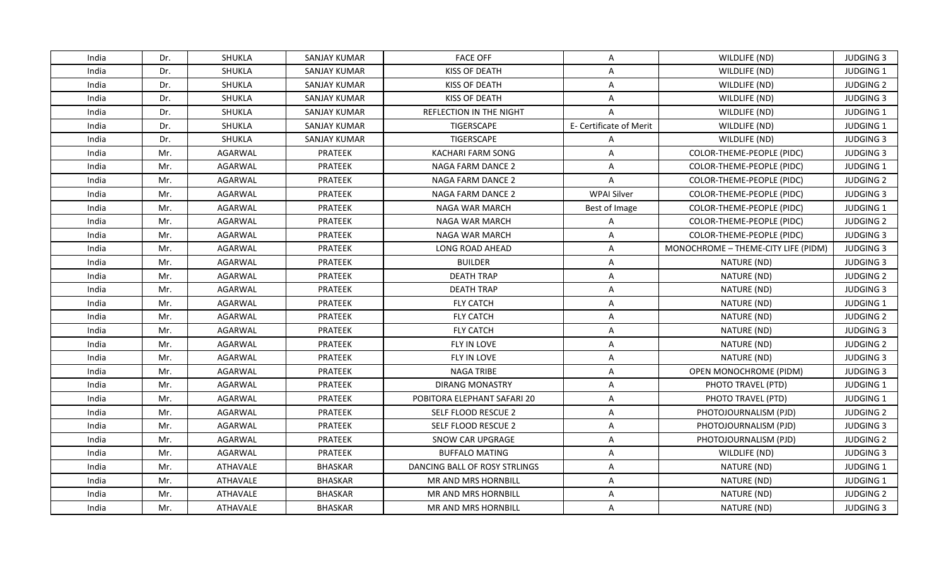| India | Dr. | SHUKLA   | SANJAY KUMAR        | <b>FACE OFF</b>                | A                       | WILDLIFE (ND)                       | <b>JUDGING 3</b> |
|-------|-----|----------|---------------------|--------------------------------|-------------------------|-------------------------------------|------------------|
| India | Dr. | SHUKLA   | <b>SANJAY KUMAR</b> | <b>KISS OF DEATH</b>           | A                       | WILDLIFE (ND)                       | JUDGING 1        |
| India | Dr. | SHUKLA   | <b>SANJAY KUMAR</b> | KISS OF DEATH                  | A                       | WILDLIFE (ND)                       | <b>JUDGING 2</b> |
| India | Dr. | SHUKLA   | <b>SANJAY KUMAR</b> | KISS OF DEATH                  | A                       | WILDLIFE (ND)                       | <b>JUDGING 3</b> |
| India | Dr. | SHUKLA   | <b>SANJAY KUMAR</b> | <b>REFLECTION IN THE NIGHT</b> | $\overline{A}$          | WILDLIFE (ND)                       | JUDGING 1        |
| India | Dr. | SHUKLA   | SANJAY KUMAR        | TIGERSCAPE                     | E- Certificate of Merit | WILDLIFE (ND)                       | <b>JUDGING 1</b> |
| India | Dr. | SHUKLA   | <b>SANJAY KUMAR</b> | TIGERSCAPE                     | A                       | WILDLIFE (ND)                       | <b>JUDGING 3</b> |
| India | Mr. | AGARWAL  | <b>PRATEEK</b>      | <b>KACHARI FARM SONG</b>       | $\overline{A}$          | COLOR-THEME-PEOPLE (PIDC)           | <b>JUDGING 3</b> |
| India | Mr. | AGARWAL  | <b>PRATEEK</b>      | <b>NAGA FARM DANCE 2</b>       | A                       | COLOR-THEME-PEOPLE (PIDC)           | JUDGING 1        |
| India | Mr. | AGARWAL  | PRATEEK             | <b>NAGA FARM DANCE 2</b>       | A                       | COLOR-THEME-PEOPLE (PIDC)           | <b>JUDGING 2</b> |
| India | Mr. | AGARWAL  | <b>PRATEEK</b>      | NAGA FARM DANCE 2              | <b>WPAI Silver</b>      | COLOR-THEME-PEOPLE (PIDC)           | <b>JUDGING 3</b> |
| India | Mr. | AGARWAL  | PRATEEK             | NAGA WAR MARCH                 | Best of Image           | COLOR-THEME-PEOPLE (PIDC)           | JUDGING 1        |
| India | Mr. | AGARWAL  | PRATEEK             | <b>NAGA WAR MARCH</b>          | A                       | COLOR-THEME-PEOPLE (PIDC)           | <b>JUDGING 2</b> |
| India | Mr. | AGARWAL  | <b>PRATEEK</b>      | NAGA WAR MARCH                 | $\overline{A}$          | COLOR-THEME-PEOPLE (PIDC)           | <b>JUDGING 3</b> |
| India | Mr. | AGARWAL  | <b>PRATEEK</b>      | LONG ROAD AHEAD                | A                       | MONOCHROME - THEME-CITY LIFE (PIDM) | <b>JUDGING 3</b> |
| India | Mr. | AGARWAL  | PRATEEK             | <b>BUILDER</b>                 | A                       | NATURE (ND)                         | <b>JUDGING 3</b> |
| India | Mr. | AGARWAL  | PRATEEK             | <b>DEATH TRAP</b>              | A                       | NATURE (ND)                         | <b>JUDGING 2</b> |
| India | Mr. | AGARWAL  | PRATEEK             | <b>DEATH TRAP</b>              | $\overline{A}$          | NATURE (ND)                         | <b>JUDGING 3</b> |
| India | Mr. | AGARWAL  | PRATEEK             | <b>FLY CATCH</b>               | A                       | NATURE (ND)                         | JUDGING 1        |
| India | Mr. | AGARWAL  | PRATEEK             | <b>FLY CATCH</b>               | A                       | NATURE (ND)                         | <b>JUDGING 2</b> |
| India | Mr. | AGARWAL  | <b>PRATEEK</b>      | <b>FLY CATCH</b>               | A                       | NATURE (ND)                         | <b>JUDGING 3</b> |
| India | Mr. | AGARWAL  | PRATEEK             | FLY IN LOVE                    | A                       | NATURE (ND)                         | <b>JUDGING 2</b> |
| India | Mr. | AGARWAL  | <b>PRATEEK</b>      | FLY IN LOVE                    | A                       | NATURE (ND)                         | <b>JUDGING 3</b> |
| India | Mr. | AGARWAL  | PRATEEK             | NAGA TRIBE                     | A                       | OPEN MONOCHROME (PIDM)              | <b>JUDGING 3</b> |
| India | Mr. | AGARWAL  | <b>PRATEEK</b>      | <b>DIRANG MONASTRY</b>         | A                       | PHOTO TRAVEL (PTD)                  | <b>JUDGING 1</b> |
| India | Mr. | AGARWAL  | <b>PRATEEK</b>      | POBITORA ELEPHANT SAFARI 20    | A                       | PHOTO TRAVEL (PTD)                  | JUDGING 1        |
| India | Mr. | AGARWAL  | PRATEEK             | SELF FLOOD RESCUE 2            | A                       | PHOTOJOURNALISM (PJD)               | <b>JUDGING 2</b> |
| India | Mr. | AGARWAL  | <b>PRATEEK</b>      | SELF FLOOD RESCUE 2            | A                       | PHOTOJOURNALISM (PJD)               | <b>JUDGING 3</b> |
| India | Mr. | AGARWAL  | PRATEEK             | SNOW CAR UPGRAGE               | A                       | PHOTOJOURNALISM (PJD)               | <b>JUDGING 2</b> |
| India | Mr. | AGARWAL  | <b>PRATEEK</b>      | <b>BUFFALO MATING</b>          | A                       | WILDLIFE (ND)                       | <b>JUDGING 3</b> |
| India | Mr. | ATHAVALE | <b>BHASKAR</b>      | DANCING BALL OF ROSY STRLINGS  | A                       | NATURE (ND)                         | JUDGING 1        |
| India | Mr. | ATHAVALE | <b>BHASKAR</b>      | MR AND MRS HORNBILL            | A                       | NATURE (ND)                         | JUDGING 1        |
| India | Mr. | ATHAVALE | <b>BHASKAR</b>      | MR AND MRS HORNBILL            | A                       | NATURE (ND)                         | <b>JUDGING 2</b> |
| India | Mr. | ATHAVALE | <b>BHASKAR</b>      | MR AND MRS HORNBILL            | A                       | NATURE (ND)                         | <b>JUDGING 3</b> |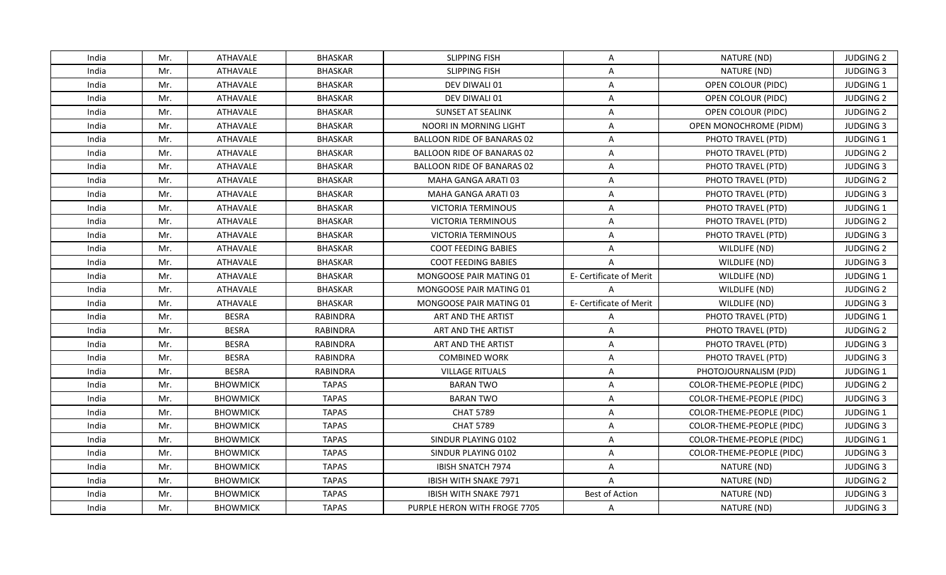| India | Mr. | ATHAVALE        | <b>BHASKAR</b>  | <b>SLIPPING FISH</b>              | A                       | NATURE (ND)               | <b>JUDGING 2</b> |
|-------|-----|-----------------|-----------------|-----------------------------------|-------------------------|---------------------------|------------------|
| India | Mr. | <b>ATHAVALE</b> | <b>BHASKAR</b>  | <b>SLIPPING FISH</b>              | A                       | NATURE (ND)               | <b>JUDGING 3</b> |
| India | Mr. | ATHAVALE        | <b>BHASKAR</b>  | DEV DIWALI 01                     | A                       | OPEN COLOUR (PIDC)        | JUDGING 1        |
| India | Mr. | ATHAVALE        | <b>BHASKAR</b>  | DEV DIWALI 01                     | A                       | OPEN COLOUR (PIDC)        | <b>JUDGING 2</b> |
| India | Mr. | ATHAVALE        | <b>BHASKAR</b>  | <b>SUNSET AT SEALINK</b>          | $\overline{\mathsf{A}}$ | OPEN COLOUR (PIDC)        | <b>JUDGING 2</b> |
| India | Mr. | ATHAVALE        | <b>BHASKAR</b>  | NOORI IN MORNING LIGHT            | A                       | OPEN MONOCHROME (PIDM)    | <b>JUDGING 3</b> |
| India | Mr. | <b>ATHAVALE</b> | <b>BHASKAR</b>  | <b>BALLOON RIDE OF BANARAS 02</b> | $\overline{\mathsf{A}}$ | PHOTO TRAVEL (PTD)        | JUDGING 1        |
| India | Mr. | ATHAVALE        | <b>BHASKAR</b>  | BALLOON RIDE OF BANARAS 02        | A                       | PHOTO TRAVEL (PTD)        | <b>JUDGING 2</b> |
| India | Mr. | ATHAVALE        | <b>BHASKAR</b>  | <b>BALLOON RIDE OF BANARAS 02</b> | A                       | PHOTO TRAVEL (PTD)        | <b>JUDGING 3</b> |
| India | Mr. | ATHAVALE        | <b>BHASKAR</b>  | MAHA GANGA ARATI 03               | A                       | PHOTO TRAVEL (PTD)        | <b>JUDGING 2</b> |
| India | Mr. | ATHAVALE        | <b>BHASKAR</b>  | MAHA GANGA ARATI 03               | A                       | PHOTO TRAVEL (PTD)        | <b>JUDGING 3</b> |
| India | Mr. | ATHAVALE        | <b>BHASKAR</b>  | VICTORIA TERMINOUS                | A                       | PHOTO TRAVEL (PTD)        | JUDGING 1        |
| India | Mr. | ATHAVALE        | <b>BHASKAR</b>  | <b>VICTORIA TERMINOUS</b>         | A                       | PHOTO TRAVEL (PTD)        | <b>JUDGING 2</b> |
| India | Mr. | ATHAVALE        | <b>BHASKAR</b>  | <b>VICTORIA TERMINOUS</b>         | A                       | PHOTO TRAVEL (PTD)        | <b>JUDGING 3</b> |
| India | Mr. | ATHAVALE        | <b>BHASKAR</b>  | <b>COOT FEEDING BABIES</b>        | A                       | WILDLIFE (ND)             | <b>JUDGING 2</b> |
| India | Mr. | ATHAVALE        | <b>BHASKAR</b>  | <b>COOT FEEDING BABIES</b>        | $\overline{A}$          | WILDLIFE (ND)             | <b>JUDGING 3</b> |
| India | Mr. | ATHAVALE        | <b>BHASKAR</b>  | MONGOOSE PAIR MATING 01           | E- Certificate of Merit | WILDLIFE (ND)             | JUDGING 1        |
| India | Mr. | ATHAVALE        | <b>BHASKAR</b>  | MONGOOSE PAIR MATING 01           | $\overline{A}$          | WILDLIFE (ND)             | <b>JUDGING 2</b> |
| India | Mr. | ATHAVALE        | <b>BHASKAR</b>  | <b>MONGOOSE PAIR MATING 01</b>    | E- Certificate of Merit | WILDLIFE (ND)             | <b>JUDGING 3</b> |
| India | Mr. | <b>BESRA</b>    | <b>RABINDRA</b> | ART AND THE ARTIST                | A                       | PHOTO TRAVEL (PTD)        | JUDGING 1        |
| India | Mr. | <b>BESRA</b>    | <b>RABINDRA</b> | ART AND THE ARTIST                | A                       | PHOTO TRAVEL (PTD)        | <b>JUDGING 2</b> |
| India | Mr. | <b>BESRA</b>    | <b>RABINDRA</b> | ART AND THE ARTIST                | A                       | PHOTO TRAVEL (PTD)        | <b>JUDGING 3</b> |
| India | Mr. | <b>BESRA</b>    | <b>RABINDRA</b> | <b>COMBINED WORK</b>              | A                       | PHOTO TRAVEL (PTD)        | <b>JUDGING 3</b> |
| India | Mr. | <b>BESRA</b>    | <b>RABINDRA</b> | <b>VILLAGE RITUALS</b>            | A                       | PHOTOJOURNALISM (PJD)     | JUDGING 1        |
| India | Mr. | <b>BHOWMICK</b> | <b>TAPAS</b>    | <b>BARAN TWO</b>                  | A                       | COLOR-THEME-PEOPLE (PIDC) | <b>JUDGING 2</b> |
| India | Mr. | <b>BHOWMICK</b> | <b>TAPAS</b>    | <b>BARAN TWO</b>                  | A                       | COLOR-THEME-PEOPLE (PIDC) | <b>JUDGING 3</b> |
| India | Mr. | <b>BHOWMICK</b> | <b>TAPAS</b>    | <b>CHAT 5789</b>                  | A                       | COLOR-THEME-PEOPLE (PIDC) | JUDGING 1        |
| India | Mr. | <b>BHOWMICK</b> | <b>TAPAS</b>    | <b>CHAT 5789</b>                  | A                       | COLOR-THEME-PEOPLE (PIDC) | <b>JUDGING 3</b> |
| India | Mr. | <b>BHOWMICK</b> | <b>TAPAS</b>    | SINDUR PLAYING 0102               | A                       | COLOR-THEME-PEOPLE (PIDC) | <b>JUDGING 1</b> |
| India | Mr. | <b>BHOWMICK</b> | <b>TAPAS</b>    | SINDUR PLAYING 0102               | A                       | COLOR-THEME-PEOPLE (PIDC) | <b>JUDGING 3</b> |
| India | Mr. | <b>BHOWMICK</b> | <b>TAPAS</b>    | <b>IBISH SNATCH 7974</b>          | A                       | NATURE (ND)               | <b>JUDGING 3</b> |
| India | Mr. | <b>BHOWMICK</b> | <b>TAPAS</b>    | IBISH WITH SNAKE 7971             | $\overline{A}$          | NATURE (ND)               | <b>JUDGING 2</b> |
| India | Mr. | <b>BHOWMICK</b> | <b>TAPAS</b>    | IBISH WITH SNAKE 7971             | <b>Best of Action</b>   | NATURE (ND)               | <b>JUDGING 3</b> |
| India | Mr. | <b>BHOWMICK</b> | <b>TAPAS</b>    | PURPLE HERON WITH FROGE 7705      | A                       | NATURE (ND)               | <b>JUDGING 3</b> |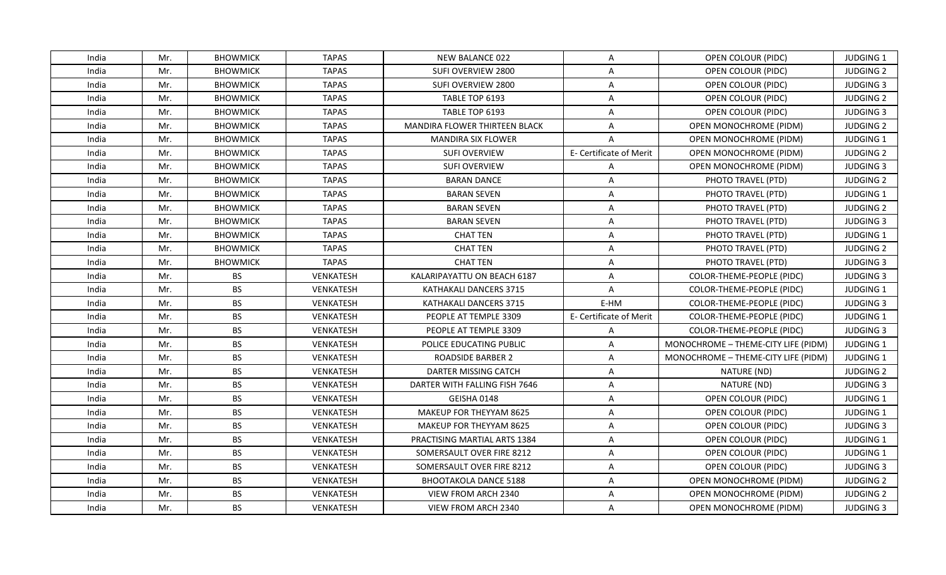| India | Mr. | <b>BHOWMICK</b> | <b>TAPAS</b> | NEW BALANCE 022                      | A                       | OPEN COLOUR (PIDC)                  | <b>JUDGING 1</b> |
|-------|-----|-----------------|--------------|--------------------------------------|-------------------------|-------------------------------------|------------------|
| India | Mr. | <b>BHOWMICK</b> | <b>TAPAS</b> | SUFI OVERVIEW 2800                   | A                       | OPEN COLOUR (PIDC)                  | <b>JUDGING 2</b> |
| India | Mr. | <b>BHOWMICK</b> | <b>TAPAS</b> | SUFI OVERVIEW 2800                   | A                       | OPEN COLOUR (PIDC)                  | <b>JUDGING 3</b> |
| India | Mr. | <b>BHOWMICK</b> | <b>TAPAS</b> | TABLE TOP 6193                       | A                       | OPEN COLOUR (PIDC)                  | <b>JUDGING 2</b> |
| India | Mr. | <b>BHOWMICK</b> | <b>TAPAS</b> | TABLE TOP 6193                       | A                       | OPEN COLOUR (PIDC)                  | <b>JUDGING 3</b> |
| India | Mr. | <b>BHOWMICK</b> | <b>TAPAS</b> | <b>MANDIRA FLOWER THIRTEEN BLACK</b> | $\mathsf{A}$            | OPEN MONOCHROME (PIDM)              | <b>JUDGING 2</b> |
| India | Mr. | <b>BHOWMICK</b> | <b>TAPAS</b> | <b>MANDIRA SIX FLOWER</b>            | $\overline{A}$          | <b>OPEN MONOCHROME (PIDM)</b>       | JUDGING 1        |
| India | Mr. | <b>BHOWMICK</b> | <b>TAPAS</b> | <b>SUFI OVERVIEW</b>                 | E- Certificate of Merit | <b>OPEN MONOCHROME (PIDM)</b>       | <b>JUDGING 2</b> |
| India | Mr. | <b>BHOWMICK</b> | <b>TAPAS</b> | <b>SUFI OVERVIEW</b>                 | $\overline{A}$          | <b>OPEN MONOCHROME (PIDM)</b>       | <b>JUDGING 3</b> |
| India | Mr. | <b>BHOWMICK</b> | <b>TAPAS</b> | <b>BARAN DANCE</b>                   | $\overline{A}$          | PHOTO TRAVEL (PTD)                  | <b>JUDGING 2</b> |
| India | Mr. | <b>BHOWMICK</b> | <b>TAPAS</b> | <b>BARAN SEVEN</b>                   | A                       | PHOTO TRAVEL (PTD)                  | JUDGING 1        |
| India | Mr. | <b>BHOWMICK</b> | <b>TAPAS</b> | <b>BARAN SEVEN</b>                   | A                       | PHOTO TRAVEL (PTD)                  | <b>JUDGING 2</b> |
| India | Mr. | <b>BHOWMICK</b> | <b>TAPAS</b> | <b>BARAN SEVEN</b>                   | A                       | PHOTO TRAVEL (PTD)                  | <b>JUDGING 3</b> |
| India | Mr. | <b>BHOWMICK</b> | <b>TAPAS</b> | <b>CHAT TEN</b>                      | A                       | PHOTO TRAVEL (PTD)                  | JUDGING 1        |
| India | Mr. | <b>BHOWMICK</b> | <b>TAPAS</b> | <b>CHAT TEN</b>                      | A                       | PHOTO TRAVEL (PTD)                  | <b>JUDGING 2</b> |
| India | Mr. | <b>BHOWMICK</b> | <b>TAPAS</b> | <b>CHAT TEN</b>                      | A                       | PHOTO TRAVEL (PTD)                  | <b>JUDGING 3</b> |
| India | Mr. | <b>BS</b>       | VENKATESH    | KALARIPAYATTU ON BEACH 6187          | A                       | COLOR-THEME-PEOPLE (PIDC)           | <b>JUDGING 3</b> |
| India | Mr. | <b>BS</b>       | VENKATESH    | KATHAKALI DANCERS 3715               | $\overline{A}$          | COLOR-THEME-PEOPLE (PIDC)           | JUDGING 1        |
| India | Mr. | <b>BS</b>       | VENKATESH    | KATHAKALI DANCERS 3715               | E-HM                    | COLOR-THEME-PEOPLE (PIDC)           | <b>JUDGING 3</b> |
| India | Mr. | <b>BS</b>       | VENKATESH    | PEOPLE AT TEMPLE 3309                | E- Certificate of Merit | COLOR-THEME-PEOPLE (PIDC)           | JUDGING 1        |
| India | Mr. | <b>BS</b>       | VENKATESH    | PEOPLE AT TEMPLE 3309                | A                       | COLOR-THEME-PEOPLE (PIDC)           | <b>JUDGING 3</b> |
| India | Mr. | <b>BS</b>       | VENKATESH    | POLICE EDUCATING PUBLIC              | A                       | MONOCHROME - THEME-CITY LIFE (PIDM) | JUDGING 1        |
| India | Mr. | <b>BS</b>       | VENKATESH    | <b>ROADSIDE BARBER 2</b>             | A                       | MONOCHROME - THEME-CITY LIFE (PIDM) | JUDGING 1        |
| India | Mr. | <b>BS</b>       | VENKATESH    | DARTER MISSING CATCH                 | A                       | NATURE (ND)                         | <b>JUDGING 2</b> |
| India | Mr. | <b>BS</b>       | VENKATESH    | DARTER WITH FALLING FISH 7646        | A                       | NATURE (ND)                         | <b>JUDGING 3</b> |
| India | Mr. | <b>BS</b>       | VENKATESH    | GEISHA 0148                          | A                       | OPEN COLOUR (PIDC)                  | JUDGING 1        |
| India | Mr. | <b>BS</b>       | VENKATESH    | MAKEUP FOR THEYYAM 8625              | A                       | OPEN COLOUR (PIDC)                  | <b>JUDGING 1</b> |
| India | Mr. | <b>BS</b>       | VENKATESH    | MAKEUP FOR THEYYAM 8625              | A                       | OPEN COLOUR (PIDC)                  | <b>JUDGING 3</b> |
| India | Mr. | <b>BS</b>       | VENKATESH    | PRACTISING MARTIAL ARTS 1384         | $\overline{\mathsf{A}}$ | OPEN COLOUR (PIDC)                  | <b>JUDGING 1</b> |
| India | Mr. | <b>BS</b>       | VENKATESH    | SOMERSAULT OVER FIRE 8212            | A                       | OPEN COLOUR (PIDC)                  | <b>JUDGING 1</b> |
| India | Mr. | <b>BS</b>       | VENKATESH    | SOMERSAULT OVER FIRE 8212            | A                       | OPEN COLOUR (PIDC)                  | <b>JUDGING 3</b> |
| India | Mr. | <b>BS</b>       | VENKATESH    | <b>BHOOTAKOLA DANCE 5188</b>         | A                       | OPEN MONOCHROME (PIDM)              | <b>JUDGING 2</b> |
| India | Mr. | <b>BS</b>       | VENKATESH    | VIEW FROM ARCH 2340                  | $\overline{\mathsf{A}}$ | OPEN MONOCHROME (PIDM)              | <b>JUDGING 2</b> |
| India | Mr. | <b>BS</b>       | VENKATESH    | VIEW FROM ARCH 2340                  | A                       | OPEN MONOCHROME (PIDM)              | <b>JUDGING 3</b> |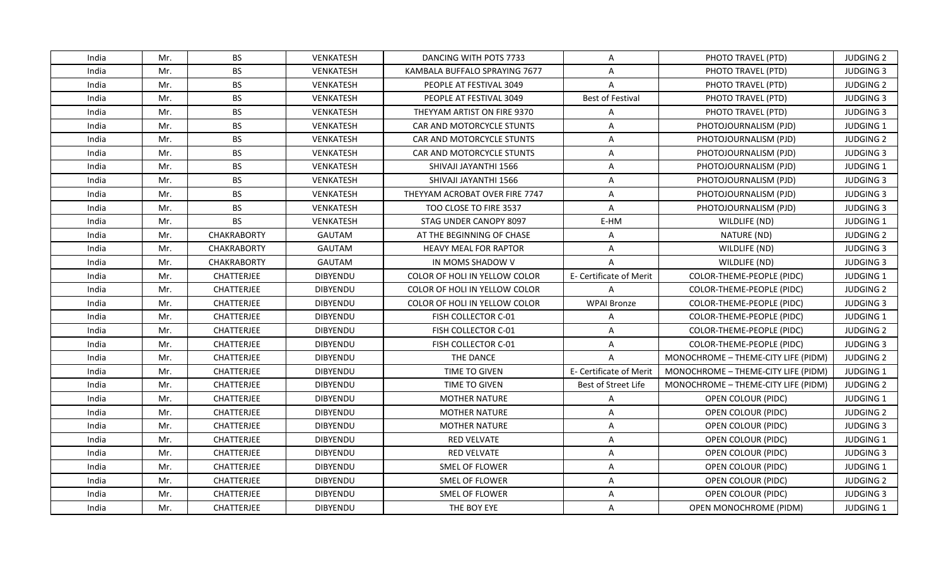| <b>BS</b><br>India<br>Mr.<br>VENKATESH<br>DANCING WITH POTS 7733<br>A<br>PHOTO TRAVEL (PTD)<br><b>JUDGING 2</b><br><b>BS</b><br>VENKATESH<br>India<br>Mr.<br>KAMBALA BUFFALO SPRAYING 7677<br>PHOTO TRAVEL (PTD)<br><b>JUDGING 3</b><br>$\mathsf{A}$<br>India<br><b>BS</b><br>VENKATESH<br>$\overline{A}$<br><b>JUDGING 2</b><br>Mr.<br>PEOPLE AT FESTIVAL 3049<br>PHOTO TRAVEL (PTD)<br><b>BS</b><br><b>Best of Festival</b><br>India<br>Mr.<br>VENKATESH<br>PEOPLE AT FESTIVAL 3049<br>PHOTO TRAVEL (PTD)<br><b>JUDGING 3</b><br><b>BS</b><br>India<br>Mr.<br>VENKATESH<br>THEYYAM ARTIST ON FIRE 9370<br>PHOTO TRAVEL (PTD)<br><b>JUDGING 3</b><br>A<br>India<br>Mr.<br>BS<br>VENKATESH<br>CAR AND MOTORCYCLE STUNTS<br>PHOTOJOURNALISM (PJD)<br><b>JUDGING 1</b><br>A<br><b>BS</b><br>India<br>Mr.<br><b>VENKATESH</b><br>CAR AND MOTORCYCLE STUNTS<br>A<br>PHOTOJOURNALISM (PJD)<br><b>JUDGING 2</b><br><b>BS</b><br>India<br>VENKATESH<br>A<br><b>JUDGING 3</b><br>Mr.<br>CAR AND MOTORCYCLE STUNTS<br>PHOTOJOURNALISM (PJD)<br><b>BS</b><br>India<br>Mr.<br>VENKATESH<br>A<br>JUDGING 1<br>SHIVAJI JAYANTHI 1566<br>PHOTOJOURNALISM (PJD)<br><b>BS</b><br>India<br>Mr.<br>VENKATESH<br>SHIVAJI JAYANTHI 1566<br>A<br><b>JUDGING 3</b><br>PHOTOJOURNALISM (PJD)<br>India<br>Mr.<br><b>BS</b><br>VENKATESH<br>THEYYAM ACROBAT OVER FIRE 7747<br>A<br>PHOTOJOURNALISM (PJD)<br><b>JUDGING 3</b><br><b>BS</b><br>India<br>Mr.<br>VENKATESH<br>TOO CLOSE TO FIRE 3537<br>A<br><b>JUDGING 3</b><br>PHOTOJOURNALISM (PJD)<br><b>BS</b><br>E-HM<br>JUDGING 1<br>India<br>Mr.<br>VENKATESH<br>STAG UNDER CANOPY 8097<br>WILDLIFE (ND)<br><b>CHAKRABORTY</b><br>India<br>Mr.<br><b>GAUTAM</b><br>AT THE BEGINNING OF CHASE<br>NATURE (ND)<br><b>JUDGING 2</b><br>A<br>India<br>Mr.<br>WILDLIFE (ND)<br><b>JUDGING 3</b><br><b>CHAKRABORTY</b><br><b>GAUTAM</b><br><b>HEAVY MEAL FOR RAPTOR</b><br>A<br>India<br>Mr.<br><b>CHAKRABORTY</b><br><b>GAUTAM</b><br>IN MOMS SHADOW V<br>$\overline{A}$<br>WILDLIFE (ND)<br><b>JUDGING 3</b><br>India<br>CHATTERJEE<br><b>DIBYENDU</b><br>COLOR-THEME-PEOPLE (PIDC)<br>JUDGING 1<br>Mr.<br>COLOR OF HOLI IN YELLOW COLOR<br>E- Certificate of Merit<br>India<br>Mr.<br>CHATTERJEE<br><b>DIBYENDU</b><br><b>COLOR OF HOLI IN YELLOW COLOR</b><br>$\mathsf{A}$<br>COLOR-THEME-PEOPLE (PIDC)<br><b>JUDGING 2</b><br>India<br>Mr.<br><b>CHATTERJEE</b><br>DIBYENDU<br><b>WPAI Bronze</b><br><b>JUDGING 3</b><br>COLOR OF HOLI IN YELLOW COLOR<br>COLOR-THEME-PEOPLE (PIDC)<br>India<br>CHATTERJEE<br>JUDGING 1<br>Mr.<br><b>DIBYENDU</b><br>FISH COLLECTOR C-01<br>COLOR-THEME-PEOPLE (PIDC)<br>A<br>India<br>Mr.<br><b>CHATTERJEE</b><br><b>DIBYENDU</b><br>FISH COLLECTOR C-01<br>A<br>COLOR-THEME-PEOPLE (PIDC)<br><b>JUDGING 2</b><br>India<br>CHATTERJEE<br>DIBYENDU<br>COLOR-THEME-PEOPLE (PIDC)<br><b>JUDGING 3</b><br>Mr.<br>FISH COLLECTOR C-01<br>A<br>THE DANCE<br>India<br>Mr.<br>CHATTERJEE<br><b>DIBYENDU</b><br>$\mathsf{A}$<br>MONOCHROME - THEME-CITY LIFE (PIDM)<br><b>JUDGING 2</b><br>India<br><b>CHATTERJEE</b><br>DIBYENDU<br>TIME TO GIVEN<br>E- Certificate of Merit<br>MONOCHROME - THEME-CITY LIFE (PIDM)<br><b>JUDGING 1</b><br>Mr.<br>India<br>Mr.<br><b>CHATTERJEE</b><br><b>DIBYENDU</b><br>TIME TO GIVEN<br>Best of Street Life<br>MONOCHROME - THEME-CITY LIFE (PIDM)<br><b>JUDGING 2</b><br>India<br>Mr.<br><b>CHATTERJEE</b><br><b>DIBYENDU</b><br><b>MOTHER NATURE</b><br>A<br>OPEN COLOUR (PIDC)<br><b>JUDGING 1</b><br>CHATTERJEE<br>DIBYENDU<br><b>JUDGING 2</b><br>India<br>Mr.<br><b>MOTHER NATURE</b><br>A<br>OPEN COLOUR (PIDC)<br>India<br>Mr.<br>CHATTERJEE<br>DIBYENDU<br><b>MOTHER NATURE</b><br>A<br>OPEN COLOUR (PIDC)<br><b>JUDGING 3</b><br>India<br>Mr.<br><b>CHATTERJEE</b><br><b>DIBYENDU</b><br><b>RED VELVATE</b><br>A<br>OPEN COLOUR (PIDC)<br><b>JUDGING 1</b><br>India<br>Mr.<br><b>CHATTERJEE</b><br><b>DIBYENDU</b><br><b>RED VELVATE</b><br>A<br>OPEN COLOUR (PIDC)<br><b>JUDGING 3</b><br>India<br><b>CHATTERJEE</b><br>DIBYENDU<br>Mr.<br>SMEL OF FLOWER<br>A<br>OPEN COLOUR (PIDC)<br><b>JUDGING 1</b><br><b>DIBYENDU</b><br>India<br>Mr.<br>CHATTERJEE<br>SMEL OF FLOWER<br>A<br>OPEN COLOUR (PIDC)<br><b>JUDGING 2</b><br>India<br>Mr.<br>CHATTERJEE<br>DIBYENDU<br>SMEL OF FLOWER<br>$\overline{\mathsf{A}}$<br>OPEN COLOUR (PIDC)<br><b>JUDGING 3</b><br>India<br>Mr.<br><b>CHATTERJEE</b><br><b>DIBYENDU</b><br>THE BOY EYE<br>A<br>OPEN MONOCHROME (PIDM)<br><b>JUDGING 1</b> |  |  |  |  |
|---------------------------------------------------------------------------------------------------------------------------------------------------------------------------------------------------------------------------------------------------------------------------------------------------------------------------------------------------------------------------------------------------------------------------------------------------------------------------------------------------------------------------------------------------------------------------------------------------------------------------------------------------------------------------------------------------------------------------------------------------------------------------------------------------------------------------------------------------------------------------------------------------------------------------------------------------------------------------------------------------------------------------------------------------------------------------------------------------------------------------------------------------------------------------------------------------------------------------------------------------------------------------------------------------------------------------------------------------------------------------------------------------------------------------------------------------------------------------------------------------------------------------------------------------------------------------------------------------------------------------------------------------------------------------------------------------------------------------------------------------------------------------------------------------------------------------------------------------------------------------------------------------------------------------------------------------------------------------------------------------------------------------------------------------------------------------------------------------------------------------------------------------------------------------------------------------------------------------------------------------------------------------------------------------------------------------------------------------------------------------------------------------------------------------------------------------------------------------------------------------------------------------------------------------------------------------------------------------------------------------------------------------------------------------------------------------------------------------------------------------------------------------------------------------------------------------------------------------------------------------------------------------------------------------------------------------------------------------------------------------------------------------------------------------------------------------------------------------------------------------------------------------------------------------------------------------------------------------------------------------------------------------------------------------------------------------------------------------------------------------------------------------------------------------------------------------------------------------------------------------------------------------------------------------------------------------------------------------------------------------------------------------------------------------------------------------------------------------------------------------------------------------------------------------------------------------------------------------------------------------------------------------------------------------------------------------------------------------------------------------------------------------------------------------------------------------------------------------------------------------------------------------------------------------------------------------------------------------------------------------------------------------------------------------------------------------------------------------------------------------------------------------------------------------------------------------------------------------------------|--|--|--|--|
|                                                                                                                                                                                                                                                                                                                                                                                                                                                                                                                                                                                                                                                                                                                                                                                                                                                                                                                                                                                                                                                                                                                                                                                                                                                                                                                                                                                                                                                                                                                                                                                                                                                                                                                                                                                                                                                                                                                                                                                                                                                                                                                                                                                                                                                                                                                                                                                                                                                                                                                                                                                                                                                                                                                                                                                                                                                                                                                                                                                                                                                                                                                                                                                                                                                                                                                                                                                                                                                                                                                                                                                                                                                                                                                                                                                                                                                                                                                                                                                                                                                                                                                                                                                                                                                                                                                                                                                                                                                                                       |  |  |  |  |
|                                                                                                                                                                                                                                                                                                                                                                                                                                                                                                                                                                                                                                                                                                                                                                                                                                                                                                                                                                                                                                                                                                                                                                                                                                                                                                                                                                                                                                                                                                                                                                                                                                                                                                                                                                                                                                                                                                                                                                                                                                                                                                                                                                                                                                                                                                                                                                                                                                                                                                                                                                                                                                                                                                                                                                                                                                                                                                                                                                                                                                                                                                                                                                                                                                                                                                                                                                                                                                                                                                                                                                                                                                                                                                                                                                                                                                                                                                                                                                                                                                                                                                                                                                                                                                                                                                                                                                                                                                                                                       |  |  |  |  |
|                                                                                                                                                                                                                                                                                                                                                                                                                                                                                                                                                                                                                                                                                                                                                                                                                                                                                                                                                                                                                                                                                                                                                                                                                                                                                                                                                                                                                                                                                                                                                                                                                                                                                                                                                                                                                                                                                                                                                                                                                                                                                                                                                                                                                                                                                                                                                                                                                                                                                                                                                                                                                                                                                                                                                                                                                                                                                                                                                                                                                                                                                                                                                                                                                                                                                                                                                                                                                                                                                                                                                                                                                                                                                                                                                                                                                                                                                                                                                                                                                                                                                                                                                                                                                                                                                                                                                                                                                                                                                       |  |  |  |  |
|                                                                                                                                                                                                                                                                                                                                                                                                                                                                                                                                                                                                                                                                                                                                                                                                                                                                                                                                                                                                                                                                                                                                                                                                                                                                                                                                                                                                                                                                                                                                                                                                                                                                                                                                                                                                                                                                                                                                                                                                                                                                                                                                                                                                                                                                                                                                                                                                                                                                                                                                                                                                                                                                                                                                                                                                                                                                                                                                                                                                                                                                                                                                                                                                                                                                                                                                                                                                                                                                                                                                                                                                                                                                                                                                                                                                                                                                                                                                                                                                                                                                                                                                                                                                                                                                                                                                                                                                                                                                                       |  |  |  |  |
|                                                                                                                                                                                                                                                                                                                                                                                                                                                                                                                                                                                                                                                                                                                                                                                                                                                                                                                                                                                                                                                                                                                                                                                                                                                                                                                                                                                                                                                                                                                                                                                                                                                                                                                                                                                                                                                                                                                                                                                                                                                                                                                                                                                                                                                                                                                                                                                                                                                                                                                                                                                                                                                                                                                                                                                                                                                                                                                                                                                                                                                                                                                                                                                                                                                                                                                                                                                                                                                                                                                                                                                                                                                                                                                                                                                                                                                                                                                                                                                                                                                                                                                                                                                                                                                                                                                                                                                                                                                                                       |  |  |  |  |
|                                                                                                                                                                                                                                                                                                                                                                                                                                                                                                                                                                                                                                                                                                                                                                                                                                                                                                                                                                                                                                                                                                                                                                                                                                                                                                                                                                                                                                                                                                                                                                                                                                                                                                                                                                                                                                                                                                                                                                                                                                                                                                                                                                                                                                                                                                                                                                                                                                                                                                                                                                                                                                                                                                                                                                                                                                                                                                                                                                                                                                                                                                                                                                                                                                                                                                                                                                                                                                                                                                                                                                                                                                                                                                                                                                                                                                                                                                                                                                                                                                                                                                                                                                                                                                                                                                                                                                                                                                                                                       |  |  |  |  |
|                                                                                                                                                                                                                                                                                                                                                                                                                                                                                                                                                                                                                                                                                                                                                                                                                                                                                                                                                                                                                                                                                                                                                                                                                                                                                                                                                                                                                                                                                                                                                                                                                                                                                                                                                                                                                                                                                                                                                                                                                                                                                                                                                                                                                                                                                                                                                                                                                                                                                                                                                                                                                                                                                                                                                                                                                                                                                                                                                                                                                                                                                                                                                                                                                                                                                                                                                                                                                                                                                                                                                                                                                                                                                                                                                                                                                                                                                                                                                                                                                                                                                                                                                                                                                                                                                                                                                                                                                                                                                       |  |  |  |  |
|                                                                                                                                                                                                                                                                                                                                                                                                                                                                                                                                                                                                                                                                                                                                                                                                                                                                                                                                                                                                                                                                                                                                                                                                                                                                                                                                                                                                                                                                                                                                                                                                                                                                                                                                                                                                                                                                                                                                                                                                                                                                                                                                                                                                                                                                                                                                                                                                                                                                                                                                                                                                                                                                                                                                                                                                                                                                                                                                                                                                                                                                                                                                                                                                                                                                                                                                                                                                                                                                                                                                                                                                                                                                                                                                                                                                                                                                                                                                                                                                                                                                                                                                                                                                                                                                                                                                                                                                                                                                                       |  |  |  |  |
|                                                                                                                                                                                                                                                                                                                                                                                                                                                                                                                                                                                                                                                                                                                                                                                                                                                                                                                                                                                                                                                                                                                                                                                                                                                                                                                                                                                                                                                                                                                                                                                                                                                                                                                                                                                                                                                                                                                                                                                                                                                                                                                                                                                                                                                                                                                                                                                                                                                                                                                                                                                                                                                                                                                                                                                                                                                                                                                                                                                                                                                                                                                                                                                                                                                                                                                                                                                                                                                                                                                                                                                                                                                                                                                                                                                                                                                                                                                                                                                                                                                                                                                                                                                                                                                                                                                                                                                                                                                                                       |  |  |  |  |
|                                                                                                                                                                                                                                                                                                                                                                                                                                                                                                                                                                                                                                                                                                                                                                                                                                                                                                                                                                                                                                                                                                                                                                                                                                                                                                                                                                                                                                                                                                                                                                                                                                                                                                                                                                                                                                                                                                                                                                                                                                                                                                                                                                                                                                                                                                                                                                                                                                                                                                                                                                                                                                                                                                                                                                                                                                                                                                                                                                                                                                                                                                                                                                                                                                                                                                                                                                                                                                                                                                                                                                                                                                                                                                                                                                                                                                                                                                                                                                                                                                                                                                                                                                                                                                                                                                                                                                                                                                                                                       |  |  |  |  |
|                                                                                                                                                                                                                                                                                                                                                                                                                                                                                                                                                                                                                                                                                                                                                                                                                                                                                                                                                                                                                                                                                                                                                                                                                                                                                                                                                                                                                                                                                                                                                                                                                                                                                                                                                                                                                                                                                                                                                                                                                                                                                                                                                                                                                                                                                                                                                                                                                                                                                                                                                                                                                                                                                                                                                                                                                                                                                                                                                                                                                                                                                                                                                                                                                                                                                                                                                                                                                                                                                                                                                                                                                                                                                                                                                                                                                                                                                                                                                                                                                                                                                                                                                                                                                                                                                                                                                                                                                                                                                       |  |  |  |  |
|                                                                                                                                                                                                                                                                                                                                                                                                                                                                                                                                                                                                                                                                                                                                                                                                                                                                                                                                                                                                                                                                                                                                                                                                                                                                                                                                                                                                                                                                                                                                                                                                                                                                                                                                                                                                                                                                                                                                                                                                                                                                                                                                                                                                                                                                                                                                                                                                                                                                                                                                                                                                                                                                                                                                                                                                                                                                                                                                                                                                                                                                                                                                                                                                                                                                                                                                                                                                                                                                                                                                                                                                                                                                                                                                                                                                                                                                                                                                                                                                                                                                                                                                                                                                                                                                                                                                                                                                                                                                                       |  |  |  |  |
|                                                                                                                                                                                                                                                                                                                                                                                                                                                                                                                                                                                                                                                                                                                                                                                                                                                                                                                                                                                                                                                                                                                                                                                                                                                                                                                                                                                                                                                                                                                                                                                                                                                                                                                                                                                                                                                                                                                                                                                                                                                                                                                                                                                                                                                                                                                                                                                                                                                                                                                                                                                                                                                                                                                                                                                                                                                                                                                                                                                                                                                                                                                                                                                                                                                                                                                                                                                                                                                                                                                                                                                                                                                                                                                                                                                                                                                                                                                                                                                                                                                                                                                                                                                                                                                                                                                                                                                                                                                                                       |  |  |  |  |
|                                                                                                                                                                                                                                                                                                                                                                                                                                                                                                                                                                                                                                                                                                                                                                                                                                                                                                                                                                                                                                                                                                                                                                                                                                                                                                                                                                                                                                                                                                                                                                                                                                                                                                                                                                                                                                                                                                                                                                                                                                                                                                                                                                                                                                                                                                                                                                                                                                                                                                                                                                                                                                                                                                                                                                                                                                                                                                                                                                                                                                                                                                                                                                                                                                                                                                                                                                                                                                                                                                                                                                                                                                                                                                                                                                                                                                                                                                                                                                                                                                                                                                                                                                                                                                                                                                                                                                                                                                                                                       |  |  |  |  |
|                                                                                                                                                                                                                                                                                                                                                                                                                                                                                                                                                                                                                                                                                                                                                                                                                                                                                                                                                                                                                                                                                                                                                                                                                                                                                                                                                                                                                                                                                                                                                                                                                                                                                                                                                                                                                                                                                                                                                                                                                                                                                                                                                                                                                                                                                                                                                                                                                                                                                                                                                                                                                                                                                                                                                                                                                                                                                                                                                                                                                                                                                                                                                                                                                                                                                                                                                                                                                                                                                                                                                                                                                                                                                                                                                                                                                                                                                                                                                                                                                                                                                                                                                                                                                                                                                                                                                                                                                                                                                       |  |  |  |  |
|                                                                                                                                                                                                                                                                                                                                                                                                                                                                                                                                                                                                                                                                                                                                                                                                                                                                                                                                                                                                                                                                                                                                                                                                                                                                                                                                                                                                                                                                                                                                                                                                                                                                                                                                                                                                                                                                                                                                                                                                                                                                                                                                                                                                                                                                                                                                                                                                                                                                                                                                                                                                                                                                                                                                                                                                                                                                                                                                                                                                                                                                                                                                                                                                                                                                                                                                                                                                                                                                                                                                                                                                                                                                                                                                                                                                                                                                                                                                                                                                                                                                                                                                                                                                                                                                                                                                                                                                                                                                                       |  |  |  |  |
|                                                                                                                                                                                                                                                                                                                                                                                                                                                                                                                                                                                                                                                                                                                                                                                                                                                                                                                                                                                                                                                                                                                                                                                                                                                                                                                                                                                                                                                                                                                                                                                                                                                                                                                                                                                                                                                                                                                                                                                                                                                                                                                                                                                                                                                                                                                                                                                                                                                                                                                                                                                                                                                                                                                                                                                                                                                                                                                                                                                                                                                                                                                                                                                                                                                                                                                                                                                                                                                                                                                                                                                                                                                                                                                                                                                                                                                                                                                                                                                                                                                                                                                                                                                                                                                                                                                                                                                                                                                                                       |  |  |  |  |
|                                                                                                                                                                                                                                                                                                                                                                                                                                                                                                                                                                                                                                                                                                                                                                                                                                                                                                                                                                                                                                                                                                                                                                                                                                                                                                                                                                                                                                                                                                                                                                                                                                                                                                                                                                                                                                                                                                                                                                                                                                                                                                                                                                                                                                                                                                                                                                                                                                                                                                                                                                                                                                                                                                                                                                                                                                                                                                                                                                                                                                                                                                                                                                                                                                                                                                                                                                                                                                                                                                                                                                                                                                                                                                                                                                                                                                                                                                                                                                                                                                                                                                                                                                                                                                                                                                                                                                                                                                                                                       |  |  |  |  |
|                                                                                                                                                                                                                                                                                                                                                                                                                                                                                                                                                                                                                                                                                                                                                                                                                                                                                                                                                                                                                                                                                                                                                                                                                                                                                                                                                                                                                                                                                                                                                                                                                                                                                                                                                                                                                                                                                                                                                                                                                                                                                                                                                                                                                                                                                                                                                                                                                                                                                                                                                                                                                                                                                                                                                                                                                                                                                                                                                                                                                                                                                                                                                                                                                                                                                                                                                                                                                                                                                                                                                                                                                                                                                                                                                                                                                                                                                                                                                                                                                                                                                                                                                                                                                                                                                                                                                                                                                                                                                       |  |  |  |  |
|                                                                                                                                                                                                                                                                                                                                                                                                                                                                                                                                                                                                                                                                                                                                                                                                                                                                                                                                                                                                                                                                                                                                                                                                                                                                                                                                                                                                                                                                                                                                                                                                                                                                                                                                                                                                                                                                                                                                                                                                                                                                                                                                                                                                                                                                                                                                                                                                                                                                                                                                                                                                                                                                                                                                                                                                                                                                                                                                                                                                                                                                                                                                                                                                                                                                                                                                                                                                                                                                                                                                                                                                                                                                                                                                                                                                                                                                                                                                                                                                                                                                                                                                                                                                                                                                                                                                                                                                                                                                                       |  |  |  |  |
|                                                                                                                                                                                                                                                                                                                                                                                                                                                                                                                                                                                                                                                                                                                                                                                                                                                                                                                                                                                                                                                                                                                                                                                                                                                                                                                                                                                                                                                                                                                                                                                                                                                                                                                                                                                                                                                                                                                                                                                                                                                                                                                                                                                                                                                                                                                                                                                                                                                                                                                                                                                                                                                                                                                                                                                                                                                                                                                                                                                                                                                                                                                                                                                                                                                                                                                                                                                                                                                                                                                                                                                                                                                                                                                                                                                                                                                                                                                                                                                                                                                                                                                                                                                                                                                                                                                                                                                                                                                                                       |  |  |  |  |
|                                                                                                                                                                                                                                                                                                                                                                                                                                                                                                                                                                                                                                                                                                                                                                                                                                                                                                                                                                                                                                                                                                                                                                                                                                                                                                                                                                                                                                                                                                                                                                                                                                                                                                                                                                                                                                                                                                                                                                                                                                                                                                                                                                                                                                                                                                                                                                                                                                                                                                                                                                                                                                                                                                                                                                                                                                                                                                                                                                                                                                                                                                                                                                                                                                                                                                                                                                                                                                                                                                                                                                                                                                                                                                                                                                                                                                                                                                                                                                                                                                                                                                                                                                                                                                                                                                                                                                                                                                                                                       |  |  |  |  |
|                                                                                                                                                                                                                                                                                                                                                                                                                                                                                                                                                                                                                                                                                                                                                                                                                                                                                                                                                                                                                                                                                                                                                                                                                                                                                                                                                                                                                                                                                                                                                                                                                                                                                                                                                                                                                                                                                                                                                                                                                                                                                                                                                                                                                                                                                                                                                                                                                                                                                                                                                                                                                                                                                                                                                                                                                                                                                                                                                                                                                                                                                                                                                                                                                                                                                                                                                                                                                                                                                                                                                                                                                                                                                                                                                                                                                                                                                                                                                                                                                                                                                                                                                                                                                                                                                                                                                                                                                                                                                       |  |  |  |  |
|                                                                                                                                                                                                                                                                                                                                                                                                                                                                                                                                                                                                                                                                                                                                                                                                                                                                                                                                                                                                                                                                                                                                                                                                                                                                                                                                                                                                                                                                                                                                                                                                                                                                                                                                                                                                                                                                                                                                                                                                                                                                                                                                                                                                                                                                                                                                                                                                                                                                                                                                                                                                                                                                                                                                                                                                                                                                                                                                                                                                                                                                                                                                                                                                                                                                                                                                                                                                                                                                                                                                                                                                                                                                                                                                                                                                                                                                                                                                                                                                                                                                                                                                                                                                                                                                                                                                                                                                                                                                                       |  |  |  |  |
|                                                                                                                                                                                                                                                                                                                                                                                                                                                                                                                                                                                                                                                                                                                                                                                                                                                                                                                                                                                                                                                                                                                                                                                                                                                                                                                                                                                                                                                                                                                                                                                                                                                                                                                                                                                                                                                                                                                                                                                                                                                                                                                                                                                                                                                                                                                                                                                                                                                                                                                                                                                                                                                                                                                                                                                                                                                                                                                                                                                                                                                                                                                                                                                                                                                                                                                                                                                                                                                                                                                                                                                                                                                                                                                                                                                                                                                                                                                                                                                                                                                                                                                                                                                                                                                                                                                                                                                                                                                                                       |  |  |  |  |
|                                                                                                                                                                                                                                                                                                                                                                                                                                                                                                                                                                                                                                                                                                                                                                                                                                                                                                                                                                                                                                                                                                                                                                                                                                                                                                                                                                                                                                                                                                                                                                                                                                                                                                                                                                                                                                                                                                                                                                                                                                                                                                                                                                                                                                                                                                                                                                                                                                                                                                                                                                                                                                                                                                                                                                                                                                                                                                                                                                                                                                                                                                                                                                                                                                                                                                                                                                                                                                                                                                                                                                                                                                                                                                                                                                                                                                                                                                                                                                                                                                                                                                                                                                                                                                                                                                                                                                                                                                                                                       |  |  |  |  |
|                                                                                                                                                                                                                                                                                                                                                                                                                                                                                                                                                                                                                                                                                                                                                                                                                                                                                                                                                                                                                                                                                                                                                                                                                                                                                                                                                                                                                                                                                                                                                                                                                                                                                                                                                                                                                                                                                                                                                                                                                                                                                                                                                                                                                                                                                                                                                                                                                                                                                                                                                                                                                                                                                                                                                                                                                                                                                                                                                                                                                                                                                                                                                                                                                                                                                                                                                                                                                                                                                                                                                                                                                                                                                                                                                                                                                                                                                                                                                                                                                                                                                                                                                                                                                                                                                                                                                                                                                                                                                       |  |  |  |  |
|                                                                                                                                                                                                                                                                                                                                                                                                                                                                                                                                                                                                                                                                                                                                                                                                                                                                                                                                                                                                                                                                                                                                                                                                                                                                                                                                                                                                                                                                                                                                                                                                                                                                                                                                                                                                                                                                                                                                                                                                                                                                                                                                                                                                                                                                                                                                                                                                                                                                                                                                                                                                                                                                                                                                                                                                                                                                                                                                                                                                                                                                                                                                                                                                                                                                                                                                                                                                                                                                                                                                                                                                                                                                                                                                                                                                                                                                                                                                                                                                                                                                                                                                                                                                                                                                                                                                                                                                                                                                                       |  |  |  |  |
|                                                                                                                                                                                                                                                                                                                                                                                                                                                                                                                                                                                                                                                                                                                                                                                                                                                                                                                                                                                                                                                                                                                                                                                                                                                                                                                                                                                                                                                                                                                                                                                                                                                                                                                                                                                                                                                                                                                                                                                                                                                                                                                                                                                                                                                                                                                                                                                                                                                                                                                                                                                                                                                                                                                                                                                                                                                                                                                                                                                                                                                                                                                                                                                                                                                                                                                                                                                                                                                                                                                                                                                                                                                                                                                                                                                                                                                                                                                                                                                                                                                                                                                                                                                                                                                                                                                                                                                                                                                                                       |  |  |  |  |
|                                                                                                                                                                                                                                                                                                                                                                                                                                                                                                                                                                                                                                                                                                                                                                                                                                                                                                                                                                                                                                                                                                                                                                                                                                                                                                                                                                                                                                                                                                                                                                                                                                                                                                                                                                                                                                                                                                                                                                                                                                                                                                                                                                                                                                                                                                                                                                                                                                                                                                                                                                                                                                                                                                                                                                                                                                                                                                                                                                                                                                                                                                                                                                                                                                                                                                                                                                                                                                                                                                                                                                                                                                                                                                                                                                                                                                                                                                                                                                                                                                                                                                                                                                                                                                                                                                                                                                                                                                                                                       |  |  |  |  |
|                                                                                                                                                                                                                                                                                                                                                                                                                                                                                                                                                                                                                                                                                                                                                                                                                                                                                                                                                                                                                                                                                                                                                                                                                                                                                                                                                                                                                                                                                                                                                                                                                                                                                                                                                                                                                                                                                                                                                                                                                                                                                                                                                                                                                                                                                                                                                                                                                                                                                                                                                                                                                                                                                                                                                                                                                                                                                                                                                                                                                                                                                                                                                                                                                                                                                                                                                                                                                                                                                                                                                                                                                                                                                                                                                                                                                                                                                                                                                                                                                                                                                                                                                                                                                                                                                                                                                                                                                                                                                       |  |  |  |  |
|                                                                                                                                                                                                                                                                                                                                                                                                                                                                                                                                                                                                                                                                                                                                                                                                                                                                                                                                                                                                                                                                                                                                                                                                                                                                                                                                                                                                                                                                                                                                                                                                                                                                                                                                                                                                                                                                                                                                                                                                                                                                                                                                                                                                                                                                                                                                                                                                                                                                                                                                                                                                                                                                                                                                                                                                                                                                                                                                                                                                                                                                                                                                                                                                                                                                                                                                                                                                                                                                                                                                                                                                                                                                                                                                                                                                                                                                                                                                                                                                                                                                                                                                                                                                                                                                                                                                                                                                                                                                                       |  |  |  |  |
|                                                                                                                                                                                                                                                                                                                                                                                                                                                                                                                                                                                                                                                                                                                                                                                                                                                                                                                                                                                                                                                                                                                                                                                                                                                                                                                                                                                                                                                                                                                                                                                                                                                                                                                                                                                                                                                                                                                                                                                                                                                                                                                                                                                                                                                                                                                                                                                                                                                                                                                                                                                                                                                                                                                                                                                                                                                                                                                                                                                                                                                                                                                                                                                                                                                                                                                                                                                                                                                                                                                                                                                                                                                                                                                                                                                                                                                                                                                                                                                                                                                                                                                                                                                                                                                                                                                                                                                                                                                                                       |  |  |  |  |
|                                                                                                                                                                                                                                                                                                                                                                                                                                                                                                                                                                                                                                                                                                                                                                                                                                                                                                                                                                                                                                                                                                                                                                                                                                                                                                                                                                                                                                                                                                                                                                                                                                                                                                                                                                                                                                                                                                                                                                                                                                                                                                                                                                                                                                                                                                                                                                                                                                                                                                                                                                                                                                                                                                                                                                                                                                                                                                                                                                                                                                                                                                                                                                                                                                                                                                                                                                                                                                                                                                                                                                                                                                                                                                                                                                                                                                                                                                                                                                                                                                                                                                                                                                                                                                                                                                                                                                                                                                                                                       |  |  |  |  |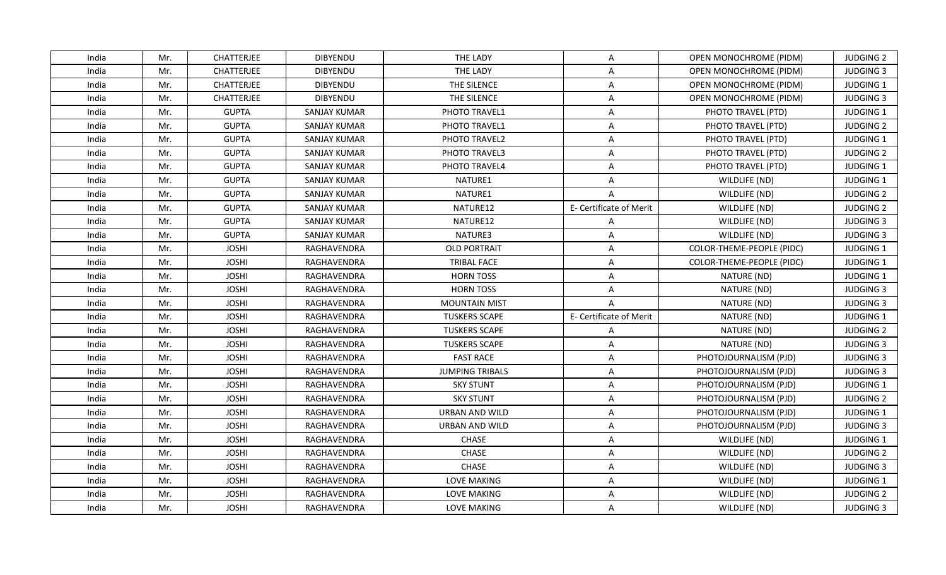| India | Mr. | <b>CHATTERJEE</b> | <b>DIBYENDU</b>     | THE LADY               | A                       | OPEN MONOCHROME (PIDM)    | <b>JUDGING 2</b> |
|-------|-----|-------------------|---------------------|------------------------|-------------------------|---------------------------|------------------|
| India | Mr. | <b>CHATTERJEE</b> | <b>DIBYENDU</b>     | THE LADY               | $\overline{\mathsf{A}}$ | OPEN MONOCHROME (PIDM)    | <b>JUDGING 3</b> |
| India | Mr. | CHATTERJEE        | DIBYENDU            | THE SILENCE            | A                       | OPEN MONOCHROME (PIDM)    | JUDGING 1        |
| India | Mr. | <b>CHATTERJEE</b> | <b>DIBYENDU</b>     | THE SILENCE            | A                       | OPEN MONOCHROME (PIDM)    | <b>JUDGING 3</b> |
| India | Mr. | <b>GUPTA</b>      | <b>SANJAY KUMAR</b> | PHOTO TRAVEL1          | A                       | PHOTO TRAVEL (PTD)        | JUDGING 1        |
| India | Mr. | <b>GUPTA</b>      | SANJAY KUMAR        | PHOTO TRAVEL1          | A                       | PHOTO TRAVEL (PTD)        | <b>JUDGING 2</b> |
| India | Mr. | <b>GUPTA</b>      | <b>SANJAY KUMAR</b> | PHOTO TRAVEL2          | A                       | PHOTO TRAVEL (PTD)        | JUDGING 1        |
| India | Mr. | <b>GUPTA</b>      | <b>SANJAY KUMAR</b> | PHOTO TRAVEL3          | A                       | PHOTO TRAVEL (PTD)        | <b>JUDGING 2</b> |
| India | Mr. | <b>GUPTA</b>      | SANJAY KUMAR        | <b>PHOTO TRAVEL4</b>   | A                       | PHOTO TRAVEL (PTD)        | <b>JUDGING 1</b> |
| India | Mr. | <b>GUPTA</b>      | <b>SANJAY KUMAR</b> | NATURE1                | $\overline{A}$          | WILDLIFE (ND)             | JUDGING 1        |
| India | Mr. | <b>GUPTA</b>      | SANJAY KUMAR        | NATURE1                | A                       | WILDLIFE (ND)             | <b>JUDGING 2</b> |
| India | Mr. | <b>GUPTA</b>      | <b>SANJAY KUMAR</b> | NATURE12               | E- Certificate of Merit | WILDLIFE (ND)             | <b>JUDGING 2</b> |
| India | Mr. | <b>GUPTA</b>      | <b>SANJAY KUMAR</b> | NATURE12               | A                       | WILDLIFE (ND)             | <b>JUDGING 3</b> |
| India | Mr. | <b>GUPTA</b>      | SANJAY KUMAR        | NATURE3                | A                       | WILDLIFE (ND)             | <b>JUDGING 3</b> |
| India | Mr. | <b>JOSHI</b>      | RAGHAVENDRA         | <b>OLD PORTRAIT</b>    | $\overline{\mathsf{A}}$ | COLOR-THEME-PEOPLE (PIDC) | JUDGING 1        |
| India | Mr. | <b>JOSHI</b>      | RAGHAVENDRA         | TRIBAL FACE            | A                       | COLOR-THEME-PEOPLE (PIDC) | JUDGING 1        |
| India | Mr. | <b>JOSHI</b>      | RAGHAVENDRA         | <b>HORN TOSS</b>       | A                       | NATURE (ND)               | JUDGING 1        |
| India | Mr. | <b>JOSHI</b>      | RAGHAVENDRA         | <b>HORN TOSS</b>       | $\overline{\mathsf{A}}$ | NATURE (ND)               | <b>JUDGING 3</b> |
| India | Mr. | <b>JOSHI</b>      | RAGHAVENDRA         | <b>MOUNTAIN MIST</b>   | $\overline{A}$          | NATURE (ND)               | <b>JUDGING 3</b> |
| India | Mr. | <b>JOSHI</b>      | RAGHAVENDRA         | <b>TUSKERS SCAPE</b>   | E- Certificate of Merit | NATURE (ND)               | JUDGING 1        |
| India | Mr. | <b>JOSHI</b>      | RAGHAVENDRA         | <b>TUSKERS SCAPE</b>   | A                       | NATURE (ND)               | <b>JUDGING 2</b> |
| India | Mr. | <b>JOSHI</b>      | RAGHAVENDRA         | <b>TUSKERS SCAPE</b>   | A                       | NATURE (ND)               | <b>JUDGING 3</b> |
| India | Mr. | <b>JOSHI</b>      | RAGHAVENDRA         | <b>FAST RACE</b>       | A                       | PHOTOJOURNALISM (PJD)     | <b>JUDGING 3</b> |
| India | Mr. | <b>JOSHI</b>      | RAGHAVENDRA         | <b>JUMPING TRIBALS</b> | A                       | PHOTOJOURNALISM (PJD)     | <b>JUDGING 3</b> |
| India | Mr. | <b>JOSHI</b>      | RAGHAVENDRA         | <b>SKY STUNT</b>       | $\overline{\mathsf{A}}$ | PHOTOJOURNALISM (PJD)     | JUDGING 1        |
| India | Mr. | <b>JOSHI</b>      | RAGHAVENDRA         | <b>SKY STUNT</b>       | A                       | PHOTOJOURNALISM (PJD)     | <b>JUDGING 2</b> |
| India | Mr. | <b>JOSHI</b>      | RAGHAVENDRA         | URBAN AND WILD         | A                       | PHOTOJOURNALISM (PJD)     | JUDGING 1        |
| India | Mr. | <b>JOSHI</b>      | RAGHAVENDRA         | URBAN AND WILD         | A                       | PHOTOJOURNALISM (PJD)     | <b>JUDGING 3</b> |
| India | Mr. | <b>JOSHI</b>      | RAGHAVENDRA         | CHASE                  | $\overline{A}$          | WILDLIFE (ND)             | JUDGING 1        |
| India | Mr. | <b>JOSHI</b>      | RAGHAVENDRA         | CHASE                  | A                       | WILDLIFE (ND)             | <b>JUDGING 2</b> |
| India | Mr. | <b>JOSHI</b>      | RAGHAVENDRA         | CHASE                  | A                       | WILDLIFE (ND)             | <b>JUDGING 3</b> |
| India | Mr. | <b>JOSHI</b>      | RAGHAVENDRA         | <b>LOVE MAKING</b>     | A                       | WILDLIFE (ND)             | JUDGING 1        |
| India | Mr. | <b>JOSHI</b>      | RAGHAVENDRA         | LOVE MAKING            | A                       | WILDLIFE (ND)             | <b>JUDGING 2</b> |
| India | Mr. | <b>JOSHI</b>      | RAGHAVENDRA         | LOVE MAKING            | $\mathsf{A}$            | WILDLIFE (ND)             | <b>JUDGING 3</b> |
|       |     |                   |                     |                        |                         |                           |                  |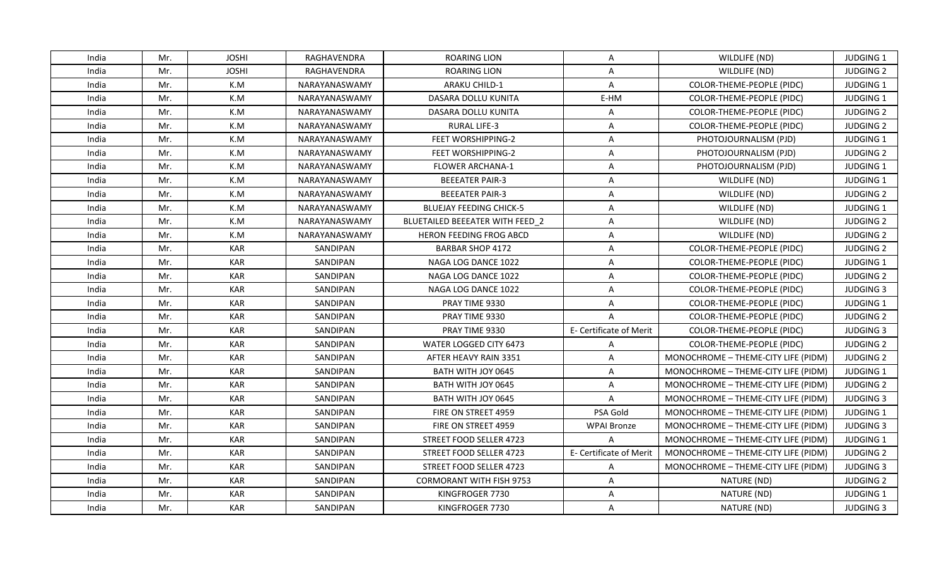| India<br>Mr.<br><b>JOSHI</b><br>RAGHAVENDRA<br><b>ROARING LION</b><br>Α<br>WILDLIFE (ND)<br>Mr.<br><b>JOSHI</b><br>RAGHAVENDRA<br><b>ROARING LION</b><br>India<br>A<br>WILDLIFE (ND)<br>India<br>Mr.<br>K.M<br>A<br>COLOR-THEME-PEOPLE (PIDC)<br>NARAYANASWAMY<br><b>ARAKU CHILD-1</b><br>K.M<br>India<br>Mr.<br>DASARA DOLLU KUNITA<br>E-HM<br>NARAYANASWAMY<br>COLOR-THEME-PEOPLE (PIDC)<br>Mr.<br>India<br>K.M<br><b>DASARA DOLLU KUNITA</b><br><b>COLOR-THEME-PEOPLE (PIDC)</b><br>NARAYANASWAMY<br>Α<br>India<br>Mr.<br>K.M<br>NARAYANASWAMY<br><b>RURAL LIFE-3</b><br>COLOR-THEME-PEOPLE (PIDC)<br>A<br>India<br>Mr.<br>K.M<br>NARAYANASWAMY<br><b>FEET WORSHIPPING-2</b><br>A<br>PHOTOJOURNALISM (PJD)<br>Mr.<br>K.M<br>A<br>India<br>NARAYANASWAMY<br><b>FEET WORSHIPPING-2</b><br>PHOTOJOURNALISM (PJD)<br>K.M<br>India<br>Mr.<br>NARAYANASWAMY<br><b>FLOWER ARCHANA-1</b><br>A<br>PHOTOJOURNALISM (PJD)<br>India<br>Mr.<br>K.M<br><b>BEEEATER PAIR-3</b><br>A<br>NARAYANASWAMY<br>WILDLIFE (ND)<br>India<br>Mr.<br>K.M<br><b>BEEEATER PAIR-3</b><br>Α<br>NARAYANASWAMY<br>WILDLIFE (ND)<br>India<br>Mr.<br>K.M<br>NARAYANASWAMY<br>A<br><b>BLUEJAY FEEDING CHICK-5</b><br>WILDLIFE (ND)<br>India<br>Mr.<br>K.M<br>A<br>NARAYANASWAMY<br>BLUETAILED BEEEATER WITH FEED 2<br>WILDLIFE (ND)<br>Mr.<br>K.M<br>NARAYANASWAMY<br><b>HERON FEEDING FROG ABCD</b><br>A<br>WILDLIFE (ND)<br>India<br><b>KAR</b><br>India<br>Mr.<br>SANDIPAN<br><b>BARBAR SHOP 4172</b><br>$\overline{A}$<br><b>COLOR-THEME-PEOPLE (PIDC)</b><br><b>KAR</b><br>India<br>Mr.<br>SANDIPAN<br>NAGA LOG DANCE 1022<br>A<br>COLOR-THEME-PEOPLE (PIDC)<br>India<br>Mr.<br><b>KAR</b><br>SANDIPAN<br>$\overline{\mathsf{A}}$<br>NAGA LOG DANCE 1022<br>COLOR-THEME-PEOPLE (PIDC)<br>India<br>Mr.<br><b>KAR</b><br>SANDIPAN<br>NAGA LOG DANCE 1022<br>$\overline{A}$<br>COLOR-THEME-PEOPLE (PIDC)<br>Mr.<br><b>KAR</b><br><b>SANDIPAN</b><br>PRAY TIME 9330<br>COLOR-THEME-PEOPLE (PIDC)<br>India<br>Α<br><b>KAR</b><br>India<br>Mr.<br>SANDIPAN<br>PRAY TIME 9330<br>$\overline{A}$<br>COLOR-THEME-PEOPLE (PIDC)<br><b>KAR</b><br>India<br>Mr.<br><b>SANDIPAN</b><br>PRAY TIME 9330<br>E- Certificate of Merit<br>COLOR-THEME-PEOPLE (PIDC)<br>India<br>Mr.<br><b>KAR</b><br>SANDIPAN<br>WATER LOGGED CITY 6473<br>COLOR-THEME-PEOPLE (PIDC)<br>A<br><b>KAR</b><br>India<br>Mr.<br>SANDIPAN<br>AFTER HEAVY RAIN 3351<br>A<br>MONOCHROME - THEME-CITY LIFE (PIDM)<br>Mr.<br><b>KAR</b><br>SANDIPAN<br>BATH WITH JOY 0645<br>MONOCHROME - THEME-CITY LIFE (PIDM)<br>India<br>$\mathsf{A}$<br><b>KAR</b><br>Mr.<br>SANDIPAN<br>India<br>BATH WITH JOY 0645<br>A<br>MONOCHROME - THEME-CITY LIFE (PIDM)<br><b>KAR</b><br>India<br>Mr.<br>SANDIPAN<br>A<br>BATH WITH JOY 0645<br>MONOCHROME - THEME-CITY LIFE (PIDM)<br>India<br>Mr.<br><b>KAR</b><br>SANDIPAN<br>PSA Gold<br>FIRE ON STREET 4959<br>MONOCHROME - THEME-CITY LIFE (PIDM)<br>Mr.<br><b>KAR</b><br>India<br>SANDIPAN<br>FIRE ON STREET 4959<br><b>WPAI Bronze</b><br>MONOCHROME - THEME-CITY LIFE (PIDM)<br><b>KAR</b><br>India<br>Mr.<br>SANDIPAN<br>STREET FOOD SELLER 4723<br>MONOCHROME - THEME-CITY LIFE (PIDM)<br>$\overline{A}$<br><b>KAR</b><br>Mr.<br>E- Certificate of Merit<br>India<br><b>SANDIPAN</b><br>STREET FOOD SELLER 4723<br>MONOCHROME - THEME-CITY LIFE (PIDM)<br>India<br>Mr.<br><b>KAR</b><br>SANDIPAN<br>STREET FOOD SELLER 4723<br>$\mathsf{A}$<br>MONOCHROME - THEME-CITY LIFE (PIDM)<br>Mr.<br><b>KAR</b><br><b>CORMORANT WITH FISH 9753</b><br>India<br><b>SANDIPAN</b><br>A<br>NATURE (ND)<br>Mr.<br><b>KAR</b><br>India<br>SANDIPAN<br>KINGFROGER 7730<br>A<br>NATURE (ND)<br>India<br>Mr.<br><b>KAR</b><br>SANDIPAN<br>KINGFROGER 7730<br>A<br>NATURE (ND) |  |  |  |                  |
|------------------------------------------------------------------------------------------------------------------------------------------------------------------------------------------------------------------------------------------------------------------------------------------------------------------------------------------------------------------------------------------------------------------------------------------------------------------------------------------------------------------------------------------------------------------------------------------------------------------------------------------------------------------------------------------------------------------------------------------------------------------------------------------------------------------------------------------------------------------------------------------------------------------------------------------------------------------------------------------------------------------------------------------------------------------------------------------------------------------------------------------------------------------------------------------------------------------------------------------------------------------------------------------------------------------------------------------------------------------------------------------------------------------------------------------------------------------------------------------------------------------------------------------------------------------------------------------------------------------------------------------------------------------------------------------------------------------------------------------------------------------------------------------------------------------------------------------------------------------------------------------------------------------------------------------------------------------------------------------------------------------------------------------------------------------------------------------------------------------------------------------------------------------------------------------------------------------------------------------------------------------------------------------------------------------------------------------------------------------------------------------------------------------------------------------------------------------------------------------------------------------------------------------------------------------------------------------------------------------------------------------------------------------------------------------------------------------------------------------------------------------------------------------------------------------------------------------------------------------------------------------------------------------------------------------------------------------------------------------------------------------------------------------------------------------------------------------------------------------------------------------------------------------------------------------------------------------------------------------------------------------------------------------------------------------------------------------------------------------------------------------------------------------------------------------------------------------------------------------------------------------------------------------------------------------------------------------------------------------------------------------------------------------------------------------------------------------------------|--|--|--|------------------|
|                                                                                                                                                                                                                                                                                                                                                                                                                                                                                                                                                                                                                                                                                                                                                                                                                                                                                                                                                                                                                                                                                                                                                                                                                                                                                                                                                                                                                                                                                                                                                                                                                                                                                                                                                                                                                                                                                                                                                                                                                                                                                                                                                                                                                                                                                                                                                                                                                                                                                                                                                                                                                                                                                                                                                                                                                                                                                                                                                                                                                                                                                                                                                                                                                                                                                                                                                                                                                                                                                                                                                                                                                                                                                                                              |  |  |  | <b>JUDGING 1</b> |
|                                                                                                                                                                                                                                                                                                                                                                                                                                                                                                                                                                                                                                                                                                                                                                                                                                                                                                                                                                                                                                                                                                                                                                                                                                                                                                                                                                                                                                                                                                                                                                                                                                                                                                                                                                                                                                                                                                                                                                                                                                                                                                                                                                                                                                                                                                                                                                                                                                                                                                                                                                                                                                                                                                                                                                                                                                                                                                                                                                                                                                                                                                                                                                                                                                                                                                                                                                                                                                                                                                                                                                                                                                                                                                                              |  |  |  | <b>JUDGING 2</b> |
|                                                                                                                                                                                                                                                                                                                                                                                                                                                                                                                                                                                                                                                                                                                                                                                                                                                                                                                                                                                                                                                                                                                                                                                                                                                                                                                                                                                                                                                                                                                                                                                                                                                                                                                                                                                                                                                                                                                                                                                                                                                                                                                                                                                                                                                                                                                                                                                                                                                                                                                                                                                                                                                                                                                                                                                                                                                                                                                                                                                                                                                                                                                                                                                                                                                                                                                                                                                                                                                                                                                                                                                                                                                                                                                              |  |  |  | JUDGING 1        |
|                                                                                                                                                                                                                                                                                                                                                                                                                                                                                                                                                                                                                                                                                                                                                                                                                                                                                                                                                                                                                                                                                                                                                                                                                                                                                                                                                                                                                                                                                                                                                                                                                                                                                                                                                                                                                                                                                                                                                                                                                                                                                                                                                                                                                                                                                                                                                                                                                                                                                                                                                                                                                                                                                                                                                                                                                                                                                                                                                                                                                                                                                                                                                                                                                                                                                                                                                                                                                                                                                                                                                                                                                                                                                                                              |  |  |  | JUDGING 1        |
|                                                                                                                                                                                                                                                                                                                                                                                                                                                                                                                                                                                                                                                                                                                                                                                                                                                                                                                                                                                                                                                                                                                                                                                                                                                                                                                                                                                                                                                                                                                                                                                                                                                                                                                                                                                                                                                                                                                                                                                                                                                                                                                                                                                                                                                                                                                                                                                                                                                                                                                                                                                                                                                                                                                                                                                                                                                                                                                                                                                                                                                                                                                                                                                                                                                                                                                                                                                                                                                                                                                                                                                                                                                                                                                              |  |  |  | <b>JUDGING 2</b> |
|                                                                                                                                                                                                                                                                                                                                                                                                                                                                                                                                                                                                                                                                                                                                                                                                                                                                                                                                                                                                                                                                                                                                                                                                                                                                                                                                                                                                                                                                                                                                                                                                                                                                                                                                                                                                                                                                                                                                                                                                                                                                                                                                                                                                                                                                                                                                                                                                                                                                                                                                                                                                                                                                                                                                                                                                                                                                                                                                                                                                                                                                                                                                                                                                                                                                                                                                                                                                                                                                                                                                                                                                                                                                                                                              |  |  |  | <b>JUDGING 2</b> |
|                                                                                                                                                                                                                                                                                                                                                                                                                                                                                                                                                                                                                                                                                                                                                                                                                                                                                                                                                                                                                                                                                                                                                                                                                                                                                                                                                                                                                                                                                                                                                                                                                                                                                                                                                                                                                                                                                                                                                                                                                                                                                                                                                                                                                                                                                                                                                                                                                                                                                                                                                                                                                                                                                                                                                                                                                                                                                                                                                                                                                                                                                                                                                                                                                                                                                                                                                                                                                                                                                                                                                                                                                                                                                                                              |  |  |  | JUDGING 1        |
|                                                                                                                                                                                                                                                                                                                                                                                                                                                                                                                                                                                                                                                                                                                                                                                                                                                                                                                                                                                                                                                                                                                                                                                                                                                                                                                                                                                                                                                                                                                                                                                                                                                                                                                                                                                                                                                                                                                                                                                                                                                                                                                                                                                                                                                                                                                                                                                                                                                                                                                                                                                                                                                                                                                                                                                                                                                                                                                                                                                                                                                                                                                                                                                                                                                                                                                                                                                                                                                                                                                                                                                                                                                                                                                              |  |  |  | <b>JUDGING 2</b> |
|                                                                                                                                                                                                                                                                                                                                                                                                                                                                                                                                                                                                                                                                                                                                                                                                                                                                                                                                                                                                                                                                                                                                                                                                                                                                                                                                                                                                                                                                                                                                                                                                                                                                                                                                                                                                                                                                                                                                                                                                                                                                                                                                                                                                                                                                                                                                                                                                                                                                                                                                                                                                                                                                                                                                                                                                                                                                                                                                                                                                                                                                                                                                                                                                                                                                                                                                                                                                                                                                                                                                                                                                                                                                                                                              |  |  |  | <b>JUDGING 1</b> |
|                                                                                                                                                                                                                                                                                                                                                                                                                                                                                                                                                                                                                                                                                                                                                                                                                                                                                                                                                                                                                                                                                                                                                                                                                                                                                                                                                                                                                                                                                                                                                                                                                                                                                                                                                                                                                                                                                                                                                                                                                                                                                                                                                                                                                                                                                                                                                                                                                                                                                                                                                                                                                                                                                                                                                                                                                                                                                                                                                                                                                                                                                                                                                                                                                                                                                                                                                                                                                                                                                                                                                                                                                                                                                                                              |  |  |  | JUDGING 1        |
|                                                                                                                                                                                                                                                                                                                                                                                                                                                                                                                                                                                                                                                                                                                                                                                                                                                                                                                                                                                                                                                                                                                                                                                                                                                                                                                                                                                                                                                                                                                                                                                                                                                                                                                                                                                                                                                                                                                                                                                                                                                                                                                                                                                                                                                                                                                                                                                                                                                                                                                                                                                                                                                                                                                                                                                                                                                                                                                                                                                                                                                                                                                                                                                                                                                                                                                                                                                                                                                                                                                                                                                                                                                                                                                              |  |  |  | <b>JUDGING 2</b> |
|                                                                                                                                                                                                                                                                                                                                                                                                                                                                                                                                                                                                                                                                                                                                                                                                                                                                                                                                                                                                                                                                                                                                                                                                                                                                                                                                                                                                                                                                                                                                                                                                                                                                                                                                                                                                                                                                                                                                                                                                                                                                                                                                                                                                                                                                                                                                                                                                                                                                                                                                                                                                                                                                                                                                                                                                                                                                                                                                                                                                                                                                                                                                                                                                                                                                                                                                                                                                                                                                                                                                                                                                                                                                                                                              |  |  |  | JUDGING 1        |
|                                                                                                                                                                                                                                                                                                                                                                                                                                                                                                                                                                                                                                                                                                                                                                                                                                                                                                                                                                                                                                                                                                                                                                                                                                                                                                                                                                                                                                                                                                                                                                                                                                                                                                                                                                                                                                                                                                                                                                                                                                                                                                                                                                                                                                                                                                                                                                                                                                                                                                                                                                                                                                                                                                                                                                                                                                                                                                                                                                                                                                                                                                                                                                                                                                                                                                                                                                                                                                                                                                                                                                                                                                                                                                                              |  |  |  | <b>JUDGING 2</b> |
|                                                                                                                                                                                                                                                                                                                                                                                                                                                                                                                                                                                                                                                                                                                                                                                                                                                                                                                                                                                                                                                                                                                                                                                                                                                                                                                                                                                                                                                                                                                                                                                                                                                                                                                                                                                                                                                                                                                                                                                                                                                                                                                                                                                                                                                                                                                                                                                                                                                                                                                                                                                                                                                                                                                                                                                                                                                                                                                                                                                                                                                                                                                                                                                                                                                                                                                                                                                                                                                                                                                                                                                                                                                                                                                              |  |  |  | <b>JUDGING 2</b> |
|                                                                                                                                                                                                                                                                                                                                                                                                                                                                                                                                                                                                                                                                                                                                                                                                                                                                                                                                                                                                                                                                                                                                                                                                                                                                                                                                                                                                                                                                                                                                                                                                                                                                                                                                                                                                                                                                                                                                                                                                                                                                                                                                                                                                                                                                                                                                                                                                                                                                                                                                                                                                                                                                                                                                                                                                                                                                                                                                                                                                                                                                                                                                                                                                                                                                                                                                                                                                                                                                                                                                                                                                                                                                                                                              |  |  |  | <b>JUDGING 2</b> |
|                                                                                                                                                                                                                                                                                                                                                                                                                                                                                                                                                                                                                                                                                                                                                                                                                                                                                                                                                                                                                                                                                                                                                                                                                                                                                                                                                                                                                                                                                                                                                                                                                                                                                                                                                                                                                                                                                                                                                                                                                                                                                                                                                                                                                                                                                                                                                                                                                                                                                                                                                                                                                                                                                                                                                                                                                                                                                                                                                                                                                                                                                                                                                                                                                                                                                                                                                                                                                                                                                                                                                                                                                                                                                                                              |  |  |  | <b>JUDGING 1</b> |
|                                                                                                                                                                                                                                                                                                                                                                                                                                                                                                                                                                                                                                                                                                                                                                                                                                                                                                                                                                                                                                                                                                                                                                                                                                                                                                                                                                                                                                                                                                                                                                                                                                                                                                                                                                                                                                                                                                                                                                                                                                                                                                                                                                                                                                                                                                                                                                                                                                                                                                                                                                                                                                                                                                                                                                                                                                                                                                                                                                                                                                                                                                                                                                                                                                                                                                                                                                                                                                                                                                                                                                                                                                                                                                                              |  |  |  | <b>JUDGING 2</b> |
|                                                                                                                                                                                                                                                                                                                                                                                                                                                                                                                                                                                                                                                                                                                                                                                                                                                                                                                                                                                                                                                                                                                                                                                                                                                                                                                                                                                                                                                                                                                                                                                                                                                                                                                                                                                                                                                                                                                                                                                                                                                                                                                                                                                                                                                                                                                                                                                                                                                                                                                                                                                                                                                                                                                                                                                                                                                                                                                                                                                                                                                                                                                                                                                                                                                                                                                                                                                                                                                                                                                                                                                                                                                                                                                              |  |  |  | <b>JUDGING 3</b> |
|                                                                                                                                                                                                                                                                                                                                                                                                                                                                                                                                                                                                                                                                                                                                                                                                                                                                                                                                                                                                                                                                                                                                                                                                                                                                                                                                                                                                                                                                                                                                                                                                                                                                                                                                                                                                                                                                                                                                                                                                                                                                                                                                                                                                                                                                                                                                                                                                                                                                                                                                                                                                                                                                                                                                                                                                                                                                                                                                                                                                                                                                                                                                                                                                                                                                                                                                                                                                                                                                                                                                                                                                                                                                                                                              |  |  |  | <b>JUDGING 1</b> |
|                                                                                                                                                                                                                                                                                                                                                                                                                                                                                                                                                                                                                                                                                                                                                                                                                                                                                                                                                                                                                                                                                                                                                                                                                                                                                                                                                                                                                                                                                                                                                                                                                                                                                                                                                                                                                                                                                                                                                                                                                                                                                                                                                                                                                                                                                                                                                                                                                                                                                                                                                                                                                                                                                                                                                                                                                                                                                                                                                                                                                                                                                                                                                                                                                                                                                                                                                                                                                                                                                                                                                                                                                                                                                                                              |  |  |  | <b>JUDGING 2</b> |
|                                                                                                                                                                                                                                                                                                                                                                                                                                                                                                                                                                                                                                                                                                                                                                                                                                                                                                                                                                                                                                                                                                                                                                                                                                                                                                                                                                                                                                                                                                                                                                                                                                                                                                                                                                                                                                                                                                                                                                                                                                                                                                                                                                                                                                                                                                                                                                                                                                                                                                                                                                                                                                                                                                                                                                                                                                                                                                                                                                                                                                                                                                                                                                                                                                                                                                                                                                                                                                                                                                                                                                                                                                                                                                                              |  |  |  | <b>JUDGING 3</b> |
|                                                                                                                                                                                                                                                                                                                                                                                                                                                                                                                                                                                                                                                                                                                                                                                                                                                                                                                                                                                                                                                                                                                                                                                                                                                                                                                                                                                                                                                                                                                                                                                                                                                                                                                                                                                                                                                                                                                                                                                                                                                                                                                                                                                                                                                                                                                                                                                                                                                                                                                                                                                                                                                                                                                                                                                                                                                                                                                                                                                                                                                                                                                                                                                                                                                                                                                                                                                                                                                                                                                                                                                                                                                                                                                              |  |  |  | <b>JUDGING 2</b> |
|                                                                                                                                                                                                                                                                                                                                                                                                                                                                                                                                                                                                                                                                                                                                                                                                                                                                                                                                                                                                                                                                                                                                                                                                                                                                                                                                                                                                                                                                                                                                                                                                                                                                                                                                                                                                                                                                                                                                                                                                                                                                                                                                                                                                                                                                                                                                                                                                                                                                                                                                                                                                                                                                                                                                                                                                                                                                                                                                                                                                                                                                                                                                                                                                                                                                                                                                                                                                                                                                                                                                                                                                                                                                                                                              |  |  |  | <b>JUDGING 2</b> |
|                                                                                                                                                                                                                                                                                                                                                                                                                                                                                                                                                                                                                                                                                                                                                                                                                                                                                                                                                                                                                                                                                                                                                                                                                                                                                                                                                                                                                                                                                                                                                                                                                                                                                                                                                                                                                                                                                                                                                                                                                                                                                                                                                                                                                                                                                                                                                                                                                                                                                                                                                                                                                                                                                                                                                                                                                                                                                                                                                                                                                                                                                                                                                                                                                                                                                                                                                                                                                                                                                                                                                                                                                                                                                                                              |  |  |  | JUDGING 1        |
|                                                                                                                                                                                                                                                                                                                                                                                                                                                                                                                                                                                                                                                                                                                                                                                                                                                                                                                                                                                                                                                                                                                                                                                                                                                                                                                                                                                                                                                                                                                                                                                                                                                                                                                                                                                                                                                                                                                                                                                                                                                                                                                                                                                                                                                                                                                                                                                                                                                                                                                                                                                                                                                                                                                                                                                                                                                                                                                                                                                                                                                                                                                                                                                                                                                                                                                                                                                                                                                                                                                                                                                                                                                                                                                              |  |  |  | <b>JUDGING 2</b> |
|                                                                                                                                                                                                                                                                                                                                                                                                                                                                                                                                                                                                                                                                                                                                                                                                                                                                                                                                                                                                                                                                                                                                                                                                                                                                                                                                                                                                                                                                                                                                                                                                                                                                                                                                                                                                                                                                                                                                                                                                                                                                                                                                                                                                                                                                                                                                                                                                                                                                                                                                                                                                                                                                                                                                                                                                                                                                                                                                                                                                                                                                                                                                                                                                                                                                                                                                                                                                                                                                                                                                                                                                                                                                                                                              |  |  |  | <b>JUDGING 3</b> |
|                                                                                                                                                                                                                                                                                                                                                                                                                                                                                                                                                                                                                                                                                                                                                                                                                                                                                                                                                                                                                                                                                                                                                                                                                                                                                                                                                                                                                                                                                                                                                                                                                                                                                                                                                                                                                                                                                                                                                                                                                                                                                                                                                                                                                                                                                                                                                                                                                                                                                                                                                                                                                                                                                                                                                                                                                                                                                                                                                                                                                                                                                                                                                                                                                                                                                                                                                                                                                                                                                                                                                                                                                                                                                                                              |  |  |  | JUDGING 1        |
|                                                                                                                                                                                                                                                                                                                                                                                                                                                                                                                                                                                                                                                                                                                                                                                                                                                                                                                                                                                                                                                                                                                                                                                                                                                                                                                                                                                                                                                                                                                                                                                                                                                                                                                                                                                                                                                                                                                                                                                                                                                                                                                                                                                                                                                                                                                                                                                                                                                                                                                                                                                                                                                                                                                                                                                                                                                                                                                                                                                                                                                                                                                                                                                                                                                                                                                                                                                                                                                                                                                                                                                                                                                                                                                              |  |  |  | <b>JUDGING 3</b> |
|                                                                                                                                                                                                                                                                                                                                                                                                                                                                                                                                                                                                                                                                                                                                                                                                                                                                                                                                                                                                                                                                                                                                                                                                                                                                                                                                                                                                                                                                                                                                                                                                                                                                                                                                                                                                                                                                                                                                                                                                                                                                                                                                                                                                                                                                                                                                                                                                                                                                                                                                                                                                                                                                                                                                                                                                                                                                                                                                                                                                                                                                                                                                                                                                                                                                                                                                                                                                                                                                                                                                                                                                                                                                                                                              |  |  |  | <b>JUDGING 1</b> |
|                                                                                                                                                                                                                                                                                                                                                                                                                                                                                                                                                                                                                                                                                                                                                                                                                                                                                                                                                                                                                                                                                                                                                                                                                                                                                                                                                                                                                                                                                                                                                                                                                                                                                                                                                                                                                                                                                                                                                                                                                                                                                                                                                                                                                                                                                                                                                                                                                                                                                                                                                                                                                                                                                                                                                                                                                                                                                                                                                                                                                                                                                                                                                                                                                                                                                                                                                                                                                                                                                                                                                                                                                                                                                                                              |  |  |  | <b>JUDGING 2</b> |
|                                                                                                                                                                                                                                                                                                                                                                                                                                                                                                                                                                                                                                                                                                                                                                                                                                                                                                                                                                                                                                                                                                                                                                                                                                                                                                                                                                                                                                                                                                                                                                                                                                                                                                                                                                                                                                                                                                                                                                                                                                                                                                                                                                                                                                                                                                                                                                                                                                                                                                                                                                                                                                                                                                                                                                                                                                                                                                                                                                                                                                                                                                                                                                                                                                                                                                                                                                                                                                                                                                                                                                                                                                                                                                                              |  |  |  | <b>JUDGING 3</b> |
|                                                                                                                                                                                                                                                                                                                                                                                                                                                                                                                                                                                                                                                                                                                                                                                                                                                                                                                                                                                                                                                                                                                                                                                                                                                                                                                                                                                                                                                                                                                                                                                                                                                                                                                                                                                                                                                                                                                                                                                                                                                                                                                                                                                                                                                                                                                                                                                                                                                                                                                                                                                                                                                                                                                                                                                                                                                                                                                                                                                                                                                                                                                                                                                                                                                                                                                                                                                                                                                                                                                                                                                                                                                                                                                              |  |  |  | <b>JUDGING 2</b> |
|                                                                                                                                                                                                                                                                                                                                                                                                                                                                                                                                                                                                                                                                                                                                                                                                                                                                                                                                                                                                                                                                                                                                                                                                                                                                                                                                                                                                                                                                                                                                                                                                                                                                                                                                                                                                                                                                                                                                                                                                                                                                                                                                                                                                                                                                                                                                                                                                                                                                                                                                                                                                                                                                                                                                                                                                                                                                                                                                                                                                                                                                                                                                                                                                                                                                                                                                                                                                                                                                                                                                                                                                                                                                                                                              |  |  |  | JUDGING 1        |
|                                                                                                                                                                                                                                                                                                                                                                                                                                                                                                                                                                                                                                                                                                                                                                                                                                                                                                                                                                                                                                                                                                                                                                                                                                                                                                                                                                                                                                                                                                                                                                                                                                                                                                                                                                                                                                                                                                                                                                                                                                                                                                                                                                                                                                                                                                                                                                                                                                                                                                                                                                                                                                                                                                                                                                                                                                                                                                                                                                                                                                                                                                                                                                                                                                                                                                                                                                                                                                                                                                                                                                                                                                                                                                                              |  |  |  | <b>JUDGING 3</b> |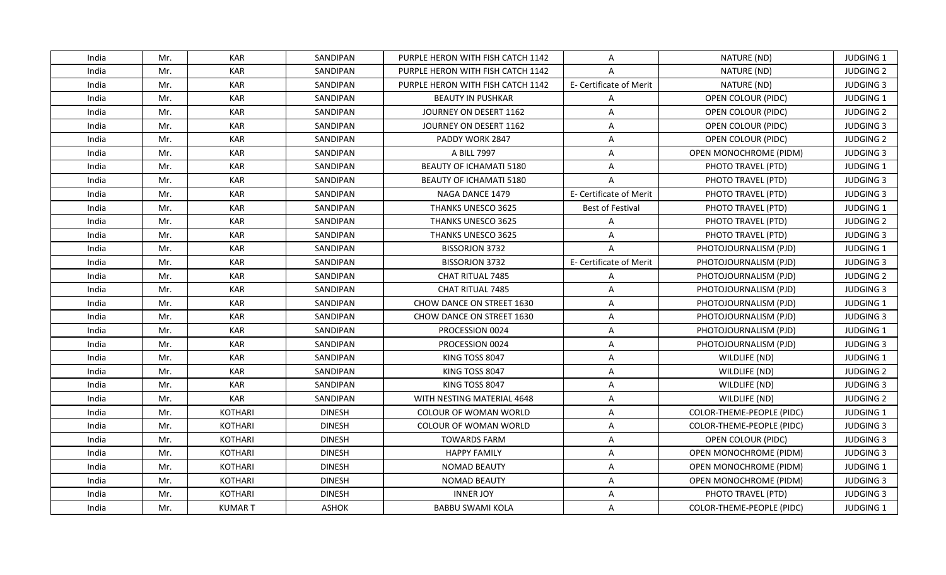| India | Mr. | <b>KAR</b>    | SANDIPAN        | PURPLE HERON WITH FISH CATCH 1142 | A                       | NATURE (ND)                   | <b>JUDGING 1</b> |
|-------|-----|---------------|-----------------|-----------------------------------|-------------------------|-------------------------------|------------------|
| India | Mr. | <b>KAR</b>    | SANDIPAN        | PURPLE HERON WITH FISH CATCH 1142 | A                       | NATURE (ND)                   | <b>JUDGING 2</b> |
| India | Mr. | <b>KAR</b>    | SANDIPAN        | PURPLE HERON WITH FISH CATCH 1142 | E- Certificate of Merit | NATURE (ND)                   | <b>JUDGING 3</b> |
| India | Mr. | <b>KAR</b>    | SANDIPAN        | <b>BEAUTY IN PUSHKAR</b>          | A                       | OPEN COLOUR (PIDC)            | JUDGING 1        |
| India | Mr. | <b>KAR</b>    | SANDIPAN        | JOURNEY ON DESERT 1162            | $\overline{\mathsf{A}}$ | OPEN COLOUR (PIDC)            | <b>JUDGING 2</b> |
| India | Mr. | <b>KAR</b>    | SANDIPAN        | JOURNEY ON DESERT 1162            | A                       | OPEN COLOUR (PIDC)            | <b>JUDGING 3</b> |
| India | Mr. | <b>KAR</b>    | SANDIPAN        | PADDY WORK 2847                   | $\overline{\mathsf{A}}$ | OPEN COLOUR (PIDC)            | <b>JUDGING 2</b> |
| India | Mr. | <b>KAR</b>    | SANDIPAN        | A BILL 7997                       | A                       | OPEN MONOCHROME (PIDM)        | <b>JUDGING 3</b> |
| India | Mr. | <b>KAR</b>    | SANDIPAN        | BEAUTY OF ICHAMATI 5180           | A                       | PHOTO TRAVEL (PTD)            | JUDGING 1        |
| India | Mr. | <b>KAR</b>    | SANDIPAN        | <b>BEAUTY OF ICHAMATI 5180</b>    | $\overline{A}$          | PHOTO TRAVEL (PTD)            | <b>JUDGING 3</b> |
| India | Mr. | <b>KAR</b>    | <b>SANDIPAN</b> | NAGA DANCE 1479                   | E- Certificate of Merit | PHOTO TRAVEL (PTD)            | <b>JUDGING 3</b> |
| India | Mr. | <b>KAR</b>    | SANDIPAN        | <b>THANKS UNESCO 3625</b>         | <b>Best of Festival</b> | PHOTO TRAVEL (PTD)            | JUDGING 1        |
| India | Mr. | <b>KAR</b>    | SANDIPAN        | THANKS UNESCO 3625                | A                       | PHOTO TRAVEL (PTD)            | <b>JUDGING 2</b> |
| India | Mr. | <b>KAR</b>    | SANDIPAN        | THANKS UNESCO 3625                | $\overline{A}$          | PHOTO TRAVEL (PTD)            | <b>JUDGING 3</b> |
| India | Mr. | <b>KAR</b>    | SANDIPAN        | <b>BISSORJON 3732</b>             | A                       | PHOTOJOURNALISM (PJD)         | JUDGING 1        |
| India | Mr. | <b>KAR</b>    | <b>SANDIPAN</b> | <b>BISSORJON 3732</b>             | E- Certificate of Merit | PHOTOJOURNALISM (PJD)         | <b>JUDGING 3</b> |
| India | Mr. | <b>KAR</b>    | SANDIPAN        | CHAT RITUAL 7485                  | A                       | PHOTOJOURNALISM (PJD)         | <b>JUDGING 2</b> |
| India | Mr. | <b>KAR</b>    | SANDIPAN        | CHAT RITUAL 7485                  | $\overline{A}$          | PHOTOJOURNALISM (PJD)         | <b>JUDGING 3</b> |
| India | Mr. | <b>KAR</b>    | SANDIPAN        | CHOW DANCE ON STREET 1630         | A                       | PHOTOJOURNALISM (PJD)         | JUDGING 1        |
| India | Mr. | <b>KAR</b>    | SANDIPAN        | CHOW DANCE ON STREET 1630         | A                       | PHOTOJOURNALISM (PJD)         | <b>JUDGING 3</b> |
| India | Mr. | <b>KAR</b>    | <b>SANDIPAN</b> | PROCESSION 0024                   | A                       | PHOTOJOURNALISM (PJD)         | <b>JUDGING 1</b> |
| India | Mr. | <b>KAR</b>    | SANDIPAN        | PROCESSION 0024                   | A                       | PHOTOJOURNALISM (PJD)         | <b>JUDGING 3</b> |
| India | Mr. | <b>KAR</b>    | SANDIPAN        | KING TOSS 8047                    | A                       | WILDLIFE (ND)                 | JUDGING 1        |
| India | Mr. | <b>KAR</b>    | SANDIPAN        | KING TOSS 8047                    | A                       | WILDLIFE (ND)                 | <b>JUDGING 2</b> |
| India | Mr. | <b>KAR</b>    | <b>SANDIPAN</b> | KING TOSS 8047                    | A                       | WILDLIFE (ND)                 | <b>JUDGING 3</b> |
| India | Mr. | <b>KAR</b>    | SANDIPAN        | WITH NESTING MATERIAL 4648        | A                       | WILDLIFE (ND)                 | <b>JUDGING 2</b> |
| India | Mr. | KOTHARI       | <b>DINESH</b>   | COLOUR OF WOMAN WORLD             | A                       | COLOR-THEME-PEOPLE (PIDC)     | JUDGING 1        |
| India | Mr. | KOTHARI       | <b>DINESH</b>   | COLOUR OF WOMAN WORLD             | A                       | COLOR-THEME-PEOPLE (PIDC)     | <b>JUDGING 3</b> |
| India | Mr. | KOTHARI       | <b>DINESH</b>   | <b>TOWARDS FARM</b>               | A                       | OPEN COLOUR (PIDC)            | <b>JUDGING 3</b> |
| India | Mr. | KOTHARI       | <b>DINESH</b>   | <b>HAPPY FAMILY</b>               | $\overline{A}$          | OPEN MONOCHROME (PIDM)        | <b>JUDGING 3</b> |
| India | Mr. | KOTHARI       | <b>DINESH</b>   | <b>NOMAD BEAUTY</b>               | A                       | <b>OPEN MONOCHROME (PIDM)</b> | <b>JUDGING 1</b> |
| India | Mr. | KOTHARI       | <b>DINESH</b>   | <b>NOMAD BEAUTY</b>               | $\overline{A}$          | OPEN MONOCHROME (PIDM)        | <b>JUDGING 3</b> |
| India | Mr. | KOTHARI       | <b>DINESH</b>   | <b>INNER JOY</b>                  | A                       | PHOTO TRAVEL (PTD)            | <b>JUDGING 3</b> |
| India | Mr. | <b>KUMART</b> | <b>ASHOK</b>    | <b>BABBU SWAMI KOLA</b>           | A                       | COLOR-THEME-PEOPLE (PIDC)     | <b>JUDGING 1</b> |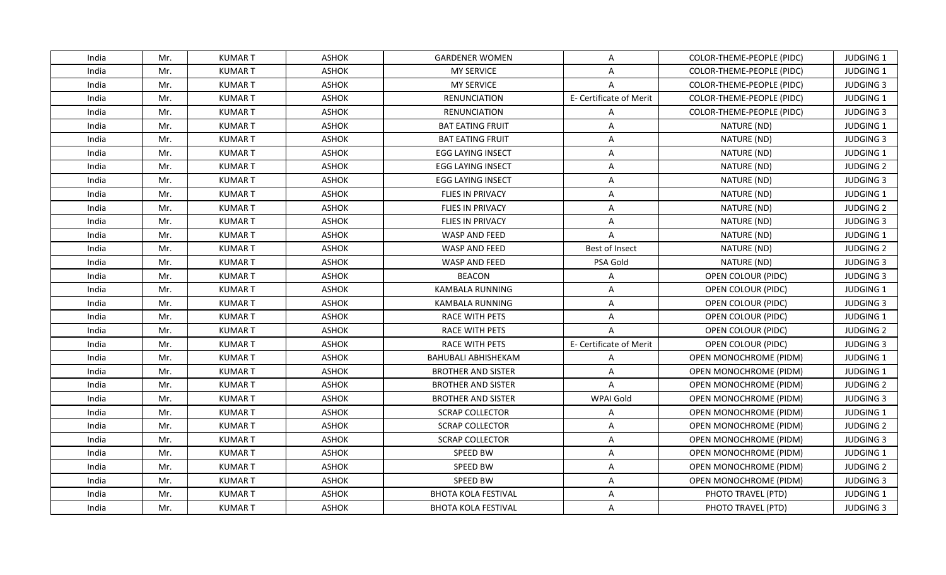| India | Mr. | <b>KUMART</b>  | <b>ASHOK</b> | <b>GARDENER WOMEN</b>      | A                       | COLOR-THEME-PEOPLE (PIDC)     | <b>JUDGING 1</b> |
|-------|-----|----------------|--------------|----------------------------|-------------------------|-------------------------------|------------------|
| India | Mr. | <b>KUMART</b>  | <b>ASHOK</b> | <b>MY SERVICE</b>          | A                       | COLOR-THEME-PEOPLE (PIDC)     | JUDGING 1        |
| India | Mr. | <b>KUMART</b>  | <b>ASHOK</b> | <b>MY SERVICE</b>          | $\overline{A}$          | COLOR-THEME-PEOPLE (PIDC)     | <b>JUDGING 3</b> |
| India | Mr. | <b>KUMART</b>  | <b>ASHOK</b> | <b>RENUNCIATION</b>        | E- Certificate of Merit | COLOR-THEME-PEOPLE (PIDC)     | JUDGING 1        |
| India | Mr. | <b>KUMART</b>  | <b>ASHOK</b> | <b>RENUNCIATION</b>        | A                       | COLOR-THEME-PEOPLE (PIDC)     | <b>JUDGING 3</b> |
| India | Mr. | <b>KUMAR T</b> | <b>ASHOK</b> | <b>BAT EATING FRUIT</b>    | A                       | NATURE (ND)                   | <b>JUDGING 1</b> |
| India | Mr. | <b>KUMART</b>  | ASHOK        | <b>BAT EATING FRUIT</b>    | A                       | NATURE (ND)                   | <b>JUDGING 3</b> |
| India | Mr. | <b>KUMART</b>  | <b>ASHOK</b> | <b>EGG LAYING INSECT</b>   | A                       | NATURE (ND)                   | JUDGING 1        |
| India | Mr. | <b>KUMART</b>  | <b>ASHOK</b> | <b>EGG LAYING INSECT</b>   | $\mathsf{A}$            | NATURE (ND)                   | <b>JUDGING 2</b> |
| India | Mr. | <b>KUMART</b>  | <b>ASHOK</b> | <b>EGG LAYING INSECT</b>   | A                       | NATURE (ND)                   | <b>JUDGING 3</b> |
| India | Mr. | <b>KUMART</b>  | <b>ASHOK</b> | <b>FLIES IN PRIVACY</b>    | $\mathsf{A}$            | NATURE (ND)                   | <b>JUDGING 1</b> |
| India | Mr. | <b>KUMART</b>  | <b>ASHOK</b> | FLIES IN PRIVACY           | A                       | NATURE (ND)                   | <b>JUDGING 2</b> |
| India | Mr. | <b>KUMART</b>  | <b>ASHOK</b> | FLIES IN PRIVACY           | $\mathsf{A}$            | NATURE (ND)                   | <b>JUDGING 3</b> |
| India | Mr. | <b>KUMART</b>  | <b>ASHOK</b> | WASP AND FEED              | $\mathsf{A}$            | NATURE (ND)                   | JUDGING 1        |
| India | Mr. | <b>KUMART</b>  | <b>ASHOK</b> | WASP AND FEED              | Best of Insect          | NATURE (ND)                   | <b>JUDGING 2</b> |
| India | Mr. | <b>KUMART</b>  | <b>ASHOK</b> | WASP AND FEED              | PSA Gold                | NATURE (ND)                   | <b>JUDGING 3</b> |
| India | Mr. | <b>KUMART</b>  | <b>ASHOK</b> | <b>BEACON</b>              | A                       | OPEN COLOUR (PIDC)            | <b>JUDGING 3</b> |
| India | Mr. | <b>KUMART</b>  | <b>ASHOK</b> | KAMBALA RUNNING            | $\overline{A}$          | OPEN COLOUR (PIDC)            | JUDGING 1        |
| India | Mr. | <b>KUMART</b>  | <b>ASHOK</b> | KAMBALA RUNNING            | A                       | OPEN COLOUR (PIDC)            | <b>JUDGING 3</b> |
| India | Mr. | <b>KUMART</b>  | <b>ASHOK</b> | <b>RACE WITH PETS</b>      | A                       | OPEN COLOUR (PIDC)            | <b>JUDGING 1</b> |
| India | Mr. | <b>KUMART</b>  | <b>ASHOK</b> | RACE WITH PETS             | $\overline{A}$          | OPEN COLOUR (PIDC)            | <b>JUDGING 2</b> |
| India | Mr. | <b>KUMART</b>  | <b>ASHOK</b> | RACE WITH PETS             | E- Certificate of Merit | OPEN COLOUR (PIDC)            | <b>JUDGING 3</b> |
| India | Mr. | <b>KUMART</b>  | <b>ASHOK</b> | <b>BAHUBALI ABHISHEKAM</b> | $\overline{A}$          | OPEN MONOCHROME (PIDM)        | JUDGING 1        |
| India | Mr. | <b>KUMART</b>  | <b>ASHOK</b> | <b>BROTHER AND SISTER</b>  | $\mathsf{A}$            | OPEN MONOCHROME (PIDM)        | JUDGING 1        |
| India | Mr. | <b>KUMART</b>  | <b>ASHOK</b> | <b>BROTHER AND SISTER</b>  | A                       | <b>OPEN MONOCHROME (PIDM)</b> | <b>JUDGING 2</b> |
| India | Mr. | <b>KUMART</b>  | <b>ASHOK</b> | <b>BROTHER AND SISTER</b>  | WPAI Gold               | OPEN MONOCHROME (PIDM)        | <b>JUDGING 3</b> |
| India | Mr. | <b>KUMART</b>  | <b>ASHOK</b> | <b>SCRAP COLLECTOR</b>     | A                       | OPEN MONOCHROME (PIDM)        | <b>JUDGING 1</b> |
| India | Mr. | <b>KUMART</b>  | <b>ASHOK</b> | <b>SCRAP COLLECTOR</b>     | A                       | OPEN MONOCHROME (PIDM)        | <b>JUDGING 2</b> |
| India | Mr. | <b>KUMART</b>  | <b>ASHOK</b> | <b>SCRAP COLLECTOR</b>     | A                       | OPEN MONOCHROME (PIDM)        | <b>JUDGING 3</b> |
| India | Mr. | <b>KUMART</b>  | <b>ASHOK</b> | SPEED BW                   | A                       | OPEN MONOCHROME (PIDM)        | <b>JUDGING 1</b> |
| India | Mr. | <b>KUMAR T</b> | <b>ASHOK</b> | SPEED BW                   | $\mathsf{A}$            | <b>OPEN MONOCHROME (PIDM)</b> | <b>JUDGING 2</b> |
| India | Mr. | <b>KUMART</b>  | <b>ASHOK</b> | <b>SPEED BW</b>            | A                       | OPEN MONOCHROME (PIDM)        | <b>JUDGING 3</b> |
| India | Mr. | <b>KUMART</b>  | <b>ASHOK</b> | <b>BHOTA KOLA FESTIVAL</b> | A                       | PHOTO TRAVEL (PTD)            | JUDGING 1        |
| India | Mr. | <b>KUMAR T</b> | <b>ASHOK</b> | <b>BHOTA KOLA FESTIVAL</b> | A                       | PHOTO TRAVEL (PTD)            | <b>JUDGING 3</b> |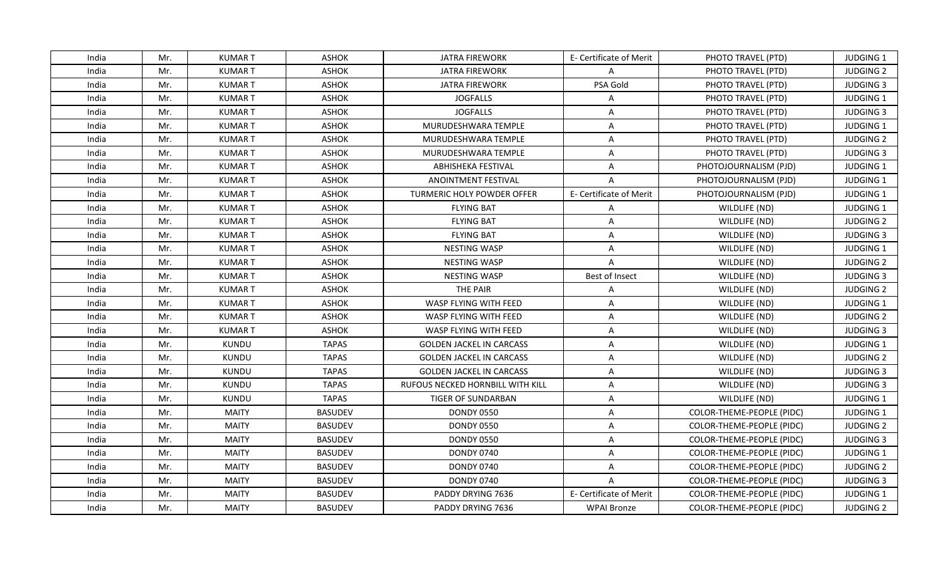| India | Mr. | <b>KUMART</b>  | <b>ASHOK</b>   | <b>JATRA FIREWORK</b>            | E- Certificate of Merit | PHOTO TRAVEL (PTD)        | <b>JUDGING 1</b> |
|-------|-----|----------------|----------------|----------------------------------|-------------------------|---------------------------|------------------|
| India | Mr. | <b>KUMART</b>  | <b>ASHOK</b>   | <b>JATRA FIREWORK</b>            | $\mathsf{A}$            | PHOTO TRAVEL (PTD)        | <b>JUDGING 2</b> |
| India | Mr. | <b>KUMART</b>  | <b>ASHOK</b>   | <b>JATRA FIREWORK</b>            | PSA Gold                | PHOTO TRAVEL (PTD)        | <b>JUDGING 3</b> |
| India | Mr. | <b>KUMART</b>  | <b>ASHOK</b>   | <b>JOGFALLS</b>                  | A                       | PHOTO TRAVEL (PTD)        | JUDGING 1        |
| India | Mr. | <b>KUMART</b>  | <b>ASHOK</b>   | <b>JOGFALLS</b>                  | A                       | PHOTO TRAVEL (PTD)        | <b>JUDGING 3</b> |
| India | Mr. | <b>KUMAR T</b> | <b>ASHOK</b>   | MURUDESHWARA TEMPLE              | A                       | PHOTO TRAVEL (PTD)        | <b>JUDGING 1</b> |
| India | Mr. | <b>KUMART</b>  | ASHOK          | MURUDESHWARA TEMPLE              | A                       | PHOTO TRAVEL (PTD)        | <b>JUDGING 2</b> |
| India | Mr. | <b>KUMART</b>  | <b>ASHOK</b>   | MURUDESHWARA TEMPLE              | A                       | PHOTO TRAVEL (PTD)        | <b>JUDGING 3</b> |
| India | Mr. | <b>KUMART</b>  | <b>ASHOK</b>   | <b>ABHISHEKA FESTIVAL</b>        | $\mathsf{A}$            | PHOTOJOURNALISM (PJD)     | <b>JUDGING 1</b> |
| India | Mr. | <b>KUMART</b>  | <b>ASHOK</b>   | ANOINTMENT FESTIVAL              | A                       | PHOTOJOURNALISM (PJD)     | JUDGING 1        |
| India | Mr. | <b>KUMART</b>  | <b>ASHOK</b>   | TURMERIC HOLY POWDER OFFER       | E- Certificate of Merit | PHOTOJOURNALISM (PJD)     | <b>JUDGING 1</b> |
| India | Mr. | <b>KUMART</b>  | <b>ASHOK</b>   | <b>FLYING BAT</b>                | A                       | WILDLIFE (ND)             | JUDGING 1        |
| India | Mr. | <b>KUMART</b>  | <b>ASHOK</b>   | <b>FLYING BAT</b>                | A                       | WILDLIFE (ND)             | <b>JUDGING 2</b> |
| India | Mr. | <b>KUMART</b>  | <b>ASHOK</b>   | <b>FLYING BAT</b>                | A                       | WILDLIFE (ND)             | <b>JUDGING 3</b> |
| India | Mr. | <b>KUMART</b>  | <b>ASHOK</b>   | <b>NESTING WASP</b>              | A                       | WILDLIFE (ND)             | JUDGING 1        |
| India | Mr. | <b>KUMART</b>  | <b>ASHOK</b>   | <b>NESTING WASP</b>              | A                       | WILDLIFE (ND)             | <b>JUDGING 2</b> |
| India | Mr. | <b>KUMART</b>  | <b>ASHOK</b>   | <b>NESTING WASP</b>              | Best of Insect          | WILDLIFE (ND)             | <b>JUDGING 3</b> |
| India | Mr. | <b>KUMART</b>  | <b>ASHOK</b>   | THE PAIR                         | $\overline{A}$          | WILDLIFE (ND)             | <b>JUDGING 2</b> |
| India | Mr. | <b>KUMART</b>  | <b>ASHOK</b>   | WASP FLYING WITH FEED            | Α                       | WILDLIFE (ND)             | JUDGING 1        |
| India | Mr. | <b>KUMART</b>  | <b>ASHOK</b>   | WASP FLYING WITH FEED            | Α                       | WILDLIFE (ND)             | <b>JUDGING 2</b> |
| India | Mr. | <b>KUMART</b>  | <b>ASHOK</b>   | WASP FLYING WITH FEED            | Α                       | WILDLIFE (ND)             | <b>JUDGING 3</b> |
| India | Mr. | KUNDU          | <b>TAPAS</b>   | <b>GOLDEN JACKEL IN CARCASS</b>  | $\mathsf{A}$            | WILDLIFE (ND)             | JUDGING 1        |
| India | Mr. | <b>KUNDU</b>   | <b>TAPAS</b>   | <b>GOLDEN JACKEL IN CARCASS</b>  | $\mathsf{A}$            | WILDLIFE (ND)             | <b>JUDGING 2</b> |
| India | Mr. | KUNDU          | <b>TAPAS</b>   | <b>GOLDEN JACKEL IN CARCASS</b>  | $\mathsf{A}$            | WILDLIFE (ND)             | <b>JUDGING 3</b> |
| India | Mr. | KUNDU          | <b>TAPAS</b>   | RUFOUS NECKED HORNBILL WITH KILL | A                       | WILDLIFE (ND)             | <b>JUDGING 3</b> |
| India | Mr. | KUNDU          | <b>TAPAS</b>   | <b>TIGER OF SUNDARBAN</b>        | A                       | WILDLIFE (ND)             | JUDGING 1        |
| India | Mr. | <b>MAITY</b>   | <b>BASUDEV</b> | <b>DONDY 0550</b>                | A                       | COLOR-THEME-PEOPLE (PIDC) | JUDGING 1        |
| India | Mr. | <b>MAITY</b>   | <b>BASUDEV</b> | <b>DONDY 0550</b>                | A                       | COLOR-THEME-PEOPLE (PIDC) | <b>JUDGING 2</b> |
| India | Mr. | <b>MAITY</b>   | <b>BASUDEV</b> | <b>DONDY 0550</b>                | Α                       | COLOR-THEME-PEOPLE (PIDC) | <b>JUDGING 3</b> |
| India | Mr. | <b>MAITY</b>   | <b>BASUDEV</b> | <b>DONDY 0740</b>                | $\overline{A}$          | COLOR-THEME-PEOPLE (PIDC) | <b>JUDGING 1</b> |
| India | Mr. | <b>MAITY</b>   | <b>BASUDEV</b> | <b>DONDY 0740</b>                | $\mathsf{A}$            | COLOR-THEME-PEOPLE (PIDC) | <b>JUDGING 2</b> |
| India | Mr. | <b>MAITY</b>   | <b>BASUDEV</b> | <b>DONDY 0740</b>                | $\mathsf{A}$            | COLOR-THEME-PEOPLE (PIDC) | <b>JUDGING 3</b> |
| India | Mr. | <b>MAITY</b>   | <b>BASUDEV</b> | PADDY DRYING 7636                | E- Certificate of Merit | COLOR-THEME-PEOPLE (PIDC) | JUDGING 1        |
| India | Mr. | <b>MAITY</b>   | <b>BASUDEV</b> | PADDY DRYING 7636                | <b>WPAI Bronze</b>      | COLOR-THEME-PEOPLE (PIDC) | <b>JUDGING 2</b> |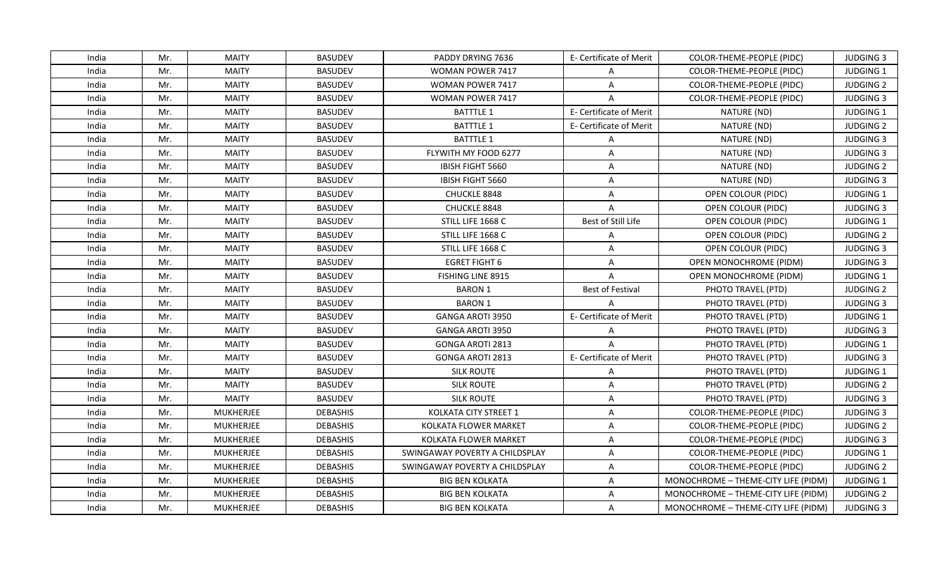| India | Mr. | <b>MAITY</b>     | <b>BASUDEV</b>  | PADDY DRYING 7636              | E- Certificate of Merit | COLOR-THEME-PEOPLE (PIDC)           | <b>JUDGING 3</b> |
|-------|-----|------------------|-----------------|--------------------------------|-------------------------|-------------------------------------|------------------|
| India | Mr. | <b>MAITY</b>     | <b>BASUDEV</b>  | WOMAN POWER 7417               | A                       | COLOR-THEME-PEOPLE (PIDC)           | JUDGING 1        |
| India | Mr. | <b>MAITY</b>     | <b>BASUDEV</b>  | WOMAN POWER 7417               | A                       | COLOR-THEME-PEOPLE (PIDC)           | <b>JUDGING 2</b> |
| India | Mr. | <b>MAITY</b>     | <b>BASUDEV</b>  | <b>WOMAN POWER 7417</b>        | $\overline{A}$          | COLOR-THEME-PEOPLE (PIDC)           | <b>JUDGING 3</b> |
| India | Mr. | <b>MAITY</b>     | <b>BASUDEV</b>  | <b>BATTTLE 1</b>               | E- Certificate of Merit | NATURE (ND)                         | <b>JUDGING 1</b> |
| India | Mr. | <b>MAITY</b>     | <b>BASUDEV</b>  | <b>BATTTLE 1</b>               | E- Certificate of Merit | NATURE (ND)                         | <b>JUDGING 2</b> |
| India | Mr. | <b>MAITY</b>     | <b>BASUDEV</b>  | <b>BATTTLE 1</b>               | A                       | NATURE (ND)                         | <b>JUDGING 3</b> |
| India | Mr. | <b>MAITY</b>     | <b>BASUDEV</b>  | FLYWITH MY FOOD 6277           | $\overline{A}$          | NATURE (ND)                         | <b>JUDGING 3</b> |
| India | Mr. | <b>MAITY</b>     | <b>BASUDEV</b>  | IBISH FIGHT 5660               | A                       | NATURE (ND)                         | <b>JUDGING 2</b> |
| India | Mr. | <b>MAITY</b>     | <b>BASUDEV</b>  | <b>IBISH FIGHT 5660</b>        | A                       | NATURE (ND)                         | <b>JUDGING 3</b> |
| India | Mr. | <b>MAITY</b>     | <b>BASUDEV</b>  | CHUCKLE 8848                   | A                       | OPEN COLOUR (PIDC)                  | <b>JUDGING 1</b> |
| India | Mr. | <b>MAITY</b>     | <b>BASUDEV</b>  | CHUCKLE 8848                   | $\overline{A}$          | OPEN COLOUR (PIDC)                  | <b>JUDGING 3</b> |
| India | Mr. | <b>MAITY</b>     | <b>BASUDEV</b>  | STILL LIFE 1668 C              | Best of Still Life      | OPEN COLOUR (PIDC)                  | JUDGING 1        |
| India | Mr. | <b>MAITY</b>     | <b>BASUDEV</b>  | STILL LIFE 1668 C              | A                       | OPEN COLOUR (PIDC)                  | <b>JUDGING 2</b> |
| India | Mr. | <b>MAITY</b>     | <b>BASUDEV</b>  | STILL LIFE 1668 C              | A                       | OPEN COLOUR (PIDC)                  | <b>JUDGING 3</b> |
| India | Mr. | <b>MAITY</b>     | <b>BASUDEV</b>  | <b>EGRET FIGHT 6</b>           | A                       | OPEN MONOCHROME (PIDM)              | <b>JUDGING 3</b> |
| India | Mr. | <b>MAITY</b>     | <b>BASUDEV</b>  | <b>FISHING LINE 8915</b>       | $\overline{A}$          | <b>OPEN MONOCHROME (PIDM)</b>       | JUDGING 1        |
| India | Mr. | <b>MAITY</b>     | <b>BASUDEV</b>  | <b>BARON 1</b>                 | <b>Best of Festival</b> | PHOTO TRAVEL (PTD)                  | <b>JUDGING 2</b> |
| India | Mr. | <b>MAITY</b>     | <b>BASUDEV</b>  | <b>BARON 1</b>                 | $\overline{A}$          | PHOTO TRAVEL (PTD)                  | <b>JUDGING 3</b> |
| India | Mr. | <b>MAITY</b>     | <b>BASUDEV</b>  | GANGA AROTI 3950               | E- Certificate of Merit | PHOTO TRAVEL (PTD)                  | JUDGING 1        |
| India | Mr. | <b>MAITY</b>     | <b>BASUDEV</b>  | <b>GANGA AROTI 3950</b>        | A                       | PHOTO TRAVEL (PTD)                  | <b>JUDGING 3</b> |
| India | Mr. | <b>MAITY</b>     | <b>BASUDEV</b>  | <b>GONGA AROTI 2813</b>        | $\mathsf{A}$            | PHOTO TRAVEL (PTD)                  | <b>JUDGING 1</b> |
| India | Mr. | <b>MAITY</b>     | <b>BASUDEV</b>  | <b>GONGA AROTI 2813</b>        | E- Certificate of Merit | PHOTO TRAVEL (PTD)                  | <b>JUDGING 3</b> |
| India | Mr. | <b>MAITY</b>     | <b>BASUDEV</b>  | <b>SILK ROUTE</b>              | A                       | PHOTO TRAVEL (PTD)                  | JUDGING 1        |
| India | Mr. | <b>MAITY</b>     | <b>BASUDEV</b>  | <b>SILK ROUTE</b>              | A                       | PHOTO TRAVEL (PTD)                  | <b>JUDGING 2</b> |
| India | Mr. | <b>MAITY</b>     | <b>BASUDEV</b>  | <b>SILK ROUTE</b>              | A                       | PHOTO TRAVEL (PTD)                  | <b>JUDGING 3</b> |
| India | Mr. | <b>MUKHERJEE</b> | <b>DEBASHIS</b> | KOLKATA CITY STREET 1          | A                       | COLOR-THEME-PEOPLE (PIDC)           | <b>JUDGING 3</b> |
| India | Mr. | <b>MUKHERJEE</b> | <b>DEBASHIS</b> | <b>KOLKATA FLOWER MARKET</b>   | A                       | COLOR-THEME-PEOPLE (PIDC)           | <b>JUDGING 2</b> |
| India | Mr. | <b>MUKHERJEE</b> | <b>DEBASHIS</b> | <b>KOLKATA FLOWER MARKET</b>   | A                       | COLOR-THEME-PEOPLE (PIDC)           | <b>JUDGING 3</b> |
| India | Mr. | <b>MUKHERJEE</b> | <b>DEBASHIS</b> | SWINGAWAY POVERTY A CHILDSPLAY | A                       | COLOR-THEME-PEOPLE (PIDC)           | <b>JUDGING 1</b> |
| India | Mr. | <b>MUKHERJEE</b> | <b>DEBASHIS</b> | SWINGAWAY POVERTY A CHILDSPLAY | A                       | COLOR-THEME-PEOPLE (PIDC)           | <b>JUDGING 2</b> |
| India | Mr. | <b>MUKHERJEE</b> | <b>DEBASHIS</b> | <b>BIG BEN KOLKATA</b>         | A                       | MONOCHROME - THEME-CITY LIFE (PIDM) | JUDGING 1        |
| India | Mr. | <b>MUKHERJEE</b> | <b>DEBASHIS</b> | <b>BIG BEN KOLKATA</b>         | A                       | MONOCHROME - THEME-CITY LIFE (PIDM) | <b>JUDGING 2</b> |
| India | Mr. | <b>MUKHERJEE</b> | <b>DEBASHIS</b> | <b>BIG BEN KOLKATA</b>         | A                       | MONOCHROME - THEME-CITY LIFE (PIDM) | <b>JUDGING 3</b> |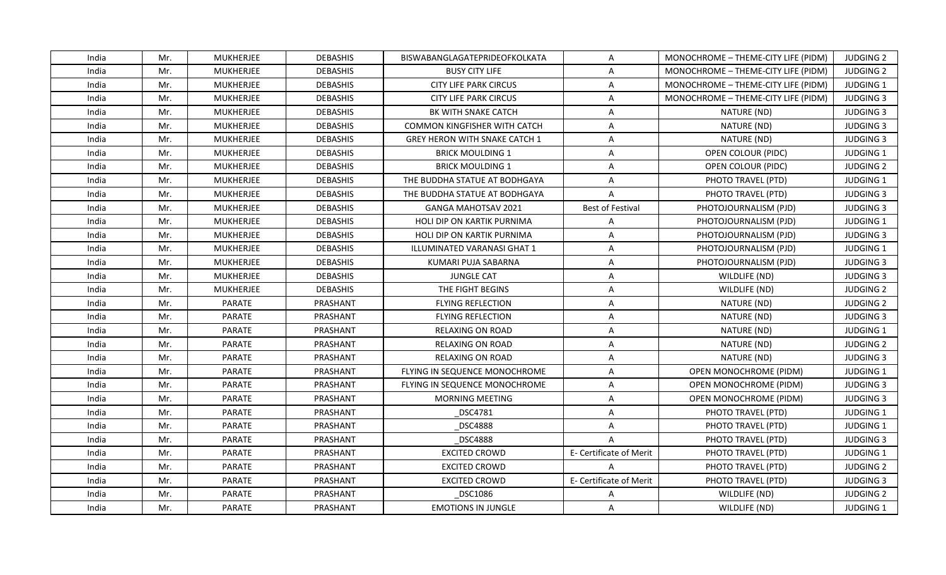| India | Mr. | <b>MUKHERJEE</b> | <b>DEBASHIS</b> | BISWABANGLAGATEPRIDEOFKOLKATA        | $\overline{A}$          | MONOCHROME - THEME-CITY LIFE (PIDM) | <b>JUDGING 2</b> |
|-------|-----|------------------|-----------------|--------------------------------------|-------------------------|-------------------------------------|------------------|
| India | Mr. | <b>MUKHERJEE</b> | <b>DEBASHIS</b> | <b>BUSY CITY LIFE</b>                | A                       | MONOCHROME - THEME-CITY LIFE (PIDM) | <b>JUDGING 2</b> |
| India | Mr. | MUKHERJEE        | <b>DEBASHIS</b> | <b>CITY LIFE PARK CIRCUS</b>         | A                       | MONOCHROME - THEME-CITY LIFE (PIDM) | JUDGING 1        |
| India | Mr. | <b>MUKHERJEE</b> | <b>DEBASHIS</b> | <b>CITY LIFE PARK CIRCUS</b>         | $\overline{A}$          | MONOCHROME - THEME-CITY LIFE (PIDM) | <b>JUDGING 3</b> |
| India | Mr. | <b>MUKHERJEE</b> | <b>DEBASHIS</b> | BK WITH SNAKE CATCH                  | A                       | NATURE (ND)                         | <b>JUDGING 3</b> |
| India | Mr. | <b>MUKHERJEE</b> | <b>DEBASHIS</b> | COMMON KINGFISHER WITH CATCH         | $\overline{A}$          | NATURE (ND)                         | <b>JUDGING 3</b> |
| India | Mr. | <b>MUKHERJEE</b> | <b>DEBASHIS</b> | <b>GREY HERON WITH SNAKE CATCH 1</b> | A                       | NATURE (ND)                         | <b>JUDGING 3</b> |
| India | Mr. | <b>MUKHERJEE</b> | <b>DEBASHIS</b> | <b>BRICK MOULDING 1</b>              | $\overline{A}$          | OPEN COLOUR (PIDC)                  | <b>JUDGING 1</b> |
| India | Mr. | <b>MUKHERJEE</b> | <b>DEBASHIS</b> | <b>BRICK MOULDING 1</b>              | A                       | OPEN COLOUR (PIDC)                  | <b>JUDGING 2</b> |
| India | Mr. | <b>MUKHERJEE</b> | <b>DEBASHIS</b> | THE BUDDHA STATUE AT BODHGAYA        | A                       | PHOTO TRAVEL (PTD)                  | JUDGING 1        |
| India | Mr. | <b>MUKHERJEE</b> | <b>DEBASHIS</b> | THE BUDDHA STATUE AT BODHGAYA        | $\overline{A}$          | PHOTO TRAVEL (PTD)                  | <b>JUDGING 3</b> |
| India | Mr. | <b>MUKHERJEE</b> | <b>DEBASHIS</b> | <b>GANGA MAHOTSAV 2021</b>           | <b>Best of Festival</b> | PHOTOJOURNALISM (PJD)               | <b>JUDGING 3</b> |
| India | Mr. | <b>MUKHERJEE</b> | <b>DEBASHIS</b> | <b>HOLI DIP ON KARTIK PURNIMA</b>    | $\overline{A}$          | PHOTOJOURNALISM (PJD)               | JUDGING 1        |
| India | Mr. | <b>MUKHERJEE</b> | <b>DEBASHIS</b> | <b>HOLI DIP ON KARTIK PURNIMA</b>    | A                       | PHOTOJOURNALISM (PJD)               | <b>JUDGING 3</b> |
| India | Mr. | <b>MUKHERJEE</b> | <b>DEBASHIS</b> | ILLUMINATED VARANASI GHAT 1          | A                       | PHOTOJOURNALISM (PJD)               | <b>JUDGING 1</b> |
| India | Mr. | MUKHERJEE        | <b>DEBASHIS</b> | KUMARI PUJA SABARNA                  | A                       | PHOTOJOURNALISM (PJD)               | <b>JUDGING 3</b> |
| India | Mr. | <b>MUKHERJEE</b> | <b>DEBASHIS</b> | <b>JUNGLE CAT</b>                    | A                       | WILDLIFE (ND)                       | <b>JUDGING 3</b> |
| India | Mr. | <b>MUKHERJEE</b> | <b>DEBASHIS</b> | THE FIGHT BEGINS                     | A                       | WILDLIFE (ND)                       | <b>JUDGING 2</b> |
| India | Mr. | PARATE           | PRASHANT        | <b>FLYING REFLECTION</b>             | A                       | NATURE (ND)                         | <b>JUDGING 2</b> |
| India | Mr. | PARATE           | PRASHANT        | <b>FLYING REFLECTION</b>             | A                       | NATURE (ND)                         | <b>JUDGING 3</b> |
| India | Mr. | PARATE           | PRASHANT        | <b>RELAXING ON ROAD</b>              | A                       | NATURE (ND)                         | JUDGING 1        |
| India | Mr. | PARATE           | PRASHANT        | <b>RELAXING ON ROAD</b>              | A                       | NATURE (ND)                         | <b>JUDGING 2</b> |
| India | Mr. | PARATE           | PRASHANT        | <b>RELAXING ON ROAD</b>              | A                       | NATURE (ND)                         | <b>JUDGING 3</b> |
| India | Mr. | PARATE           | PRASHANT        | FLYING IN SEQUENCE MONOCHROME        | A                       | OPEN MONOCHROME (PIDM)              | <b>JUDGING 1</b> |
| India | Mr. | PARATE           | PRASHANT        | FLYING IN SEQUENCE MONOCHROME        | A                       | OPEN MONOCHROME (PIDM)              | <b>JUDGING 3</b> |
| India | Mr. | PARATE           | PRASHANT        | <b>MORNING MEETING</b>               | A                       | OPEN MONOCHROME (PIDM)              | <b>JUDGING 3</b> |
| India | Mr. | <b>PARATE</b>    | PRASHANT        | <b>DSC4781</b>                       | A                       | PHOTO TRAVEL (PTD)                  | <b>JUDGING 1</b> |
| India | Mr. | PARATE           | PRASHANT        | <b>DSC4888</b>                       | A                       | PHOTO TRAVEL (PTD)                  | JUDGING 1        |
| India | Mr. | PARATE           | PRASHANT        | <b>DSC4888</b>                       | $\overline{A}$          | PHOTO TRAVEL (PTD)                  | <b>JUDGING 3</b> |
| India | Mr. | PARATE           | PRASHANT        | <b>EXCITED CROWD</b>                 | E- Certificate of Merit | PHOTO TRAVEL (PTD)                  | <b>JUDGING 1</b> |
| India | Mr. | PARATE           | PRASHANT        | <b>EXCITED CROWD</b>                 | $\overline{A}$          | PHOTO TRAVEL (PTD)                  | <b>JUDGING 2</b> |
| India | Mr. | PARATE           | PRASHANT        | <b>EXCITED CROWD</b>                 | E- Certificate of Merit | PHOTO TRAVEL (PTD)                  | <b>JUDGING 3</b> |
| India | Mr. | PARATE           | PRASHANT        | DSC1086                              | A                       | WILDLIFE (ND)                       | <b>JUDGING 2</b> |
| India | Mr. | PARATE           | PRASHANT        | <b>EMOTIONS IN JUNGLE</b>            | $\mathsf{A}$            | WILDLIFE (ND)                       | JUDGING 1        |
|       |     |                  |                 |                                      |                         |                                     |                  |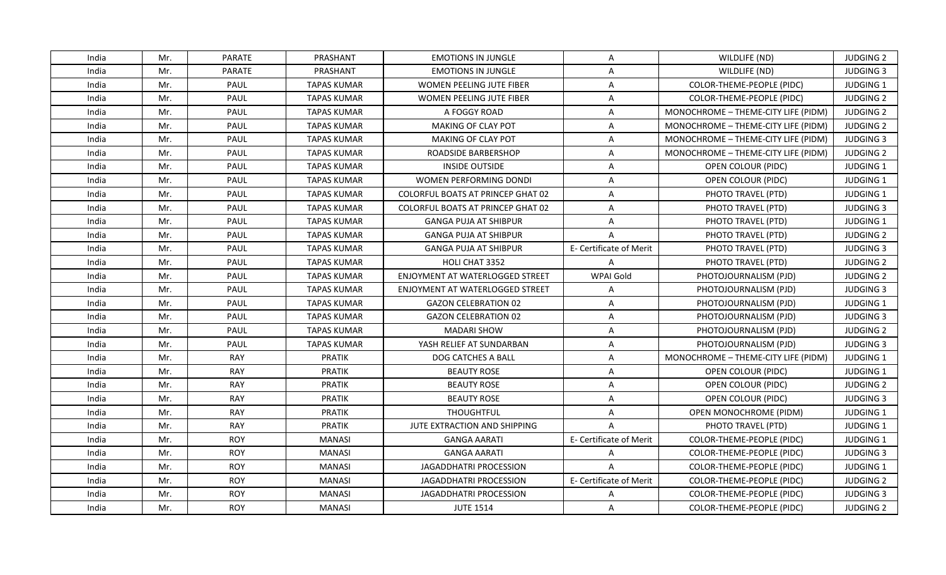| India | Mr. | PARATE      | PRASHANT           | <b>EMOTIONS IN JUNGLE</b>                | A                       | WILDLIFE (ND)                       | <b>JUDGING 2</b> |
|-------|-----|-------------|--------------------|------------------------------------------|-------------------------|-------------------------------------|------------------|
| India | Mr. | PARATE      | PRASHANT           | <b>EMOTIONS IN JUNGLE</b>                | A                       | WILDLIFE (ND)                       | <b>JUDGING 3</b> |
| India | Mr. | PAUL        | <b>TAPAS KUMAR</b> | WOMEN PEELING JUTE FIBER                 | A                       | COLOR-THEME-PEOPLE (PIDC)           | JUDGING 1        |
| India | Mr. | PAUL        | <b>TAPAS KUMAR</b> | WOMEN PEELING JUTE FIBER                 | A                       | COLOR-THEME-PEOPLE (PIDC)           | <b>JUDGING 2</b> |
| India | Mr. | PAUL        | <b>TAPAS KUMAR</b> | A FOGGY ROAD                             | A                       | MONOCHROME - THEME-CITY LIFE (PIDM) | <b>JUDGING 2</b> |
| India | Mr. | PAUL        | TAPAS KUMAR        | <b>MAKING OF CLAY POT</b>                | A                       | MONOCHROME - THEME-CITY LIFE (PIDM) | <b>JUDGING 2</b> |
| India | Mr. | PAUL        | <b>TAPAS KUMAR</b> | <b>MAKING OF CLAY POT</b>                | A                       | MONOCHROME - THEME-CITY LIFE (PIDM) | <b>JUDGING 3</b> |
| India | Mr. | PAUL        | <b>TAPAS KUMAR</b> | ROADSIDE BARBERSHOP                      | A                       | MONOCHROME - THEME-CITY LIFE (PIDM) | <b>JUDGING 2</b> |
| India | Mr. | PAUL        | <b>TAPAS KUMAR</b> | <b>INSIDE OUTSIDE</b>                    | $\overline{A}$          | OPEN COLOUR (PIDC)                  | JUDGING 1        |
| India | Mr. | PAUL        | <b>TAPAS KUMAR</b> | <b>WOMEN PERFORMING DONDI</b>            | A                       | OPEN COLOUR (PIDC)                  | JUDGING 1        |
| India | Mr. | PAUL        | TAPAS KUMAR        | COLORFUL BOATS AT PRINCEP GHAT 02        | A                       | PHOTO TRAVEL (PTD)                  | <b>JUDGING 1</b> |
| India | Mr. | PAUL        | <b>TAPAS KUMAR</b> | <b>COLORFUL BOATS AT PRINCEP GHAT 02</b> | A                       | PHOTO TRAVEL (PTD)                  | <b>JUDGING 3</b> |
| India | Mr. | PAUL        | <b>TAPAS KUMAR</b> | <b>GANGA PUJA AT SHIBPUR</b>             | A                       | PHOTO TRAVEL (PTD)                  | JUDGING 1        |
| India | Mr. | PAUL        | <b>TAPAS KUMAR</b> | <b>GANGA PUJA AT SHIBPUR</b>             | $\overline{A}$          | PHOTO TRAVEL (PTD)                  | <b>JUDGING 2</b> |
| India | Mr. | PAUL        | <b>TAPAS KUMAR</b> | <b>GANGA PUJA AT SHIBPUR</b>             | E- Certificate of Merit | PHOTO TRAVEL (PTD)                  | <b>JUDGING 3</b> |
| India | Mr. | PAUL        | <b>TAPAS KUMAR</b> | HOLI CHAT 3352                           | A                       | PHOTO TRAVEL (PTD)                  | <b>JUDGING 2</b> |
| India | Mr. | PAUL        | <b>TAPAS KUMAR</b> | <b>ENJOYMENT AT WATERLOGGED STREET</b>   | WPAI Gold               | PHOTOJOURNALISM (PJD)               | <b>JUDGING 2</b> |
| India | Mr. | PAUL        | <b>TAPAS KUMAR</b> | ENJOYMENT AT WATERLOGGED STREET          | A                       | PHOTOJOURNALISM (PJD)               | <b>JUDGING 3</b> |
| India | Mr. | <b>PAUL</b> | TAPAS KUMAR        | <b>GAZON CELEBRATION 02</b>              | $\overline{A}$          | PHOTOJOURNALISM (PJD)               | <b>JUDGING 1</b> |
| India | Mr. | PAUL        | <b>TAPAS KUMAR</b> | <b>GAZON CELEBRATION 02</b>              | A                       | PHOTOJOURNALISM (PJD)               | <b>JUDGING 3</b> |
| India | Mr. | PAUL        | <b>TAPAS KUMAR</b> | <b>MADARI SHOW</b>                       | A                       | PHOTOJOURNALISM (PJD)               | <b>JUDGING 2</b> |
| India | Mr. | PAUL        | <b>TAPAS KUMAR</b> | YASH RELIEF AT SUNDARBAN                 | A                       | PHOTOJOURNALISM (PJD)               | <b>JUDGING 3</b> |
| India | Mr. | RAY         | <b>PRATIK</b>      | DOG CATCHES A BALL                       | A                       | MONOCHROME - THEME-CITY LIFE (PIDM) | JUDGING 1        |
| India | Mr. | <b>RAY</b>  | <b>PRATIK</b>      | <b>BEAUTY ROSE</b>                       | A                       | OPEN COLOUR (PIDC)                  | <b>JUDGING 1</b> |
| India | Mr. | RAY         | <b>PRATIK</b>      | <b>BEAUTY ROSE</b>                       | $\overline{A}$          | OPEN COLOUR (PIDC)                  | <b>JUDGING 2</b> |
| India | Mr. | RAY         | PRATIK             | <b>BEAUTY ROSE</b>                       | A                       | OPEN COLOUR (PIDC)                  | <b>JUDGING 3</b> |
| India | Mr. | RAY         | <b>PRATIK</b>      | <b>THOUGHTFUL</b>                        | A                       | OPEN MONOCHROME (PIDM)              | JUDGING 1        |
| India | Mr. | <b>RAY</b>  | <b>PRATIK</b>      | JUTE EXTRACTION AND SHIPPING             | $\overline{A}$          | PHOTO TRAVEL (PTD)                  | JUDGING 1        |
| India | Mr. | <b>ROY</b>  | <b>MANASI</b>      | <b>GANGA AARATI</b>                      | E- Certificate of Merit | COLOR-THEME-PEOPLE (PIDC)           | <b>JUDGING 1</b> |
| India | Mr. | <b>ROY</b>  | <b>MANASI</b>      | <b>GANGA AARATI</b>                      | $\mathsf{A}$            | COLOR-THEME-PEOPLE (PIDC)           | <b>JUDGING 3</b> |
| India | Mr. | <b>ROY</b>  | <b>MANASI</b>      | JAGADDHATRI PROCESSION                   | $\overline{A}$          | COLOR-THEME-PEOPLE (PIDC)           | JUDGING 1        |
| India | Mr. | <b>ROY</b>  | <b>MANASI</b>      | <b>JAGADDHATRI PROCESSION</b>            | E- Certificate of Merit | COLOR-THEME-PEOPLE (PIDC)           | <b>JUDGING 2</b> |
| India | Mr. | <b>ROY</b>  | <b>MANASI</b>      | JAGADDHATRI PROCESSION                   | A                       | COLOR-THEME-PEOPLE (PIDC)           | <b>JUDGING 3</b> |
| India | Mr. | <b>ROY</b>  | <b>MANASI</b>      | <b>JUTE 1514</b>                         | A                       | COLOR-THEME-PEOPLE (PIDC)           | <b>JUDGING 2</b> |
|       |     |             |                    |                                          |                         |                                     |                  |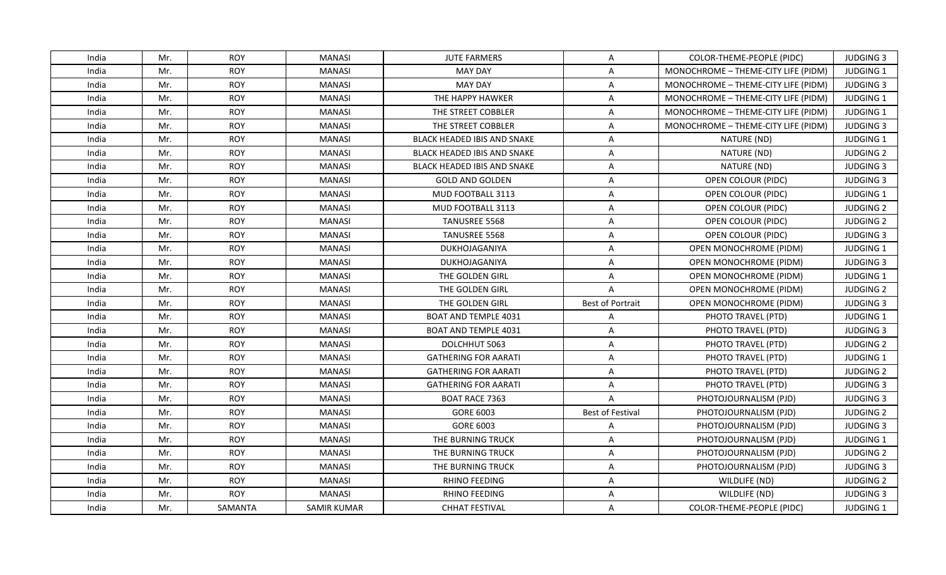| India | Mr. | <b>ROY</b> | <b>MANASI</b>      | <b>JUTE FARMERS</b>                | A                       | COLOR-THEME-PEOPLE (PIDC)           | <b>JUDGING 3</b> |
|-------|-----|------------|--------------------|------------------------------------|-------------------------|-------------------------------------|------------------|
| India | Mr. | <b>ROY</b> | <b>MANASI</b>      | <b>MAY DAY</b>                     | A                       | MONOCHROME - THEME-CITY LIFE (PIDM) | JUDGING 1        |
| India | Mr. | <b>ROY</b> | <b>MANASI</b>      | <b>MAY DAY</b>                     | A                       | MONOCHROME - THEME-CITY LIFE (PIDM) | <b>JUDGING 3</b> |
| India | Mr. | <b>ROY</b> | <b>MANASI</b>      | THE HAPPY HAWKER                   | A                       | MONOCHROME - THEME-CITY LIFE (PIDM) | JUDGING 1        |
| India | Mr. | <b>ROY</b> | <b>MANASI</b>      | THE STREET COBBLER                 | A                       | MONOCHROME - THEME-CITY LIFE (PIDM) | <b>JUDGING 1</b> |
| India | Mr. | <b>ROY</b> | <b>MANASI</b>      | THE STREET COBBLER                 | $\overline{A}$          | MONOCHROME - THEME-CITY LIFE (PIDM) | <b>JUDGING 3</b> |
| India | Mr. | <b>ROY</b> | <b>MANASI</b>      | <b>BLACK HEADED IBIS AND SNAKE</b> | A                       | NATURE (ND)                         | JUDGING 1        |
| India | Mr. | <b>ROY</b> | <b>MANASI</b>      | <b>BLACK HEADED IBIS AND SNAKE</b> | A                       | NATURE (ND)                         | <b>JUDGING 2</b> |
| India | Mr. | <b>ROY</b> | <b>MANASI</b>      | <b>BLACK HEADED IBIS AND SNAKE</b> | A                       | NATURE (ND)                         | <b>JUDGING 3</b> |
| India | Mr. | <b>ROY</b> | <b>MANASI</b>      | <b>GOLD AND GOLDEN</b>             | A                       | OPEN COLOUR (PIDC)                  | <b>JUDGING 3</b> |
| India | Mr. | <b>ROY</b> | <b>MANASI</b>      | MUD FOOTBALL 3113                  | A                       | OPEN COLOUR (PIDC)                  | JUDGING 1        |
| India | Mr. | <b>ROY</b> | <b>MANASI</b>      | MUD FOOTBALL 3113                  | A                       | OPEN COLOUR (PIDC)                  | <b>JUDGING 2</b> |
| India | Mr. | <b>ROY</b> | <b>MANASI</b>      | TANUSREE 5568                      | A                       | OPEN COLOUR (PIDC)                  | <b>JUDGING 2</b> |
| India | Mr. | <b>ROY</b> | MANASI             | TANUSREE 5568                      | A                       | OPEN COLOUR (PIDC)                  | <b>JUDGING 3</b> |
| India | Mr. | <b>ROY</b> | <b>MANASI</b>      | DUKHOJAGANIYA                      | A                       | OPEN MONOCHROME (PIDM)              | JUDGING 1        |
| India | Mr. | <b>ROY</b> | <b>MANASI</b>      | DUKHOJAGANIYA                      | A                       | <b>OPEN MONOCHROME (PIDM)</b>       | <b>JUDGING 3</b> |
| India | Mr. | <b>ROY</b> | <b>MANASI</b>      | THE GOLDEN GIRL                    | A                       | OPEN MONOCHROME (PIDM)              | JUDGING 1        |
| India | Mr. | <b>ROY</b> | <b>MANASI</b>      | THE GOLDEN GIRL                    | $\overline{A}$          | OPEN MONOCHROME (PIDM)              | <b>JUDGING 2</b> |
| India | Mr. | <b>ROY</b> | <b>MANASI</b>      | THE GOLDEN GIRL                    | Best of Portrait        | OPEN MONOCHROME (PIDM)              | <b>JUDGING 3</b> |
| India | Mr. | <b>ROY</b> | <b>MANASI</b>      | <b>BOAT AND TEMPLE 4031</b>        | A                       | PHOTO TRAVEL (PTD)                  | JUDGING 1        |
| India | Mr. | <b>ROY</b> | <b>MANASI</b>      | BOAT AND TEMPLE 4031               | A                       | PHOTO TRAVEL (PTD)                  | <b>JUDGING 3</b> |
| India | Mr. | <b>ROY</b> | <b>MANASI</b>      | DOLCHHUT 5063                      | A                       | PHOTO TRAVEL (PTD)                  | <b>JUDGING 2</b> |
| India | Mr. | <b>ROY</b> | <b>MANASI</b>      | <b>GATHERING FOR AARATI</b>        | A                       | PHOTO TRAVEL (PTD)                  | JUDGING 1        |
| India | Mr. | <b>ROY</b> | <b>MANASI</b>      | <b>GATHERING FOR AARATI</b>        | A                       | PHOTO TRAVEL (PTD)                  | <b>JUDGING 2</b> |
| India | Mr. | <b>ROY</b> | <b>MANASI</b>      | <b>GATHERING FOR AARATI</b>        | A                       | PHOTO TRAVEL (PTD)                  | <b>JUDGING 3</b> |
| India | Mr. | <b>ROY</b> | <b>MANASI</b>      | <b>BOAT RACE 7363</b>              | A                       | PHOTOJOURNALISM (PJD)               | <b>JUDGING 3</b> |
| India | Mr. | <b>ROY</b> | <b>MANASI</b>      | GORE 6003                          | <b>Best of Festival</b> | PHOTOJOURNALISM (PJD)               | <b>JUDGING 2</b> |
| India | Mr. | <b>ROY</b> | <b>MANASI</b>      | GORE 6003                          | $\overline{A}$          | PHOTOJOURNALISM (PJD)               | <b>JUDGING 3</b> |
| India | Mr. | <b>ROY</b> | <b>MANASI</b>      | THE BURNING TRUCK                  | A                       | PHOTOJOURNALISM (PJD)               | <b>JUDGING 1</b> |
| India | Mr. | <b>ROY</b> | <b>MANASI</b>      | THE BURNING TRUCK                  | A                       | PHOTOJOURNALISM (PJD)               | <b>JUDGING 2</b> |
| India | Mr. | <b>ROY</b> | <b>MANASI</b>      | THE BURNING TRUCK                  | A                       | PHOTOJOURNALISM (PJD)               | <b>JUDGING 3</b> |
| India | Mr. | <b>ROY</b> | <b>MANASI</b>      | RHINO FEEDING                      | A                       | WILDLIFE (ND)                       | <b>JUDGING 2</b> |
| India | Mr. | <b>ROY</b> | <b>MANASI</b>      | RHINO FEEDING                      | A                       | WILDLIFE (ND)                       | <b>JUDGING 3</b> |
| India | Mr. | SAMANTA    | <b>SAMIR KUMAR</b> | <b>CHHAT FESTIVAL</b>              | A                       | COLOR-THEME-PEOPLE (PIDC)           | <b>JUDGING 1</b> |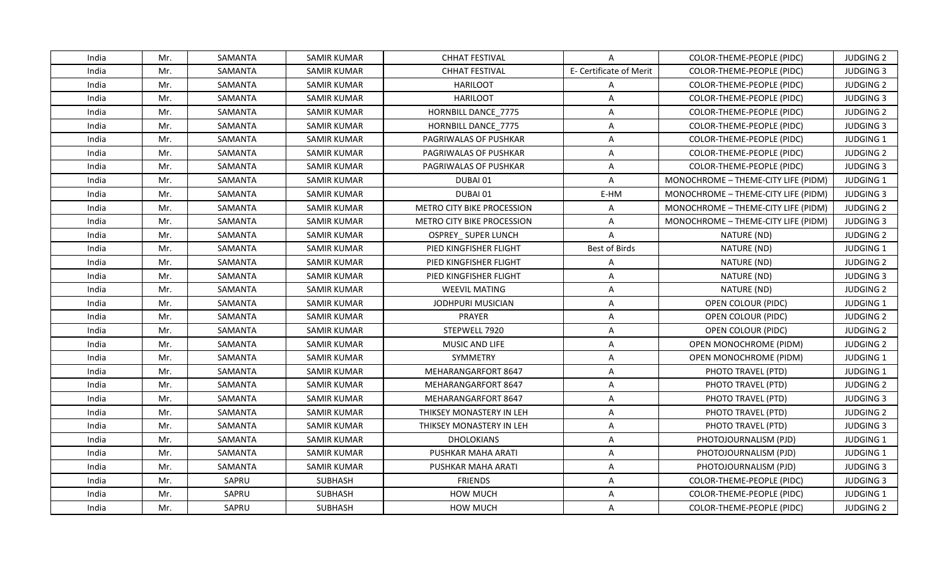| India | Mr. | SAMANTA | <b>SAMIR KUMAR</b> | <b>CHHAT FESTIVAL</b>      | A                       | COLOR-THEME-PEOPLE (PIDC)           | <b>JUDGING 2</b> |
|-------|-----|---------|--------------------|----------------------------|-------------------------|-------------------------------------|------------------|
| India | Mr. | SAMANTA | <b>SAMIR KUMAR</b> | <b>CHHAT FESTIVAL</b>      | E- Certificate of Merit | COLOR-THEME-PEOPLE (PIDC)           | <b>JUDGING 3</b> |
| India | Mr. | SAMANTA | SAMIR KUMAR        | <b>HARILOOT</b>            | A                       | COLOR-THEME-PEOPLE (PIDC)           | <b>JUDGING 2</b> |
| India | Mr. | SAMANTA | <b>SAMIR KUMAR</b> | <b>HARILOOT</b>            | $\overline{A}$          | COLOR-THEME-PEOPLE (PIDC)           | <b>JUDGING 3</b> |
| India | Mr. | SAMANTA | <b>SAMIR KUMAR</b> | HORNBILL DANCE 7775        | A                       | COLOR-THEME-PEOPLE (PIDC)           | <b>JUDGING 2</b> |
| India | Mr. | SAMANTA | SAMIR KUMAR        | HORNBILL DANCE_7775        | A                       | COLOR-THEME-PEOPLE (PIDC)           | <b>JUDGING 3</b> |
| India | Mr. | SAMANTA | <b>SAMIR KUMAR</b> | PAGRIWALAS OF PUSHKAR      | A                       | COLOR-THEME-PEOPLE (PIDC)           | <b>JUDGING 1</b> |
| India | Mr. | SAMANTA | <b>SAMIR KUMAR</b> | PAGRIWALAS OF PUSHKAR      | A                       | COLOR-THEME-PEOPLE (PIDC)           | <b>JUDGING 2</b> |
| India | Mr. | SAMANTA | <b>SAMIR KUMAR</b> | PAGRIWALAS OF PUSHKAR      | A                       | COLOR-THEME-PEOPLE (PIDC)           | <b>JUDGING 3</b> |
| India | Mr. | SAMANTA | <b>SAMIR KUMAR</b> | DUBAI 01                   | A                       | MONOCHROME - THEME-CITY LIFE (PIDM) | JUDGING 1        |
| India | Mr. | SAMANTA | SAMIR KUMAR        | DUBAI 01                   | E-HM                    | MONOCHROME - THEME-CITY LIFE (PIDM) | <b>JUDGING 3</b> |
| India | Mr. | SAMANTA | <b>SAMIR KUMAR</b> | METRO CITY BIKE PROCESSION | A                       | MONOCHROME - THEME-CITY LIFE (PIDM) | <b>JUDGING 2</b> |
| India | Mr. | SAMANTA | SAMIR KUMAR        | METRO CITY BIKE PROCESSION | A                       | MONOCHROME - THEME-CITY LIFE (PIDM) | <b>JUDGING 3</b> |
| India | Mr. | SAMANTA | <b>SAMIR KUMAR</b> | <b>OSPREY_SUPER LUNCH</b>  | $\overline{A}$          | NATURE (ND)                         | <b>JUDGING 2</b> |
| India | Mr. | SAMANTA | <b>SAMIR KUMAR</b> | PIED KINGFISHER FLIGHT     | Best of Birds           | NATURE (ND)                         | JUDGING 1        |
| India | Mr. | SAMANTA | SAMIR KUMAR        | PIED KINGFISHER FLIGHT     | A                       | NATURE (ND)                         | <b>JUDGING 2</b> |
| India | Mr. | SAMANTA | <b>SAMIR KUMAR</b> | PIED KINGFISHER FLIGHT     | $\overline{\mathsf{A}}$ | NATURE (ND)                         | <b>JUDGING 3</b> |
| India | Mr. | SAMANTA | <b>SAMIR KUMAR</b> | <b>WEEVIL MATING</b>       | $\overline{A}$          | NATURE (ND)                         | <b>JUDGING 2</b> |
| India | Mr. | SAMANTA | <b>SAMIR KUMAR</b> | <b>JODHPURI MUSICIAN</b>   | A                       | OPEN COLOUR (PIDC)                  | JUDGING 1        |
| India | Mr. | SAMANTA | <b>SAMIR KUMAR</b> | PRAYER                     | A                       | OPEN COLOUR (PIDC)                  | <b>JUDGING 2</b> |
| India | Mr. | SAMANTA | <b>SAMIR KUMAR</b> | STEPWELL 7920              | A                       | OPEN COLOUR (PIDC)                  | <b>JUDGING 2</b> |
| India | Mr. | SAMANTA | <b>SAMIR KUMAR</b> | MUSIC AND LIFE             | A                       | <b>OPEN MONOCHROME (PIDM)</b>       | <b>JUDGING 2</b> |
| India | Mr. | SAMANTA | <b>SAMIR KUMAR</b> | SYMMETRY                   | A                       | OPEN MONOCHROME (PIDM)              | JUDGING 1        |
| India | Mr. | SAMANTA | <b>SAMIR KUMAR</b> | MEHARANGARFORT 8647        | A                       | PHOTO TRAVEL (PTD)                  | JUDGING 1        |
| India | Mr. | SAMANTA | <b>SAMIR KUMAR</b> | <b>MEHARANGARFORT 8647</b> | A                       | PHOTO TRAVEL (PTD)                  | <b>JUDGING 2</b> |
| India | Mr. | SAMANTA | SAMIR KUMAR        | MEHARANGARFORT 8647        | A                       | PHOTO TRAVEL (PTD)                  | <b>JUDGING 3</b> |
| India | Mr. | SAMANTA | <b>SAMIR KUMAR</b> | THIKSEY MONASTERY IN LEH   | A                       | PHOTO TRAVEL (PTD)                  | <b>JUDGING 2</b> |
| India | Mr. | SAMANTA | <b>SAMIR KUMAR</b> | THIKSEY MONASTERY IN LEH   | $\overline{A}$          | PHOTO TRAVEL (PTD)                  | <b>JUDGING 3</b> |
| India | Mr. | SAMANTA | <b>SAMIR KUMAR</b> | <b>DHOLOKIANS</b>          | A                       | PHOTOJOURNALISM (PJD)               | <b>JUDGING 1</b> |
| India | Mr. | SAMANTA | <b>SAMIR KUMAR</b> | PUSHKAR MAHA ARATI         | A                       | PHOTOJOURNALISM (PJD)               | <b>JUDGING 1</b> |
| India | Mr. | SAMANTA | SAMIR KUMAR        | PUSHKAR MAHA ARATI         | A                       | PHOTOJOURNALISM (PJD)               | <b>JUDGING 3</b> |
| India | Mr. | SAPRU   | <b>SUBHASH</b>     | <b>FRIENDS</b>             | A                       | COLOR-THEME-PEOPLE (PIDC)           | <b>JUDGING 3</b> |
| India | Mr. | SAPRU   | SUBHASH            | <b>HOW MUCH</b>            | $\overline{\mathsf{A}}$ | COLOR-THEME-PEOPLE (PIDC)           | JUDGING 1        |
| India | Mr. | SAPRU   | <b>SUBHASH</b>     | <b>HOW MUCH</b>            | A                       | COLOR-THEME-PEOPLE (PIDC)           | <b>JUDGING 2</b> |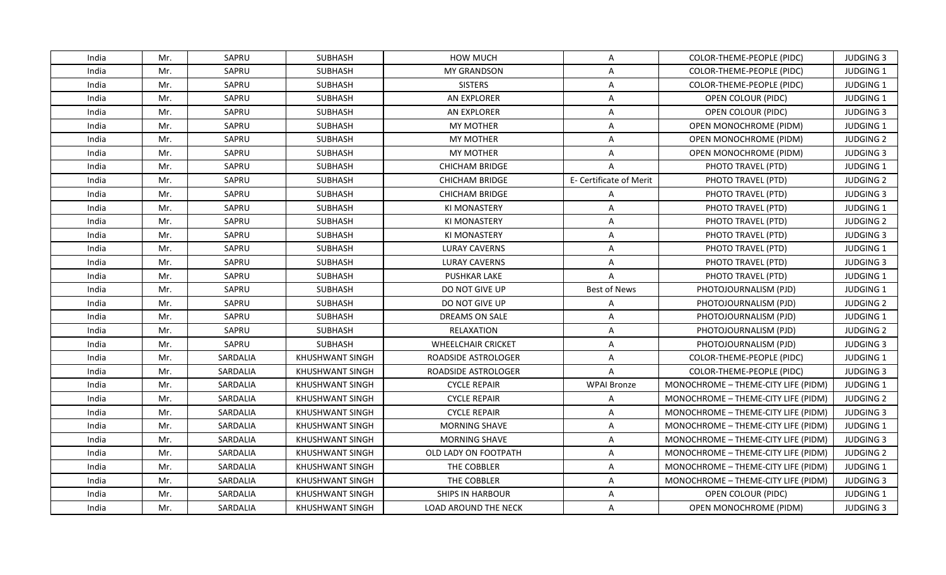| India | Mr. | SAPRU    | <b>SUBHASH</b>         | <b>HOW MUCH</b>             | A                       | COLOR-THEME-PEOPLE (PIDC)           | <b>JUDGING 3</b> |
|-------|-----|----------|------------------------|-----------------------------|-------------------------|-------------------------------------|------------------|
| India | Mr. | SAPRU    | <b>SUBHASH</b>         | <b>MY GRANDSON</b>          | A                       | COLOR-THEME-PEOPLE (PIDC)           | JUDGING 1        |
| India | Mr. | SAPRU    | <b>SUBHASH</b>         | <b>SISTERS</b>              | A                       | COLOR-THEME-PEOPLE (PIDC)           | JUDGING 1        |
| India | Mr. | SAPRU    | SUBHASH                | AN EXPLORER                 | A                       | OPEN COLOUR (PIDC)                  | JUDGING 1        |
| India | Mr. | SAPRU    | SUBHASH                | AN EXPLORER                 | $\overline{\mathsf{A}}$ | OPEN COLOUR (PIDC)                  | <b>JUDGING 3</b> |
| India | Mr. | SAPRU    | <b>SUBHASH</b>         | <b>MY MOTHER</b>            | A                       | OPEN MONOCHROME (PIDM)              | <b>JUDGING 1</b> |
| India | Mr. | SAPRU    | SUBHASH                | <b>MY MOTHER</b>            | A                       | OPEN MONOCHROME (PIDM)              | <b>JUDGING 2</b> |
| India | Mr. | SAPRU    | SUBHASH                | <b>MY MOTHER</b>            | $\overline{A}$          | OPEN MONOCHROME (PIDM)              | <b>JUDGING 3</b> |
| India | Mr. | SAPRU    | SUBHASH                | <b>CHICHAM BRIDGE</b>       | $\overline{A}$          | PHOTO TRAVEL (PTD)                  | JUDGING 1        |
| India | Mr. | SAPRU    | <b>SUBHASH</b>         | <b>CHICHAM BRIDGE</b>       | E- Certificate of Merit | PHOTO TRAVEL (PTD)                  | <b>JUDGING 2</b> |
| India | Mr. | SAPRU    | <b>SUBHASH</b>         | <b>CHICHAM BRIDGE</b>       | A                       | PHOTO TRAVEL (PTD)                  | <b>JUDGING 3</b> |
| India | Mr. | SAPRU    | <b>SUBHASH</b>         | <b>KI MONASTERY</b>         | A                       | PHOTO TRAVEL (PTD)                  | JUDGING 1        |
| India | Mr. | SAPRU    | SUBHASH                | <b>KI MONASTERY</b>         | A                       | PHOTO TRAVEL (PTD)                  | <b>JUDGING 2</b> |
| India | Mr. | SAPRU    | <b>SUBHASH</b>         | <b>KI MONASTERY</b>         | A                       | PHOTO TRAVEL (PTD)                  | <b>JUDGING 3</b> |
| India | Mr. | SAPRU    | <b>SUBHASH</b>         | <b>LURAY CAVERNS</b>        | A                       | PHOTO TRAVEL (PTD)                  | <b>JUDGING 1</b> |
| India | Mr. | SAPRU    | <b>SUBHASH</b>         | <b>LURAY CAVERNS</b>        | A                       | PHOTO TRAVEL (PTD)                  | <b>JUDGING 3</b> |
| India | Mr. | SAPRU    | <b>SUBHASH</b>         | <b>PUSHKAR LAKE</b>         | $\overline{A}$          | PHOTO TRAVEL (PTD)                  | JUDGING 1        |
| India | Mr. | SAPRU    | SUBHASH                | DO NOT GIVE UP              | <b>Best of News</b>     | PHOTOJOURNALISM (PJD)               | JUDGING 1        |
| India | Mr. | SAPRU    | <b>SUBHASH</b>         | DO NOT GIVE UP              | $\overline{A}$          | PHOTOJOURNALISM (PJD)               | <b>JUDGING 2</b> |
| India | Mr. | SAPRU    | SUBHASH                | DREAMS ON SALE              | A                       | PHOTOJOURNALISM (PJD)               | JUDGING 1        |
| India | Mr. | SAPRU    | <b>SUBHASH</b>         | RELAXATION                  | A                       | PHOTOJOURNALISM (PJD)               | <b>JUDGING 2</b> |
| India | Mr. | SAPRU    | <b>SUBHASH</b>         | <b>WHEELCHAIR CRICKET</b>   | A                       | PHOTOJOURNALISM (PJD)               | <b>JUDGING 3</b> |
| India | Mr. | SARDALIA | <b>KHUSHWANT SINGH</b> | ROADSIDE ASTROLOGER         | A                       | COLOR-THEME-PEOPLE (PIDC)           | JUDGING 1        |
| India | Mr. | SARDALIA | KHUSHWANT SINGH        | ROADSIDE ASTROLOGER         | $\overline{A}$          | COLOR-THEME-PEOPLE (PIDC)           | <b>JUDGING 3</b> |
| India | Mr. | SARDALIA | KHUSHWANT SINGH        | <b>CYCLE REPAIR</b>         | <b>WPAI Bronze</b>      | MONOCHROME - THEME-CITY LIFE (PIDM) | JUDGING 1        |
| India | Mr. | SARDALIA | KHUSHWANT SINGH        | <b>CYCLE REPAIR</b>         | A                       | MONOCHROME - THEME-CITY LIFE (PIDM) | <b>JUDGING 2</b> |
| India | Mr. | SARDALIA | <b>KHUSHWANT SINGH</b> | <b>CYCLE REPAIR</b>         | A                       | MONOCHROME - THEME-CITY LIFE (PIDM) | <b>JUDGING 3</b> |
| India | Mr. | SARDALIA | <b>KHUSHWANT SINGH</b> | MORNING SHAVE               | A                       | MONOCHROME - THEME-CITY LIFE (PIDM) | <b>JUDGING 1</b> |
| India | Mr. | SARDALIA | <b>KHUSHWANT SINGH</b> | <b>MORNING SHAVE</b>        | A                       | MONOCHROME - THEME-CITY LIFE (PIDM) | <b>JUDGING 3</b> |
| India | Mr. | SARDALIA | KHUSHWANT SINGH        | OLD LADY ON FOOTPATH        | A                       | MONOCHROME - THEME-CITY LIFE (PIDM) | <b>JUDGING 2</b> |
| India | Mr. | SARDALIA | KHUSHWANT SINGH        | THE COBBLER                 | A                       | MONOCHROME - THEME-CITY LIFE (PIDM) | <b>JUDGING 1</b> |
| India | Mr. | SARDALIA | KHUSHWANT SINGH        | THE COBBLER                 | A                       | MONOCHROME - THEME-CITY LIFE (PIDM) | <b>JUDGING 3</b> |
| India | Mr. | SARDALIA | <b>KHUSHWANT SINGH</b> | <b>SHIPS IN HARBOUR</b>     | A                       | OPEN COLOUR (PIDC)                  | JUDGING 1        |
| India | Mr. | SARDALIA | KHUSHWANT SINGH        | <b>LOAD AROUND THE NECK</b> | A                       | OPEN MONOCHROME (PIDM)              | <b>JUDGING 3</b> |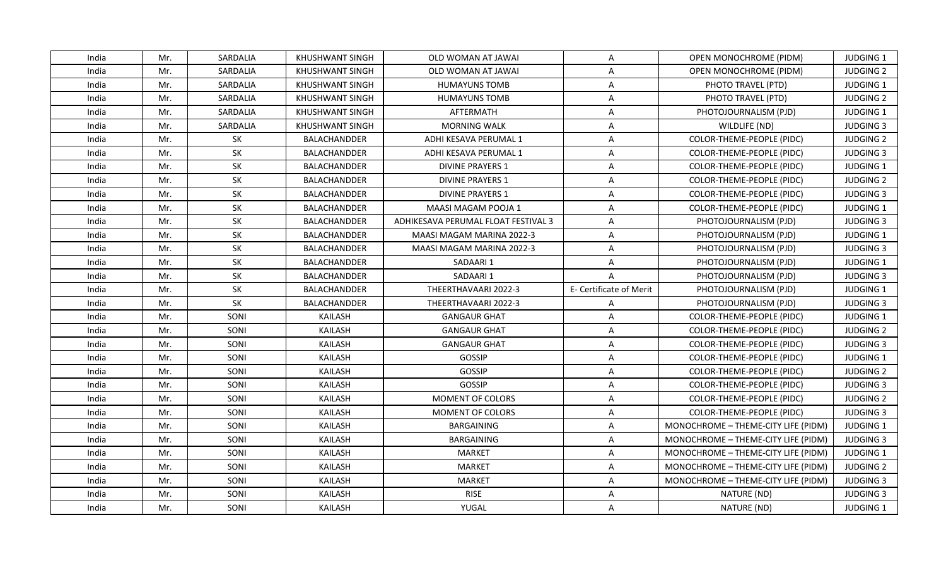| India | Mr. | SARDALIA  | KHUSHWANT SINGH        | OLD WOMAN AT JAWAI                  | A                       | OPEN MONOCHROME (PIDM)              | <b>JUDGING 1</b> |
|-------|-----|-----------|------------------------|-------------------------------------|-------------------------|-------------------------------------|------------------|
| India | Mr. | SARDALIA  | <b>KHUSHWANT SINGH</b> | OLD WOMAN AT JAWAI                  | A                       | OPEN MONOCHROME (PIDM)              | <b>JUDGING 2</b> |
| India | Mr. | SARDALIA  | KHUSHWANT SINGH        | <b>HUMAYUNS TOMB</b>                | A                       | PHOTO TRAVEL (PTD)                  | JUDGING 1        |
| India | Mr. | SARDALIA  | <b>KHUSHWANT SINGH</b> | <b>HUMAYUNS TOMB</b>                | A                       | PHOTO TRAVEL (PTD)                  | <b>JUDGING 2</b> |
| India | Mr. | SARDALIA  | KHUSHWANT SINGH        | AFTERMATH                           | A                       | PHOTOJOURNALISM (PJD)               | <b>JUDGING 1</b> |
| India | Mr. | SARDALIA  | KHUSHWANT SINGH        | <b>MORNING WALK</b>                 | A                       | WILDLIFE (ND)                       | <b>JUDGING 3</b> |
| India | Mr. | SK        | BALACHANDDER           | ADHI KESAVA PERUMAL 1               | A                       | COLOR-THEME-PEOPLE (PIDC)           | <b>JUDGING 2</b> |
| India | Mr. | <b>SK</b> | <b>BALACHANDDER</b>    | ADHI KESAVA PERUMAL 1               | $\overline{A}$          | COLOR-THEME-PEOPLE (PIDC)           | <b>JUDGING 3</b> |
| India | Mr. | SK        | BALACHANDDER           | <b>DIVINE PRAYERS 1</b>             | A                       | COLOR-THEME-PEOPLE (PIDC)           | JUDGING 1        |
| India | Mr. | SK        | <b>BALACHANDDER</b>    | <b>DIVINE PRAYERS 1</b>             | A                       | COLOR-THEME-PEOPLE (PIDC)           | <b>JUDGING 2</b> |
| India | Mr. | SK        | BALACHANDDER           | <b>DIVINE PRAYERS 1</b>             | A                       | COLOR-THEME-PEOPLE (PIDC)           | <b>JUDGING 3</b> |
| India | Mr. | SK        | BALACHANDDER           | MAASI MAGAM POOJA 1                 | A                       | COLOR-THEME-PEOPLE (PIDC)           | JUDGING 1        |
| India | Mr. | SK        | <b>BALACHANDDER</b>    | ADHIKESAVA PERUMAL FLOAT FESTIVAL 3 | $\overline{A}$          | PHOTOJOURNALISM (PJD)               | <b>JUDGING 3</b> |
| India | Mr. | SK        | <b>BALACHANDDER</b>    | MAASI MAGAM MARINA 2022-3           | A                       | PHOTOJOURNALISM (PJD)               | JUDGING 1        |
| India | Mr. | SK        | <b>BALACHANDDER</b>    | MAASI MAGAM MARINA 2022-3           | A                       | PHOTOJOURNALISM (PJD)               | <b>JUDGING 3</b> |
| India | Mr. | SK        | <b>BALACHANDDER</b>    | SADAARI 1                           | A                       | PHOTOJOURNALISM (PJD)               | <b>JUDGING 1</b> |
| India | Mr. | SK        | <b>BALACHANDDER</b>    | SADAARI 1                           | $\mathsf{A}$            | PHOTOJOURNALISM (PJD)               | <b>JUDGING 3</b> |
| India | Mr. | SK        | BALACHANDDER           | THEERTHAVAARI 2022-3                | E- Certificate of Merit | PHOTOJOURNALISM (PJD)               | JUDGING 1        |
| India | Mr. | SK        | <b>BALACHANDDER</b>    | THEERTHAVAARI 2022-3                | $\mathsf{A}$            | PHOTOJOURNALISM (PJD)               | <b>JUDGING 3</b> |
| India | Mr. | SONI      | <b>KAILASH</b>         | <b>GANGAUR GHAT</b>                 | $\overline{A}$          | <b>COLOR-THEME-PEOPLE (PIDC)</b>    | JUDGING 1        |
| India | Mr. | SONI      | <b>KAILASH</b>         | <b>GANGAUR GHAT</b>                 | A                       | COLOR-THEME-PEOPLE (PIDC)           | <b>JUDGING 2</b> |
| India | Mr. | SONI      | <b>KAILASH</b>         | <b>GANGAUR GHAT</b>                 | A                       | COLOR-THEME-PEOPLE (PIDC)           | <b>JUDGING 3</b> |
| India | Mr. | SONI      | <b>KAILASH</b>         | GOSSIP                              | A                       | COLOR-THEME-PEOPLE (PIDC)           | JUDGING 1        |
| India | Mr. | SONI      | <b>KAILASH</b>         | <b>GOSSIP</b>                       | A                       | COLOR-THEME-PEOPLE (PIDC)           | <b>JUDGING 2</b> |
| India | Mr. | SONI      | KAILASH                | <b>GOSSIP</b>                       | A                       | <b>COLOR-THEME-PEOPLE (PIDC)</b>    | <b>JUDGING 3</b> |
| India | Mr. | SONI      | KAILASH                | MOMENT OF COLORS                    | $\overline{\mathsf{A}}$ | COLOR-THEME-PEOPLE (PIDC)           | <b>JUDGING 2</b> |
| India | Mr. | SONI      | KAILASH                | MOMENT OF COLORS                    | A                       | COLOR-THEME-PEOPLE (PIDC)           | <b>JUDGING 3</b> |
| India | Mr. | SONI      | <b>KAILASH</b>         | <b>BARGAINING</b>                   | A                       | MONOCHROME - THEME-CITY LIFE (PIDM) | <b>JUDGING 1</b> |
| India | Mr. | SONI      | KAILASH                | BARGAINING                          | A                       | MONOCHROME - THEME-CITY LIFE (PIDM) | <b>JUDGING 3</b> |
| India | Mr. | SONI      | <b>KAILASH</b>         | <b>MARKET</b>                       | A                       | MONOCHROME - THEME-CITY LIFE (PIDM) | JUDGING 1        |
| India | Mr. | SONI      | KAILASH                | <b>MARKET</b>                       | A                       | MONOCHROME - THEME-CITY LIFE (PIDM) | <b>JUDGING 2</b> |
| India | Mr. | SONI      | KAILASH                | <b>MARKET</b>                       | A                       | MONOCHROME - THEME-CITY LIFE (PIDM) | <b>JUDGING 3</b> |
| India | Mr. | SONI      | <b>KAILASH</b>         | <b>RISE</b>                         | A                       | NATURE (ND)                         | <b>JUDGING 3</b> |
| India | Mr. | SONI      | KAILASH                | YUGAL                               | A                       | NATURE (ND)                         | <b>JUDGING 1</b> |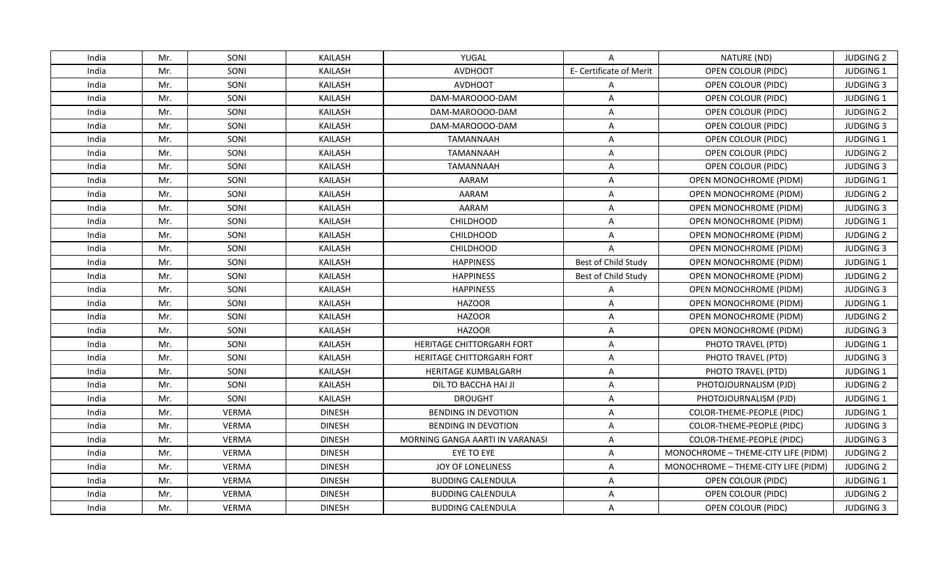| India | Mr. | SONI         | <b>KAILASH</b> | YUGAL                           | A                       | NATURE (ND)                         | <b>JUDGING 2</b> |
|-------|-----|--------------|----------------|---------------------------------|-------------------------|-------------------------------------|------------------|
| India | Mr. | SONI         | KAILASH        | <b>AVDHOOT</b>                  | E- Certificate of Merit | OPEN COLOUR (PIDC)                  | JUDGING 1        |
| India | Mr. | SONI         | KAILASH        | <b>AVDHOOT</b>                  | A                       | OPEN COLOUR (PIDC)                  | <b>JUDGING 3</b> |
| India | Mr. | SONI         | KAILASH        | DAM-MAROOOO-DAM                 | $\overline{A}$          | OPEN COLOUR (PIDC)                  | JUDGING 1        |
| India | Mr. | SONI         | <b>KAILASH</b> | DAM-MAROOOO-DAM                 | $\overline{\mathsf{A}}$ | OPEN COLOUR (PIDC)                  | <b>JUDGING 2</b> |
| India | Mr. | SONI         | KAILASH        | DAM-MAROOOO-DAM                 | A                       | OPEN COLOUR (PIDC)                  | <b>JUDGING 3</b> |
| India | Mr. | SONI         | KAILASH        | <b>TAMANNAAH</b>                | A                       | OPEN COLOUR (PIDC)                  | JUDGING 1        |
| India | Mr. | SONI         | <b>KAILASH</b> | <b>TAMANNAAH</b>                | A                       | OPEN COLOUR (PIDC)                  | <b>JUDGING 2</b> |
| India | Mr. | SONI         | KAILASH        | <b>TAMANNAAH</b>                | $\overline{A}$          | OPEN COLOUR (PIDC)                  | <b>JUDGING 3</b> |
| India | Mr. | SONI         | <b>KAILASH</b> | AARAM                           | $\overline{\mathsf{A}}$ | OPEN MONOCHROME (PIDM)              | JUDGING 1        |
| India | Mr. | SONI         | <b>KAILASH</b> | AARAM                           | A                       | OPEN MONOCHROME (PIDM)              | <b>JUDGING 2</b> |
| India | Mr. | SONI         | KAILASH        | AARAM                           | A                       | OPEN MONOCHROME (PIDM)              | <b>JUDGING 3</b> |
| India | Mr. | SONI         | <b>KAILASH</b> | <b>CHILDHOOD</b>                | A                       | <b>OPEN MONOCHROME (PIDM)</b>       | JUDGING 1        |
| India | Mr. | SONI         | KAILASH        | <b>CHILDHOOD</b>                | A                       | <b>OPEN MONOCHROME (PIDM)</b>       | <b>JUDGING 2</b> |
| India | Mr. | SONI         | <b>KAILASH</b> | <b>CHILDHOOD</b>                | $\overline{\mathsf{A}}$ | <b>OPEN MONOCHROME (PIDM)</b>       | <b>JUDGING 3</b> |
| India | Mr. | SONI         | <b>KAILASH</b> | <b>HAPPINESS</b>                | Best of Child Study     | OPEN MONOCHROME (PIDM)              | <b>JUDGING 1</b> |
| India | Mr. | SONI         | KAILASH        | <b>HAPPINESS</b>                | Best of Child Study     | OPEN MONOCHROME (PIDM)              | <b>JUDGING 2</b> |
| India | Mr. | SONI         | <b>KAILASH</b> | <b>HAPPINESS</b>                | $\overline{A}$          | OPEN MONOCHROME (PIDM)              | <b>JUDGING 3</b> |
| India | Mr. | SONI         | KAILASH        | <b>HAZOOR</b>                   | $\overline{A}$          | OPEN MONOCHROME (PIDM)              | <b>JUDGING 1</b> |
| India | Mr. | SONI         | <b>KAILASH</b> | <b>HAZOOR</b>                   | A                       | <b>OPEN MONOCHROME (PIDM)</b>       | <b>JUDGING 2</b> |
| India | Mr. | SONI         | <b>KAILASH</b> | <b>HAZOOR</b>                   | A                       | <b>OPEN MONOCHROME (PIDM)</b>       | <b>JUDGING 3</b> |
| India | Mr. | SONI         | KAILASH        | HERITAGE CHITTORGARH FORT       | A                       | PHOTO TRAVEL (PTD)                  | JUDGING 1        |
| India | Mr. | SONI         | KAILASH        | HERITAGE CHITTORGARH FORT       | A                       | PHOTO TRAVEL (PTD)                  | <b>JUDGING 3</b> |
| India | Mr. | SONI         | KAILASH        | <b>HERITAGE KUMBALGARH</b>      | A                       | PHOTO TRAVEL (PTD)                  | <b>JUDGING 1</b> |
| India | Mr. | SONI         | <b>KAILASH</b> | DIL TO BACCHA HAI JI            | $\overline{A}$          | PHOTOJOURNALISM (PJD)               | <b>JUDGING 2</b> |
| India | Mr. | SONI         | KAILASH        | <b>DROUGHT</b>                  | A                       | PHOTOJOURNALISM (PJD)               | JUDGING 1        |
| India | Mr. | <b>VERMA</b> | <b>DINESH</b>  | <b>BENDING IN DEVOTION</b>      | A                       | COLOR-THEME-PEOPLE (PIDC)           | JUDGING 1        |
| India | Mr. | <b>VERMA</b> | <b>DINESH</b>  | <b>BENDING IN DEVOTION</b>      | $\overline{\mathsf{A}}$ | COLOR-THEME-PEOPLE (PIDC)           | <b>JUDGING 3</b> |
| India | Mr. | <b>VERMA</b> | <b>DINESH</b>  | MORNING GANGA AARTI IN VARANASI | $\overline{A}$          | COLOR-THEME-PEOPLE (PIDC)           | <b>JUDGING 3</b> |
| India | Mr. | <b>VERMA</b> | <b>DINESH</b>  | EYE TO EYE                      | A                       | MONOCHROME - THEME-CITY LIFE (PIDM) | <b>JUDGING 2</b> |
| India | Mr. | <b>VERMA</b> | <b>DINESH</b>  | JOY OF LONELINESS               | A                       | MONOCHROME - THEME-CITY LIFE (PIDM) | <b>JUDGING 2</b> |
| India | Mr. | <b>VERMA</b> | <b>DINESH</b>  | <b>BUDDING CALENDULA</b>        | A                       | OPEN COLOUR (PIDC)                  | <b>JUDGING 1</b> |
| India | Mr. | <b>VERMA</b> | <b>DINESH</b>  | <b>BUDDING CALENDULA</b>        | A                       | OPEN COLOUR (PIDC)                  | <b>JUDGING 2</b> |
| India | Mr. | <b>VERMA</b> | <b>DINESH</b>  | <b>BUDDING CALENDULA</b>        | A                       | OPEN COLOUR (PIDC)                  | <b>JUDGING 3</b> |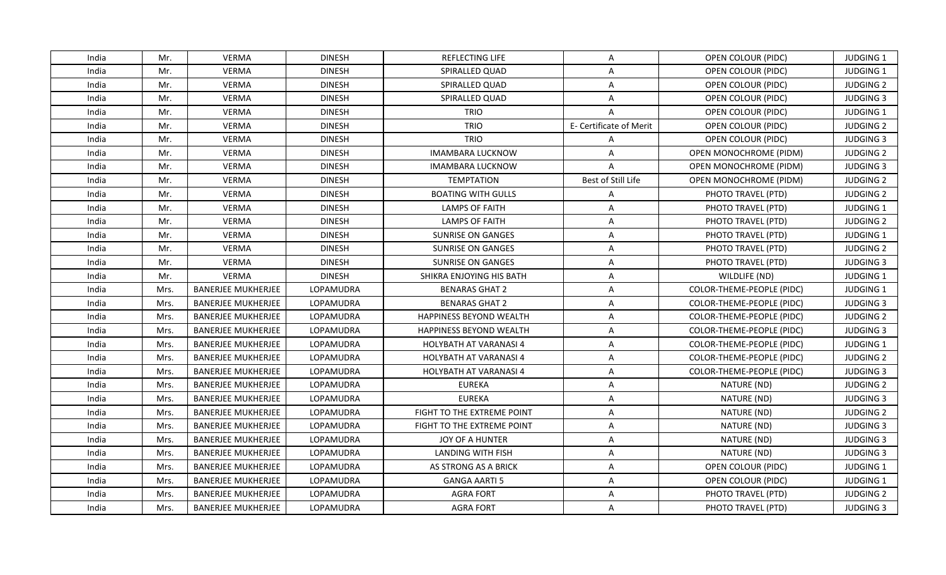| India | Mr.  | <b>VERMA</b>              | <b>DINESH</b>    | REFLECTING LIFE                | A                       | OPEN COLOUR (PIDC)               | <b>JUDGING 1</b> |
|-------|------|---------------------------|------------------|--------------------------------|-------------------------|----------------------------------|------------------|
| India | Mr.  | <b>VERMA</b>              | <b>DINESH</b>    | SPIRALLED QUAD                 | A                       | OPEN COLOUR (PIDC)               | JUDGING 1        |
| India | Mr.  | <b>VERMA</b>              | <b>DINESH</b>    | SPIRALLED QUAD                 | $\overline{A}$          | OPEN COLOUR (PIDC)               | <b>JUDGING 2</b> |
| India | Mr.  | <b>VERMA</b>              | <b>DINESH</b>    | SPIRALLED QUAD                 | A                       | OPEN COLOUR (PIDC)               | <b>JUDGING 3</b> |
| India | Mr.  | <b>VERMA</b>              | <b>DINESH</b>    | <b>TRIO</b>                    | $\overline{A}$          | OPEN COLOUR (PIDC)               | JUDGING 1        |
| India | Mr.  | <b>VERMA</b>              | <b>DINESH</b>    | <b>TRIO</b>                    | E- Certificate of Merit | OPEN COLOUR (PIDC)               | <b>JUDGING 2</b> |
| India | Mr.  | <b>VERMA</b>              | <b>DINESH</b>    | <b>TRIO</b>                    | A                       | OPEN COLOUR (PIDC)               | <b>JUDGING 3</b> |
| India | Mr.  | <b>VERMA</b>              | <b>DINESH</b>    | IMAMBARA LUCKNOW               | $\overline{A}$          | OPEN MONOCHROME (PIDM)           | <b>JUDGING 2</b> |
| India | Mr.  | <b>VERMA</b>              | <b>DINESH</b>    | IMAMBARA LUCKNOW               | $\overline{A}$          | OPEN MONOCHROME (PIDM)           | <b>JUDGING 3</b> |
| India | Mr.  | <b>VERMA</b>              | <b>DINESH</b>    | <b>TEMPTATION</b>              | Best of Still Life      | OPEN MONOCHROME (PIDM)           | <b>JUDGING 2</b> |
| India | Mr.  | <b>VERMA</b>              | <b>DINESH</b>    | <b>BOATING WITH GULLS</b>      | A                       | PHOTO TRAVEL (PTD)               | <b>JUDGING 2</b> |
| India | Mr.  | <b>VERMA</b>              | <b>DINESH</b>    | LAMPS OF FAITH                 | A                       | PHOTO TRAVEL (PTD)               | <b>JUDGING 1</b> |
| India | Mr.  | <b>VERMA</b>              | <b>DINESH</b>    | <b>LAMPS OF FAITH</b>          | A                       | PHOTO TRAVEL (PTD)               | <b>JUDGING 2</b> |
| India | Mr.  | <b>VERMA</b>              | <b>DINESH</b>    | SUNRISE ON GANGES              | A                       | PHOTO TRAVEL (PTD)               | JUDGING 1        |
| India | Mr.  | <b>VERMA</b>              | <b>DINESH</b>    | SUNRISE ON GANGES              | A                       | PHOTO TRAVEL (PTD)               | <b>JUDGING 2</b> |
| India | Mr.  | <b>VERMA</b>              | <b>DINESH</b>    | <b>SUNRISE ON GANGES</b>       | A                       | PHOTO TRAVEL (PTD)               | <b>JUDGING 3</b> |
| India | Mr.  | <b>VERMA</b>              | <b>DINESH</b>    | SHIKRA ENJOYING HIS BATH       | A                       | WILDLIFE (ND)                    | <b>JUDGING 1</b> |
| India | Mrs. | <b>BANERJEE MUKHERJEE</b> | LOPAMUDRA        | <b>BENARAS GHAT 2</b>          | $\overline{\mathsf{A}}$ | COLOR-THEME-PEOPLE (PIDC)        | JUDGING 1        |
| India | Mrs. | <b>BANERJEE MUKHERJEE</b> | LOPAMUDRA        | <b>BENARAS GHAT 2</b>          | A                       | COLOR-THEME-PEOPLE (PIDC)        | <b>JUDGING 3</b> |
| India | Mrs. | <b>BANERJEE MUKHERJEE</b> | <b>LOPAMUDRA</b> | <b>HAPPINESS BEYOND WEALTH</b> | $\overline{\mathsf{A}}$ | <b>COLOR-THEME-PEOPLE (PIDC)</b> | <b>JUDGING 2</b> |
| India | Mrs. | <b>BANERJEE MUKHERJEE</b> | LOPAMUDRA        | <b>HAPPINESS BEYOND WEALTH</b> | A                       | COLOR-THEME-PEOPLE (PIDC)        | <b>JUDGING 3</b> |
| India | Mrs. | <b>BANERJEE MUKHERJEE</b> | LOPAMUDRA        | <b>HOLYBATH AT VARANASI 4</b>  | $\overline{A}$          | COLOR-THEME-PEOPLE (PIDC)        | <b>JUDGING 1</b> |
| India | Mrs. | <b>BANERJEE MUKHERJEE</b> | LOPAMUDRA        | HOLYBATH AT VARANASI 4         | A                       | COLOR-THEME-PEOPLE (PIDC)        | <b>JUDGING 2</b> |
| India | Mrs. | <b>BANERJEE MUKHERJEE</b> | LOPAMUDRA        | <b>HOLYBATH AT VARANASI 4</b>  | A                       | COLOR-THEME-PEOPLE (PIDC)        | <b>JUDGING 3</b> |
| India | Mrs. | <b>BANERJEE MUKHERJEE</b> | LOPAMUDRA        | <b>EUREKA</b>                  | A                       | NATURE (ND)                      | <b>JUDGING 2</b> |
| India | Mrs. | <b>BANERJEE MUKHERJEE</b> | LOPAMUDRA        | <b>EUREKA</b>                  | A                       | NATURE (ND)                      | <b>JUDGING 3</b> |
| India | Mrs. | <b>BANERJEE MUKHERJEE</b> | LOPAMUDRA        | FIGHT TO THE EXTREME POINT     | A                       | NATURE (ND)                      | <b>JUDGING 2</b> |
| India | Mrs. | <b>BANERJEE MUKHERJEE</b> | LOPAMUDRA        | FIGHT TO THE EXTREME POINT     | A                       | NATURE (ND)                      | <b>JUDGING 3</b> |
| India | Mrs. | <b>BANERJEE MUKHERJEE</b> | LOPAMUDRA        | JOY OF A HUNTER                | A                       | NATURE (ND)                      | <b>JUDGING 3</b> |
| India | Mrs. | <b>BANERJEE MUKHERJEE</b> | LOPAMUDRA        | <b>LANDING WITH FISH</b>       | $\overline{\mathsf{A}}$ | NATURE (ND)                      | <b>JUDGING 3</b> |
| India | Mrs. | <b>BANERJEE MUKHERJEE</b> | LOPAMUDRA        | AS STRONG AS A BRICK           | A                       | OPEN COLOUR (PIDC)               | <b>JUDGING 1</b> |
| India | Mrs. | <b>BANERJEE MUKHERJEE</b> | LOPAMUDRA        | <b>GANGA AARTI 5</b>           | A                       | OPEN COLOUR (PIDC)               | JUDGING 1        |
| India | Mrs. | <b>BANERJEE MUKHERJEE</b> | LOPAMUDRA        | <b>AGRA FORT</b>               | $\overline{\mathsf{A}}$ | PHOTO TRAVEL (PTD)               | <b>JUDGING 2</b> |
| India | Mrs. | <b>BANERJEE MUKHERJEE</b> | LOPAMUDRA        | <b>AGRA FORT</b>               | A                       | PHOTO TRAVEL (PTD)               | <b>JUDGING 3</b> |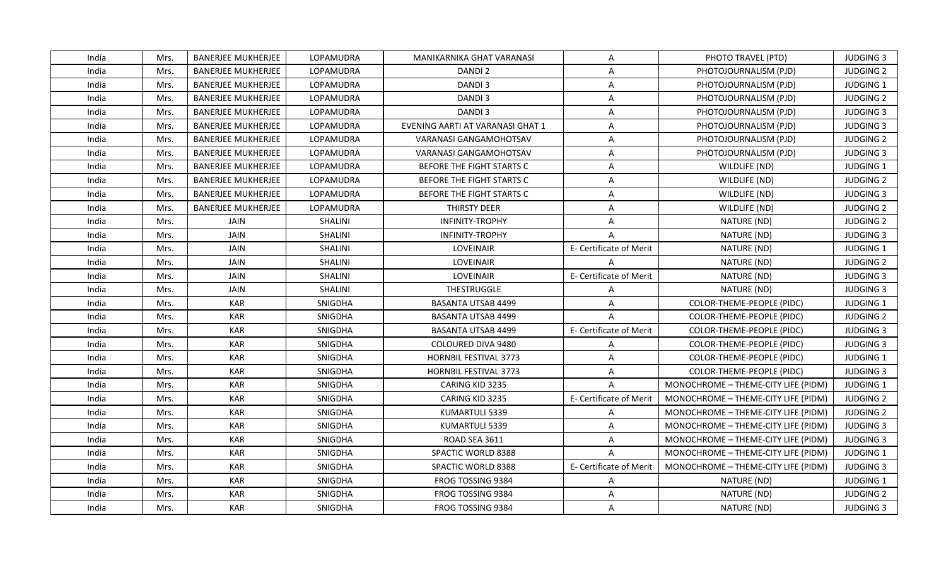| India | Mrs. | <b>BANERJEE MUKHERJEE</b> | LOPAMUDRA      | MANIKARNIKA GHAT VARANASI        | A                       | PHOTO TRAVEL (PTD)                  | <b>JUDGING 3</b> |
|-------|------|---------------------------|----------------|----------------------------------|-------------------------|-------------------------------------|------------------|
| India | Mrs. | <b>BANERJEE MUKHERJEE</b> | LOPAMUDRA      | DANDI 2                          | A                       | PHOTOJOURNALISM (PJD)               | <b>JUDGING 2</b> |
| India | Mrs. | <b>BANERJEE MUKHERJEE</b> | LOPAMUDRA      | DANDI 3                          | A                       | PHOTOJOURNALISM (PJD)               | JUDGING 1        |
| India | Mrs. | <b>BANERJEE MUKHERJEE</b> | LOPAMUDRA      | DANDI 3                          | A                       | PHOTOJOURNALISM (PJD)               | <b>JUDGING 2</b> |
| India | Mrs. | <b>BANERJEE MUKHERJEE</b> | LOPAMUDRA      | DANDI 3                          | $\overline{\mathsf{A}}$ | PHOTOJOURNALISM (PJD)               | <b>JUDGING 3</b> |
| India | Mrs. | <b>BANERJEE MUKHERJEE</b> | LOPAMUDRA      | EVENING AARTI AT VARANASI GHAT 1 | A                       | PHOTOJOURNALISM (PJD)               | <b>JUDGING 3</b> |
| India | Mrs. | <b>BANERJEE MUKHERJEE</b> | LOPAMUDRA      | <b>VARANASI GANGAMOHOTSAV</b>    | A                       | PHOTOJOURNALISM (PJD)               | <b>JUDGING 2</b> |
| India | Mrs. | <b>BANERJEE MUKHERJEE</b> | LOPAMUDRA      | VARANASI GANGAMOHOTSAV           | $\overline{A}$          | PHOTOJOURNALISM (PJD)               | <b>JUDGING 3</b> |
| India | Mrs. | <b>BANERJEE MUKHERJEE</b> | LOPAMUDRA      | BEFORE THE FIGHT STARTS C        | A                       | WILDLIFE (ND)                       | JUDGING 1        |
| India | Mrs. | <b>BANERJEE MUKHERJEE</b> | LOPAMUDRA      | BEFORE THE FIGHT STARTS C        | A                       | WILDLIFE (ND)                       | <b>JUDGING 2</b> |
| India | Mrs. | <b>BANERJEE MUKHERJEE</b> | LOPAMUDRA      | BEFORE THE FIGHT STARTS C        | $\overline{\mathsf{A}}$ | WILDLIFE (ND)                       | <b>JUDGING 3</b> |
| India | Mrs. | <b>BANERJEE MUKHERJEE</b> | LOPAMUDRA      | THIRSTY DEER                     | A                       | WILDLIFE (ND)                       | <b>JUDGING 2</b> |
| India | Mrs. | JAIN                      | <b>SHALINI</b> | <b>INFINITY-TROPHY</b>           | $\overline{A}$          | NATURE (ND)                         | <b>JUDGING 2</b> |
| India | Mrs. | JAIN                      | SHALINI        | <b>INFINITY-TROPHY</b>           | $\overline{A}$          | NATURE (ND)                         | <b>JUDGING 3</b> |
| India | Mrs. | JAIN                      | SHALINI        | LOVEINAIR                        | E- Certificate of Merit | NATURE (ND)                         | JUDGING 1        |
| India | Mrs. | JAIN                      | <b>SHALINI</b> | LOVEINAIR                        | $\overline{A}$          | NATURE (ND)                         | <b>JUDGING 2</b> |
| India | Mrs. | JAIN                      | <b>SHALINI</b> | LOVEINAIR                        | E- Certificate of Merit | NATURE (ND)                         | <b>JUDGING 3</b> |
| India | Mrs. | <b>JAIN</b>               | SHALINI        | THESTRUGGLE                      | $\overline{A}$          | NATURE (ND)                         | <b>JUDGING 3</b> |
| India | Mrs. | <b>KAR</b>                | <b>SNIGDHA</b> | <b>BASANTA UTSAB 4499</b>        | $\overline{A}$          | COLOR-THEME-PEOPLE (PIDC)           | <b>JUDGING 1</b> |
| India | Mrs. | <b>KAR</b>                | SNIGDHA        | <b>BASANTA UTSAB 4499</b>        | $\overline{A}$          | COLOR-THEME-PEOPLE (PIDC)           | <b>JUDGING 2</b> |
| India | Mrs. | <b>KAR</b>                | SNIGDHA        | BASANTA UTSAB 4499               | E- Certificate of Merit | COLOR-THEME-PEOPLE (PIDC)           | <b>JUDGING 3</b> |
| India | Mrs. | <b>KAR</b>                | SNIGDHA        | COLOURED DIVA 9480               | A                       | COLOR-THEME-PEOPLE (PIDC)           | <b>JUDGING 3</b> |
| India | Mrs. | <b>KAR</b>                | <b>SNIGDHA</b> | <b>HORNBIL FESTIVAL 3773</b>     | $\overline{A}$          | COLOR-THEME-PEOPLE (PIDC)           | <b>JUDGING 1</b> |
| India | Mrs. | <b>KAR</b>                | <b>SNIGDHA</b> | <b>HORNBIL FESTIVAL 3773</b>     | $\overline{A}$          | COLOR-THEME-PEOPLE (PIDC)           | <b>JUDGING 3</b> |
| India | Mrs. | <b>KAR</b>                | <b>SNIGDHA</b> | CARING KID 3235                  | $\overline{A}$          | MONOCHROME - THEME-CITY LIFE (PIDM) | JUDGING 1        |
| India | Mrs. | <b>KAR</b>                | SNIGDHA        | CARING KID 3235                  | E- Certificate of Merit | MONOCHROME - THEME-CITY LIFE (PIDM) | <b>JUDGING 2</b> |
| India | Mrs. | <b>KAR</b>                | SNIGDHA        | KUMARTULI 5339                   | A                       | MONOCHROME - THEME-CITY LIFE (PIDM) | <b>JUDGING 2</b> |
| India | Mrs. | <b>KAR</b>                | SNIGDHA        | KUMARTULI 5339                   | A                       | MONOCHROME - THEME-CITY LIFE (PIDM) | <b>JUDGING 3</b> |
| India | Mrs. | <b>KAR</b>                | SNIGDHA        | ROAD SEA 3611                    | $\overline{A}$          | MONOCHROME - THEME-CITY LIFE (PIDM) | <b>JUDGING 3</b> |
| India | Mrs. | <b>KAR</b>                | SNIGDHA        | SPACTIC WORLD 8388               | $\overline{A}$          | MONOCHROME - THEME-CITY LIFE (PIDM) | JUDGING 1        |
| India | Mrs. | <b>KAR</b>                | <b>SNIGDHA</b> | SPACTIC WORLD 8388               | E- Certificate of Merit | MONOCHROME - THEME-CITY LIFE (PIDM) | <b>JUDGING 3</b> |
| India | Mrs. | <b>KAR</b>                | SNIGDHA        | FROG TOSSING 9384                | A                       | NATURE (ND)                         | JUDGING 1        |
| India | Mrs. | <b>KAR</b>                | SNIGDHA        | FROG TOSSING 9384                | A                       | NATURE (ND)                         | <b>JUDGING 2</b> |
| India | Mrs. | <b>KAR</b>                | <b>SNIGDHA</b> | FROG TOSSING 9384                | A                       | NATURE (ND)                         | <b>JUDGING 3</b> |
|       |      |                           |                |                                  |                         |                                     |                  |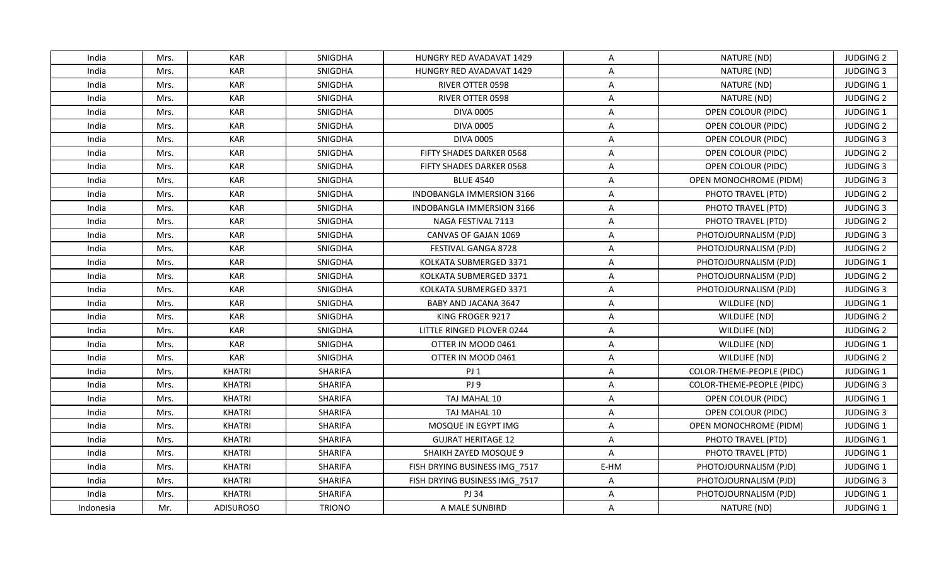| India     | Mrs. | <b>KAR</b>       | <b>SNIGDHA</b> | HUNGRY RED AVADAVAT 1429        | A                       | NATURE (ND)                      | <b>JUDGING 2</b> |
|-----------|------|------------------|----------------|---------------------------------|-------------------------|----------------------------------|------------------|
| India     | Mrs. | <b>KAR</b>       | SNIGDHA        | <b>HUNGRY RED AVADAVAT 1429</b> | $\mathsf{A}$            | NATURE (ND)                      | <b>JUDGING 3</b> |
| India     | Mrs. | <b>KAR</b>       | SNIGDHA        | <b>RIVER OTTER 0598</b>         | A                       | NATURE (ND)                      | JUDGING 1        |
| India     | Mrs. | <b>KAR</b>       | SNIGDHA        | RIVER OTTER 0598                | A                       | NATURE (ND)                      | <b>JUDGING 2</b> |
| India     | Mrs. | <b>KAR</b>       | SNIGDHA        | <b>DIVA 0005</b>                | $\overline{\mathsf{A}}$ | OPEN COLOUR (PIDC)               | JUDGING 1        |
| India     | Mrs. | <b>KAR</b>       | <b>SNIGDHA</b> | <b>DIVA 0005</b>                | A                       | OPEN COLOUR (PIDC)               | <b>JUDGING 2</b> |
| India     | Mrs. | <b>KAR</b>       | <b>SNIGDHA</b> | <b>DIVA 0005</b>                | $\overline{\mathsf{A}}$ | OPEN COLOUR (PIDC)               | <b>JUDGING 3</b> |
| India     | Mrs. | <b>KAR</b>       | SNIGDHA        | FIFTY SHADES DARKER 0568        | $\overline{\mathsf{A}}$ | OPEN COLOUR (PIDC)               | <b>JUDGING 2</b> |
| India     | Mrs. | <b>KAR</b>       | SNIGDHA        | FIFTY SHADES DARKER 0568        | A                       | OPEN COLOUR (PIDC)               | <b>JUDGING 3</b> |
| India     | Mrs. | <b>KAR</b>       | SNIGDHA        | <b>BLUE 4540</b>                | A                       | OPEN MONOCHROME (PIDM)           | <b>JUDGING 3</b> |
| India     | Mrs. | <b>KAR</b>       | <b>SNIGDHA</b> | INDOBANGLA IMMERSION 3166       | $\overline{A}$          | PHOTO TRAVEL (PTD)               | <b>JUDGING 2</b> |
| India     | Mrs. | <b>KAR</b>       | SNIGDHA        | INDOBANGLA IMMERSION 3166       | $\overline{\mathsf{A}}$ | PHOTO TRAVEL (PTD)               | <b>JUDGING 3</b> |
| India     | Mrs. | <b>KAR</b>       | SNIGDHA        | NAGA FESTIVAL 7113              | A                       | PHOTO TRAVEL (PTD)               | <b>JUDGING 2</b> |
| India     | Mrs. | <b>KAR</b>       | SNIGDHA        | CANVAS OF GAJAN 1069            | A                       | PHOTOJOURNALISM (PJD)            | <b>JUDGING 3</b> |
| India     | Mrs. | <b>KAR</b>       | SNIGDHA        | FESTIVAL GANGA 8728             | A                       | PHOTOJOURNALISM (PJD)            | <b>JUDGING 2</b> |
| India     | Mrs. | <b>KAR</b>       | SNIGDHA        | KOLKATA SUBMERGED 3371          | A                       | PHOTOJOURNALISM (PJD)            | <b>JUDGING 1</b> |
| India     | Mrs. | <b>KAR</b>       | SNIGDHA        | KOLKATA SUBMERGED 3371          | $\overline{\mathsf{A}}$ | PHOTOJOURNALISM (PJD)            | <b>JUDGING 2</b> |
| India     | Mrs. | <b>KAR</b>       | SNIGDHA        | KOLKATA SUBMERGED 3371          | $\overline{A}$          | PHOTOJOURNALISM (PJD)            | <b>JUDGING 3</b> |
| India     | Mrs. | <b>KAR</b>       | SNIGDHA        | BABY AND JACANA 3647            | A                       | WILDLIFE (ND)                    | JUDGING 1        |
| India     | Mrs. | <b>KAR</b>       | SNIGDHA        | KING FROGER 9217                | A                       | WILDLIFE (ND)                    | <b>JUDGING 2</b> |
| India     | Mrs. | <b>KAR</b>       | <b>SNIGDHA</b> | LITTLE RINGED PLOVER 0244       | A                       | WILDLIFE (ND)                    | <b>JUDGING 2</b> |
| India     | Mrs. | <b>KAR</b>       | SNIGDHA        | OTTER IN MOOD 0461              | A                       | WILDLIFE (ND)                    | JUDGING 1        |
| India     | Mrs. | <b>KAR</b>       | SNIGDHA        | OTTER IN MOOD 0461              | A                       | WILDLIFE (ND)                    | <b>JUDGING 2</b> |
| India     | Mrs. | <b>KHATRI</b>    | <b>SHARIFA</b> | PJ <sub>1</sub>                 | $\overline{\mathsf{A}}$ | COLOR-THEME-PEOPLE (PIDC)        | JUDGING 1        |
| India     | Mrs. | <b>KHATRI</b>    | <b>SHARIFA</b> | PJ 9                            | A                       | <b>COLOR-THEME-PEOPLE (PIDC)</b> | <b>JUDGING 3</b> |
| India     | Mrs. | <b>KHATRI</b>    | <b>SHARIFA</b> | TAJ MAHAL 10                    | A                       | OPEN COLOUR (PIDC)               | JUDGING 1        |
| India     | Mrs. | <b>KHATRI</b>    | <b>SHARIFA</b> | TAJ MAHAL 10                    | A                       | OPEN COLOUR (PIDC)               | <b>JUDGING 3</b> |
| India     | Mrs. | <b>KHATRI</b>    | <b>SHARIFA</b> | MOSQUE IN EGYPT IMG             | A                       | OPEN MONOCHROME (PIDM)           | JUDGING 1        |
| India     | Mrs. | <b>KHATRI</b>    | <b>SHARIFA</b> | <b>GUJRAT HERITAGE 12</b>       | A                       | PHOTO TRAVEL (PTD)               | <b>JUDGING 1</b> |
| India     | Mrs. | <b>KHATRI</b>    | <b>SHARIFA</b> | SHAIKH ZAYED MOSQUE 9           | $\overline{A}$          | PHOTO TRAVEL (PTD)               | <b>JUDGING 1</b> |
| India     | Mrs. | <b>KHATRI</b>    | <b>SHARIFA</b> | FISH DRYING BUSINESS IMG 7517   | E-HM                    | PHOTOJOURNALISM (PJD)            | <b>JUDGING 1</b> |
| India     | Mrs. | <b>KHATRI</b>    | <b>SHARIFA</b> | FISH DRYING BUSINESS IMG_7517   | A                       | PHOTOJOURNALISM (PJD)            | <b>JUDGING 3</b> |
| India     | Mrs. | <b>KHATRI</b>    | <b>SHARIFA</b> | PJ 34                           | $\overline{\mathsf{A}}$ | PHOTOJOURNALISM (PJD)            | JUDGING 1        |
| Indonesia | Mr.  | <b>ADISUROSO</b> | <b>TRIONO</b>  | A MALE SUNBIRD                  | A                       | NATURE (ND)                      | <b>JUDGING 1</b> |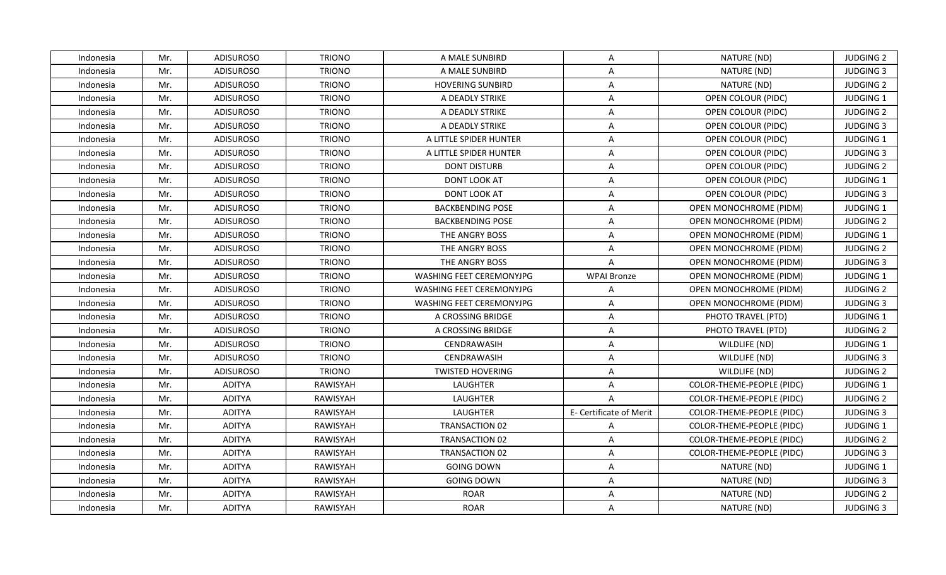| Indonesia | Mr. | <b>ADISUROSO</b> | <b>TRIONO</b>   | A MALE SUNBIRD           | A                       | NATURE (ND)                   | <b>JUDGING 2</b> |
|-----------|-----|------------------|-----------------|--------------------------|-------------------------|-------------------------------|------------------|
| Indonesia | Mr. | <b>ADISUROSO</b> | <b>TRIONO</b>   | A MALE SUNBIRD           | A                       | NATURE (ND)                   | <b>JUDGING 3</b> |
| Indonesia | Mr. | <b>ADISUROSO</b> | <b>TRIONO</b>   | <b>HOVERING SUNBIRD</b>  | $\mathsf{A}$            | NATURE (ND)                   | <b>JUDGING 2</b> |
| Indonesia | Mr. | <b>ADISUROSO</b> | <b>TRIONO</b>   | A DEADLY STRIKE          | $\mathsf{A}$            | OPEN COLOUR (PIDC)            | <b>JUDGING 1</b> |
| Indonesia | Mr. | <b>ADISUROSO</b> | <b>TRIONO</b>   | A DEADLY STRIKE          | $\overline{A}$          | OPEN COLOUR (PIDC)            | <b>JUDGING 2</b> |
| Indonesia | Mr. | <b>ADISUROSO</b> | <b>TRIONO</b>   | A DEADLY STRIKE          | A                       | OPEN COLOUR (PIDC)            | <b>JUDGING 3</b> |
| Indonesia | Mr. | <b>ADISUROSO</b> | <b>TRIONO</b>   | A LITTLE SPIDER HUNTER   | $\mathsf{A}$            | OPEN COLOUR (PIDC)            | <b>JUDGING 1</b> |
| Indonesia | Mr. | <b>ADISUROSO</b> | <b>TRIONO</b>   | A LITTLE SPIDER HUNTER   | $\mathsf{A}$            | OPEN COLOUR (PIDC)            | <b>JUDGING 3</b> |
| Indonesia | Mr. | <b>ADISUROSO</b> | <b>TRIONO</b>   | <b>DONT DISTURB</b>      | $\mathsf{A}$            | <b>OPEN COLOUR (PIDC)</b>     | <b>JUDGING 2</b> |
| Indonesia | Mr. | <b>ADISUROSO</b> | <b>TRIONO</b>   | <b>DONT LOOK AT</b>      | $\overline{A}$          | OPEN COLOUR (PIDC)            | JUDGING 1        |
| Indonesia | Mr. | <b>ADISUROSO</b> | <b>TRIONO</b>   | DONT LOOK AT             | A                       | OPEN COLOUR (PIDC)            | <b>JUDGING 3</b> |
| Indonesia | Mr. | <b>ADISUROSO</b> | <b>TRIONO</b>   | <b>BACKBENDING POSE</b>  | A                       | <b>OPEN MONOCHROME (PIDM)</b> | <b>JUDGING 1</b> |
| Indonesia | Mr. | <b>ADISUROSO</b> | <b>TRIONO</b>   | <b>BACKBENDING POSE</b>  | $\mathsf{A}$            | OPEN MONOCHROME (PIDM)        | <b>JUDGING 2</b> |
| Indonesia | Mr. | <b>ADISUROSO</b> | <b>TRIONO</b>   | THE ANGRY BOSS           | $\mathsf{A}$            | <b>OPEN MONOCHROME (PIDM)</b> | JUDGING 1        |
| Indonesia | Mr. | <b>ADISUROSO</b> | <b>TRIONO</b>   | THE ANGRY BOSS           | $\overline{A}$          | OPEN MONOCHROME (PIDM)        | <b>JUDGING 2</b> |
| Indonesia | Mr. | <b>ADISUROSO</b> | <b>TRIONO</b>   | THE ANGRY BOSS           | A                       | OPEN MONOCHROME (PIDM)        | <b>JUDGING 3</b> |
| Indonesia | Mr. | <b>ADISUROSO</b> | <b>TRIONO</b>   | WASHING FEET CEREMONYJPG | <b>WPAI Bronze</b>      | OPEN MONOCHROME (PIDM)        | JUDGING 1        |
| Indonesia | Mr. | <b>ADISUROSO</b> | <b>TRIONO</b>   | WASHING FEET CEREMONYJPG | $\overline{A}$          | OPEN MONOCHROME (PIDM)        | <b>JUDGING 2</b> |
| Indonesia | Mr. | <b>ADISUROSO</b> | <b>TRIONO</b>   | WASHING FEET CEREMONYJPG | $\mathsf{A}$            | OPEN MONOCHROME (PIDM)        | <b>JUDGING 3</b> |
| Indonesia | Mr. | <b>ADISUROSO</b> | <b>TRIONO</b>   | A CROSSING BRIDGE        | $\mathsf{A}$            | PHOTO TRAVEL (PTD)            | JUDGING 1        |
| Indonesia | Mr. | <b>ADISUROSO</b> | <b>TRIONO</b>   | A CROSSING BRIDGE        | A                       | PHOTO TRAVEL (PTD)            | <b>JUDGING 2</b> |
| Indonesia | Mr. | <b>ADISUROSO</b> | <b>TRIONO</b>   | CENDRAWASIH              | $\mathsf{A}$            | WILDLIFE (ND)                 | JUDGING 1        |
| Indonesia | Mr. | <b>ADISUROSO</b> | <b>TRIONO</b>   | CENDRAWASIH              | $\mathsf{A}$            | WILDLIFE (ND)                 | <b>JUDGING 3</b> |
| Indonesia | Mr. | <b>ADISUROSO</b> | <b>TRIONO</b>   | <b>TWISTED HOVERING</b>  | $\mathsf{A}$            | WILDLIFE (ND)                 | <b>JUDGING 2</b> |
| Indonesia | Mr. | <b>ADITYA</b>    | <b>RAWISYAH</b> | <b>LAUGHTER</b>          | $\overline{A}$          | COLOR-THEME-PEOPLE (PIDC)     | JUDGING 1        |
| Indonesia | Mr. | <b>ADITYA</b>    | RAWISYAH        | LAUGHTER                 | $\mathsf{A}$            | COLOR-THEME-PEOPLE (PIDC)     | <b>JUDGING 2</b> |
| Indonesia | Mr. | <b>ADITYA</b>    | RAWISYAH        | LAUGHTER                 | E- Certificate of Merit | COLOR-THEME-PEOPLE (PIDC)     | <b>JUDGING 3</b> |
| Indonesia | Mr. | <b>ADITYA</b>    | <b>RAWISYAH</b> | TRANSACTION 02           | $\overline{A}$          | COLOR-THEME-PEOPLE (PIDC)     | JUDGING 1        |
| Indonesia | Mr. | <b>ADITYA</b>    | RAWISYAH        | <b>TRANSACTION 02</b>    | $\mathsf{A}$            | COLOR-THEME-PEOPLE (PIDC)     | <b>JUDGING 2</b> |
| Indonesia | Mr. | <b>ADITYA</b>    | RAWISYAH        | TRANSACTION 02           | $\mathsf{A}$            | COLOR-THEME-PEOPLE (PIDC)     | <b>JUDGING 3</b> |
| Indonesia | Mr. | <b>ADITYA</b>    | RAWISYAH        | <b>GOING DOWN</b>        | $\mathsf{A}$            | NATURE (ND)                   | JUDGING 1        |
| Indonesia | Mr. | <b>ADITYA</b>    | RAWISYAH        | <b>GOING DOWN</b>        | $\mathsf{A}$            | NATURE (ND)                   | <b>JUDGING 3</b> |
| Indonesia | Mr. | <b>ADITYA</b>    | RAWISYAH        | <b>ROAR</b>              | $\mathsf{A}$            | NATURE (ND)                   | <b>JUDGING 2</b> |
| Indonesia | Mr. | <b>ADITYA</b>    | RAWISYAH        | <b>ROAR</b>              | $\mathsf{A}$            | NATURE (ND)                   | <b>JUDGING 3</b> |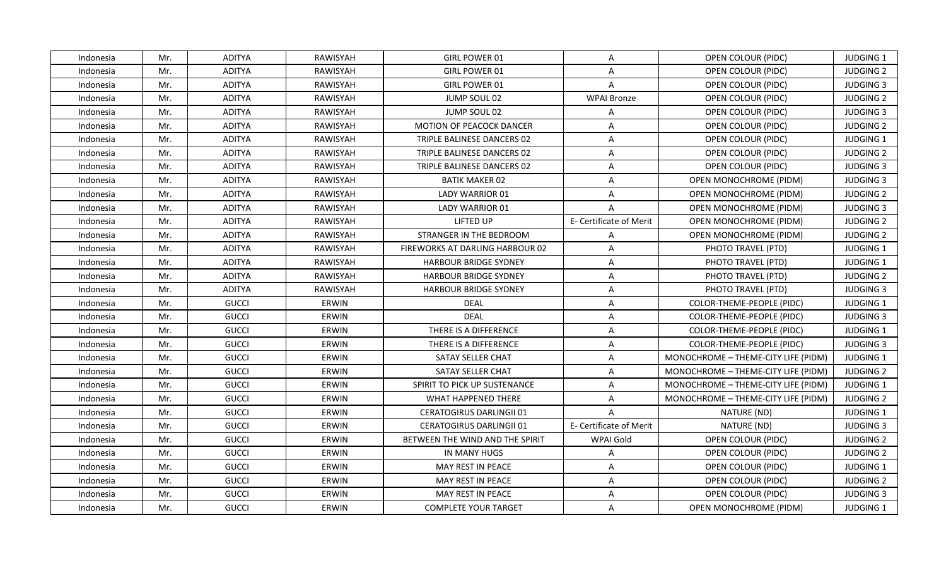| Indonesia | Mr. | <b>ADITYA</b> | RAWISYAH        | GIRL POWER 01                          | A                       | OPEN COLOUR (PIDC)                  | <b>JUDGING 1</b> |
|-----------|-----|---------------|-----------------|----------------------------------------|-------------------------|-------------------------------------|------------------|
| Indonesia | Mr. | <b>ADITYA</b> | <b>RAWISYAH</b> | <b>GIRL POWER 01</b>                   | A                       | OPEN COLOUR (PIDC)                  | <b>JUDGING 2</b> |
| Indonesia | Mr. | <b>ADITYA</b> | RAWISYAH        | GIRL POWER 01                          | $\overline{A}$          | OPEN COLOUR (PIDC)                  | <b>JUDGING 3</b> |
| Indonesia | Mr. | <b>ADITYA</b> | RAWISYAH        | JUMP SOUL 02                           | <b>WPAI Bronze</b>      | OPEN COLOUR (PIDC)                  | <b>JUDGING 2</b> |
| Indonesia | Mr. | <b>ADITYA</b> | <b>RAWISYAH</b> | JUMP SOUL 02                           | A                       | OPEN COLOUR (PIDC)                  | <b>JUDGING 3</b> |
| Indonesia | Mr. | <b>ADITYA</b> | RAWISYAH        | <b>MOTION OF PEACOCK DANCER</b>        | A                       | OPEN COLOUR (PIDC)                  | <b>JUDGING 2</b> |
| Indonesia | Mr. | <b>ADITYA</b> | <b>RAWISYAH</b> | TRIPLE BALINESE DANCERS 02             | $\mathsf{A}$            | OPEN COLOUR (PIDC)                  | JUDGING 1        |
| Indonesia | Mr. | <b>ADITYA</b> | RAWISYAH        | TRIPLE BALINESE DANCERS 02             | $\overline{A}$          | OPEN COLOUR (PIDC)                  | <b>JUDGING 2</b> |
| Indonesia | Mr. | <b>ADITYA</b> | <b>RAWISYAH</b> | TRIPLE BALINESE DANCERS 02             | $\overline{A}$          | OPEN COLOUR (PIDC)                  | <b>JUDGING 3</b> |
| Indonesia | Mr. | <b>ADITYA</b> | RAWISYAH        | <b>BATIK MAKER 02</b>                  | $\overline{A}$          | OPEN MONOCHROME (PIDM)              | <b>JUDGING 3</b> |
| Indonesia | Mr. | <b>ADITYA</b> | RAWISYAH        | LADY WARRIOR 01                        | A                       | OPEN MONOCHROME (PIDM)              | <b>JUDGING 2</b> |
| Indonesia | Mr. | <b>ADITYA</b> | <b>RAWISYAH</b> | LADY WARRIOR 01                        | $\mathsf{A}$            | <b>OPEN MONOCHROME (PIDM)</b>       | <b>JUDGING 3</b> |
| Indonesia | Mr. | <b>ADITYA</b> | RAWISYAH        | <b>LIFTED UP</b>                       | E- Certificate of Merit | OPEN MONOCHROME (PIDM)              | <b>JUDGING 2</b> |
| Indonesia | Mr. | <b>ADITYA</b> | RAWISYAH        | STRANGER IN THE BEDROOM                | $\mathsf{A}$            | <b>OPEN MONOCHROME (PIDM)</b>       | <b>JUDGING 2</b> |
| Indonesia | Mr. | <b>ADITYA</b> | RAWISYAH        | <b>FIREWORKS AT DARLING HARBOUR 02</b> | A                       | PHOTO TRAVEL (PTD)                  | JUDGING 1        |
| Indonesia | Mr. | <b>ADITYA</b> | <b>RAWISYAH</b> | <b>HARBOUR BRIDGE SYDNEY</b>           | A                       | PHOTO TRAVEL (PTD)                  | <b>JUDGING 1</b> |
| Indonesia | Mr. | <b>ADITYA</b> | RAWISYAH        | <b>HARBOUR BRIDGE SYDNEY</b>           | A                       | PHOTO TRAVEL (PTD)                  | <b>JUDGING 2</b> |
| Indonesia | Mr. | <b>ADITYA</b> | <b>RAWISYAH</b> | <b>HARBOUR BRIDGE SYDNEY</b>           | $\overline{A}$          | PHOTO TRAVEL (PTD)                  | <b>JUDGING 3</b> |
| Indonesia | Mr. | <b>GUCCI</b>  | ERWIN           | <b>DEAL</b>                            | A                       | COLOR-THEME-PEOPLE (PIDC)           | JUDGING 1        |
| Indonesia | Mr. | <b>GUCCI</b>  | ERWIN           | <b>DEAL</b>                            | A                       | COLOR-THEME-PEOPLE (PIDC)           | <b>JUDGING 3</b> |
| Indonesia | Mr. | <b>GUCCI</b>  | ERWIN           | THERE IS A DIFFERENCE                  | A                       | COLOR-THEME-PEOPLE (PIDC)           | <b>JUDGING 1</b> |
| Indonesia | Mr. | <b>GUCCI</b>  | ERWIN           | THERE IS A DIFFERENCE                  | $\mathsf{A}$            | COLOR-THEME-PEOPLE (PIDC)           | <b>JUDGING 3</b> |
| Indonesia | Mr. | <b>GUCCI</b>  | ERWIN           | SATAY SELLER CHAT                      | $\mathsf{A}$            | MONOCHROME - THEME-CITY LIFE (PIDM) | JUDGING 1        |
| Indonesia | Mr. | <b>GUCCI</b>  | ERWIN           | SATAY SELLER CHAT                      | $\mathsf{A}$            | MONOCHROME - THEME-CITY LIFE (PIDM) | <b>JUDGING 2</b> |
| Indonesia | Mr. | <b>GUCCI</b>  | ERWIN           | SPIRIT TO PICK UP SUSTENANCE           | A                       | MONOCHROME - THEME-CITY LIFE (PIDM) | <b>JUDGING 1</b> |
| Indonesia | Mr. | <b>GUCCI</b>  | ERWIN           | WHAT HAPPENED THERE                    | A                       | MONOCHROME - THEME-CITY LIFE (PIDM) | <b>JUDGING 2</b> |
| Indonesia | Mr. | <b>GUCCI</b>  | ERWIN           | <b>CERATOGIRUS DARLINGII 01</b>        | $\mathsf{A}$            | NATURE (ND)                         | <b>JUDGING 1</b> |
| Indonesia | Mr. | <b>GUCCI</b>  | ERWIN           | <b>CERATOGIRUS DARLINGII 01</b>        | E- Certificate of Merit | NATURE (ND)                         | <b>JUDGING 3</b> |
| Indonesia | Mr. | <b>GUCCI</b>  | ERWIN           | BETWEEN THE WIND AND THE SPIRIT        | <b>WPAI Gold</b>        | OPEN COLOUR (PIDC)                  | <b>JUDGING 2</b> |
| Indonesia | Mr. | <b>GUCCI</b>  | ERWIN           | IN MANY HUGS                           | $\mathsf{A}$            | OPEN COLOUR (PIDC)                  | <b>JUDGING 2</b> |
| Indonesia | Mr. | <b>GUCCI</b>  | ERWIN           | MAY REST IN PEACE                      | $\mathsf{A}$            | OPEN COLOUR (PIDC)                  | <b>JUDGING 1</b> |
| Indonesia | Mr. | <b>GUCCI</b>  | ERWIN           | MAY REST IN PEACE                      | A                       | OPEN COLOUR (PIDC)                  | <b>JUDGING 2</b> |
| Indonesia | Mr. | <b>GUCCI</b>  | ERWIN           | MAY REST IN PEACE                      | $\overline{A}$          | OPEN COLOUR (PIDC)                  | <b>JUDGING 3</b> |
| Indonesia | Mr. | <b>GUCCI</b>  | ERWIN           | <b>COMPLETE YOUR TARGET</b>            | A                       | OPEN MONOCHROME (PIDM)              | <b>JUDGING 1</b> |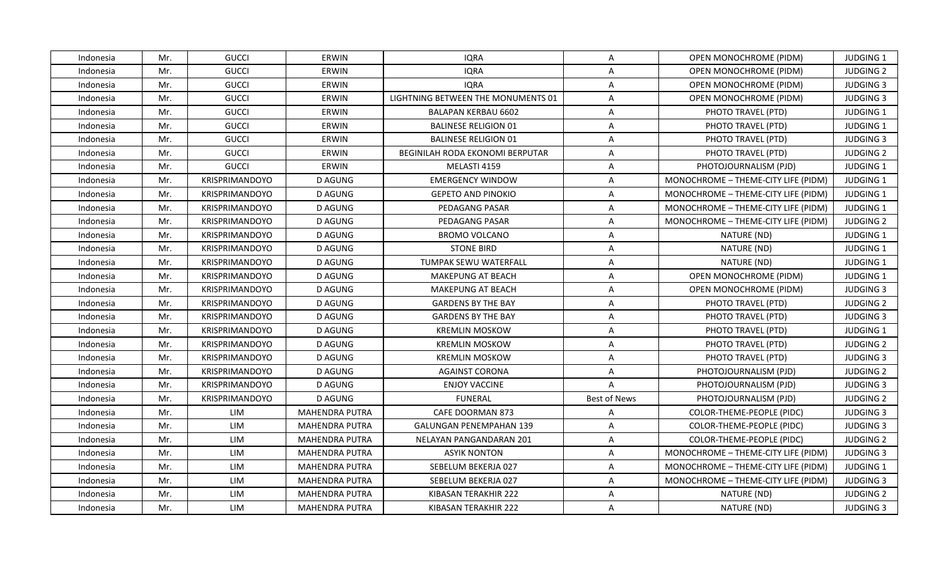| Indonesia | Mr. | <b>GUCCI</b>          | ERWIN                 | <b>IQRA</b>                            | A                   | OPEN MONOCHROME (PIDM)              | <b>JUDGING 1</b> |
|-----------|-----|-----------------------|-----------------------|----------------------------------------|---------------------|-------------------------------------|------------------|
| Indonesia | Mr. | <b>GUCCI</b>          | ERWIN                 | <b>IQRA</b>                            | $\overline{A}$      | <b>OPEN MONOCHROME (PIDM)</b>       | <b>JUDGING 2</b> |
| Indonesia | Mr. | <b>GUCCI</b>          | ERWIN                 | <b>IQRA</b>                            | $\mathsf{A}$        | OPEN MONOCHROME (PIDM)              | <b>JUDGING 3</b> |
| Indonesia | Mr. | <b>GUCCI</b>          | ERWIN                 | LIGHTNING BETWEEN THE MONUMENTS 01     | $\mathsf{A}$        | OPEN MONOCHROME (PIDM)              | <b>JUDGING 3</b> |
| Indonesia | Mr. | <b>GUCCI</b>          | ERWIN                 | <b>BALAPAN KERBAU 6602</b>             | A                   | PHOTO TRAVEL (PTD)                  | <b>JUDGING 1</b> |
| Indonesia | Mr. | <b>GUCCI</b>          | ERWIN                 | <b>BALINESE RELIGION 01</b>            | A                   | PHOTO TRAVEL (PTD)                  | <b>JUDGING 1</b> |
| Indonesia | Mr. | <b>GUCCI</b>          | ERWIN                 | <b>BALINESE RELIGION 01</b>            | $\overline{A}$      | PHOTO TRAVEL (PTD)                  | <b>JUDGING 3</b> |
| Indonesia | Mr. | <b>GUCCI</b>          | ERWIN                 | <b>BEGINILAH RODA EKONOMI BERPUTAR</b> | A                   | PHOTO TRAVEL (PTD)                  | <b>JUDGING 2</b> |
| Indonesia | Mr. | <b>GUCCI</b>          | ERWIN                 | MELASTI 4159                           | A                   | PHOTOJOURNALISM (PJD)               | JUDGING 1        |
| Indonesia | Mr. | <b>KRISPRIMANDOYO</b> | <b>D AGUNG</b>        | <b>EMERGENCY WINDOW</b>                | $\overline{A}$      | MONOCHROME - THEME-CITY LIFE (PIDM) | <b>JUDGING 1</b> |
| Indonesia | Mr. | KRISPRIMANDOYO        | <b>D AGUNG</b>        | <b>GEPETO AND PINOKIO</b>              | A                   | MONOCHROME - THEME-CITY LIFE (PIDM) | JUDGING 1        |
| Indonesia | Mr. | KRISPRIMANDOYO        | <b>D AGUNG</b>        | PEDAGANG PASAR                         | A                   | MONOCHROME - THEME-CITY LIFE (PIDM) | JUDGING 1        |
| Indonesia | Mr. | KRISPRIMANDOYO        | <b>D AGUNG</b>        | PEDAGANG PASAR                         | $\mathsf{A}$        | MONOCHROME - THEME-CITY LIFE (PIDM) | <b>JUDGING 2</b> |
| Indonesia | Mr. | <b>KRISPRIMANDOYO</b> | <b>D AGUNG</b>        | <b>BROMO VOLCANO</b>                   | $\mathsf{A}$        | NATURE (ND)                         | JUDGING 1        |
| Indonesia | Mr. | <b>KRISPRIMANDOYO</b> | D AGUNG               | <b>STONE BIRD</b>                      | A                   | NATURE (ND)                         | JUDGING 1        |
| Indonesia | Mr. | <b>KRISPRIMANDOYO</b> | <b>D AGUNG</b>        | TUMPAK SEWU WATERFALL                  | A                   | NATURE (ND)                         | JUDGING 1        |
| Indonesia | Mr. | KRISPRIMANDOYO        | <b>D AGUNG</b>        | <b>MAKEPUNG AT BEACH</b>               | A                   | OPEN MONOCHROME (PIDM)              | JUDGING 1        |
| Indonesia | Mr. | KRISPRIMANDOYO        | <b>D AGUNG</b>        | <b>MAKEPUNG AT BEACH</b>               | $\overline{A}$      | OPEN MONOCHROME (PIDM)              | <b>JUDGING 3</b> |
| Indonesia | Mr. | <b>KRISPRIMANDOYO</b> | D AGUNG               | <b>GARDENS BY THE BAY</b>              | A                   | PHOTO TRAVEL (PTD)                  | <b>JUDGING 2</b> |
| Indonesia | Mr. | KRISPRIMANDOYO        | <b>D AGUNG</b>        | <b>GARDENS BY THE BAY</b>              | $\overline{A}$      | PHOTO TRAVEL (PTD)                  | <b>JUDGING 3</b> |
| Indonesia | Mr. | KRISPRIMANDOYO        | D AGUNG               | <b>KREMLIN MOSKOW</b>                  | A                   | PHOTO TRAVEL (PTD)                  | <b>JUDGING 1</b> |
| Indonesia | Mr. | KRISPRIMANDOYO        | <b>D AGUNG</b>        | <b>KREMLIN MOSKOW</b>                  | $\overline{A}$      | PHOTO TRAVEL (PTD)                  | <b>JUDGING 2</b> |
| Indonesia | Mr. | KRISPRIMANDOYO        | <b>D AGUNG</b>        | <b>KREMLIN MOSKOW</b>                  | A                   | PHOTO TRAVEL (PTD)                  | <b>JUDGING 3</b> |
| Indonesia | Mr. | KRISPRIMANDOYO        | <b>D AGUNG</b>        | <b>AGAINST CORONA</b>                  | A                   | PHOTOJOURNALISM (PJD)               | <b>JUDGING 2</b> |
| Indonesia | Mr. | <b>KRISPRIMANDOYO</b> | <b>D AGUNG</b>        | <b>ENJOY VACCINE</b>                   | A                   | PHOTOJOURNALISM (PJD)               | <b>JUDGING 3</b> |
| Indonesia | Mr. | KRISPRIMANDOYO        | <b>D AGUNG</b>        | <b>FUNERAL</b>                         | <b>Best of News</b> | PHOTOJOURNALISM (PJD)               | <b>JUDGING 2</b> |
| Indonesia | Mr. | LIM                   | <b>MAHENDRA PUTRA</b> | CAFE DOORMAN 873                       | A                   | COLOR-THEME-PEOPLE (PIDC)           | <b>JUDGING 3</b> |
| Indonesia | Mr. | LIM                   | <b>MAHENDRA PUTRA</b> | <b>GALUNGAN PENEMPAHAN 139</b>         | A                   | COLOR-THEME-PEOPLE (PIDC)           | <b>JUDGING 3</b> |
| Indonesia | Mr. | LIM                   | <b>MAHENDRA PUTRA</b> | NELAYAN PANGANDARAN 201                | A                   | COLOR-THEME-PEOPLE (PIDC)           | <b>JUDGING 2</b> |
| Indonesia | Mr. | LIM                   | <b>MAHENDRA PUTRA</b> | <b>ASYIK NONTON</b>                    | $\mathsf{A}$        | MONOCHROME - THEME-CITY LIFE (PIDM) | <b>JUDGING 3</b> |
| Indonesia | Mr. | LIM                   | <b>MAHENDRA PUTRA</b> | SEBELUM BEKERJA 027                    | $\overline{A}$      | MONOCHROME - THEME-CITY LIFE (PIDM) | JUDGING 1        |
| Indonesia | Mr. | LIM                   | <b>MAHENDRA PUTRA</b> | SEBELUM BEKERJA 027                    | A                   | MONOCHROME - THEME-CITY LIFE (PIDM) | <b>JUDGING 3</b> |
| Indonesia | Mr. | LIM                   | <b>MAHENDRA PUTRA</b> | KIBASAN TERAKHIR 222                   | $\overline{A}$      | NATURE (ND)                         | <b>JUDGING 2</b> |
| Indonesia | Mr. | LIM                   | <b>MAHENDRA PUTRA</b> | KIBASAN TERAKHIR 222                   | A                   | NATURE (ND)                         | <b>JUDGING 3</b> |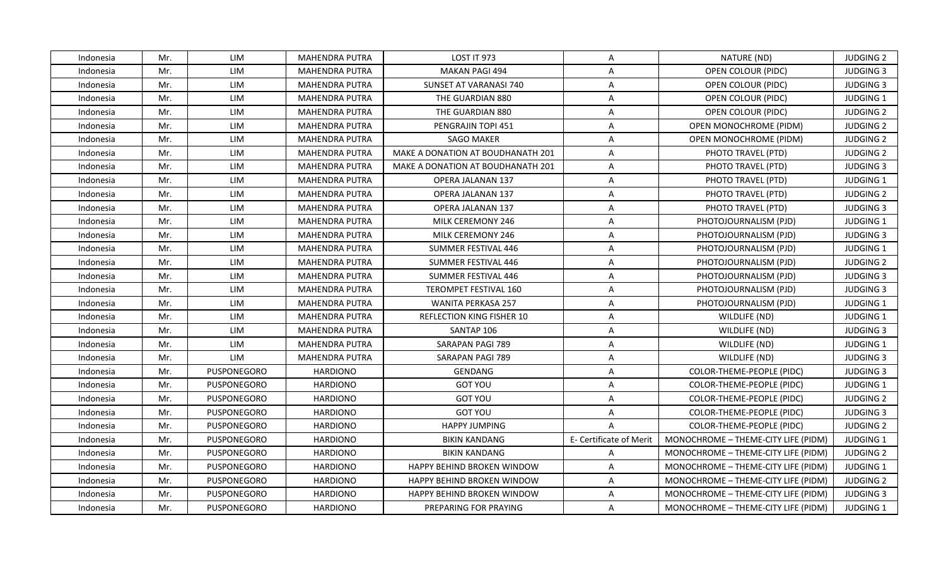| LIM<br>LOST IT 973<br>Indonesia<br>Mr.<br>MAHENDRA PUTRA<br>$\mathsf{A}$<br>NATURE (ND)<br>Mr.<br>LIM<br><b>MAHENDRA PUTRA</b><br><b>MAKAN PAGI 494</b><br>$\overline{A}$<br>OPEN COLOUR (PIDC)<br>Indonesia<br>Mr.<br>LIM<br>SUNSET AT VARANASI 740<br>OPEN COLOUR (PIDC)<br><b>MAHENDRA PUTRA</b><br>$\mathsf{A}$<br>Indonesia | <b>JUDGING 2</b><br><b>JUDGING 3</b><br><b>JUDGING 3</b> |
|----------------------------------------------------------------------------------------------------------------------------------------------------------------------------------------------------------------------------------------------------------------------------------------------------------------------------------|----------------------------------------------------------|
|                                                                                                                                                                                                                                                                                                                                  |                                                          |
|                                                                                                                                                                                                                                                                                                                                  |                                                          |
|                                                                                                                                                                                                                                                                                                                                  |                                                          |
| Mr.<br>LIM<br><b>MAHENDRA PUTRA</b><br>THE GUARDIAN 880<br>OPEN COLOUR (PIDC)<br>Indonesia<br>A                                                                                                                                                                                                                                  | JUDGING 1                                                |
| LIM<br>Mr.<br><b>MAHENDRA PUTRA</b><br>THE GUARDIAN 880<br>A<br>OPEN COLOUR (PIDC)<br>Indonesia                                                                                                                                                                                                                                  | <b>JUDGING 2</b>                                         |
| Mr.<br>LIM<br>PENGRAJIN TOPI 451<br>Indonesia<br>MAHENDRA PUTRA<br>A<br>OPEN MONOCHROME (PIDM)                                                                                                                                                                                                                                   | <b>JUDGING 2</b>                                         |
| Mr.<br>LIM<br><b>MAHENDRA PUTRA</b><br><b>SAGO MAKER</b><br>A<br>Indonesia<br><b>OPEN MONOCHROME (PIDM)</b>                                                                                                                                                                                                                      | <b>JUDGING 2</b>                                         |
| Mr.<br>LIM<br><b>MAHENDRA PUTRA</b><br>MAKE A DONATION AT BOUDHANATH 201<br>$\mathsf{A}$<br>PHOTO TRAVEL (PTD)<br>Indonesia                                                                                                                                                                                                      | <b>JUDGING 2</b>                                         |
| Mr.<br>LIM<br>MAHENDRA PUTRA<br>$\mathsf{A}$<br>PHOTO TRAVEL (PTD)<br>Indonesia<br>MAKE A DONATION AT BOUDHANATH 201                                                                                                                                                                                                             | <b>JUDGING 3</b>                                         |
| LIM<br>Mr.<br><b>MAHENDRA PUTRA</b><br><b>OPERA JALANAN 137</b><br>A<br>PHOTO TRAVEL (PTD)<br>Indonesia                                                                                                                                                                                                                          | JUDGING 1                                                |
| Mr.<br>LIM<br>Indonesia<br><b>MAHENDRA PUTRA</b><br>OPERA JALANAN 137<br>$\mathsf{A}$<br>PHOTO TRAVEL (PTD)                                                                                                                                                                                                                      | <b>JUDGING 2</b>                                         |
| LIM<br><b>MAHENDRA PUTRA</b><br>PHOTO TRAVEL (PTD)<br>Indonesia<br>Mr.<br>OPERA JALANAN 137<br>A                                                                                                                                                                                                                                 | <b>JUDGING 3</b>                                         |
| LIM<br>Mr.<br><b>MAHENDRA PUTRA</b><br>MILK CEREMONY 246<br>$\mathsf{A}$<br>PHOTOJOURNALISM (PJD)<br>Indonesia                                                                                                                                                                                                                   | JUDGING 1                                                |
| Mr.<br>LIM<br><b>MAHENDRA PUTRA</b><br>MILK CEREMONY 246<br>A<br>PHOTOJOURNALISM (PJD)<br>Indonesia                                                                                                                                                                                                                              | <b>JUDGING 3</b>                                         |
| LIM<br>Mr.<br><b>MAHENDRA PUTRA</b><br>SUMMER FESTIVAL 446<br>A<br>Indonesia<br>PHOTOJOURNALISM (PJD)                                                                                                                                                                                                                            | JUDGING 1                                                |
| Mr.<br>LIM<br><b>MAHENDRA PUTRA</b><br>SUMMER FESTIVAL 446<br>A<br>PHOTOJOURNALISM (PJD)<br>Indonesia                                                                                                                                                                                                                            | <b>JUDGING 2</b>                                         |
| Mr.<br>LIM<br><b>MAHENDRA PUTRA</b><br>SUMMER FESTIVAL 446<br>A<br>PHOTOJOURNALISM (PJD)<br>Indonesia                                                                                                                                                                                                                            | <b>JUDGING 3</b>                                         |
| Mr.<br>LIM<br><b>MAHENDRA PUTRA</b><br>TEROMPET FESTIVAL 160<br>$\mathsf{A}$<br>PHOTOJOURNALISM (PJD)<br>Indonesia                                                                                                                                                                                                               | <b>JUDGING 3</b>                                         |
| Mr.<br>LIM<br><b>WANITA PERKASA 257</b><br>Indonesia<br>MAHENDRA PUTRA<br>A<br>PHOTOJOURNALISM (PJD)                                                                                                                                                                                                                             | <b>JUDGING 1</b>                                         |
| Mr.<br>LIM<br>$\mathsf{A}$<br>Indonesia<br><b>MAHENDRA PUTRA</b><br>REFLECTION KING FISHER 10<br>WILDLIFE (ND)                                                                                                                                                                                                                   | JUDGING 1                                                |
| Mr.<br>LIM<br><b>MAHENDRA PUTRA</b><br>SANTAP 106<br>A<br>Indonesia<br>WILDLIFE (ND)                                                                                                                                                                                                                                             | <b>JUDGING 3</b>                                         |
| Mr.<br>LIM<br><b>MAHENDRA PUTRA</b><br>SARAPAN PAGI 789<br>Indonesia<br>A<br>WILDLIFE (ND)                                                                                                                                                                                                                                       | JUDGING 1                                                |
| Mr.<br>LIM<br><b>MAHENDRA PUTRA</b><br>SARAPAN PAGI 789<br>WILDLIFE (ND)<br>Indonesia<br>$\mathsf{A}$                                                                                                                                                                                                                            | <b>JUDGING 3</b>                                         |
| Mr.<br>PUSPONEGORO<br><b>HARDIONO</b><br>GENDANG<br>COLOR-THEME-PEOPLE (PIDC)<br>Indonesia<br>A                                                                                                                                                                                                                                  | <b>JUDGING 3</b>                                         |
| <b>GOT YOU</b><br>Mr.<br><b>PUSPONEGORO</b><br><b>HARDIONO</b><br>A<br>COLOR-THEME-PEOPLE (PIDC)<br>Indonesia                                                                                                                                                                                                                    | JUDGING 1                                                |
| Mr.<br><b>HARDIONO</b><br><b>GOT YOU</b><br>$\overline{A}$<br>Indonesia<br>PUSPONEGORO<br>COLOR-THEME-PEOPLE (PIDC)                                                                                                                                                                                                              | <b>JUDGING 2</b>                                         |
| <b>HARDIONO</b><br><b>GOT YOU</b><br>Indonesia<br>Mr.<br><b>PUSPONEGORO</b><br>$\mathsf{A}$<br>COLOR-THEME-PEOPLE (PIDC)                                                                                                                                                                                                         | <b>JUDGING 3</b>                                         |
| Mr.<br>PUSPONEGORO<br><b>HARDIONO</b><br><b>HAPPY JUMPING</b><br>$\overline{A}$<br>COLOR-THEME-PEOPLE (PIDC)<br>Indonesia                                                                                                                                                                                                        | <b>JUDGING 2</b>                                         |
| Mr.<br>PUSPONEGORO<br><b>HARDIONO</b><br><b>BIKIN KANDANG</b><br>E- Certificate of Merit<br>MONOCHROME - THEME-CITY LIFE (PIDM)<br>Indonesia                                                                                                                                                                                     | <b>JUDGING 1</b>                                         |
| Mr.<br>PUSPONEGORO<br><b>HARDIONO</b><br><b>BIKIN KANDANG</b><br>$\mathsf{A}$<br>MONOCHROME - THEME-CITY LIFE (PIDM)<br>Indonesia                                                                                                                                                                                                | <b>JUDGING 2</b>                                         |
| <b>HARDIONO</b><br>$\mathsf{A}$<br>Mr.<br><b>PUSPONEGORO</b><br>HAPPY BEHIND BROKEN WINDOW<br>MONOCHROME - THEME-CITY LIFE (PIDM)<br>Indonesia                                                                                                                                                                                   | <b>JUDGING 1</b>                                         |
| Mr.<br>PUSPONEGORO<br><b>HARDIONO</b><br>HAPPY BEHIND BROKEN WINDOW<br>$\mathsf{A}$<br>MONOCHROME - THEME-CITY LIFE (PIDM)<br>Indonesia                                                                                                                                                                                          | <b>JUDGING 2</b>                                         |
| Mr.<br>PUSPONEGORO<br><b>HARDIONO</b><br>HAPPY BEHIND BROKEN WINDOW<br>$\overline{A}$<br>MONOCHROME - THEME-CITY LIFE (PIDM)<br>Indonesia                                                                                                                                                                                        | <b>JUDGING 3</b>                                         |
| Mr.<br>PUSPONEGORO<br><b>HARDIONO</b><br>PREPARING FOR PRAYING<br>$\mathsf{A}$<br>MONOCHROME - THEME-CITY LIFE (PIDM)<br>Indonesia                                                                                                                                                                                               | <b>JUDGING 1</b>                                         |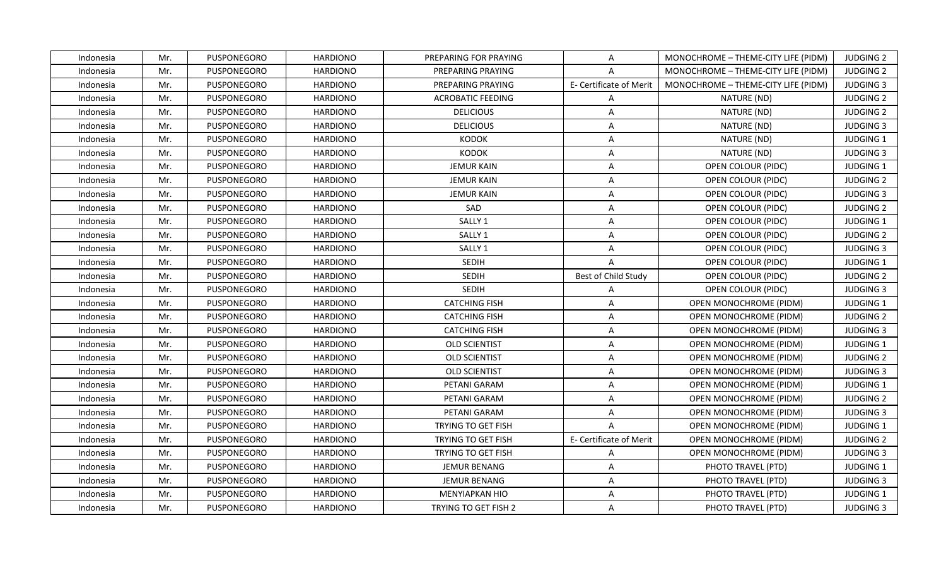| Indonesia | Mr. | <b>PUSPONEGORO</b> | <b>HARDIONO</b> | PREPARING FOR PRAYING       | A                       | MONOCHROME - THEME-CITY LIFE (PIDM) | <b>JUDGING 2</b> |
|-----------|-----|--------------------|-----------------|-----------------------------|-------------------------|-------------------------------------|------------------|
| Indonesia | Mr. | PUSPONEGORO        | <b>HARDIONO</b> | PREPARING PRAYING           | $\overline{A}$          | MONOCHROME - THEME-CITY LIFE (PIDM) | <b>JUDGING 2</b> |
| Indonesia | Mr. | PUSPONEGORO        | <b>HARDIONO</b> | PREPARING PRAYING           | E- Certificate of Merit | MONOCHROME - THEME-CITY LIFE (PIDM) | <b>JUDGING 3</b> |
| Indonesia | Mr. | <b>PUSPONEGORO</b> | <b>HARDIONO</b> | <b>ACROBATIC FEEDING</b>    | A                       | NATURE (ND)                         | <b>JUDGING 2</b> |
| Indonesia | Mr. | <b>PUSPONEGORO</b> | <b>HARDIONO</b> | <b>DELICIOUS</b>            | Α                       | NATURE (ND)                         | <b>JUDGING 2</b> |
| Indonesia | Mr. | <b>PUSPONEGORO</b> | <b>HARDIONO</b> | <b>DELICIOUS</b>            | A                       | NATURE (ND)                         | <b>JUDGING 3</b> |
| Indonesia | Mr. | PUSPONEGORO        | <b>HARDIONO</b> | <b>KODOK</b>                | A                       | NATURE (ND)                         | JUDGING 1        |
| Indonesia | Mr. | PUSPONEGORO        | <b>HARDIONO</b> | <b>KODOK</b>                | Α                       | NATURE (ND)                         | <b>JUDGING 3</b> |
| Indonesia | Mr. | PUSPONEGORO        | <b>HARDIONO</b> | <b>JEMUR KAIN</b>           | Α                       | OPEN COLOUR (PIDC)                  | <b>JUDGING 1</b> |
| Indonesia | Mr. | <b>PUSPONEGORO</b> | <b>HARDIONO</b> | <b>JEMUR KAIN</b>           | A                       | OPEN COLOUR (PIDC)                  | <b>JUDGING 2</b> |
| Indonesia | Mr. | PUSPONEGORO        | <b>HARDIONO</b> | <b>JEMUR KAIN</b>           | $\mathsf{A}$            | OPEN COLOUR (PIDC)                  | <b>JUDGING 3</b> |
| Indonesia | Mr. | PUSPONEGORO        | <b>HARDIONO</b> | SAD                         | Α                       | OPEN COLOUR (PIDC)                  | <b>JUDGING 2</b> |
| Indonesia | Mr. | PUSPONEGORO        | <b>HARDIONO</b> | SALLY <sub>1</sub>          | $\overline{A}$          | OPEN COLOUR (PIDC)                  | JUDGING 1        |
| Indonesia | Mr. | PUSPONEGORO        | <b>HARDIONO</b> | SALLY 1                     | Α                       | OPEN COLOUR (PIDC)                  | <b>JUDGING 2</b> |
| Indonesia | Mr. | <b>PUSPONEGORO</b> | <b>HARDIONO</b> | SALLY <sub>1</sub>          | A                       | OPEN COLOUR (PIDC)                  | <b>JUDGING 3</b> |
| Indonesia | Mr. | PUSPONEGORO        | <b>HARDIONO</b> | SEDIH                       | A                       | OPEN COLOUR (PIDC)                  | JUDGING 1        |
| Indonesia | Mr. | <b>PUSPONEGORO</b> | <b>HARDIONO</b> | <b>SEDIH</b>                | Best of Child Study     | OPEN COLOUR (PIDC)                  | <b>JUDGING 2</b> |
| Indonesia | Mr. | PUSPONEGORO        | <b>HARDIONO</b> | <b>SEDIH</b>                | $\overline{A}$          | OPEN COLOUR (PIDC)                  | <b>JUDGING 3</b> |
| Indonesia | Mr. | PUSPONEGORO        | <b>HARDIONO</b> | <b>CATCHING FISH</b>        | A                       | OPEN MONOCHROME (PIDM)              | <b>JUDGING 1</b> |
| Indonesia | Mr. | PUSPONEGORO        | <b>HARDIONO</b> | <b>CATCHING FISH</b>        | $\overline{A}$          | OPEN MONOCHROME (PIDM)              | <b>JUDGING 2</b> |
| Indonesia | Mr. | <b>PUSPONEGORO</b> | <b>HARDIONO</b> | <b>CATCHING FISH</b>        | A                       | <b>OPEN MONOCHROME (PIDM)</b>       | <b>JUDGING 3</b> |
| Indonesia | Mr. | PUSPONEGORO        | <b>HARDIONO</b> | <b>OLD SCIENTIST</b>        | Α                       | OPEN MONOCHROME (PIDM)              | JUDGING 1        |
| Indonesia | Mr. | PUSPONEGORO        | <b>HARDIONO</b> | <b>OLD SCIENTIST</b>        | A                       | OPEN MONOCHROME (PIDM)              | <b>JUDGING 2</b> |
| Indonesia | Mr. | <b>PUSPONEGORO</b> | <b>HARDIONO</b> | <b>OLD SCIENTIST</b>        | Α                       | OPEN MONOCHROME (PIDM)              | <b>JUDGING 3</b> |
| Indonesia | Mr. | PUSPONEGORO        | <b>HARDIONO</b> | PETANI GARAM                | Α                       | OPEN MONOCHROME (PIDM)              | <b>JUDGING 1</b> |
| Indonesia | Mr. | PUSPONEGORO        | <b>HARDIONO</b> | PETANI GARAM                | A                       | OPEN MONOCHROME (PIDM)              | <b>JUDGING 2</b> |
| Indonesia | Mr. | PUSPONEGORO        | <b>HARDIONO</b> | PETANI GARAM                | A                       | OPEN MONOCHROME (PIDM)              | <b>JUDGING 3</b> |
| Indonesia | Mr. | PUSPONEGORO        | <b>HARDIONO</b> | <b>TRYING TO GET FISH</b>   | $\overline{A}$          | OPEN MONOCHROME (PIDM)              | JUDGING 1        |
| Indonesia | Mr. | PUSPONEGORO        | <b>HARDIONO</b> | <b>TRYING TO GET FISH</b>   | E- Certificate of Merit | OPEN MONOCHROME (PIDM)              | <b>JUDGING 2</b> |
| Indonesia | Mr. | PUSPONEGORO        | <b>HARDIONO</b> | <b>TRYING TO GET FISH</b>   | $\mathsf{A}$            | OPEN MONOCHROME (PIDM)              | <b>JUDGING 3</b> |
| Indonesia | Mr. | PUSPONEGORO        | <b>HARDIONO</b> | JEMUR BENANG                | $\mathsf{A}$            | PHOTO TRAVEL (PTD)                  | JUDGING 1        |
| Indonesia | Mr. | PUSPONEGORO        | <b>HARDIONO</b> | <b>JEMUR BENANG</b>         | $\mathsf{A}$            | PHOTO TRAVEL (PTD)                  | <b>JUDGING 3</b> |
| Indonesia | Mr. | PUSPONEGORO        | <b>HARDIONO</b> | MENYIAPKAN HIO              | Α                       | PHOTO TRAVEL (PTD)                  | JUDGING 1        |
| Indonesia | Mr. | PUSPONEGORO        | <b>HARDIONO</b> | <b>TRYING TO GET FISH 2</b> | A                       | PHOTO TRAVEL (PTD)                  | <b>JUDGING 3</b> |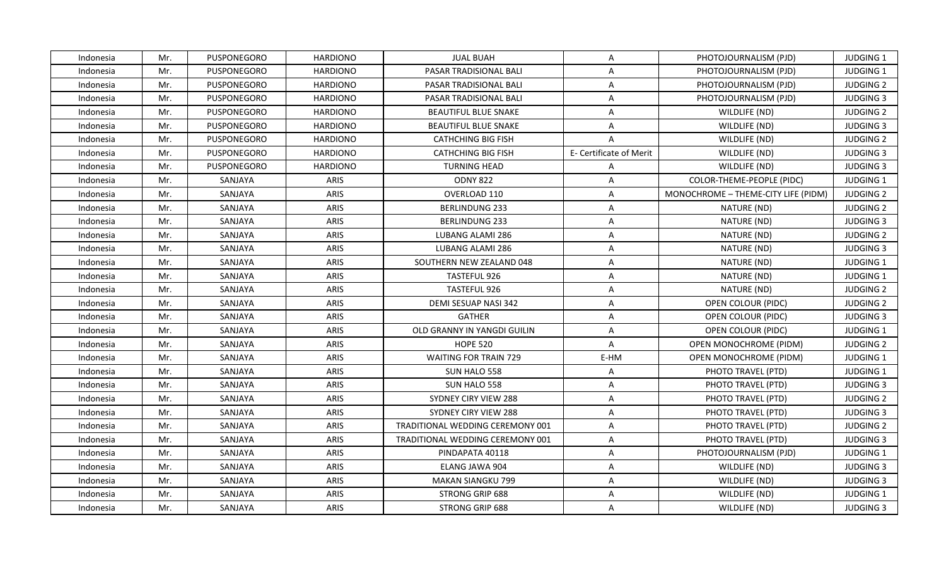| Indonesia | Mr. | <b>PUSPONEGORO</b> | <b>HARDIONO</b> | <b>JUAL BUAH</b>                        | A                       | PHOTOJOURNALISM (PJD)               | <b>JUDGING 1</b> |
|-----------|-----|--------------------|-----------------|-----------------------------------------|-------------------------|-------------------------------------|------------------|
| Indonesia | Mr. | PUSPONEGORO        | <b>HARDIONO</b> | PASAR TRADISIONAL BALI                  | $\overline{A}$          | PHOTOJOURNALISM (PJD)               | JUDGING 1        |
| Indonesia | Mr. | PUSPONEGORO        | <b>HARDIONO</b> | PASAR TRADISIONAL BALI                  | Α                       | PHOTOJOURNALISM (PJD)               | <b>JUDGING 2</b> |
| Indonesia | Mr. | <b>PUSPONEGORO</b> | <b>HARDIONO</b> | PASAR TRADISIONAL BALI                  | A                       | PHOTOJOURNALISM (PJD)               | <b>JUDGING 3</b> |
| Indonesia | Mr. | <b>PUSPONEGORO</b> | <b>HARDIONO</b> | <b>BEAUTIFUL BLUE SNAKE</b>             | Α                       | WILDLIFE (ND)                       | <b>JUDGING 2</b> |
| Indonesia | Mr. | <b>PUSPONEGORO</b> | <b>HARDIONO</b> | <b>BEAUTIFUL BLUE SNAKE</b>             | A                       | WILDLIFE (ND)                       | <b>JUDGING 3</b> |
| Indonesia | Mr. | PUSPONEGORO        | <b>HARDIONO</b> | <b>CATHCHING BIG FISH</b>               | $\overline{A}$          | WILDLIFE (ND)                       | <b>JUDGING 2</b> |
| Indonesia | Mr. | PUSPONEGORO        | <b>HARDIONO</b> | <b>CATHCHING BIG FISH</b>               | E- Certificate of Merit | WILDLIFE (ND)                       | <b>JUDGING 3</b> |
| Indonesia | Mr. | PUSPONEGORO        | <b>HARDIONO</b> | <b>TURNING HEAD</b>                     | $\overline{A}$          | WILDLIFE (ND)                       | <b>JUDGING 3</b> |
| Indonesia | Mr. | SANJAYA            | ARIS            | <b>ODNY 822</b>                         | $\overline{A}$          | COLOR-THEME-PEOPLE (PIDC)           | JUDGING 1        |
| Indonesia | Mr. | SANJAYA            | ARIS            | OVERLOAD 110                            | $\overline{A}$          | MONOCHROME - THEME-CITY LIFE (PIDM) | <b>JUDGING 2</b> |
| Indonesia | Mr. | SANJAYA            | <b>ARIS</b>     | <b>BERLINDUNG 233</b>                   | Α                       | NATURE (ND)                         | <b>JUDGING 2</b> |
| Indonesia | Mr. | SANJAYA            | <b>ARIS</b>     | BERLINDUNG 233                          | $\overline{A}$          | NATURE (ND)                         | <b>JUDGING 3</b> |
| Indonesia | Mr. | SANJAYA            | <b>ARIS</b>     | LUBANG ALAMI 286                        | Α                       | NATURE (ND)                         | <b>JUDGING 2</b> |
| Indonesia | Mr. | SANJAYA            | ARIS            | LUBANG ALAMI 286                        | A                       | NATURE (ND)                         | <b>JUDGING 3</b> |
| Indonesia | Mr. | SANJAYA            | ARIS            | SOUTHERN NEW ZEALAND 048                | A                       | NATURE (ND)                         | JUDGING 1        |
| Indonesia | Mr. | SANJAYA            | ARIS            | TASTEFUL 926                            | A                       | NATURE (ND)                         | JUDGING 1        |
| Indonesia | Mr. | SANJAYA            | ARIS            | TASTEFUL 926                            | A                       | NATURE (ND)                         | <b>JUDGING 2</b> |
| Indonesia | Mr. | SANJAYA            | <b>ARIS</b>     | DEMI SESUAP NASI 342                    | Α                       | OPEN COLOUR (PIDC)                  | <b>JUDGING 2</b> |
| Indonesia | Mr. | SANJAYA            | ARIS            | <b>GATHER</b>                           | $\overline{A}$          | OPEN COLOUR (PIDC)                  | <b>JUDGING 3</b> |
| Indonesia | Mr. | SANJAYA            | ARIS            | OLD GRANNY IN YANGDI GUILIN             | A                       | OPEN COLOUR (PIDC)                  | JUDGING 1        |
| Indonesia | Mr. | SANJAYA            | <b>ARIS</b>     | <b>HOPE 520</b>                         | Α                       | OPEN MONOCHROME (PIDM)              | <b>JUDGING 2</b> |
| Indonesia | Mr. | SANJAYA            | <b>ARIS</b>     | <b>WAITING FOR TRAIN 729</b>            | E-HM                    | OPEN MONOCHROME (PIDM)              | JUDGING 1        |
| Indonesia | Mr. | SANJAYA            | <b>ARIS</b>     | SUN HALO 558                            | Α                       | PHOTO TRAVEL (PTD)                  | <b>JUDGING 1</b> |
| Indonesia | Mr. | SANJAYA            | ARIS            | SUN HALO 558                            | Α                       | PHOTO TRAVEL (PTD)                  | <b>JUDGING 3</b> |
| Indonesia | Mr. | SANJAYA            | ARIS            | SYDNEY CIRY VIEW 288                    | A                       | PHOTO TRAVEL (PTD)                  | <b>JUDGING 2</b> |
| Indonesia | Mr. | SANJAYA            | <b>ARIS</b>     | <b>SYDNEY CIRY VIEW 288</b>             | A                       | PHOTO TRAVEL (PTD)                  | <b>JUDGING 3</b> |
| Indonesia | Mr. | SANJAYA            | ARIS            | <b>TRADITIONAL WEDDING CEREMONY 001</b> | A                       | PHOTO TRAVEL (PTD)                  | <b>JUDGING 2</b> |
| Indonesia | Mr. | SANJAYA            | ARIS            | TRADITIONAL WEDDING CEREMONY 001        | A                       | PHOTO TRAVEL (PTD)                  | <b>JUDGING 3</b> |
| Indonesia | Mr. | SANJAYA            | ARIS            | PINDAPATA 40118                         | A                       | PHOTOJOURNALISM (PJD)               | JUDGING 1        |
| Indonesia | Mr. | SANJAYA            | ARIS            | ELANG JAWA 904                          | A                       | WILDLIFE (ND)                       | <b>JUDGING 3</b> |
| Indonesia | Mr. | SANJAYA            | <b>ARIS</b>     | <b>MAKAN SIANGKU 799</b>                | $\mathsf{A}$            | WILDLIFE (ND)                       | <b>JUDGING 3</b> |
| Indonesia | Mr. | SANJAYA            | ARIS            | STRONG GRIP 688                         | Α                       | WILDLIFE (ND)                       | JUDGING 1        |
| Indonesia | Mr. | SANJAYA            | <b>ARIS</b>     | STRONG GRIP 688                         | A                       | WILDLIFE (ND)                       | <b>JUDGING 3</b> |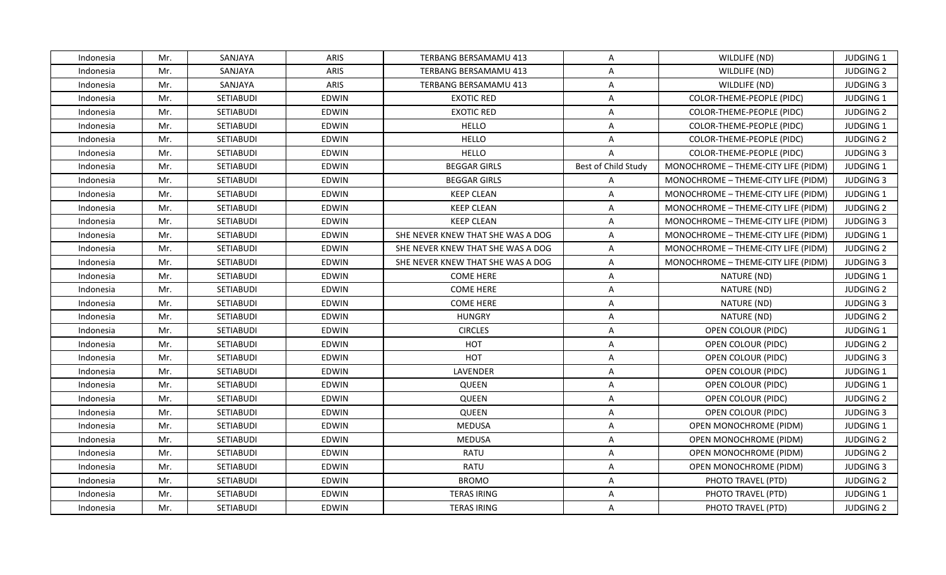| Indonesia | Mr. | SANJAYA          | <b>ARIS</b>  | TERBANG BERSAMAMU 413             | A                   | WILDLIFE (ND)                       | <b>JUDGING 1</b> |
|-----------|-----|------------------|--------------|-----------------------------------|---------------------|-------------------------------------|------------------|
| Indonesia | Mr. | SANJAYA          | ARIS         | TERBANG BERSAMAMU 413             | $\overline{A}$      | WILDLIFE (ND)                       | <b>JUDGING 2</b> |
| Indonesia | Mr. | SANJAYA          | ARIS         | TERBANG BERSAMAMU 413             | $\mathsf{A}$        | WILDLIFE (ND)                       | <b>JUDGING 3</b> |
| Indonesia | Mr. | SETIABUDI        | <b>EDWIN</b> | <b>EXOTIC RED</b>                 | $\mathsf{A}$        | COLOR-THEME-PEOPLE (PIDC)           | <b>JUDGING 1</b> |
| Indonesia | Mr. | SETIABUDI        | EDWIN        | <b>EXOTIC RED</b>                 | A                   | COLOR-THEME-PEOPLE (PIDC)           | <b>JUDGING 2</b> |
| Indonesia | Mr. | <b>SETIABUDI</b> | EDWIN        | <b>HELLO</b>                      | A                   | COLOR-THEME-PEOPLE (PIDC)           | <b>JUDGING 1</b> |
| Indonesia | Mr. | SETIABUDI        | <b>EDWIN</b> | <b>HELLO</b>                      | $\mathsf{A}$        | COLOR-THEME-PEOPLE (PIDC)           | <b>JUDGING 2</b> |
| Indonesia | Mr. | SETIABUDI        | EDWIN        | <b>HELLO</b>                      | $\overline{A}$      | COLOR-THEME-PEOPLE (PIDC)           | <b>JUDGING 3</b> |
| Indonesia | Mr. | <b>SETIABUDI</b> | <b>EDWIN</b> | <b>BEGGAR GIRLS</b>               | Best of Child Study | MONOCHROME - THEME-CITY LIFE (PIDM) | <b>JUDGING 1</b> |
| Indonesia | Mr. | SETIABUDI        | <b>EDWIN</b> | <b>BEGGAR GIRLS</b>               | $\mathsf{A}$        | MONOCHROME - THEME-CITY LIFE (PIDM) | <b>JUDGING 3</b> |
| Indonesia | Mr. | SETIABUDI        | EDWIN        | <b>KEEP CLEAN</b>                 | $\mathsf{A}$        | MONOCHROME - THEME-CITY LIFE (PIDM) | JUDGING 1        |
| Indonesia | Mr. | <b>SETIABUDI</b> | <b>EDWIN</b> | <b>KEEP CLEAN</b>                 | A                   | MONOCHROME - THEME-CITY LIFE (PIDM) | <b>JUDGING 2</b> |
| Indonesia | Mr. | SETIABUDI        | EDWIN        | <b>KEEP CLEAN</b>                 | $\mathsf{A}$        | MONOCHROME - THEME-CITY LIFE (PIDM) | <b>JUDGING 3</b> |
| Indonesia | Mr. | SETIABUDI        | EDWIN        | SHE NEVER KNEW THAT SHE WAS A DOG | $\mathsf{A}$        | MONOCHROME - THEME-CITY LIFE (PIDM) | <b>JUDGING 1</b> |
| Indonesia | Mr. | <b>SETIABUDI</b> | <b>EDWIN</b> | SHE NEVER KNEW THAT SHE WAS A DOG | $\mathsf{A}$        | MONOCHROME - THEME-CITY LIFE (PIDM) | <b>JUDGING 2</b> |
| Indonesia | Mr. | SETIABUDI        | <b>EDWIN</b> | SHE NEVER KNEW THAT SHE WAS A DOG | $\mathsf{A}$        | MONOCHROME - THEME-CITY LIFE (PIDM) | <b>JUDGING 3</b> |
| Indonesia | Mr. | SETIABUDI        | EDWIN        | COME HERE                         | A                   | NATURE (ND)                         | JUDGING 1        |
| Indonesia | Mr. | <b>SETIABUDI</b> | EDWIN        | <b>COME HERE</b>                  | $\overline{A}$      | NATURE (ND)                         | <b>JUDGING 2</b> |
| Indonesia | Mr. | <b>SETIABUDI</b> | <b>EDWIN</b> | <b>COME HERE</b>                  | A                   | NATURE (ND)                         | <b>JUDGING 3</b> |
| Indonesia | Mr. | SETIABUDI        | <b>EDWIN</b> | <b>HUNGRY</b>                     | $\overline{A}$      | NATURE (ND)                         | <b>JUDGING 2</b> |
| Indonesia | Mr. | SETIABUDI        | <b>EDWIN</b> | <b>CIRCLES</b>                    | $\mathsf{A}$        | OPEN COLOUR (PIDC)                  | JUDGING 1        |
| Indonesia | Mr. | SETIABUDI        | <b>EDWIN</b> | HOT                               | $\mathsf{A}$        | OPEN COLOUR (PIDC)                  | <b>JUDGING 2</b> |
| Indonesia | Mr. | SETIABUDI        | <b>EDWIN</b> | HOT                               | A                   | OPEN COLOUR (PIDC)                  | <b>JUDGING 3</b> |
| Indonesia | Mr. | <b>SETIABUDI</b> | EDWIN        | LAVENDER                          | A                   | OPEN COLOUR (PIDC)                  | <b>JUDGING 1</b> |
| Indonesia | Mr. | <b>SETIABUDI</b> | <b>EDWIN</b> | QUEEN                             | $\overline{A}$      | OPEN COLOUR (PIDC)                  | JUDGING 1        |
| Indonesia | Mr. | SETIABUDI        | <b>EDWIN</b> | QUEEN                             | A                   | OPEN COLOUR (PIDC)                  | <b>JUDGING 2</b> |
| Indonesia | Mr. | SETIABUDI        | <b>EDWIN</b> | <b>QUEEN</b>                      | A                   | <b>OPEN COLOUR (PIDC)</b>           | <b>JUDGING 3</b> |
| Indonesia | Mr. | SETIABUDI        | <b>EDWIN</b> | <b>MEDUSA</b>                     | A                   | <b>OPEN MONOCHROME (PIDM)</b>       | JUDGING 1        |
| Indonesia | Mr. | <b>SETIABUDI</b> | <b>EDWIN</b> | <b>MEDUSA</b>                     | $\overline{A}$      | OPEN MONOCHROME (PIDM)              | <b>JUDGING 2</b> |
| Indonesia | Mr. | SETIABUDI        | EDWIN        | <b>RATU</b>                       | $\mathsf{A}$        | <b>OPEN MONOCHROME (PIDM)</b>       | <b>JUDGING 2</b> |
| Indonesia | Mr. | SETIABUDI        | EDWIN        | <b>RATU</b>                       | $\mathsf{A}$        | OPEN MONOCHROME (PIDM)              | <b>JUDGING 3</b> |
| Indonesia | Mr. | SETIABUDI        | <b>EDWIN</b> | <b>BROMO</b>                      | $\mathsf{A}$        | PHOTO TRAVEL (PTD)                  | <b>JUDGING 2</b> |
| Indonesia | Mr. | SETIABUDI        | <b>EDWIN</b> | <b>TERAS IRING</b>                | A                   | PHOTO TRAVEL (PTD)                  | JUDGING 1        |
| Indonesia | Mr. | SETIABUDI        | <b>EDWIN</b> | <b>TERAS IRING</b>                | $\mathsf{A}$        | PHOTO TRAVEL (PTD)                  | <b>JUDGING 2</b> |
|           |     |                  |              |                                   |                     |                                     |                  |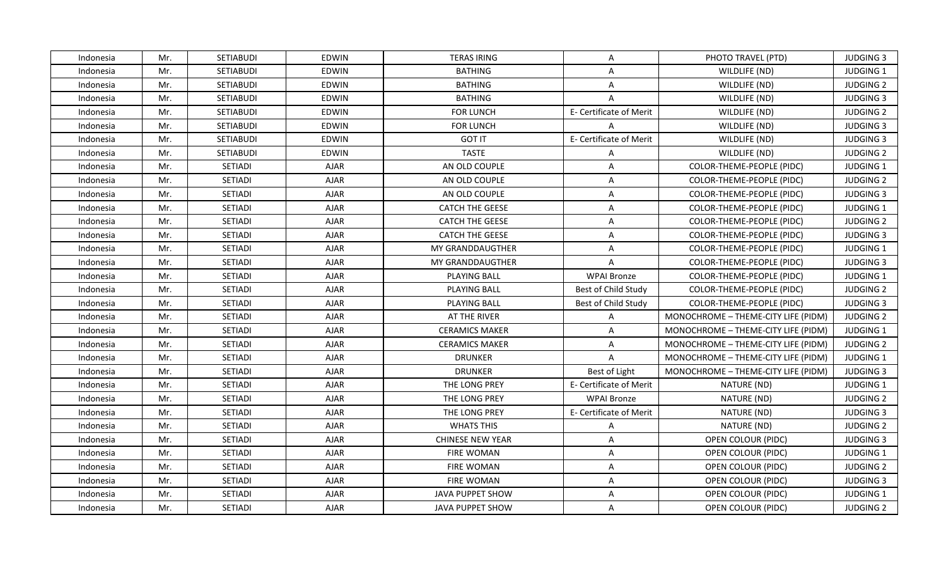| Indonesia | Mr. | <b>SETIABUDI</b> | EDWIN        | <b>TERAS IRING</b>      | A                       | PHOTO TRAVEL (PTD)                  | <b>JUDGING 3</b> |
|-----------|-----|------------------|--------------|-------------------------|-------------------------|-------------------------------------|------------------|
| Indonesia | Mr. | SETIABUDI        | <b>EDWIN</b> | <b>BATHING</b>          | $\overline{A}$          | WILDLIFE (ND)                       | JUDGING 1        |
| Indonesia | Mr. | SETIABUDI        | <b>EDWIN</b> | <b>BATHING</b>          | $\mathsf{A}$            | WILDLIFE (ND)                       | <b>JUDGING 2</b> |
| Indonesia | Mr. | <b>SETIABUDI</b> | <b>EDWIN</b> | <b>BATHING</b>          | A                       | WILDLIFE (ND)                       | <b>JUDGING 3</b> |
| Indonesia | Mr. | SETIABUDI        | EDWIN        | <b>FOR LUNCH</b>        | E- Certificate of Merit | WILDLIFE (ND)                       | <b>JUDGING 2</b> |
| Indonesia | Mr. | <b>SETIABUDI</b> | <b>EDWIN</b> | <b>FOR LUNCH</b>        | $\mathsf{A}$            | WILDLIFE (ND)                       | <b>JUDGING 3</b> |
| Indonesia | Mr. | SETIABUDI        | <b>EDWIN</b> | <b>GOT IT</b>           | E- Certificate of Merit | WILDLIFE (ND)                       | <b>JUDGING 3</b> |
| Indonesia | Mr. | SETIABUDI        | <b>EDWIN</b> | <b>TASTE</b>            | $\mathsf{A}$            | WILDLIFE (ND)                       | <b>JUDGING 2</b> |
| Indonesia | Mr. | <b>SETIADI</b>   | <b>AJAR</b>  | AN OLD COUPLE           | $\overline{A}$          | COLOR-THEME-PEOPLE (PIDC)           | <b>JUDGING 1</b> |
| Indonesia | Mr. | SETIADI          | <b>AJAR</b>  | AN OLD COUPLE           | $\overline{A}$          | COLOR-THEME-PEOPLE (PIDC)           | <b>JUDGING 2</b> |
| Indonesia | Mr. | SETIADI          | <b>AJAR</b>  | AN OLD COUPLE           | $\mathsf{A}$            | COLOR-THEME-PEOPLE (PIDC)           | <b>JUDGING 3</b> |
| Indonesia | Mr. | SETIADI          | <b>AJAR</b>  | <b>CATCH THE GEESE</b>  | $\mathsf{A}$            | COLOR-THEME-PEOPLE (PIDC)           | JUDGING 1        |
| Indonesia | Mr. | SETIADI          | <b>AJAR</b>  | <b>CATCH THE GEESE</b>  | $\mathsf{A}$            | COLOR-THEME-PEOPLE (PIDC)           | <b>JUDGING 2</b> |
| Indonesia | Mr. | SETIADI          | <b>AJAR</b>  | <b>CATCH THE GEESE</b>  | $\mathsf{A}$            | COLOR-THEME-PEOPLE (PIDC)           | <b>JUDGING 3</b> |
| Indonesia | Mr. | SETIADI          | <b>AJAR</b>  | MY GRANDDAUGTHER        | A                       | COLOR-THEME-PEOPLE (PIDC)           | <b>JUDGING 1</b> |
| Indonesia | Mr. | SETIADI          | <b>AJAR</b>  | MY GRANDDAUGTHER        | $\overline{A}$          | COLOR-THEME-PEOPLE (PIDC)           | <b>JUDGING 3</b> |
| Indonesia | Mr. | SETIADI          | <b>AJAR</b>  | <b>PLAYING BALL</b>     | <b>WPAI Bronze</b>      | COLOR-THEME-PEOPLE (PIDC)           | JUDGING 1        |
| Indonesia | Mr. | SETIADI          | <b>AJAR</b>  | <b>PLAYING BALL</b>     | Best of Child Study     | COLOR-THEME-PEOPLE (PIDC)           | <b>JUDGING 2</b> |
| Indonesia | Mr. | SETIADI          | <b>AJAR</b>  | <b>PLAYING BALL</b>     | Best of Child Study     | COLOR-THEME-PEOPLE (PIDC)           | <b>JUDGING 3</b> |
| Indonesia | Mr. | SETIADI          | <b>AJAR</b>  | AT THE RIVER            | $\mathsf{A}$            | MONOCHROME - THEME-CITY LIFE (PIDM) | <b>JUDGING 2</b> |
| Indonesia | Mr. | SETIADI          | <b>AJAR</b>  | <b>CERAMICS MAKER</b>   | $\mathsf{A}$            | MONOCHROME - THEME-CITY LIFE (PIDM) | JUDGING 1        |
| Indonesia | Mr. | SETIADI          | <b>AJAR</b>  | <b>CERAMICS MAKER</b>   | $\mathsf{A}$            | MONOCHROME - THEME-CITY LIFE (PIDM) | <b>JUDGING 2</b> |
| Indonesia | Mr. | SETIADI          | <b>AJAR</b>  | <b>DRUNKER</b>          | $\overline{A}$          | MONOCHROME - THEME-CITY LIFE (PIDM) | JUDGING 1        |
| Indonesia | Mr. | SETIADI          | <b>AJAR</b>  | <b>DRUNKER</b>          | Best of Light           | MONOCHROME - THEME-CITY LIFE (PIDM) | <b>JUDGING 3</b> |
| Indonesia | Mr. | SETIADI          | <b>AJAR</b>  | THE LONG PREY           | E- Certificate of Merit | NATURE (ND)                         | <b>JUDGING 1</b> |
| Indonesia | Mr. | SETIADI          | <b>AJAR</b>  | THE LONG PREY           | <b>WPAI Bronze</b>      | NATURE (ND)                         | <b>JUDGING 2</b> |
| Indonesia | Mr. | SETIADI          | <b>AJAR</b>  | THE LONG PREY           | E- Certificate of Merit | NATURE (ND)                         | <b>JUDGING 3</b> |
| Indonesia | Mr. | SETIADI          | <b>AJAR</b>  | <b>WHATS THIS</b>       | $\overline{A}$          | NATURE (ND)                         | <b>JUDGING 2</b> |
| Indonesia | Mr. | SETIADI          | <b>AJAR</b>  | <b>CHINESE NEW YEAR</b> | $\mathsf{A}$            | OPEN COLOUR (PIDC)                  | <b>JUDGING 3</b> |
| Indonesia | Mr. | SETIADI          | <b>AJAR</b>  | <b>FIRE WOMAN</b>       | $\mathsf{A}$            | OPEN COLOUR (PIDC)                  | JUDGING 1        |
| Indonesia | Mr. | SETIADI          | <b>AJAR</b>  | <b>FIRE WOMAN</b>       | $\mathsf{A}$            | OPEN COLOUR (PIDC)                  | <b>JUDGING 2</b> |
| Indonesia | Mr. | SETIADI          | AJAR         | <b>FIRE WOMAN</b>       | $\mathsf{A}$            | OPEN COLOUR (PIDC)                  | <b>JUDGING 3</b> |
| Indonesia | Mr. | SETIADI          | <b>AJAR</b>  | JAVA PUPPET SHOW        | $\mathsf{A}$            | OPEN COLOUR (PIDC)                  | JUDGING 1        |
| Indonesia | Mr. | <b>SETIADI</b>   | AJAR         | <b>JAVA PUPPET SHOW</b> | $\mathsf{A}$            | OPEN COLOUR (PIDC)                  | <b>JUDGING 2</b> |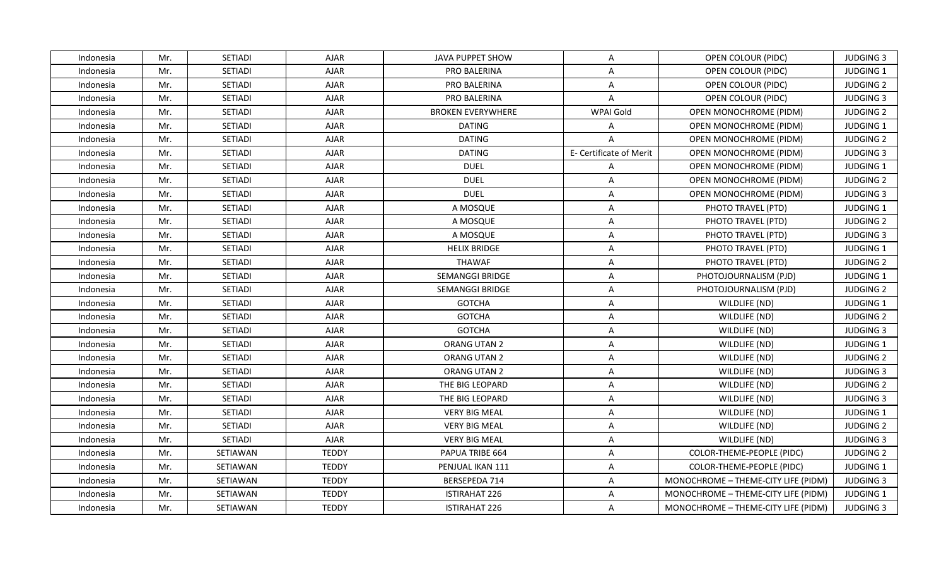| Indonesia | Mr. | <b>SETIADI</b> | <b>AJAR</b>  | JAVA PUPPET SHOW         | $\mathsf{A}$            | OPEN COLOUR (PIDC)                  | <b>JUDGING 3</b> |
|-----------|-----|----------------|--------------|--------------------------|-------------------------|-------------------------------------|------------------|
| Indonesia | Mr. | SETIADI        | <b>AJAR</b>  | PRO BALERINA             | A                       | OPEN COLOUR (PIDC)                  | JUDGING 1        |
| Indonesia | Mr. | SETIADI        | <b>AJAR</b>  | PRO BALERINA             | $\mathsf{A}$            | OPEN COLOUR (PIDC)                  | <b>JUDGING 2</b> |
| Indonesia | Mr. | SETIADI        | <b>AJAR</b>  | PRO BALERINA             | $\mathsf{A}$            | OPEN COLOUR (PIDC)                  | <b>JUDGING 3</b> |
| Indonesia | Mr. | SETIADI        | <b>AJAR</b>  | <b>BROKEN EVERYWHERE</b> | WPAI Gold               | OPEN MONOCHROME (PIDM)              | <b>JUDGING 2</b> |
| Indonesia | Mr. | SETIADI        | <b>AJAR</b>  | <b>DATING</b>            | A                       | OPEN MONOCHROME (PIDM)              | <b>JUDGING 1</b> |
| Indonesia | Mr. | SETIADI        | <b>AJAR</b>  | <b>DATING</b>            | $\overline{A}$          | <b>OPEN MONOCHROME (PIDM)</b>       | <b>JUDGING 2</b> |
| Indonesia | Mr. | SETIADI        | <b>AJAR</b>  | <b>DATING</b>            | E- Certificate of Merit | <b>OPEN MONOCHROME (PIDM)</b>       | <b>JUDGING 3</b> |
| Indonesia | Mr. | SETIADI        | <b>AJAR</b>  | <b>DUEL</b>              | $\mathsf{A}$            | <b>OPEN MONOCHROME (PIDM)</b>       | <b>JUDGING 1</b> |
| Indonesia | Mr. | <b>SETIADI</b> | <b>AJAR</b>  | <b>DUEL</b>              | $\overline{A}$          | OPEN MONOCHROME (PIDM)              | <b>JUDGING 2</b> |
| Indonesia | Mr. | SETIADI        | <b>AJAR</b>  | <b>DUEL</b>              | $\mathsf{A}$            | OPEN MONOCHROME (PIDM)              | <b>JUDGING 3</b> |
| Indonesia | Mr. | SETIADI        | <b>AJAR</b>  | A MOSQUE                 | A                       | PHOTO TRAVEL (PTD)                  | JUDGING 1        |
| Indonesia | Mr. | SETIADI        | <b>AJAR</b>  | A MOSQUE                 | $\mathsf{A}$            | PHOTO TRAVEL (PTD)                  | <b>JUDGING 2</b> |
| Indonesia | Mr. | SETIADI        | <b>AJAR</b>  | A MOSQUE                 | A                       | PHOTO TRAVEL (PTD)                  | <b>JUDGING 3</b> |
| Indonesia | Mr. | SETIADI        | <b>AJAR</b>  | <b>HELIX BRIDGE</b>      | A                       | PHOTO TRAVEL (PTD)                  | JUDGING 1        |
| Indonesia | Mr. | SETIADI        | <b>AJAR</b>  | THAWAF                   | A                       | PHOTO TRAVEL (PTD)                  | <b>JUDGING 2</b> |
| Indonesia | Mr. | SETIADI        | <b>AJAR</b>  | SEMANGGI BRIDGE          | $\mathsf{A}$            | PHOTOJOURNALISM (PJD)               | JUDGING 1        |
| Indonesia | Mr. | SETIADI        | <b>AJAR</b>  | SEMANGGI BRIDGE          | $\mathsf{A}$            | PHOTOJOURNALISM (PJD)               | <b>JUDGING 2</b> |
| Indonesia | Mr. | SETIADI        | <b>AJAR</b>  | <b>GOTCHA</b>            | A                       | WILDLIFE (ND)                       | <b>JUDGING 1</b> |
| Indonesia | Mr. | SETIADI        | <b>AJAR</b>  | <b>GOTCHA</b>            | $\mathsf{A}$            | WILDLIFE (ND)                       | <b>JUDGING 2</b> |
| Indonesia | Mr. | SETIADI        | <b>AJAR</b>  | <b>GOTCHA</b>            | A                       | WILDLIFE (ND)                       | <b>JUDGING 3</b> |
| Indonesia | Mr. | SETIADI        | <b>AJAR</b>  | ORANG UTAN 2             | $\overline{A}$          | WILDLIFE (ND)                       | JUDGING 1        |
| Indonesia | Mr. | SETIADI        | <b>AJAR</b>  | ORANG UTAN 2             | $\mathsf{A}$            | WILDLIFE (ND)                       | <b>JUDGING 2</b> |
| Indonesia | Mr. | SETIADI        | <b>AJAR</b>  | ORANG UTAN 2             | $\mathsf{A}$            | WILDLIFE (ND)                       | <b>JUDGING 3</b> |
| Indonesia | Mr. | SETIADI        | <b>AJAR</b>  | THE BIG LEOPARD          | A                       | WILDLIFE (ND)                       | <b>JUDGING 2</b> |
| Indonesia | Mr. | SETIADI        | <b>AJAR</b>  | THE BIG LEOPARD          | $\overline{A}$          | WILDLIFE (ND)                       | <b>JUDGING 3</b> |
| Indonesia | Mr. | SETIADI        | <b>AJAR</b>  | <b>VERY BIG MEAL</b>     | $\mathsf{A}$            | WILDLIFE (ND)                       | JUDGING 1        |
| Indonesia | Mr. | SETIADI        | <b>AJAR</b>  | <b>VERY BIG MEAL</b>     | $\mathsf{A}$            | WILDLIFE (ND)                       | <b>JUDGING 2</b> |
| Indonesia | Mr. | SETIADI        | <b>AJAR</b>  | <b>VERY BIG MEAL</b>     | A                       | WILDLIFE (ND)                       | <b>JUDGING 3</b> |
| Indonesia | Mr. | SETIAWAN       | <b>TEDDY</b> | PAPUA TRIBE 664          | $\mathsf{A}$            | COLOR-THEME-PEOPLE (PIDC)           | <b>JUDGING 2</b> |
| Indonesia | Mr. | SETIAWAN       | <b>TEDDY</b> | PENJUAL IKAN 111         | $\mathsf{A}$            | COLOR-THEME-PEOPLE (PIDC)           | JUDGING 1        |
| Indonesia | Mr. | SETIAWAN       | <b>TEDDY</b> | BERSEPEDA 714            | $\mathsf{A}$            | MONOCHROME - THEME-CITY LIFE (PIDM) | <b>JUDGING 3</b> |
| Indonesia | Mr. | SETIAWAN       | <b>TEDDY</b> | <b>ISTIRAHAT 226</b>     | $\overline{A}$          | MONOCHROME - THEME-CITY LIFE (PIDM) | JUDGING 1        |
| Indonesia | Mr. | SETIAWAN       | <b>TEDDY</b> | <b>ISTIRAHAT 226</b>     | A                       | MONOCHROME - THEME-CITY LIFE (PIDM) | <b>JUDGING 3</b> |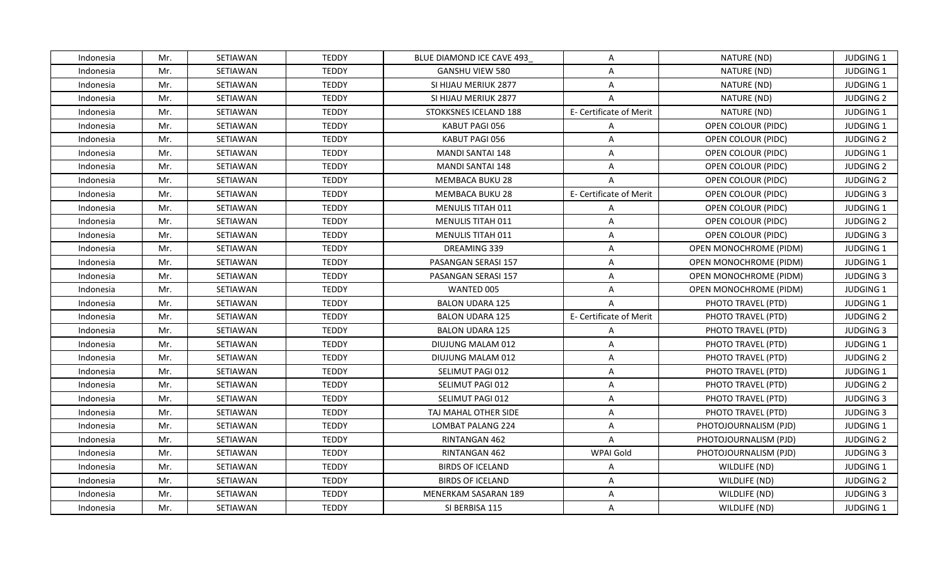| Indonesia | Mr. | SETIAWAN        | <b>TEDDY</b> | BLUE DIAMOND ICE CAVE 493 | $\mathsf{A}$            | NATURE (ND)                   | JUDGING 1        |
|-----------|-----|-----------------|--------------|---------------------------|-------------------------|-------------------------------|------------------|
| Indonesia | Mr. | SETIAWAN        | <b>TEDDY</b> | <b>GANSHU VIEW 580</b>    | $\mathsf{A}$            | NATURE (ND)                   | JUDGING 1        |
| Indonesia | Mr. | SETIAWAN        | <b>TEDDY</b> | SI HIJAU MERIUK 2877      | $\mathsf{A}$            | NATURE (ND)                   | JUDGING 1        |
| Indonesia | Mr. | SETIAWAN        | <b>TEDDY</b> | SI HIJAU MERIUK 2877      | $\overline{A}$          | NATURE (ND)                   | <b>JUDGING 2</b> |
| Indonesia | Mr. | SETIAWAN        | <b>TEDDY</b> | STOKKSNES ICELAND 188     | E- Certificate of Merit | NATURE (ND)                   | JUDGING 1        |
| Indonesia | Mr. | SETIAWAN        | <b>TEDDY</b> | KABUT PAGI 056            | $\mathsf{A}$            | OPEN COLOUR (PIDC)            | JUDGING 1        |
| Indonesia | Mr. | SETIAWAN        | <b>TEDDY</b> | KABUT PAGI 056            | $\mathsf{A}$            | OPEN COLOUR (PIDC)            | <b>JUDGING 2</b> |
| Indonesia | Mr. | SETIAWAN        | <b>TEDDY</b> | <b>MANDI SANTAI 148</b>   | $\overline{A}$          | OPEN COLOUR (PIDC)            | JUDGING 1        |
| Indonesia | Mr. | SETIAWAN        | <b>TEDDY</b> | <b>MANDI SANTAI 148</b>   | $\mathsf{A}$            | OPEN COLOUR (PIDC)            | <b>JUDGING 2</b> |
| Indonesia | Mr. | SETIAWAN        | <b>TEDDY</b> | <b>MEMBACA BUKU 28</b>    | $\overline{A}$          | OPEN COLOUR (PIDC)            | <b>JUDGING 2</b> |
| Indonesia | Mr. | SETIAWAN        | <b>TEDDY</b> | MEMBACA BUKU 28           | E- Certificate of Merit | OPEN COLOUR (PIDC)            | <b>JUDGING 3</b> |
| Indonesia | Mr. | SETIAWAN        | <b>TEDDY</b> | MENULIS TITAH 011         | A                       | OPEN COLOUR (PIDC)            | JUDGING 1        |
| Indonesia | Mr. | SETIAWAN        | <b>TEDDY</b> | <b>MENULIS TITAH 011</b>  | $\mathsf{A}$            | OPEN COLOUR (PIDC)            | <b>JUDGING 2</b> |
| Indonesia | Mr. | SETIAWAN        | <b>TEDDY</b> | <b>MENULIS TITAH 011</b>  | A                       | OPEN COLOUR (PIDC)            | <b>JUDGING 3</b> |
| Indonesia | Mr. | SETIAWAN        | <b>TEDDY</b> | DREAMING 339              | A                       | OPEN MONOCHROME (PIDM)        | JUDGING 1        |
| Indonesia | Mr. | SETIAWAN        | <b>TEDDY</b> | PASANGAN SERASI 157       | A                       | OPEN MONOCHROME (PIDM)        | JUDGING 1        |
| Indonesia | Mr. | SETIAWAN        | <b>TEDDY</b> | PASANGAN SERASI 157       | $\mathsf{A}$            | OPEN MONOCHROME (PIDM)        | <b>JUDGING 3</b> |
| Indonesia | Mr. | SETIAWAN        | <b>TEDDY</b> | WANTED 005                | $\mathsf{A}$            | <b>OPEN MONOCHROME (PIDM)</b> | <b>JUDGING 1</b> |
| Indonesia | Mr. | SETIAWAN        | <b>TEDDY</b> | <b>BALON UDARA 125</b>    | $\overline{A}$          | PHOTO TRAVEL (PTD)            | <b>JUDGING 1</b> |
| Indonesia | Mr. | SETIAWAN        | <b>TEDDY</b> | <b>BALON UDARA 125</b>    | E- Certificate of Merit | PHOTO TRAVEL (PTD)            | <b>JUDGING 2</b> |
| Indonesia | Mr. | SETIAWAN        | <b>TEDDY</b> | <b>BALON UDARA 125</b>    | $\mathsf{A}$            | PHOTO TRAVEL (PTD)            | <b>JUDGING 3</b> |
| Indonesia | Mr. | <b>SETIAWAN</b> | <b>TEDDY</b> | DIUJUNG MALAM 012         | $\mathsf{A}$            | PHOTO TRAVEL (PTD)            | JUDGING 1        |
| Indonesia | Mr. | SETIAWAN        | <b>TEDDY</b> | DIUJUNG MALAM 012         | $\overline{A}$          | PHOTO TRAVEL (PTD)            | <b>JUDGING 2</b> |
| Indonesia | Mr. | SETIAWAN        | <b>TEDDY</b> | SELIMUT PAGI 012          | $\mathsf{A}$            | PHOTO TRAVEL (PTD)            | <b>JUDGING 1</b> |
| Indonesia | Mr. | SETIAWAN        | <b>TEDDY</b> | SELIMUT PAGI 012          | $\overline{A}$          | PHOTO TRAVEL (PTD)            | <b>JUDGING 2</b> |
| Indonesia | Mr. | SETIAWAN        | <b>TEDDY</b> | SELIMUT PAGI 012          | A                       | PHOTO TRAVEL (PTD)            | <b>JUDGING 3</b> |
| Indonesia | Mr. | SETIAWAN        | <b>TEDDY</b> | TAJ MAHAL OTHER SIDE      | $\mathsf{A}$            | PHOTO TRAVEL (PTD)            | <b>JUDGING 3</b> |
| Indonesia | Mr. | SETIAWAN        | <b>TEDDY</b> | <b>LOMBAT PALANG 224</b>  | $\mathsf{A}$            | PHOTOJOURNALISM (PJD)         | JUDGING 1        |
| Indonesia | Mr. | SETIAWAN        | <b>TEDDY</b> | RINTANGAN 462             | $\overline{A}$          | PHOTOJOURNALISM (PJD)         | <b>JUDGING 2</b> |
| Indonesia | Mr. | SETIAWAN        | <b>TEDDY</b> | RINTANGAN 462             | WPAI Gold               | PHOTOJOURNALISM (PJD)         | <b>JUDGING 3</b> |
| Indonesia | Mr. | SETIAWAN        | <b>TEDDY</b> | <b>BIRDS OF ICELAND</b>   | $\mathsf{A}$            | WILDLIFE (ND)                 | JUDGING 1        |
| Indonesia | Mr. | SETIAWAN        | <b>TEDDY</b> | <b>BIRDS OF ICELAND</b>   | $\mathsf{A}$            | WILDLIFE (ND)                 | <b>JUDGING 2</b> |
| Indonesia | Mr. | SETIAWAN        | <b>TEDDY</b> | MENERKAM SASARAN 189      | $\overline{A}$          | WILDLIFE (ND)                 | <b>JUDGING 3</b> |
| Indonesia | Mr. | SETIAWAN        | <b>TEDDY</b> | SI BERBISA 115            | $\mathsf{A}$            | WILDLIFE (ND)                 | <b>JUDGING 1</b> |
|           |     |                 |              |                           |                         |                               |                  |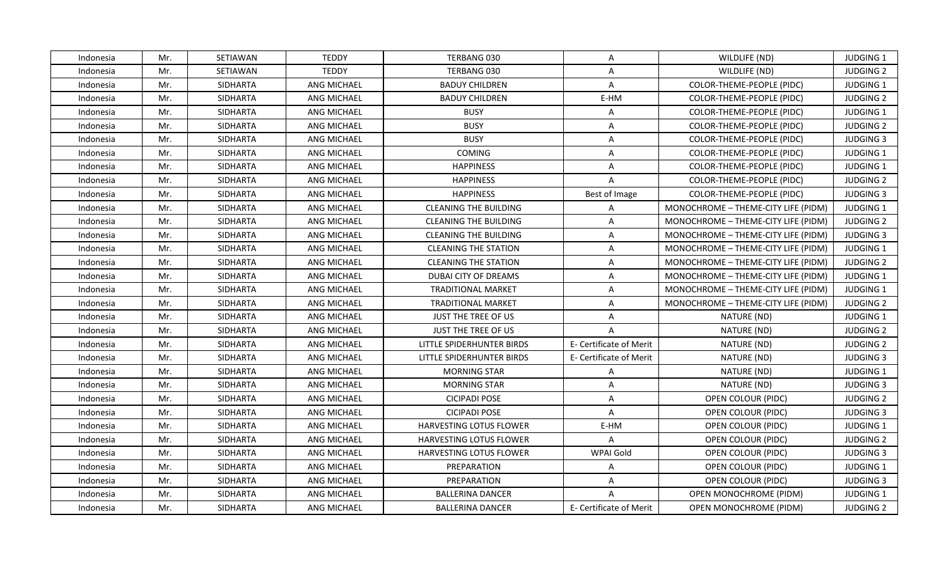| Indonesia | Mr. | SETIAWAN        | <b>TEDDY</b>       | TERBANG 030                    | $\mathsf{A}$            | WILDLIFE (ND)                       | <b>JUDGING 1</b> |
|-----------|-----|-----------------|--------------------|--------------------------------|-------------------------|-------------------------------------|------------------|
| Indonesia | Mr. | SETIAWAN        | <b>TEDDY</b>       | TERBANG 030                    | $\overline{A}$          | WILDLIFE (ND)                       | <b>JUDGING 2</b> |
| Indonesia | Mr. | <b>SIDHARTA</b> | ANG MICHAEL        | <b>BADUY CHILDREN</b>          | $\mathsf{A}$            | COLOR-THEME-PEOPLE (PIDC)           | JUDGING 1        |
| Indonesia | Mr. | SIDHARTA        | <b>ANG MICHAEL</b> | <b>BADUY CHILDREN</b>          | E-HM                    | COLOR-THEME-PEOPLE (PIDC)           | <b>JUDGING 2</b> |
| Indonesia | Mr. | SIDHARTA        | ANG MICHAEL        | <b>BUSY</b>                    | A                       | COLOR-THEME-PEOPLE (PIDC)           | <b>JUDGING 1</b> |
| Indonesia | Mr. | <b>SIDHARTA</b> | <b>ANG MICHAEL</b> | <b>BUSY</b>                    | A                       | COLOR-THEME-PEOPLE (PIDC)           | <b>JUDGING 2</b> |
| Indonesia | Mr. | SIDHARTA        | ANG MICHAEL        | <b>BUSY</b>                    | A                       | COLOR-THEME-PEOPLE (PIDC)           | <b>JUDGING 3</b> |
| Indonesia | Mr. | <b>SIDHARTA</b> | <b>ANG MICHAEL</b> | <b>COMING</b>                  | $\mathsf{A}$            | <b>COLOR-THEME-PEOPLE (PIDC)</b>    | <b>JUDGING 1</b> |
| Indonesia | Mr. | SIDHARTA        | <b>ANG MICHAEL</b> | <b>HAPPINESS</b>               | $\mathsf{A}$            | COLOR-THEME-PEOPLE (PIDC)           | JUDGING 1        |
| Indonesia | Mr. | <b>SIDHARTA</b> | <b>ANG MICHAEL</b> | <b>HAPPINESS</b>               | $\overline{A}$          | COLOR-THEME-PEOPLE (PIDC)           | <b>JUDGING 2</b> |
| Indonesia | Mr. | SIDHARTA        | ANG MICHAEL        | <b>HAPPINESS</b>               | Best of Image           | COLOR-THEME-PEOPLE (PIDC)           | <b>JUDGING 3</b> |
| Indonesia | Mr. | <b>SIDHARTA</b> | ANG MICHAEL        | <b>CLEANING THE BUILDING</b>   | Α                       | MONOCHROME - THEME-CITY LIFE (PIDM) | JUDGING 1        |
| Indonesia | Mr. | <b>SIDHARTA</b> | <b>ANG MICHAEL</b> | <b>CLEANING THE BUILDING</b>   | $\mathsf{A}$            | MONOCHROME - THEME-CITY LIFE (PIDM) | <b>JUDGING 2</b> |
| Indonesia | Mr. | SIDHARTA        | <b>ANG MICHAEL</b> | <b>CLEANING THE BUILDING</b>   | $\mathsf{A}$            | MONOCHROME - THEME-CITY LIFE (PIDM) | <b>JUDGING 3</b> |
| Indonesia | Mr. | <b>SIDHARTA</b> | <b>ANG MICHAEL</b> | <b>CLEANING THE STATION</b>    | A                       | MONOCHROME - THEME-CITY LIFE (PIDM) | JUDGING 1        |
| Indonesia | Mr. | <b>SIDHARTA</b> | ANG MICHAEL        | <b>CLEANING THE STATION</b>    | A                       | MONOCHROME - THEME-CITY LIFE (PIDM) | <b>JUDGING 2</b> |
| Indonesia | Mr. | <b>SIDHARTA</b> | <b>ANG MICHAEL</b> | DUBAI CITY OF DREAMS           | $\mathsf{A}$            | MONOCHROME - THEME-CITY LIFE (PIDM) | JUDGING 1        |
| Indonesia | Mr. | SIDHARTA        | ANG MICHAEL        | <b>TRADITIONAL MARKET</b>      | $\mathsf{A}$            | MONOCHROME - THEME-CITY LIFE (PIDM) | JUDGING 1        |
| Indonesia | Mr. | SIDHARTA        | <b>ANG MICHAEL</b> | <b>TRADITIONAL MARKET</b>      | $\mathsf{A}$            | MONOCHROME - THEME-CITY LIFE (PIDM) | <b>JUDGING 2</b> |
| Indonesia | Mr. | <b>SIDHARTA</b> | <b>ANG MICHAEL</b> | <b>JUST THE TREE OF US</b>     | $\mathsf{A}$            | NATURE (ND)                         | JUDGING 1        |
| Indonesia | Mr. | SIDHARTA        | ANG MICHAEL        | JUST THE TREE OF US            | A                       | NATURE (ND)                         | <b>JUDGING 2</b> |
| Indonesia | Mr. | <b>SIDHARTA</b> | ANG MICHAEL        | LITTLE SPIDERHUNTER BIRDS      | E- Certificate of Merit | NATURE (ND)                         | <b>JUDGING 2</b> |
| Indonesia | Mr. | <b>SIDHARTA</b> | ANG MICHAEL        | LITTLE SPIDERHUNTER BIRDS      | E- Certificate of Merit | NATURE (ND)                         | <b>JUDGING 3</b> |
| Indonesia | Mr. | <b>SIDHARTA</b> | <b>ANG MICHAEL</b> | <b>MORNING STAR</b>            | $\mathsf{A}$            | NATURE (ND)                         | <b>JUDGING 1</b> |
| Indonesia | Mr. | SIDHARTA        | ANG MICHAEL        | <b>MORNING STAR</b>            | A                       | NATURE (ND)                         | <b>JUDGING 3</b> |
| Indonesia | Mr. | SIDHARTA        | ANG MICHAEL        | <b>CICIPADI POSE</b>           | $\overline{A}$          | OPEN COLOUR (PIDC)                  | <b>JUDGING 2</b> |
| Indonesia | Mr. | <b>SIDHARTA</b> | ANG MICHAEL        | <b>CICIPADI POSE</b>           | $\mathsf{A}$            | OPEN COLOUR (PIDC)                  | <b>JUDGING 3</b> |
| Indonesia | Mr. | <b>SIDHARTA</b> | ANG MICHAEL        | HARVESTING LOTUS FLOWER        | E-HM                    | OPEN COLOUR (PIDC)                  | <b>JUDGING 1</b> |
| Indonesia | Mr. | <b>SIDHARTA</b> | ANG MICHAEL        | HARVESTING LOTUS FLOWER        | $\overline{A}$          | OPEN COLOUR (PIDC)                  | <b>JUDGING 2</b> |
| Indonesia | Mr. | <b>SIDHARTA</b> | <b>ANG MICHAEL</b> | <b>HARVESTING LOTUS FLOWER</b> | WPAI Gold               | OPEN COLOUR (PIDC)                  | <b>JUDGING 3</b> |
| Indonesia | Mr. | SIDHARTA        | ANG MICHAEL        | PREPARATION                    | $\mathsf{A}$            | OPEN COLOUR (PIDC)                  | JUDGING 1        |
| Indonesia | Mr. | SIDHARTA        | ANG MICHAEL        | PREPARATION                    | A                       | OPEN COLOUR (PIDC)                  | <b>JUDGING 3</b> |
| Indonesia | Mr. | <b>SIDHARTA</b> | ANG MICHAEL        | <b>BALLERINA DANCER</b>        | $\overline{A}$          | OPEN MONOCHROME (PIDM)              | JUDGING 1        |
| Indonesia | Mr. | <b>SIDHARTA</b> | <b>ANG MICHAEL</b> | <b>BALLERINA DANCER</b>        | E- Certificate of Merit | OPEN MONOCHROME (PIDM)              | <b>JUDGING 2</b> |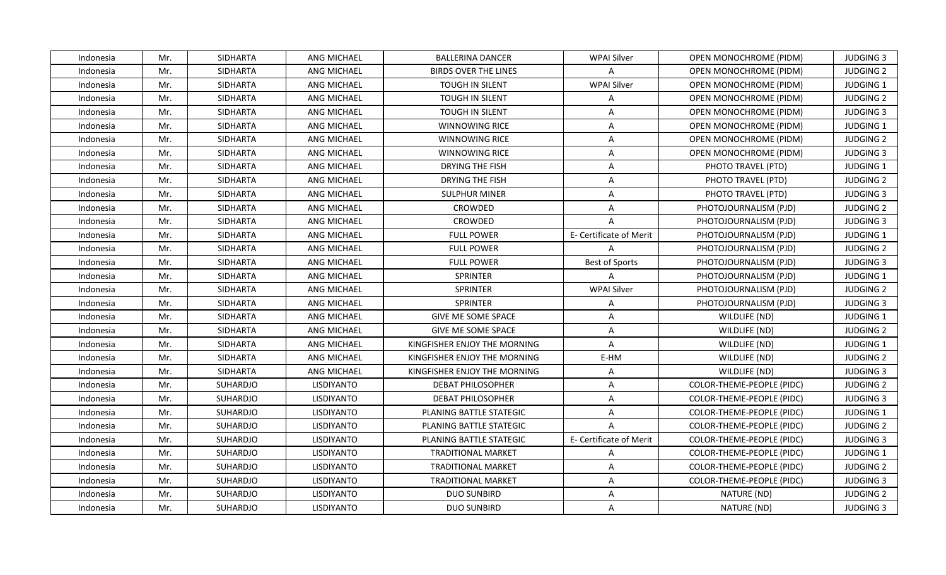| Indonesia | Mr. | <b>SIDHARTA</b> | ANG MICHAEL        | <b>BALLERINA DANCER</b>      | WPAI Silver             | OPEN MONOCHROME (PIDM)           | <b>JUDGING 3</b> |
|-----------|-----|-----------------|--------------------|------------------------------|-------------------------|----------------------------------|------------------|
| Indonesia | Mr. | <b>SIDHARTA</b> | ANG MICHAEL        | <b>BIRDS OVER THE LINES</b>  | A                       | <b>OPEN MONOCHROME (PIDM)</b>    | <b>JUDGING 2</b> |
| Indonesia | Mr. | <b>SIDHARTA</b> | ANG MICHAEL        | TOUGH IN SILENT              | <b>WPAI Silver</b>      | <b>OPEN MONOCHROME (PIDM)</b>    | JUDGING 1        |
| Indonesia | Mr. | <b>SIDHARTA</b> | <b>ANG MICHAEL</b> | TOUGH IN SILENT              | A                       | OPEN MONOCHROME (PIDM)           | <b>JUDGING 2</b> |
| Indonesia | Mr. | <b>SIDHARTA</b> | ANG MICHAEL        | <b>TOUGH IN SILENT</b>       | A                       | OPEN MONOCHROME (PIDM)           | <b>JUDGING 3</b> |
| Indonesia | Mr. | SIDHARTA        | <b>ANG MICHAEL</b> | WINNOWING RICE               | A                       | OPEN MONOCHROME (PIDM)           | <b>JUDGING 1</b> |
| Indonesia | Mr. | <b>SIDHARTA</b> | ANG MICHAEL        | WINNOWING RICE               | $\mathsf{A}$            | <b>OPEN MONOCHROME (PIDM)</b>    | <b>JUDGING 2</b> |
| Indonesia | Mr. | <b>SIDHARTA</b> | ANG MICHAEL        | <b>WINNOWING RICE</b>        | $\mathsf{A}$            | OPEN MONOCHROME (PIDM)           | <b>JUDGING 3</b> |
| Indonesia | Mr. | <b>SIDHARTA</b> | <b>ANG MICHAEL</b> | <b>DRYING THE FISH</b>       | $\mathsf{A}$            | PHOTO TRAVEL (PTD)               | <b>JUDGING 1</b> |
| Indonesia | Mr. | <b>SIDHARTA</b> | <b>ANG MICHAEL</b> | <b>DRYING THE FISH</b>       | A                       | PHOTO TRAVEL (PTD)               | <b>JUDGING 2</b> |
| Indonesia | Mr. | SIDHARTA        | ANG MICHAEL        | <b>SULPHUR MINER</b>         | $\mathsf{A}$            | PHOTO TRAVEL (PTD)               | <b>JUDGING 3</b> |
| Indonesia | Mr. | <b>SIDHARTA</b> | ANG MICHAEL        | CROWDED                      | $\mathsf{A}$            | PHOTOJOURNALISM (PJD)            | <b>JUDGING 2</b> |
| Indonesia | Mr. | SIDHARTA        | <b>ANG MICHAEL</b> | CROWDED                      | $\overline{A}$          | PHOTOJOURNALISM (PJD)            | <b>JUDGING 3</b> |
| Indonesia | Mr. | <b>SIDHARTA</b> | <b>ANG MICHAEL</b> | <b>FULL POWER</b>            | E- Certificate of Merit | PHOTOJOURNALISM (PJD)            | <b>JUDGING 1</b> |
| Indonesia | Mr. | SIDHARTA        | ANG MICHAEL        | <b>FULL POWER</b>            | $\mathsf{A}$            | PHOTOJOURNALISM (PJD)            | <b>JUDGING 2</b> |
| Indonesia | Mr. | SIDHARTA        | ANG MICHAEL        | <b>FULL POWER</b>            | <b>Best of Sports</b>   | PHOTOJOURNALISM (PJD)            | <b>JUDGING 3</b> |
| Indonesia | Mr. | <b>SIDHARTA</b> | ANG MICHAEL        | SPRINTER                     | $\overline{A}$          | PHOTOJOURNALISM (PJD)            | JUDGING 1        |
| Indonesia | Mr. | <b>SIDHARTA</b> | ANG MICHAEL        | <b>SPRINTER</b>              | <b>WPAI Silver</b>      | PHOTOJOURNALISM (PJD)            | <b>JUDGING 2</b> |
| Indonesia | Mr. | SIDHARTA        | ANG MICHAEL        | <b>SPRINTER</b>              | A                       | PHOTOJOURNALISM (PJD)            | <b>JUDGING 3</b> |
| Indonesia | Mr. | SIDHARTA        | <b>ANG MICHAEL</b> | <b>GIVE ME SOME SPACE</b>    | $\overline{A}$          | WILDLIFE (ND)                    | <b>JUDGING 1</b> |
| Indonesia | Mr. | <b>SIDHARTA</b> | ANG MICHAEL        | <b>GIVE ME SOME SPACE</b>    | $\mathsf{A}$            | WILDLIFE (ND)                    | <b>JUDGING 2</b> |
| Indonesia | Mr. | SIDHARTA        | ANG MICHAEL        | KINGFISHER ENJOY THE MORNING | $\mathsf{A}$            | WILDLIFE (ND)                    | JUDGING 1        |
| Indonesia | Mr. | <b>SIDHARTA</b> | <b>ANG MICHAEL</b> | KINGFISHER ENJOY THE MORNING | E-HM                    | WILDLIFE (ND)                    | <b>JUDGING 2</b> |
| Indonesia | Mr. | <b>SIDHARTA</b> | ANG MICHAEL        | KINGFISHER ENJOY THE MORNING | $\mathsf{A}$            | WILDLIFE (ND)                    | <b>JUDGING 3</b> |
| Indonesia | Mr. | <b>SUHARDJO</b> | <b>LISDIYANTO</b>  | <b>DEBAT PHILOSOPHER</b>     | $\mathsf{A}$            | COLOR-THEME-PEOPLE (PIDC)        | <b>JUDGING 2</b> |
| Indonesia | Mr. | SUHARDJO        | <b>LISDIYANTO</b>  | <b>DEBAT PHILOSOPHER</b>     | $\mathsf{A}$            | COLOR-THEME-PEOPLE (PIDC)        | <b>JUDGING 3</b> |
| Indonesia | Mr. | SUHARDJO        | <b>LISDIYANTO</b>  | PLANING BATTLE STATEGIC      | $\mathsf{A}$            | COLOR-THEME-PEOPLE (PIDC)        | <b>JUDGING 1</b> |
| Indonesia | Mr. | SUHARDJO        | <b>LISDIYANTO</b>  | PLANING BATTLE STATEGIC      | $\overline{A}$          | COLOR-THEME-PEOPLE (PIDC)        | <b>JUDGING 2</b> |
| Indonesia | Mr. | SUHARDJO        | LISDIYANTO         | PLANING BATTLE STATEGIC      | E- Certificate of Merit | COLOR-THEME-PEOPLE (PIDC)        | <b>JUDGING 3</b> |
| Indonesia | Mr. | SUHARDJO        | LISDIYANTO         | <b>TRADITIONAL MARKET</b>    | $\mathsf{A}$            | COLOR-THEME-PEOPLE (PIDC)        | JUDGING 1        |
| Indonesia | Mr. | SUHARDJO        | LISDIYANTO         | <b>TRADITIONAL MARKET</b>    | $\mathsf{A}$            | COLOR-THEME-PEOPLE (PIDC)        | <b>JUDGING 2</b> |
| Indonesia | Mr. | SUHARDJO        | LISDIYANTO         | <b>TRADITIONAL MARKET</b>    | $\mathsf{A}$            | <b>COLOR-THEME-PEOPLE (PIDC)</b> | <b>JUDGING 3</b> |
| Indonesia | Mr. | SUHARDJO        | LISDIYANTO         | <b>DUO SUNBIRD</b>           | $\mathsf{A}$            | NATURE (ND)                      | <b>JUDGING 2</b> |
| Indonesia | Mr. | SUHARDJO        | <b>LISDIYANTO</b>  | <b>DUO SUNBIRD</b>           | $\mathsf{A}$            | NATURE (ND)                      | <b>JUDGING 3</b> |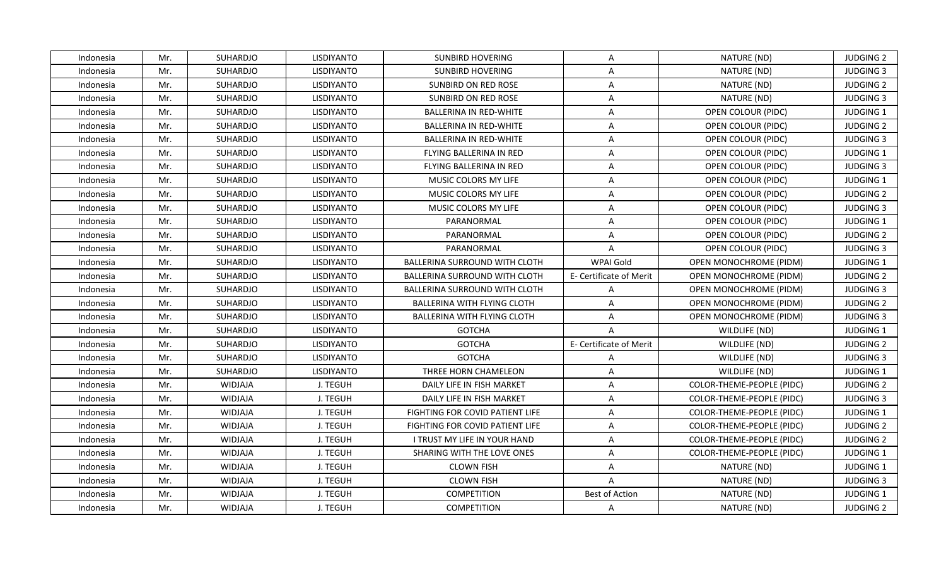| Indonesia | Mr. | SUHARDJO        | LISDIYANTO        | <b>SUNBIRD HOVERING</b>              | A                       | NATURE (ND)                   | <b>JUDGING 2</b> |
|-----------|-----|-----------------|-------------------|--------------------------------------|-------------------------|-------------------------------|------------------|
| Indonesia | Mr. | SUHARDJO        | LISDIYANTO        | <b>SUNBIRD HOVERING</b>              | $\overline{A}$          | NATURE (ND)                   | <b>JUDGING 3</b> |
| Indonesia | Mr. | SUHARDJO        | LISDIYANTO        | SUNBIRD ON RED ROSE                  | $\mathsf{A}$            | NATURE (ND)                   | <b>JUDGING 2</b> |
| Indonesia | Mr. | SUHARDJO        | <b>LISDIYANTO</b> | SUNBIRD ON RED ROSE                  | $\mathsf{A}$            | NATURE (ND)                   | <b>JUDGING 3</b> |
| Indonesia | Mr. | <b>SUHARDJO</b> | LISDIYANTO        | <b>BALLERINA IN RED-WHITE</b>        | $\mathsf{A}$            | OPEN COLOUR (PIDC)            | <b>JUDGING 1</b> |
| Indonesia | Mr. | SUHARDJO        | LISDIYANTO        | <b>BALLERINA IN RED-WHITE</b>        | A                       | OPEN COLOUR (PIDC)            | <b>JUDGING 2</b> |
| Indonesia | Mr. | SUHARDJO        | LISDIYANTO        | <b>BALLERINA IN RED-WHITE</b>        | $\mathsf{A}$            | OPEN COLOUR (PIDC)            | <b>JUDGING 3</b> |
| Indonesia | Mr. | SUHARDJO        | LISDIYANTO        | FLYING BALLERINA IN RED              | $\mathsf{A}$            | OPEN COLOUR (PIDC)            | JUDGING 1        |
| Indonesia | Mr. | SUHARDJO        | <b>LISDIYANTO</b> | FLYING BALLERINA IN RED              | $\mathsf{A}$            | OPEN COLOUR (PIDC)            | <b>JUDGING 3</b> |
| Indonesia | Mr. | SUHARDJO        | LISDIYANTO        | MUSIC COLORS MY LIFE                 | $\mathsf{A}$            | OPEN COLOUR (PIDC)            | JUDGING 1        |
| Indonesia | Mr. | SUHARDJO        | LISDIYANTO        | MUSIC COLORS MY LIFE                 | $\mathsf{A}$            | OPEN COLOUR (PIDC)            | <b>JUDGING 2</b> |
| Indonesia | Mr. | SUHARDJO        | LISDIYANTO        | MUSIC COLORS MY LIFE                 | $\mathsf{A}$            | OPEN COLOUR (PIDC)            | <b>JUDGING 3</b> |
| Indonesia | Mr. | SUHARDJO        | LISDIYANTO        | PARANORMAL                           | $\mathsf{A}$            | OPEN COLOUR (PIDC)            | JUDGING 1        |
| Indonesia | Mr. | SUHARDJO        | <b>LISDIYANTO</b> | PARANORMAL                           | $\mathsf{A}$            | OPEN COLOUR (PIDC)            | <b>JUDGING 2</b> |
| Indonesia | Mr. | SUHARDJO        | LISDIYANTO        | PARANORMAL                           | $\overline{A}$          | OPEN COLOUR (PIDC)            | <b>JUDGING 3</b> |
| Indonesia | Mr. | SUHARDJO        | <b>LISDIYANTO</b> | BALLERINA SURROUND WITH CLOTH        | WPAI Gold               | OPEN MONOCHROME (PIDM)        | JUDGING 1        |
| Indonesia | Mr. | SUHARDJO        | LISDIYANTO        | <b>BALLERINA SURROUND WITH CLOTH</b> | E- Certificate of Merit | OPEN MONOCHROME (PIDM)        | <b>JUDGING 2</b> |
| Indonesia | Mr. | SUHARDJO        | LISDIYANTO        | BALLERINA SURROUND WITH CLOTH        | A                       | OPEN MONOCHROME (PIDM)        | <b>JUDGING 3</b> |
| Indonesia | Mr. | <b>SUHARDJO</b> | <b>LISDIYANTO</b> | BALLERINA WITH FLYING CLOTH          | $\mathsf{A}$            | OPEN MONOCHROME (PIDM)        | <b>JUDGING 2</b> |
| Indonesia | Mr. | SUHARDJO        | LISDIYANTO        | BALLERINA WITH FLYING CLOTH          | $\mathsf{A}$            | <b>OPEN MONOCHROME (PIDM)</b> | <b>JUDGING 3</b> |
| Indonesia | Mr. | SUHARDJO        | LISDIYANTO        | <b>GOTCHA</b>                        | $\mathsf{A}$            | WILDLIFE (ND)                 | <b>JUDGING 1</b> |
| Indonesia | Mr. | SUHARDJO        | <b>LISDIYANTO</b> | <b>GOTCHA</b>                        | E- Certificate of Merit | WILDLIFE (ND)                 | <b>JUDGING 2</b> |
| Indonesia | Mr. | SUHARDJO        | LISDIYANTO        | <b>GOTCHA</b>                        | A                       | WILDLIFE (ND)                 | <b>JUDGING 3</b> |
| Indonesia | Mr. | SUHARDJO        | <b>LISDIYANTO</b> | THREE HORN CHAMELEON                 | $\mathsf{A}$            | WILDLIFE (ND)                 | <b>JUDGING 1</b> |
| Indonesia | Mr. | <b>WIDJAJA</b>  | J. TEGUH          | DAILY LIFE IN FISH MARKET            | $\overline{A}$          | COLOR-THEME-PEOPLE (PIDC)     | <b>JUDGING 2</b> |
| Indonesia | Mr. | <b>WIDJAJA</b>  | J. TEGUH          | DAILY LIFE IN FISH MARKET            | $\mathsf{A}$            | COLOR-THEME-PEOPLE (PIDC)     | <b>JUDGING 3</b> |
| Indonesia | Mr. | <b>WIDJAJA</b>  | J. TEGUH          | FIGHTING FOR COVID PATIENT LIFE      | A                       | COLOR-THEME-PEOPLE (PIDC)     | JUDGING 1        |
| Indonesia | Mr. | <b>WIDJAJA</b>  | J. TEGUH          | FIGHTING FOR COVID PATIENT LIFE      | $\mathsf{A}$            | COLOR-THEME-PEOPLE (PIDC)     | <b>JUDGING 2</b> |
| Indonesia | Mr. | <b>WIDJAJA</b>  | J. TEGUH          | I TRUST MY LIFE IN YOUR HAND         | $\overline{A}$          | COLOR-THEME-PEOPLE (PIDC)     | <b>JUDGING 2</b> |
| Indonesia | Mr. | <b>WIDJAJA</b>  | J. TEGUH          | SHARING WITH THE LOVE ONES           | $\mathsf{A}$            | COLOR-THEME-PEOPLE (PIDC)     | <b>JUDGING 1</b> |
| Indonesia | Mr. | <b>WIDJAJA</b>  | J. TEGUH          | <b>CLOWN FISH</b>                    | $\mathsf{A}$            | NATURE (ND)                   | <b>JUDGING 1</b> |
| Indonesia | Mr. | <b>WIDJAJA</b>  | J. TEGUH          | <b>CLOWN FISH</b>                    | A                       | NATURE (ND)                   | <b>JUDGING 3</b> |
| Indonesia | Mr. | <b>WIDJAJA</b>  | J. TEGUH          | COMPETITION                          | <b>Best of Action</b>   | NATURE (ND)                   | JUDGING 1        |
| Indonesia | Mr. | <b>WIDJAJA</b>  | J. TEGUH          | <b>COMPETITION</b>                   | $\mathsf{A}$            | NATURE (ND)                   | <b>JUDGING 2</b> |
|           |     |                 |                   |                                      |                         |                               |                  |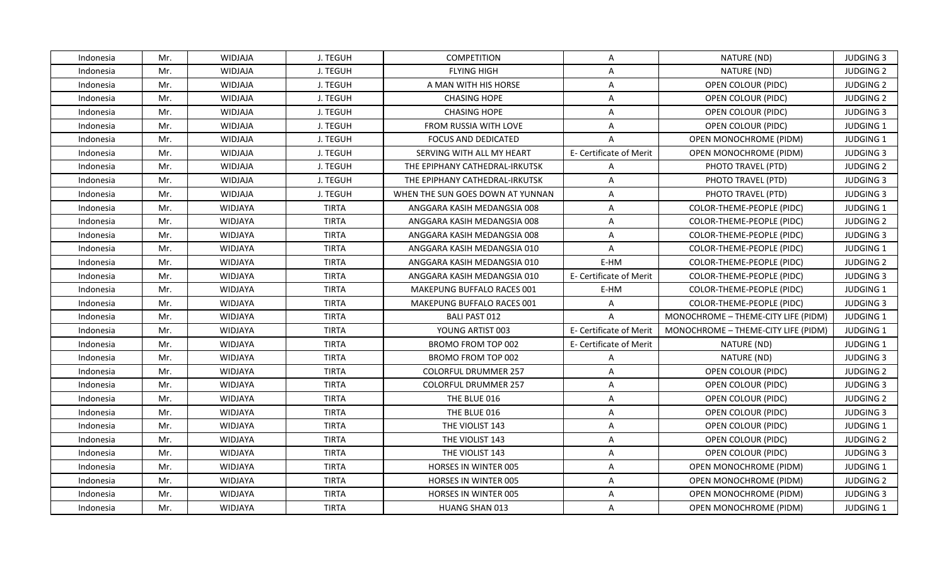| Indonesia | Mr. | <b>WIDJAJA</b> | J. TEGUH     | <b>COMPETITION</b>                | A                       | NATURE (ND)                         | <b>JUDGING 3</b> |
|-----------|-----|----------------|--------------|-----------------------------------|-------------------------|-------------------------------------|------------------|
| Indonesia | Mr. | <b>WIDJAJA</b> | J. TEGUH     | <b>FLYING HIGH</b>                | A                       | NATURE (ND)                         | <b>JUDGING 2</b> |
| Indonesia | Mr. | <b>WIDJAJA</b> | J. TEGUH     | A MAN WITH HIS HORSE              | $\mathsf{A}$            | OPEN COLOUR (PIDC)                  | <b>JUDGING 2</b> |
| Indonesia | Mr. | <b>WIDJAJA</b> | J. TEGUH     | <b>CHASING HOPE</b>               | $\mathsf{A}$            | OPEN COLOUR (PIDC)                  | <b>JUDGING 2</b> |
| Indonesia | Mr. | <b>WIDJAJA</b> | J. TEGUH     | <b>CHASING HOPE</b>               | A                       | OPEN COLOUR (PIDC)                  | <b>JUDGING 3</b> |
| Indonesia | Mr. | <b>WIDJAJA</b> | J. TEGUH     | FROM RUSSIA WITH LOVE             | A                       | OPEN COLOUR (PIDC)                  | <b>JUDGING 1</b> |
| Indonesia | Mr. | <b>WIDJAJA</b> | J. TEGUH     | <b>FOCUS AND DEDICATED</b>        | $\overline{A}$          | OPEN MONOCHROME (PIDM)              | JUDGING 1        |
| Indonesia | Mr. | <b>WIDJAJA</b> | J. TEGUH     | SERVING WITH ALL MY HEART         | E- Certificate of Merit | OPEN MONOCHROME (PIDM)              | <b>JUDGING 3</b> |
| Indonesia | Mr. | <b>WIDJAJA</b> | J. TEGUH     | THE EPIPHANY CATHEDRAL-IRKUTSK    | $\overline{A}$          | PHOTO TRAVEL (PTD)                  | <b>JUDGING 2</b> |
| Indonesia | Mr. | <b>WIDJAJA</b> | J. TEGUH     | THE EPIPHANY CATHEDRAL-IRKUTSK    | $\overline{A}$          | PHOTO TRAVEL (PTD)                  | <b>JUDGING 3</b> |
| Indonesia | Mr. | <b>WIDJAJA</b> | J. TEGUH     | WHEN THE SUN GOES DOWN AT YUNNAN  | A                       | PHOTO TRAVEL (PTD)                  | <b>JUDGING 3</b> |
| Indonesia | Mr. | WIDJAYA        | <b>TIRTA</b> | ANGGARA KASIH MEDANGSIA 008       | $\mathsf{A}$            | COLOR-THEME-PEOPLE (PIDC)           | JUDGING 1        |
| Indonesia | Mr. | WIDJAYA        | <b>TIRTA</b> | ANGGARA KASIH MEDANGSIA 008       | $\mathsf{A}$            | COLOR-THEME-PEOPLE (PIDC)           | <b>JUDGING 2</b> |
| Indonesia | Mr. | WIDJAYA        | <b>TIRTA</b> | ANGGARA KASIH MEDANGSIA 008       | $\mathsf{A}$            | COLOR-THEME-PEOPLE (PIDC)           | <b>JUDGING 3</b> |
| Indonesia | Mr. | <b>WIDJAYA</b> | <b>TIRTA</b> | ANGGARA KASIH MEDANGSIA 010       | A                       | COLOR-THEME-PEOPLE (PIDC)           | JUDGING 1        |
| Indonesia | Mr. | WIDJAYA        | <b>TIRTA</b> | ANGGARA KASIH MEDANGSIA 010       | E-HM                    | COLOR-THEME-PEOPLE (PIDC)           | <b>JUDGING 2</b> |
| Indonesia | Mr. | WIDJAYA        | <b>TIRTA</b> | ANGGARA KASIH MEDANGSIA 010       | E- Certificate of Merit | COLOR-THEME-PEOPLE (PIDC)           | <b>JUDGING 3</b> |
| Indonesia | Mr. | WIDJAYA        | <b>TIRTA</b> | <b>MAKEPUNG BUFFALO RACES 001</b> | E-HM                    | COLOR-THEME-PEOPLE (PIDC)           | JUDGING 1        |
| Indonesia | Mr. | WIDJAYA        | <b>TIRTA</b> | MAKEPUNG BUFFALO RACES 001        | $\mathsf{A}$            | COLOR-THEME-PEOPLE (PIDC)           | <b>JUDGING 3</b> |
| Indonesia | Mr. | <b>WIDJAYA</b> | <b>TIRTA</b> | <b>BALI PAST 012</b>              | $\mathsf{A}$            | MONOCHROME - THEME-CITY LIFE (PIDM) | <b>JUDGING 1</b> |
| Indonesia | Mr. | WIDJAYA        | <b>TIRTA</b> | YOUNG ARTIST 003                  | E- Certificate of Merit | MONOCHROME - THEME-CITY LIFE (PIDM) | <b>JUDGING 1</b> |
| Indonesia | Mr. | <b>WIDJAYA</b> | <b>TIRTA</b> | BROMO FROM TOP 002                | E- Certificate of Merit | NATURE (ND)                         | <b>JUDGING 1</b> |
| Indonesia | Mr. | WIDJAYA        | <b>TIRTA</b> | BROMO FROM TOP 002                | $\mathsf{A}$            | NATURE (ND)                         | <b>JUDGING 3</b> |
| Indonesia | Mr. | <b>WIDJAYA</b> | <b>TIRTA</b> | <b>COLORFUL DRUMMER 257</b>       | $\mathsf{A}$            | OPEN COLOUR (PIDC)                  | <b>JUDGING 2</b> |
| Indonesia | Mr. | <b>WIDJAYA</b> | <b>TIRTA</b> | <b>COLORFUL DRUMMER 257</b>       | $\mathsf{A}$            | OPEN COLOUR (PIDC)                  | <b>JUDGING 3</b> |
| Indonesia | Mr. | WIDJAYA        | <b>TIRTA</b> | THE BLUE 016                      | A                       | OPEN COLOUR (PIDC)                  | <b>JUDGING 2</b> |
| Indonesia | Mr. | WIDJAYA        | <b>TIRTA</b> | THE BLUE 016                      | $\mathsf{A}$            | OPEN COLOUR (PIDC)                  | <b>JUDGING 3</b> |
| Indonesia | Mr. | WIDJAYA        | <b>TIRTA</b> | THE VIOLIST 143                   | $\mathsf{A}$            | OPEN COLOUR (PIDC)                  | JUDGING 1        |
| Indonesia | Mr. | <b>WIDJAYA</b> | <b>TIRTA</b> | THE VIOLIST 143                   | A                       | OPEN COLOUR (PIDC)                  | <b>JUDGING 2</b> |
| Indonesia | Mr. | WIDJAYA        | <b>TIRTA</b> | THE VIOLIST 143                   | $\mathsf{A}$            | OPEN COLOUR (PIDC)                  | <b>JUDGING 3</b> |
| Indonesia | Mr. | <b>WIDJAYA</b> | <b>TIRTA</b> | <b>HORSES IN WINTER 005</b>       | A                       | OPEN MONOCHROME (PIDM)              | <b>JUDGING 1</b> |
| Indonesia | Mr. | WIDJAYA        | <b>TIRTA</b> | <b>HORSES IN WINTER 005</b>       | $\mathsf{A}$            | OPEN MONOCHROME (PIDM)              | <b>JUDGING 2</b> |
| Indonesia | Mr. | WIDJAYA        | <b>TIRTA</b> | HORSES IN WINTER 005              | $\overline{A}$          | OPEN MONOCHROME (PIDM)              | <b>JUDGING 3</b> |
| Indonesia | Mr. | <b>WIDJAYA</b> | <b>TIRTA</b> | <b>HUANG SHAN 013</b>             | A                       | OPEN MONOCHROME (PIDM)              | <b>JUDGING 1</b> |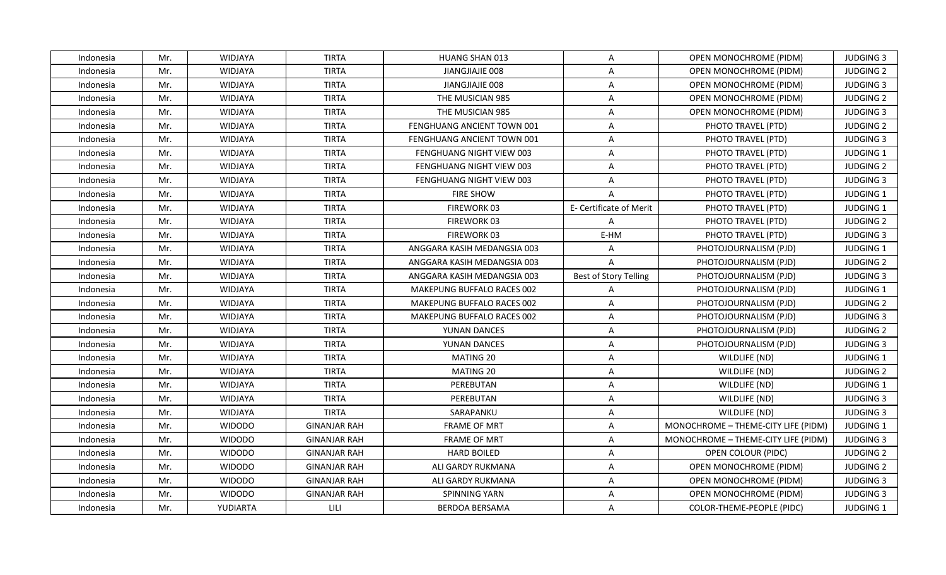| Indonesia | Mr. | <b>WIDJAYA</b> | <b>TIRTA</b>        | <b>HUANG SHAN 013</b>             | $\mathsf{A}$            | OPEN MONOCHROME (PIDM)              | <b>JUDGING 3</b> |
|-----------|-----|----------------|---------------------|-----------------------------------|-------------------------|-------------------------------------|------------------|
| Indonesia | Mr. | WIDJAYA        | <b>TIRTA</b>        | JIANGJIAJIE 008                   | $\mathsf{A}$            | <b>OPEN MONOCHROME (PIDM)</b>       | <b>JUDGING 2</b> |
| Indonesia | Mr. | WIDJAYA        | <b>TIRTA</b>        | JIANGJIAJIE 008                   | $\mathsf{A}$            | OPEN MONOCHROME (PIDM)              | <b>JUDGING 3</b> |
| Indonesia | Mr. | <b>WIDJAYA</b> | <b>TIRTA</b>        | THE MUSICIAN 985                  | A                       | <b>OPEN MONOCHROME (PIDM)</b>       | <b>JUDGING 2</b> |
| Indonesia | Mr. | <b>WIDJAYA</b> | <b>TIRTA</b>        | THE MUSICIAN 985                  | A                       | OPEN MONOCHROME (PIDM)              | <b>JUDGING 3</b> |
| Indonesia | Mr. | <b>WIDJAYA</b> | <b>TIRTA</b>        | FENGHUANG ANCIENT TOWN 001        | A                       | PHOTO TRAVEL (PTD)                  | <b>JUDGING 2</b> |
| Indonesia | Mr. | WIDJAYA        | <b>TIRTA</b>        | FENGHUANG ANCIENT TOWN 001        | $\mathsf{A}$            | PHOTO TRAVEL (PTD)                  | <b>JUDGING 3</b> |
| Indonesia | Mr. | <b>WIDJAYA</b> | <b>TIRTA</b>        | FENGHUANG NIGHT VIEW 003          | $\overline{A}$          | PHOTO TRAVEL (PTD)                  | JUDGING 1        |
| Indonesia | Mr. | <b>WIDJAYA</b> | <b>TIRTA</b>        | FENGHUANG NIGHT VIEW 003          | $\mathsf{A}$            | PHOTO TRAVEL (PTD)                  | <b>JUDGING 2</b> |
| Indonesia | Mr. | WIDJAYA        | <b>TIRTA</b>        | FENGHUANG NIGHT VIEW 003          | $\mathsf{A}$            | PHOTO TRAVEL (PTD)                  | <b>JUDGING 3</b> |
| Indonesia | Mr. | WIDJAYA        | <b>TIRTA</b>        | <b>FIRE SHOW</b>                  | A                       | PHOTO TRAVEL (PTD)                  | JUDGING 1        |
| Indonesia | Mr. | WIDJAYA        | <b>TIRTA</b>        | FIREWORK 03                       | E- Certificate of Merit | PHOTO TRAVEL (PTD)                  | JUDGING 1        |
| Indonesia | Mr. | WIDJAYA        | <b>TIRTA</b>        | FIREWORK 03                       | $\overline{A}$          | PHOTO TRAVEL (PTD)                  | <b>JUDGING 2</b> |
| Indonesia | Mr. | WIDJAYA        | <b>TIRTA</b>        | FIREWORK 03                       | E-HM                    | PHOTO TRAVEL (PTD)                  | <b>JUDGING 3</b> |
| Indonesia | Mr. | <b>WIDJAYA</b> | <b>TIRTA</b>        | ANGGARA KASIH MEDANGSIA 003       | A                       | PHOTOJOURNALISM (PJD)               | JUDGING 1        |
| Indonesia | Mr. | WIDJAYA        | <b>TIRTA</b>        | ANGGARA KASIH MEDANGSIA 003       | $\overline{A}$          | PHOTOJOURNALISM (PJD)               | <b>JUDGING 2</b> |
| Indonesia | Mr. | WIDJAYA        | <b>TIRTA</b>        | ANGGARA KASIH MEDANGSIA 003       | Best of Story Telling   | PHOTOJOURNALISM (PJD)               | <b>JUDGING 3</b> |
| Indonesia | Mr. | <b>WIDJAYA</b> | <b>TIRTA</b>        | MAKEPUNG BUFFALO RACES 002        | $\overline{A}$          | PHOTOJOURNALISM (PJD)               | <b>JUDGING 1</b> |
| Indonesia | Mr. | <b>WIDJAYA</b> | <b>TIRTA</b>        | MAKEPUNG BUFFALO RACES 002        | $\mathsf{A}$            | PHOTOJOURNALISM (PJD)               | <b>JUDGING 2</b> |
| Indonesia | Mr. | WIDJAYA        | <b>TIRTA</b>        | <b>MAKEPUNG BUFFALO RACES 002</b> | $\mathsf{A}$            | PHOTOJOURNALISM (PJD)               | <b>JUDGING 3</b> |
| Indonesia | Mr. | WIDJAYA        | <b>TIRTA</b>        | YUNAN DANCES                      | A                       | PHOTOJOURNALISM (PJD)               | <b>JUDGING 2</b> |
| Indonesia | Mr. | WIDJAYA        | <b>TIRTA</b>        | YUNAN DANCES                      | $\mathsf{A}$            | PHOTOJOURNALISM (PJD)               | <b>JUDGING 3</b> |
| Indonesia | Mr. | WIDJAYA        | <b>TIRTA</b>        | MATING 20                         | A                       | WILDLIFE (ND)                       | JUDGING 1        |
| Indonesia | Mr. | WIDJAYA        | <b>TIRTA</b>        | MATING 20                         | $\mathsf{A}$            | WILDLIFE (ND)                       | <b>JUDGING 2</b> |
| Indonesia | Mr. | <b>WIDJAYA</b> | <b>TIRTA</b>        | PEREBUTAN                         | $\overline{A}$          | WILDLIFE (ND)                       | JUDGING 1        |
| Indonesia | Mr. | WIDJAYA        | <b>TIRTA</b>        | PEREBUTAN                         | A                       | WILDLIFE (ND)                       | <b>JUDGING 3</b> |
| Indonesia | Mr. | WIDJAYA        | <b>TIRTA</b>        | SARAPANKU                         | $\mathsf{A}$            | WILDLIFE (ND)                       | <b>JUDGING 3</b> |
| Indonesia | Mr. | <b>WIDODO</b>  | <b>GINANJAR RAH</b> | <b>FRAME OF MRT</b>               | $\mathsf{A}$            | MONOCHROME - THEME-CITY LIFE (PIDM) | JUDGING 1        |
| Indonesia | Mr. | <b>WIDODO</b>  | <b>GINANJAR RAH</b> | <b>FRAME OF MRT</b>               | $\mathsf{A}$            | MONOCHROME - THEME-CITY LIFE (PIDM) | <b>JUDGING 3</b> |
| Indonesia | Mr. | <b>WIDODO</b>  | <b>GINANJAR RAH</b> | <b>HARD BOILED</b>                | A                       | OPEN COLOUR (PIDC)                  | <b>JUDGING 2</b> |
| Indonesia | Mr. | <b>WIDODO</b>  | <b>GINANJAR RAH</b> | ALI GARDY RUKMANA                 | $\overline{A}$          | <b>OPEN MONOCHROME (PIDM)</b>       | <b>JUDGING 2</b> |
| Indonesia | Mr. | <b>WIDODO</b>  | <b>GINANJAR RAH</b> | ALI GARDY RUKMANA                 | $\mathsf{A}$            | OPEN MONOCHROME (PIDM)              | <b>JUDGING 3</b> |
| Indonesia | Mr. | <b>WIDODO</b>  | <b>GINANJAR RAH</b> | SPINNING YARN                     | $\overline{A}$          | OPEN MONOCHROME (PIDM)              | <b>JUDGING 3</b> |
| Indonesia | Mr. | YUDIARTA       | LILI                | <b>BERDOA BERSAMA</b>             | A                       | COLOR-THEME-PEOPLE (PIDC)           | <b>JUDGING 1</b> |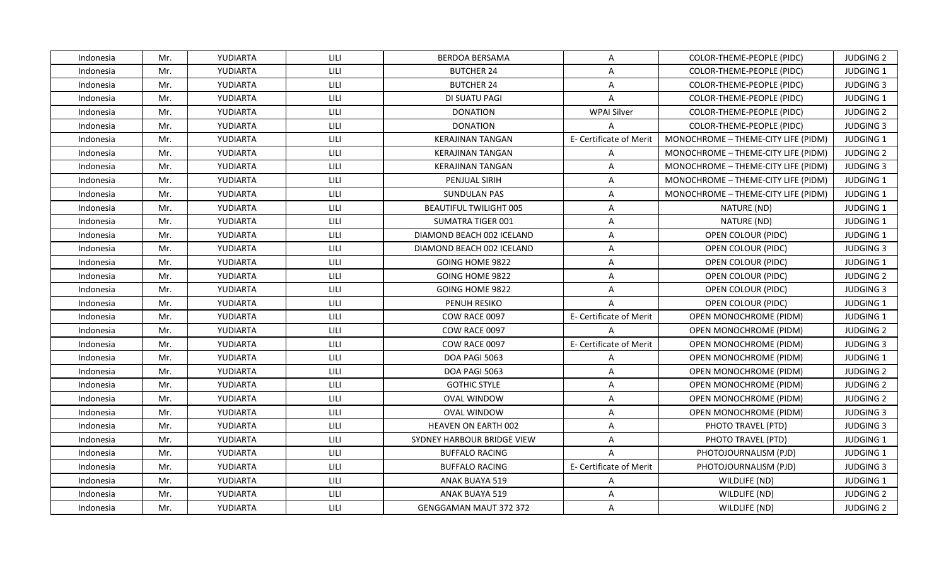| Indonesia | Mr. | YUDIARTA        | LILI | <b>BERDOA BERSAMA</b>         | A                       | COLOR-THEME-PEOPLE (PIDC)           | <b>JUDGING 2</b> |
|-----------|-----|-----------------|------|-------------------------------|-------------------------|-------------------------------------|------------------|
| Indonesia | Mr. | YUDIARTA        | LILI | <b>BUTCHER 24</b>             | $\overline{A}$          | COLOR-THEME-PEOPLE (PIDC)           | JUDGING 1        |
| Indonesia | Mr. | YUDIARTA        | LILI | <b>BUTCHER 24</b>             | $\mathsf{A}$            | COLOR-THEME-PEOPLE (PIDC)           | <b>JUDGING 3</b> |
| Indonesia | Mr. | <b>YUDIARTA</b> | LILI | DI SUATU PAGI                 | A                       | COLOR-THEME-PEOPLE (PIDC)           | <b>JUDGING 1</b> |
| Indonesia | Mr. | YUDIARTA        | LILI | <b>DONATION</b>               | <b>WPAI Silver</b>      | COLOR-THEME-PEOPLE (PIDC)           | <b>JUDGING 2</b> |
| Indonesia | Mr. | YUDIARTA        | LILI | <b>DONATION</b>               | $\mathsf{A}$            | COLOR-THEME-PEOPLE (PIDC)           | <b>JUDGING 3</b> |
| Indonesia | Mr. | YUDIARTA        | LILI | <b>KERAJINAN TANGAN</b>       | E- Certificate of Merit | MONOCHROME - THEME-CITY LIFE (PIDM) | JUDGING 1        |
| Indonesia | Mr. | YUDIARTA        | LILI | <b>KERAJINAN TANGAN</b>       | $\mathsf{A}$            | MONOCHROME - THEME-CITY LIFE (PIDM) | <b>JUDGING 2</b> |
| Indonesia | Mr. | YUDIARTA        | LILI | <b>KERAJINAN TANGAN</b>       | $\mathsf{A}$            | MONOCHROME - THEME-CITY LIFE (PIDM) | <b>JUDGING 3</b> |
| Indonesia | Mr. | YUDIARTA        | LILI | PENJUAL SIRIH                 | $\mathsf{A}$            | MONOCHROME - THEME-CITY LIFE (PIDM) | <b>JUDGING 1</b> |
| Indonesia | Mr. | YUDIARTA        | LILI | SUNDULAN PAS                  | $\mathsf{A}$            | MONOCHROME - THEME-CITY LIFE (PIDM) | JUDGING 1        |
| Indonesia | Mr. | YUDIARTA        | LILI | <b>BEAUTIFUL TWILIGHT 005</b> | $\mathsf{A}$            | NATURE (ND)                         | JUDGING 1        |
| Indonesia | Mr. | YUDIARTA        | LILI | <b>SUMATRA TIGER 001</b>      | $\mathsf{A}$            | NATURE (ND)                         | <b>JUDGING 1</b> |
| Indonesia | Mr. | YUDIARTA        | LILI | DIAMOND BEACH 002 ICELAND     | $\mathsf{A}$            | OPEN COLOUR (PIDC)                  | JUDGING 1        |
| Indonesia | Mr. | YUDIARTA        | LILI | DIAMOND BEACH 002 ICELAND     | A                       | OPEN COLOUR (PIDC)                  | <b>JUDGING 3</b> |
| Indonesia | Mr. | YUDIARTA        | LILI | GOING HOME 9822               | $\overline{A}$          | OPEN COLOUR (PIDC)                  | JUDGING 1        |
| Indonesia | Mr. | YUDIARTA        | LILI | GOING HOME 9822               | $\mathsf{A}$            | OPEN COLOUR (PIDC)                  | <b>JUDGING 2</b> |
| Indonesia | Mr. | YUDIARTA        | LILI | <b>GOING HOME 9822</b>        | $\mathsf{A}$            | OPEN COLOUR (PIDC)                  | <b>JUDGING 3</b> |
| Indonesia | Mr. | YUDIARTA        | LILI | PENUH RESIKO                  | $\mathsf{A}$            | OPEN COLOUR (PIDC)                  | <b>JUDGING 1</b> |
| Indonesia | Mr. | YUDIARTA        | LILI | COW RACE 0097                 | E- Certificate of Merit | OPEN MONOCHROME (PIDM)              | <b>JUDGING 1</b> |
| Indonesia | Mr. | YUDIARTA        | LILI | COW RACE 0097                 | $\mathsf{A}$            | <b>OPEN MONOCHROME (PIDM)</b>       | <b>JUDGING 2</b> |
| Indonesia | Mr. | YUDIARTA        | LILI | COW RACE 0097                 | E- Certificate of Merit | OPEN MONOCHROME (PIDM)              | <b>JUDGING 3</b> |
| Indonesia | Mr. | YUDIARTA        | LILI | DOA PAGI 5063                 | A                       | OPEN MONOCHROME (PIDM)              | JUDGING 1        |
| Indonesia | Mr. | YUDIARTA        | LILI | DOA PAGI 5063                 | $\mathsf{A}$            | <b>OPEN MONOCHROME (PIDM)</b>       | <b>JUDGING 2</b> |
| Indonesia | Mr. | YUDIARTA        | LILI | <b>GOTHIC STYLE</b>           | $\mathsf{A}$            | OPEN MONOCHROME (PIDM)              | <b>JUDGING 2</b> |
| Indonesia | Mr. | YUDIARTA        | LILI | <b>OVAL WINDOW</b>            | $\mathsf{A}$            | OPEN MONOCHROME (PIDM)              | <b>JUDGING 2</b> |
| Indonesia | Mr. | YUDIARTA        | LILI | <b>OVAL WINDOW</b>            | A                       | OPEN MONOCHROME (PIDM)              | <b>JUDGING 3</b> |
| Indonesia | Mr. | YUDIARTA        | LILI | <b>HEAVEN ON EARTH 002</b>    | $\mathsf{A}$            | PHOTO TRAVEL (PTD)                  | <b>JUDGING 3</b> |
| Indonesia | Mr. | YUDIARTA        | LILI | SYDNEY HARBOUR BRIDGE VIEW    | $\mathsf{A}$            | PHOTO TRAVEL (PTD)                  | <b>JUDGING 1</b> |
| Indonesia | Mr. | YUDIARTA        | LILI | <b>BUFFALO RACING</b>         | $\overline{A}$          | PHOTOJOURNALISM (PJD)               | JUDGING 1        |
| Indonesia | Mr. | YUDIARTA        | LILI | <b>BUFFALO RACING</b>         | E- Certificate of Merit | PHOTOJOURNALISM (PJD)               | <b>JUDGING 3</b> |
| Indonesia | Mr. | YUDIARTA        | LILI | ANAK BUAYA 519                | A                       | WILDLIFE (ND)                       | <b>JUDGING 1</b> |
| Indonesia | Mr. | YUDIARTA        | LILI | ANAK BUAYA 519                | $\mathsf{A}$            | WILDLIFE (ND)                       | <b>JUDGING 2</b> |
| Indonesia | Mr. | YUDIARTA        | LILI | <b>GENGGAMAN MAUT 372 372</b> | A                       | WILDLIFE (ND)                       | <b>JUDGING 2</b> |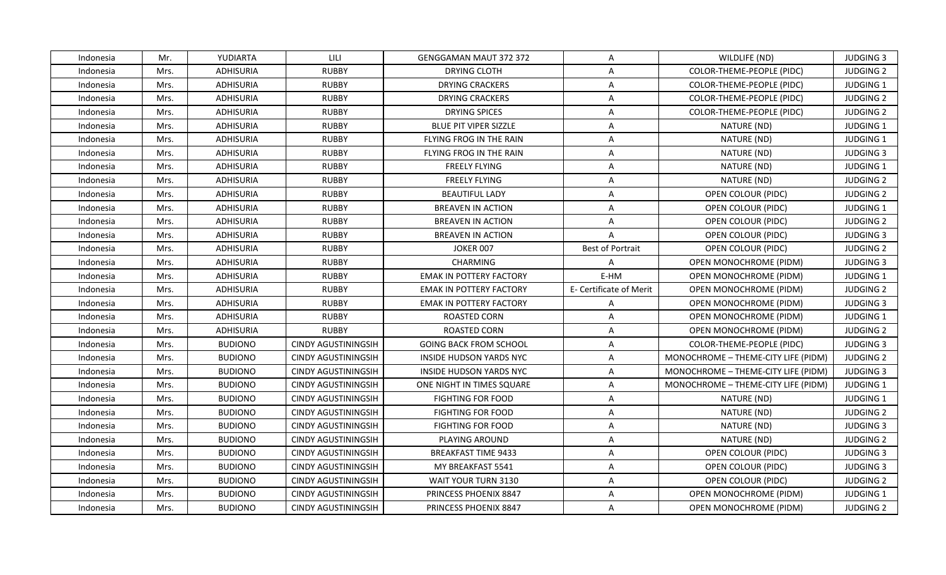| Indonesia | Mr.  | YUDIARTA         | LILI                       | <b>GENGGAMAN MAUT 372 372</b>  | A                       | WILDLIFE (ND)                       | <b>JUDGING 3</b> |
|-----------|------|------------------|----------------------------|--------------------------------|-------------------------|-------------------------------------|------------------|
| Indonesia | Mrs. | ADHISURIA        | <b>RUBBY</b>               | DRYING CLOTH                   | $\overline{A}$          | COLOR-THEME-PEOPLE (PIDC)           | <b>JUDGING 2</b> |
| Indonesia | Mrs. | <b>ADHISURIA</b> | <b>RUBBY</b>               | <b>DRYING CRACKERS</b>         | $\mathsf{A}$            | COLOR-THEME-PEOPLE (PIDC)           | JUDGING 1        |
| Indonesia | Mrs. | ADHISURIA        | <b>RUBBY</b>               | <b>DRYING CRACKERS</b>         | A                       | COLOR-THEME-PEOPLE (PIDC)           | <b>JUDGING 2</b> |
| Indonesia | Mrs. | ADHISURIA        | <b>RUBBY</b>               | <b>DRYING SPICES</b>           | A                       | COLOR-THEME-PEOPLE (PIDC)           | <b>JUDGING 2</b> |
| Indonesia | Mrs. | ADHISURIA        | <b>RUBBY</b>               | <b>BLUE PIT VIPER SIZZLE</b>   | A                       | NATURE (ND)                         | <b>JUDGING 1</b> |
| Indonesia | Mrs. | <b>ADHISURIA</b> | <b>RUBBY</b>               | FLYING FROG IN THE RAIN        | A                       | NATURE (ND)                         | JUDGING 1        |
| Indonesia | Mrs. | <b>ADHISURIA</b> | <b>RUBBY</b>               | FLYING FROG IN THE RAIN        | $\mathsf{A}$            | NATURE (ND)                         | <b>JUDGING 3</b> |
| Indonesia | Mrs. | <b>ADHISURIA</b> | <b>RUBBY</b>               | <b>FREELY FLYING</b>           | $\mathsf{A}$            | NATURE (ND)                         | JUDGING 1        |
| Indonesia | Mrs. | <b>ADHISURIA</b> | <b>RUBBY</b>               | <b>FREELY FLYING</b>           | $\overline{A}$          | NATURE (ND)                         | <b>JUDGING 2</b> |
| Indonesia | Mrs. | ADHISURIA        | <b>RUBBY</b>               | <b>BEAUTIFUL LADY</b>          | $\mathsf{A}$            | OPEN COLOUR (PIDC)                  | <b>JUDGING 2</b> |
| Indonesia | Mrs. | <b>ADHISURIA</b> | <b>RUBBY</b>               | <b>BREAVEN IN ACTION</b>       | $\mathsf{A}$            | OPEN COLOUR (PIDC)                  | JUDGING 1        |
| Indonesia | Mrs. | <b>ADHISURIA</b> | <b>RUBBY</b>               | <b>BREAVEN IN ACTION</b>       | $\mathsf{A}$            | OPEN COLOUR (PIDC)                  | <b>JUDGING 2</b> |
| Indonesia | Mrs. | <b>ADHISURIA</b> | <b>RUBBY</b>               | <b>BREAVEN IN ACTION</b>       | $\mathsf{A}$            | OPEN COLOUR (PIDC)                  | <b>JUDGING 3</b> |
| Indonesia | Mrs. | <b>ADHISURIA</b> | <b>RUBBY</b>               | JOKER 007                      | <b>Best of Portrait</b> | OPEN COLOUR (PIDC)                  | <b>JUDGING 2</b> |
| Indonesia | Mrs. | ADHISURIA        | <b>RUBBY</b>               | <b>CHARMING</b>                | A                       | OPEN MONOCHROME (PIDM)              | <b>JUDGING 3</b> |
| Indonesia | Mrs. | <b>ADHISURIA</b> | <b>RUBBY</b>               | <b>EMAK IN POTTERY FACTORY</b> | E-HM                    | OPEN MONOCHROME (PIDM)              | JUDGING 1        |
| Indonesia | Mrs. | <b>ADHISURIA</b> | <b>RUBBY</b>               | <b>EMAK IN POTTERY FACTORY</b> | E- Certificate of Merit | OPEN MONOCHROME (PIDM)              | <b>JUDGING 2</b> |
| Indonesia | Mrs. | ADHISURIA        | <b>RUBBY</b>               | EMAK IN POTTERY FACTORY        | $\mathsf{A}$            | OPEN MONOCHROME (PIDM)              | <b>JUDGING 3</b> |
| Indonesia | Mrs. | <b>ADHISURIA</b> | <b>RUBBY</b>               | <b>ROASTED CORN</b>            | $\overline{A}$          | <b>OPEN MONOCHROME (PIDM)</b>       | JUDGING 1        |
| Indonesia | Mrs. | ADHISURIA        | <b>RUBBY</b>               | ROASTED CORN                   | A                       | OPEN MONOCHROME (PIDM)              | <b>JUDGING 2</b> |
| Indonesia | Mrs. | <b>BUDIONO</b>   | <b>CINDY AGUSTININGSIH</b> | <b>GOING BACK FROM SCHOOL</b>  | A                       | COLOR-THEME-PEOPLE (PIDC)           | <b>JUDGING 3</b> |
| Indonesia | Mrs. | <b>BUDIONO</b>   | <b>CINDY AGUSTININGSIH</b> | <b>INSIDE HUDSON YARDS NYC</b> | $\mathsf{A}$            | MONOCHROME - THEME-CITY LIFE (PIDM) | <b>JUDGING 2</b> |
| Indonesia | Mrs. | <b>BUDIONO</b>   | <b>CINDY AGUSTININGSIH</b> | INSIDE HUDSON YARDS NYC        | $\mathsf{A}$            | MONOCHROME - THEME-CITY LIFE (PIDM) | <b>JUDGING 3</b> |
| Indonesia | Mrs. | <b>BUDIONO</b>   | <b>CINDY AGUSTININGSIH</b> | ONE NIGHT IN TIMES SQUARE      | A                       | MONOCHROME - THEME-CITY LIFE (PIDM) | JUDGING 1        |
| Indonesia | Mrs. | <b>BUDIONO</b>   | <b>CINDY AGUSTININGSIH</b> | <b>FIGHTING FOR FOOD</b>       | $\overline{A}$          | NATURE (ND)                         | JUDGING 1        |
| Indonesia | Mrs. | <b>BUDIONO</b>   | <b>CINDY AGUSTININGSIH</b> | <b>FIGHTING FOR FOOD</b>       | $\mathsf{A}$            | NATURE (ND)                         | <b>JUDGING 2</b> |
| Indonesia | Mrs. | <b>BUDIONO</b>   | <b>CINDY AGUSTININGSIH</b> | <b>FIGHTING FOR FOOD</b>       | $\mathsf{A}$            | NATURE (ND)                         | <b>JUDGING 3</b> |
| Indonesia | Mrs. | <b>BUDIONO</b>   | <b>CINDY AGUSTININGSIH</b> | PLAYING AROUND                 | A                       | NATURE (ND)                         | <b>JUDGING 2</b> |
| Indonesia | Mrs. | <b>BUDIONO</b>   | <b>CINDY AGUSTININGSIH</b> | <b>BREAKFAST TIME 9433</b>     | $\mathsf{A}$            | OPEN COLOUR (PIDC)                  | <b>JUDGING 3</b> |
| Indonesia | Mrs. | <b>BUDIONO</b>   | <b>CINDY AGUSTININGSIH</b> | MY BREAKFAST 5541              | $\mathsf{A}$            | OPEN COLOUR (PIDC)                  | <b>JUDGING 3</b> |
| Indonesia | Mrs. | <b>BUDIONO</b>   | <b>CINDY AGUSTININGSIH</b> | WAIT YOUR TURN 3130            | $\mathsf{A}$            | OPEN COLOUR (PIDC)                  | <b>JUDGING 2</b> |
| Indonesia | Mrs. | <b>BUDIONO</b>   | <b>CINDY AGUSTININGSIH</b> | PRINCESS PHOENIX 8847          | $\overline{A}$          | OPEN MONOCHROME (PIDM)              | JUDGING 1        |
| Indonesia | Mrs. | <b>BUDIONO</b>   | <b>CINDY AGUSTININGSIH</b> | PRINCESS PHOENIX 8847          | A                       | OPEN MONOCHROME (PIDM)              | <b>JUDGING 2</b> |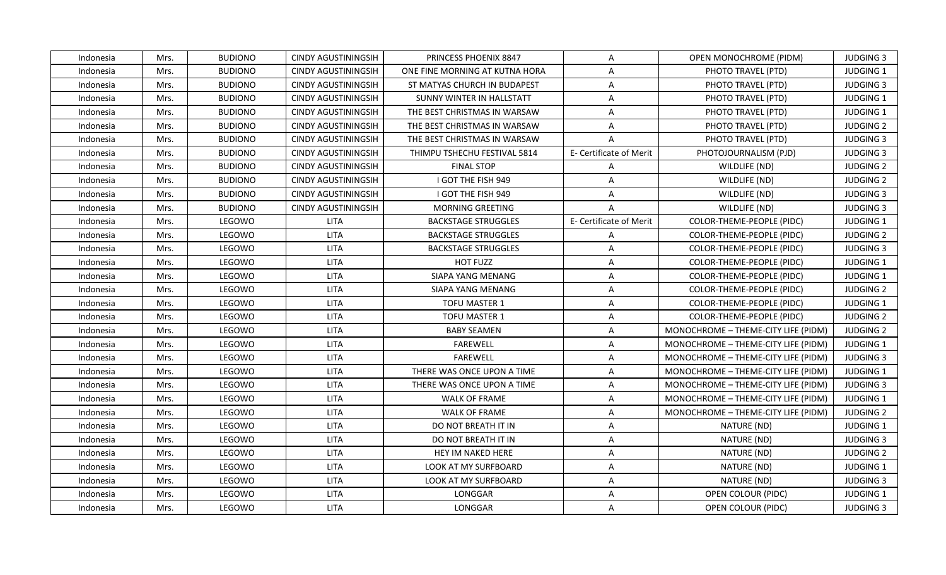| Indonesia | Mrs. | <b>BUDIONO</b> | CINDY AGUSTININGSIH        | PRINCESS PHOENIX 8847          | $\mathsf{A}$            | OPEN MONOCHROME (PIDM)              | <b>JUDGING 3</b> |
|-----------|------|----------------|----------------------------|--------------------------------|-------------------------|-------------------------------------|------------------|
| Indonesia | Mrs. | <b>BUDIONO</b> | <b>CINDY AGUSTININGSIH</b> | ONE FINE MORNING AT KUTNA HORA | $\overline{A}$          | PHOTO TRAVEL (PTD)                  | JUDGING 1        |
| Indonesia | Mrs. | <b>BUDIONO</b> | <b>CINDY AGUSTININGSIH</b> | ST MATYAS CHURCH IN BUDAPEST   | $\mathsf{A}$            | PHOTO TRAVEL (PTD)                  | <b>JUDGING 3</b> |
| Indonesia | Mrs. | <b>BUDIONO</b> | <b>CINDY AGUSTININGSIH</b> | SUNNY WINTER IN HALLSTATT      | $\mathsf{A}$            | PHOTO TRAVEL (PTD)                  | <b>JUDGING 1</b> |
| Indonesia | Mrs. | <b>BUDIONO</b> | <b>CINDY AGUSTININGSIH</b> | THE BEST CHRISTMAS IN WARSAW   | A                       | PHOTO TRAVEL (PTD)                  | <b>JUDGING 1</b> |
| Indonesia | Mrs. | <b>BUDIONO</b> | <b>CINDY AGUSTININGSIH</b> | THE BEST CHRISTMAS IN WARSAW   | A                       | PHOTO TRAVEL (PTD)                  | <b>JUDGING 2</b> |
| Indonesia | Mrs. | <b>BUDIONO</b> | <b>CINDY AGUSTININGSIH</b> | THE BEST CHRISTMAS IN WARSAW   | $\overline{A}$          | PHOTO TRAVEL (PTD)                  | <b>JUDGING 3</b> |
| Indonesia | Mrs. | <b>BUDIONO</b> | <b>CINDY AGUSTININGSIH</b> | THIMPU TSHECHU FESTIVAL 5814   | E- Certificate of Merit | PHOTOJOURNALISM (PJD)               | <b>JUDGING 3</b> |
| Indonesia | Mrs. | <b>BUDIONO</b> | <b>CINDY AGUSTININGSIH</b> | <b>FINAL STOP</b>              | $\mathsf{A}$            | WILDLIFE (ND)                       | <b>JUDGING 2</b> |
| Indonesia | Mrs. | <b>BUDIONO</b> | <b>CINDY AGUSTININGSIH</b> | I GOT THE FISH 949             | $\overline{A}$          | WILDLIFE (ND)                       | <b>JUDGING 2</b> |
| Indonesia | Mrs. | <b>BUDIONO</b> | <b>CINDY AGUSTININGSIH</b> | I GOT THE FISH 949             | $\mathsf{A}$            | WILDLIFE (ND)                       | <b>JUDGING 3</b> |
| Indonesia | Mrs. | <b>BUDIONO</b> | <b>CINDY AGUSTININGSIH</b> | MORNING GREETING               | $\mathsf{A}$            | WILDLIFE (ND)                       | <b>JUDGING 3</b> |
| Indonesia | Mrs. | LEGOWO         | <b>LITA</b>                | <b>BACKSTAGE STRUGGLES</b>     | E- Certificate of Merit | COLOR-THEME-PEOPLE (PIDC)           | JUDGING 1        |
| Indonesia | Mrs. | LEGOWO         | <b>LITA</b>                | <b>BACKSTAGE STRUGGLES</b>     | A                       | COLOR-THEME-PEOPLE (PIDC)           | <b>JUDGING 2</b> |
| Indonesia | Mrs. | LEGOWO         | <b>LITA</b>                | <b>BACKSTAGE STRUGGLES</b>     | A                       | COLOR-THEME-PEOPLE (PIDC)           | <b>JUDGING 3</b> |
| Indonesia | Mrs. | LEGOWO         | <b>LITA</b>                | HOT FUZZ                       | A                       | COLOR-THEME-PEOPLE (PIDC)           | JUDGING 1        |
| Indonesia | Mrs. | LEGOWO         | <b>LITA</b>                | SIAPA YANG MENANG              | $\mathsf{A}$            | COLOR-THEME-PEOPLE (PIDC)           | JUDGING 1        |
| Indonesia | Mrs. | LEGOWO         | LITA                       | <b>SIAPA YANG MENANG</b>       | $\mathsf{A}$            | COLOR-THEME-PEOPLE (PIDC)           | <b>JUDGING 2</b> |
| Indonesia | Mrs. | LEGOWO         | <b>LITA</b>                | <b>TOFU MASTER 1</b>           | A                       | COLOR-THEME-PEOPLE (PIDC)           | <b>JUDGING 1</b> |
| Indonesia | Mrs. | LEGOWO         | <b>LITA</b>                | TOFU MASTER 1                  | $\mathsf{A}$            | COLOR-THEME-PEOPLE (PIDC)           | <b>JUDGING 2</b> |
| Indonesia | Mrs. | LEGOWO         | <b>LITA</b>                | <b>BABY SEAMEN</b>             | A                       | MONOCHROME - THEME-CITY LIFE (PIDM) | <b>JUDGING 2</b> |
| Indonesia | Mrs. | LEGOWO         | <b>LITA</b>                | <b>FAREWELL</b>                | A                       | MONOCHROME - THEME-CITY LIFE (PIDM) | JUDGING 1        |
| Indonesia | Mrs. | LEGOWO         | <b>LITA</b>                | <b>FAREWELL</b>                | $\mathsf{A}$            | MONOCHROME - THEME-CITY LIFE (PIDM) | <b>JUDGING 3</b> |
| Indonesia | Mrs. | LEGOWO         | <b>LITA</b>                | THERE WAS ONCE UPON A TIME     | $\mathsf{A}$            | MONOCHROME - THEME-CITY LIFE (PIDM) | <b>JUDGING 1</b> |
| Indonesia | Mrs. | LEGOWO         | <b>LITA</b>                | THERE WAS ONCE UPON A TIME     | A                       | MONOCHROME - THEME-CITY LIFE (PIDM) | <b>JUDGING 3</b> |
| Indonesia | Mrs. | LEGOWO         | <b>LITA</b>                | WALK OF FRAME                  | $\overline{A}$          | MONOCHROME - THEME-CITY LIFE (PIDM) | JUDGING 1        |
| Indonesia | Mrs. | LEGOWO         | <b>LITA</b>                | WALK OF FRAME                  | $\mathsf{A}$            | MONOCHROME - THEME-CITY LIFE (PIDM) | <b>JUDGING 2</b> |
| Indonesia | Mrs. | LEGOWO         | LITA                       | DO NOT BREATH IT IN            | $\mathsf{A}$            | NATURE (ND)                         | JUDGING 1        |
| Indonesia | Mrs. | LEGOWO         | <b>LITA</b>                | DO NOT BREATH IT IN            | A                       | NATURE (ND)                         | <b>JUDGING 3</b> |
| Indonesia | Mrs. | LEGOWO         | <b>LITA</b>                | HEY IM NAKED HERE              | $\mathsf{A}$            | NATURE (ND)                         | <b>JUDGING 2</b> |
| Indonesia | Mrs. | LEGOWO         | <b>LITA</b>                | LOOK AT MY SURFBOARD           | $\mathsf{A}$            | NATURE (ND)                         | JUDGING 1        |
| Indonesia | Mrs. | LEGOWO         | <b>LITA</b>                | LOOK AT MY SURFBOARD           | A                       | NATURE (ND)                         | <b>JUDGING 3</b> |
| Indonesia | Mrs. | LEGOWO         | <b>LITA</b>                | LONGGAR                        | $\overline{A}$          | OPEN COLOUR (PIDC)                  | JUDGING 1        |
| Indonesia | Mrs. | LEGOWO         | LITA                       | LONGGAR                        | A                       | OPEN COLOUR (PIDC)                  | <b>JUDGING 3</b> |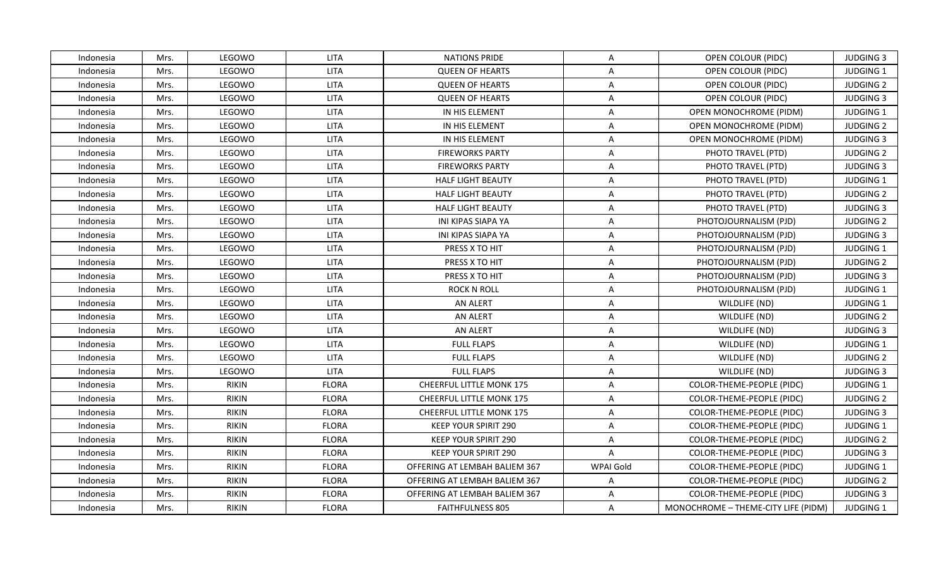| Indonesia | Mrs. | LEGOWO       | <b>LITA</b>  | <b>NATIONS PRIDE</b>            | A              | OPEN COLOUR (PIDC)                  | <b>JUDGING 3</b> |
|-----------|------|--------------|--------------|---------------------------------|----------------|-------------------------------------|------------------|
| Indonesia | Mrs. | LEGOWO       | <b>LITA</b>  | <b>QUEEN OF HEARTS</b>          | A              | OPEN COLOUR (PIDC)                  | JUDGING 1        |
| Indonesia | Mrs. | LEGOWO       | <b>LITA</b>  | <b>QUEEN OF HEARTS</b>          | $\mathsf{A}$   | OPEN COLOUR (PIDC)                  | <b>JUDGING 2</b> |
| Indonesia | Mrs. | LEGOWO       | <b>LITA</b>  | <b>QUEEN OF HEARTS</b>          | $\mathsf{A}$   | OPEN COLOUR (PIDC)                  | <b>JUDGING 3</b> |
| Indonesia | Mrs. | LEGOWO       | <b>LITA</b>  | IN HIS ELEMENT                  | A              | OPEN MONOCHROME (PIDM)              | JUDGING 1        |
| Indonesia | Mrs. | LEGOWO       | <b>LITA</b>  | IN HIS ELEMENT                  | A              | OPEN MONOCHROME (PIDM)              | <b>JUDGING 2</b> |
| Indonesia | Mrs. | LEGOWO       | <b>LITA</b>  | IN HIS ELEMENT                  | $\overline{A}$ | OPEN MONOCHROME (PIDM)              | <b>JUDGING 3</b> |
| Indonesia | Mrs. | LEGOWO       | <b>LITA</b>  | <b>FIREWORKS PARTY</b>          | A              | PHOTO TRAVEL (PTD)                  | <b>JUDGING 2</b> |
| Indonesia | Mrs. | LEGOWO       | <b>LITA</b>  | <b>FIREWORKS PARTY</b>          | $\overline{A}$ | PHOTO TRAVEL (PTD)                  | <b>JUDGING 3</b> |
| Indonesia | Mrs. | LEGOWO       | <b>LITA</b>  | <b>HALF LIGHT BEAUTY</b>        | $\overline{A}$ | PHOTO TRAVEL (PTD)                  | JUDGING 1        |
| Indonesia | Mrs. | LEGOWO       | <b>LITA</b>  | <b>HALF LIGHT BEAUTY</b>        | A              | PHOTO TRAVEL (PTD)                  | <b>JUDGING 2</b> |
| Indonesia | Mrs. | LEGOWO       | <b>LITA</b>  | <b>HALF LIGHT BEAUTY</b>        | A              | PHOTO TRAVEL (PTD)                  | <b>JUDGING 3</b> |
| Indonesia | Mrs. | LEGOWO       | <b>LITA</b>  | INI KIPAS SIAPA YA              | $\mathsf{A}$   | PHOTOJOURNALISM (PJD)               | <b>JUDGING 2</b> |
| Indonesia | Mrs. | LEGOWO       | <b>LITA</b>  | <b>INI KIPAS SIAPA YA</b>       | $\mathsf{A}$   | PHOTOJOURNALISM (PJD)               | <b>JUDGING 3</b> |
| Indonesia | Mrs. | LEGOWO       | <b>LITA</b>  | PRESS X TO HIT                  | A              | PHOTOJOURNALISM (PJD)               | JUDGING 1        |
| Indonesia | Mrs. | LEGOWO       | <b>LITA</b>  | PRESS X TO HIT                  | A              | PHOTOJOURNALISM (PJD)               | JUDGING 2        |
| Indonesia | Mrs. | LEGOWO       | <b>LITA</b>  | PRESS X TO HIT                  | A              | PHOTOJOURNALISM (PJD)               | <b>JUDGING 3</b> |
| Indonesia | Mrs. | LEGOWO       | <b>LITA</b>  | <b>ROCK N ROLL</b>              | $\mathsf{A}$   | PHOTOJOURNALISM (PJD)               | <b>JUDGING 1</b> |
| Indonesia | Mrs. | LEGOWO       | <b>LITA</b>  | AN ALERT                        | A              | WILDLIFE (ND)                       | JUDGING 1        |
| Indonesia | Mrs. | LEGOWO       | <b>LITA</b>  | AN ALERT                        | A              | WILDLIFE (ND)                       | <b>JUDGING 2</b> |
| Indonesia | Mrs. | LEGOWO       | <b>LITA</b>  | AN ALERT                        | $\mathsf{A}$   | WILDLIFE (ND)                       | <b>JUDGING 3</b> |
| Indonesia | Mrs. | LEGOWO       | <b>LITA</b>  | <b>FULL FLAPS</b>               | $\mathsf{A}$   | WILDLIFE (ND)                       | <b>JUDGING 1</b> |
| Indonesia | Mrs. | LEGOWO       | <b>LITA</b>  | <b>FULL FLAPS</b>               | $\mathsf{A}$   | WILDLIFE (ND)                       | <b>JUDGING 2</b> |
| Indonesia | Mrs. | LEGOWO       | <b>LITA</b>  | <b>FULL FLAPS</b>               | $\mathsf{A}$   | WILDLIFE (ND)                       | <b>JUDGING 3</b> |
| Indonesia | Mrs. | <b>RIKIN</b> | <b>FLORA</b> | <b>CHEERFUL LITTLE MONK 175</b> | $\mathsf{A}$   | COLOR-THEME-PEOPLE (PIDC)           | <b>JUDGING 1</b> |
| Indonesia | Mrs. | <b>RIKIN</b> | <b>FLORA</b> | <b>CHEERFUL LITTLE MONK 175</b> | A              | COLOR-THEME-PEOPLE (PIDC)           | <b>JUDGING 2</b> |
| Indonesia | Mrs. | <b>RIKIN</b> | <b>FLORA</b> | <b>CHEERFUL LITTLE MONK 175</b> | $\mathsf{A}$   | COLOR-THEME-PEOPLE (PIDC)           | <b>JUDGING 3</b> |
| Indonesia | Mrs. | <b>RIKIN</b> | <b>FLORA</b> | <b>KEEP YOUR SPIRIT 290</b>     | $\mathsf{A}$   | COLOR-THEME-PEOPLE (PIDC)           | JUDGING 1        |
| Indonesia | Mrs. | <b>RIKIN</b> | <b>FLORA</b> | KEEP YOUR SPIRIT 290            | A              | COLOR-THEME-PEOPLE (PIDC)           | <b>JUDGING 2</b> |
| Indonesia | Mrs. | <b>RIKIN</b> | <b>FLORA</b> | <b>KEEP YOUR SPIRIT 290</b>     | $\mathsf{A}$   | COLOR-THEME-PEOPLE (PIDC)           | <b>JUDGING 3</b> |
| Indonesia | Mrs. | <b>RIKIN</b> | <b>FLORA</b> | OFFERING AT LEMBAH BALIEM 367   | WPAI Gold      | COLOR-THEME-PEOPLE (PIDC)           | <b>JUDGING 1</b> |
| Indonesia | Mrs. | <b>RIKIN</b> | <b>FLORA</b> | OFFERING AT LEMBAH BALIEM 367   | $\mathsf{A}$   | COLOR-THEME-PEOPLE (PIDC)           | <b>JUDGING 2</b> |
| Indonesia | Mrs. | <b>RIKIN</b> | <b>FLORA</b> | OFFERING AT LEMBAH BALIEM 367   | $\overline{A}$ | COLOR-THEME-PEOPLE (PIDC)           | <b>JUDGING 3</b> |
| Indonesia | Mrs. | RIKIN        | <b>FLORA</b> | <b>FAITHFULNESS 805</b>         | $\mathsf{A}$   | MONOCHROME - THEME-CITY LIFE (PIDM) | <b>JUDGING 1</b> |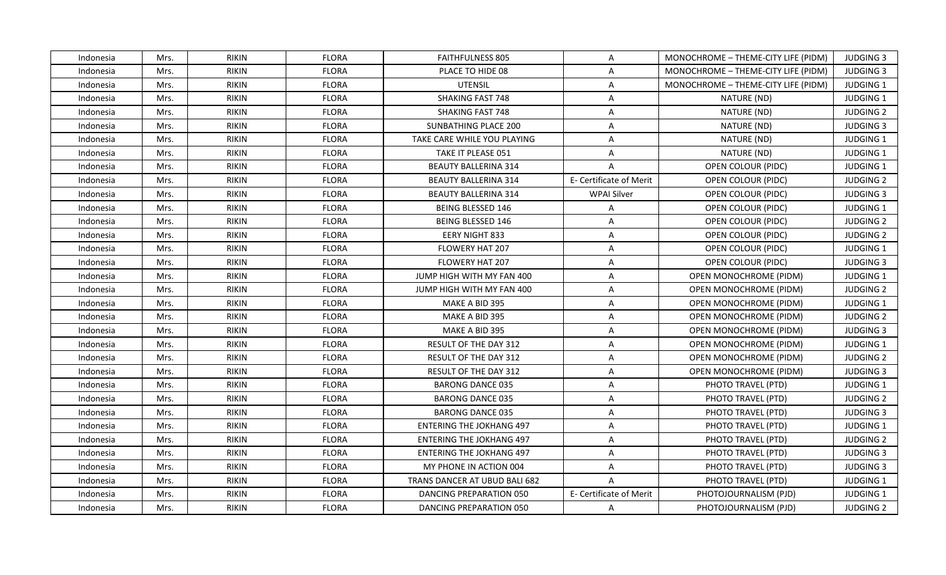| Indonesia | Mrs. | <b>RIKIN</b> | <b>FLORA</b> | <b>FAITHFULNESS 805</b>         | A                       | MONOCHROME - THEME-CITY LIFE (PIDM) | <b>JUDGING 3</b> |
|-----------|------|--------------|--------------|---------------------------------|-------------------------|-------------------------------------|------------------|
| Indonesia | Mrs. | <b>RIKIN</b> | <b>FLORA</b> | PLACE TO HIDE 08                | $\overline{A}$          | MONOCHROME - THEME-CITY LIFE (PIDM) | <b>JUDGING 3</b> |
| Indonesia | Mrs. | <b>RIKIN</b> | <b>FLORA</b> | UTENSIL                         | $\mathsf{A}$            | MONOCHROME - THEME-CITY LIFE (PIDM) | JUDGING 1        |
| Indonesia | Mrs. | <b>RIKIN</b> | <b>FLORA</b> | <b>SHAKING FAST 748</b>         | A                       | NATURE (ND)                         | JUDGING 1        |
| Indonesia | Mrs. | <b>RIKIN</b> | <b>FLORA</b> | <b>SHAKING FAST 748</b>         | A                       | NATURE (ND)                         | <b>JUDGING 2</b> |
| Indonesia | Mrs. | <b>RIKIN</b> | <b>FLORA</b> | SUNBATHING PLACE 200            | A                       | NATURE (ND)                         | <b>JUDGING 3</b> |
| Indonesia | Mrs. | <b>RIKIN</b> | <b>FLORA</b> | TAKE CARE WHILE YOU PLAYING     | $\mathsf{A}$            | NATURE (ND)                         | JUDGING 1        |
| Indonesia | Mrs. | <b>RIKIN</b> | <b>FLORA</b> | TAKE IT PLEASE 051              | $\mathsf{A}$            | NATURE (ND)                         | <b>JUDGING 1</b> |
| Indonesia | Mrs. | <b>RIKIN</b> | <b>FLORA</b> | <b>BEAUTY BALLERINA 314</b>     | $\overline{A}$          | OPEN COLOUR (PIDC)                  | JUDGING 1        |
| Indonesia | Mrs. | <b>RIKIN</b> | <b>FLORA</b> | <b>BEAUTY BALLERINA 314</b>     | E- Certificate of Merit | OPEN COLOUR (PIDC)                  | <b>JUDGING 2</b> |
| Indonesia | Mrs. | <b>RIKIN</b> | <b>FLORA</b> | <b>BEAUTY BALLERINA 314</b>     | <b>WPAI Silver</b>      | OPEN COLOUR (PIDC)                  | <b>JUDGING 3</b> |
| Indonesia | Mrs. | <b>RIKIN</b> | <b>FLORA</b> | <b>BEING BLESSED 146</b>        | A                       | OPEN COLOUR (PIDC)                  | JUDGING 1        |
| Indonesia | Mrs. | <b>RIKIN</b> | <b>FLORA</b> | <b>BEING BLESSED 146</b>        | $\mathsf{A}$            | OPEN COLOUR (PIDC)                  | <b>JUDGING 2</b> |
| Indonesia | Mrs. | <b>RIKIN</b> | <b>FLORA</b> | EERY NIGHT 833                  | $\mathsf{A}$            | OPEN COLOUR (PIDC)                  | <b>JUDGING 2</b> |
| Indonesia | Mrs. | <b>RIKIN</b> | <b>FLORA</b> | FLOWERY HAT 207                 | A                       | OPEN COLOUR (PIDC)                  | JUDGING 1        |
| Indonesia | Mrs. | <b>RIKIN</b> | <b>FLORA</b> | <b>FLOWERY HAT 207</b>          | A                       | OPEN COLOUR (PIDC)                  | <b>JUDGING 3</b> |
| Indonesia | Mrs. | <b>RIKIN</b> | <b>FLORA</b> | JUMP HIGH WITH MY FAN 400       | $\overline{A}$          | OPEN MONOCHROME (PIDM)              | JUDGING 1        |
| Indonesia | Mrs. | <b>RIKIN</b> | <b>FLORA</b> | JUMP HIGH WITH MY FAN 400       | $\mathsf{A}$            | OPEN MONOCHROME (PIDM)              | <b>JUDGING 2</b> |
| Indonesia | Mrs. | <b>RIKIN</b> | <b>FLORA</b> | MAKE A BID 395                  | A                       | OPEN MONOCHROME (PIDM)              | <b>JUDGING 1</b> |
| Indonesia | Mrs. | <b>RIKIN</b> | <b>FLORA</b> | MAKE A BID 395                  | $\overline{A}$          | <b>OPEN MONOCHROME (PIDM)</b>       | <b>JUDGING 2</b> |
| Indonesia | Mrs. | <b>RIKIN</b> | <b>FLORA</b> | MAKE A BID 395                  | $\mathsf{A}$            | OPEN MONOCHROME (PIDM)              | <b>JUDGING 3</b> |
| Indonesia | Mrs. | <b>RIKIN</b> | <b>FLORA</b> | RESULT OF THE DAY 312           | A                       | <b>OPEN MONOCHROME (PIDM)</b>       | JUDGING 1        |
| Indonesia | Mrs. | <b>RIKIN</b> | <b>FLORA</b> | RESULT OF THE DAY 312           | $\mathsf{A}$            | OPEN MONOCHROME (PIDM)              | <b>JUDGING 2</b> |
| Indonesia | Mrs. | <b>RIKIN</b> | <b>FLORA</b> | RESULT OF THE DAY 312           | $\mathsf{A}$            | <b>OPEN MONOCHROME (PIDM)</b>       | <b>JUDGING 3</b> |
| Indonesia | Mrs. | <b>RIKIN</b> | <b>FLORA</b> | <b>BARONG DANCE 035</b>         | A                       | PHOTO TRAVEL (PTD)                  | JUDGING 1        |
| Indonesia | Mrs. | <b>RIKIN</b> | <b>FLORA</b> | <b>BARONG DANCE 035</b>         | $\overline{A}$          | PHOTO TRAVEL (PTD)                  | <b>JUDGING 2</b> |
| Indonesia | Mrs. | <b>RIKIN</b> | <b>FLORA</b> | <b>BARONG DANCE 035</b>         | $\mathsf{A}$            | PHOTO TRAVEL (PTD)                  | <b>JUDGING 3</b> |
| Indonesia | Mrs. | <b>RIKIN</b> | <b>FLORA</b> | <b>ENTERING THE JOKHANG 497</b> | $\mathsf{A}$            | PHOTO TRAVEL (PTD)                  | <b>JUDGING 1</b> |
| Indonesia | Mrs. | <b>RIKIN</b> | <b>FLORA</b> | <b>ENTERING THE JOKHANG 497</b> | A                       | PHOTO TRAVEL (PTD)                  | <b>JUDGING 2</b> |
| Indonesia | Mrs. | <b>RIKIN</b> | <b>FLORA</b> | <b>ENTERING THE JOKHANG 497</b> | $\mathsf{A}$            | PHOTO TRAVEL (PTD)                  | <b>JUDGING 3</b> |
| Indonesia | Mrs. | <b>RIKIN</b> | <b>FLORA</b> | MY PHONE IN ACTION 004          | $\mathsf{A}$            | PHOTO TRAVEL (PTD)                  | <b>JUDGING 3</b> |
| Indonesia | Mrs. | <b>RIKIN</b> | <b>FLORA</b> | TRANS DANCER AT UBUD BALI 682   | $\mathsf{A}$            | PHOTO TRAVEL (PTD)                  | <b>JUDGING 1</b> |
| Indonesia | Mrs. | <b>RIKIN</b> | <b>FLORA</b> | DANCING PREPARATION 050         | E- Certificate of Merit | PHOTOJOURNALISM (PJD)               | JUDGING 1        |
| Indonesia | Mrs. | RIKIN        | <b>FLORA</b> | DANCING PREPARATION 050         | $\mathsf{A}$            | PHOTOJOURNALISM (PJD)               | <b>JUDGING 2</b> |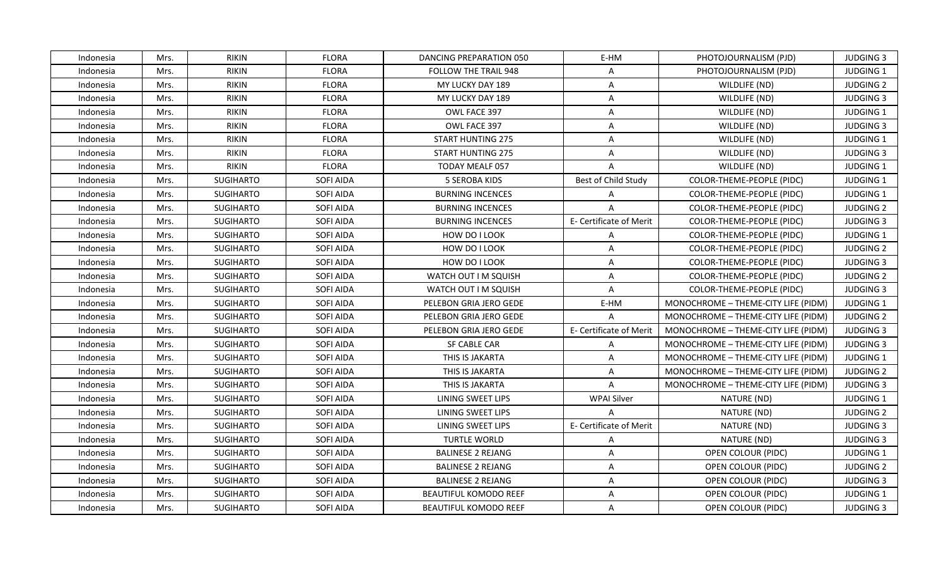| Indonesia | Mrs. | <b>RIKIN</b>     | <b>FLORA</b>     | DANCING PREPARATION 050      | E-HM                    | PHOTOJOURNALISM (PJD)               | <b>JUDGING 3</b> |
|-----------|------|------------------|------------------|------------------------------|-------------------------|-------------------------------------|------------------|
| Indonesia | Mrs. | <b>RIKIN</b>     | <b>FLORA</b>     | FOLLOW THE TRAIL 948         | $\mathsf{A}$            | PHOTOJOURNALISM (PJD)               | JUDGING 1        |
| Indonesia | Mrs. | <b>RIKIN</b>     | <b>FLORA</b>     | MY LUCKY DAY 189             | $\mathsf{A}$            | WILDLIFE (ND)                       | <b>JUDGING 2</b> |
| Indonesia | Mrs. | <b>RIKIN</b>     | <b>FLORA</b>     | MY LUCKY DAY 189             | $\mathsf{A}$            | WILDLIFE (ND)                       | <b>JUDGING 3</b> |
| Indonesia | Mrs. | <b>RIKIN</b>     | <b>FLORA</b>     | OWL FACE 397                 | A                       | WILDLIFE (ND)                       | <b>JUDGING 1</b> |
| Indonesia | Mrs. | <b>RIKIN</b>     | <b>FLORA</b>     | OWL FACE 397                 | A                       | WILDLIFE (ND)                       | <b>JUDGING 3</b> |
| Indonesia | Mrs. | <b>RIKIN</b>     | <b>FLORA</b>     | <b>START HUNTING 275</b>     | A                       | WILDLIFE (ND)                       | JUDGING 1        |
| Indonesia | Mrs. | <b>RIKIN</b>     | <b>FLORA</b>     | <b>START HUNTING 275</b>     | $\mathsf{A}$            | WILDLIFE (ND)                       | <b>JUDGING 3</b> |
| Indonesia | Mrs. | <b>RIKIN</b>     | <b>FLORA</b>     | <b>TODAY MEALF 057</b>       | $\overline{A}$          | WILDLIFE (ND)                       | JUDGING 1        |
| Indonesia | Mrs. | <b>SUGIHARTO</b> | SOFI AIDA        | <b>5 SEROBA KIDS</b>         | Best of Child Study     | COLOR-THEME-PEOPLE (PIDC)           | <b>JUDGING 1</b> |
| Indonesia | Mrs. | <b>SUGIHARTO</b> | SOFI AIDA        | <b>BURNING INCENCES</b>      | A                       | <b>COLOR-THEME-PEOPLE (PIDC)</b>    | JUDGING 1        |
| Indonesia | Mrs. | <b>SUGIHARTO</b> | SOFI AIDA        | <b>BURNING INCENCES</b>      | $\mathsf{A}$            | COLOR-THEME-PEOPLE (PIDC)           | <b>JUDGING 2</b> |
| Indonesia | Mrs. | <b>SUGIHARTO</b> | <b>SOFI AIDA</b> | <b>BURNING INCENCES</b>      | E- Certificate of Merit | COLOR-THEME-PEOPLE (PIDC)           | <b>JUDGING 3</b> |
| Indonesia | Mrs. | <b>SUGIHARTO</b> | SOFI AIDA        | HOW DO I LOOK                | A                       | COLOR-THEME-PEOPLE (PIDC)           | JUDGING 1        |
| Indonesia | Mrs. | <b>SUGIHARTO</b> | SOFI AIDA        | HOW DO I LOOK                | A                       | COLOR-THEME-PEOPLE (PIDC)           | <b>JUDGING 2</b> |
| Indonesia | Mrs. | <b>SUGIHARTO</b> | SOFI AIDA        | HOW DO I LOOK                | A                       | COLOR-THEME-PEOPLE (PIDC)           | <b>JUDGING 3</b> |
| Indonesia | Mrs. | <b>SUGIHARTO</b> | SOFI AIDA        | WATCH OUT I M SQUISH         | $\mathsf{A}$            | COLOR-THEME-PEOPLE (PIDC)           | <b>JUDGING 2</b> |
| Indonesia | Mrs. | <b>SUGIHARTO</b> | SOFI AIDA        | WATCH OUT I M SQUISH         | $\mathsf{A}$            | COLOR-THEME-PEOPLE (PIDC)           | <b>JUDGING 3</b> |
| Indonesia | Mrs. | <b>SUGIHARTO</b> | SOFI AIDA        | PELEBON GRIA JERO GEDE       | E-HM                    | MONOCHROME - THEME-CITY LIFE (PIDM) | <b>JUDGING 1</b> |
| Indonesia | Mrs. | <b>SUGIHARTO</b> | SOFI AIDA        | PELEBON GRIA JERO GEDE       | $\overline{A}$          | MONOCHROME - THEME-CITY LIFE (PIDM) | <b>JUDGING 2</b> |
| Indonesia | Mrs. | SUGIHARTO        | SOFI AIDA        | PELEBON GRIA JERO GEDE       | E- Certificate of Merit | MONOCHROME - THEME-CITY LIFE (PIDM) | <b>JUDGING 3</b> |
| Indonesia | Mrs. | <b>SUGIHARTO</b> | SOFI AIDA        | <b>SF CABLE CAR</b>          | $\overline{A}$          | MONOCHROME - THEME-CITY LIFE (PIDM) | <b>JUDGING 3</b> |
| Indonesia | Mrs. | <b>SUGIHARTO</b> | SOFI AIDA        | THIS IS JAKARTA              | $\mathsf{A}$            | MONOCHROME - THEME-CITY LIFE (PIDM) | JUDGING 1        |
| Indonesia | Mrs. | <b>SUGIHARTO</b> | SOFI AIDA        | THIS IS JAKARTA              | $\mathsf{A}$            | MONOCHROME - THEME-CITY LIFE (PIDM) | <b>JUDGING 2</b> |
| Indonesia | Mrs. | <b>SUGIHARTO</b> | SOFI AIDA        | THIS IS JAKARTA              | A                       | MONOCHROME - THEME-CITY LIFE (PIDM) | <b>JUDGING 3</b> |
| Indonesia | Mrs. | <b>SUGIHARTO</b> | SOFI AIDA        | LINING SWEET LIPS            | <b>WPAI Silver</b>      | NATURE (ND)                         | JUDGING 1        |
| Indonesia | Mrs. | <b>SUGIHARTO</b> | SOFI AIDA        | LINING SWEET LIPS            | $\mathsf{A}$            | NATURE (ND)                         | <b>JUDGING 2</b> |
| Indonesia | Mrs. | <b>SUGIHARTO</b> | SOFI AIDA        | LINING SWEET LIPS            | E- Certificate of Merit | NATURE (ND)                         | <b>JUDGING 3</b> |
| Indonesia | Mrs. | <b>SUGIHARTO</b> | SOFI AIDA        | <b>TURTLE WORLD</b>          | $\mathsf{A}$            | NATURE (ND)                         | <b>JUDGING 3</b> |
| Indonesia | Mrs. | <b>SUGIHARTO</b> | SOFI AIDA        | <b>BALINESE 2 REJANG</b>     | $\mathsf{A}$            | OPEN COLOUR (PIDC)                  | JUDGING 1        |
| Indonesia | Mrs. | <b>SUGIHARTO</b> | SOFI AIDA        | <b>BALINESE 2 REJANG</b>     | $\mathsf{A}$            | OPEN COLOUR (PIDC)                  | <b>JUDGING 2</b> |
| Indonesia | Mrs. | SUGIHARTO        | SOFI AIDA        | <b>BALINESE 2 REJANG</b>     | A                       | OPEN COLOUR (PIDC)                  | <b>JUDGING 3</b> |
| Indonesia | Mrs. | <b>SUGIHARTO</b> | SOFI AIDA        | <b>BEAUTIFUL KOMODO REEF</b> | $\overline{A}$          | OPEN COLOUR (PIDC)                  | JUDGING 1        |
| Indonesia | Mrs. | <b>SUGIHARTO</b> | SOFI AIDA        | <b>BEAUTIFUL KOMODO REEF</b> | A                       | OPEN COLOUR (PIDC)                  | <b>JUDGING 3</b> |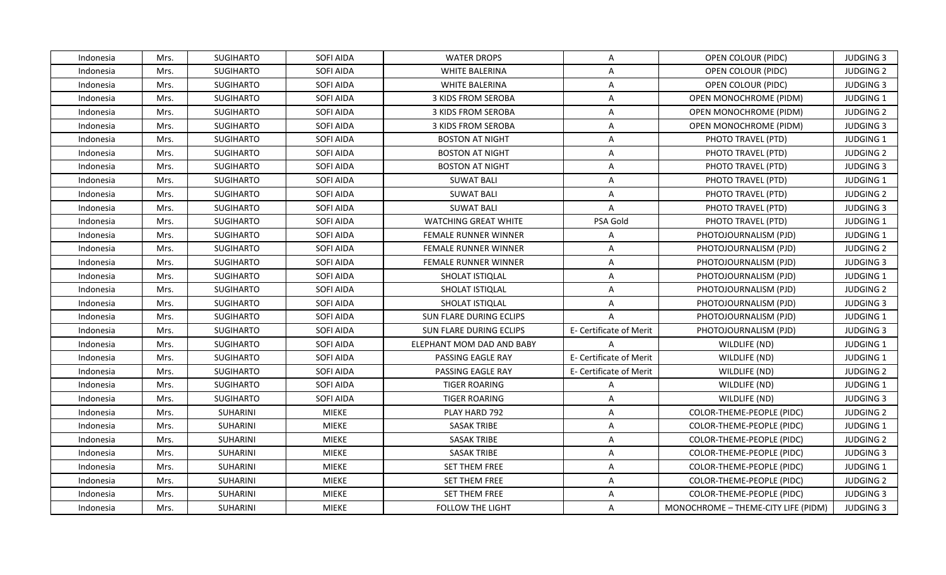| Indonesia | Mrs. | <b>SUGIHARTO</b> | SOFI AIDA        | <b>WATER DROPS</b>          | $\mathsf{A}$            | OPEN COLOUR (PIDC)                  | <b>JUDGING 3</b> |
|-----------|------|------------------|------------------|-----------------------------|-------------------------|-------------------------------------|------------------|
| Indonesia | Mrs. | <b>SUGIHARTO</b> | SOFI AIDA        | <b>WHITE BALERINA</b>       | $\mathsf{A}$            | OPEN COLOUR (PIDC)                  | <b>JUDGING 2</b> |
| Indonesia | Mrs. | <b>SUGIHARTO</b> | SOFI AIDA        | <b>WHITE BALERINA</b>       | $\mathsf{A}$            | OPEN COLOUR (PIDC)                  | <b>JUDGING 3</b> |
| Indonesia | Mrs. | <b>SUGIHARTO</b> | SOFI AIDA        | <b>3 KIDS FROM SEROBA</b>   | $\mathsf{A}$            | <b>OPEN MONOCHROME (PIDM)</b>       | <b>JUDGING 1</b> |
| Indonesia | Mrs. | <b>SUGIHARTO</b> | SOFI AIDA        | <b>3 KIDS FROM SEROBA</b>   | A                       | OPEN MONOCHROME (PIDM)              | <b>JUDGING 2</b> |
| Indonesia | Mrs. | <b>SUGIHARTO</b> | SOFI AIDA        | 3 KIDS FROM SEROBA          | $\mathsf{A}$            | OPEN MONOCHROME (PIDM)              | <b>JUDGING 3</b> |
| Indonesia | Mrs. | <b>SUGIHARTO</b> | SOFI AIDA        | <b>BOSTON AT NIGHT</b>      | $\mathsf{A}$            | PHOTO TRAVEL (PTD)                  | JUDGING 1        |
| Indonesia | Mrs. | <b>SUGIHARTO</b> | SOFI AIDA        | <b>BOSTON AT NIGHT</b>      | $\overline{A}$          | PHOTO TRAVEL (PTD)                  | <b>JUDGING 2</b> |
| Indonesia | Mrs. | <b>SUGIHARTO</b> | SOFI AIDA        | <b>BOSTON AT NIGHT</b>      | $\mathsf{A}$            | PHOTO TRAVEL (PTD)                  | <b>JUDGING 3</b> |
| Indonesia | Mrs. | SUGIHARTO        | SOFI AIDA        | <b>SUWAT BALI</b>           | A                       | PHOTO TRAVEL (PTD)                  | JUDGING 1        |
| Indonesia | Mrs. | <b>SUGIHARTO</b> | SOFI AIDA        | <b>SUWAT BALI</b>           | $\mathsf{A}$            | PHOTO TRAVEL (PTD)                  | <b>JUDGING 2</b> |
| Indonesia | Mrs. | <b>SUGIHARTO</b> | SOFI AIDA        | <b>SUWAT BALI</b>           | $\mathsf{A}$            | PHOTO TRAVEL (PTD)                  | <b>JUDGING 3</b> |
| Indonesia | Mrs. | <b>SUGIHARTO</b> | SOFI AIDA        | <b>WATCHING GREAT WHITE</b> | PSA Gold                | PHOTO TRAVEL (PTD)                  | <b>JUDGING 1</b> |
| Indonesia | Mrs. | <b>SUGIHARTO</b> | SOFI AIDA        | <b>FEMALE RUNNER WINNER</b> | $\mathsf{A}$            | PHOTOJOURNALISM (PJD)               | <b>JUDGING 1</b> |
| Indonesia | Mrs. | SUGIHARTO        | SOFI AIDA        | <b>FEMALE RUNNER WINNER</b> | $\mathsf{A}$            | PHOTOJOURNALISM (PJD)               | <b>JUDGING 2</b> |
| Indonesia | Mrs. | <b>SUGIHARTO</b> | SOFI AIDA        | FEMALE RUNNER WINNER        | $\mathsf{A}$            | PHOTOJOURNALISM (PJD)               | <b>JUDGING 3</b> |
| Indonesia | Mrs. | <b>SUGIHARTO</b> | SOFI AIDA        | SHOLAT ISTIQLAL             | A                       | PHOTOJOURNALISM (PJD)               | <b>JUDGING 1</b> |
| Indonesia | Mrs. | <b>SUGIHARTO</b> | <b>SOFI AIDA</b> | SHOLAT ISTIQLAL             | A                       | PHOTOJOURNALISM (PJD)               | <b>JUDGING 2</b> |
| Indonesia | Mrs. | <b>SUGIHARTO</b> | SOFI AIDA        | SHOLAT ISTIQLAL             | A                       | PHOTOJOURNALISM (PJD)               | <b>JUDGING 3</b> |
| Indonesia | Mrs. | <b>SUGIHARTO</b> | SOFI AIDA        | SUN FLARE DURING ECLIPS     | $\mathsf{A}$            | PHOTOJOURNALISM (PJD)               | <b>JUDGING 1</b> |
| Indonesia | Mrs. | <b>SUGIHARTO</b> | SOFI AIDA        | SUN FLARE DURING ECLIPS     | E- Certificate of Merit | PHOTOJOURNALISM (PJD)               | <b>JUDGING 3</b> |
| Indonesia | Mrs. | <b>SUGIHARTO</b> | SOFI AIDA        | ELEPHANT MOM DAD AND BABY   | A                       | WILDLIFE (ND)                       | JUDGING 1        |
| Indonesia | Mrs. | <b>SUGIHARTO</b> | SOFI AIDA        | PASSING EAGLE RAY           | E- Certificate of Merit | WILDLIFE (ND)                       | JUDGING 1        |
| Indonesia | Mrs. | <b>SUGIHARTO</b> | SOFI AIDA        | PASSING EAGLE RAY           | E- Certificate of Merit | WILDLIFE (ND)                       | <b>JUDGING 2</b> |
| Indonesia | Mrs. | <b>SUGIHARTO</b> | SOFI AIDA        | <b>TIGER ROARING</b>        | $\mathsf{A}$            | WILDLIFE (ND)                       | JUDGING 1        |
| Indonesia | Mrs. | <b>SUGIHARTO</b> | SOFI AIDA        | <b>TIGER ROARING</b>        | A                       | WILDLIFE (ND)                       | <b>JUDGING 3</b> |
| Indonesia | Mrs. | SUHARINI         | <b>MIEKE</b>     | PLAY HARD 792               | A                       | COLOR-THEME-PEOPLE (PIDC)           | <b>JUDGING 2</b> |
| Indonesia | Mrs. | SUHARINI         | <b>MIEKE</b>     | <b>SASAK TRIBE</b>          | $\mathsf{A}$            | COLOR-THEME-PEOPLE (PIDC)           | JUDGING 1        |
| Indonesia | Mrs. | SUHARINI         | <b>MIEKE</b>     | <b>SASAK TRIBE</b>          | $\mathsf{A}$            | COLOR-THEME-PEOPLE (PIDC)           | <b>JUDGING 2</b> |
| Indonesia | Mrs. | SUHARINI         | <b>MIEKE</b>     | <b>SASAK TRIBE</b>          | $\mathsf{A}$            | COLOR-THEME-PEOPLE (PIDC)           | <b>JUDGING 3</b> |
| Indonesia | Mrs. | SUHARINI         | <b>MIEKE</b>     | SET THEM FREE               | $\mathsf{A}$            | COLOR-THEME-PEOPLE (PIDC)           | JUDGING 1        |
| Indonesia | Mrs. | SUHARINI         | <b>MIEKE</b>     | SET THEM FREE               | A                       | COLOR-THEME-PEOPLE (PIDC)           | <b>JUDGING 2</b> |
| Indonesia | Mrs. | SUHARINI         | MIEKE            | SET THEM FREE               | $\mathsf{A}$            | COLOR-THEME-PEOPLE (PIDC)           | <b>JUDGING 3</b> |
| Indonesia | Mrs. | <b>SUHARINI</b>  | <b>MIEKE</b>     | <b>FOLLOW THE LIGHT</b>     | $\mathsf{A}$            | MONOCHROME - THEME-CITY LIFE (PIDM) | <b>JUDGING 3</b> |
|           |      |                  |                  |                             |                         |                                     |                  |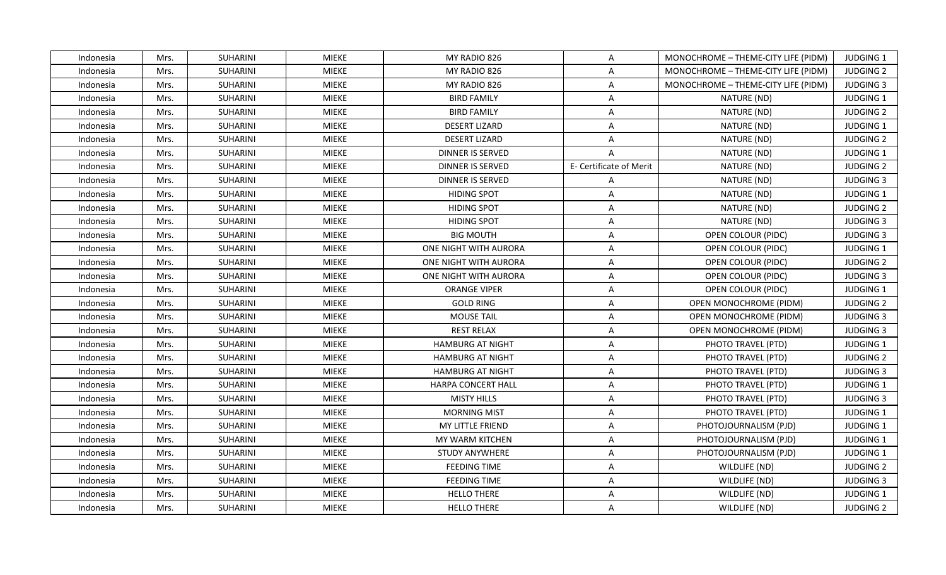| Indonesia | Mrs. | SUHARINI        | MIEKE        | MY RADIO 826              | $\mathsf{A}$            | MONOCHROME - THEME-CITY LIFE (PIDM) | <b>JUDGING 1</b> |
|-----------|------|-----------------|--------------|---------------------------|-------------------------|-------------------------------------|------------------|
| Indonesia | Mrs. | SUHARINI        | <b>MIEKE</b> | MY RADIO 826              | $\overline{A}$          | MONOCHROME - THEME-CITY LIFE (PIDM) | <b>JUDGING 2</b> |
| Indonesia | Mrs. | SUHARINI        | <b>MIEKE</b> | MY RADIO 826              | $\mathsf{A}$            | MONOCHROME - THEME-CITY LIFE (PIDM) | <b>JUDGING 3</b> |
| Indonesia | Mrs. | SUHARINI        | <b>MIEKE</b> | <b>BIRD FAMILY</b>        | A                       | NATURE (ND)                         | JUDGING 1        |
| Indonesia | Mrs. | SUHARINI        | MIEKE        | <b>BIRD FAMILY</b>        | A                       | NATURE (ND)                         | <b>JUDGING 2</b> |
| Indonesia | Mrs. | <b>SUHARINI</b> | <b>MIEKE</b> | <b>DESERT LIZARD</b>      | A                       | NATURE (ND)                         | JUDGING 1        |
| Indonesia | Mrs. | SUHARINI        | <b>MIEKE</b> | <b>DESERT LIZARD</b>      | $\mathsf{A}$            | NATURE (ND)                         | <b>JUDGING 2</b> |
| Indonesia | Mrs. | SUHARINI        | <b>MIEKE</b> | <b>DINNER IS SERVED</b>   | $\overline{A}$          | NATURE (ND)                         | JUDGING 1        |
| Indonesia | Mrs. | SUHARINI        | <b>MIEKE</b> | <b>DINNER IS SERVED</b>   | E- Certificate of Merit | NATURE (ND)                         | <b>JUDGING 2</b> |
| Indonesia | Mrs. | SUHARINI        | <b>MIEKE</b> | <b>DINNER IS SERVED</b>   | $\overline{A}$          | NATURE (ND)                         | <b>JUDGING 3</b> |
| Indonesia | Mrs. | SUHARINI        | <b>MIEKE</b> | <b>HIDING SPOT</b>        | $\mathsf{A}$            | NATURE (ND)                         | JUDGING 1        |
| Indonesia | Mrs. | SUHARINI        | <b>MIEKE</b> | <b>HIDING SPOT</b>        | $\mathsf{A}$            | NATURE (ND)                         | <b>JUDGING 2</b> |
| Indonesia | Mrs. | SUHARINI        | <b>MIEKE</b> | <b>HIDING SPOT</b>        | $\mathsf{A}$            | NATURE (ND)                         | <b>JUDGING 3</b> |
| Indonesia | Mrs. | SUHARINI        | <b>MIEKE</b> | <b>BIG MOUTH</b>          | A                       | OPEN COLOUR (PIDC)                  | <b>JUDGING 3</b> |
| Indonesia | Mrs. | SUHARINI        | <b>MIEKE</b> | ONE NIGHT WITH AURORA     | A                       | OPEN COLOUR (PIDC)                  | JUDGING 1        |
| Indonesia | Mrs. | SUHARINI        | <b>MIEKE</b> | ONE NIGHT WITH AURORA     | A                       | OPEN COLOUR (PIDC)                  | <b>JUDGING 2</b> |
| Indonesia | Mrs. | <b>SUHARINI</b> | <b>MIEKE</b> | ONE NIGHT WITH AURORA     | $\mathsf{A}$            | OPEN COLOUR (PIDC)                  | <b>JUDGING 3</b> |
| Indonesia | Mrs. | SUHARINI        | <b>MIEKE</b> | <b>ORANGE VIPER</b>       | $\mathsf{A}$            | OPEN COLOUR (PIDC)                  | JUDGING 1        |
| Indonesia | Mrs. | SUHARINI        | <b>MIEKE</b> | <b>GOLD RING</b>          | A                       | OPEN MONOCHROME (PIDM)              | <b>JUDGING 2</b> |
| Indonesia | Mrs. | SUHARINI        | <b>MIEKE</b> | <b>MOUSE TAIL</b>         | $\overline{A}$          | <b>OPEN MONOCHROME (PIDM)</b>       | <b>JUDGING 3</b> |
| Indonesia | Mrs. | SUHARINI        | MIEKE        | <b>REST RELAX</b>         | A                       | OPEN MONOCHROME (PIDM)              | <b>JUDGING 3</b> |
| Indonesia | Mrs. | <b>SUHARINI</b> | <b>MIEKE</b> | <b>HAMBURG AT NIGHT</b>   | A                       | PHOTO TRAVEL (PTD)                  | JUDGING 1        |
| Indonesia | Mrs. | <b>SUHARINI</b> | <b>MIEKE</b> | <b>HAMBURG AT NIGHT</b>   | A                       | PHOTO TRAVEL (PTD)                  | <b>JUDGING 2</b> |
| Indonesia | Mrs. | SUHARINI        | <b>MIEKE</b> | <b>HAMBURG AT NIGHT</b>   | $\mathsf{A}$            | PHOTO TRAVEL (PTD)                  | <b>JUDGING 3</b> |
| Indonesia | Mrs. | SUHARINI        | <b>MIEKE</b> | <b>HARPA CONCERT HALL</b> | A                       | PHOTO TRAVEL (PTD)                  | JUDGING 1        |
| Indonesia | Mrs. | SUHARINI        | <b>MIEKE</b> | <b>MISTY HILLS</b>        | $\overline{A}$          | PHOTO TRAVEL (PTD)                  | <b>JUDGING 3</b> |
| Indonesia | Mrs. | <b>SUHARINI</b> | <b>MIEKE</b> | <b>MORNING MIST</b>       | $\mathsf{A}$            | PHOTO TRAVEL (PTD)                  | JUDGING 1        |
| Indonesia | Mrs. | <b>SUHARINI</b> | <b>MIEKE</b> | MY LITTLE FRIEND          | $\mathsf{A}$            | PHOTOJOURNALISM (PJD)               | JUDGING 1        |
| Indonesia | Mrs. | <b>SUHARINI</b> | <b>MIEKE</b> | MY WARM KITCHEN           | A                       | PHOTOJOURNALISM (PJD)               | <b>JUDGING 1</b> |
| Indonesia | Mrs. | SUHARINI        | <b>MIEKE</b> | STUDY ANYWHERE            | $\mathsf{A}$            | PHOTOJOURNALISM (PJD)               | <b>JUDGING 1</b> |
| Indonesia | Mrs. | SUHARINI        | <b>MIEKE</b> | <b>FEEDING TIME</b>       | $\mathsf{A}$            | WILDLIFE (ND)                       | <b>JUDGING 2</b> |
| Indonesia | Mrs. | SUHARINI        | <b>MIEKE</b> | <b>FEEDING TIME</b>       | A                       | WILDLIFE (ND)                       | <b>JUDGING 3</b> |
| Indonesia | Mrs. | SUHARINI        | <b>MIEKE</b> | <b>HELLO THERE</b>        | $\overline{A}$          | WILDLIFE (ND)                       | JUDGING 1        |
| Indonesia | Mrs. | <b>SUHARINI</b> | MIEKE        | <b>HELLO THERE</b>        | $\mathsf{A}$            | WILDLIFE (ND)                       | <b>JUDGING 2</b> |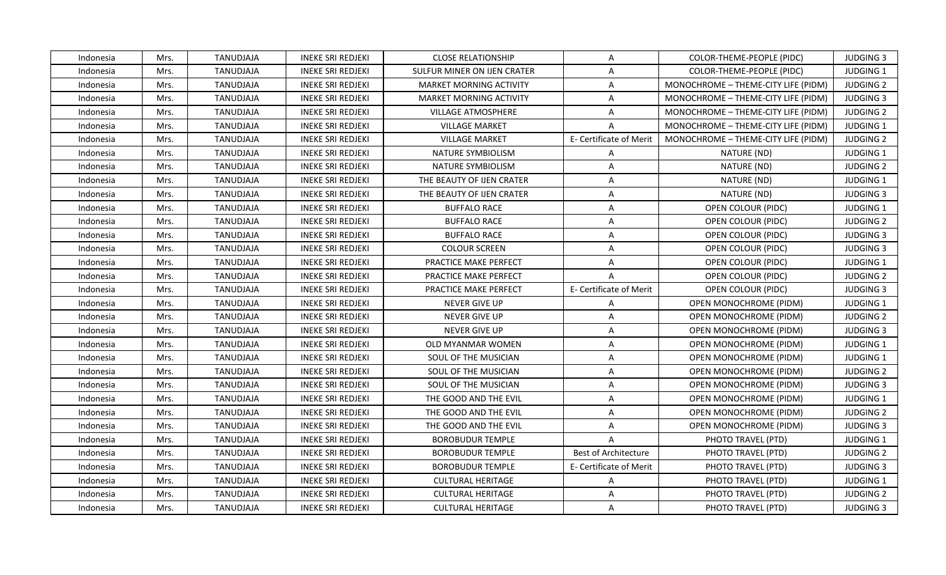| Indonesia | Mrs. | TANUDJAJA        | <b>INEKE SRI REDJEKI</b> | <b>CLOSE RELATIONSHIP</b>      | $\mathsf{A}$            | COLOR-THEME-PEOPLE (PIDC)           | <b>JUDGING 3</b> |
|-----------|------|------------------|--------------------------|--------------------------------|-------------------------|-------------------------------------|------------------|
| Indonesia | Mrs. | TANUDJAJA        | <b>INEKE SRI REDJEKI</b> | SULFUR MINER ON IJEN CRATER    | $\mathsf{A}$            | COLOR-THEME-PEOPLE (PIDC)           | JUDGING 1        |
| Indonesia | Mrs. | TANUDJAJA        | <b>INEKE SRI REDJEKI</b> | <b>MARKET MORNING ACTIVITY</b> | A                       | MONOCHROME - THEME-CITY LIFE (PIDM) | <b>JUDGING 2</b> |
| Indonesia | Mrs. | TANUDJAJA        | <b>INEKE SRI REDJEKI</b> | <b>MARKET MORNING ACTIVITY</b> | $\mathsf{A}$            | MONOCHROME - THEME-CITY LIFE (PIDM) | <b>JUDGING 3</b> |
| Indonesia | Mrs. | TANUDJAJA        | <b>INEKE SRI REDJEKI</b> | <b>VILLAGE ATMOSPHERE</b>      | $\overline{A}$          | MONOCHROME - THEME-CITY LIFE (PIDM) | <b>JUDGING 2</b> |
| Indonesia | Mrs. | TANUDJAJA        | <b>INEKE SRI REDJEKI</b> | <b>VILLAGE MARKET</b>          | $\mathsf{A}$            | MONOCHROME - THEME-CITY LIFE (PIDM) | <b>JUDGING 1</b> |
| Indonesia | Mrs. | TANUDJAJA        | <b>INEKE SRI REDJEKI</b> | <b>VILLAGE MARKET</b>          | E- Certificate of Merit | MONOCHROME - THEME-CITY LIFE (PIDM) | <b>JUDGING 2</b> |
| Indonesia | Mrs. | <b>TANUDJAJA</b> | <b>INEKE SRI REDJEKI</b> | NATURE SYMBIOLISM              | $\overline{A}$          | NATURE (ND)                         | <b>JUDGING 1</b> |
| Indonesia | Mrs. | TANUDJAJA        | <b>INEKE SRI REDJEKI</b> | NATURE SYMBIOLISM              | $\mathsf{A}$            | NATURE (ND)                         | <b>JUDGING 2</b> |
| Indonesia | Mrs. | TANUDJAJA        | <b>INEKE SRI REDJEKI</b> | THE BEAUTY OF IJEN CRATER      | $\mathsf{A}$            | NATURE (ND)                         | JUDGING 1        |
| Indonesia | Mrs. | TANUDJAJA        | INEKE SRI REDJEKI        | THE BEAUTY OF IJEN CRATER      | $\mathsf{A}$            | NATURE (ND)                         | <b>JUDGING 3</b> |
| Indonesia | Mrs. | TANUDJAJA        | <b>INEKE SRI REDJEKI</b> | <b>BUFFALO RACE</b>            | $\mathsf{A}$            | OPEN COLOUR (PIDC)                  | JUDGING 1        |
| Indonesia | Mrs. | TANUDJAJA        | <b>INEKE SRI REDJEKI</b> | <b>BUFFALO RACE</b>            | A                       | OPEN COLOUR (PIDC)                  | <b>JUDGING 2</b> |
| Indonesia | Mrs. | TANUDJAJA        | <b>INEKE SRI REDJEKI</b> | <b>BUFFALO RACE</b>            | $\mathsf{A}$            | OPEN COLOUR (PIDC)                  | <b>JUDGING 3</b> |
| Indonesia | Mrs. | TANUDJAJA        | <b>INEKE SRI REDJEKI</b> | <b>COLOUR SCREEN</b>           | $\mathsf{A}$            | OPEN COLOUR (PIDC)                  | <b>JUDGING 3</b> |
| Indonesia | Mrs. | TANUDJAJA        | <b>INEKE SRI REDJEKI</b> | PRACTICE MAKE PERFECT          | $\mathsf{A}$            | OPEN COLOUR (PIDC)                  | JUDGING 1        |
| Indonesia | Mrs. | TANUDJAJA        | <b>INEKE SRI REDJEKI</b> | PRACTICE MAKE PERFECT          | $\mathsf{A}$            | OPEN COLOUR (PIDC)                  | <b>JUDGING 2</b> |
| Indonesia | Mrs. | TANUDJAJA        | <b>INEKE SRI REDJEKI</b> | PRACTICE MAKE PERFECT          | E- Certificate of Merit | OPEN COLOUR (PIDC)                  | <b>JUDGING 3</b> |
| Indonesia | Mrs. | TANUDJAJA        | <b>INEKE SRI REDJEKI</b> | <b>NEVER GIVE UP</b>           | $\mathsf{A}$            | OPEN MONOCHROME (PIDM)              | <b>JUDGING 1</b> |
| Indonesia | Mrs. | TANUDJAJA        | <b>INEKE SRI REDJEKI</b> | NEVER GIVE UP                  | $\overline{A}$          | OPEN MONOCHROME (PIDM)              | <b>JUDGING 2</b> |
| Indonesia | Mrs. | TANUDJAJA        | <b>INEKE SRI REDJEKI</b> | NEVER GIVE UP                  | $\mathsf{A}$            | <b>OPEN MONOCHROME (PIDM)</b>       | <b>JUDGING 3</b> |
| Indonesia | Mrs. | TANUDJAJA        | <b>INEKE SRI REDJEKI</b> | OLD MYANMAR WOMEN              | $\mathsf{A}$            | OPEN MONOCHROME (PIDM)              | <b>JUDGING 1</b> |
| Indonesia | Mrs. | TANUDJAJA        | <b>INEKE SRI REDJEKI</b> | SOUL OF THE MUSICIAN           | $\mathsf{A}$            | <b>OPEN MONOCHROME (PIDM)</b>       | JUDGING 1        |
| Indonesia | Mrs. | TANUDJAJA        | <b>INEKE SRI REDJEKI</b> | SOUL OF THE MUSICIAN           | $\mathsf{A}$            | OPEN MONOCHROME (PIDM)              | <b>JUDGING 2</b> |
| Indonesia | Mrs. | TANUDJAJA        | <b>INEKE SRI REDJEKI</b> | SOUL OF THE MUSICIAN           | $\overline{A}$          | OPEN MONOCHROME (PIDM)              | <b>JUDGING 3</b> |
| Indonesia | Mrs. | TANUDJAJA        | <b>INEKE SRI REDJEKI</b> | THE GOOD AND THE EVIL          | A                       | OPEN MONOCHROME (PIDM)              | JUDGING 1        |
| Indonesia | Mrs. | TANUDJAJA        | <b>INEKE SRI REDJEKI</b> | THE GOOD AND THE EVIL          | A                       | OPEN MONOCHROME (PIDM)              | <b>JUDGING 2</b> |
| Indonesia | Mrs. | TANUDJAJA        | <b>INEKE SRI REDJEKI</b> | THE GOOD AND THE EVIL          | $\mathsf{A}$            | <b>OPEN MONOCHROME (PIDM)</b>       | <b>JUDGING 3</b> |
| Indonesia | Mrs. | TANUDJAJA        | <b>INEKE SRI REDJEKI</b> | <b>BOROBUDUR TEMPLE</b>        | $\overline{A}$          | PHOTO TRAVEL (PTD)                  | <b>JUDGING 1</b> |
| Indonesia | Mrs. | TANUDJAJA        | <b>INEKE SRI REDJEKI</b> | <b>BOROBUDUR TEMPLE</b>        | Best of Architecture    | PHOTO TRAVEL (PTD)                  | <b>JUDGING 2</b> |
| Indonesia | Mrs. | TANUDJAJA        | <b>INEKE SRI REDJEKI</b> | <b>BOROBUDUR TEMPLE</b>        | E- Certificate of Merit | PHOTO TRAVEL (PTD)                  | <b>JUDGING 3</b> |
| Indonesia | Mrs. | TANUDJAJA        | <b>INEKE SRI REDJEKI</b> | <b>CULTURAL HERITAGE</b>       | A                       | PHOTO TRAVEL (PTD)                  | JUDGING 1        |
| Indonesia | Mrs. | TANUDJAJA        | <b>INEKE SRI REDJEKI</b> | <b>CULTURAL HERITAGE</b>       | $\mathsf{A}$            | PHOTO TRAVEL (PTD)                  | <b>JUDGING 2</b> |
| Indonesia | Mrs. | TANUDJAJA        | <b>INEKE SRI REDJEKI</b> | <b>CULTURAL HERITAGE</b>       | $\mathsf{A}$            | PHOTO TRAVEL (PTD)                  | <b>JUDGING 3</b> |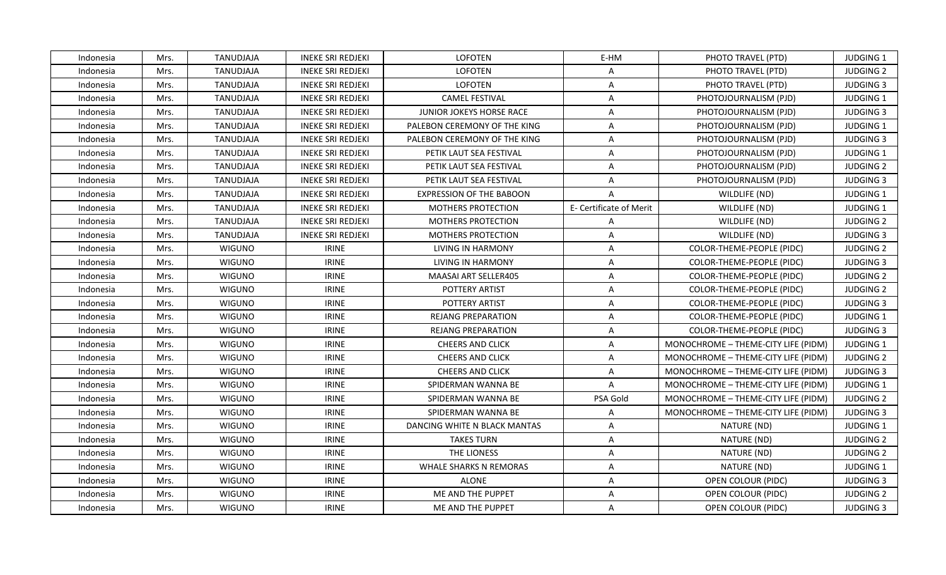| Indonesia | Mrs. | TANUDJAJA        | <b>INEKE SRI REDJEKI</b> | <b>LOFOTEN</b>                  | E-HM                    | PHOTO TRAVEL (PTD)                  | <b>JUDGING 1</b> |
|-----------|------|------------------|--------------------------|---------------------------------|-------------------------|-------------------------------------|------------------|
| Indonesia | Mrs. | TANUDJAJA        | <b>INEKE SRI REDJEKI</b> | LOFOTEN                         | Α                       | PHOTO TRAVEL (PTD)                  | <b>JUDGING 2</b> |
| Indonesia | Mrs. | TANUDJAJA        | <b>INEKE SRI REDJEKI</b> | LOFOTEN                         | Α                       | PHOTO TRAVEL (PTD)                  | <b>JUDGING 3</b> |
| Indonesia | Mrs. | TANUDJAJA        | <b>INEKE SRI REDJEKI</b> | <b>CAMEL FESTIVAL</b>           | Α                       | PHOTOJOURNALISM (PJD)               | <b>JUDGING 1</b> |
| Indonesia | Mrs. | TANUDJAJA        | <b>INEKE SRI REDJEKI</b> | <b>JUNIOR JOKEYS HORSE RACE</b> | A                       | PHOTOJOURNALISM (PJD)               | <b>JUDGING 3</b> |
| Indonesia | Mrs. | TANUDJAJA        | <b>INEKE SRI REDJEKI</b> | PALEBON CEREMONY OF THE KING    | A                       | PHOTOJOURNALISM (PJD)               | <b>JUDGING 1</b> |
| Indonesia | Mrs. | TANUDJAJA        | <b>INEKE SRI REDJEKI</b> | PALEBON CEREMONY OF THE KING    | A                       | PHOTOJOURNALISM (PJD)               | <b>JUDGING 3</b> |
| Indonesia | Mrs. | TANUDJAJA        | <b>INEKE SRI REDJEKI</b> | PETIK LAUT SEA FESTIVAL         | $\overline{A}$          | PHOTOJOURNALISM (PJD)               | <b>JUDGING 1</b> |
| Indonesia | Mrs. | TANUDJAJA        | <b>INEKE SRI REDJEKI</b> | PETIK LAUT SEA FESTIVAL         | Α                       | PHOTOJOURNALISM (PJD)               | <b>JUDGING 2</b> |
| Indonesia | Mrs. | <b>TANUDJAJA</b> | <b>INEKE SRI REDJEKI</b> | PETIK LAUT SEA FESTIVAL         | $\overline{A}$          | PHOTOJOURNALISM (PJD)               | <b>JUDGING 3</b> |
| Indonesia | Mrs. | TANUDJAJA        | <b>INEKE SRI REDJEKI</b> | <b>EXPRESSION OF THE BABOON</b> | $\mathsf{A}$            | WILDLIFE (ND)                       | JUDGING 1        |
| Indonesia | Mrs. | TANUDJAJA        | <b>INEKE SRI REDJEKI</b> | <b>MOTHERS PROTECTION</b>       | E- Certificate of Merit | WILDLIFE (ND)                       | JUDGING 1        |
| Indonesia | Mrs. | TANUDJAJA        | <b>INEKE SRI REDJEKI</b> | MOTHERS PROTECTION              | Α                       | WILDLIFE (ND)                       | <b>JUDGING 2</b> |
| Indonesia | Mrs. | TANUDJAJA        | <b>INEKE SRI REDJEKI</b> | <b>MOTHERS PROTECTION</b>       | $\mathsf{A}$            | WILDLIFE (ND)                       | <b>JUDGING 3</b> |
| Indonesia | Mrs. | <b>WIGUNO</b>    | <b>IRINE</b>             | <b>LIVING IN HARMONY</b>        | A                       | <b>COLOR-THEME-PEOPLE (PIDC)</b>    | <b>JUDGING 2</b> |
| Indonesia | Mrs. | <b>WIGUNO</b>    | <b>IRINE</b>             | LIVING IN HARMONY               | A                       | COLOR-THEME-PEOPLE (PIDC)           | <b>JUDGING 3</b> |
| Indonesia | Mrs. | <b>WIGUNO</b>    | <b>IRINE</b>             | MAASAI ART SELLER405            | Α                       | COLOR-THEME-PEOPLE (PIDC)           | <b>JUDGING 2</b> |
| Indonesia | Mrs. | <b>WIGUNO</b>    | <b>IRINE</b>             | POTTERY ARTIST                  | A                       | COLOR-THEME-PEOPLE (PIDC)           | <b>JUDGING 2</b> |
| Indonesia | Mrs. | <b>WIGUNO</b>    | <b>IRINE</b>             | POTTERY ARTIST                  | A                       | COLOR-THEME-PEOPLE (PIDC)           | <b>JUDGING 3</b> |
| Indonesia | Mrs. | <b>WIGUNO</b>    | <b>IRINE</b>             | <b>REJANG PREPARATION</b>       | A                       | COLOR-THEME-PEOPLE (PIDC)           | JUDGING 1        |
| Indonesia | Mrs. | <b>WIGUNO</b>    | <b>IRINE</b>             | <b>REJANG PREPARATION</b>       | A                       | COLOR-THEME-PEOPLE (PIDC)           | <b>JUDGING 3</b> |
| Indonesia | Mrs. | <b>WIGUNO</b>    | <b>IRINE</b>             | <b>CHEERS AND CLICK</b>         | A                       | MONOCHROME - THEME-CITY LIFE (PIDM) | JUDGING 1        |
| Indonesia | Mrs. | <b>WIGUNO</b>    | <b>IRINE</b>             | CHEERS AND CLICK                | Α                       | MONOCHROME - THEME-CITY LIFE (PIDM) | <b>JUDGING 2</b> |
| Indonesia | Mrs. | <b>WIGUNO</b>    | <b>IRINE</b>             | CHEERS AND CLICK                | Α                       | MONOCHROME - THEME-CITY LIFE (PIDM) | <b>JUDGING 3</b> |
| Indonesia | Mrs. | <b>WIGUNO</b>    | <b>IRINE</b>             | SPIDERMAN WANNA BE              | A                       | MONOCHROME - THEME-CITY LIFE (PIDM) | JUDGING 1        |
| Indonesia | Mrs. | <b>WIGUNO</b>    | <b>IRINE</b>             | SPIDERMAN WANNA BE              | PSA Gold                | MONOCHROME - THEME-CITY LIFE (PIDM) | <b>JUDGING 2</b> |
| Indonesia | Mrs. | <b>WIGUNO</b>    | <b>IRINE</b>             | SPIDERMAN WANNA BE              | Α                       | MONOCHROME - THEME-CITY LIFE (PIDM) | <b>JUDGING 3</b> |
| Indonesia | Mrs. | <b>WIGUNO</b>    | <b>IRINE</b>             | DANCING WHITE N BLACK MANTAS    | $\mathsf{A}$            | NATURE (ND)                         | <b>JUDGING 1</b> |
| Indonesia | Mrs. | <b>WIGUNO</b>    | <b>IRINE</b>             | <b>TAKES TURN</b>               | A                       | NATURE (ND)                         | <b>JUDGING 2</b> |
| Indonesia | Mrs. | <b>WIGUNO</b>    | <b>IRINE</b>             | THE LIONESS                     | A                       | NATURE (ND)                         | <b>JUDGING 2</b> |
| Indonesia | Mrs. | <b>WIGUNO</b>    | <b>IRINE</b>             | <b>WHALE SHARKS N REMORAS</b>   | A                       | NATURE (ND)                         | JUDGING 1        |
| Indonesia | Mrs. | WIGUNO           | <b>IRINE</b>             | <b>ALONE</b>                    | A                       | OPEN COLOUR (PIDC)                  | <b>JUDGING 3</b> |
| Indonesia | Mrs. | <b>WIGUNO</b>    | <b>IRINE</b>             | ME AND THE PUPPET               | $\overline{A}$          | OPEN COLOUR (PIDC)                  | <b>JUDGING 2</b> |
| Indonesia | Mrs. | <b>WIGUNO</b>    | <b>IRINE</b>             | ME AND THE PUPPET               | A                       | OPEN COLOUR (PIDC)                  | <b>JUDGING 3</b> |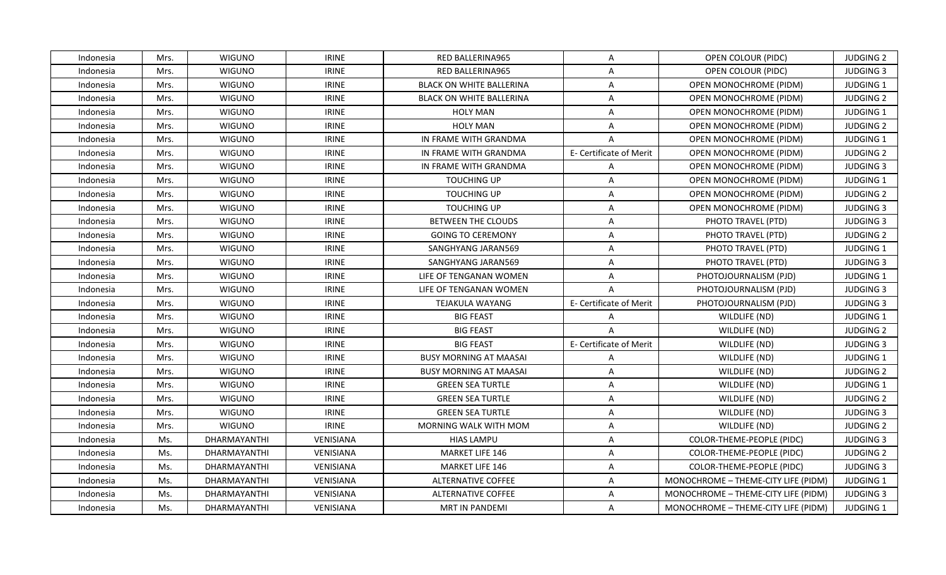| Indonesia | Mrs. | <b>WIGUNO</b>       | <b>IRINE</b>     | RED BALLERINA965                | $\mathsf{A}$            | OPEN COLOUR (PIDC)                  | <b>JUDGING 2</b> |
|-----------|------|---------------------|------------------|---------------------------------|-------------------------|-------------------------------------|------------------|
| Indonesia | Mrs. | <b>WIGUNO</b>       | <b>IRINE</b>     | RED BALLERINA965                | $\mathsf{A}$            | OPEN COLOUR (PIDC)                  | <b>JUDGING 3</b> |
| Indonesia | Mrs. | <b>WIGUNO</b>       | <b>IRINE</b>     | <b>BLACK ON WHITE BALLERINA</b> | A                       | OPEN MONOCHROME (PIDM)              | JUDGING 1        |
| Indonesia | Mrs. | <b>WIGUNO</b>       | <b>IRINE</b>     | <b>BLACK ON WHITE BALLERINA</b> | $\overline{A}$          | <b>OPEN MONOCHROME (PIDM)</b>       | <b>JUDGING 2</b> |
| Indonesia | Mrs. | <b>WIGUNO</b>       | <b>IRINE</b>     | <b>HOLY MAN</b>                 | $\overline{A}$          | OPEN MONOCHROME (PIDM)              | JUDGING 1        |
| Indonesia | Mrs. | <b>WIGUNO</b>       | <b>IRINE</b>     | <b>HOLY MAN</b>                 | $\overline{A}$          | OPEN MONOCHROME (PIDM)              | <b>JUDGING 2</b> |
| Indonesia | Mrs. | <b>WIGUNO</b>       | <b>IRINE</b>     | IN FRAME WITH GRANDMA           | $\mathsf{A}$            | <b>OPEN MONOCHROME (PIDM)</b>       | JUDGING 1        |
| Indonesia | Mrs. | <b>WIGUNO</b>       | <b>IRINE</b>     | IN FRAME WITH GRANDMA           | E- Certificate of Merit | <b>OPEN MONOCHROME (PIDM)</b>       | <b>JUDGING 2</b> |
| Indonesia | Mrs. | <b>WIGUNO</b>       | <b>IRINE</b>     | IN FRAME WITH GRANDMA           | $\mathsf{A}$            | <b>OPEN MONOCHROME (PIDM)</b>       | <b>JUDGING 3</b> |
| Indonesia | Mrs. | <b>WIGUNO</b>       | <b>IRINE</b>     | <b>TOUCHING UP</b>              | $\overline{A}$          | <b>OPEN MONOCHROME (PIDM)</b>       | JUDGING 1        |
| Indonesia | Mrs. | <b>WIGUNO</b>       | <b>IRINE</b>     | <b>TOUCHING UP</b>              | $\overline{A}$          | OPEN MONOCHROME (PIDM)              | <b>JUDGING 2</b> |
| Indonesia | Mrs. | <b>WIGUNO</b>       | <b>IRINE</b>     | <b>TOUCHING UP</b>              | $\mathsf{A}$            | <b>OPEN MONOCHROME (PIDM)</b>       | <b>JUDGING 3</b> |
| Indonesia | Mrs. | <b>WIGUNO</b>       | <b>IRINE</b>     | <b>BETWEEN THE CLOUDS</b>       | $\mathsf{A}$            | PHOTO TRAVEL (PTD)                  | <b>JUDGING 3</b> |
| Indonesia | Mrs. | <b>WIGUNO</b>       | <b>IRINE</b>     | <b>GOING TO CEREMONY</b>        | $\mathsf{A}$            | PHOTO TRAVEL (PTD)                  | <b>JUDGING 2</b> |
| Indonesia | Mrs. | <b>WIGUNO</b>       | <b>IRINE</b>     | SANGHYANG JARAN569              | $\mathsf{A}$            | PHOTO TRAVEL (PTD)                  | <b>JUDGING 1</b> |
| Indonesia | Mrs. | <b>WIGUNO</b>       | <b>IRINE</b>     | SANGHYANG JARAN569              | $\mathsf{A}$            | PHOTO TRAVEL (PTD)                  | <b>JUDGING 3</b> |
| Indonesia | Mrs. | <b>WIGUNO</b>       | <b>IRINE</b>     | LIFE OF TENGANAN WOMEN          | $\mathsf{A}$            | PHOTOJOURNALISM (PJD)               | <b>JUDGING 1</b> |
| Indonesia | Mrs. | <b>WIGUNO</b>       | <b>IRINE</b>     | LIFE OF TENGANAN WOMEN          | $\overline{A}$          | PHOTOJOURNALISM (PJD)               | <b>JUDGING 3</b> |
| Indonesia | Mrs. | <b>WIGUNO</b>       | <b>IRINE</b>     | TEJAKULA WAYANG                 | E- Certificate of Merit | PHOTOJOURNALISM (PJD)               | <b>JUDGING 3</b> |
| Indonesia | Mrs. | <b>WIGUNO</b>       | <b>IRINE</b>     | <b>BIG FEAST</b>                | $\mathsf{A}$            | WILDLIFE (ND)                       | <b>JUDGING 1</b> |
| Indonesia | Mrs. | <b>WIGUNO</b>       | <b>IRINE</b>     | <b>BIG FEAST</b>                | $\mathsf{A}$            | WILDLIFE (ND)                       | <b>JUDGING 2</b> |
| Indonesia | Mrs. | <b>WIGUNO</b>       | <b>IRINE</b>     | <b>BIG FEAST</b>                | E- Certificate of Merit | WILDLIFE (ND)                       | <b>JUDGING 3</b> |
| Indonesia | Mrs. | <b>WIGUNO</b>       | <b>IRINE</b>     | <b>BUSY MORNING AT MAASAI</b>   | A                       | WILDLIFE (ND)                       | JUDGING 1        |
| Indonesia | Mrs. | <b>WIGUNO</b>       | <b>IRINE</b>     | <b>BUSY MORNING AT MAASAI</b>   | $\mathsf{A}$            | WILDLIFE (ND)                       | <b>JUDGING 2</b> |
| Indonesia | Mrs. | <b>WIGUNO</b>       | <b>IRINE</b>     | <b>GREEN SEA TURTLE</b>         | $\overline{A}$          | WILDLIFE (ND)                       | JUDGING 1        |
| Indonesia | Mrs. | <b>WIGUNO</b>       | <b>IRINE</b>     | <b>GREEN SEA TURTLE</b>         | A                       | WILDLIFE (ND)                       | <b>JUDGING 2</b> |
| Indonesia | Mrs. | <b>WIGUNO</b>       | <b>IRINE</b>     | <b>GREEN SEA TURTLE</b>         | $\mathsf{A}$            | WILDLIFE (ND)                       | <b>JUDGING 3</b> |
| Indonesia | Mrs. | <b>WIGUNO</b>       | <b>IRINE</b>     | MORNING WALK WITH MOM           | $\mathsf{A}$            | WILDLIFE (ND)                       | <b>JUDGING 2</b> |
| Indonesia | Ms.  | DHARMAYANTHI        | VENISIANA        | <b>HIAS LAMPU</b>               | $\overline{A}$          | COLOR-THEME-PEOPLE (PIDC)           | <b>JUDGING 3</b> |
| Indonesia | Ms.  | <b>DHARMAYANTHI</b> | <b>VENISIANA</b> | <b>MARKET LIFE 146</b>          | $\mathsf{A}$            | COLOR-THEME-PEOPLE (PIDC)           | <b>JUDGING 2</b> |
| Indonesia | Ms.  | DHARMAYANTHI        | VENISIANA        | MARKET LIFE 146                 | A                       | COLOR-THEME-PEOPLE (PIDC)           | <b>JUDGING 3</b> |
| Indonesia | Ms.  | <b>DHARMAYANTHI</b> | VENISIANA        | <b>ALTERNATIVE COFFEE</b>       | A                       | MONOCHROME - THEME-CITY LIFE (PIDM) | <b>JUDGING 1</b> |
| Indonesia | Ms.  | DHARMAYANTHI        | VENISIANA        | <b>ALTERNATIVE COFFEE</b>       | $\mathsf{A}$            | MONOCHROME - THEME-CITY LIFE (PIDM) | <b>JUDGING 3</b> |
| Indonesia | Ms.  | <b>DHARMAYANTHI</b> | VENISIANA        | <b>MRT IN PANDEMI</b>           | $\mathsf{A}$            | MONOCHROME - THEME-CITY LIFE (PIDM) | <b>JUDGING 1</b> |
|           |      |                     |                  |                                 |                         |                                     |                  |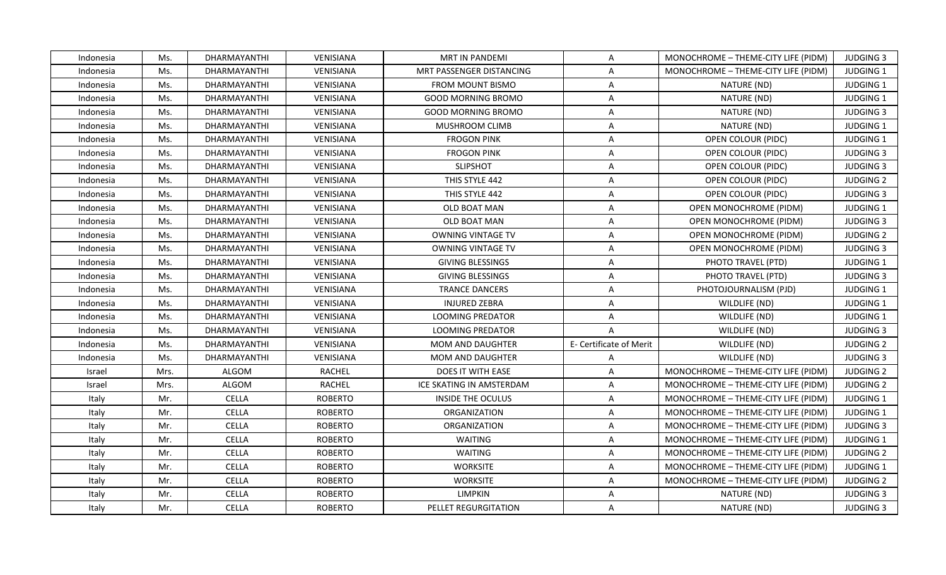| Indonesia | Ms.  | DHARMAYANTHI        | <b>VENISIANA</b> | MRT IN PANDEMI            | $\overline{A}$          | MONOCHROME - THEME-CITY LIFE (PIDM) | <b>JUDGING 3</b> |
|-----------|------|---------------------|------------------|---------------------------|-------------------------|-------------------------------------|------------------|
| Indonesia | Ms.  | <b>DHARMAYANTHI</b> | <b>VENISIANA</b> | MRT PASSENGER DISTANCING  | $\overline{A}$          | MONOCHROME - THEME-CITY LIFE (PIDM) | JUDGING 1        |
| Indonesia | Ms.  | DHARMAYANTHI        | VENISIANA        | <b>FROM MOUNT BISMO</b>   | A                       | NATURE (ND)                         | JUDGING 1        |
| Indonesia | Ms.  | DHARMAYANTHI        | VENISIANA        | <b>GOOD MORNING BROMO</b> | A                       | NATURE (ND)                         | JUDGING 1        |
| Indonesia | Ms.  | DHARMAYANTHI        | VENISIANA        | <b>GOOD MORNING BROMO</b> | A                       | NATURE (ND)                         | <b>JUDGING 3</b> |
| Indonesia | Ms.  | DHARMAYANTHI        | VENISIANA        | MUSHROOM CLIMB            | A                       | NATURE (ND)                         | JUDGING 1        |
| Indonesia | Ms.  | DHARMAYANTHI        | VENISIANA        | <b>FROGON PINK</b>        | A                       | OPEN COLOUR (PIDC)                  | JUDGING 1        |
| Indonesia | Ms.  | DHARMAYANTHI        | VENISIANA        | <b>FROGON PINK</b>        | $\overline{A}$          | OPEN COLOUR (PIDC)                  | <b>JUDGING 3</b> |
| Indonesia | Ms.  | DHARMAYANTHI        | VENISIANA        | <b>SLIPSHOT</b>           | A                       | OPEN COLOUR (PIDC)                  | <b>JUDGING 3</b> |
| Indonesia | Ms.  | DHARMAYANTHI        | <b>VENISIANA</b> | THIS STYLE 442            | A                       | OPEN COLOUR (PIDC)                  | <b>JUDGING 2</b> |
| Indonesia | Ms.  | DHARMAYANTHI        | VENISIANA        | THIS STYLE 442            | A                       | OPEN COLOUR (PIDC)                  | <b>JUDGING 3</b> |
| Indonesia | Ms.  | DHARMAYANTHI        | VENISIANA        | OLD BOAT MAN              | A                       | OPEN MONOCHROME (PIDM)              | JUDGING 1        |
| Indonesia | Ms.  | DHARMAYANTHI        | <b>VENISIANA</b> | OLD BOAT MAN              | A                       | OPEN MONOCHROME (PIDM)              | <b>JUDGING 3</b> |
| Indonesia | Ms.  | DHARMAYANTHI        | VENISIANA        | <b>OWNING VINTAGE TV</b>  | A                       | OPEN MONOCHROME (PIDM)              | <b>JUDGING 2</b> |
| Indonesia | Ms.  | DHARMAYANTHI        | VENISIANA        | <b>OWNING VINTAGE TV</b>  | A                       | OPEN MONOCHROME (PIDM)              | <b>JUDGING 3</b> |
| Indonesia | Ms.  | DHARMAYANTHI        | VENISIANA        | <b>GIVING BLESSINGS</b>   | A                       | PHOTO TRAVEL (PTD)                  | <b>JUDGING 1</b> |
| Indonesia | Ms.  | DHARMAYANTHI        | <b>VENISIANA</b> | <b>GIVING BLESSINGS</b>   | A                       | PHOTO TRAVEL (PTD)                  | <b>JUDGING 3</b> |
| Indonesia | Ms.  | DHARMAYANTHI        | VENISIANA        | <b>TRANCE DANCERS</b>     | $\overline{A}$          | PHOTOJOURNALISM (PJD)               | JUDGING 1        |
| Indonesia | Ms.  | DHARMAYANTHI        | <b>VENISIANA</b> | <b>INJURED ZEBRA</b>      | A                       | WILDLIFE (ND)                       | <b>JUDGING 1</b> |
| Indonesia | Ms.  | DHARMAYANTHI        | VENISIANA        | <b>LOOMING PREDATOR</b>   | A                       | WILDLIFE (ND)                       | JUDGING 1        |
| Indonesia | Ms.  | DHARMAYANTHI        | VENISIANA        | <b>LOOMING PREDATOR</b>   | $\overline{A}$          | WILDLIFE (ND)                       | <b>JUDGING 3</b> |
| Indonesia | Ms.  | DHARMAYANTHI        | VENISIANA        | <b>MOM AND DAUGHTER</b>   | E- Certificate of Merit | WILDLIFE (ND)                       | <b>JUDGING 2</b> |
| Indonesia | Ms.  | DHARMAYANTHI        | <b>VENISIANA</b> | <b>MOM AND DAUGHTER</b>   | A                       | WILDLIFE (ND)                       | <b>JUDGING 3</b> |
| Israel    | Mrs. | ALGOM               | <b>RACHEL</b>    | DOES IT WITH EASE         | Α                       | MONOCHROME - THEME-CITY LIFE (PIDM) | <b>JUDGING 2</b> |
| Israel    | Mrs. | ALGOM               | <b>RACHEL</b>    | ICE SKATING IN AMSTERDAM  | Α                       | MONOCHROME - THEME-CITY LIFE (PIDM) | <b>JUDGING 2</b> |
| Italy     | Mr.  | <b>CELLA</b>        | <b>ROBERTO</b>   | <b>INSIDE THE OCULUS</b>  | A                       | MONOCHROME - THEME-CITY LIFE (PIDM) | JUDGING 1        |
| Italy     | Mr.  | <b>CELLA</b>        | <b>ROBERTO</b>   | ORGANIZATION              | A                       | MONOCHROME - THEME-CITY LIFE (PIDM) | <b>JUDGING 1</b> |
| Italy     | Mr.  | <b>CELLA</b>        | <b>ROBERTO</b>   | ORGANIZATION              | Α                       | MONOCHROME - THEME-CITY LIFE (PIDM) | <b>JUDGING 3</b> |
| Italy     | Mr.  | <b>CELLA</b>        | <b>ROBERTO</b>   | <b>WAITING</b>            | $\mathsf{A}$            | MONOCHROME - THEME-CITY LIFE (PIDM) | <b>JUDGING 1</b> |
| Italy     | Mr.  | <b>CELLA</b>        | <b>ROBERTO</b>   | <b>WAITING</b>            | $\overline{A}$          | MONOCHROME - THEME-CITY LIFE (PIDM) | <b>JUDGING 2</b> |
| Italy     | Mr.  | <b>CELLA</b>        | <b>ROBERTO</b>   | <b>WORKSITE</b>           | A                       | MONOCHROME - THEME-CITY LIFE (PIDM) | JUDGING 1        |
| Italy     | Mr.  | <b>CELLA</b>        | <b>ROBERTO</b>   | WORKSITE                  | A                       | MONOCHROME - THEME-CITY LIFE (PIDM) | <b>JUDGING 2</b> |
| Italy     | Mr.  | <b>CELLA</b>        | <b>ROBERTO</b>   | <b>LIMPKIN</b>            | Α                       | NATURE (ND)                         | <b>JUDGING 3</b> |
| Italy     | Mr.  | CELLA               | <b>ROBERTO</b>   | PELLET REGURGITATION      | A                       | NATURE (ND)                         | <b>JUDGING 3</b> |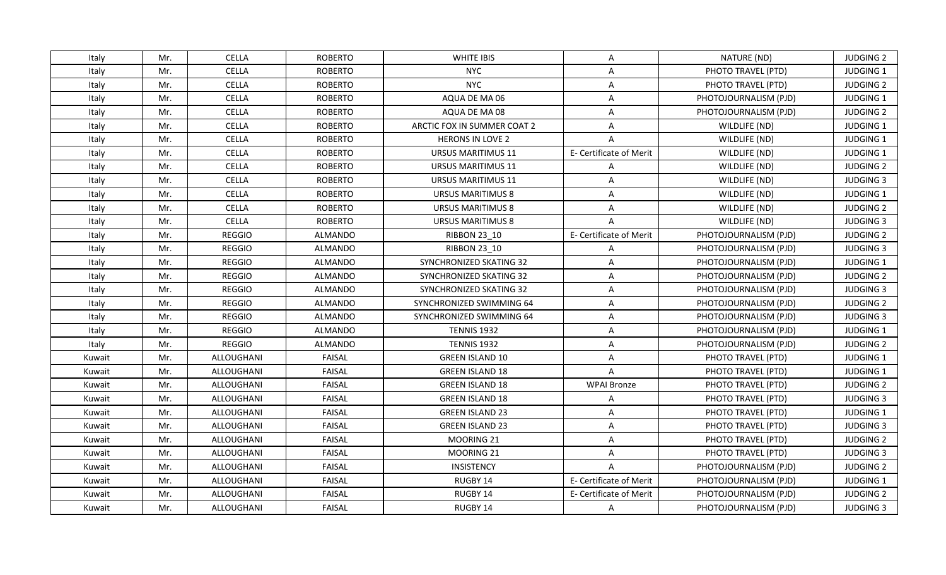| Italy  | Mr. | <b>CELLA</b>      | <b>ROBERTO</b> | WHITE IBIS                  | A                       | NATURE (ND)           | <b>JUDGING 2</b> |
|--------|-----|-------------------|----------------|-----------------------------|-------------------------|-----------------------|------------------|
| Italy  | Mr. | <b>CELLA</b>      | <b>ROBERTO</b> | <b>NYC</b>                  | A                       | PHOTO TRAVEL (PTD)    | JUDGING 1        |
| Italy  | Mr. | <b>CELLA</b>      | <b>ROBERTO</b> | <b>NYC</b>                  | Α                       | PHOTO TRAVEL (PTD)    | <b>JUDGING 2</b> |
| Italy  | Mr. | <b>CELLA</b>      | <b>ROBERTO</b> | AQUA DE MA 06               | $\mathsf{A}$            | PHOTOJOURNALISM (PJD) | JUDGING 1        |
| Italy  | Mr. | <b>CELLA</b>      | <b>ROBERTO</b> | AQUA DE MA 08               | A                       | PHOTOJOURNALISM (PJD) | <b>JUDGING 2</b> |
| Italy  | Mr. | <b>CELLA</b>      | <b>ROBERTO</b> | ARCTIC FOX IN SUMMER COAT 2 | A                       | WILDLIFE (ND)         | <b>JUDGING 1</b> |
| Italy  | Mr. | <b>CELLA</b>      | <b>ROBERTO</b> | <b>HERONS IN LOVE 2</b>     | $\overline{A}$          | WILDLIFE (ND)         | JUDGING 1        |
| Italy  | Mr. | <b>CELLA</b>      | <b>ROBERTO</b> | URSUS MARITIMUS 11          | E- Certificate of Merit | WILDLIFE (ND)         | JUDGING 1        |
| Italy  | Mr. | <b>CELLA</b>      | <b>ROBERTO</b> | <b>URSUS MARITIMUS 11</b>   | $\mathsf{A}$            | WILDLIFE (ND)         | <b>JUDGING 2</b> |
| Italy  | Mr. | <b>CELLA</b>      | <b>ROBERTO</b> | <b>URSUS MARITIMUS 11</b>   | A                       | WILDLIFE (ND)         | <b>JUDGING 3</b> |
| Italy  | Mr. | <b>CELLA</b>      | <b>ROBERTO</b> | <b>URSUS MARITIMUS 8</b>    | A                       | WILDLIFE (ND)         | <b>JUDGING 1</b> |
| Italy  | Mr. | <b>CELLA</b>      | <b>ROBERTO</b> | <b>URSUS MARITIMUS 8</b>    | A                       | WILDLIFE (ND)         | <b>JUDGING 2</b> |
| Italy  | Mr. | <b>CELLA</b>      | <b>ROBERTO</b> | <b>URSUS MARITIMUS 8</b>    | $\overline{A}$          | WILDLIFE (ND)         | <b>JUDGING 3</b> |
| Italy  | Mr. | <b>REGGIO</b>     | ALMANDO        | <b>RIBBON 23 10</b>         | E- Certificate of Merit | PHOTOJOURNALISM (PJD) | <b>JUDGING 2</b> |
| Italy  | Mr. | <b>REGGIO</b>     | <b>ALMANDO</b> | <b>RIBBON 23 10</b>         | A                       | PHOTOJOURNALISM (PJD) | <b>JUDGING 3</b> |
| Italy  | Mr. | <b>REGGIO</b>     | <b>ALMANDO</b> | SYNCHRONIZED SKATING 32     | A                       | PHOTOJOURNALISM (PJD) | JUDGING 1        |
| Italy  | Mr. | <b>REGGIO</b>     | <b>ALMANDO</b> | SYNCHRONIZED SKATING 32     | $\overline{\mathsf{A}}$ | PHOTOJOURNALISM (PJD) | <b>JUDGING 2</b> |
| Italy  | Mr. | <b>REGGIO</b>     | <b>ALMANDO</b> | SYNCHRONIZED SKATING 32     | $\overline{A}$          | PHOTOJOURNALISM (PJD) | <b>JUDGING 3</b> |
| Italy  | Mr. | <b>REGGIO</b>     | <b>ALMANDO</b> | SYNCHRONIZED SWIMMING 64    | A                       | PHOTOJOURNALISM (PJD) | <b>JUDGING 2</b> |
| Italy  | Mr. | <b>REGGIO</b>     | <b>ALMANDO</b> | SYNCHRONIZED SWIMMING 64    | A                       | PHOTOJOURNALISM (PJD) | <b>JUDGING 3</b> |
| Italy  | Mr. | <b>REGGIO</b>     | <b>ALMANDO</b> | <b>TENNIS 1932</b>          | A                       | PHOTOJOURNALISM (PJD) | JUDGING 1        |
| Italy  | Mr. | <b>REGGIO</b>     | <b>ALMANDO</b> | <b>TENNIS 1932</b>          | A                       | PHOTOJOURNALISM (PJD) | <b>JUDGING 2</b> |
| Kuwait | Mr. | ALLOUGHANI        | <b>FAISAL</b>  | <b>GREEN ISLAND 10</b>      | $\mathsf{A}$            | PHOTO TRAVEL (PTD)    | JUDGING 1        |
| Kuwait | Mr. | ALLOUGHANI        | <b>FAISAL</b>  | <b>GREEN ISLAND 18</b>      | $\overline{A}$          | PHOTO TRAVEL (PTD)    | JUDGING 1        |
| Kuwait | Mr. | <b>ALLOUGHANI</b> | <b>FAISAL</b>  | <b>GREEN ISLAND 18</b>      | <b>WPAI Bronze</b>      | PHOTO TRAVEL (PTD)    | <b>JUDGING 2</b> |
| Kuwait | Mr. | ALLOUGHANI        | <b>FAISAL</b>  | <b>GREEN ISLAND 18</b>      | A                       | PHOTO TRAVEL (PTD)    | <b>JUDGING 3</b> |
| Kuwait | Mr. | ALLOUGHANI        | <b>FAISAL</b>  | <b>GREEN ISLAND 23</b>      | A                       | PHOTO TRAVEL (PTD)    | JUDGING 1        |
| Kuwait | Mr. | ALLOUGHANI        | <b>FAISAL</b>  | <b>GREEN ISLAND 23</b>      | A                       | PHOTO TRAVEL (PTD)    | <b>JUDGING 3</b> |
| Kuwait | Mr. | ALLOUGHANI        | <b>FAISAL</b>  | MOORING 21                  | A                       | PHOTO TRAVEL (PTD)    | <b>JUDGING 2</b> |
| Kuwait | Mr. | <b>ALLOUGHANI</b> | <b>FAISAL</b>  | MOORING 21                  | A                       | PHOTO TRAVEL (PTD)    | <b>JUDGING 3</b> |
| Kuwait | Mr. | ALLOUGHANI        | <b>FAISAL</b>  | INSISTENCY                  | $\mathsf{A}$            | PHOTOJOURNALISM (PJD) | <b>JUDGING 2</b> |
| Kuwait | Mr. | ALLOUGHANI        | <b>FAISAL</b>  | RUGBY 14                    | E- Certificate of Merit | PHOTOJOURNALISM (PJD) | JUDGING 1        |
| Kuwait | Mr. | ALLOUGHANI        | <b>FAISAL</b>  | RUGBY 14                    | E- Certificate of Merit | PHOTOJOURNALISM (PJD) | <b>JUDGING 2</b> |
| Kuwait | Mr. | ALLOUGHANI        | <b>FAISAL</b>  | RUGBY 14                    | A                       | PHOTOJOURNALISM (PJD) | <b>JUDGING 3</b> |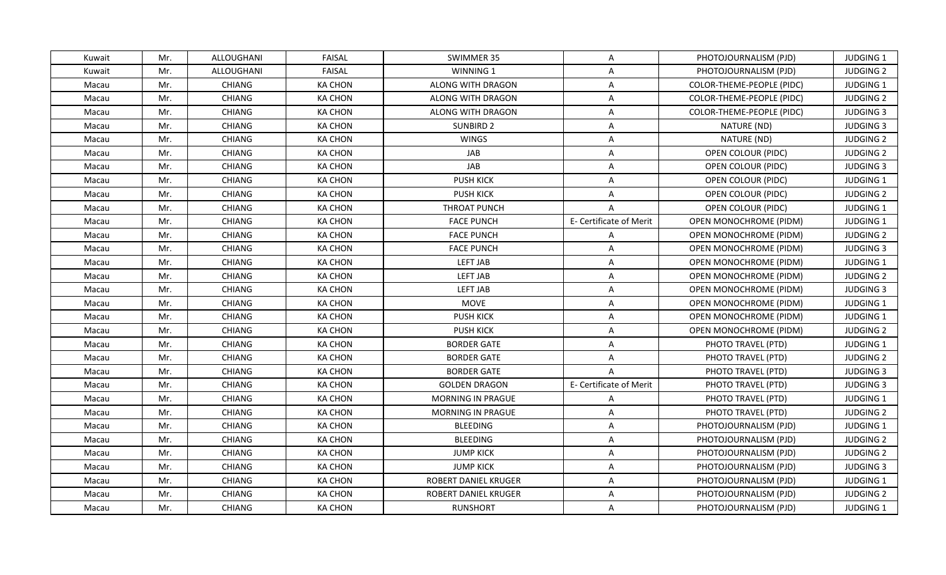| Kuwait | Mr. | ALLOUGHANI        | <b>FAISAL</b>  | SWIMMER 35                  | A                       | PHOTOJOURNALISM (PJD)         | <b>JUDGING 1</b> |
|--------|-----|-------------------|----------------|-----------------------------|-------------------------|-------------------------------|------------------|
| Kuwait | Mr. | <b>ALLOUGHANI</b> | <b>FAISAL</b>  | WINNING 1                   | $\overline{A}$          | PHOTOJOURNALISM (PJD)         | <b>JUDGING 2</b> |
| Macau  | Mr. | <b>CHIANG</b>     | <b>KA CHON</b> | ALONG WITH DRAGON           | $\mathsf{A}$            | COLOR-THEME-PEOPLE (PIDC)     | JUDGING 1        |
| Macau  | Mr. | CHIANG            | KA CHON        | ALONG WITH DRAGON           | A                       | COLOR-THEME-PEOPLE (PIDC)     | <b>JUDGING 2</b> |
| Macau  | Mr. | <b>CHIANG</b>     | <b>KA CHON</b> | ALONG WITH DRAGON           | $\mathsf{A}$            | COLOR-THEME-PEOPLE (PIDC)     | <b>JUDGING 3</b> |
| Macau  | Mr. | <b>CHIANG</b>     | KA CHON        | SUNBIRD 2                   | A                       | NATURE (ND)                   | <b>JUDGING 3</b> |
| Macau  | Mr. | <b>CHIANG</b>     | <b>KA CHON</b> | <b>WINGS</b>                | $\mathsf{A}$            | NATURE (ND)                   | <b>JUDGING 2</b> |
| Macau  | Mr. | <b>CHIANG</b>     | <b>KA CHON</b> | JAB                         | $\mathsf{A}$            | OPEN COLOUR (PIDC)            | <b>JUDGING 2</b> |
| Macau  | Mr. | <b>CHIANG</b>     | KA CHON        | <b>JAB</b>                  | A                       | <b>OPEN COLOUR (PIDC)</b>     | <b>JUDGING 3</b> |
| Macau  | Mr. | CHIANG            | <b>KA CHON</b> | <b>PUSH KICK</b>            | $\mathsf{A}$            | OPEN COLOUR (PIDC)            | JUDGING 1        |
| Macau  | Mr. | <b>CHIANG</b>     | <b>KA CHON</b> | <b>PUSH KICK</b>            | $\mathsf{A}$            | <b>OPEN COLOUR (PIDC)</b>     | <b>JUDGING 2</b> |
| Macau  | Mr. | <b>CHIANG</b>     | <b>KA CHON</b> | THROAT PUNCH                | A                       | OPEN COLOUR (PIDC)            | JUDGING 1        |
| Macau  | Mr. | CHIANG            | <b>KA CHON</b> | <b>FACE PUNCH</b>           | E- Certificate of Merit | OPEN MONOCHROME (PIDM)        | JUDGING 1        |
| Macau  | Mr. | <b>CHIANG</b>     | KA CHON        | <b>FACE PUNCH</b>           | $\mathsf{A}$            | OPEN MONOCHROME (PIDM)        | <b>JUDGING 2</b> |
| Macau  | Mr. | <b>CHIANG</b>     | <b>KA CHON</b> | <b>FACE PUNCH</b>           | $\mathsf{A}$            | <b>OPEN MONOCHROME (PIDM)</b> | <b>JUDGING 3</b> |
| Macau  | Mr. | CHIANG            | <b>KA CHON</b> | <b>LEFT JAB</b>             | $\mathsf{A}$            | OPEN MONOCHROME (PIDM)        | <b>JUDGING 1</b> |
| Macau  | Mr. | <b>CHIANG</b>     | <b>KA CHON</b> | LEFT JAB                    | $\mathsf{A}$            | OPEN MONOCHROME (PIDM)        | <b>JUDGING 2</b> |
| Macau  | Mr. | CHIANG            | <b>KA CHON</b> | <b>LEFT JAB</b>             | $\mathsf{A}$            | OPEN MONOCHROME (PIDM)        | <b>JUDGING 3</b> |
| Macau  | Mr. | <b>CHIANG</b>     | KA CHON        | MOVE                        | $\mathsf{A}$            | OPEN MONOCHROME (PIDM)        | <b>JUDGING 1</b> |
| Macau  | Mr. | <b>CHIANG</b>     | <b>KA CHON</b> | <b>PUSH KICK</b>            | $\mathsf{A}$            | <b>OPEN MONOCHROME (PIDM)</b> | JUDGING 1        |
| Macau  | Mr. | <b>CHIANG</b>     | <b>KA CHON</b> | <b>PUSH KICK</b>            | $\mathsf{A}$            | OPEN MONOCHROME (PIDM)        | <b>JUDGING 2</b> |
| Macau  | Mr. | <b>CHIANG</b>     | <b>KA CHON</b> | <b>BORDER GATE</b>          | A                       | PHOTO TRAVEL (PTD)            | JUDGING 1        |
| Macau  | Mr. | <b>CHIANG</b>     | KA CHON        | <b>BORDER GATE</b>          | $\mathsf{A}$            | PHOTO TRAVEL (PTD)            | <b>JUDGING 2</b> |
| Macau  | Mr. | <b>CHIANG</b>     | KA CHON        | <b>BORDER GATE</b>          | $\overline{A}$          | PHOTO TRAVEL (PTD)            | <b>JUDGING 3</b> |
| Macau  | Mr. | <b>CHIANG</b>     | <b>KA CHON</b> | <b>GOLDEN DRAGON</b>        | E- Certificate of Merit | PHOTO TRAVEL (PTD)            | <b>JUDGING 3</b> |
| Macau  | Mr. | <b>CHIANG</b>     | <b>KA CHON</b> | MORNING IN PRAGUE           | A                       | PHOTO TRAVEL (PTD)            | JUDGING 1        |
| Macau  | Mr. | <b>CHIANG</b>     | <b>KA CHON</b> | <b>MORNING IN PRAGUE</b>    | A                       | PHOTO TRAVEL (PTD)            | <b>JUDGING 2</b> |
| Macau  | Mr. | CHIANG            | <b>KA CHON</b> | <b>BLEEDING</b>             | $\mathsf{A}$            | PHOTOJOURNALISM (PJD)         | JUDGING 1        |
| Macau  | Mr. | <b>CHIANG</b>     | <b>KA CHON</b> | <b>BLEEDING</b>             | $\mathsf{A}$            | PHOTOJOURNALISM (PJD)         | <b>JUDGING 2</b> |
| Macau  | Mr. | <b>CHIANG</b>     | <b>KA CHON</b> | <b>JUMP KICK</b>            | $\mathsf{A}$            | PHOTOJOURNALISM (PJD)         | <b>JUDGING 2</b> |
| Macau  | Mr. | <b>CHIANG</b>     | <b>KA CHON</b> | <b>JUMP KICK</b>            | $\mathsf{A}$            | PHOTOJOURNALISM (PJD)         | <b>JUDGING 3</b> |
| Macau  | Mr. | <b>CHIANG</b>     | <b>KA CHON</b> | <b>ROBERT DANIEL KRUGER</b> | A                       | PHOTOJOURNALISM (PJD)         | JUDGING 1        |
| Macau  | Mr. | CHIANG            | <b>KA CHON</b> | <b>ROBERT DANIEL KRUGER</b> | $\mathsf{A}$            | PHOTOJOURNALISM (PJD)         | <b>JUDGING 2</b> |
| Macau  | Mr. | <b>CHIANG</b>     | <b>KA CHON</b> | <b>RUNSHORT</b>             | $\mathsf{A}$            | PHOTOJOURNALISM (PJD)         | <b>JUDGING 1</b> |
|        |     |                   |                |                             |                         |                               |                  |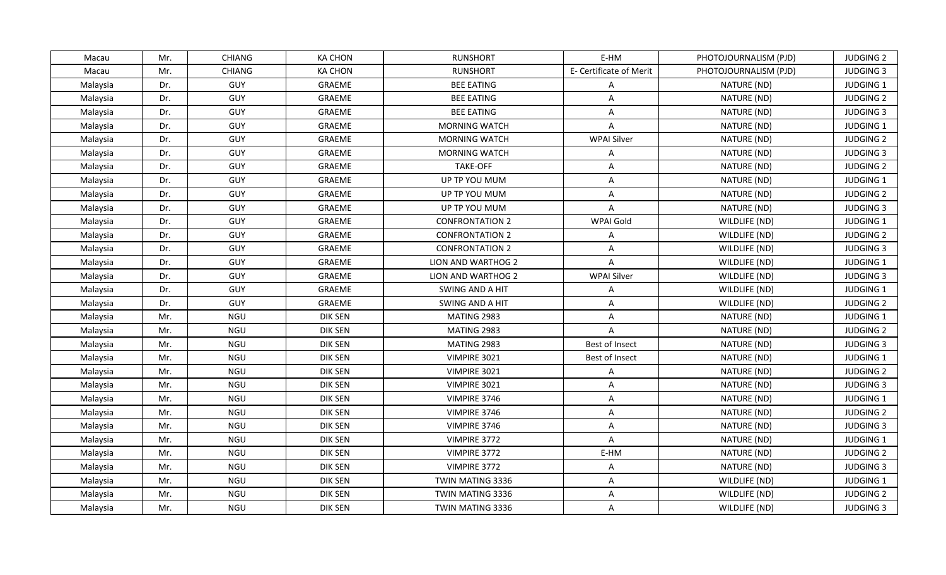|          |     | <b>CHIANG</b> | <b>KA CHON</b> | <b>RUNSHORT</b>        | E-HM                    |                       | <b>JUDGING 2</b> |
|----------|-----|---------------|----------------|------------------------|-------------------------|-----------------------|------------------|
| Macau    | Mr. |               |                | <b>RUNSHORT</b>        |                         | PHOTOJOURNALISM (PJD) | <b>JUDGING 3</b> |
| Macau    | Mr. | CHIANG        | <b>KA CHON</b> |                        | E- Certificate of Merit | PHOTOJOURNALISM (PJD) |                  |
| Malaysia | Dr. | GUY           | GRAEME         | <b>BEE EATING</b>      | $\mathsf{A}$            | NATURE (ND)           | JUDGING 1        |
| Malaysia | Dr. | GUY           | GRAEME         | <b>BEE EATING</b>      | $\mathsf{A}$            | NATURE (ND)           | <b>JUDGING 2</b> |
| Malaysia | Dr. | GUY           | GRAEME         | <b>BEE EATING</b>      | A                       | NATURE (ND)           | <b>JUDGING 3</b> |
| Malaysia | Dr. | GUY           | GRAEME         | <b>MORNING WATCH</b>   | A                       | NATURE (ND)           | JUDGING 1        |
| Malaysia | Dr. | GUY           | GRAEME         | <b>MORNING WATCH</b>   | <b>WPAI Silver</b>      | NATURE (ND)           | <b>JUDGING 2</b> |
| Malaysia | Dr. | GUY           | GRAEME         | <b>MORNING WATCH</b>   | $\mathsf{A}$            | NATURE (ND)           | <b>JUDGING 3</b> |
| Malaysia | Dr. | GUY           | GRAEME         | <b>TAKE-OFF</b>        | $\mathsf{A}$            | NATURE (ND)           | <b>JUDGING 2</b> |
| Malaysia | Dr. | GUY           | GRAEME         | UP TP YOU MUM          | $\overline{A}$          | NATURE (ND)           | JUDGING 1        |
| Malaysia | Dr. | GUY           | GRAEME         | UP TP YOU MUM          | $\mathsf{A}$            | NATURE (ND)           | <b>JUDGING 2</b> |
| Malaysia | Dr. | GUY           | GRAEME         | UP TP YOU MUM          | A                       | NATURE (ND)           | <b>JUDGING 3</b> |
| Malaysia | Dr. | GUY           | GRAEME         | <b>CONFRONTATION 2</b> | <b>WPAI Gold</b>        | WILDLIFE (ND)         | JUDGING 1        |
| Malaysia | Dr. | GUY           | GRAEME         | <b>CONFRONTATION 2</b> | $\mathsf{A}$            | WILDLIFE (ND)         | <b>JUDGING 2</b> |
| Malaysia | Dr. | GUY           | GRAEME         | <b>CONFRONTATION 2</b> | $\overline{A}$          | WILDLIFE (ND)         | <b>JUDGING 3</b> |
| Malaysia | Dr. | GUY           | GRAEME         | LION AND WARTHOG 2     | $\overline{A}$          | WILDLIFE (ND)         | JUDGING 1        |
| Malaysia | Dr. | GUY           | GRAEME         | LION AND WARTHOG 2     | <b>WPAI Silver</b>      | WILDLIFE (ND)         | <b>JUDGING 3</b> |
| Malaysia | Dr. | GUY           | GRAEME         | SWING AND A HIT        | $\mathsf{A}$            | WILDLIFE (ND)         | JUDGING 1        |
| Malaysia | Dr. | GUY           | GRAEME         | SWING AND A HIT        | $\mathsf{A}$            | WILDLIFE (ND)         | <b>JUDGING 2</b> |
| Malaysia | Mr. | NGU           | <b>DIK SEN</b> | MATING 2983            | A                       | NATURE (ND)           | JUDGING 1        |
| Malaysia | Mr. | NGU           | <b>DIK SEN</b> | MATING 2983            | $\mathsf{A}$            | NATURE (ND)           | <b>JUDGING 2</b> |
| Malaysia | Mr. | NGU           | DIK SEN        | MATING 2983            | Best of Insect          | NATURE (ND)           | <b>JUDGING 3</b> |
| Malaysia | Mr. | NGU           | <b>DIK SEN</b> | VIMPIRE 3021           | Best of Insect          | NATURE (ND)           | JUDGING 1        |
| Malaysia | Mr. | NGU           | DIK SEN        | VIMPIRE 3021           | A                       | NATURE (ND)           | <b>JUDGING 2</b> |
| Malaysia | Mr. | NGU           | <b>DIK SEN</b> | VIMPIRE 3021           | A                       | NATURE (ND)           | <b>JUDGING 3</b> |
| Malaysia | Mr. | NGU           | DIK SEN        | VIMPIRE 3746           | $\mathsf{A}$            | NATURE (ND)           | JUDGING 1        |
| Malaysia | Mr. | NGU           | DIK SEN        | VIMPIRE 3746           | A                       | NATURE (ND)           | <b>JUDGING 2</b> |
| Malaysia | Mr. | NGU           | <b>DIK SEN</b> | VIMPIRE 3746           | $\mathsf{A}$            | NATURE (ND)           | <b>JUDGING 3</b> |
| Malaysia | Mr. | NGU           | DIK SEN        | VIMPIRE 3772           | $\mathsf{A}$            | NATURE (ND)           | JUDGING 1        |
| Malaysia | Mr. | NGU           | <b>DIK SEN</b> | VIMPIRE 3772           | E-HM                    | NATURE (ND)           | <b>JUDGING 2</b> |
| Malaysia | Mr. | NGU           | DIK SEN        | VIMPIRE 3772           | $\mathsf{A}$            | NATURE (ND)           | <b>JUDGING 3</b> |
| Malaysia | Mr. | NGU           | DIK SEN        | TWIN MATING 3336       | $\mathsf{A}$            | WILDLIFE (ND)         | JUDGING 1        |
| Malaysia | Mr. | NGU           | DIK SEN        | TWIN MATING 3336       | A                       | WILDLIFE (ND)         | <b>JUDGING 2</b> |
| Malaysia | Mr. | <b>NGU</b>    | DIK SEN        | TWIN MATING 3336       | $\mathsf{A}$            | WILDLIFE (ND)         | <b>JUDGING 3</b> |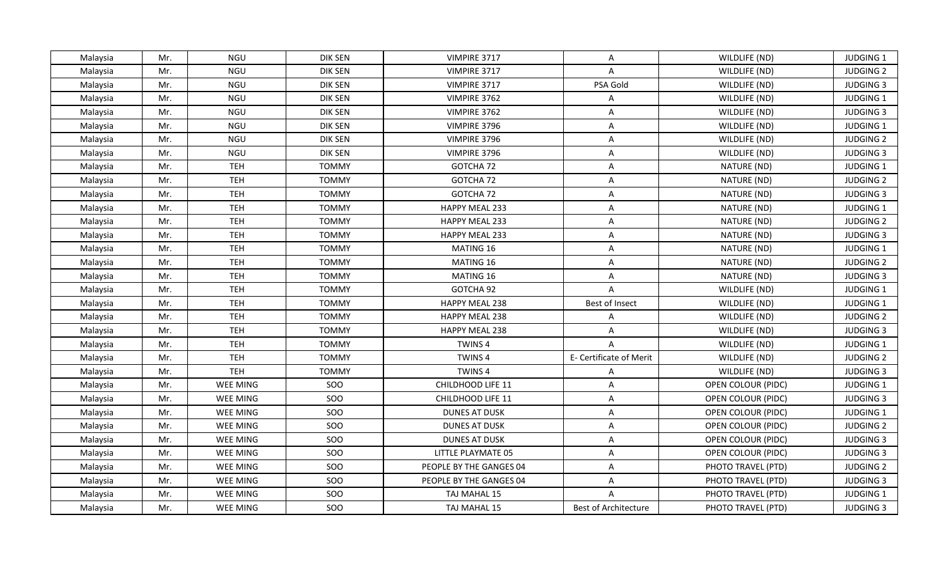| Malaysia | Mr. | NGU        | DIK SEN        | VIMPIRE 3717            | A                       | WILDLIFE (ND)      | JUDGING 1        |
|----------|-----|------------|----------------|-------------------------|-------------------------|--------------------|------------------|
| Malaysia | Mr. | <b>NGU</b> | <b>DIK SEN</b> | VIMPIRE 3717            | $\mathsf{A}$            | WILDLIFE (ND)      | <b>JUDGING 2</b> |
| Malaysia | Mr. | NGU        | <b>DIK SEN</b> | VIMPIRE 3717            | PSA Gold                | WILDLIFE (ND)      | <b>JUDGING 3</b> |
| Malaysia | Mr. | NGU        | DIK SEN        | VIMPIRE 3762            | $\mathsf{A}$            | WILDLIFE (ND)      | JUDGING 1        |
| Malaysia | Mr. | <b>NGU</b> | <b>DIK SEN</b> | VIMPIRE 3762            | $\overline{A}$          | WILDLIFE (ND)      | <b>JUDGING 3</b> |
| Malaysia | Mr. | NGU        | DIK SEN        | VIMPIRE 3796            | A                       | WILDLIFE (ND)      | <b>JUDGING 1</b> |
| Malaysia | Mr. | <b>NGU</b> | <b>DIK SEN</b> | VIMPIRE 3796            | $\overline{A}$          | WILDLIFE (ND)      | <b>JUDGING 2</b> |
| Malaysia | Mr. | <b>NGU</b> | DIK SEN        | VIMPIRE 3796            | $\mathsf{A}$            | WILDLIFE (ND)      | <b>JUDGING 3</b> |
| Malaysia | Mr. | <b>TEH</b> | <b>TOMMY</b>   | GOTCHA 72               | A                       | NATURE (ND)        | JUDGING 1        |
| Malaysia | Mr. | <b>TEH</b> | <b>TOMMY</b>   | GOTCHA 72               | $\overline{A}$          | NATURE (ND)        | <b>JUDGING 2</b> |
| Malaysia | Mr. | <b>TEH</b> | <b>TOMMY</b>   | GOTCHA 72               | A                       | NATURE (ND)        | <b>JUDGING 3</b> |
| Malaysia | Mr. | <b>TEH</b> | <b>TOMMY</b>   | HAPPY MEAL 233          | $\overline{A}$          | NATURE (ND)        | JUDGING 1        |
| Malaysia | Mr. | <b>TEH</b> | <b>TOMMY</b>   | HAPPY MEAL 233          | $\mathsf{A}$            | NATURE (ND)        | <b>JUDGING 2</b> |
| Malaysia | Mr. | <b>TEH</b> | <b>TOMMY</b>   | <b>HAPPY MEAL 233</b>   | A                       | NATURE (ND)        | <b>JUDGING 3</b> |
| Malaysia | Mr. | <b>TEH</b> | <b>TOMMY</b>   | MATING 16               | $\overline{A}$          | NATURE (ND)        | JUDGING 1        |
| Malaysia | Mr. | <b>TEH</b> | <b>TOMMY</b>   | MATING 16               | A                       | NATURE (ND)        | <b>JUDGING 2</b> |
| Malaysia | Mr. | <b>TEH</b> | <b>TOMMY</b>   | MATING 16               | $\overline{A}$          | NATURE (ND)        | <b>JUDGING 3</b> |
| Malaysia | Mr. | <b>TEH</b> | <b>TOMMY</b>   | GOTCHA 92               | $\overline{A}$          | WILDLIFE (ND)      | JUDGING 1        |
| Malaysia | Mr. | <b>TEH</b> | <b>TOMMY</b>   | HAPPY MEAL 238          | Best of Insect          | WILDLIFE (ND)      | <b>JUDGING 1</b> |
| Malaysia | Mr. | <b>TEH</b> | <b>TOMMY</b>   | HAPPY MEAL 238          | A                       | WILDLIFE (ND)      | <b>JUDGING 2</b> |
| Malaysia | Mr. | <b>TEH</b> | <b>TOMMY</b>   | HAPPY MEAL 238          | A                       | WILDLIFE (ND)      | <b>JUDGING 3</b> |
| Malaysia | Mr. | <b>TEH</b> | <b>TOMMY</b>   | TWINS <sub>4</sub>      | $\mathsf{A}$            | WILDLIFE (ND)      | JUDGING 1        |
| Malaysia | Mr. | <b>TEH</b> | <b>TOMMY</b>   | <b>TWINS4</b>           | E- Certificate of Merit | WILDLIFE (ND)      | <b>JUDGING 2</b> |
| Malaysia | Mr. | <b>TEH</b> | <b>TOMMY</b>   | TWINS <sub>4</sub>      | A                       | WILDLIFE (ND)      | <b>JUDGING 3</b> |
| Malaysia | Mr. | WEE MING   | SOO            | CHILDHOOD LIFE 11       | $\mathsf{A}$            | OPEN COLOUR (PIDC) | JUDGING 1        |
| Malaysia | Mr. | WEE MING   | SOO            | CHILDHOOD LIFE 11       | $\mathsf{A}$            | OPEN COLOUR (PIDC) | <b>JUDGING 3</b> |
| Malaysia | Mr. | WEE MING   | SOO            | <b>DUNES AT DUSK</b>    | $\mathsf{A}$            | OPEN COLOUR (PIDC) | JUDGING 1        |
| Malaysia | Mr. | WEE MING   | <b>SOO</b>     | <b>DUNES AT DUSK</b>    | $\overline{A}$          | OPEN COLOUR (PIDC) | <b>JUDGING 2</b> |
| Malaysia | Mr. | WEE MING   | SOO            | <b>DUNES AT DUSK</b>    | A                       | OPEN COLOUR (PIDC) | <b>JUDGING 3</b> |
| Malaysia | Mr. | WEE MING   | SOO            | LITTLE PLAYMATE 05      | $\overline{A}$          | OPEN COLOUR (PIDC) | <b>JUDGING 3</b> |
| Malaysia | Mr. | WEE MING   | SOO            | PEOPLE BY THE GANGES 04 | A                       | PHOTO TRAVEL (PTD) | <b>JUDGING 2</b> |
| Malaysia | Mr. | WEE MING   | SOO            | PEOPLE BY THE GANGES 04 | $\mathsf{A}$            | PHOTO TRAVEL (PTD) | <b>JUDGING 3</b> |
| Malaysia | Mr. | WEE MING   | SOO            | TAJ MAHAL 15            | $\overline{A}$          | PHOTO TRAVEL (PTD) | JUDGING 1        |
| Malaysia | Mr. | WEE MING   | SOO            | TAJ MAHAL 15            | Best of Architecture    | PHOTO TRAVEL (PTD) | <b>JUDGING 3</b> |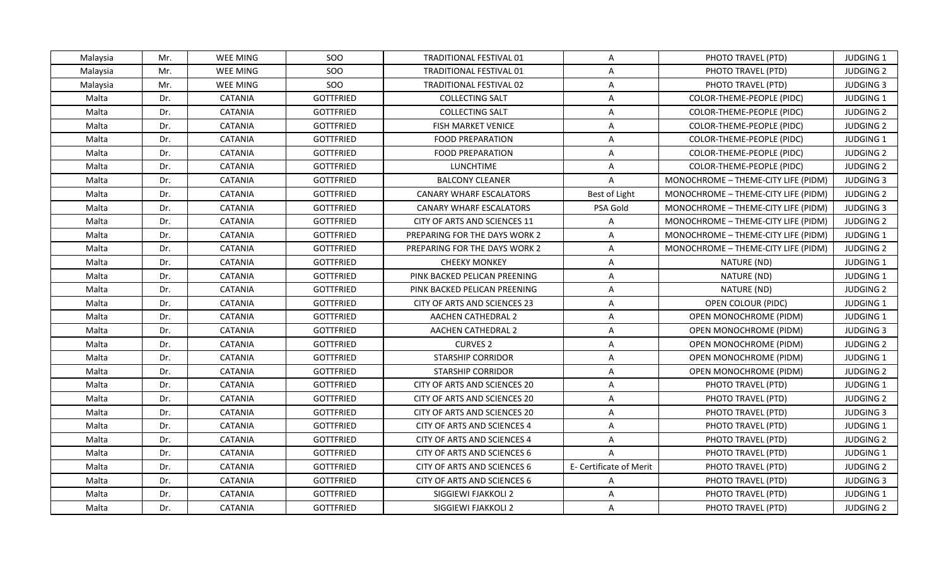| Malaysia | Mr. | WEE MING       | SOO              | <b>TRADITIONAL FESTIVAL 01</b> | A                       | PHOTO TRAVEL (PTD)                  | <b>JUDGING 1</b> |
|----------|-----|----------------|------------------|--------------------------------|-------------------------|-------------------------------------|------------------|
| Malaysia | Mr. | WEE MING       | <b>SOO</b>       | TRADITIONAL FESTIVAL 01        | A                       | PHOTO TRAVEL (PTD)                  | <b>JUDGING 2</b> |
| Malaysia | Mr. | WEE MING       | SOO              | TRADITIONAL FESTIVAL 02        | A                       | PHOTO TRAVEL (PTD)                  | <b>JUDGING 3</b> |
| Malta    | Dr. | <b>CATANIA</b> | <b>GOTTFRIED</b> | <b>COLLECTING SALT</b>         | A                       | COLOR-THEME-PEOPLE (PIDC)           | <b>JUDGING 1</b> |
| Malta    | Dr. | CATANIA        | <b>GOTTFRIED</b> | <b>COLLECTING SALT</b>         | A                       | COLOR-THEME-PEOPLE (PIDC)           | <b>JUDGING 2</b> |
| Malta    | Dr. | CATANIA        | <b>GOTTFRIED</b> | <b>FISH MARKET VENICE</b>      | A                       | COLOR-THEME-PEOPLE (PIDC)           | <b>JUDGING 2</b> |
| Malta    | Dr. | CATANIA        | <b>GOTTFRIED</b> | <b>FOOD PREPARATION</b>        | $\overline{\mathsf{A}}$ | COLOR-THEME-PEOPLE (PIDC)           | JUDGING 1        |
| Malta    | Dr. | <b>CATANIA</b> | <b>GOTTFRIED</b> | <b>FOOD PREPARATION</b>        | A                       | COLOR-THEME-PEOPLE (PIDC)           | <b>JUDGING 2</b> |
| Malta    | Dr. | <b>CATANIA</b> | <b>GOTTFRIED</b> | LUNCHTIME                      | A                       | COLOR-THEME-PEOPLE (PIDC)           | <b>JUDGING 2</b> |
| Malta    | Dr. | <b>CATANIA</b> | <b>GOTTFRIED</b> | <b>BALCONY CLEANER</b>         | A                       | MONOCHROME - THEME-CITY LIFE (PIDM) | <b>JUDGING 3</b> |
| Malta    | Dr. | <b>CATANIA</b> | <b>GOTTFRIED</b> | <b>CANARY WHARF ESCALATORS</b> | Best of Light           | MONOCHROME - THEME-CITY LIFE (PIDM) | <b>JUDGING 2</b> |
| Malta    | Dr. | CATANIA        | <b>GOTTFRIED</b> | <b>CANARY WHARF ESCALATORS</b> | PSA Gold                | MONOCHROME - THEME-CITY LIFE (PIDM) | <b>JUDGING 3</b> |
| Malta    | Dr. | <b>CATANIA</b> | <b>GOTTFRIED</b> | CITY OF ARTS AND SCIENCES 11   | $\mathsf{A}$            | MONOCHROME - THEME-CITY LIFE (PIDM) | <b>JUDGING 2</b> |
| Malta    | Dr. | CATANIA        | <b>GOTTFRIED</b> | PREPARING FOR THE DAYS WORK 2  | $\mathsf{A}$            | MONOCHROME - THEME-CITY LIFE (PIDM) | JUDGING 1        |
| Malta    | Dr. | <b>CATANIA</b> | <b>GOTTFRIED</b> | PREPARING FOR THE DAYS WORK 2  | A                       | MONOCHROME - THEME-CITY LIFE (PIDM) | <b>JUDGING 2</b> |
| Malta    | Dr. | CATANIA        | <b>GOTTFRIED</b> | <b>CHEEKY MONKEY</b>           | A                       | NATURE (ND)                         | JUDGING 1        |
| Malta    | Dr. | <b>CATANIA</b> | <b>GOTTFRIED</b> | PINK BACKED PELICAN PREENING   | $\overline{A}$          | NATURE (ND)                         | JUDGING 1        |
| Malta    | Dr. | <b>CATANIA</b> | <b>GOTTFRIED</b> | PINK BACKED PELICAN PREENING   | A                       | NATURE (ND)                         | <b>JUDGING 2</b> |
| Malta    | Dr. | <b>CATANIA</b> | <b>GOTTFRIED</b> | CITY OF ARTS AND SCIENCES 23   | A                       | OPEN COLOUR (PIDC)                  | <b>JUDGING 1</b> |
| Malta    | Dr. | <b>CATANIA</b> | <b>GOTTFRIED</b> | <b>AACHEN CATHEDRAL 2</b>      | A                       | OPEN MONOCHROME (PIDM)              | JUDGING 1        |
| Malta    | Dr. | CATANIA        | <b>GOTTFRIED</b> | <b>AACHEN CATHEDRAL 2</b>      | A                       | OPEN MONOCHROME (PIDM)              | <b>JUDGING 3</b> |
| Malta    | Dr. | <b>CATANIA</b> | <b>GOTTFRIED</b> | <b>CURVES 2</b>                | A                       | OPEN MONOCHROME (PIDM)              | <b>JUDGING 2</b> |
| Malta    | Dr. | <b>CATANIA</b> | <b>GOTTFRIED</b> | <b>STARSHIP CORRIDOR</b>       | A                       | OPEN MONOCHROME (PIDM)              | JUDGING 1        |
| Malta    | Dr. | <b>CATANIA</b> | <b>GOTTFRIED</b> | <b>STARSHIP CORRIDOR</b>       | A                       | OPEN MONOCHROME (PIDM)              | <b>JUDGING 2</b> |
| Malta    | Dr. | <b>CATANIA</b> | <b>GOTTFRIED</b> | CITY OF ARTS AND SCIENCES 20   | A                       | PHOTO TRAVEL (PTD)                  | JUDGING 1        |
| Malta    | Dr. | CATANIA        | <b>GOTTFRIED</b> | CITY OF ARTS AND SCIENCES 20   | A                       | PHOTO TRAVEL (PTD)                  | <b>JUDGING 2</b> |
| Malta    | Dr. | <b>CATANIA</b> | <b>GOTTFRIED</b> | CITY OF ARTS AND SCIENCES 20   | $\mathsf{A}$            | PHOTO TRAVEL (PTD)                  | <b>JUDGING 3</b> |
| Malta    | Dr. | <b>CATANIA</b> | <b>GOTTFRIED</b> | CITY OF ARTS AND SCIENCES 4    | A                       | PHOTO TRAVEL (PTD)                  | JUDGING 1        |
| Malta    | Dr. | <b>CATANIA</b> | <b>GOTTFRIED</b> | CITY OF ARTS AND SCIENCES 4    | A                       | PHOTO TRAVEL (PTD)                  | <b>JUDGING 2</b> |
| Malta    | Dr. | <b>CATANIA</b> | <b>GOTTFRIED</b> | CITY OF ARTS AND SCIENCES 6    | $\overline{A}$          | PHOTO TRAVEL (PTD)                  | <b>JUDGING 1</b> |
| Malta    | Dr. | <b>CATANIA</b> | <b>GOTTFRIED</b> | CITY OF ARTS AND SCIENCES 6    | E- Certificate of Merit | PHOTO TRAVEL (PTD)                  | <b>JUDGING 2</b> |
| Malta    | Dr. | <b>CATANIA</b> | <b>GOTTFRIED</b> | CITY OF ARTS AND SCIENCES 6    | A                       | PHOTO TRAVEL (PTD)                  | <b>JUDGING 3</b> |
| Malta    | Dr. | <b>CATANIA</b> | <b>GOTTFRIED</b> | SIGGIEWI FJAKKOLI 2            | A                       | PHOTO TRAVEL (PTD)                  | JUDGING 1        |
| Malta    | Dr. | <b>CATANIA</b> | <b>GOTTFRIED</b> | SIGGIEWI FJAKKOLI 2            | A                       | PHOTO TRAVEL (PTD)                  | <b>JUDGING 2</b> |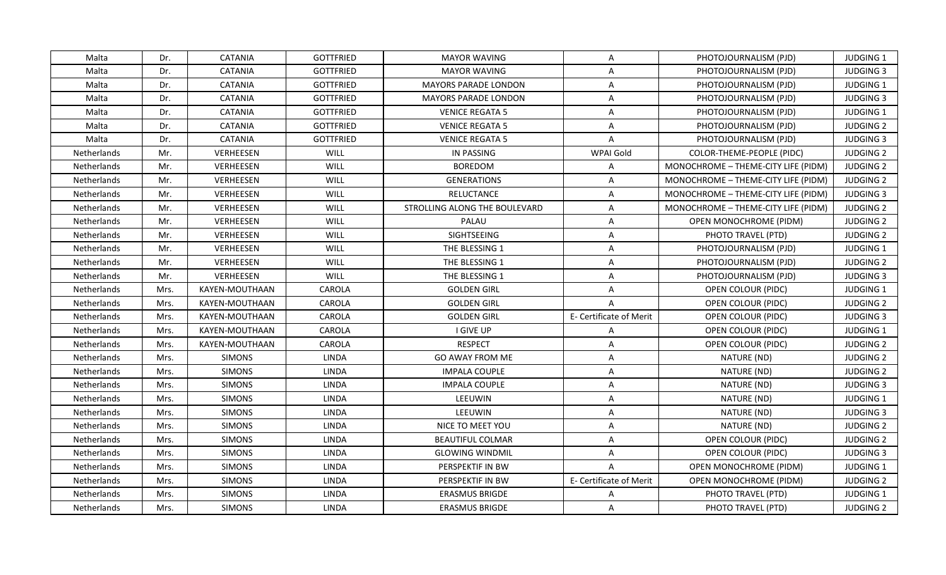| Malta              | Dr.  | <b>CATANIA</b>   | <b>GOTTFRIED</b> | <b>MAYOR WAVING</b>           | A                       | PHOTOJOURNALISM (PJD)               | <b>JUDGING 1</b> |
|--------------------|------|------------------|------------------|-------------------------------|-------------------------|-------------------------------------|------------------|
| Malta              | Dr.  | <b>CATANIA</b>   | <b>GOTTFRIED</b> | <b>MAYOR WAVING</b>           | A                       | PHOTOJOURNALISM (PJD)               | <b>JUDGING 3</b> |
| Malta              | Dr.  | <b>CATANIA</b>   | <b>GOTTFRIED</b> | <b>MAYORS PARADE LONDON</b>   | $\mathsf{A}$            | PHOTOJOURNALISM (PJD)               | JUDGING 1        |
| Malta              | Dr.  | <b>CATANIA</b>   | <b>GOTTFRIED</b> | MAYORS PARADE LONDON          | $\mathsf{A}$            | PHOTOJOURNALISM (PJD)               | <b>JUDGING 3</b> |
| Malta              | Dr.  | <b>CATANIA</b>   | <b>GOTTFRIED</b> | <b>VENICE REGATA 5</b>        | $\overline{A}$          | PHOTOJOURNALISM (PJD)               | JUDGING 1        |
| Malta              | Dr.  | <b>CATANIA</b>   | <b>GOTTFRIED</b> | <b>VENICE REGATA 5</b>        | A                       | PHOTOJOURNALISM (PJD)               | <b>JUDGING 2</b> |
| Malta              | Dr.  | <b>CATANIA</b>   | <b>GOTTFRIED</b> | <b>VENICE REGATA 5</b>        | $\mathsf{A}$            | PHOTOJOURNALISM (PJD)               | <b>JUDGING 3</b> |
| Netherlands        | Mr.  | VERHEESEN        | WILL             | IN PASSING                    | WPAI Gold               | COLOR-THEME-PEOPLE (PIDC)           | <b>JUDGING 2</b> |
| <b>Netherlands</b> | Mr.  | <b>VERHEESEN</b> | WILL             | <b>BOREDOM</b>                | $\overline{A}$          | MONOCHROME - THEME-CITY LIFE (PIDM) | <b>JUDGING 2</b> |
| Netherlands        | Mr.  | VERHEESEN        | WILL             | <b>GENERATIONS</b>            | $\overline{A}$          | MONOCHROME - THEME-CITY LIFE (PIDM) | <b>JUDGING 2</b> |
| Netherlands        | Mr.  | VERHEESEN        | WILL             | <b>RELUCTANCE</b>             | A                       | MONOCHROME - THEME-CITY LIFE (PIDM) | <b>JUDGING 3</b> |
| Netherlands        | Mr.  | VERHEESEN        | WILL             | STROLLING ALONG THE BOULEVARD | $\mathsf{A}$            | MONOCHROME - THEME-CITY LIFE (PIDM) | <b>JUDGING 2</b> |
| Netherlands        | Mr.  | VERHEESEN        | WILL             | PALAU                         | $\mathsf{A}$            | OPEN MONOCHROME (PIDM)              | <b>JUDGING 2</b> |
| Netherlands        | Mr.  | VERHEESEN        | WILL             | SIGHTSEEING                   | $\mathsf{A}$            | PHOTO TRAVEL (PTD)                  | <b>JUDGING 2</b> |
| Netherlands        | Mr.  | VERHEESEN        | WILL             | THE BLESSING 1                | A                       | PHOTOJOURNALISM (PJD)               | JUDGING 1        |
| <b>Netherlands</b> | Mr.  | VERHEESEN        | WILL             | THE BLESSING 1                | A                       | PHOTOJOURNALISM (PJD)               | <b>JUDGING 2</b> |
| Netherlands        | Mr.  | VERHEESEN        | WILL             | THE BLESSING 1                | A                       | PHOTOJOURNALISM (PJD)               | <b>JUDGING 3</b> |
| Netherlands        | Mrs. | KAYEN-MOUTHAAN   | CAROLA           | <b>GOLDEN GIRL</b>            | $\mathsf{A}$            | OPEN COLOUR (PIDC)                  | JUDGING 1        |
| Netherlands        | Mrs. | KAYEN-MOUTHAAN   | CAROLA           | <b>GOLDEN GIRL</b>            | $\overline{A}$          | OPEN COLOUR (PIDC)                  | <b>JUDGING 2</b> |
| Netherlands        | Mrs. | KAYEN-MOUTHAAN   | CAROLA           | <b>GOLDEN GIRL</b>            | E- Certificate of Merit | OPEN COLOUR (PIDC)                  | <b>JUDGING 3</b> |
| Netherlands        | Mrs. | KAYEN-MOUTHAAN   | CAROLA           | I GIVE UP                     | $\mathsf{A}$            | OPEN COLOUR (PIDC)                  | <b>JUDGING 1</b> |
| Netherlands        | Mrs. | KAYEN-MOUTHAAN   | CAROLA           | <b>RESPECT</b>                | $\mathsf{A}$            | OPEN COLOUR (PIDC)                  | <b>JUDGING 2</b> |
| Netherlands        | Mrs. | <b>SIMONS</b>    | <b>LINDA</b>     | <b>GO AWAY FROM ME</b>        | $\mathsf{A}$            | NATURE (ND)                         | <b>JUDGING 2</b> |
| Netherlands        | Mrs. | <b>SIMONS</b>    | <b>LINDA</b>     | <b>IMPALA COUPLE</b>          | $\mathsf{A}$            | NATURE (ND)                         | <b>JUDGING 2</b> |
| Netherlands        | Mrs. | <b>SIMONS</b>    | <b>LINDA</b>     | <b>IMPALA COUPLE</b>          | $\mathsf{A}$            | NATURE (ND)                         | <b>JUDGING 3</b> |
| Netherlands        | Mrs. | <b>SIMONS</b>    | <b>LINDA</b>     | LEEUWIN                       | $\overline{A}$          | NATURE (ND)                         | JUDGING 1        |
| Netherlands        | Mrs. | <b>SIMONS</b>    | <b>LINDA</b>     | LEEUWIN                       | A                       | NATURE (ND)                         | <b>JUDGING 3</b> |
| Netherlands        | Mrs. | <b>SIMONS</b>    | <b>LINDA</b>     | NICE TO MEET YOU              | $\mathsf{A}$            | NATURE (ND)                         | <b>JUDGING 2</b> |
| Netherlands        | Mrs. | <b>SIMONS</b>    | <b>LINDA</b>     | <b>BEAUTIFUL COLMAR</b>       | A                       | OPEN COLOUR (PIDC)                  | <b>JUDGING 2</b> |
| Netherlands        | Mrs. | <b>SIMONS</b>    | <b>LINDA</b>     | <b>GLOWING WINDMIL</b>        | $\mathsf{A}$            | OPEN COLOUR (PIDC)                  | <b>JUDGING 3</b> |
| Netherlands        | Mrs. | <b>SIMONS</b>    | LINDA            | PERSPEKTIF IN BW              | $\mathsf{A}$            | OPEN MONOCHROME (PIDM)              | <b>JUDGING 1</b> |
| Netherlands        | Mrs. | <b>SIMONS</b>    | <b>LINDA</b>     | PERSPEKTIF IN BW              | E- Certificate of Merit | OPEN MONOCHROME (PIDM)              | <b>JUDGING 2</b> |
| Netherlands        | Mrs. | <b>SIMONS</b>    | <b>LINDA</b>     | <b>ERASMUS BRIGDE</b>         | A                       | PHOTO TRAVEL (PTD)                  | JUDGING 1        |
| Netherlands        | Mrs. | <b>SIMONS</b>    | LINDA            | <b>ERASMUS BRIGDE</b>         | A                       | PHOTO TRAVEL (PTD)                  | <b>JUDGING 2</b> |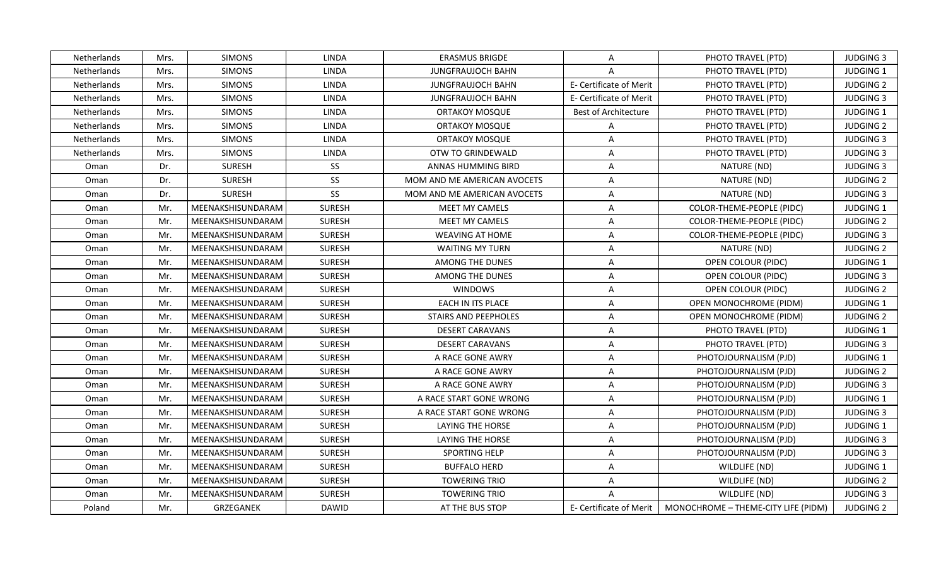| Netherlands | Mrs. | <b>SIMONS</b>     | <b>LINDA</b>  | <b>ERASMUS BRIGDE</b>       | A                       | PHOTO TRAVEL (PTD)                                            | <b>JUDGING 3</b> |
|-------------|------|-------------------|---------------|-----------------------------|-------------------------|---------------------------------------------------------------|------------------|
| Netherlands | Mrs. | <b>SIMONS</b>     | <b>LINDA</b>  | <b>JUNGFRAUJOCH BAHN</b>    | A                       | PHOTO TRAVEL (PTD)                                            | JUDGING 1        |
| Netherlands | Mrs. | <b>SIMONS</b>     | <b>LINDA</b>  | <b>JUNGFRAUJOCH BAHN</b>    | E- Certificate of Merit | PHOTO TRAVEL (PTD)                                            | <b>JUDGING 2</b> |
| Netherlands | Mrs. | <b>SIMONS</b>     | LINDA         | <b>JUNGFRAUJOCH BAHN</b>    | E- Certificate of Merit | PHOTO TRAVEL (PTD)                                            | <b>JUDGING 3</b> |
| Netherlands | Mrs. | <b>SIMONS</b>     | <b>LINDA</b>  | <b>ORTAKOY MOSQUE</b>       | Best of Architecture    | PHOTO TRAVEL (PTD)                                            | JUDGING 1        |
| Netherlands | Mrs. | <b>SIMONS</b>     | <b>LINDA</b>  | ORTAKOY MOSQUE              | A                       | PHOTO TRAVEL (PTD)                                            | <b>JUDGING 2</b> |
| Netherlands | Mrs. | <b>SIMONS</b>     | <b>LINDA</b>  | <b>ORTAKOY MOSQUE</b>       | $\overline{A}$          | PHOTO TRAVEL (PTD)                                            | <b>JUDGING 3</b> |
| Netherlands | Mrs. | <b>SIMONS</b>     | LINDA         | OTW TO GRINDEWALD           | A                       | PHOTO TRAVEL (PTD)                                            | <b>JUDGING 3</b> |
| Oman        | Dr.  | <b>SURESH</b>     | SS            | <b>ANNAS HUMMING BIRD</b>   | A                       | NATURE (ND)                                                   | <b>JUDGING 3</b> |
| Oman        | Dr.  | <b>SURESH</b>     | SS            | MOM AND ME AMERICAN AVOCETS | A                       | NATURE (ND)                                                   | <b>JUDGING 2</b> |
| Oman        | Dr.  | <b>SURESH</b>     | SS            | MOM AND ME AMERICAN AVOCETS | A                       | NATURE (ND)                                                   | <b>JUDGING 3</b> |
| Oman        | Mr.  | MEENAKSHISUNDARAM | <b>SURESH</b> | <b>MEET MY CAMELS</b>       | A                       | <b>COLOR-THEME-PEOPLE (PIDC)</b>                              | JUDGING 1        |
| Oman        | Mr.  | MEENAKSHISUNDARAM | <b>SURESH</b> | MEET MY CAMELS              | A                       | COLOR-THEME-PEOPLE (PIDC)                                     | <b>JUDGING 2</b> |
| Oman        | Mr.  | MEENAKSHISUNDARAM | <b>SURESH</b> | <b>WEAVING AT HOME</b>      | A                       | COLOR-THEME-PEOPLE (PIDC)                                     | <b>JUDGING 3</b> |
| Oman        | Mr.  | MEENAKSHISUNDARAM | <b>SURESH</b> | <b>WAITING MY TURN</b>      | A                       | NATURE (ND)                                                   | <b>JUDGING 2</b> |
| Oman        | Mr.  | MEENAKSHISUNDARAM | <b>SURESH</b> | AMONG THE DUNES             | A                       | OPEN COLOUR (PIDC)                                            | <b>JUDGING 1</b> |
| Oman        | Mr.  | MEENAKSHISUNDARAM | <b>SURESH</b> | AMONG THE DUNES             | $\overline{\mathsf{A}}$ | OPEN COLOUR (PIDC)                                            | <b>JUDGING 3</b> |
| Oman        | Mr.  | MEENAKSHISUNDARAM | <b>SURESH</b> | <b>WINDOWS</b>              | $\overline{A}$          | OPEN COLOUR (PIDC)                                            | <b>JUDGING 2</b> |
| Oman        | Mr.  | MEENAKSHISUNDARAM | <b>SURESH</b> | EACH IN ITS PLACE           | A                       | OPEN MONOCHROME (PIDM)                                        | <b>JUDGING 1</b> |
| Oman        | Mr.  | MEENAKSHISUNDARAM | <b>SURESH</b> | <b>STAIRS AND PEEPHOLES</b> | A                       | OPEN MONOCHROME (PIDM)                                        | <b>JUDGING 2</b> |
| Oman        | Mr.  | MEENAKSHISUNDARAM | <b>SURESH</b> | <b>DESERT CARAVANS</b>      | A                       | PHOTO TRAVEL (PTD)                                            | <b>JUDGING 1</b> |
| Oman        | Mr.  | MEENAKSHISUNDARAM | <b>SURESH</b> | <b>DESERT CARAVANS</b>      | Α                       | PHOTO TRAVEL (PTD)                                            | <b>JUDGING 3</b> |
| Oman        | Mr.  | MEENAKSHISUNDARAM | <b>SURESH</b> | A RACE GONE AWRY            | Α                       | PHOTOJOURNALISM (PJD)                                         | JUDGING 1        |
| Oman        | Mr.  | MEENAKSHISUNDARAM | <b>SURESH</b> | A RACE GONE AWRY            | Α                       | PHOTOJOURNALISM (PJD)                                         | <b>JUDGING 2</b> |
| Oman        | Mr.  | MEENAKSHISUNDARAM | <b>SURESH</b> | A RACE GONE AWRY            | A                       | PHOTOJOURNALISM (PJD)                                         | <b>JUDGING 3</b> |
| Oman        | Mr.  | MEENAKSHISUNDARAM | <b>SURESH</b> | A RACE START GONE WRONG     | A                       | PHOTOJOURNALISM (PJD)                                         | JUDGING 1        |
| Oman        | Mr.  | MEENAKSHISUNDARAM | <b>SURESH</b> | A RACE START GONE WRONG     | A                       | PHOTOJOURNALISM (PJD)                                         | <b>JUDGING 3</b> |
| Oman        | Mr.  | MEENAKSHISUNDARAM | <b>SURESH</b> | <b>LAYING THE HORSE</b>     | A                       | PHOTOJOURNALISM (PJD)                                         | JUDGING 1        |
| Oman        | Mr.  | MEENAKSHISUNDARAM | <b>SURESH</b> | LAYING THE HORSE            | A                       | PHOTOJOURNALISM (PJD)                                         | <b>JUDGING 3</b> |
| Oman        | Mr.  | MEENAKSHISUNDARAM | <b>SURESH</b> | SPORTING HELP               | Α                       | PHOTOJOURNALISM (PJD)                                         | <b>JUDGING 3</b> |
| Oman        | Mr.  | MEENAKSHISUNDARAM | <b>SURESH</b> | <b>BUFFALO HERD</b>         | Α                       | WILDLIFE (ND)                                                 | <b>JUDGING 1</b> |
| Oman        | Mr.  | MEENAKSHISUNDARAM | <b>SURESH</b> | <b>TOWERING TRIO</b>        | A                       | WILDLIFE (ND)                                                 | <b>JUDGING 2</b> |
| Oman        | Mr.  | MEENAKSHISUNDARAM | <b>SURESH</b> | <b>TOWERING TRIO</b>        | $\overline{A}$          | WILDLIFE (ND)                                                 | <b>JUDGING 3</b> |
| Poland      | Mr.  | <b>GRZEGANEK</b>  | DAWID         | AT THE BUS STOP             |                         | E- Certificate of Merit   MONOCHROME – THEME-CITY LIFE (PIDM) | <b>JUDGING 2</b> |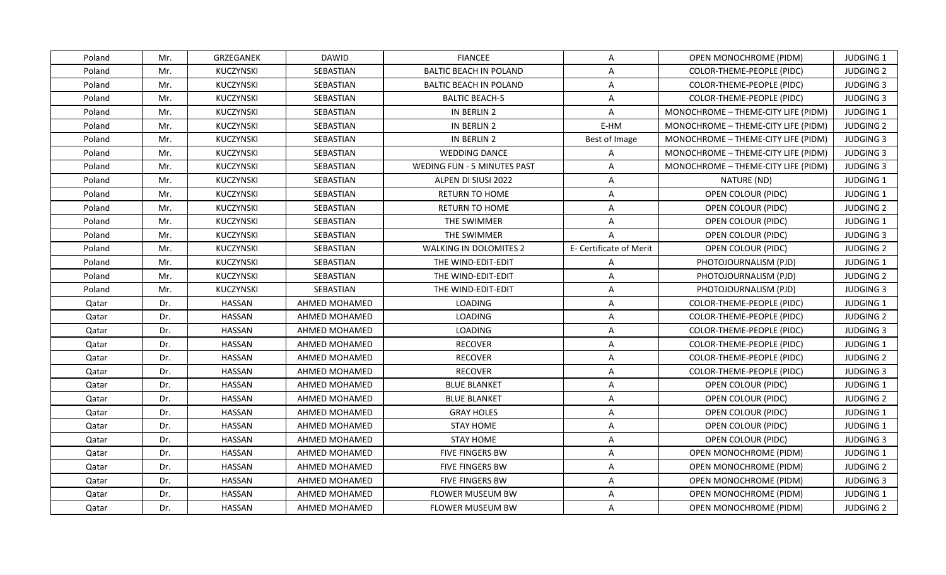| Poland | Mr. | <b>GRZEGANEK</b> | <b>DAWID</b>     | <b>FIANCEE</b>                     | A                       | OPEN MONOCHROME (PIDM)              | <b>JUDGING 1</b> |
|--------|-----|------------------|------------------|------------------------------------|-------------------------|-------------------------------------|------------------|
| Poland | Mr. | KUCZYNSKI        | SEBASTIAN        | <b>BALTIC BEACH IN POLAND</b>      | A                       | COLOR-THEME-PEOPLE (PIDC)           | <b>JUDGING 2</b> |
| Poland | Mr. | KUCZYNSKI        | SEBASTIAN        | <b>BALTIC BEACH IN POLAND</b>      | $\mathsf{A}$            | COLOR-THEME-PEOPLE (PIDC)           | <b>JUDGING 3</b> |
| Poland | Mr. | <b>KUCZYNSKI</b> | <b>SEBASTIAN</b> | <b>BALTIC BEACH-5</b>              | Α                       | COLOR-THEME-PEOPLE (PIDC)           | <b>JUDGING 3</b> |
| Poland | Mr. | <b>KUCZYNSKI</b> | SEBASTIAN        | IN BERLIN 2                        | Α                       | MONOCHROME - THEME-CITY LIFE (PIDM) | <b>JUDGING 1</b> |
| Poland | Mr. | <b>KUCZYNSKI</b> | SEBASTIAN        | IN BERLIN 2                        | E-HM                    | MONOCHROME - THEME-CITY LIFE (PIDM) | <b>JUDGING 2</b> |
| Poland | Mr. | KUCZYNSKI        | SEBASTIAN        | IN BERLIN 2                        | Best of Image           | MONOCHROME - THEME-CITY LIFE (PIDM) | <b>JUDGING 3</b> |
| Poland | Mr. | KUCZYNSKI        | SEBASTIAN        | <b>WEDDING DANCE</b>               | $\overline{A}$          | MONOCHROME - THEME-CITY LIFE (PIDM) | <b>JUDGING 3</b> |
| Poland | Mr. | <b>KUCZYNSKI</b> | <b>SEBASTIAN</b> | <b>WEDING FUN - 5 MINUTES PAST</b> | A                       | MONOCHROME - THEME-CITY LIFE (PIDM) | <b>JUDGING 3</b> |
| Poland | Mr. | <b>KUCZYNSKI</b> | SEBASTIAN        | ALPEN DI SIUSI 2022                | $\overline{A}$          | NATURE (ND)                         | <b>JUDGING 1</b> |
| Poland | Mr. | KUCZYNSKI        | SEBASTIAN        | <b>RETURN TO HOME</b>              | $\mathsf{A}$            | OPEN COLOUR (PIDC)                  | JUDGING 1        |
| Poland | Mr. | KUCZYNSKI        | SEBASTIAN        | RETURN TO HOME                     | Α                       | OPEN COLOUR (PIDC)                  | <b>JUDGING 2</b> |
| Poland | Mr. | KUCZYNSKI        | SEBASTIAN        | THE SWIMMER                        | A                       | OPEN COLOUR (PIDC)                  | JUDGING 1        |
| Poland | Mr. | KUCZYNSKI        | SEBASTIAN        | THE SWIMMER                        | $\overline{A}$          | OPEN COLOUR (PIDC)                  | <b>JUDGING 3</b> |
| Poland | Mr. | KUCZYNSKI        | SEBASTIAN        | <b>WALKING IN DOLOMITES 2</b>      | E- Certificate of Merit | OPEN COLOUR (PIDC)                  | <b>JUDGING 2</b> |
| Poland | Mr. | KUCZYNSKI        | SEBASTIAN        | THE WIND-EDIT-EDIT                 | A                       | PHOTOJOURNALISM (PJD)               | <b>JUDGING 1</b> |
| Poland | Mr. | KUCZYNSKI        | SEBASTIAN        | THE WIND-EDIT-EDIT                 | $\overline{A}$          | PHOTOJOURNALISM (PJD)               | <b>JUDGING 2</b> |
| Poland | Mr. | KUCZYNSKI        | SEBASTIAN        | THE WIND-EDIT-EDIT                 | A                       | PHOTOJOURNALISM (PJD)               | <b>JUDGING 3</b> |
| Qatar  | Dr. | HASSAN           | AHMED MOHAMED    | <b>LOADING</b>                     | A                       | COLOR-THEME-PEOPLE (PIDC)           | <b>JUDGING 1</b> |
| Qatar  | Dr. | HASSAN           | AHMED MOHAMED    | LOADING                            | A                       | COLOR-THEME-PEOPLE (PIDC)           | <b>JUDGING 2</b> |
| Qatar  | Dr. | HASSAN           | AHMED MOHAMED    | <b>LOADING</b>                     | A                       | COLOR-THEME-PEOPLE (PIDC)           | <b>JUDGING 3</b> |
| Qatar  | Dr. | HASSAN           | AHMED MOHAMED    | <b>RECOVER</b>                     | A                       | COLOR-THEME-PEOPLE (PIDC)           | JUDGING 1        |
| Qatar  | Dr. | HASSAN           | AHMED MOHAMED    | <b>RECOVER</b>                     | A                       | COLOR-THEME-PEOPLE (PIDC)           | <b>JUDGING 2</b> |
| Qatar  | Dr. | HASSAN           | AHMED MOHAMED    | <b>RECOVER</b>                     | A                       | COLOR-THEME-PEOPLE (PIDC)           | <b>JUDGING 3</b> |
| Qatar  | Dr. | HASSAN           | AHMED MOHAMED    | <b>BLUE BLANKET</b>                | A                       | OPEN COLOUR (PIDC)                  | JUDGING 1        |
| Qatar  | Dr. | <b>HASSAN</b>    | AHMED MOHAMED    | <b>BLUE BLANKET</b>                | A                       | OPEN COLOUR (PIDC)                  | <b>JUDGING 2</b> |
| Qatar  | Dr. | HASSAN           | AHMED MOHAMED    | <b>GRAY HOLES</b>                  | A                       | OPEN COLOUR (PIDC)                  | JUDGING 1        |
| Qatar  | Dr. | <b>HASSAN</b>    | AHMED MOHAMED    | <b>STAY HOME</b>                   | $\mathsf{A}$            | OPEN COLOUR (PIDC)                  | JUDGING 1        |
| Qatar  | Dr. | HASSAN           | AHMED MOHAMED    | <b>STAY HOME</b>                   | A                       | OPEN COLOUR (PIDC)                  | <b>JUDGING 3</b> |
| Qatar  | Dr. | HASSAN           | AHMED MOHAMED    | <b>FIVE FINGERS BW</b>             | A                       | <b>OPEN MONOCHROME (PIDM)</b>       | <b>JUDGING 1</b> |
| Qatar  | Dr. | HASSAN           | AHMED MOHAMED    | <b>FIVE FINGERS BW</b>             | A                       | <b>OPEN MONOCHROME (PIDM)</b>       | <b>JUDGING 2</b> |
| Qatar  | Dr. | HASSAN           | AHMED MOHAMED    | FIVE FINGERS BW                    | A                       | OPEN MONOCHROME (PIDM)              | <b>JUDGING 3</b> |
| Qatar  | Dr. | <b>HASSAN</b>    | AHMED MOHAMED    | FLOWER MUSEUM BW                   | $\overline{A}$          | OPEN MONOCHROME (PIDM)              | JUDGING 1        |
| Qatar  | Dr. | HASSAN           | AHMED MOHAMED    | FLOWER MUSEUM BW                   | A                       | OPEN MONOCHROME (PIDM)              | <b>JUDGING 2</b> |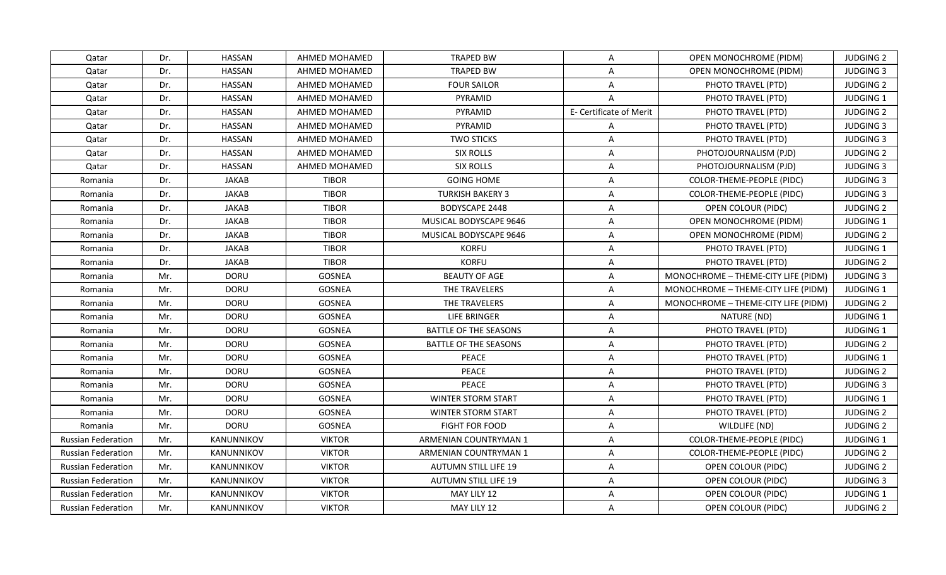| Qatar                     | Dr. | <b>HASSAN</b> | AHMED MOHAMED | <b>TRAPED BW</b>             | $\mathsf{A}$            | OPEN MONOCHROME (PIDM)              | <b>JUDGING 2</b> |
|---------------------------|-----|---------------|---------------|------------------------------|-------------------------|-------------------------------------|------------------|
| Qatar                     | Dr. | <b>HASSAN</b> | AHMED MOHAMED | <b>TRAPED BW</b>             | $\overline{A}$          | OPEN MONOCHROME (PIDM)              | <b>JUDGING 3</b> |
| Qatar                     | Dr. | <b>HASSAN</b> | AHMED MOHAMED | <b>FOUR SAILOR</b>           | $\mathsf{A}$            | PHOTO TRAVEL (PTD)                  | <b>JUDGING 2</b> |
| Qatar                     | Dr. | <b>HASSAN</b> | AHMED MOHAMED | PYRAMID                      | $\overline{A}$          | PHOTO TRAVEL (PTD)                  | JUDGING 1        |
| Qatar                     | Dr. | <b>HASSAN</b> | AHMED MOHAMED | PYRAMID                      | E- Certificate of Merit | PHOTO TRAVEL (PTD)                  | <b>JUDGING 2</b> |
| Qatar                     | Dr. | <b>HASSAN</b> | AHMED MOHAMED | PYRAMID                      | A                       | PHOTO TRAVEL (PTD)                  | <b>JUDGING 3</b> |
| Qatar                     | Dr. | <b>HASSAN</b> | AHMED MOHAMED | <b>TWO STICKS</b>            | $\mathsf{A}$            | PHOTO TRAVEL (PTD)                  | <b>JUDGING 3</b> |
| Qatar                     | Dr. | <b>HASSAN</b> | AHMED MOHAMED | <b>SIX ROLLS</b>             | $\overline{A}$          | PHOTOJOURNALISM (PJD)               | <b>JUDGING 2</b> |
| Qatar                     | Dr. | <b>HASSAN</b> | AHMED MOHAMED | <b>SIX ROLLS</b>             | A                       | PHOTOJOURNALISM (PJD)               | <b>JUDGING 3</b> |
| Romania                   | Dr. | <b>JAKAB</b>  | <b>TIBOR</b>  | <b>GOING HOME</b>            | $\overline{A}$          | COLOR-THEME-PEOPLE (PIDC)           | <b>JUDGING 3</b> |
| Romania                   | Dr. | <b>JAKAB</b>  | <b>TIBOR</b>  | <b>TURKISH BAKERY 3</b>      | A                       | <b>COLOR-THEME-PEOPLE (PIDC)</b>    | <b>JUDGING 3</b> |
| Romania                   | Dr. | <b>JAKAB</b>  | <b>TIBOR</b>  | <b>BODYSCAPE 2448</b>        | A                       | OPEN COLOUR (PIDC)                  | <b>JUDGING 2</b> |
| Romania                   | Dr. | <b>JAKAB</b>  | <b>TIBOR</b>  | MUSICAL BODYSCAPE 9646       | $\mathsf{A}$            | OPEN MONOCHROME (PIDM)              | JUDGING 1        |
| Romania                   | Dr. | <b>JAKAB</b>  | <b>TIBOR</b>  | MUSICAL BODYSCAPE 9646       | A                       | OPEN MONOCHROME (PIDM)              | <b>JUDGING 2</b> |
| Romania                   | Dr. | <b>JAKAB</b>  | <b>TIBOR</b>  | <b>KORFU</b>                 | A                       | PHOTO TRAVEL (PTD)                  | JUDGING 1        |
| Romania                   | Dr. | <b>JAKAB</b>  | <b>TIBOR</b>  | <b>KORFU</b>                 | A                       | PHOTO TRAVEL (PTD)                  | <b>JUDGING 2</b> |
| Romania                   | Mr. | <b>DORU</b>   | GOSNEA        | <b>BEAUTY OF AGE</b>         | A                       | MONOCHROME - THEME-CITY LIFE (PIDM) | <b>JUDGING 3</b> |
| Romania                   | Mr. | <b>DORU</b>   | GOSNEA        | THE TRAVELERS                | $\mathsf{A}$            | MONOCHROME - THEME-CITY LIFE (PIDM) | JUDGING 1        |
| Romania                   | Mr. | <b>DORU</b>   | <b>GOSNEA</b> | THE TRAVELERS                | A                       | MONOCHROME - THEME-CITY LIFE (PIDM) | <b>JUDGING 2</b> |
| Romania                   | Mr. | <b>DORU</b>   | GOSNEA        | LIFE BRINGER                 | $\mathsf{A}$            | NATURE (ND)                         | JUDGING 1        |
| Romania                   | Mr. | <b>DORU</b>   | <b>GOSNEA</b> | <b>BATTLE OF THE SEASONS</b> | A                       | PHOTO TRAVEL (PTD)                  | JUDGING 1        |
| Romania                   | Mr. | <b>DORU</b>   | GOSNEA        | <b>BATTLE OF THE SEASONS</b> | $\overline{A}$          | PHOTO TRAVEL (PTD)                  | <b>JUDGING 2</b> |
| Romania                   | Mr. | <b>DORU</b>   | GOSNEA        | <b>PEACE</b>                 | $\mathsf{A}$            | PHOTO TRAVEL (PTD)                  | JUDGING 1        |
| Romania                   | Mr. | <b>DORU</b>   | GOSNEA        | <b>PEACE</b>                 | $\mathsf{A}$            | PHOTO TRAVEL (PTD)                  | <b>JUDGING 2</b> |
| Romania                   | Mr. | <b>DORU</b>   | GOSNEA        | <b>PEACE</b>                 | A                       | PHOTO TRAVEL (PTD)                  | <b>JUDGING 3</b> |
| Romania                   | Mr. | <b>DORU</b>   | GOSNEA        | WINTER STORM START           | $\overline{A}$          | PHOTO TRAVEL (PTD)                  | JUDGING 1        |
| Romania                   | Mr. | <b>DORU</b>   | GOSNEA        | WINTER STORM START           | $\mathsf{A}$            | PHOTO TRAVEL (PTD)                  | <b>JUDGING 2</b> |
| Romania                   | Mr. | <b>DORU</b>   | GOSNEA        | <b>FIGHT FOR FOOD</b>        | $\mathsf{A}$            | WILDLIFE (ND)                       | <b>JUDGING 2</b> |
| <b>Russian Federation</b> | Mr. | KANUNNIKOV    | <b>VIKTOR</b> | ARMENIAN COUNTRYMAN 1        | A                       | COLOR-THEME-PEOPLE (PIDC)           | <b>JUDGING 1</b> |
| <b>Russian Federation</b> | Mr. | KANUNNIKOV    | <b>VIKTOR</b> | ARMENIAN COUNTRYMAN 1        | $\mathsf{A}$            | COLOR-THEME-PEOPLE (PIDC)           | <b>JUDGING 2</b> |
| Russian Federation        | Mr. | KANUNNIKOV    | <b>VIKTOR</b> | <b>AUTUMN STILL LIFE 19</b>  | $\mathsf{A}$            | OPEN COLOUR (PIDC)                  | <b>JUDGING 2</b> |
| <b>Russian Federation</b> | Mr. | KANUNNIKOV    | <b>VIKTOR</b> | AUTUMN STILL LIFE 19         | A                       | OPEN COLOUR (PIDC)                  | <b>JUDGING 3</b> |
| <b>Russian Federation</b> | Mr. | KANUNNIKOV    | <b>VIKTOR</b> | MAY LILY 12                  | $\overline{A}$          | OPEN COLOUR (PIDC)                  | JUDGING 1        |
| <b>Russian Federation</b> | Mr. | KANUNNIKOV    | <b>VIKTOR</b> | MAY LILY 12                  | A                       | OPEN COLOUR (PIDC)                  | <b>JUDGING 2</b> |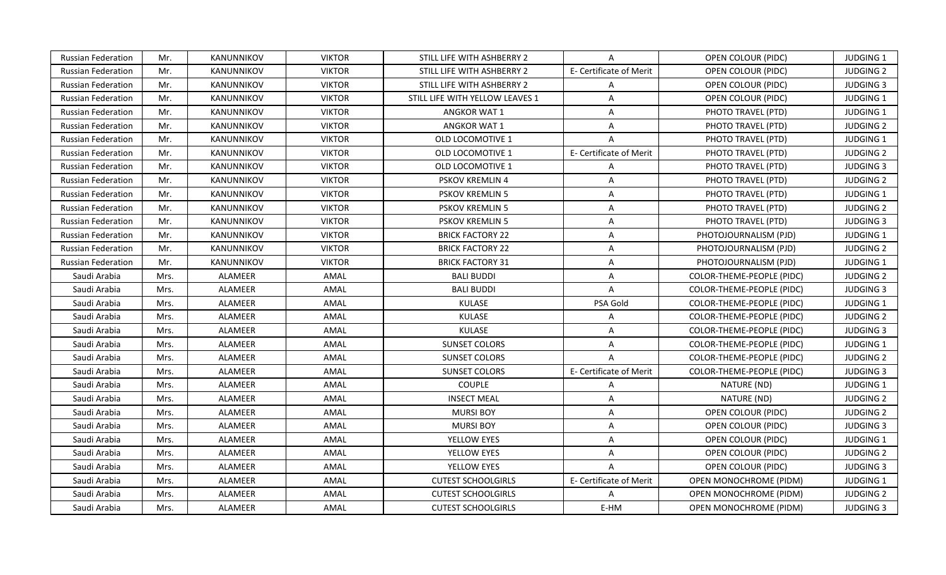| Russian Federation<br><b>VIKTOR</b><br>Mr.<br>KANUNNIKOV<br>STILL LIFE WITH ASHBERRY 2<br>A<br>OPEN COLOUR (PIDC)<br><b>Russian Federation</b><br>Mr.<br>KANUNNIKOV<br><b>VIKTOR</b><br>E- Certificate of Merit<br>OPEN COLOUR (PIDC)<br>STILL LIFE WITH ASHBERRY 2<br>Mr.<br><b>VIKTOR</b><br>STILL LIFE WITH ASHBERRY 2<br>OPEN COLOUR (PIDC)<br>Russian Federation<br>KANUNNIKOV<br>A<br>Mr.<br><b>VIKTOR</b><br>STILL LIFE WITH YELLOW LEAVES 1<br>A<br>OPEN COLOUR (PIDC)<br><b>Russian Federation</b><br>KANUNNIKOV<br><b>Russian Federation</b><br>Mr.<br>KANUNNIKOV<br><b>VIKTOR</b><br><b>ANGKOR WAT 1</b><br>PHOTO TRAVEL (PTD)<br>A<br>Mr.<br><b>VIKTOR</b><br>PHOTO TRAVEL (PTD)<br>Russian Federation<br>KANUNNIKOV<br>ANGKOR WAT 1<br>A<br>Mr.<br>KANUNNIKOV<br><b>VIKTOR</b><br>$\overline{A}$<br>PHOTO TRAVEL (PTD)<br><b>Russian Federation</b><br>OLD LOCOMOTIVE 1<br><b>VIKTOR</b><br><b>Russian Federation</b><br>Mr.<br><b>KANUNNIKOV</b><br>OLD LOCOMOTIVE 1<br>E- Certificate of Merit<br>PHOTO TRAVEL (PTD)<br>Mr.<br><b>VIKTOR</b><br>PHOTO TRAVEL (PTD)<br><b>Russian Federation</b><br>KANUNNIKOV<br><b>OLD LOCOMOTIVE 1</b><br>$\mathsf{A}$<br><b>VIKTOR</b><br><b>Russian Federation</b><br>Mr.<br><b>KANUNNIKOV</b><br><b>PSKOV KREMLIN 4</b><br>$\overline{A}$<br>PHOTO TRAVEL (PTD)<br><b>VIKTOR</b><br>PHOTO TRAVEL (PTD)<br>Russian Federation<br>Mr.<br>KANUNNIKOV<br>PSKOV KREMLIN 5<br>$\mathsf{A}$<br>Russian Federation<br><b>VIKTOR</b><br>PHOTO TRAVEL (PTD)<br>Mr.<br>KANUNNIKOV<br>PSKOV KREMLIN 5<br>A<br><b>VIKTOR</b><br>PHOTO TRAVEL (PTD)<br><b>Russian Federation</b><br>Mr.<br>KANUNNIKOV<br>PSKOV KREMLIN 5<br>A<br><b>Russian Federation</b><br>Mr.<br>KANUNNIKOV<br><b>VIKTOR</b><br><b>BRICK FACTORY 22</b><br>$\mathsf{A}$<br>PHOTOJOURNALISM (PJD)<br>Mr.<br><b>Russian Federation</b><br><b>KANUNNIKOV</b><br><b>VIKTOR</b><br><b>BRICK FACTORY 22</b><br>PHOTOJOURNALISM (PJD)<br>A<br><b>BRICK FACTORY 31</b><br>Russian Federation<br>Mr.<br>KANUNNIKOV<br><b>VIKTOR</b><br>A<br>PHOTOJOURNALISM (PJD)<br>Saudi Arabia<br>ALAMEER<br>AMAL<br><b>BALI BUDDI</b><br>A<br>COLOR-THEME-PEOPLE (PIDC)<br>Mrs.<br>ALAMEER<br>AMAL<br><b>BALI BUDDI</b><br>$\mathsf{A}$<br>COLOR-THEME-PEOPLE (PIDC)<br>Saudi Arabia<br>Mrs.<br><b>ALAMEER</b><br>AMAL<br><b>KULASE</b><br>PSA Gold<br>Saudi Arabia<br>Mrs.<br>COLOR-THEME-PEOPLE (PIDC)<br>KULASE<br>ALAMEER<br>AMAL<br>Saudi Arabia<br>Mrs.<br>A<br>COLOR-THEME-PEOPLE (PIDC)<br>Saudi Arabia<br>ALAMEER<br>AMAL<br><b>KULASE</b><br>COLOR-THEME-PEOPLE (PIDC)<br>Mrs.<br>A<br>ALAMEER<br><b>SUNSET COLORS</b><br>Saudi Arabia<br>AMAL<br>COLOR-THEME-PEOPLE (PIDC)<br>Mrs.<br>A<br>ALAMEER<br>AMAL<br><b>SUNSET COLORS</b><br>$\overline{A}$<br>COLOR-THEME-PEOPLE (PIDC)<br>Saudi Arabia<br>Mrs.<br>ALAMEER<br><b>SUNSET COLORS</b><br>E- Certificate of Merit<br>COLOR-THEME-PEOPLE (PIDC)<br>Saudi Arabia<br>Mrs.<br>AMAL<br><b>COUPLE</b><br>Saudi Arabia<br>Mrs.<br>ALAMEER<br>AMAL<br>NATURE (ND)<br>A<br>ALAMEER<br><b>INSECT MEAL</b><br>A<br>NATURE (ND)<br>Saudi Arabia<br>Mrs.<br>AMAL<br>ALAMEER<br><b>MURSI BOY</b><br>OPEN COLOUR (PIDC)<br>Saudi Arabia<br>Mrs.<br>AMAL<br>A<br>ALAMEER<br><b>MURSI BOY</b><br>Saudi Arabia<br>Mrs.<br>AMAL<br>A<br>OPEN COLOUR (PIDC)<br>ALAMEER<br>Saudi Arabia<br>Mrs.<br>AMAL<br>YELLOW EYES<br>A<br>OPEN COLOUR (PIDC)<br>ALAMEER<br>YELLOW EYES<br>Saudi Arabia<br>Mrs.<br>AMAL<br>A<br>OPEN COLOUR (PIDC)<br>ALAMEER<br>YELLOW EYES<br>Saudi Arabia<br>Mrs.<br>AMAL<br>$\mathsf{A}$<br>OPEN COLOUR (PIDC)<br>ALAMEER<br>Saudi Arabia<br>AMAL<br><b>CUTEST SCHOOLGIRLS</b><br>E- Certificate of Merit<br>OPEN MONOCHROME (PIDM)<br>Mrs.<br>ALAMEER<br>Saudi Arabia<br>AMAL<br><b>CUTEST SCHOOLGIRLS</b><br>A<br>OPEN MONOCHROME (PIDM)<br>Mrs.<br>Saudi Arabia<br>ALAMEER<br>AMAL<br><b>CUTEST SCHOOLGIRLS</b><br>E-HM<br>OPEN MONOCHROME (PIDM)<br>Mrs. |  |  |  |                  |
|-----------------------------------------------------------------------------------------------------------------------------------------------------------------------------------------------------------------------------------------------------------------------------------------------------------------------------------------------------------------------------------------------------------------------------------------------------------------------------------------------------------------------------------------------------------------------------------------------------------------------------------------------------------------------------------------------------------------------------------------------------------------------------------------------------------------------------------------------------------------------------------------------------------------------------------------------------------------------------------------------------------------------------------------------------------------------------------------------------------------------------------------------------------------------------------------------------------------------------------------------------------------------------------------------------------------------------------------------------------------------------------------------------------------------------------------------------------------------------------------------------------------------------------------------------------------------------------------------------------------------------------------------------------------------------------------------------------------------------------------------------------------------------------------------------------------------------------------------------------------------------------------------------------------------------------------------------------------------------------------------------------------------------------------------------------------------------------------------------------------------------------------------------------------------------------------------------------------------------------------------------------------------------------------------------------------------------------------------------------------------------------------------------------------------------------------------------------------------------------------------------------------------------------------------------------------------------------------------------------------------------------------------------------------------------------------------------------------------------------------------------------------------------------------------------------------------------------------------------------------------------------------------------------------------------------------------------------------------------------------------------------------------------------------------------------------------------------------------------------------------------------------------------------------------------------------------------------------------------------------------------------------------------------------------------------------------------------------------------------------------------------------------------------------------------------------------------------------------------------------------------------------------------------------------------------------------------------------------------------------------------------------------------------------------------------------------------------------------------------------------------------------------------------------------------------------------------------------------------------------------------------------------------------------------|--|--|--|------------------|
|                                                                                                                                                                                                                                                                                                                                                                                                                                                                                                                                                                                                                                                                                                                                                                                                                                                                                                                                                                                                                                                                                                                                                                                                                                                                                                                                                                                                                                                                                                                                                                                                                                                                                                                                                                                                                                                                                                                                                                                                                                                                                                                                                                                                                                                                                                                                                                                                                                                                                                                                                                                                                                                                                                                                                                                                                                                                                                                                                                                                                                                                                                                                                                                                                                                                                                                                                                                                                                                                                                                                                                                                                                                                                                                                                                                                                                                                                                                       |  |  |  | <b>JUDGING 1</b> |
|                                                                                                                                                                                                                                                                                                                                                                                                                                                                                                                                                                                                                                                                                                                                                                                                                                                                                                                                                                                                                                                                                                                                                                                                                                                                                                                                                                                                                                                                                                                                                                                                                                                                                                                                                                                                                                                                                                                                                                                                                                                                                                                                                                                                                                                                                                                                                                                                                                                                                                                                                                                                                                                                                                                                                                                                                                                                                                                                                                                                                                                                                                                                                                                                                                                                                                                                                                                                                                                                                                                                                                                                                                                                                                                                                                                                                                                                                                                       |  |  |  | <b>JUDGING 2</b> |
|                                                                                                                                                                                                                                                                                                                                                                                                                                                                                                                                                                                                                                                                                                                                                                                                                                                                                                                                                                                                                                                                                                                                                                                                                                                                                                                                                                                                                                                                                                                                                                                                                                                                                                                                                                                                                                                                                                                                                                                                                                                                                                                                                                                                                                                                                                                                                                                                                                                                                                                                                                                                                                                                                                                                                                                                                                                                                                                                                                                                                                                                                                                                                                                                                                                                                                                                                                                                                                                                                                                                                                                                                                                                                                                                                                                                                                                                                                                       |  |  |  | <b>JUDGING 3</b> |
|                                                                                                                                                                                                                                                                                                                                                                                                                                                                                                                                                                                                                                                                                                                                                                                                                                                                                                                                                                                                                                                                                                                                                                                                                                                                                                                                                                                                                                                                                                                                                                                                                                                                                                                                                                                                                                                                                                                                                                                                                                                                                                                                                                                                                                                                                                                                                                                                                                                                                                                                                                                                                                                                                                                                                                                                                                                                                                                                                                                                                                                                                                                                                                                                                                                                                                                                                                                                                                                                                                                                                                                                                                                                                                                                                                                                                                                                                                                       |  |  |  | <b>JUDGING 1</b> |
|                                                                                                                                                                                                                                                                                                                                                                                                                                                                                                                                                                                                                                                                                                                                                                                                                                                                                                                                                                                                                                                                                                                                                                                                                                                                                                                                                                                                                                                                                                                                                                                                                                                                                                                                                                                                                                                                                                                                                                                                                                                                                                                                                                                                                                                                                                                                                                                                                                                                                                                                                                                                                                                                                                                                                                                                                                                                                                                                                                                                                                                                                                                                                                                                                                                                                                                                                                                                                                                                                                                                                                                                                                                                                                                                                                                                                                                                                                                       |  |  |  | <b>JUDGING 1</b> |
|                                                                                                                                                                                                                                                                                                                                                                                                                                                                                                                                                                                                                                                                                                                                                                                                                                                                                                                                                                                                                                                                                                                                                                                                                                                                                                                                                                                                                                                                                                                                                                                                                                                                                                                                                                                                                                                                                                                                                                                                                                                                                                                                                                                                                                                                                                                                                                                                                                                                                                                                                                                                                                                                                                                                                                                                                                                                                                                                                                                                                                                                                                                                                                                                                                                                                                                                                                                                                                                                                                                                                                                                                                                                                                                                                                                                                                                                                                                       |  |  |  | <b>JUDGING 2</b> |
|                                                                                                                                                                                                                                                                                                                                                                                                                                                                                                                                                                                                                                                                                                                                                                                                                                                                                                                                                                                                                                                                                                                                                                                                                                                                                                                                                                                                                                                                                                                                                                                                                                                                                                                                                                                                                                                                                                                                                                                                                                                                                                                                                                                                                                                                                                                                                                                                                                                                                                                                                                                                                                                                                                                                                                                                                                                                                                                                                                                                                                                                                                                                                                                                                                                                                                                                                                                                                                                                                                                                                                                                                                                                                                                                                                                                                                                                                                                       |  |  |  | JUDGING 1        |
|                                                                                                                                                                                                                                                                                                                                                                                                                                                                                                                                                                                                                                                                                                                                                                                                                                                                                                                                                                                                                                                                                                                                                                                                                                                                                                                                                                                                                                                                                                                                                                                                                                                                                                                                                                                                                                                                                                                                                                                                                                                                                                                                                                                                                                                                                                                                                                                                                                                                                                                                                                                                                                                                                                                                                                                                                                                                                                                                                                                                                                                                                                                                                                                                                                                                                                                                                                                                                                                                                                                                                                                                                                                                                                                                                                                                                                                                                                                       |  |  |  | <b>JUDGING 2</b> |
|                                                                                                                                                                                                                                                                                                                                                                                                                                                                                                                                                                                                                                                                                                                                                                                                                                                                                                                                                                                                                                                                                                                                                                                                                                                                                                                                                                                                                                                                                                                                                                                                                                                                                                                                                                                                                                                                                                                                                                                                                                                                                                                                                                                                                                                                                                                                                                                                                                                                                                                                                                                                                                                                                                                                                                                                                                                                                                                                                                                                                                                                                                                                                                                                                                                                                                                                                                                                                                                                                                                                                                                                                                                                                                                                                                                                                                                                                                                       |  |  |  | <b>JUDGING 3</b> |
|                                                                                                                                                                                                                                                                                                                                                                                                                                                                                                                                                                                                                                                                                                                                                                                                                                                                                                                                                                                                                                                                                                                                                                                                                                                                                                                                                                                                                                                                                                                                                                                                                                                                                                                                                                                                                                                                                                                                                                                                                                                                                                                                                                                                                                                                                                                                                                                                                                                                                                                                                                                                                                                                                                                                                                                                                                                                                                                                                                                                                                                                                                                                                                                                                                                                                                                                                                                                                                                                                                                                                                                                                                                                                                                                                                                                                                                                                                                       |  |  |  | <b>JUDGING 2</b> |
|                                                                                                                                                                                                                                                                                                                                                                                                                                                                                                                                                                                                                                                                                                                                                                                                                                                                                                                                                                                                                                                                                                                                                                                                                                                                                                                                                                                                                                                                                                                                                                                                                                                                                                                                                                                                                                                                                                                                                                                                                                                                                                                                                                                                                                                                                                                                                                                                                                                                                                                                                                                                                                                                                                                                                                                                                                                                                                                                                                                                                                                                                                                                                                                                                                                                                                                                                                                                                                                                                                                                                                                                                                                                                                                                                                                                                                                                                                                       |  |  |  | JUDGING 1        |
|                                                                                                                                                                                                                                                                                                                                                                                                                                                                                                                                                                                                                                                                                                                                                                                                                                                                                                                                                                                                                                                                                                                                                                                                                                                                                                                                                                                                                                                                                                                                                                                                                                                                                                                                                                                                                                                                                                                                                                                                                                                                                                                                                                                                                                                                                                                                                                                                                                                                                                                                                                                                                                                                                                                                                                                                                                                                                                                                                                                                                                                                                                                                                                                                                                                                                                                                                                                                                                                                                                                                                                                                                                                                                                                                                                                                                                                                                                                       |  |  |  | <b>JUDGING 2</b> |
|                                                                                                                                                                                                                                                                                                                                                                                                                                                                                                                                                                                                                                                                                                                                                                                                                                                                                                                                                                                                                                                                                                                                                                                                                                                                                                                                                                                                                                                                                                                                                                                                                                                                                                                                                                                                                                                                                                                                                                                                                                                                                                                                                                                                                                                                                                                                                                                                                                                                                                                                                                                                                                                                                                                                                                                                                                                                                                                                                                                                                                                                                                                                                                                                                                                                                                                                                                                                                                                                                                                                                                                                                                                                                                                                                                                                                                                                                                                       |  |  |  | <b>JUDGING 3</b> |
|                                                                                                                                                                                                                                                                                                                                                                                                                                                                                                                                                                                                                                                                                                                                                                                                                                                                                                                                                                                                                                                                                                                                                                                                                                                                                                                                                                                                                                                                                                                                                                                                                                                                                                                                                                                                                                                                                                                                                                                                                                                                                                                                                                                                                                                                                                                                                                                                                                                                                                                                                                                                                                                                                                                                                                                                                                                                                                                                                                                                                                                                                                                                                                                                                                                                                                                                                                                                                                                                                                                                                                                                                                                                                                                                                                                                                                                                                                                       |  |  |  | JUDGING 1        |
|                                                                                                                                                                                                                                                                                                                                                                                                                                                                                                                                                                                                                                                                                                                                                                                                                                                                                                                                                                                                                                                                                                                                                                                                                                                                                                                                                                                                                                                                                                                                                                                                                                                                                                                                                                                                                                                                                                                                                                                                                                                                                                                                                                                                                                                                                                                                                                                                                                                                                                                                                                                                                                                                                                                                                                                                                                                                                                                                                                                                                                                                                                                                                                                                                                                                                                                                                                                                                                                                                                                                                                                                                                                                                                                                                                                                                                                                                                                       |  |  |  | <b>JUDGING 2</b> |
|                                                                                                                                                                                                                                                                                                                                                                                                                                                                                                                                                                                                                                                                                                                                                                                                                                                                                                                                                                                                                                                                                                                                                                                                                                                                                                                                                                                                                                                                                                                                                                                                                                                                                                                                                                                                                                                                                                                                                                                                                                                                                                                                                                                                                                                                                                                                                                                                                                                                                                                                                                                                                                                                                                                                                                                                                                                                                                                                                                                                                                                                                                                                                                                                                                                                                                                                                                                                                                                                                                                                                                                                                                                                                                                                                                                                                                                                                                                       |  |  |  | <b>JUDGING 1</b> |
|                                                                                                                                                                                                                                                                                                                                                                                                                                                                                                                                                                                                                                                                                                                                                                                                                                                                                                                                                                                                                                                                                                                                                                                                                                                                                                                                                                                                                                                                                                                                                                                                                                                                                                                                                                                                                                                                                                                                                                                                                                                                                                                                                                                                                                                                                                                                                                                                                                                                                                                                                                                                                                                                                                                                                                                                                                                                                                                                                                                                                                                                                                                                                                                                                                                                                                                                                                                                                                                                                                                                                                                                                                                                                                                                                                                                                                                                                                                       |  |  |  | <b>JUDGING 2</b> |
|                                                                                                                                                                                                                                                                                                                                                                                                                                                                                                                                                                                                                                                                                                                                                                                                                                                                                                                                                                                                                                                                                                                                                                                                                                                                                                                                                                                                                                                                                                                                                                                                                                                                                                                                                                                                                                                                                                                                                                                                                                                                                                                                                                                                                                                                                                                                                                                                                                                                                                                                                                                                                                                                                                                                                                                                                                                                                                                                                                                                                                                                                                                                                                                                                                                                                                                                                                                                                                                                                                                                                                                                                                                                                                                                                                                                                                                                                                                       |  |  |  | <b>JUDGING 3</b> |
|                                                                                                                                                                                                                                                                                                                                                                                                                                                                                                                                                                                                                                                                                                                                                                                                                                                                                                                                                                                                                                                                                                                                                                                                                                                                                                                                                                                                                                                                                                                                                                                                                                                                                                                                                                                                                                                                                                                                                                                                                                                                                                                                                                                                                                                                                                                                                                                                                                                                                                                                                                                                                                                                                                                                                                                                                                                                                                                                                                                                                                                                                                                                                                                                                                                                                                                                                                                                                                                                                                                                                                                                                                                                                                                                                                                                                                                                                                                       |  |  |  | <b>JUDGING 1</b> |
|                                                                                                                                                                                                                                                                                                                                                                                                                                                                                                                                                                                                                                                                                                                                                                                                                                                                                                                                                                                                                                                                                                                                                                                                                                                                                                                                                                                                                                                                                                                                                                                                                                                                                                                                                                                                                                                                                                                                                                                                                                                                                                                                                                                                                                                                                                                                                                                                                                                                                                                                                                                                                                                                                                                                                                                                                                                                                                                                                                                                                                                                                                                                                                                                                                                                                                                                                                                                                                                                                                                                                                                                                                                                                                                                                                                                                                                                                                                       |  |  |  | <b>JUDGING 2</b> |
|                                                                                                                                                                                                                                                                                                                                                                                                                                                                                                                                                                                                                                                                                                                                                                                                                                                                                                                                                                                                                                                                                                                                                                                                                                                                                                                                                                                                                                                                                                                                                                                                                                                                                                                                                                                                                                                                                                                                                                                                                                                                                                                                                                                                                                                                                                                                                                                                                                                                                                                                                                                                                                                                                                                                                                                                                                                                                                                                                                                                                                                                                                                                                                                                                                                                                                                                                                                                                                                                                                                                                                                                                                                                                                                                                                                                                                                                                                                       |  |  |  | <b>JUDGING 3</b> |
|                                                                                                                                                                                                                                                                                                                                                                                                                                                                                                                                                                                                                                                                                                                                                                                                                                                                                                                                                                                                                                                                                                                                                                                                                                                                                                                                                                                                                                                                                                                                                                                                                                                                                                                                                                                                                                                                                                                                                                                                                                                                                                                                                                                                                                                                                                                                                                                                                                                                                                                                                                                                                                                                                                                                                                                                                                                                                                                                                                                                                                                                                                                                                                                                                                                                                                                                                                                                                                                                                                                                                                                                                                                                                                                                                                                                                                                                                                                       |  |  |  | JUDGING 1        |
|                                                                                                                                                                                                                                                                                                                                                                                                                                                                                                                                                                                                                                                                                                                                                                                                                                                                                                                                                                                                                                                                                                                                                                                                                                                                                                                                                                                                                                                                                                                                                                                                                                                                                                                                                                                                                                                                                                                                                                                                                                                                                                                                                                                                                                                                                                                                                                                                                                                                                                                                                                                                                                                                                                                                                                                                                                                                                                                                                                                                                                                                                                                                                                                                                                                                                                                                                                                                                                                                                                                                                                                                                                                                                                                                                                                                                                                                                                                       |  |  |  | <b>JUDGING 2</b> |
|                                                                                                                                                                                                                                                                                                                                                                                                                                                                                                                                                                                                                                                                                                                                                                                                                                                                                                                                                                                                                                                                                                                                                                                                                                                                                                                                                                                                                                                                                                                                                                                                                                                                                                                                                                                                                                                                                                                                                                                                                                                                                                                                                                                                                                                                                                                                                                                                                                                                                                                                                                                                                                                                                                                                                                                                                                                                                                                                                                                                                                                                                                                                                                                                                                                                                                                                                                                                                                                                                                                                                                                                                                                                                                                                                                                                                                                                                                                       |  |  |  | <b>JUDGING 3</b> |
|                                                                                                                                                                                                                                                                                                                                                                                                                                                                                                                                                                                                                                                                                                                                                                                                                                                                                                                                                                                                                                                                                                                                                                                                                                                                                                                                                                                                                                                                                                                                                                                                                                                                                                                                                                                                                                                                                                                                                                                                                                                                                                                                                                                                                                                                                                                                                                                                                                                                                                                                                                                                                                                                                                                                                                                                                                                                                                                                                                                                                                                                                                                                                                                                                                                                                                                                                                                                                                                                                                                                                                                                                                                                                                                                                                                                                                                                                                                       |  |  |  | JUDGING 1        |
|                                                                                                                                                                                                                                                                                                                                                                                                                                                                                                                                                                                                                                                                                                                                                                                                                                                                                                                                                                                                                                                                                                                                                                                                                                                                                                                                                                                                                                                                                                                                                                                                                                                                                                                                                                                                                                                                                                                                                                                                                                                                                                                                                                                                                                                                                                                                                                                                                                                                                                                                                                                                                                                                                                                                                                                                                                                                                                                                                                                                                                                                                                                                                                                                                                                                                                                                                                                                                                                                                                                                                                                                                                                                                                                                                                                                                                                                                                                       |  |  |  | <b>JUDGING 2</b> |
|                                                                                                                                                                                                                                                                                                                                                                                                                                                                                                                                                                                                                                                                                                                                                                                                                                                                                                                                                                                                                                                                                                                                                                                                                                                                                                                                                                                                                                                                                                                                                                                                                                                                                                                                                                                                                                                                                                                                                                                                                                                                                                                                                                                                                                                                                                                                                                                                                                                                                                                                                                                                                                                                                                                                                                                                                                                                                                                                                                                                                                                                                                                                                                                                                                                                                                                                                                                                                                                                                                                                                                                                                                                                                                                                                                                                                                                                                                                       |  |  |  | <b>JUDGING 2</b> |
|                                                                                                                                                                                                                                                                                                                                                                                                                                                                                                                                                                                                                                                                                                                                                                                                                                                                                                                                                                                                                                                                                                                                                                                                                                                                                                                                                                                                                                                                                                                                                                                                                                                                                                                                                                                                                                                                                                                                                                                                                                                                                                                                                                                                                                                                                                                                                                                                                                                                                                                                                                                                                                                                                                                                                                                                                                                                                                                                                                                                                                                                                                                                                                                                                                                                                                                                                                                                                                                                                                                                                                                                                                                                                                                                                                                                                                                                                                                       |  |  |  | <b>JUDGING 3</b> |
|                                                                                                                                                                                                                                                                                                                                                                                                                                                                                                                                                                                                                                                                                                                                                                                                                                                                                                                                                                                                                                                                                                                                                                                                                                                                                                                                                                                                                                                                                                                                                                                                                                                                                                                                                                                                                                                                                                                                                                                                                                                                                                                                                                                                                                                                                                                                                                                                                                                                                                                                                                                                                                                                                                                                                                                                                                                                                                                                                                                                                                                                                                                                                                                                                                                                                                                                                                                                                                                                                                                                                                                                                                                                                                                                                                                                                                                                                                                       |  |  |  | <b>JUDGING 1</b> |
|                                                                                                                                                                                                                                                                                                                                                                                                                                                                                                                                                                                                                                                                                                                                                                                                                                                                                                                                                                                                                                                                                                                                                                                                                                                                                                                                                                                                                                                                                                                                                                                                                                                                                                                                                                                                                                                                                                                                                                                                                                                                                                                                                                                                                                                                                                                                                                                                                                                                                                                                                                                                                                                                                                                                                                                                                                                                                                                                                                                                                                                                                                                                                                                                                                                                                                                                                                                                                                                                                                                                                                                                                                                                                                                                                                                                                                                                                                                       |  |  |  | <b>JUDGING 2</b> |
|                                                                                                                                                                                                                                                                                                                                                                                                                                                                                                                                                                                                                                                                                                                                                                                                                                                                                                                                                                                                                                                                                                                                                                                                                                                                                                                                                                                                                                                                                                                                                                                                                                                                                                                                                                                                                                                                                                                                                                                                                                                                                                                                                                                                                                                                                                                                                                                                                                                                                                                                                                                                                                                                                                                                                                                                                                                                                                                                                                                                                                                                                                                                                                                                                                                                                                                                                                                                                                                                                                                                                                                                                                                                                                                                                                                                                                                                                                                       |  |  |  | <b>JUDGING 3</b> |
|                                                                                                                                                                                                                                                                                                                                                                                                                                                                                                                                                                                                                                                                                                                                                                                                                                                                                                                                                                                                                                                                                                                                                                                                                                                                                                                                                                                                                                                                                                                                                                                                                                                                                                                                                                                                                                                                                                                                                                                                                                                                                                                                                                                                                                                                                                                                                                                                                                                                                                                                                                                                                                                                                                                                                                                                                                                                                                                                                                                                                                                                                                                                                                                                                                                                                                                                                                                                                                                                                                                                                                                                                                                                                                                                                                                                                                                                                                                       |  |  |  | JUDGING 1        |
|                                                                                                                                                                                                                                                                                                                                                                                                                                                                                                                                                                                                                                                                                                                                                                                                                                                                                                                                                                                                                                                                                                                                                                                                                                                                                                                                                                                                                                                                                                                                                                                                                                                                                                                                                                                                                                                                                                                                                                                                                                                                                                                                                                                                                                                                                                                                                                                                                                                                                                                                                                                                                                                                                                                                                                                                                                                                                                                                                                                                                                                                                                                                                                                                                                                                                                                                                                                                                                                                                                                                                                                                                                                                                                                                                                                                                                                                                                                       |  |  |  | <b>JUDGING 2</b> |
|                                                                                                                                                                                                                                                                                                                                                                                                                                                                                                                                                                                                                                                                                                                                                                                                                                                                                                                                                                                                                                                                                                                                                                                                                                                                                                                                                                                                                                                                                                                                                                                                                                                                                                                                                                                                                                                                                                                                                                                                                                                                                                                                                                                                                                                                                                                                                                                                                                                                                                                                                                                                                                                                                                                                                                                                                                                                                                                                                                                                                                                                                                                                                                                                                                                                                                                                                                                                                                                                                                                                                                                                                                                                                                                                                                                                                                                                                                                       |  |  |  | <b>JUDGING 3</b> |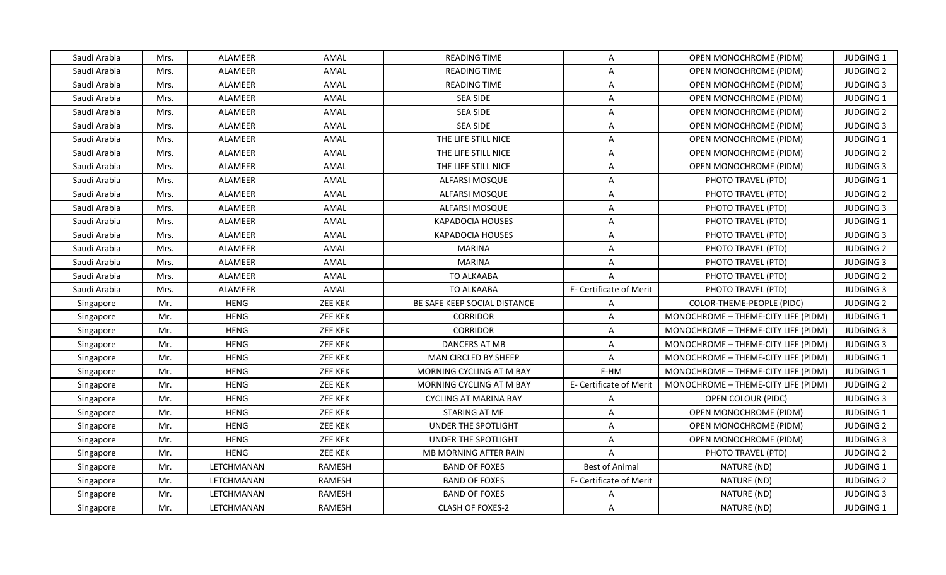| Saudi Arabia | Mrs. | ALAMEER        | AMAL           | <b>READING TIME</b>          | A                       | OPEN MONOCHROME (PIDM)              | <b>JUDGING 1</b> |
|--------------|------|----------------|----------------|------------------------------|-------------------------|-------------------------------------|------------------|
| Saudi Arabia | Mrs. | ALAMEER        | AMAL           | <b>READING TIME</b>          | $\overline{A}$          | OPEN MONOCHROME (PIDM)              | <b>JUDGING 2</b> |
| Saudi Arabia | Mrs. | ALAMEER        | AMAL           | <b>READING TIME</b>          | $\mathsf{A}$            | OPEN MONOCHROME (PIDM)              | <b>JUDGING 3</b> |
| Saudi Arabia | Mrs. | <b>ALAMEER</b> | AMAL           | <b>SEA SIDE</b>              | $\mathsf{A}$            | OPEN MONOCHROME (PIDM)              | <b>JUDGING 1</b> |
| Saudi Arabia | Mrs. | ALAMEER        | AMAL           | <b>SEA SIDE</b>              | A                       | OPEN MONOCHROME (PIDM)              | <b>JUDGING 2</b> |
| Saudi Arabia | Mrs. | ALAMEER        | AMAL           | <b>SEA SIDE</b>              | A                       | OPEN MONOCHROME (PIDM)              | <b>JUDGING 3</b> |
| Saudi Arabia | Mrs. | ALAMEER        | AMAL           | THE LIFE STILL NICE          | $\mathsf{A}$            | OPEN MONOCHROME (PIDM)              | JUDGING 1        |
| Saudi Arabia | Mrs. | ALAMEER        | AMAL           | THE LIFE STILL NICE          | $\mathsf{A}$            | OPEN MONOCHROME (PIDM)              | <b>JUDGING 2</b> |
| Saudi Arabia | Mrs. | <b>ALAMEER</b> | AMAL           | THE LIFE STILL NICE          | A                       | <b>OPEN MONOCHROME (PIDM)</b>       | <b>JUDGING 3</b> |
| Saudi Arabia | Mrs. | ALAMEER        | AMAL           | <b>ALFARSI MOSQUE</b>        | $\mathsf{A}$            | PHOTO TRAVEL (PTD)                  | JUDGING 1        |
| Saudi Arabia | Mrs. | ALAMEER        | AMAL           | ALFARSI MOSQUE               | $\mathsf{A}$            | PHOTO TRAVEL (PTD)                  | <b>JUDGING 2</b> |
| Saudi Arabia | Mrs. | ALAMEER        | AMAL           | ALFARSI MOSQUE               | $\mathsf{A}$            | PHOTO TRAVEL (PTD)                  | <b>JUDGING 3</b> |
| Saudi Arabia | Mrs. | ALAMEER        | AMAL           | <b>KAPADOCIA HOUSES</b>      | $\overline{A}$          | PHOTO TRAVEL (PTD)                  | JUDGING 1        |
| Saudi Arabia | Mrs. | ALAMEER        | AMAL           | <b>KAPADOCIA HOUSES</b>      | $\mathsf{A}$            | PHOTO TRAVEL (PTD)                  | <b>JUDGING 3</b> |
| Saudi Arabia | Mrs. | ALAMEER        | AMAL           | <b>MARINA</b>                | $\mathsf{A}$            | PHOTO TRAVEL (PTD)                  | <b>JUDGING 2</b> |
| Saudi Arabia | Mrs. | ALAMEER        | AMAL           | <b>MARINA</b>                | $\mathsf{A}$            | PHOTO TRAVEL (PTD)                  | <b>JUDGING 3</b> |
| Saudi Arabia | Mrs. | ALAMEER        | AMAL           | TO ALKAABA                   | A                       | PHOTO TRAVEL (PTD)                  | <b>JUDGING 2</b> |
| Saudi Arabia | Mrs. | <b>ALAMEER</b> | AMAL           | <b>TO ALKAABA</b>            | E- Certificate of Merit | PHOTO TRAVEL (PTD)                  | <b>JUDGING 3</b> |
| Singapore    | Mr.  | <b>HENG</b>    | <b>ZEE KEK</b> | BE SAFE KEEP SOCIAL DISTANCE | $\mathsf{A}$            | COLOR-THEME-PEOPLE (PIDC)           | <b>JUDGING 2</b> |
| Singapore    | Mr.  | <b>HENG</b>    | ZEE KEK        | <b>CORRIDOR</b>              | $\overline{A}$          | MONOCHROME - THEME-CITY LIFE (PIDM) | JUDGING 1        |
| Singapore    | Mr.  | <b>HENG</b>    | ZEE KEK        | CORRIDOR                     | $\mathsf{A}$            | MONOCHROME - THEME-CITY LIFE (PIDM) | <b>JUDGING 3</b> |
| Singapore    | Mr.  | <b>HENG</b>    | <b>ZEE KEK</b> | DANCERS AT MB                | $\mathsf{A}$            | MONOCHROME - THEME-CITY LIFE (PIDM) | <b>JUDGING 3</b> |
| Singapore    | Mr.  | <b>HENG</b>    | ZEE KEK        | MAN CIRCLED BY SHEEP         | $\mathsf{A}$            | MONOCHROME - THEME-CITY LIFE (PIDM) | JUDGING 1        |
| Singapore    | Mr.  | <b>HENG</b>    | <b>ZEE KEK</b> | MORNING CYCLING AT M BAY     | E-HM                    | MONOCHROME - THEME-CITY LIFE (PIDM) | <b>JUDGING 1</b> |
| Singapore    | Mr.  | <b>HENG</b>    | ZEE KEK        | MORNING CYCLING AT M BAY     | E- Certificate of Merit | MONOCHROME - THEME-CITY LIFE (PIDM) | <b>JUDGING 2</b> |
| Singapore    | Mr.  | <b>HENG</b>    | ZEE KEK        | <b>CYCLING AT MARINA BAY</b> | $\mathsf{A}$            | OPEN COLOUR (PIDC)                  | <b>JUDGING 3</b> |
| Singapore    | Mr.  | <b>HENG</b>    | <b>ZEE KEK</b> | STARING AT ME                | A                       | OPEN MONOCHROME (PIDM)              | JUDGING 1        |
| Singapore    | Mr.  | <b>HENG</b>    | ZEE KEK        | UNDER THE SPOTLIGHT          | A                       | OPEN MONOCHROME (PIDM)              | <b>JUDGING 2</b> |
| Singapore    | Mr.  | <b>HENG</b>    | ZEE KEK        | UNDER THE SPOTLIGHT          | $\overline{A}$          | OPEN MONOCHROME (PIDM)              | <b>JUDGING 3</b> |
| Singapore    | Mr.  | <b>HENG</b>    | ZEE KEK        | MB MORNING AFTER RAIN        | $\overline{A}$          | PHOTO TRAVEL (PTD)                  | <b>JUDGING 2</b> |
| Singapore    | Mr.  | LETCHMANAN     | <b>RAMESH</b>  | <b>BAND OF FOXES</b>         | <b>Best of Animal</b>   | NATURE (ND)                         | JUDGING 1        |
| Singapore    | Mr.  | LETCHMANAN     | RAMESH         | <b>BAND OF FOXES</b>         | E- Certificate of Merit | NATURE (ND)                         | <b>JUDGING 2</b> |
| Singapore    | Mr.  | LETCHMANAN     | RAMESH         | <b>BAND OF FOXES</b>         | A                       | NATURE (ND)                         | <b>JUDGING 3</b> |
| Singapore    | Mr.  | LETCHMANAN     | RAMESH         | <b>CLASH OF FOXES-2</b>      | $\mathsf{A}$            | NATURE (ND)                         | JUDGING 1        |
|              |      |                |                |                              |                         |                                     |                  |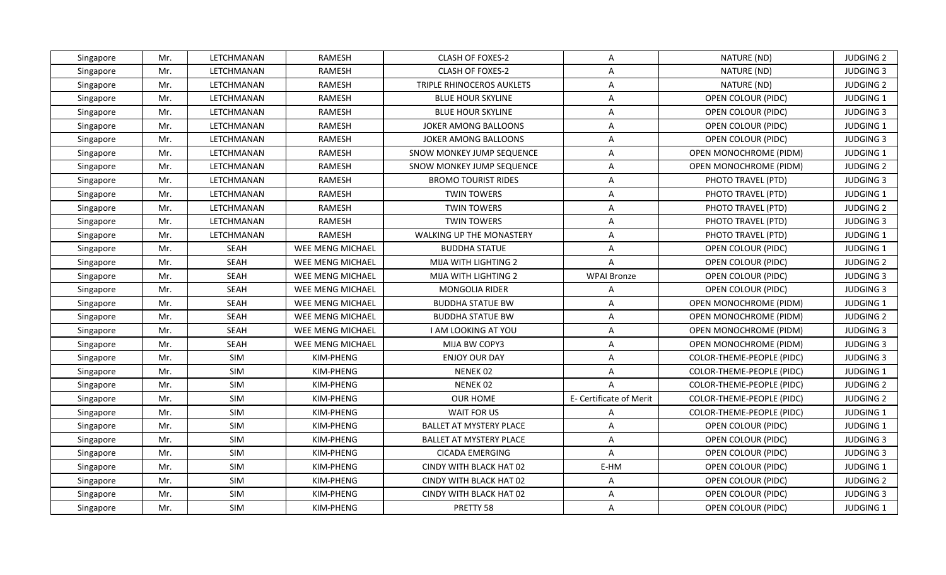| Singapore | Mr. | LETCHMANAN  | <b>RAMESH</b>           | CLASH OF FOXES-2                | A                       | NATURE (ND)                   | <b>JUDGING 2</b> |
|-----------|-----|-------------|-------------------------|---------------------------------|-------------------------|-------------------------------|------------------|
| Singapore | Mr. | LETCHMANAN  | <b>RAMESH</b>           | <b>CLASH OF FOXES-2</b>         | $\overline{A}$          | NATURE (ND)                   | <b>JUDGING 3</b> |
| Singapore | Mr. | LETCHMANAN  | <b>RAMESH</b>           | TRIPLE RHINOCEROS AUKLETS       | $\mathsf{A}$            | NATURE (ND)                   | <b>JUDGING 2</b> |
| Singapore | Mr. | LETCHMANAN  | <b>RAMESH</b>           | <b>BLUE HOUR SKYLINE</b>        | $\mathsf{A}$            | OPEN COLOUR (PIDC)            | JUDGING 1        |
| Singapore | Mr. | LETCHMANAN  | <b>RAMESH</b>           | <b>BLUE HOUR SKYLINE</b>        | $\mathsf{A}$            | OPEN COLOUR (PIDC)            | <b>JUDGING 3</b> |
| Singapore | Mr. | LETCHMANAN  | <b>RAMESH</b>           | JOKER AMONG BALLOONS            | A                       | OPEN COLOUR (PIDC)            | <b>JUDGING 1</b> |
| Singapore | Mr. | LETCHMANAN  | <b>RAMESH</b>           | JOKER AMONG BALLOONS            | $\mathsf{A}$            | <b>OPEN COLOUR (PIDC)</b>     | <b>JUDGING 3</b> |
| Singapore | Mr. | LETCHMANAN  | RAMESH                  | SNOW MONKEY JUMP SEQUENCE       | $\mathsf{A}$            | OPEN MONOCHROME (PIDM)        | JUDGING 1        |
| Singapore | Mr. | LETCHMANAN  | <b>RAMESH</b>           | SNOW MONKEY JUMP SEQUENCE       | A                       | <b>OPEN MONOCHROME (PIDM)</b> | <b>JUDGING 2</b> |
| Singapore | Mr. | LETCHMANAN  | <b>RAMESH</b>           | <b>BROMO TOURIST RIDES</b>      | $\mathsf{A}$            | PHOTO TRAVEL (PTD)            | <b>JUDGING 3</b> |
| Singapore | Mr. | LETCHMANAN  | <b>RAMESH</b>           | <b>TWIN TOWERS</b>              | $\mathsf{A}$            | PHOTO TRAVEL (PTD)            | JUDGING 1        |
| Singapore | Mr. | LETCHMANAN  | <b>RAMESH</b>           | <b>TWIN TOWERS</b>              | $\mathsf{A}$            | PHOTO TRAVEL (PTD)            | <b>JUDGING 2</b> |
| Singapore | Mr. | LETCHMANAN  | <b>RAMESH</b>           | <b>TWIN TOWERS</b>              | $\overline{A}$          | PHOTO TRAVEL (PTD)            | <b>JUDGING 3</b> |
| Singapore | Mr. | LETCHMANAN  | <b>RAMESH</b>           | <b>WALKING UP THE MONASTERY</b> | $\mathsf{A}$            | PHOTO TRAVEL (PTD)            | <b>JUDGING 1</b> |
| Singapore | Mr. | <b>SEAH</b> | WEE MENG MICHAEL        | <b>BUDDHA STATUE</b>            | $\mathsf{A}$            | OPEN COLOUR (PIDC)            | JUDGING 1        |
| Singapore | Mr. | <b>SEAH</b> | WEE MENG MICHAEL        | MIJA WITH LIGHTING 2            | $\mathsf{A}$            | OPEN COLOUR (PIDC)            | <b>JUDGING 2</b> |
| Singapore | Mr. | <b>SEAH</b> | WEE MENG MICHAEL        | <b>MIJA WITH LIGHTING 2</b>     | <b>WPAI Bronze</b>      | OPEN COLOUR (PIDC)            | <b>JUDGING 3</b> |
| Singapore | Mr. | <b>SEAH</b> | WEE MENG MICHAEL        | MONGOLIA RIDER                  | A                       | OPEN COLOUR (PIDC)            | <b>JUDGING 3</b> |
| Singapore | Mr. | <b>SEAH</b> | WEE MENG MICHAEL        | <b>BUDDHA STATUE BW</b>         | $\overline{A}$          | OPEN MONOCHROME (PIDM)        | <b>JUDGING 1</b> |
| Singapore | Mr. | <b>SEAH</b> | WEE MENG MICHAEL        | <b>BUDDHA STATUE BW</b>         | $\overline{A}$          | <b>OPEN MONOCHROME (PIDM)</b> | <b>JUDGING 2</b> |
| Singapore | Mr. | <b>SEAH</b> | WEE MENG MICHAEL        | I AM LOOKING AT YOU             | $\mathsf{A}$            | OPEN MONOCHROME (PIDM)        | <b>JUDGING 3</b> |
| Singapore | Mr. | <b>SEAH</b> | <b>WEE MENG MICHAEL</b> | MIJA BW COPY3                   | $\mathsf{A}$            | OPEN MONOCHROME (PIDM)        | <b>JUDGING 3</b> |
| Singapore | Mr. | SIM         | KIM-PHENG               | <b>ENJOY OUR DAY</b>            | $\mathsf{A}$            | COLOR-THEME-PEOPLE (PIDC)     | <b>JUDGING 3</b> |
| Singapore | Mr. | SIM         | KIM-PHENG               | NENEK <sub>02</sub>             | $\mathsf{A}$            | COLOR-THEME-PEOPLE (PIDC)     | <b>JUDGING 1</b> |
| Singapore | Mr. | SIM         | KIM-PHENG               | NENEK 02                        | $\overline{A}$          | COLOR-THEME-PEOPLE (PIDC)     | <b>JUDGING 2</b> |
| Singapore | Mr. | SIM         | KIM-PHENG               | <b>OUR HOME</b>                 | E- Certificate of Merit | COLOR-THEME-PEOPLE (PIDC)     | <b>JUDGING 2</b> |
| Singapore | Mr. | SIM         | KIM-PHENG               | <b>WAIT FOR US</b>              | A                       | COLOR-THEME-PEOPLE (PIDC)     | JUDGING 1        |
| Singapore | Mr. | SIM         | KIM-PHENG               | <b>BALLET AT MYSTERY PLACE</b>  | $\mathsf{A}$            | OPEN COLOUR (PIDC)            | JUDGING 1        |
| Singapore | Mr. | SIM         | KIM-PHENG               | <b>BALLET AT MYSTERY PLACE</b>  | $\overline{A}$          | OPEN COLOUR (PIDC)            | <b>JUDGING 3</b> |
| Singapore | Mr. | SIM         | KIM-PHENG               | <b>CICADA EMERGING</b>          | $\mathsf{A}$            | OPEN COLOUR (PIDC)            | <b>JUDGING 3</b> |
| Singapore | Mr. | SIM         | KIM-PHENG               | CINDY WITH BLACK HAT 02         | E-HM                    | OPEN COLOUR (PIDC)            | JUDGING 1        |
| Singapore | Mr. | SIM         | KIM-PHENG               | CINDY WITH BLACK HAT 02         | $\mathsf{A}$            | OPEN COLOUR (PIDC)            | <b>JUDGING 2</b> |
| Singapore | Mr. | SIM         | KIM-PHENG               | CINDY WITH BLACK HAT 02         | A                       | OPEN COLOUR (PIDC)            | <b>JUDGING 3</b> |
| Singapore | Mr. | SIM         | KIM-PHENG               | PRETTY 58                       | $\mathsf{A}$            | OPEN COLOUR (PIDC)            | JUDGING 1        |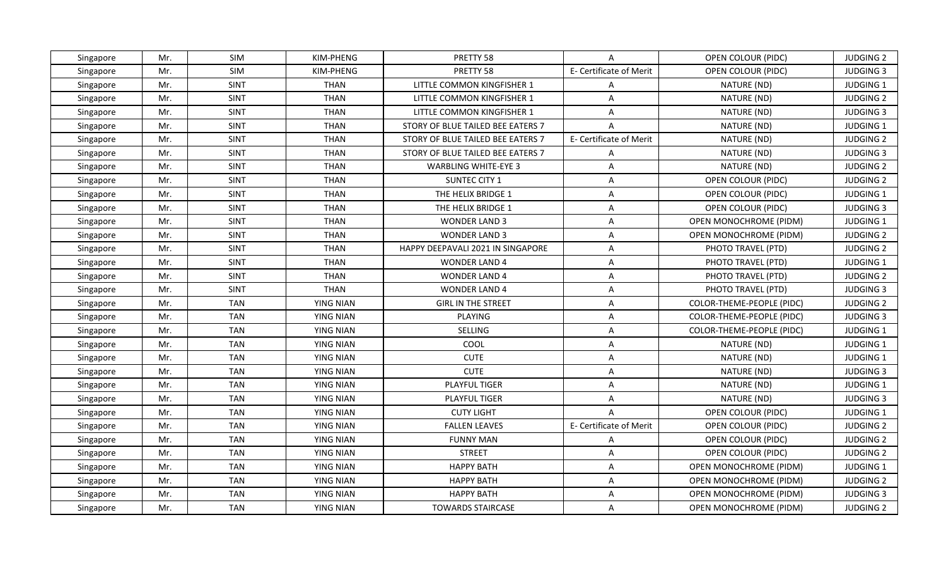| Singapore | Mr. | SIM         | KIM-PHENG        | PRETTY 58                         | $\mathsf{A}$            | OPEN COLOUR (PIDC)        | <b>JUDGING 2</b> |
|-----------|-----|-------------|------------------|-----------------------------------|-------------------------|---------------------------|------------------|
| Singapore | Mr. | SIM         | KIM-PHENG        | PRETTY 58                         | E- Certificate of Merit | OPEN COLOUR (PIDC)        | <b>JUDGING 3</b> |
| Singapore | Mr. | <b>SINT</b> | <b>THAN</b>      | LITTLE COMMON KINGFISHER 1        | A                       | NATURE (ND)               | JUDGING 1        |
| Singapore | Mr. | <b>SINT</b> | <b>THAN</b>      | LITTLE COMMON KINGFISHER 1        | $\overline{A}$          | NATURE (ND)               | <b>JUDGING 2</b> |
| Singapore | Mr. | <b>SINT</b> | <b>THAN</b>      | LITTLE COMMON KINGFISHER 1        | $\mathsf{A}$            | NATURE (ND)               | <b>JUDGING 3</b> |
| Singapore | Mr. | <b>SINT</b> | <b>THAN</b>      | STORY OF BLUE TAILED BEE EATERS 7 | $\overline{A}$          | NATURE (ND)               | JUDGING 1        |
| Singapore | Mr. | <b>SINT</b> | <b>THAN</b>      | STORY OF BLUE TAILED BEE EATERS 7 | E- Certificate of Merit | NATURE (ND)               | <b>JUDGING 2</b> |
| Singapore | Mr. | SINT        | <b>THAN</b>      | STORY OF BLUE TAILED BEE EATERS 7 | $\overline{A}$          | NATURE (ND)               | <b>JUDGING 3</b> |
| Singapore | Mr. | <b>SINT</b> | <b>THAN</b>      | <b>WARBLING WHITE-EYE 3</b>       | A                       | NATURE (ND)               | <b>JUDGING 2</b> |
| Singapore | Mr. | <b>SINT</b> | <b>THAN</b>      | SUNTEC CITY 1                     | $\overline{A}$          | OPEN COLOUR (PIDC)        | <b>JUDGING 2</b> |
| Singapore | Mr. | <b>SINT</b> | <b>THAN</b>      | THE HELIX BRIDGE 1                | A                       | OPEN COLOUR (PIDC)        | JUDGING 1        |
| Singapore | Mr. | <b>SINT</b> | <b>THAN</b>      | THE HELIX BRIDGE 1                | $\mathsf{A}$            | OPEN COLOUR (PIDC)        | <b>JUDGING 3</b> |
| Singapore | Mr. | <b>SINT</b> | <b>THAN</b>      | <b>WONDER LAND 3</b>              | $\mathsf{A}$            | OPEN MONOCHROME (PIDM)    | JUDGING 1        |
| Singapore | Mr. | <b>SINT</b> | <b>THAN</b>      | <b>WONDER LAND 3</b>              | A                       | OPEN MONOCHROME (PIDM)    | <b>JUDGING 2</b> |
| Singapore | Mr. | <b>SINT</b> | <b>THAN</b>      | HAPPY DEEPAVALI 2021 IN SINGAPORE | $\mathsf{A}$            | PHOTO TRAVEL (PTD)        | <b>JUDGING 2</b> |
| Singapore | Mr. | <b>SINT</b> | <b>THAN</b>      | <b>WONDER LAND 4</b>              | $\mathsf{A}$            | PHOTO TRAVEL (PTD)        | JUDGING 1        |
| Singapore | Mr. | <b>SINT</b> | <b>THAN</b>      | <b>WONDER LAND 4</b>              | $\mathsf{A}$            | PHOTO TRAVEL (PTD)        | <b>JUDGING 2</b> |
| Singapore | Mr. | <b>SINT</b> | <b>THAN</b>      | <b>WONDER LAND 4</b>              | $\mathsf{A}$            | PHOTO TRAVEL (PTD)        | <b>JUDGING 3</b> |
| Singapore | Mr. | <b>TAN</b>  | <b>YING NIAN</b> | <b>GIRL IN THE STREET</b>         | $\mathsf{A}$            | COLOR-THEME-PEOPLE (PIDC) | <b>JUDGING 2</b> |
| Singapore | Mr. | <b>TAN</b>  | <b>YING NIAN</b> | <b>PLAYING</b>                    | $\mathsf{A}$            | COLOR-THEME-PEOPLE (PIDC) | <b>JUDGING 3</b> |
| Singapore | Mr. | <b>TAN</b>  | <b>YING NIAN</b> | SELLING                           | $\overline{A}$          | COLOR-THEME-PEOPLE (PIDC) | JUDGING 1        |
| Singapore | Mr. | <b>TAN</b>  | <b>YING NIAN</b> | COOL                              | $\mathsf{A}$            | NATURE (ND)               | JUDGING 1        |
| Singapore | Mr. | <b>TAN</b>  | <b>YING NIAN</b> | <b>CUTE</b>                       | $\overline{A}$          | NATURE (ND)               | JUDGING 1        |
| Singapore | Mr. | <b>TAN</b>  | <b>YING NIAN</b> | <b>CUTE</b>                       | $\mathsf{A}$            | NATURE (ND)               | <b>JUDGING 3</b> |
| Singapore | Mr. | <b>TAN</b>  | <b>YING NIAN</b> | <b>PLAYFUL TIGER</b>              | $\overline{A}$          | NATURE (ND)               | JUDGING 1        |
| Singapore | Mr. | <b>TAN</b>  | <b>YING NIAN</b> | PLAYFUL TIGER                     | A                       | NATURE (ND)               | <b>JUDGING 3</b> |
| Singapore | Mr. | <b>TAN</b>  | <b>YING NIAN</b> | <b>CUTY LIGHT</b>                 | $\mathsf{A}$            | OPEN COLOUR (PIDC)        | JUDGING 1        |
| Singapore | Mr. | <b>TAN</b>  | YING NIAN        | <b>FALLEN LEAVES</b>              | E- Certificate of Merit | OPEN COLOUR (PIDC)        | <b>JUDGING 2</b> |
| Singapore | Mr. | <b>TAN</b>  | <b>YING NIAN</b> | <b>FUNNY MAN</b>                  | $\overline{A}$          | OPEN COLOUR (PIDC)        | <b>JUDGING 2</b> |
| Singapore | Mr. | <b>TAN</b>  | <b>YING NIAN</b> | <b>STREET</b>                     | $\overline{A}$          | OPEN COLOUR (PIDC)        | <b>JUDGING 2</b> |
| Singapore | Mr. | <b>TAN</b>  | <b>YING NIAN</b> | <b>HAPPY BATH</b>                 | $\overline{A}$          | OPEN MONOCHROME (PIDM)    | JUDGING 1        |
| Singapore | Mr. | <b>TAN</b>  | <b>YING NIAN</b> | <b>HAPPY BATH</b>                 | $\mathsf{A}$            | OPEN MONOCHROME (PIDM)    | <b>JUDGING 2</b> |
| Singapore | Mr. | <b>TAN</b>  | <b>YING NIAN</b> | <b>HAPPY BATH</b>                 | $\overline{A}$          | OPEN MONOCHROME (PIDM)    | <b>JUDGING 3</b> |
| Singapore | Mr. | <b>TAN</b>  | <b>YING NIAN</b> | <b>TOWARDS STAIRCASE</b>          | A                       | OPEN MONOCHROME (PIDM)    | <b>JUDGING 2</b> |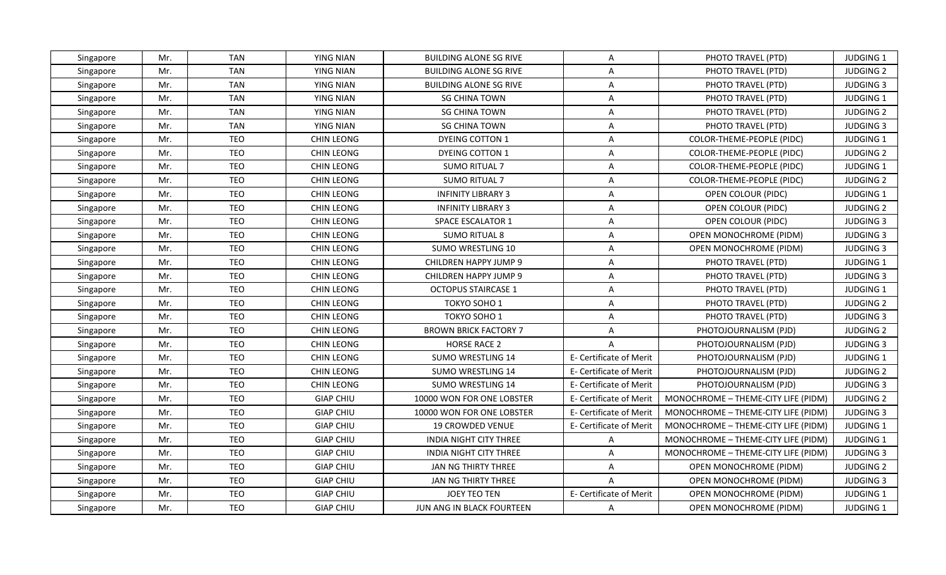| Singapore | Mr. | <b>TAN</b> | <b>YING NIAN</b>  | <b>BUILDING ALONE SG RIVE</b> | A                       | PHOTO TRAVEL (PTD)                  | <b>JUDGING 1</b> |
|-----------|-----|------------|-------------------|-------------------------------|-------------------------|-------------------------------------|------------------|
| Singapore | Mr. | <b>TAN</b> | <b>YING NIAN</b>  | <b>BUILDING ALONE SG RIVE</b> | $\mathsf{A}$            | PHOTO TRAVEL (PTD)                  | <b>JUDGING 2</b> |
| Singapore | Mr. | <b>TAN</b> | <b>YING NIAN</b>  | <b>BUILDING ALONE SG RIVE</b> | $\mathsf{A}$            | PHOTO TRAVEL (PTD)                  | <b>JUDGING 3</b> |
| Singapore | Mr. | <b>TAN</b> | <b>YING NIAN</b>  | <b>SG CHINA TOWN</b>          | $\mathsf{A}$            | PHOTO TRAVEL (PTD)                  | JUDGING 1        |
| Singapore | Mr. | <b>TAN</b> | <b>YING NIAN</b>  | <b>SG CHINA TOWN</b>          | $\overline{A}$          | PHOTO TRAVEL (PTD)                  | <b>JUDGING 2</b> |
| Singapore | Mr. | <b>TAN</b> | YING NIAN         | <b>SG CHINA TOWN</b>          | A                       | PHOTO TRAVEL (PTD)                  | <b>JUDGING 3</b> |
| Singapore | Mr. | <b>TEO</b> | CHIN LEONG        | DYEING COTTON 1               | $\mathsf{A}$            | COLOR-THEME-PEOPLE (PIDC)           | JUDGING 1        |
| Singapore | Mr. | <b>TEO</b> | CHIN LEONG        | DYEING COTTON 1               | $\overline{A}$          | COLOR-THEME-PEOPLE (PIDC)           | <b>JUDGING 2</b> |
| Singapore | Mr. | <b>TEO</b> | CHIN LEONG        | <b>SUMO RITUAL 7</b>          | $\mathsf{A}$            | COLOR-THEME-PEOPLE (PIDC)           | JUDGING 1        |
| Singapore | Mr. | <b>TEO</b> | CHIN LEONG        | <b>SUMO RITUAL 7</b>          | $\overline{A}$          | COLOR-THEME-PEOPLE (PIDC)           | <b>JUDGING 2</b> |
| Singapore | Mr. | <b>TEO</b> | <b>CHIN LEONG</b> | INFINITY LIBRARY 3            | A                       | OPEN COLOUR (PIDC)                  | <b>JUDGING 1</b> |
| Singapore | Mr. | <b>TEO</b> | CHIN LEONG        | <b>INFINITY LIBRARY 3</b>     | A                       | OPEN COLOUR (PIDC)                  | <b>JUDGING 2</b> |
| Singapore | Mr. | <b>TEO</b> | CHIN LEONG        | <b>SPACE ESCALATOR 1</b>      | $\mathsf{A}$            | OPEN COLOUR (PIDC)                  | <b>JUDGING 3</b> |
| Singapore | Mr. | <b>TEO</b> | CHIN LEONG        | <b>SUMO RITUAL 8</b>          | $\mathsf{A}$            | OPEN MONOCHROME (PIDM)              | <b>JUDGING 3</b> |
| Singapore | Mr. | <b>TEO</b> | <b>CHIN LEONG</b> | SUMO WRESTLING 10             | A                       | OPEN MONOCHROME (PIDM)              | <b>JUDGING 3</b> |
| Singapore | Mr. | <b>TEO</b> | CHIN LEONG        | CHILDREN HAPPY JUMP 9         | A                       | PHOTO TRAVEL (PTD)                  | JUDGING 1        |
| Singapore | Mr. | TEO        | CHIN LEONG        | CHILDREN HAPPY JUMP 9         | A                       | PHOTO TRAVEL (PTD)                  | <b>JUDGING 3</b> |
| Singapore | Mr. | <b>TEO</b> | CHIN LEONG        | <b>OCTOPUS STAIRCASE 1</b>    | $\overline{A}$          | PHOTO TRAVEL (PTD)                  | JUDGING 1        |
| Singapore | Mr. | <b>TEO</b> | CHIN LEONG        | TOKYO SOHO 1                  | A                       | PHOTO TRAVEL (PTD)                  | <b>JUDGING 2</b> |
| Singapore | Mr. | <b>TEO</b> | CHIN LEONG        | TOKYO SOHO 1                  | A                       | PHOTO TRAVEL (PTD)                  | <b>JUDGING 3</b> |
| Singapore | Mr. | <b>TEO</b> | CHIN LEONG        | <b>BROWN BRICK FACTORY 7</b>  | $\mathsf{A}$            | PHOTOJOURNALISM (PJD)               | <b>JUDGING 2</b> |
| Singapore | Mr. | <b>TEO</b> | CHIN LEONG        | <b>HORSE RACE 2</b>           | $\mathsf{A}$            | PHOTOJOURNALISM (PJD)               | <b>JUDGING 3</b> |
| Singapore | Mr. | <b>TEO</b> | CHIN LEONG        | <b>SUMO WRESTLING 14</b>      | E- Certificate of Merit | PHOTOJOURNALISM (PJD)               | JUDGING 1        |
| Singapore | Mr. | <b>TEO</b> | CHIN LEONG        | <b>SUMO WRESTLING 14</b>      | E- Certificate of Merit | PHOTOJOURNALISM (PJD)               | <b>JUDGING 2</b> |
| Singapore | Mr. | <b>TEO</b> | CHIN LEONG        | <b>SUMO WRESTLING 14</b>      | E- Certificate of Merit | PHOTOJOURNALISM (PJD)               | <b>JUDGING 3</b> |
| Singapore | Mr. | <b>TEO</b> | <b>GIAP CHIU</b>  | 10000 WON FOR ONE LOBSTER     | E- Certificate of Merit | MONOCHROME - THEME-CITY LIFE (PIDM) | <b>JUDGING 2</b> |
| Singapore | Mr. | <b>TEO</b> | <b>GIAP CHIU</b>  | 10000 WON FOR ONE LOBSTER     | E- Certificate of Merit | MONOCHROME - THEME-CITY LIFE (PIDM) | <b>JUDGING 3</b> |
| Singapore | Mr. | <b>TEO</b> | <b>GIAP CHIU</b>  | <b>19 CROWDED VENUE</b>       | E- Certificate of Merit | MONOCHROME - THEME-CITY LIFE (PIDM) | JUDGING 1        |
| Singapore | Mr. | <b>TEO</b> | <b>GIAP CHIU</b>  | <b>INDIA NIGHT CITY THREE</b> | $\mathsf{A}$            | MONOCHROME - THEME-CITY LIFE (PIDM) | <b>JUDGING 1</b> |
| Singapore | Mr. | <b>TEO</b> | <b>GIAP CHIU</b>  | <b>INDIA NIGHT CITY THREE</b> | $\mathsf{A}$            | MONOCHROME - THEME-CITY LIFE (PIDM) | <b>JUDGING 3</b> |
| Singapore | Mr. | <b>TEO</b> | <b>GIAP CHIU</b>  | JAN NG THIRTY THREE           | $\mathsf{A}$            | OPEN MONOCHROME (PIDM)              | <b>JUDGING 2</b> |
| Singapore | Mr. | TEO        | <b>GIAP CHIU</b>  | JAN NG THIRTY THREE           | $\mathsf{A}$            | OPEN MONOCHROME (PIDM)              | <b>JUDGING 3</b> |
| Singapore | Mr. | <b>TEO</b> | <b>GIAP CHIU</b>  | <b>JOEY TEO TEN</b>           | E- Certificate of Merit | OPEN MONOCHROME (PIDM)              | JUDGING 1        |
| Singapore | Mr. | <b>TEO</b> | <b>GIAP CHIU</b>  | JUN ANG IN BLACK FOURTEEN     | $\mathsf{A}$            | OPEN MONOCHROME (PIDM)              | <b>JUDGING 1</b> |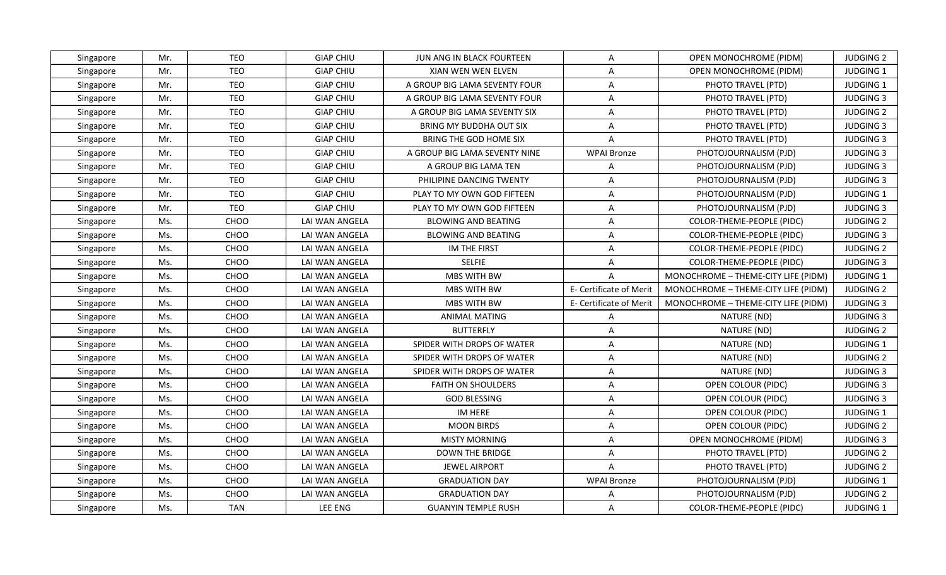| Singapore | Mr. | <b>TEO</b> | <b>GIAP CHIU</b> | JUN ANG IN BLACK FOURTEEN     | A                              | OPEN MONOCHROME (PIDM)              | <b>JUDGING 2</b> |
|-----------|-----|------------|------------------|-------------------------------|--------------------------------|-------------------------------------|------------------|
| Singapore | Mr. | <b>TEO</b> | <b>GIAP CHIU</b> | XIAN WEN WEN ELVEN            | $\overline{A}$                 | OPEN MONOCHROME (PIDM)              | JUDGING 1        |
| Singapore | Mr. | <b>TEO</b> | <b>GIAP CHIU</b> | A GROUP BIG LAMA SEVENTY FOUR | $\mathsf{A}$                   | PHOTO TRAVEL (PTD)                  | JUDGING 1        |
| Singapore | Mr. | <b>TEO</b> | <b>GIAP CHIU</b> | A GROUP BIG LAMA SEVENTY FOUR | $\mathsf{A}$                   | PHOTO TRAVEL (PTD)                  | <b>JUDGING 3</b> |
| Singapore | Mr. | <b>TEO</b> | <b>GIAP CHIU</b> | A GROUP BIG LAMA SEVENTY SIX  | A                              | PHOTO TRAVEL (PTD)                  | <b>JUDGING 2</b> |
| Singapore | Mr. | <b>TEO</b> | <b>GIAP CHIU</b> | BRING MY BUDDHA OUT SIX       | A                              | PHOTO TRAVEL (PTD)                  | <b>JUDGING 3</b> |
| Singapore | Mr. | <b>TEO</b> | <b>GIAP CHIU</b> | BRING THE GOD HOME SIX        | $\mathsf{A}$                   | PHOTO TRAVEL (PTD)                  | <b>JUDGING 3</b> |
| Singapore | Mr. | <b>TEO</b> | <b>GIAP CHIU</b> | A GROUP BIG LAMA SEVENTY NINE | <b>WPAI Bronze</b>             | PHOTOJOURNALISM (PJD)               | <b>JUDGING 3</b> |
| Singapore | Mr. | <b>TEO</b> | <b>GIAP CHIU</b> | A GROUP BIG LAMA TEN          | A                              | PHOTOJOURNALISM (PJD)               | <b>JUDGING 3</b> |
| Singapore | Mr. | <b>TEO</b> | <b>GIAP CHIU</b> | PHILIPINE DANCING TWENTY      | $\overline{A}$                 | PHOTOJOURNALISM (PJD)               | <b>JUDGING 3</b> |
| Singapore | Mr. | <b>TEO</b> | <b>GIAP CHIU</b> | PLAY TO MY OWN GOD FIFTEEN    | $\mathsf{A}$                   | PHOTOJOURNALISM (PJD)               | JUDGING 1        |
| Singapore | Mr. | <b>TEO</b> | <b>GIAP CHIU</b> | PLAY TO MY OWN GOD FIFTEEN    | $\mathsf{A}$                   | PHOTOJOURNALISM (PJD)               | <b>JUDGING 3</b> |
| Singapore | Ms. | CHOO       | LAI WAN ANGELA   | <b>BLOWING AND BEATING</b>    | $\mathsf{A}$                   | COLOR-THEME-PEOPLE (PIDC)           | <b>JUDGING 2</b> |
| Singapore | Ms. | CHOO       | LAI WAN ANGELA   | <b>BLOWING AND BEATING</b>    | $\mathsf{A}$                   | COLOR-THEME-PEOPLE (PIDC)           | <b>JUDGING 3</b> |
| Singapore | Ms. | CHOO       | LAI WAN ANGELA   | IM THE FIRST                  | A                              | COLOR-THEME-PEOPLE (PIDC)           | <b>JUDGING 2</b> |
| Singapore | Ms. | CHOO       | LAI WAN ANGELA   | <b>SELFIE</b>                 | A                              | COLOR-THEME-PEOPLE (PIDC)           | <b>JUDGING 3</b> |
| Singapore | Ms. | CHOO       | LAI WAN ANGELA   | MBS WITH BW                   | $\overline{A}$                 | MONOCHROME - THEME-CITY LIFE (PIDM) | JUDGING 1        |
| Singapore | Ms. | CHOO       | LAI WAN ANGELA   | MBS WITH BW                   | E- Certificate of Merit        | MONOCHROME - THEME-CITY LIFE (PIDM) | <b>JUDGING 2</b> |
| Singapore | Ms. | CHOO       | LAI WAN ANGELA   | <b>MBS WITH BW</b>            | <b>E- Certificate of Merit</b> | MONOCHROME - THEME-CITY LIFE (PIDM) | <b>JUDGING 3</b> |
| Singapore | Ms. | CHOO       | LAI WAN ANGELA   | <b>ANIMAL MATING</b>          | $\mathsf{A}$                   | NATURE (ND)                         | <b>JUDGING 3</b> |
| Singapore | Ms. | CHOO       | LAI WAN ANGELA   | <b>BUTTERFLY</b>              | A                              | NATURE (ND)                         | <b>JUDGING 2</b> |
| Singapore | Ms. | CHOO       | LAI WAN ANGELA   | SPIDER WITH DROPS OF WATER    | $\overline{A}$                 | NATURE (ND)                         | JUDGING 1        |
| Singapore | Ms. | CHOO       | LAI WAN ANGELA   | SPIDER WITH DROPS OF WATER    | $\mathsf{A}$                   | NATURE (ND)                         | <b>JUDGING 2</b> |
| Singapore | Ms. | CHOO       | LAI WAN ANGELA   | SPIDER WITH DROPS OF WATER    | $\mathsf{A}$                   | NATURE (ND)                         | <b>JUDGING 3</b> |
| Singapore | Ms. | CHOO       | LAI WAN ANGELA   | <b>FAITH ON SHOULDERS</b>     | A                              | OPEN COLOUR (PIDC)                  | <b>JUDGING 3</b> |
| Singapore | Ms. | CHOO       | LAI WAN ANGELA   | <b>GOD BLESSING</b>           | $\overline{A}$                 | OPEN COLOUR (PIDC)                  | <b>JUDGING 3</b> |
| Singapore | Ms. | CHOO       | LAI WAN ANGELA   | IM HERE                       | $\mathsf{A}$                   | OPEN COLOUR (PIDC)                  | JUDGING 1        |
| Singapore | Ms. | CHOO       | LAI WAN ANGELA   | <b>MOON BIRDS</b>             | $\mathsf{A}$                   | OPEN COLOUR (PIDC)                  | <b>JUDGING 2</b> |
| Singapore | Ms. | CHOO       | LAI WAN ANGELA   | <b>MISTY MORNING</b>          | A                              | OPEN MONOCHROME (PIDM)              | <b>JUDGING 3</b> |
| Singapore | Ms. | CHOO       | LAI WAN ANGELA   | <b>DOWN THE BRIDGE</b>        | $\mathsf{A}$                   | PHOTO TRAVEL (PTD)                  | <b>JUDGING 2</b> |
| Singapore | Ms. | CHOO       | LAI WAN ANGELA   | <b>JEWEL AIRPORT</b>          | $\mathsf{A}$                   | PHOTO TRAVEL (PTD)                  | <b>JUDGING 2</b> |
| Singapore | Ms. | CHOO       | LAI WAN ANGELA   | <b>GRADUATION DAY</b>         | <b>WPAI Bronze</b>             | PHOTOJOURNALISM (PJD)               | JUDGING 1        |
| Singapore | Ms. | CHOO       | LAI WAN ANGELA   | <b>GRADUATION DAY</b>         | $\overline{A}$                 | PHOTOJOURNALISM (PJD)               | <b>JUDGING 2</b> |
| Singapore | Ms. | <b>TAN</b> | LEE ENG          | <b>GUANYIN TEMPLE RUSH</b>    | A                              | COLOR-THEME-PEOPLE (PIDC)           | <b>JUDGING 1</b> |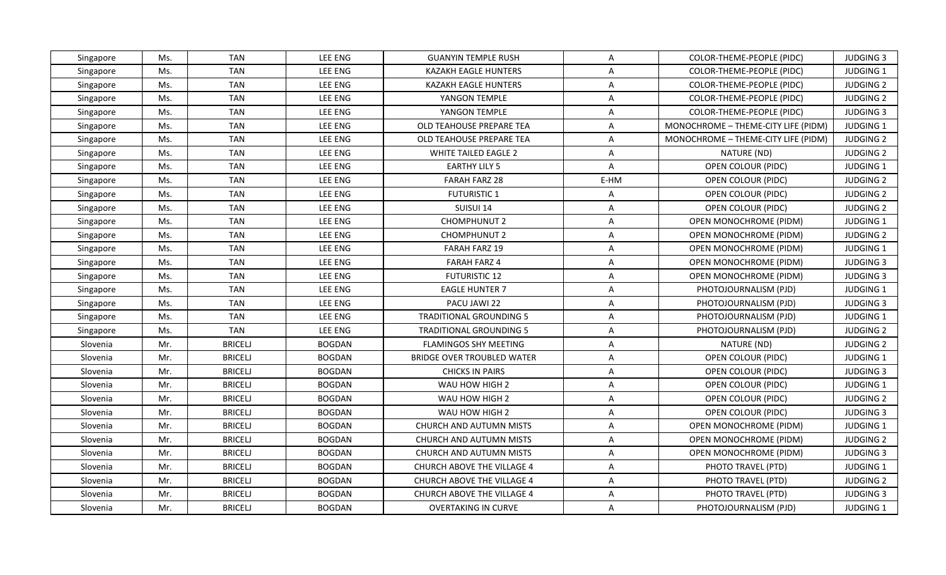| Singapore | Ms. | <b>TAN</b>     | LEE ENG        | <b>GUANYIN TEMPLE RUSH</b>        | $\mathsf{A}$   | COLOR-THEME-PEOPLE (PIDC)           | <b>JUDGING 3</b> |
|-----------|-----|----------------|----------------|-----------------------------------|----------------|-------------------------------------|------------------|
| Singapore | Ms. | <b>TAN</b>     | <b>LEE ENG</b> | KAZAKH EAGLE HUNTERS              | $\overline{A}$ | COLOR-THEME-PEOPLE (PIDC)           | JUDGING 1        |
| Singapore | Ms. | <b>TAN</b>     | <b>LEE ENG</b> | KAZAKH EAGLE HUNTERS              | $\mathsf{A}$   | COLOR-THEME-PEOPLE (PIDC)           | <b>JUDGING 2</b> |
| Singapore | Ms. | <b>TAN</b>     | <b>LEE ENG</b> | YANGON TEMPLE                     | A              | COLOR-THEME-PEOPLE (PIDC)           | <b>JUDGING 2</b> |
| Singapore | Ms. | <b>TAN</b>     | LEE ENG        | YANGON TEMPLE                     | A              | COLOR-THEME-PEOPLE (PIDC)           | <b>JUDGING 3</b> |
| Singapore | Ms. | <b>TAN</b>     | <b>LEE ENG</b> | OLD TEAHOUSE PREPARE TEA          | A              | MONOCHROME - THEME-CITY LIFE (PIDM) | <b>JUDGING 1</b> |
| Singapore | Ms. | <b>TAN</b>     | <b>LEE ENG</b> | OLD TEAHOUSE PREPARE TEA          | $\mathsf{A}$   | MONOCHROME - THEME-CITY LIFE (PIDM) | <b>JUDGING 2</b> |
| Singapore | Ms. | <b>TAN</b>     | <b>LEE ENG</b> | <b>WHITE TAILED EAGLE 2</b>       | $\mathsf{A}$   | NATURE (ND)                         | <b>JUDGING 2</b> |
| Singapore | Ms. | <b>TAN</b>     | <b>LEE ENG</b> | <b>EARTHY LILY 5</b>              | $\mathsf{A}$   | OPEN COLOUR (PIDC)                  | <b>JUDGING 1</b> |
| Singapore | Ms. | <b>TAN</b>     | LEE ENG        | <b>FARAH FARZ 28</b>              | E-HM           | OPEN COLOUR (PIDC)                  | <b>JUDGING 2</b> |
| Singapore | Ms. | <b>TAN</b>     | <b>LEE ENG</b> | <b>FUTURISTIC 1</b>               | $\mathsf{A}$   | OPEN COLOUR (PIDC)                  | <b>JUDGING 2</b> |
| Singapore | Ms. | <b>TAN</b>     | <b>LEE ENG</b> | SUISUI 14                         | A              | OPEN COLOUR (PIDC)                  | <b>JUDGING 2</b> |
| Singapore | Ms. | <b>TAN</b>     | <b>LEE ENG</b> | CHOMPHUNUT 2                      | $\mathsf{A}$   | OPEN MONOCHROME (PIDM)              | JUDGING 1        |
| Singapore | Ms. | <b>TAN</b>     | <b>LEE ENG</b> | <b>CHOMPHUNUT 2</b>               | $\mathsf{A}$   | <b>OPEN MONOCHROME (PIDM)</b>       | <b>JUDGING 2</b> |
| Singapore | Ms. | <b>TAN</b>     | LEE ENG        | <b>FARAH FARZ 19</b>              | A              | OPEN MONOCHROME (PIDM)              | JUDGING 1        |
| Singapore | Ms. | <b>TAN</b>     | <b>LEE ENG</b> | <b>FARAH FARZ 4</b>               | A              | OPEN MONOCHROME (PIDM)              | <b>JUDGING 3</b> |
| Singapore | Ms. | <b>TAN</b>     | <b>LEE ENG</b> | <b>FUTURISTIC 12</b>              | A              | OPEN MONOCHROME (PIDM)              | <b>JUDGING 3</b> |
| Singapore | Ms. | <b>TAN</b>     | <b>LEE ENG</b> | <b>EAGLE HUNTER 7</b>             | $\mathsf{A}$   | PHOTOJOURNALISM (PJD)               | JUDGING 1        |
| Singapore | Ms. | <b>TAN</b>     | <b>LEE ENG</b> | PACU JAWI 22                      | A              | PHOTOJOURNALISM (PJD)               | <b>JUDGING 3</b> |
| Singapore | Ms. | <b>TAN</b>     | LEE ENG        | <b>TRADITIONAL GROUNDING 5</b>    | $\overline{A}$ | PHOTOJOURNALISM (PJD)               | JUDGING 1        |
| Singapore | Ms. | <b>TAN</b>     | LEE ENG        | <b>TRADITIONAL GROUNDING 5</b>    | A              | PHOTOJOURNALISM (PJD)               | <b>JUDGING 2</b> |
| Slovenia  | Mr. | <b>BRICELJ</b> | <b>BOGDAN</b>  | <b>FLAMINGOS SHY MEETING</b>      | $\overline{A}$ | NATURE (ND)                         | <b>JUDGING 2</b> |
| Slovenia  | Mr. | <b>BRICELJ</b> | <b>BOGDAN</b>  | <b>BRIDGE OVER TROUBLED WATER</b> | $\mathsf{A}$   | OPEN COLOUR (PIDC)                  | JUDGING 1        |
| Slovenia  | Mr. | <b>BRICELJ</b> | <b>BOGDAN</b>  | <b>CHICKS IN PAIRS</b>            | $\mathsf{A}$   | OPEN COLOUR (PIDC)                  | <b>JUDGING 3</b> |
| Slovenia  | Mr. | <b>BRICELJ</b> | <b>BOGDAN</b>  | WAU HOW HIGH 2                    | A              | OPEN COLOUR (PIDC)                  | JUDGING 1        |
| Slovenia  | Mr. | <b>BRICELJ</b> | <b>BOGDAN</b>  | WAU HOW HIGH 2                    | $\overline{A}$ | OPEN COLOUR (PIDC)                  | <b>JUDGING 2</b> |
| Slovenia  | Mr. | <b>BRICELJ</b> | <b>BOGDAN</b>  | WAU HOW HIGH 2                    | $\mathsf{A}$   | OPEN COLOUR (PIDC)                  | <b>JUDGING 3</b> |
| Slovenia  | Mr. | <b>BRICELJ</b> | <b>BOGDAN</b>  | CHURCH AND AUTUMN MISTS           | A              | <b>OPEN MONOCHROME (PIDM)</b>       | JUDGING 1        |
| Slovenia  | Mr. | <b>BRICELJ</b> | <b>BOGDAN</b>  | CHURCH AND AUTUMN MISTS           | A              | <b>OPEN MONOCHROME (PIDM)</b>       | <b>JUDGING 2</b> |
| Slovenia  | Mr. | <b>BRICELJ</b> | <b>BOGDAN</b>  | CHURCH AND AUTUMN MISTS           | $\overline{A}$ | <b>OPEN MONOCHROME (PIDM)</b>       | <b>JUDGING 3</b> |
| Slovenia  | Mr. | <b>BRICELJ</b> | <b>BOGDAN</b>  | CHURCH ABOVE THE VILLAGE 4        | $\mathsf{A}$   | PHOTO TRAVEL (PTD)                  | JUDGING 1        |
| Slovenia  | Mr. | <b>BRICELJ</b> | <b>BOGDAN</b>  | CHURCH ABOVE THE VILLAGE 4        | $\mathsf{A}$   | PHOTO TRAVEL (PTD)                  | <b>JUDGING 2</b> |
| Slovenia  | Mr. | <b>BRICELJ</b> | <b>BOGDAN</b>  | CHURCH ABOVE THE VILLAGE 4        | $\overline{A}$ | PHOTO TRAVEL (PTD)                  | <b>JUDGING 3</b> |
| Slovenia  | Mr. | <b>BRICELJ</b> | <b>BOGDAN</b>  | <b>OVERTAKING IN CURVE</b>        | A              | PHOTOJOURNALISM (PJD)               | <b>JUDGING 1</b> |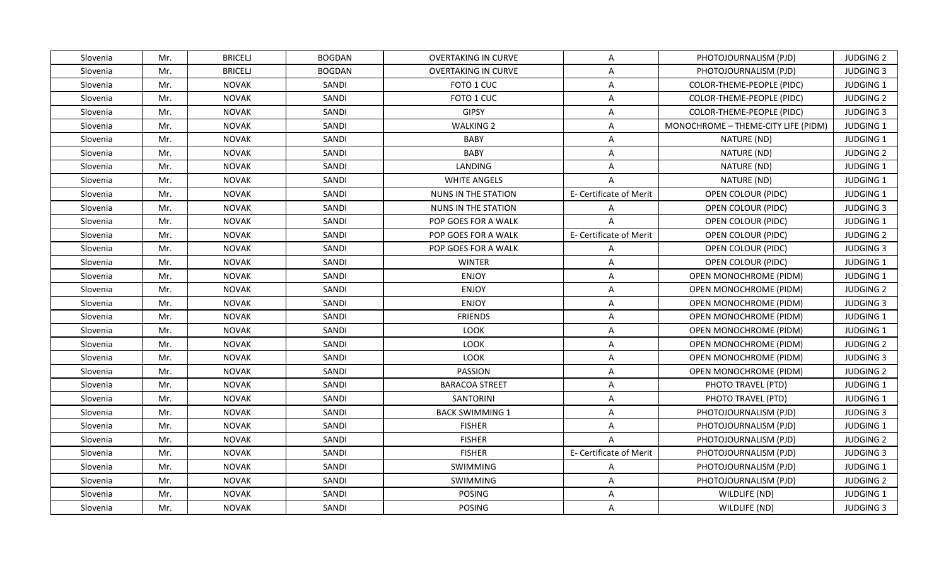| Slovenia | Mr. | <b>BRICELJ</b> | <b>BOGDAN</b> | <b>OVERTAKING IN CURVE</b> | A                       | PHOTOJOURNALISM (PJD)               | <b>JUDGING 2</b> |
|----------|-----|----------------|---------------|----------------------------|-------------------------|-------------------------------------|------------------|
| Slovenia | Mr. | <b>BRICELJ</b> | <b>BOGDAN</b> | <b>OVERTAKING IN CURVE</b> | A                       | PHOTOJOURNALISM (PJD)               | <b>JUDGING 3</b> |
| Slovenia | Mr. | <b>NOVAK</b>   | SANDI         | FOTO 1 CUC                 | $\overline{A}$          | COLOR-THEME-PEOPLE (PIDC)           | <b>JUDGING 1</b> |
| Slovenia | Mr. | <b>NOVAK</b>   | SANDI         | FOTO 1 CUC                 | $\overline{A}$          | COLOR-THEME-PEOPLE (PIDC)           | <b>JUDGING 2</b> |
| Slovenia | Mr. | <b>NOVAK</b>   | SANDI         | <b>GIPSY</b>               | $\overline{A}$          | <b>COLOR-THEME-PEOPLE (PIDC)</b>    | <b>JUDGING 3</b> |
| Slovenia | Mr. | <b>NOVAK</b>   | SANDI         | <b>WALKING 2</b>           | A                       | MONOCHROME - THEME-CITY LIFE (PIDM) | <b>JUDGING 1</b> |
| Slovenia | Mr. | <b>NOVAK</b>   | SANDI         | <b>BABY</b>                | $\mathsf{A}$            | NATURE (ND)                         | JUDGING 1        |
| Slovenia | Mr. | <b>NOVAK</b>   | SANDI         | <b>BABY</b>                | $\overline{A}$          | NATURE (ND)                         | <b>JUDGING 2</b> |
| Slovenia | Mr. | NOVAK          | SANDI         | LANDING                    | $\overline{A}$          | NATURE (ND)                         | <b>JUDGING 1</b> |
| Slovenia | Mr. | <b>NOVAK</b>   | SANDI         | <b>WHITE ANGELS</b>        | $\overline{A}$          | NATURE (ND)                         | JUDGING 1        |
| Slovenia | Mr. | <b>NOVAK</b>   | SANDI         | NUNS IN THE STATION        | E- Certificate of Merit | OPEN COLOUR (PIDC)                  | <b>JUDGING 1</b> |
| Slovenia | Mr. | <b>NOVAK</b>   | SANDI         | <b>NUNS IN THE STATION</b> | A                       | OPEN COLOUR (PIDC)                  | <b>JUDGING 3</b> |
| Slovenia | Mr. | <b>NOVAK</b>   | SANDI         | POP GOES FOR A WALK        | $\overline{A}$          | OPEN COLOUR (PIDC)                  | JUDGING 1        |
| Slovenia | Mr. | <b>NOVAK</b>   | SANDI         | POP GOES FOR A WALK        | E- Certificate of Merit | OPEN COLOUR (PIDC)                  | <b>JUDGING 2</b> |
| Slovenia | Mr. | <b>NOVAK</b>   | SANDI         | POP GOES FOR A WALK        | $\overline{A}$          | OPEN COLOUR (PIDC)                  | <b>JUDGING 3</b> |
| Slovenia | Mr. | <b>NOVAK</b>   | SANDI         | <b>WINTER</b>              | $\overline{A}$          | OPEN COLOUR (PIDC)                  | <b>JUDGING 1</b> |
| Slovenia | Mr. | <b>NOVAK</b>   | SANDI         | <b>ENJOY</b>               | $\mathsf{A}$            | OPEN MONOCHROME (PIDM)              | JUDGING 1        |
| Slovenia | Mr. | <b>NOVAK</b>   | SANDI         | <b>ENJOY</b>               | $\overline{A}$          | OPEN MONOCHROME (PIDM)              | <b>JUDGING 2</b> |
| Slovenia | Mr. | <b>NOVAK</b>   | SANDI         | <b>ENJOY</b>               | A                       | OPEN MONOCHROME (PIDM)              | <b>JUDGING 3</b> |
| Slovenia | Mr. | <b>NOVAK</b>   | SANDI         | <b>FRIENDS</b>             | $\overline{A}$          | <b>OPEN MONOCHROME (PIDM)</b>       | JUDGING 1        |
| Slovenia | Mr. | <b>NOVAK</b>   | SANDI         | <b>LOOK</b>                | $\mathsf{A}$            | OPEN MONOCHROME (PIDM)              | <b>JUDGING 1</b> |
| Slovenia | Mr. | <b>NOVAK</b>   | SANDI         | LOOK                       | $\overline{A}$          | OPEN MONOCHROME (PIDM)              | <b>JUDGING 2</b> |
| Slovenia | Mr. | <b>NOVAK</b>   | SANDI         | LOOK                       | $\overline{A}$          | OPEN MONOCHROME (PIDM)              | <b>JUDGING 3</b> |
| Slovenia | Mr. | <b>NOVAK</b>   | SANDI         | <b>PASSION</b>             | $\mathsf{A}$            | OPEN MONOCHROME (PIDM)              | <b>JUDGING 2</b> |
| Slovenia | Mr. | <b>NOVAK</b>   | SANDI         | <b>BARACOA STREET</b>      | $\overline{A}$          | PHOTO TRAVEL (PTD)                  | <b>JUDGING 1</b> |
| Slovenia | Mr. | <b>NOVAK</b>   | SANDI         | SANTORINI                  | $\overline{A}$          | PHOTO TRAVEL (PTD)                  | <b>JUDGING 1</b> |
| Slovenia | Mr. | <b>NOVAK</b>   | SANDI         | <b>BACK SWIMMING 1</b>     | $\mathsf{A}$            | PHOTOJOURNALISM (PJD)               | <b>JUDGING 3</b> |
| Slovenia | Mr. | <b>NOVAK</b>   | SANDI         | <b>FISHER</b>              | $\overline{A}$          | PHOTOJOURNALISM (PJD)               | JUDGING 1        |
| Slovenia | Mr. | <b>NOVAK</b>   | SANDI         | <b>FISHER</b>              | $\overline{A}$          | PHOTOJOURNALISM (PJD)               | <b>JUDGING 2</b> |
| Slovenia | Mr. | <b>NOVAK</b>   | SANDI         | <b>FISHER</b>              | E- Certificate of Merit | PHOTOJOURNALISM (PJD)               | <b>JUDGING 3</b> |
| Slovenia | Mr. | <b>NOVAK</b>   | SANDI         | SWIMMING                   | $\mathsf{A}$            | PHOTOJOURNALISM (PJD)               | JUDGING 1        |
| Slovenia | Mr. | <b>NOVAK</b>   | SANDI         | SWIMMING                   | A                       | PHOTOJOURNALISM (PJD)               | <b>JUDGING 2</b> |
| Slovenia | Mr. | <b>NOVAK</b>   | SANDI         | <b>POSING</b>              | $\mathsf{A}$            | WILDLIFE (ND)                       | JUDGING 1        |
| Slovenia | Mr. | <b>NOVAK</b>   | SANDI         | <b>POSING</b>              | $\mathsf{A}$            | WILDLIFE (ND)                       | <b>JUDGING 3</b> |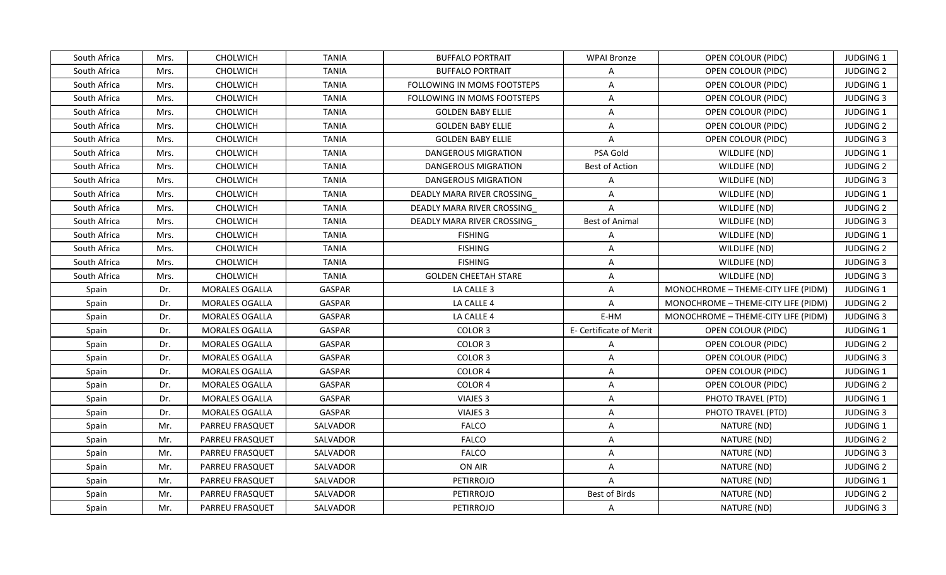| South Africa | Mrs. | CHOLWICH               | <b>TANIA</b>  | <b>BUFFALO PORTRAIT</b>            | WPAI Bronze             | OPEN COLOUR (PIDC)                  | <b>JUDGING 1</b> |
|--------------|------|------------------------|---------------|------------------------------------|-------------------------|-------------------------------------|------------------|
| South Africa | Mrs. | CHOLWICH               | <b>TANIA</b>  | <b>BUFFALO PORTRAIT</b>            | $\overline{A}$          | OPEN COLOUR (PIDC)                  | <b>JUDGING 2</b> |
| South Africa | Mrs. | CHOLWICH               | <b>TANIA</b>  | FOLLOWING IN MOMS FOOTSTEPS        | A                       | OPEN COLOUR (PIDC)                  | JUDGING 1        |
| South Africa | Mrs. | CHOLWICH               | <b>TANIA</b>  | <b>FOLLOWING IN MOMS FOOTSTEPS</b> | A                       | OPEN COLOUR (PIDC)                  | <b>JUDGING 3</b> |
| South Africa | Mrs. | CHOLWICH               | <b>TANIA</b>  | <b>GOLDEN BABY ELLIE</b>           | A                       | OPEN COLOUR (PIDC)                  | JUDGING 1        |
| South Africa | Mrs. | CHOLWICH               | <b>TANIA</b>  | <b>GOLDEN BABY ELLIE</b>           | A                       | OPEN COLOUR (PIDC)                  | <b>JUDGING 2</b> |
| South Africa | Mrs. | <b>CHOLWICH</b>        | <b>TANIA</b>  | <b>GOLDEN BABY ELLIE</b>           | $\overline{A}$          | OPEN COLOUR (PIDC)                  | <b>JUDGING 3</b> |
| South Africa | Mrs. | CHOLWICH               | <b>TANIA</b>  | <b>DANGEROUS MIGRATION</b>         | PSA Gold                | WILDLIFE (ND)                       | JUDGING 1        |
| South Africa | Mrs. | <b>CHOLWICH</b>        | <b>TANIA</b>  | DANGEROUS MIGRATION                | Best of Action          | WILDLIFE (ND)                       | <b>JUDGING 2</b> |
| South Africa | Mrs. | CHOLWICH               | <b>TANIA</b>  | DANGEROUS MIGRATION                | A                       | WILDLIFE (ND)                       | <b>JUDGING 3</b> |
| South Africa | Mrs. | CHOLWICH               | <b>TANIA</b>  | DEADLY MARA RIVER CROSSING         | $\mathsf{A}$            | WILDLIFE (ND)                       | JUDGING 1        |
| South Africa | Mrs. | <b>CHOLWICH</b>        | <b>TANIA</b>  | DEADLY MARA RIVER CROSSING         | $\mathsf{A}$            | WILDLIFE (ND)                       | <b>JUDGING 2</b> |
| South Africa | Mrs. | CHOLWICH               | <b>TANIA</b>  | DEADLY MARA RIVER CROSSING         | <b>Best of Animal</b>   | WILDLIFE (ND)                       | <b>JUDGING 3</b> |
| South Africa | Mrs. | CHOLWICH               | <b>TANIA</b>  | <b>FISHING</b>                     | A                       | WILDLIFE (ND)                       | <b>JUDGING 1</b> |
| South Africa | Mrs. | CHOLWICH               | <b>TANIA</b>  | <b>FISHING</b>                     | A                       | WILDLIFE (ND)                       | <b>JUDGING 2</b> |
| South Africa | Mrs. | CHOLWICH               | <b>TANIA</b>  | <b>FISHING</b>                     | A                       | WILDLIFE (ND)                       | <b>JUDGING 3</b> |
| South Africa | Mrs. | <b>CHOLWICH</b>        | <b>TANIA</b>  | <b>GOLDEN CHEETAH STARE</b>        | A                       | WILDLIFE (ND)                       | <b>JUDGING 3</b> |
| Spain        | Dr.  | MORALES OGALLA         | <b>GASPAR</b> | LA CALLE 3                         | A                       | MONOCHROME - THEME-CITY LIFE (PIDM) | JUDGING 1        |
| Spain        | Dr.  | <b>MORALES OGALLA</b>  | <b>GASPAR</b> | LA CALLE 4                         | $\overline{A}$          | MONOCHROME - THEME-CITY LIFE (PIDM) | <b>JUDGING 2</b> |
| Spain        | Dr.  | MORALES OGALLA         | <b>GASPAR</b> | LA CALLE 4                         | E-HM                    | MONOCHROME - THEME-CITY LIFE (PIDM) | <b>JUDGING 3</b> |
| Spain        | Dr.  | MORALES OGALLA         | <b>GASPAR</b> | COLOR 3                            | E- Certificate of Merit | OPEN COLOUR (PIDC)                  | JUDGING 1        |
| Spain        | Dr.  | MORALES OGALLA         | <b>GASPAR</b> | COLOR 3                            | A                       | OPEN COLOUR (PIDC)                  | <b>JUDGING 2</b> |
| Spain        | Dr.  | MORALES OGALLA         | GASPAR        | COLOR <sub>3</sub>                 | A                       | OPEN COLOUR (PIDC)                  | <b>JUDGING 3</b> |
| Spain        | Dr.  | <b>MORALES OGALLA</b>  | <b>GASPAR</b> | COLOR <sub>4</sub>                 | A                       | OPEN COLOUR (PIDC)                  | <b>JUDGING 1</b> |
| Spain        | Dr.  | MORALES OGALLA         | <b>GASPAR</b> | COLOR <sub>4</sub>                 | A                       | OPEN COLOUR (PIDC)                  | <b>JUDGING 2</b> |
| Spain        | Dr.  | MORALES OGALLA         | GASPAR        | VIAJES 3                           | A                       | PHOTO TRAVEL (PTD)                  | JUDGING 1        |
| Spain        | Dr.  | MORALES OGALLA         | <b>GASPAR</b> | VIAJES <sub>3</sub>                | A                       | PHOTO TRAVEL (PTD)                  | <b>JUDGING 3</b> |
| Spain        | Mr.  | <b>PARREU FRASQUET</b> | SALVADOR      | <b>FALCO</b>                       | A                       | NATURE (ND)                         | JUDGING 1        |
| Spain        | Mr.  | <b>PARREU FRASQUET</b> | SALVADOR      | <b>FALCO</b>                       | $\overline{A}$          | NATURE (ND)                         | <b>JUDGING 2</b> |
| Spain        | Mr.  | <b>PARREU FRASQUET</b> | SALVADOR      | <b>FALCO</b>                       | A                       | NATURE (ND)                         | <b>JUDGING 3</b> |
| Spain        | Mr.  | PARREU FRASQUET        | SALVADOR      | ON AIR                             | A                       | NATURE (ND)                         | <b>JUDGING 2</b> |
| Spain        | Mr.  | <b>PARREU FRASQUET</b> | SALVADOR      | PETIRROJO                          | A                       | NATURE (ND)                         | <b>JUDGING 1</b> |
| Spain        | Mr.  | PARREU FRASQUET        | SALVADOR      | PETIRROJO                          | Best of Birds           | NATURE (ND)                         | <b>JUDGING 2</b> |
| Spain        | Mr.  | PARREU FRASQUET        | SALVADOR      | <b>PETIRROJO</b>                   | A                       | NATURE (ND)                         | JUDGING 3        |
|              |      |                        |               |                                    |                         |                                     |                  |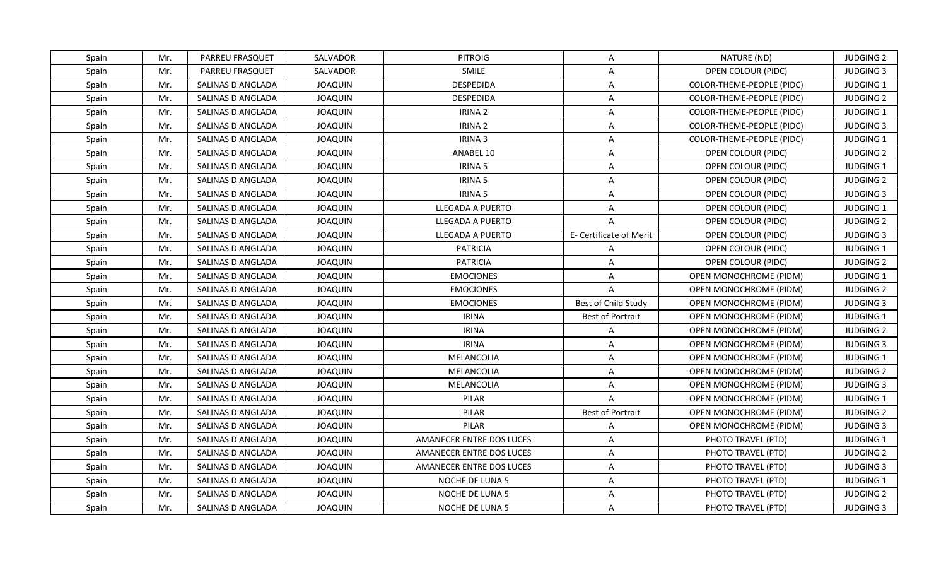| Spain | Mr. | PARREU FRASQUET        | SALVADOR       | <b>PITROIG</b>           | A                       | NATURE (ND)                      | <b>JUDGING 2</b> |
|-------|-----|------------------------|----------------|--------------------------|-------------------------|----------------------------------|------------------|
| Spain | Mr. | <b>PARREU FRASQUET</b> | SALVADOR       | <b>SMILE</b>             | A                       | OPEN COLOUR (PIDC)               | <b>JUDGING 3</b> |
| Spain | Mr. | SALINAS D ANGLADA      | <b>JOAQUIN</b> | <b>DESPEDIDA</b>         | A                       | COLOR-THEME-PEOPLE (PIDC)        | JUDGING 1        |
| Spain | Mr. | SALINAS D ANGLADA      | <b>JOAQUIN</b> | <b>DESPEDIDA</b>         | A                       | COLOR-THEME-PEOPLE (PIDC)        | <b>JUDGING 2</b> |
| Spain | Mr. | SALINAS D ANGLADA      | <b>JOAQUIN</b> | IRINA <sub>2</sub>       | A                       | <b>COLOR-THEME-PEOPLE (PIDC)</b> | JUDGING 1        |
| Spain | Mr. | SALINAS D ANGLADA      | <b>JOAQUIN</b> | <b>IRINA 2</b>           | A                       | COLOR-THEME-PEOPLE (PIDC)        | <b>JUDGING 3</b> |
| Spain | Mr. | SALINAS D ANGLADA      | <b>JOAQUIN</b> | <b>IRINA 3</b>           | A                       | COLOR-THEME-PEOPLE (PIDC)        | JUDGING 1        |
| Spain | Mr. | SALINAS D ANGLADA      | <b>JOAQUIN</b> | ANABEL 10                | A                       | OPEN COLOUR (PIDC)               | <b>JUDGING 2</b> |
| Spain | Mr. | SALINAS D ANGLADA      | <b>JOAQUIN</b> | <b>IRINA 5</b>           | A                       | OPEN COLOUR (PIDC)               | JUDGING 1        |
| Spain | Mr. | SALINAS D ANGLADA      | <b>JOAQUIN</b> | <b>IRINA 5</b>           | A                       | OPEN COLOUR (PIDC)               | <b>JUDGING 2</b> |
| Spain | Mr. | SALINAS D ANGLADA      | <b>JOAQUIN</b> | <b>IRINA 5</b>           | A                       | OPEN COLOUR (PIDC)               | <b>JUDGING 3</b> |
| Spain | Mr. | SALINAS D ANGLADA      | <b>JOAQUIN</b> | LLEGADA A PUERTO         | A                       | OPEN COLOUR (PIDC)               | JUDGING 1        |
| Spain | Mr. | SALINAS D ANGLADA      | <b>JOAQUIN</b> | LLEGADA A PUERTO         | $\overline{A}$          | OPEN COLOUR (PIDC)               | <b>JUDGING 2</b> |
| Spain | Mr. | SALINAS D ANGLADA      | <b>JOAQUIN</b> | LLEGADA A PUERTO         | E- Certificate of Merit | OPEN COLOUR (PIDC)               | <b>JUDGING 3</b> |
| Spain | Mr. | SALINAS D ANGLADA      | <b>JOAQUIN</b> | <b>PATRICIA</b>          | A                       | OPEN COLOUR (PIDC)               | JUDGING 1        |
| Spain | Mr. | SALINAS D ANGLADA      | <b>JOAQUIN</b> | <b>PATRICIA</b>          | A                       | OPEN COLOUR (PIDC)               | <b>JUDGING 2</b> |
| Spain | Mr. | SALINAS D ANGLADA      | <b>JOAQUIN</b> | <b>EMOCIONES</b>         | A                       | <b>OPEN MONOCHROME (PIDM)</b>    | JUDGING 1        |
| Spain | Mr. | SALINAS D ANGLADA      | <b>JOAQUIN</b> | <b>EMOCIONES</b>         | $\overline{A}$          | OPEN MONOCHROME (PIDM)           | <b>JUDGING 2</b> |
| Spain | Mr. | SALINAS D ANGLADA      | <b>JOAQUIN</b> | <b>EMOCIONES</b>         | Best of Child Study     | <b>OPEN MONOCHROME (PIDM)</b>    | <b>JUDGING 3</b> |
| Spain | Mr. | SALINAS D ANGLADA      | <b>JOAQUIN</b> | <b>IRINA</b>             | Best of Portrait        | <b>OPEN MONOCHROME (PIDM)</b>    | JUDGING 1        |
| Spain | Mr. | SALINAS D ANGLADA      | <b>JOAQUIN</b> | <b>IRINA</b>             | A                       | <b>OPEN MONOCHROME (PIDM)</b>    | <b>JUDGING 2</b> |
| Spain | Mr. | SALINAS D ANGLADA      | <b>JOAQUIN</b> | <b>IRINA</b>             | A                       | OPEN MONOCHROME (PIDM)           | <b>JUDGING 3</b> |
| Spain | Mr. | SALINAS D ANGLADA      | <b>JOAQUIN</b> | MELANCOLIA               | A                       | OPEN MONOCHROME (PIDM)           | JUDGING 1        |
| Spain | Mr. | SALINAS D ANGLADA      | <b>JOAQUIN</b> | MELANCOLIA               | A                       | <b>OPEN MONOCHROME (PIDM)</b>    | <b>JUDGING 2</b> |
| Spain | Mr. | SALINAS D ANGLADA      | <b>JOAQUIN</b> | MELANCOLIA               | A                       | OPEN MONOCHROME (PIDM)           | <b>JUDGING 3</b> |
| Spain | Mr. | SALINAS D ANGLADA      | <b>JOAQUIN</b> | PILAR                    | $\overline{\mathsf{A}}$ | OPEN MONOCHROME (PIDM)           | <b>JUDGING 1</b> |
| Spain | Mr. | SALINAS D ANGLADA      | <b>JOAQUIN</b> | PILAR                    | <b>Best of Portrait</b> | OPEN MONOCHROME (PIDM)           | <b>JUDGING 2</b> |
| Spain | Mr. | SALINAS D ANGLADA      | <b>JOAQUIN</b> | PILAR                    | A                       | OPEN MONOCHROME (PIDM)           | <b>JUDGING 3</b> |
| Spain | Mr. | SALINAS D ANGLADA      | <b>JOAQUIN</b> | AMANECER ENTRE DOS LUCES | A                       | PHOTO TRAVEL (PTD)               | <b>JUDGING 1</b> |
| Spain | Mr. | SALINAS D ANGLADA      | <b>JOAQUIN</b> | AMANECER ENTRE DOS LUCES | A                       | PHOTO TRAVEL (PTD)               | <b>JUDGING 2</b> |
| Spain | Mr. | SALINAS D ANGLADA      | <b>JOAQUIN</b> | AMANECER ENTRE DOS LUCES | A                       | PHOTO TRAVEL (PTD)               | <b>JUDGING 3</b> |
| Spain | Mr. | SALINAS D ANGLADA      | <b>JOAQUIN</b> | NOCHE DE LUNA 5          | A                       | PHOTO TRAVEL (PTD)               | <b>JUDGING 1</b> |
| Spain | Mr. | SALINAS D ANGLADA      | <b>JOAQUIN</b> | NOCHE DE LUNA 5          | $\overline{\mathsf{A}}$ | PHOTO TRAVEL (PTD)               | <b>JUDGING 2</b> |
| Spain | Mr. | SALINAS D ANGLADA      | <b>JOAQUIN</b> | <b>NOCHE DE LUNA 5</b>   | A                       | PHOTO TRAVEL (PTD)               | <b>JUDGING 3</b> |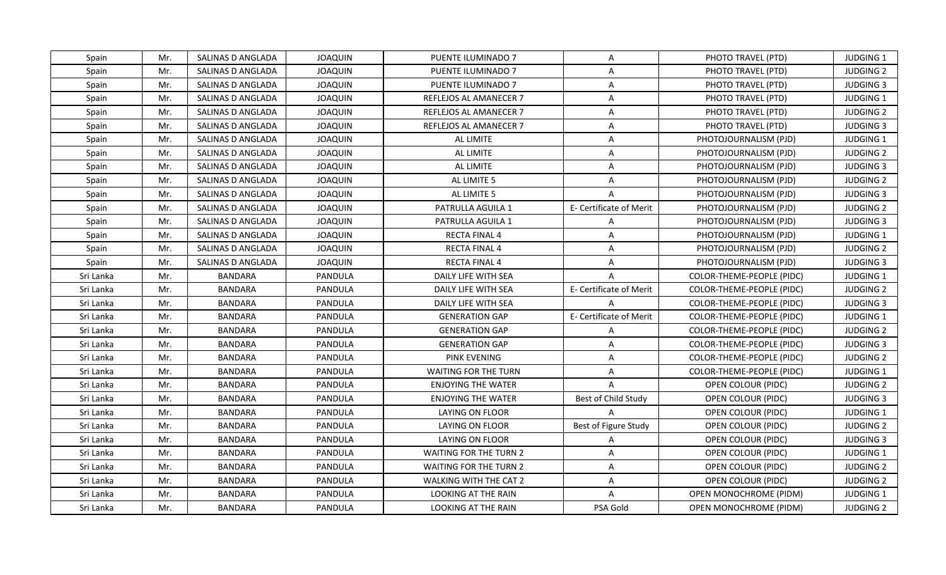| Spain     | Mr. | SALINAS D ANGLADA | <b>JOAQUIN</b> | PUENTE ILUMINADO 7            | A                       | PHOTO TRAVEL (PTD)        | <b>JUDGING 1</b> |
|-----------|-----|-------------------|----------------|-------------------------------|-------------------------|---------------------------|------------------|
| Spain     | Mr. | SALINAS D ANGLADA | <b>JOAQUIN</b> | PUENTE ILUMINADO 7            | A                       | PHOTO TRAVEL (PTD)        | <b>JUDGING 2</b> |
| Spain     | Mr. | SALINAS D ANGLADA | <b>JOAQUIN</b> | PUENTE ILUMINADO 7            | $\mathsf{A}$            | PHOTO TRAVEL (PTD)        | <b>JUDGING 3</b> |
| Spain     | Mr. | SALINAS D ANGLADA | <b>JOAQUIN</b> | REFLEJOS AL AMANECER 7        | A                       | PHOTO TRAVEL (PTD)        | <b>JUDGING 1</b> |
| Spain     | Mr. | SALINAS D ANGLADA | <b>JOAQUIN</b> | REFLEJOS AL AMANECER 7        | A                       | PHOTO TRAVEL (PTD)        | <b>JUDGING 2</b> |
| Spain     | Mr. | SALINAS D ANGLADA | <b>JOAQUIN</b> | REFLEJOS AL AMANECER 7        | A                       | PHOTO TRAVEL (PTD)        | <b>JUDGING 3</b> |
| Spain     | Mr. | SALINAS D ANGLADA | <b>JOAQUIN</b> | AL LIMITE                     | A                       | PHOTOJOURNALISM (PJD)     | JUDGING 1        |
| Spain     | Mr. | SALINAS D ANGLADA | <b>JOAQUIN</b> | AL LIMITE                     | $\overline{A}$          | PHOTOJOURNALISM (PJD)     | <b>JUDGING 2</b> |
| Spain     | Mr. | SALINAS D ANGLADA | <b>JOAQUIN</b> | AL LIMITE                     | A                       | PHOTOJOURNALISM (PJD)     | <b>JUDGING 3</b> |
| Spain     | Mr. | SALINAS D ANGLADA | <b>JOAQUIN</b> | AL LIMITE 5                   | $\overline{A}$          | PHOTOJOURNALISM (PJD)     | <b>JUDGING 2</b> |
| Spain     | Mr. | SALINAS D ANGLADA | <b>JOAQUIN</b> | AL LIMITE 5                   | $\mathsf{A}$            | PHOTOJOURNALISM (PJD)     | <b>JUDGING 3</b> |
| Spain     | Mr. | SALINAS D ANGLADA | <b>JOAQUIN</b> | PATRULLA AGUILA 1             | E- Certificate of Merit | PHOTOJOURNALISM (PJD)     | <b>JUDGING 2</b> |
| Spain     | Mr. | SALINAS D ANGLADA | <b>JOAQUIN</b> | PATRULLA AGUILA 1             | $\mathsf{A}$            | PHOTOJOURNALISM (PJD)     | <b>JUDGING 3</b> |
| Spain     | Mr. | SALINAS D ANGLADA | <b>JOAQUIN</b> | <b>RECTA FINAL 4</b>          | $\mathsf{A}$            | PHOTOJOURNALISM (PJD)     | JUDGING 1        |
| Spain     | Mr. | SALINAS D ANGLADA | <b>JOAQUIN</b> | <b>RECTA FINAL 4</b>          | A                       | PHOTOJOURNALISM (PJD)     | <b>JUDGING 2</b> |
| Spain     | Mr. | SALINAS D ANGLADA | <b>JOAQUIN</b> | <b>RECTA FINAL 4</b>          | A                       | PHOTOJOURNALISM (PJD)     | <b>JUDGING 3</b> |
| Sri Lanka | Mr. | <b>BANDARA</b>    | PANDULA        | DAILY LIFE WITH SEA           | $\overline{A}$          | COLOR-THEME-PEOPLE (PIDC) | JUDGING 1        |
| Sri Lanka | Mr. | <b>BANDARA</b>    | PANDULA        | DAILY LIFE WITH SEA           | E- Certificate of Merit | COLOR-THEME-PEOPLE (PIDC) | <b>JUDGING 2</b> |
| Sri Lanka | Mr. | <b>BANDARA</b>    | PANDULA        | DAILY LIFE WITH SEA           | A                       | COLOR-THEME-PEOPLE (PIDC) | <b>JUDGING 3</b> |
| Sri Lanka | Mr. | <b>BANDARA</b>    | PANDULA        | <b>GENERATION GAP</b>         | E- Certificate of Merit | COLOR-THEME-PEOPLE (PIDC) | JUDGING 1        |
| Sri Lanka | Mr. | <b>BANDARA</b>    | PANDULA        | <b>GENERATION GAP</b>         | A                       | COLOR-THEME-PEOPLE (PIDC) | <b>JUDGING 2</b> |
| Sri Lanka | Mr. | <b>BANDARA</b>    | PANDULA        | <b>GENERATION GAP</b>         | A                       | COLOR-THEME-PEOPLE (PIDC) | <b>JUDGING 3</b> |
| Sri Lanka | Mr. | <b>BANDARA</b>    | PANDULA        | <b>PINK EVENING</b>           | A                       | COLOR-THEME-PEOPLE (PIDC) | <b>JUDGING 2</b> |
| Sri Lanka | Mr. | <b>BANDARA</b>    | PANDULA        | WAITING FOR THE TURN          | $\mathsf{A}$            | COLOR-THEME-PEOPLE (PIDC) | <b>JUDGING 1</b> |
| Sri Lanka | Mr. | <b>BANDARA</b>    | PANDULA        | <b>ENJOYING THE WATER</b>     | A                       | OPEN COLOUR (PIDC)        | <b>JUDGING 2</b> |
| Sri Lanka | Mr. | <b>BANDARA</b>    | PANDULA        | <b>ENJOYING THE WATER</b>     | Best of Child Study     | OPEN COLOUR (PIDC)        | <b>JUDGING 3</b> |
| Sri Lanka | Mr. | <b>BANDARA</b>    | PANDULA        | LAYING ON FLOOR               | $\overline{A}$          | OPEN COLOUR (PIDC)        | JUDGING 1        |
| Sri Lanka | Mr. | <b>BANDARA</b>    | PANDULA        | LAYING ON FLOOR               | Best of Figure Study    | OPEN COLOUR (PIDC)        | <b>JUDGING 2</b> |
| Sri Lanka | Mr. | <b>BANDARA</b>    | PANDULA        | LAYING ON FLOOR               | $\overline{A}$          | OPEN COLOUR (PIDC)        | <b>JUDGING 3</b> |
| Sri Lanka | Mr. | <b>BANDARA</b>    | PANDULA        | WAITING FOR THE TURN 2        | A                       | OPEN COLOUR (PIDC)        | <b>JUDGING 1</b> |
| Sri Lanka | Mr. | <b>BANDARA</b>    | PANDULA        | <b>WAITING FOR THE TURN 2</b> | $\mathsf{A}$            | OPEN COLOUR (PIDC)        | <b>JUDGING 2</b> |
| Sri Lanka | Mr. | <b>BANDARA</b>    | PANDULA        | WALKING WITH THE CAT 2        | A                       | OPEN COLOUR (PIDC)        | <b>JUDGING 2</b> |
| Sri Lanka | Mr. | <b>BANDARA</b>    | PANDULA        | LOOKING AT THE RAIN           | $\overline{A}$          | OPEN MONOCHROME (PIDM)    | JUDGING 1        |
| Sri Lanka | Mr. | <b>BANDARA</b>    | PANDULA        | LOOKING AT THE RAIN           | PSA Gold                | OPEN MONOCHROME (PIDM)    | <b>JUDGING 2</b> |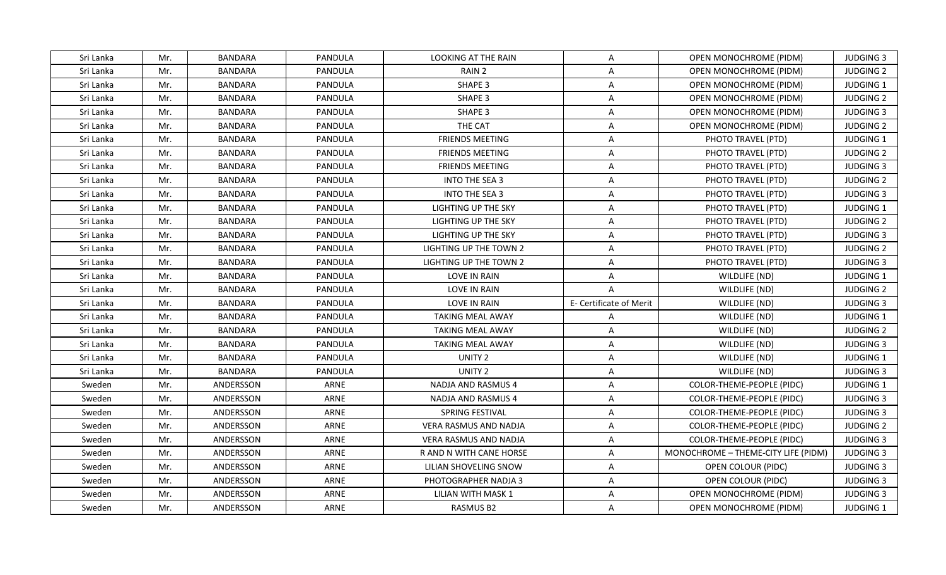| Sri Lanka<br>Mr.<br>BANDARA<br>PANDULA<br>LOOKING AT THE RAIN<br>A<br>OPEN MONOCHROME (PIDM)<br>Sri Lanka<br>Mr.<br><b>BANDARA</b><br>PANDULA<br>RAIN <sub>2</sub><br>A<br>OPEN MONOCHROME (PIDM)<br>Mr.<br>PANDULA<br><b>SHAPE 3</b><br>Sri Lanka<br><b>BANDARA</b><br>$\mathsf{A}$<br>OPEN MONOCHROME (PIDM)<br>Sri Lanka<br>Mr.<br><b>BANDARA</b><br>PANDULA<br><b>SHAPE 3</b><br>A<br>OPEN MONOCHROME (PIDM)<br><b>SHAPE 3</b><br>Sri Lanka<br>Mr.<br><b>BANDARA</b><br>PANDULA<br>A<br>OPEN MONOCHROME (PIDM)<br>Sri Lanka<br><b>BANDARA</b><br>THE CAT<br>Mr.<br>PANDULA<br>A<br>OPEN MONOCHROME (PIDM)<br>Mr.<br><b>BANDARA</b><br>$\overline{\mathsf{A}}$<br>Sri Lanka<br>PANDULA<br><b>FRIENDS MEETING</b><br>PHOTO TRAVEL (PTD)<br>Sri Lanka<br>Mr.<br><b>BANDARA</b><br>PANDULA<br><b>FRIENDS MEETING</b><br>A<br>PHOTO TRAVEL (PTD)<br>Mr.<br><b>BANDARA</b><br>PANDULA<br>PHOTO TRAVEL (PTD)<br>Sri Lanka<br><b>FRIENDS MEETING</b><br>A<br>Sri Lanka<br>Mr.<br><b>BANDARA</b><br>PANDULA<br><b>INTO THE SEA 3</b><br>$\overline{A}$<br>PHOTO TRAVEL (PTD)<br><b>BANDARA</b><br><b>INTO THE SEA 3</b><br>Sri Lanka<br>Mr.<br>PANDULA<br>$\mathsf{A}$<br>PHOTO TRAVEL (PTD)<br><b>BANDARA</b><br>PHOTO TRAVEL (PTD)<br>Sri Lanka<br>Mr.<br>PANDULA<br>LIGHTING UP THE SKY<br>A<br>PHOTO TRAVEL (PTD)<br>Sri Lanka<br>Mr.<br><b>BANDARA</b><br>PANDULA<br>LIGHTING UP THE SKY<br>A<br>Sri Lanka<br>Mr.<br><b>BANDARA</b><br>PANDULA<br>LIGHTING UP THE SKY<br>A<br>PHOTO TRAVEL (PTD)<br>Sri Lanka<br>Mr.<br><b>BANDARA</b><br>PANDULA<br>LIGHTING UP THE TOWN 2<br>PHOTO TRAVEL (PTD)<br>A<br>Sri Lanka<br>Mr.<br><b>BANDARA</b><br>PANDULA<br>LIGHTING UP THE TOWN 2<br>A<br>PHOTO TRAVEL (PTD)<br>Sri Lanka<br>Mr.<br><b>BANDARA</b><br>PANDULA<br>LOVE IN RAIN<br>A<br>WILDLIFE (ND)<br>Mr.<br><b>BANDARA</b><br>PANDULA<br><b>LOVE IN RAIN</b><br>$\overline{A}$<br>WILDLIFE (ND)<br>Sri Lanka<br>Mr.<br><b>BANDARA</b><br>PANDULA<br>E- Certificate of Merit<br>Sri Lanka<br>LOVE IN RAIN<br>WILDLIFE (ND)<br>Sri Lanka<br>Mr.<br><b>BANDARA</b><br>PANDULA<br><b>TAKING MEAL AWAY</b><br>$\overline{A}$<br>WILDLIFE (ND)<br>Sri Lanka<br>Mr.<br><b>BANDARA</b><br>A<br>PANDULA<br>TAKING MEAL AWAY<br>WILDLIFE (ND)<br>Sri Lanka<br>Mr.<br><b>BANDARA</b><br>PANDULA<br><b>TAKING MEAL AWAY</b><br>WILDLIFE (ND)<br>A<br>Mr.<br><b>BANDARA</b><br>PANDULA<br>UNITY 2<br>WILDLIFE (ND)<br>Sri Lanka<br>A<br>Mr.<br>UNITY 2<br>WILDLIFE (ND)<br>Sri Lanka<br><b>BANDARA</b><br>PANDULA<br>A<br>Sweden<br>Mr.<br>ANDERSSON<br>ARNE<br>NADJA AND RASMUS 4<br>A<br>COLOR-THEME-PEOPLE (PIDC)<br>Sweden<br>Mr.<br>ANDERSSON<br>A<br>ARNE<br>NADJA AND RASMUS 4<br>COLOR-THEME-PEOPLE (PIDC)<br>ANDERSSON<br>ARNE<br>Sweden<br>Mr.<br>SPRING FESTIVAL<br>Α<br>COLOR-THEME-PEOPLE (PIDC)<br>ARNE<br>Sweden<br>Mr.<br>ANDERSSON<br>VERA RASMUS AND NADJA<br>Α<br>COLOR-THEME-PEOPLE (PIDC) |                  |
|-----------------------------------------------------------------------------------------------------------------------------------------------------------------------------------------------------------------------------------------------------------------------------------------------------------------------------------------------------------------------------------------------------------------------------------------------------------------------------------------------------------------------------------------------------------------------------------------------------------------------------------------------------------------------------------------------------------------------------------------------------------------------------------------------------------------------------------------------------------------------------------------------------------------------------------------------------------------------------------------------------------------------------------------------------------------------------------------------------------------------------------------------------------------------------------------------------------------------------------------------------------------------------------------------------------------------------------------------------------------------------------------------------------------------------------------------------------------------------------------------------------------------------------------------------------------------------------------------------------------------------------------------------------------------------------------------------------------------------------------------------------------------------------------------------------------------------------------------------------------------------------------------------------------------------------------------------------------------------------------------------------------------------------------------------------------------------------------------------------------------------------------------------------------------------------------------------------------------------------------------------------------------------------------------------------------------------------------------------------------------------------------------------------------------------------------------------------------------------------------------------------------------------------------------------------------------------------------------------------------------------------------------------------------------------------------------------------------------------------------------------------------------------------------------------------------------------------------------------------------------------------------------------|------------------|
|                                                                                                                                                                                                                                                                                                                                                                                                                                                                                                                                                                                                                                                                                                                                                                                                                                                                                                                                                                                                                                                                                                                                                                                                                                                                                                                                                                                                                                                                                                                                                                                                                                                                                                                                                                                                                                                                                                                                                                                                                                                                                                                                                                                                                                                                                                                                                                                                                                                                                                                                                                                                                                                                                                                                                                                                                                                                                                     | <b>JUDGING 3</b> |
|                                                                                                                                                                                                                                                                                                                                                                                                                                                                                                                                                                                                                                                                                                                                                                                                                                                                                                                                                                                                                                                                                                                                                                                                                                                                                                                                                                                                                                                                                                                                                                                                                                                                                                                                                                                                                                                                                                                                                                                                                                                                                                                                                                                                                                                                                                                                                                                                                                                                                                                                                                                                                                                                                                                                                                                                                                                                                                     | <b>JUDGING 2</b> |
|                                                                                                                                                                                                                                                                                                                                                                                                                                                                                                                                                                                                                                                                                                                                                                                                                                                                                                                                                                                                                                                                                                                                                                                                                                                                                                                                                                                                                                                                                                                                                                                                                                                                                                                                                                                                                                                                                                                                                                                                                                                                                                                                                                                                                                                                                                                                                                                                                                                                                                                                                                                                                                                                                                                                                                                                                                                                                                     | JUDGING 1        |
|                                                                                                                                                                                                                                                                                                                                                                                                                                                                                                                                                                                                                                                                                                                                                                                                                                                                                                                                                                                                                                                                                                                                                                                                                                                                                                                                                                                                                                                                                                                                                                                                                                                                                                                                                                                                                                                                                                                                                                                                                                                                                                                                                                                                                                                                                                                                                                                                                                                                                                                                                                                                                                                                                                                                                                                                                                                                                                     | <b>JUDGING 2</b> |
|                                                                                                                                                                                                                                                                                                                                                                                                                                                                                                                                                                                                                                                                                                                                                                                                                                                                                                                                                                                                                                                                                                                                                                                                                                                                                                                                                                                                                                                                                                                                                                                                                                                                                                                                                                                                                                                                                                                                                                                                                                                                                                                                                                                                                                                                                                                                                                                                                                                                                                                                                                                                                                                                                                                                                                                                                                                                                                     | <b>JUDGING 3</b> |
|                                                                                                                                                                                                                                                                                                                                                                                                                                                                                                                                                                                                                                                                                                                                                                                                                                                                                                                                                                                                                                                                                                                                                                                                                                                                                                                                                                                                                                                                                                                                                                                                                                                                                                                                                                                                                                                                                                                                                                                                                                                                                                                                                                                                                                                                                                                                                                                                                                                                                                                                                                                                                                                                                                                                                                                                                                                                                                     | <b>JUDGING 2</b> |
|                                                                                                                                                                                                                                                                                                                                                                                                                                                                                                                                                                                                                                                                                                                                                                                                                                                                                                                                                                                                                                                                                                                                                                                                                                                                                                                                                                                                                                                                                                                                                                                                                                                                                                                                                                                                                                                                                                                                                                                                                                                                                                                                                                                                                                                                                                                                                                                                                                                                                                                                                                                                                                                                                                                                                                                                                                                                                                     | JUDGING 1        |
|                                                                                                                                                                                                                                                                                                                                                                                                                                                                                                                                                                                                                                                                                                                                                                                                                                                                                                                                                                                                                                                                                                                                                                                                                                                                                                                                                                                                                                                                                                                                                                                                                                                                                                                                                                                                                                                                                                                                                                                                                                                                                                                                                                                                                                                                                                                                                                                                                                                                                                                                                                                                                                                                                                                                                                                                                                                                                                     | <b>JUDGING 2</b> |
|                                                                                                                                                                                                                                                                                                                                                                                                                                                                                                                                                                                                                                                                                                                                                                                                                                                                                                                                                                                                                                                                                                                                                                                                                                                                                                                                                                                                                                                                                                                                                                                                                                                                                                                                                                                                                                                                                                                                                                                                                                                                                                                                                                                                                                                                                                                                                                                                                                                                                                                                                                                                                                                                                                                                                                                                                                                                                                     | <b>JUDGING 3</b> |
|                                                                                                                                                                                                                                                                                                                                                                                                                                                                                                                                                                                                                                                                                                                                                                                                                                                                                                                                                                                                                                                                                                                                                                                                                                                                                                                                                                                                                                                                                                                                                                                                                                                                                                                                                                                                                                                                                                                                                                                                                                                                                                                                                                                                                                                                                                                                                                                                                                                                                                                                                                                                                                                                                                                                                                                                                                                                                                     | <b>JUDGING 2</b> |
|                                                                                                                                                                                                                                                                                                                                                                                                                                                                                                                                                                                                                                                                                                                                                                                                                                                                                                                                                                                                                                                                                                                                                                                                                                                                                                                                                                                                                                                                                                                                                                                                                                                                                                                                                                                                                                                                                                                                                                                                                                                                                                                                                                                                                                                                                                                                                                                                                                                                                                                                                                                                                                                                                                                                                                                                                                                                                                     | <b>JUDGING 3</b> |
|                                                                                                                                                                                                                                                                                                                                                                                                                                                                                                                                                                                                                                                                                                                                                                                                                                                                                                                                                                                                                                                                                                                                                                                                                                                                                                                                                                                                                                                                                                                                                                                                                                                                                                                                                                                                                                                                                                                                                                                                                                                                                                                                                                                                                                                                                                                                                                                                                                                                                                                                                                                                                                                                                                                                                                                                                                                                                                     | JUDGING 1        |
|                                                                                                                                                                                                                                                                                                                                                                                                                                                                                                                                                                                                                                                                                                                                                                                                                                                                                                                                                                                                                                                                                                                                                                                                                                                                                                                                                                                                                                                                                                                                                                                                                                                                                                                                                                                                                                                                                                                                                                                                                                                                                                                                                                                                                                                                                                                                                                                                                                                                                                                                                                                                                                                                                                                                                                                                                                                                                                     | <b>JUDGING 2</b> |
|                                                                                                                                                                                                                                                                                                                                                                                                                                                                                                                                                                                                                                                                                                                                                                                                                                                                                                                                                                                                                                                                                                                                                                                                                                                                                                                                                                                                                                                                                                                                                                                                                                                                                                                                                                                                                                                                                                                                                                                                                                                                                                                                                                                                                                                                                                                                                                                                                                                                                                                                                                                                                                                                                                                                                                                                                                                                                                     | <b>JUDGING 3</b> |
|                                                                                                                                                                                                                                                                                                                                                                                                                                                                                                                                                                                                                                                                                                                                                                                                                                                                                                                                                                                                                                                                                                                                                                                                                                                                                                                                                                                                                                                                                                                                                                                                                                                                                                                                                                                                                                                                                                                                                                                                                                                                                                                                                                                                                                                                                                                                                                                                                                                                                                                                                                                                                                                                                                                                                                                                                                                                                                     | <b>JUDGING 2</b> |
|                                                                                                                                                                                                                                                                                                                                                                                                                                                                                                                                                                                                                                                                                                                                                                                                                                                                                                                                                                                                                                                                                                                                                                                                                                                                                                                                                                                                                                                                                                                                                                                                                                                                                                                                                                                                                                                                                                                                                                                                                                                                                                                                                                                                                                                                                                                                                                                                                                                                                                                                                                                                                                                                                                                                                                                                                                                                                                     | <b>JUDGING 3</b> |
|                                                                                                                                                                                                                                                                                                                                                                                                                                                                                                                                                                                                                                                                                                                                                                                                                                                                                                                                                                                                                                                                                                                                                                                                                                                                                                                                                                                                                                                                                                                                                                                                                                                                                                                                                                                                                                                                                                                                                                                                                                                                                                                                                                                                                                                                                                                                                                                                                                                                                                                                                                                                                                                                                                                                                                                                                                                                                                     | JUDGING 1        |
|                                                                                                                                                                                                                                                                                                                                                                                                                                                                                                                                                                                                                                                                                                                                                                                                                                                                                                                                                                                                                                                                                                                                                                                                                                                                                                                                                                                                                                                                                                                                                                                                                                                                                                                                                                                                                                                                                                                                                                                                                                                                                                                                                                                                                                                                                                                                                                                                                                                                                                                                                                                                                                                                                                                                                                                                                                                                                                     | <b>JUDGING 2</b> |
|                                                                                                                                                                                                                                                                                                                                                                                                                                                                                                                                                                                                                                                                                                                                                                                                                                                                                                                                                                                                                                                                                                                                                                                                                                                                                                                                                                                                                                                                                                                                                                                                                                                                                                                                                                                                                                                                                                                                                                                                                                                                                                                                                                                                                                                                                                                                                                                                                                                                                                                                                                                                                                                                                                                                                                                                                                                                                                     | <b>JUDGING 3</b> |
|                                                                                                                                                                                                                                                                                                                                                                                                                                                                                                                                                                                                                                                                                                                                                                                                                                                                                                                                                                                                                                                                                                                                                                                                                                                                                                                                                                                                                                                                                                                                                                                                                                                                                                                                                                                                                                                                                                                                                                                                                                                                                                                                                                                                                                                                                                                                                                                                                                                                                                                                                                                                                                                                                                                                                                                                                                                                                                     | JUDGING 1        |
|                                                                                                                                                                                                                                                                                                                                                                                                                                                                                                                                                                                                                                                                                                                                                                                                                                                                                                                                                                                                                                                                                                                                                                                                                                                                                                                                                                                                                                                                                                                                                                                                                                                                                                                                                                                                                                                                                                                                                                                                                                                                                                                                                                                                                                                                                                                                                                                                                                                                                                                                                                                                                                                                                                                                                                                                                                                                                                     | <b>JUDGING 2</b> |
|                                                                                                                                                                                                                                                                                                                                                                                                                                                                                                                                                                                                                                                                                                                                                                                                                                                                                                                                                                                                                                                                                                                                                                                                                                                                                                                                                                                                                                                                                                                                                                                                                                                                                                                                                                                                                                                                                                                                                                                                                                                                                                                                                                                                                                                                                                                                                                                                                                                                                                                                                                                                                                                                                                                                                                                                                                                                                                     | <b>JUDGING 3</b> |
|                                                                                                                                                                                                                                                                                                                                                                                                                                                                                                                                                                                                                                                                                                                                                                                                                                                                                                                                                                                                                                                                                                                                                                                                                                                                                                                                                                                                                                                                                                                                                                                                                                                                                                                                                                                                                                                                                                                                                                                                                                                                                                                                                                                                                                                                                                                                                                                                                                                                                                                                                                                                                                                                                                                                                                                                                                                                                                     | JUDGING 1        |
|                                                                                                                                                                                                                                                                                                                                                                                                                                                                                                                                                                                                                                                                                                                                                                                                                                                                                                                                                                                                                                                                                                                                                                                                                                                                                                                                                                                                                                                                                                                                                                                                                                                                                                                                                                                                                                                                                                                                                                                                                                                                                                                                                                                                                                                                                                                                                                                                                                                                                                                                                                                                                                                                                                                                                                                                                                                                                                     | <b>JUDGING 3</b> |
|                                                                                                                                                                                                                                                                                                                                                                                                                                                                                                                                                                                                                                                                                                                                                                                                                                                                                                                                                                                                                                                                                                                                                                                                                                                                                                                                                                                                                                                                                                                                                                                                                                                                                                                                                                                                                                                                                                                                                                                                                                                                                                                                                                                                                                                                                                                                                                                                                                                                                                                                                                                                                                                                                                                                                                                                                                                                                                     | <b>JUDGING 1</b> |
|                                                                                                                                                                                                                                                                                                                                                                                                                                                                                                                                                                                                                                                                                                                                                                                                                                                                                                                                                                                                                                                                                                                                                                                                                                                                                                                                                                                                                                                                                                                                                                                                                                                                                                                                                                                                                                                                                                                                                                                                                                                                                                                                                                                                                                                                                                                                                                                                                                                                                                                                                                                                                                                                                                                                                                                                                                                                                                     | <b>JUDGING 3</b> |
|                                                                                                                                                                                                                                                                                                                                                                                                                                                                                                                                                                                                                                                                                                                                                                                                                                                                                                                                                                                                                                                                                                                                                                                                                                                                                                                                                                                                                                                                                                                                                                                                                                                                                                                                                                                                                                                                                                                                                                                                                                                                                                                                                                                                                                                                                                                                                                                                                                                                                                                                                                                                                                                                                                                                                                                                                                                                                                     | <b>JUDGING 3</b> |
|                                                                                                                                                                                                                                                                                                                                                                                                                                                                                                                                                                                                                                                                                                                                                                                                                                                                                                                                                                                                                                                                                                                                                                                                                                                                                                                                                                                                                                                                                                                                                                                                                                                                                                                                                                                                                                                                                                                                                                                                                                                                                                                                                                                                                                                                                                                                                                                                                                                                                                                                                                                                                                                                                                                                                                                                                                                                                                     | <b>JUDGING 2</b> |
| Sweden<br>Mr.<br>ANDERSSON<br>ARNE<br>Α<br>COLOR-THEME-PEOPLE (PIDC)<br>VERA RASMUS AND NADJA                                                                                                                                                                                                                                                                                                                                                                                                                                                                                                                                                                                                                                                                                                                                                                                                                                                                                                                                                                                                                                                                                                                                                                                                                                                                                                                                                                                                                                                                                                                                                                                                                                                                                                                                                                                                                                                                                                                                                                                                                                                                                                                                                                                                                                                                                                                                                                                                                                                                                                                                                                                                                                                                                                                                                                                                       | <b>JUDGING 3</b> |
| ARNE<br>Sweden<br>Mr.<br>ANDERSSON<br>Α<br>MONOCHROME - THEME-CITY LIFE (PIDM)<br>R AND N WITH CANE HORSE                                                                                                                                                                                                                                                                                                                                                                                                                                                                                                                                                                                                                                                                                                                                                                                                                                                                                                                                                                                                                                                                                                                                                                                                                                                                                                                                                                                                                                                                                                                                                                                                                                                                                                                                                                                                                                                                                                                                                                                                                                                                                                                                                                                                                                                                                                                                                                                                                                                                                                                                                                                                                                                                                                                                                                                           | <b>JUDGING 3</b> |
| A<br>Sweden<br>Mr.<br>ANDERSSON<br>ARNE<br>OPEN COLOUR (PIDC)<br>LILIAN SHOVELING SNOW                                                                                                                                                                                                                                                                                                                                                                                                                                                                                                                                                                                                                                                                                                                                                                                                                                                                                                                                                                                                                                                                                                                                                                                                                                                                                                                                                                                                                                                                                                                                                                                                                                                                                                                                                                                                                                                                                                                                                                                                                                                                                                                                                                                                                                                                                                                                                                                                                                                                                                                                                                                                                                                                                                                                                                                                              | <b>JUDGING 3</b> |
| Sweden<br>Mr.<br>ANDERSSON<br>ARNE<br>PHOTOGRAPHER NADJA 3<br>A<br>OPEN COLOUR (PIDC)                                                                                                                                                                                                                                                                                                                                                                                                                                                                                                                                                                                                                                                                                                                                                                                                                                                                                                                                                                                                                                                                                                                                                                                                                                                                                                                                                                                                                                                                                                                                                                                                                                                                                                                                                                                                                                                                                                                                                                                                                                                                                                                                                                                                                                                                                                                                                                                                                                                                                                                                                                                                                                                                                                                                                                                                               | <b>JUDGING 3</b> |
| Sweden<br>Mr.<br>ANDERSSON<br>ARNE<br>LILIAN WITH MASK 1<br>$\overline{A}$<br>OPEN MONOCHROME (PIDM)                                                                                                                                                                                                                                                                                                                                                                                                                                                                                                                                                                                                                                                                                                                                                                                                                                                                                                                                                                                                                                                                                                                                                                                                                                                                                                                                                                                                                                                                                                                                                                                                                                                                                                                                                                                                                                                                                                                                                                                                                                                                                                                                                                                                                                                                                                                                                                                                                                                                                                                                                                                                                                                                                                                                                                                                | <b>JUDGING 3</b> |
| Sweden<br>Mr.<br>ANDERSSON<br>ARNE<br>RASMUS B2<br>A<br>OPEN MONOCHROME (PIDM)                                                                                                                                                                                                                                                                                                                                                                                                                                                                                                                                                                                                                                                                                                                                                                                                                                                                                                                                                                                                                                                                                                                                                                                                                                                                                                                                                                                                                                                                                                                                                                                                                                                                                                                                                                                                                                                                                                                                                                                                                                                                                                                                                                                                                                                                                                                                                                                                                                                                                                                                                                                                                                                                                                                                                                                                                      | <b>JUDGING 1</b> |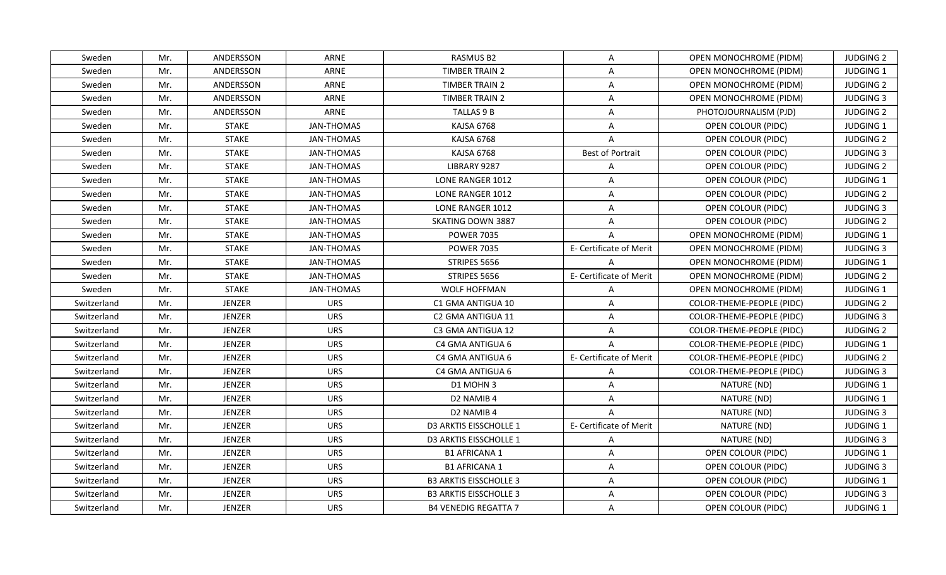| Sweden      | Mr. | ANDERSSON     | ARNE              | RASMUS B2                     | A                       | OPEN MONOCHROME (PIDM)        | <b>JUDGING 2</b> |
|-------------|-----|---------------|-------------------|-------------------------------|-------------------------|-------------------------------|------------------|
| Sweden      | Mr. | ANDERSSON     | ARNE              | <b>TIMBER TRAIN 2</b>         | $\mathsf{A}$            | <b>OPEN MONOCHROME (PIDM)</b> | <b>JUDGING 1</b> |
| Sweden      | Mr. | ANDERSSON     | ARNE              | <b>TIMBER TRAIN 2</b>         | $\mathsf{A}$            | <b>OPEN MONOCHROME (PIDM)</b> | <b>JUDGING 2</b> |
| Sweden      | Mr. | ANDERSSON     | ARNE              | <b>TIMBER TRAIN 2</b>         | A                       | OPEN MONOCHROME (PIDM)        | <b>JUDGING 3</b> |
| Sweden      | Mr. | ANDERSSON     | ARNE              | TALLAS 9 B                    | A                       | PHOTOJOURNALISM (PJD)         | <b>JUDGING 2</b> |
| Sweden      | Mr. | <b>STAKE</b>  | <b>JAN-THOMAS</b> | KAJSA 6768                    | $\mathsf{A}$            | OPEN COLOUR (PIDC)            | <b>JUDGING 1</b> |
| Sweden      | Mr. | <b>STAKE</b>  | <b>JAN-THOMAS</b> | KAJSA 6768                    | $\overline{A}$          | OPEN COLOUR (PIDC)            | <b>JUDGING 2</b> |
| Sweden      | Mr. | <b>STAKE</b>  | <b>JAN-THOMAS</b> | KAJSA 6768                    | <b>Best of Portrait</b> | OPEN COLOUR (PIDC)            | <b>JUDGING 3</b> |
| Sweden      | Mr. | <b>STAKE</b>  | <b>JAN-THOMAS</b> | LIBRARY 9287                  | $\mathsf{A}$            | OPEN COLOUR (PIDC)            | <b>JUDGING 2</b> |
| Sweden      | Mr. | <b>STAKE</b>  | <b>JAN-THOMAS</b> | LONE RANGER 1012              | $\overline{A}$          | OPEN COLOUR (PIDC)            | JUDGING 1        |
| Sweden      | Mr. | <b>STAKE</b>  | JAN-THOMAS        | LONE RANGER 1012              | $\mathsf{A}$            | OPEN COLOUR (PIDC)            | <b>JUDGING 2</b> |
| Sweden      | Mr. | <b>STAKE</b>  | JAN-THOMAS        | LONE RANGER 1012              | Α                       | OPEN COLOUR (PIDC)            | <b>JUDGING 3</b> |
| Sweden      | Mr. | <b>STAKE</b>  | <b>JAN-THOMAS</b> | <b>SKATING DOWN 3887</b>      | $\overline{A}$          | OPEN COLOUR (PIDC)            | <b>JUDGING 2</b> |
| Sweden      | Mr. | <b>STAKE</b>  | JAN-THOMAS        | <b>POWER 7035</b>             | $\mathsf{A}$            | OPEN MONOCHROME (PIDM)        | JUDGING 1        |
| Sweden      | Mr. | <b>STAKE</b>  | <b>JAN-THOMAS</b> | <b>POWER 7035</b>             | E- Certificate of Merit | <b>OPEN MONOCHROME (PIDM)</b> | <b>JUDGING 3</b> |
| Sweden      | Mr. | <b>STAKE</b>  | JAN-THOMAS        | STRIPES 5656                  | A                       | OPEN MONOCHROME (PIDM)        | <b>JUDGING 1</b> |
| Sweden      | Mr. | <b>STAKE</b>  | JAN-THOMAS        | STRIPES 5656                  | E- Certificate of Merit | <b>OPEN MONOCHROME (PIDM)</b> | <b>JUDGING 2</b> |
| Sweden      | Mr. | <b>STAKE</b>  | <b>JAN-THOMAS</b> | <b>WOLF HOFFMAN</b>           | $\mathsf{A}$            | <b>OPEN MONOCHROME (PIDM)</b> | <b>JUDGING 1</b> |
| Switzerland | Mr. | JENZER        | <b>URS</b>        | C1 GMA ANTIGUA 10             | $\overline{A}$          | COLOR-THEME-PEOPLE (PIDC)     | <b>JUDGING 2</b> |
| Switzerland | Mr. | <b>JENZER</b> | <b>URS</b>        | C <sub>2</sub> GMA ANTIGUA 11 | $\overline{A}$          | COLOR-THEME-PEOPLE (PIDC)     | <b>JUDGING 3</b> |
| Switzerland | Mr. | JENZER        | <b>URS</b>        | C3 GMA ANTIGUA 12             | $\mathsf{A}$            | COLOR-THEME-PEOPLE (PIDC)     | <b>JUDGING 2</b> |
| Switzerland | Mr. | JENZER        | <b>URS</b>        | C4 GMA ANTIGUA 6              | $\mathsf{A}$            | COLOR-THEME-PEOPLE (PIDC)     | JUDGING 1        |
| Switzerland | Mr. | JENZER        | <b>URS</b>        | C4 GMA ANTIGUA 6              | E- Certificate of Merit | COLOR-THEME-PEOPLE (PIDC)     | <b>JUDGING 2</b> |
| Switzerland | Mr. | <b>JENZER</b> | <b>URS</b>        | C4 GMA ANTIGUA 6              | A                       | COLOR-THEME-PEOPLE (PIDC)     | <b>JUDGING 3</b> |
| Switzerland | Mr. | JENZER        | <b>URS</b>        | D1 MOHN 3                     | $\overline{A}$          | NATURE (ND)                   | <b>JUDGING 1</b> |
| Switzerland | Mr. | JENZER        | <b>URS</b>        | D2 NAMIB 4                    | $\mathsf{A}$            | NATURE (ND)                   | JUDGING 1        |
| Switzerland | Mr. | JENZER        | <b>URS</b>        | D2 NAMIB 4                    | $\mathsf{A}$            | NATURE (ND)                   | <b>JUDGING 3</b> |
| Switzerland | Mr. | JENZER        | <b>URS</b>        | <b>D3 ARKTIS EISSCHOLLE 1</b> | E- Certificate of Merit | NATURE (ND)                   | JUDGING 1        |
| Switzerland | Mr. | JENZER        | <b>URS</b>        | D3 ARKTIS EISSCHOLLE 1        | A                       | NATURE (ND)                   | <b>JUDGING 3</b> |
| Switzerland | Mr. | JENZER        | <b>URS</b>        | <b>B1 AFRICANA 1</b>          | $\overline{A}$          | OPEN COLOUR (PIDC)            | JUDGING 1        |
| Switzerland | Mr. | JENZER        | <b>URS</b>        | <b>B1 AFRICANA 1</b>          | $\mathsf{A}$            | OPEN COLOUR (PIDC)            | <b>JUDGING 3</b> |
| Switzerland | Mr. | <b>JENZER</b> | <b>URS</b>        | <b>B3 ARKTIS EISSCHOLLE 3</b> | A                       | OPEN COLOUR (PIDC)            | <b>JUDGING 1</b> |
| Switzerland | Mr. | JENZER        | <b>URS</b>        | <b>B3 ARKTIS EISSCHOLLE 3</b> | $\overline{A}$          | OPEN COLOUR (PIDC)            | <b>JUDGING 3</b> |
| Switzerland | Mr. | <b>JENZER</b> | <b>URS</b>        | <b>B4 VENEDIG REGATTA 7</b>   | $\mathsf{A}$            | OPEN COLOUR (PIDC)            | JUDGING 1        |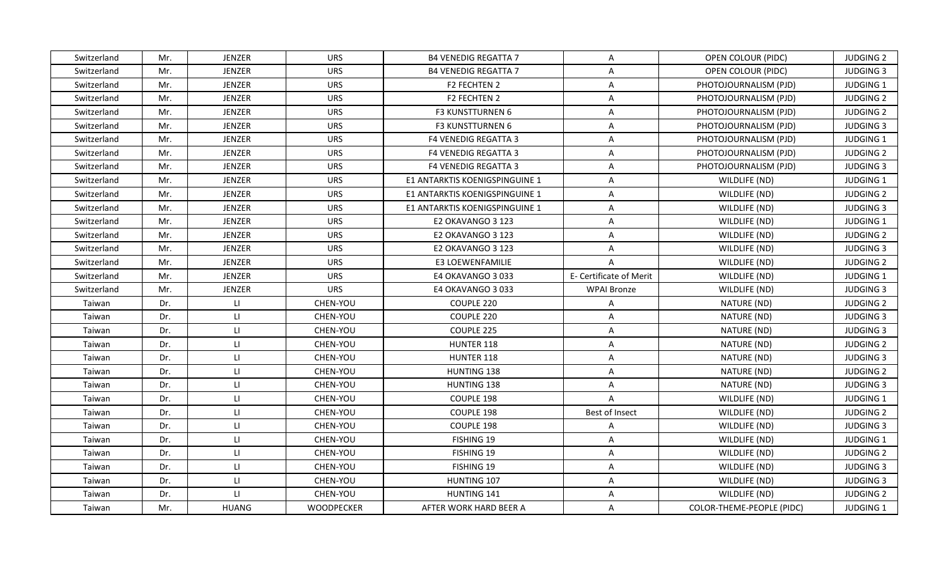| Switzerland | Mr. | <b>JENZER</b> | <b>URS</b>        | <b>B4 VENEDIG REGATTA 7</b>    | $\mathsf{A}$            | OPEN COLOUR (PIDC)        | <b>JUDGING 2</b> |
|-------------|-----|---------------|-------------------|--------------------------------|-------------------------|---------------------------|------------------|
| Switzerland | Mr. | JENZER        | <b>URS</b>        | <b>B4 VENEDIG REGATTA 7</b>    | A                       | OPEN COLOUR (PIDC)        | <b>JUDGING 3</b> |
| Switzerland | Mr. | JENZER        | <b>URS</b>        | F2 FECHTEN 2                   | A                       | PHOTOJOURNALISM (PJD)     | JUDGING 1        |
| Switzerland | Mr. | JENZER        | <b>URS</b>        | F2 FECHTEN 2                   | $\mathsf{A}$            | PHOTOJOURNALISM (PJD)     | <b>JUDGING 2</b> |
| Switzerland | Mr. | JENZER        | <b>URS</b>        | F3 KUNSTTURNEN 6               | A                       | PHOTOJOURNALISM (PJD)     | <b>JUDGING 2</b> |
| Switzerland | Mr. | JENZER        | <b>URS</b>        | F3 KUNSTTURNEN 6               | A                       | PHOTOJOURNALISM (PJD)     | <b>JUDGING 3</b> |
| Switzerland | Mr. | JENZER        | <b>URS</b>        | <b>F4 VENEDIG REGATTA 3</b>    | $\overline{A}$          | PHOTOJOURNALISM (PJD)     | JUDGING 1        |
| Switzerland | Mr. | JENZER        | <b>URS</b>        | <b>F4 VENEDIG REGATTA 3</b>    | $\overline{A}$          | PHOTOJOURNALISM (PJD)     | <b>JUDGING 2</b> |
| Switzerland | Mr. | JENZER        | <b>URS</b>        | <b>F4 VENEDIG REGATTA 3</b>    | $\mathsf{A}$            | PHOTOJOURNALISM (PJD)     | <b>JUDGING 3</b> |
| Switzerland | Mr. | JENZER        | <b>URS</b>        | E1 ANTARKTIS KOENIGSPINGUINE 1 | A                       | WILDLIFE (ND)             | JUDGING 1        |
| Switzerland | Mr. | <b>JENZER</b> | <b>URS</b>        | E1 ANTARKTIS KOENIGSPINGUINE 1 | A                       | WILDLIFE (ND)             | <b>JUDGING 2</b> |
| Switzerland | Mr. | JENZER        | <b>URS</b>        | E1 ANTARKTIS KOENIGSPINGUINE 1 | A                       | WILDLIFE (ND)             | <b>JUDGING 3</b> |
| Switzerland | Mr. | JENZER        | <b>URS</b>        | E2 OKAVANGO 3 123              | $\mathsf{A}$            | WILDLIFE (ND)             | JUDGING 1        |
| Switzerland | Mr. | JENZER        | <b>URS</b>        | E2 OKAVANGO 3 123              | $\mathsf{A}$            | WILDLIFE (ND)             | <b>JUDGING 2</b> |
| Switzerland | Mr. | JENZER        | <b>URS</b>        | E2 OKAVANGO 3 123              | A                       | WILDLIFE (ND)             | <b>JUDGING 3</b> |
| Switzerland | Mr. | JENZER        | <b>URS</b>        | <b>E3 LOEWENFAMILIE</b>        | $\overline{A}$          | WILDLIFE (ND)             | <b>JUDGING 2</b> |
| Switzerland | Mr. | JENZER        | <b>URS</b>        | E4 OKAVANGO 3033               | E- Certificate of Merit | WILDLIFE (ND)             | JUDGING 1        |
| Switzerland | Mr. | JENZER        | <b>URS</b>        | E4 OKAVANGO 3033               | <b>WPAI Bronze</b>      | WILDLIFE (ND)             | <b>JUDGING 3</b> |
| Taiwan      | Dr. | LI.           | CHEN-YOU          | COUPLE 220                     | $\mathsf{A}$            | NATURE (ND)               | <b>JUDGING 2</b> |
| Taiwan      | Dr. | LI.           | CHEN-YOU          | COUPLE 220                     | A                       | NATURE (ND)               | <b>JUDGING 3</b> |
| Taiwan      | Dr. | $\mathsf{H}$  | CHEN-YOU          | COUPLE 225                     | A                       | NATURE (ND)               | <b>JUDGING 3</b> |
| Taiwan      | Dr. | $\mathsf{L}$  | CHEN-YOU          | HUNTER 118                     | A                       | NATURE (ND)               | <b>JUDGING 2</b> |
| Taiwan      | Dr. | LI.           | CHEN-YOU          | HUNTER 118                     | $\mathsf{A}$            | NATURE (ND)               | <b>JUDGING 3</b> |
| Taiwan      | Dr. | LI.           | CHEN-YOU          | HUNTING 138                    | A                       | NATURE (ND)               | <b>JUDGING 2</b> |
| Taiwan      | Dr. | LI.           | CHEN-YOU          | <b>HUNTING 138</b>             | A                       | NATURE (ND)               | <b>JUDGING 3</b> |
| Taiwan      | Dr. | LI.           | CHEN-YOU          | COUPLE 198                     | $\overline{A}$          | WILDLIFE (ND)             | JUDGING 1        |
| Taiwan      | Dr. | $\mathsf{H}$  | CHEN-YOU          | COUPLE 198                     | Best of Insect          | WILDLIFE (ND)             | <b>JUDGING 2</b> |
| Taiwan      | Dr. | LL.           | CHEN-YOU          | COUPLE 198                     | A                       | WILDLIFE (ND)             | <b>JUDGING 3</b> |
| Taiwan      | Dr. | $\mathsf{L}$  | CHEN-YOU          | FISHING 19                     | A                       | WILDLIFE (ND)             | JUDGING 1        |
| Taiwan      | Dr. | LI.           | CHEN-YOU          | FISHING 19                     | $\mathsf{A}$            | WILDLIFE (ND)             | <b>JUDGING 2</b> |
| Taiwan      | Dr. | $\mathsf{H}$  | CHEN-YOU          | FISHING 19                     | A                       | WILDLIFE (ND)             | <b>JUDGING 3</b> |
| Taiwan      | Dr. | $\mathsf{H}$  | CHEN-YOU          | HUNTING 107                    | A                       | WILDLIFE (ND)             | <b>JUDGING 3</b> |
| Taiwan      | Dr. | LI.           | CHEN-YOU          | HUNTING 141                    | $\overline{A}$          | WILDLIFE (ND)             | <b>JUDGING 2</b> |
| Taiwan      | Mr. | <b>HUANG</b>  | <b>WOODPECKER</b> | AFTER WORK HARD BEER A         | A                       | COLOR-THEME-PEOPLE (PIDC) | <b>JUDGING 1</b> |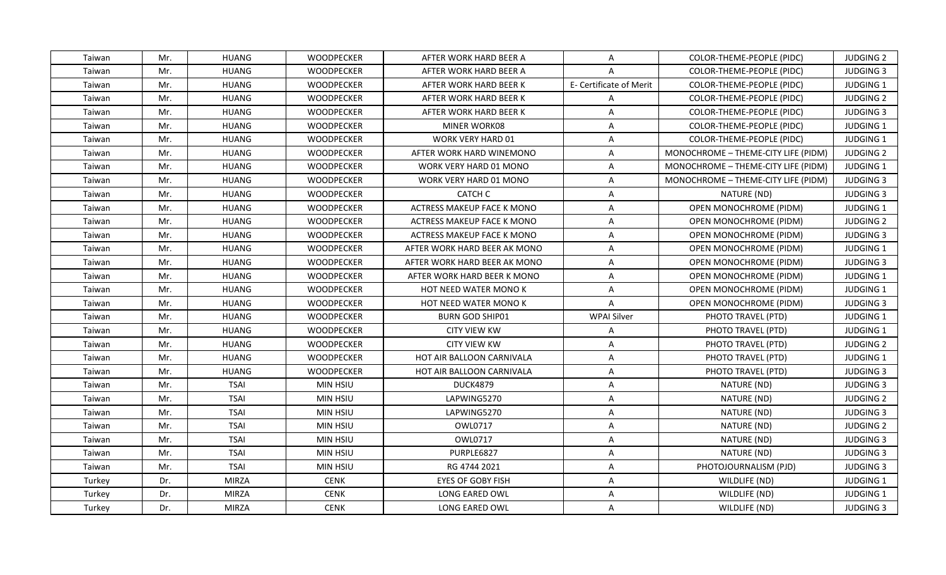| Taiwan | Mr. | HUANG        | <b>WOODPECKER</b> | AFTER WORK HARD BEER A           | A                       | COLOR-THEME-PEOPLE (PIDC)           | <b>JUDGING 2</b> |
|--------|-----|--------------|-------------------|----------------------------------|-------------------------|-------------------------------------|------------------|
| Taiwan | Mr. | <b>HUANG</b> | <b>WOODPECKER</b> | AFTER WORK HARD BEER A           | A                       | COLOR-THEME-PEOPLE (PIDC)           | <b>JUDGING 3</b> |
| Taiwan | Mr. | <b>HUANG</b> | <b>WOODPECKER</b> | AFTER WORK HARD BEER K           | E- Certificate of Merit | COLOR-THEME-PEOPLE (PIDC)           | JUDGING 1        |
| Taiwan | Mr. | <b>HUANG</b> | <b>WOODPECKER</b> | AFTER WORK HARD BEER K           | $\mathsf{A}$            | COLOR-THEME-PEOPLE (PIDC)           | <b>JUDGING 2</b> |
| Taiwan | Mr. | <b>HUANG</b> | <b>WOODPECKER</b> | AFTER WORK HARD BEER K           | $\overline{A}$          | COLOR-THEME-PEOPLE (PIDC)           | <b>JUDGING 3</b> |
| Taiwan | Mr. | HUANG        | <b>WOODPECKER</b> | MINER WORK08                     | A                       | COLOR-THEME-PEOPLE (PIDC)           | <b>JUDGING 1</b> |
| Taiwan | Mr. | <b>HUANG</b> | <b>WOODPECKER</b> | <b>WORK VERY HARD 01</b>         | $\mathsf{A}$            | COLOR-THEME-PEOPLE (PIDC)           | <b>JUDGING 1</b> |
| Taiwan | Mr. | <b>HUANG</b> | WOODPECKER        | AFTER WORK HARD WINEMONO         | $\mathsf{A}$            | MONOCHROME - THEME-CITY LIFE (PIDM) | <b>JUDGING 2</b> |
| Taiwan | Mr. | <b>HUANG</b> | <b>WOODPECKER</b> | WORK VERY HARD 01 MONO           | $\mathsf{A}$            | MONOCHROME - THEME-CITY LIFE (PIDM) | <b>JUDGING 1</b> |
| Taiwan | Mr. | <b>HUANG</b> | WOODPECKER        | WORK VERY HARD 01 MONO           | $\overline{A}$          | MONOCHROME - THEME-CITY LIFE (PIDM) | <b>JUDGING 3</b> |
| Taiwan | Mr. | HUANG        | WOODPECKER        | CATCH C                          | A                       | NATURE (ND)                         | <b>JUDGING 3</b> |
| Taiwan | Mr. | <b>HUANG</b> | <b>WOODPECKER</b> | ACTRESS MAKEUP FACE K MONO       | $\mathsf{A}$            | <b>OPEN MONOCHROME (PIDM)</b>       | <b>JUDGING 1</b> |
| Taiwan | Mr. | <b>HUANG</b> | WOODPECKER        | ACTRESS MAKEUP FACE K MONO       | $\mathsf{A}$            | OPEN MONOCHROME (PIDM)              | <b>JUDGING 2</b> |
| Taiwan | Mr. | <b>HUANG</b> | <b>WOODPECKER</b> | ACTRESS MAKEUP FACE K MONO       | $\mathsf{A}$            | <b>OPEN MONOCHROME (PIDM)</b>       | <b>JUDGING 3</b> |
| Taiwan | Mr. | <b>HUANG</b> | WOODPECKER        | AFTER WORK HARD BEER AK MONO     | A                       | OPEN MONOCHROME (PIDM)              | JUDGING 1        |
| Taiwan | Mr. | <b>HUANG</b> | <b>WOODPECKER</b> | AFTER WORK HARD BEER AK MONO     | $\mathsf{A}$            | OPEN MONOCHROME (PIDM)              | <b>JUDGING 3</b> |
| Taiwan | Mr. | <b>HUANG</b> | <b>WOODPECKER</b> | AFTER WORK HARD BEER K MONO      | $\mathsf{A}$            | OPEN MONOCHROME (PIDM)              | JUDGING 1        |
| Taiwan | Mr. | <b>HUANG</b> | WOODPECKER        | HOT NEED WATER MONO K            | $\mathsf{A}$            | OPEN MONOCHROME (PIDM)              | JUDGING 1        |
| Taiwan | Mr. | HUANG        | <b>WOODPECKER</b> | <b>HOT NEED WATER MONO K</b>     | $\mathsf{A}$            | OPEN MONOCHROME (PIDM)              | <b>JUDGING 3</b> |
| Taiwan | Mr. | <b>HUANG</b> | <b>WOODPECKER</b> | <b>BURN GOD SHIP01</b>           | <b>WPAI Silver</b>      | PHOTO TRAVEL (PTD)                  | JUDGING 1        |
| Taiwan | Mr. | <b>HUANG</b> | WOODPECKER        | <b>CITY VIEW KW</b>              | A                       | PHOTO TRAVEL (PTD)                  | <b>JUDGING 1</b> |
| Taiwan | Mr. | <b>HUANG</b> | <b>WOODPECKER</b> | <b>CITY VIEW KW</b>              | $\mathsf{A}$            | PHOTO TRAVEL (PTD)                  | <b>JUDGING 2</b> |
| Taiwan | Mr. | <b>HUANG</b> | WOODPECKER        | HOT AIR BALLOON CARNIVALA        | $\mathsf{A}$            | PHOTO TRAVEL (PTD)                  | JUDGING 1        |
| Taiwan | Mr. | <b>HUANG</b> | <b>WOODPECKER</b> | <b>HOT AIR BALLOON CARNIVALA</b> | A                       | PHOTO TRAVEL (PTD)                  | <b>JUDGING 3</b> |
| Taiwan | Mr. | <b>TSAI</b>  | <b>MIN HSIU</b>   | <b>DUCK4879</b>                  | $\mathsf{A}$            | NATURE (ND)                         | <b>JUDGING 3</b> |
| Taiwan | Mr. | <b>TSAI</b>  | MIN HSIU          | LAPWING5270                      | $\mathsf{A}$            | NATURE (ND)                         | <b>JUDGING 2</b> |
| Taiwan | Mr. | <b>TSAI</b>  | MIN HSIU          | LAPWING5270                      | $\mathsf{A}$            | NATURE (ND)                         | <b>JUDGING 3</b> |
| Taiwan | Mr. | <b>TSAI</b>  | MIN HSIU          | OWL0717                          | $\mathsf{A}$            | NATURE (ND)                         | <b>JUDGING 2</b> |
| Taiwan | Mr. | <b>TSAI</b>  | <b>MIN HSIU</b>   | OWL0717                          | A                       | NATURE (ND)                         | <b>JUDGING 3</b> |
| Taiwan | Mr. | <b>TSAI</b>  | MIN HSIU          | PURPLE6827                       | $\mathsf{A}$            | NATURE (ND)                         | <b>JUDGING 3</b> |
| Taiwan | Mr. | <b>TSAI</b>  | MIN HSIU          | RG 4744 2021                     | $\mathsf{A}$            | PHOTOJOURNALISM (PJD)               | <b>JUDGING 3</b> |
| Turkey | Dr. | <b>MIRZA</b> | <b>CENK</b>       | <b>EYES OF GOBY FISH</b>         | A                       | WILDLIFE (ND)                       | <b>JUDGING 1</b> |
| Turkey | Dr. | <b>MIRZA</b> | <b>CENK</b>       | LONG EARED OWL                   | $\mathsf{A}$            | WILDLIFE (ND)                       | JUDGING 1        |
| Turkey | Dr. | <b>MIRZA</b> | <b>CENK</b>       | LONG EARED OWL                   | $\mathsf{A}$            | WILDLIFE (ND)                       | <b>JUDGING 3</b> |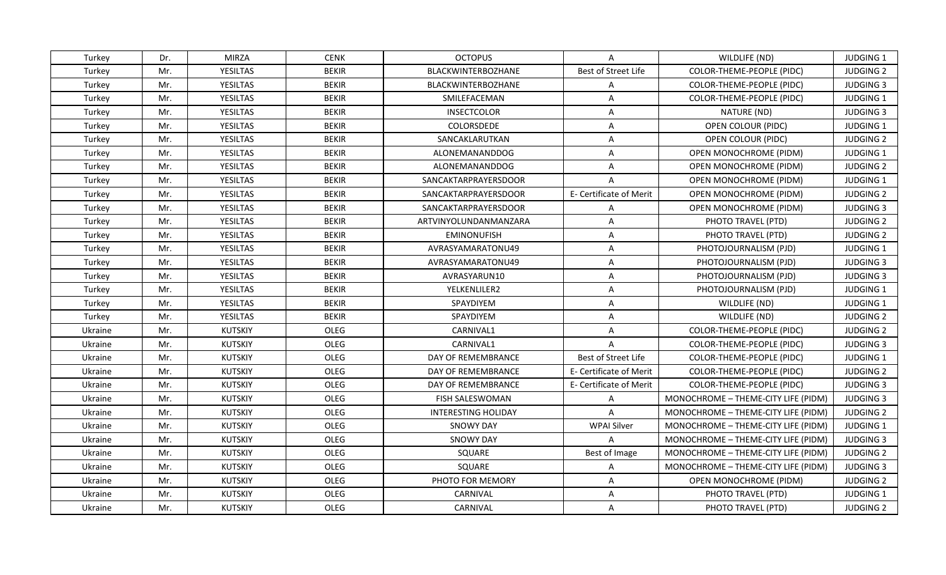| Turkey  | Dr. | <b>MIRZA</b>    | <b>CENK</b>  | <b>OCTOPUS</b>        | A                       | WILDLIFE (ND)                       | <b>JUDGING 1</b> |
|---------|-----|-----------------|--------------|-----------------------|-------------------------|-------------------------------------|------------------|
| Turkey  | Mr. | <b>YESILTAS</b> | <b>BEKIR</b> | BLACKWINTERBOZHANE    | Best of Street Life     | COLOR-THEME-PEOPLE (PIDC)           | <b>JUDGING 2</b> |
| Turkey  | Mr. | <b>YESILTAS</b> | <b>BEKIR</b> | BLACKWINTERBOZHANE    | $\mathsf{A}$            | COLOR-THEME-PEOPLE (PIDC)           | <b>JUDGING 3</b> |
| Turkey  | Mr. | <b>YESILTAS</b> | <b>BEKIR</b> | SMILEFACEMAN          | $\mathsf{A}$            | COLOR-THEME-PEOPLE (PIDC)           | JUDGING 1        |
| Turkey  | Mr. | <b>YESILTAS</b> | <b>BEKIR</b> | <b>INSECTCOLOR</b>    | $\overline{A}$          | NATURE (ND)                         | <b>JUDGING 3</b> |
| Turkey  | Mr. | YESILTAS        | BEKIR        | COLORSDEDE            | A                       | OPEN COLOUR (PIDC)                  | <b>JUDGING 1</b> |
| Turkey  | Mr. | <b>YESILTAS</b> | <b>BEKIR</b> | SANCAKLARUTKAN        | $\mathsf{A}$            | OPEN COLOUR (PIDC)                  | <b>JUDGING 2</b> |
| Turkey  | Mr. | <b>YESILTAS</b> | <b>BEKIR</b> | ALONEMANANDDOG        | $\overline{A}$          | OPEN MONOCHROME (PIDM)              | JUDGING 1        |
| Turkey  | Mr. | <b>YESILTAS</b> | <b>BEKIR</b> | <b>ALONEMANANDDOG</b> | $\mathsf{A}$            | OPEN MONOCHROME (PIDM)              | <b>JUDGING 2</b> |
| Turkey  | Mr. | <b>YESILTAS</b> | <b>BEKIR</b> | SANCAKTARPRAYERSDOOR  | $\overline{A}$          | OPEN MONOCHROME (PIDM)              | JUDGING 1        |
| Turkey  | Mr. | YESILTAS        | <b>BEKIR</b> | SANCAKTARPRAYERSDOOR  | E- Certificate of Merit | OPEN MONOCHROME (PIDM)              | <b>JUDGING 2</b> |
| Turkey  | Mr. | <b>YESILTAS</b> | <b>BEKIR</b> | SANCAKTARPRAYERSDOOR  | A                       | <b>OPEN MONOCHROME (PIDM)</b>       | <b>JUDGING 3</b> |
| Turkey  | Mr. | <b>YESILTAS</b> | <b>BEKIR</b> | ARTVINYOLUNDANMANZARA | $\mathsf{A}$            | PHOTO TRAVEL (PTD)                  | <b>JUDGING 2</b> |
| Turkey  | Mr. | <b>YESILTAS</b> | <b>BEKIR</b> | <b>EMINONUFISH</b>    | $\mathsf{A}$            | PHOTO TRAVEL (PTD)                  | <b>JUDGING 2</b> |
| Turkey  | Mr. | <b>YESILTAS</b> | <b>BEKIR</b> | AVRASYAMARATONU49     | $\overline{A}$          | PHOTOJOURNALISM (PJD)               | JUDGING 1        |
| Turkey  | Mr. | YESILTAS        | <b>BEKIR</b> | AVRASYAMARATONU49     | A                       | PHOTOJOURNALISM (PJD)               | <b>JUDGING 3</b> |
| Turkey  | Mr. | <b>YESILTAS</b> | <b>BEKIR</b> | AVRASYARUN10          | A                       | PHOTOJOURNALISM (PJD)               | <b>JUDGING 3</b> |
| Turkey  | Mr. | <b>YESILTAS</b> | <b>BEKIR</b> | YELKENLILER2          | $\mathsf{A}$            | PHOTOJOURNALISM (PJD)               | JUDGING 1        |
| Turkey  | Mr. | <b>YESILTAS</b> | <b>BEKIR</b> | <b>SPAYDIYEM</b>      | $\mathsf{A}$            | WILDLIFE (ND)                       | <b>JUDGING 1</b> |
| Turkey  | Mr. | <b>YESILTAS</b> | <b>BEKIR</b> | SPAYDIYEM             | $\mathsf{A}$            | WILDLIFE (ND)                       | <b>JUDGING 2</b> |
| Ukraine | Mr. | <b>KUTSKIY</b>  | OLEG         | CARNIVAL1             | A                       | COLOR-THEME-PEOPLE (PIDC)           | <b>JUDGING 2</b> |
| Ukraine | Mr. | <b>KUTSKIY</b>  | OLEG         | CARNIVAL1             | $\mathsf{A}$            | COLOR-THEME-PEOPLE (PIDC)           | <b>JUDGING 3</b> |
| Ukraine | Mr. | <b>KUTSKIY</b>  | OLEG         | DAY OF REMEMBRANCE    | Best of Street Life     | COLOR-THEME-PEOPLE (PIDC)           | JUDGING 1        |
| Ukraine | Mr. | <b>KUTSKIY</b>  | OLEG         | DAY OF REMEMBRANCE    | E- Certificate of Merit | COLOR-THEME-PEOPLE (PIDC)           | <b>JUDGING 2</b> |
| Ukraine | Mr. | <b>KUTSKIY</b>  | OLEG         | DAY OF REMEMBRANCE    | E- Certificate of Merit | COLOR-THEME-PEOPLE (PIDC)           | <b>JUDGING 3</b> |
| Ukraine | Mr. | <b>KUTSKIY</b>  | OLEG         | FISH SALESWOMAN       | $\mathsf{A}$            | MONOCHROME - THEME-CITY LIFE (PIDM) | <b>JUDGING 3</b> |
| Ukraine | Mr. | <b>KUTSKIY</b>  | OLEG         | INTERESTING HOLIDAY   | A                       | MONOCHROME - THEME-CITY LIFE (PIDM) | <b>JUDGING 2</b> |
| Ukraine | Mr. | <b>KUTSKIY</b>  | OLEG         | <b>SNOWY DAY</b>      | <b>WPAI Silver</b>      | MONOCHROME - THEME-CITY LIFE (PIDM) | JUDGING 1        |
| Ukraine | Mr. | <b>KUTSKIY</b>  | OLEG         | <b>SNOWY DAY</b>      | $\mathsf{A}$            | MONOCHROME - THEME-CITY LIFE (PIDM) | <b>JUDGING 3</b> |
| Ukraine | Mr. | <b>KUTSKIY</b>  | OLEG         | SQUARE                | Best of Image           | MONOCHROME - THEME-CITY LIFE (PIDM) | <b>JUDGING 2</b> |
| Ukraine | Mr. | <b>KUTSKIY</b>  | OLEG         | SQUARE                | $\mathsf{A}$            | MONOCHROME - THEME-CITY LIFE (PIDM) | <b>JUDGING 3</b> |
| Ukraine | Mr. | <b>KUTSKIY</b>  | OLEG         | PHOTO FOR MEMORY      | A                       | OPEN MONOCHROME (PIDM)              | <b>JUDGING 2</b> |
| Ukraine | Mr. | <b>KUTSKIY</b>  | OLEG         | CARNIVAL              | $\mathsf{A}$            | PHOTO TRAVEL (PTD)                  | JUDGING 1        |
| Ukraine | Mr. | <b>KUTSKIY</b>  | OLEG         | CARNIVAL              | A                       | PHOTO TRAVEL (PTD)                  | <b>JUDGING 2</b> |
|         |     |                 |              |                       |                         |                                     |                  |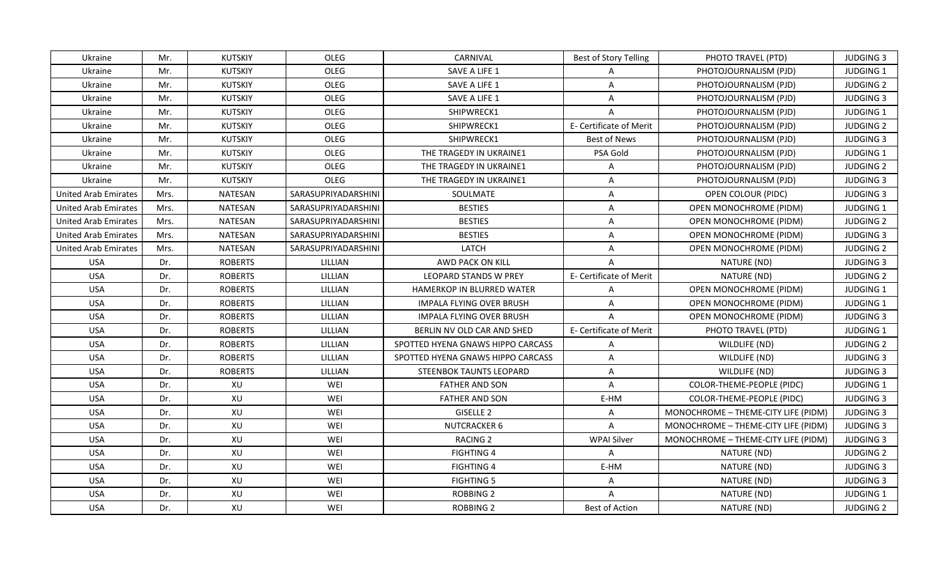| Ukraine                     | Mr.  | KUTSKIY        | OLEG                | CARNIVAL                          | <b>Best of Story Telling</b> | PHOTO TRAVEL (PTD)                  | <b>JUDGING 3</b> |
|-----------------------------|------|----------------|---------------------|-----------------------------------|------------------------------|-------------------------------------|------------------|
| Ukraine                     | Mr.  | <b>KUTSKIY</b> | OLEG                | SAVE A LIFE 1                     | A                            | PHOTOJOURNALISM (PJD)               | JUDGING 1        |
| Ukraine                     | Mr.  | <b>KUTSKIY</b> | OLEG                | SAVE A LIFE 1                     | $\overline{A}$               | PHOTOJOURNALISM (PJD)               | <b>JUDGING 2</b> |
| Ukraine                     | Mr.  | KUTSKIY        | OLEG                | SAVE A LIFE 1                     | A                            | PHOTOJOURNALISM (PJD)               | <b>JUDGING 3</b> |
| Ukraine                     | Mr.  | KUTSKIY        | OLEG                | SHIPWRECK1                        | $\overline{A}$               | PHOTOJOURNALISM (PJD)               | <b>JUDGING 1</b> |
| Ukraine                     | Mr.  | KUTSKIY        | OLEG                | SHIPWRECK1                        | E- Certificate of Merit      | PHOTOJOURNALISM (PJD)               | <b>JUDGING 2</b> |
| Ukraine                     | Mr.  | KUTSKIY        | OLEG                | SHIPWRECK1                        | Best of News                 | PHOTOJOURNALISM (PJD)               | <b>JUDGING 3</b> |
| Ukraine                     | Mr.  | <b>KUTSKIY</b> | OLEG                | THE TRAGEDY IN UKRAINE1           | PSA Gold                     | PHOTOJOURNALISM (PJD)               | JUDGING 1        |
| Ukraine                     | Mr.  | KUTSKIY        | OLEG                | THE TRAGEDY IN UKRAINE1           | $\mathsf{A}$                 | PHOTOJOURNALISM (PJD)               | <b>JUDGING 2</b> |
| Ukraine                     | Mr.  | KUTSKIY        | OLEG                | THE TRAGEDY IN UKRAINE1           | A                            | PHOTOJOURNALISM (PJD)               | <b>JUDGING 3</b> |
| <b>United Arab Emirates</b> | Mrs. | NATESAN        | SARASUPRIYADARSHINI | SOULMATE                          | A                            | OPEN COLOUR (PIDC)                  | <b>JUDGING 3</b> |
| <b>United Arab Emirates</b> | Mrs. | NATESAN        | SARASUPRIYADARSHINI | <b>BESTIES</b>                    | A                            | OPEN MONOCHROME (PIDM)              | JUDGING 1        |
| <b>United Arab Emirates</b> | Mrs. | NATESAN        | SARASUPRIYADARSHINI | <b>BESTIES</b>                    | A                            | OPEN MONOCHROME (PIDM)              | <b>JUDGING 2</b> |
| United Arab Emirates        | Mrs. | <b>NATESAN</b> | SARASUPRIYADARSHINI | <b>BESTIES</b>                    | A                            | OPEN MONOCHROME (PIDM)              | <b>JUDGING 3</b> |
| <b>United Arab Emirates</b> | Mrs. | <b>NATESAN</b> | SARASUPRIYADARSHINI | LATCH                             | A                            | OPEN MONOCHROME (PIDM)              | <b>JUDGING 2</b> |
| <b>USA</b>                  | Dr.  | <b>ROBERTS</b> | LILLIAN             | AWD PACK ON KILL                  | A                            | NATURE (ND)                         | <b>JUDGING 3</b> |
| <b>USA</b>                  | Dr.  | <b>ROBERTS</b> | LILLIAN             | <b>LEOPARD STANDS W PREY</b>      | E- Certificate of Merit      | NATURE (ND)                         | <b>JUDGING 2</b> |
| <b>USA</b>                  | Dr.  | <b>ROBERTS</b> | LILLIAN             | HAMERKOP IN BLURRED WATER         | $\overline{A}$               | OPEN MONOCHROME (PIDM)              | JUDGING 1        |
| <b>USA</b>                  | Dr.  | <b>ROBERTS</b> | LILLIAN             | IMPALA FLYING OVER BRUSH          | A                            | OPEN MONOCHROME (PIDM)              | <b>JUDGING 1</b> |
| <b>USA</b>                  | Dr.  | <b>ROBERTS</b> | LILLIAN             | <b>IMPALA FLYING OVER BRUSH</b>   | $\overline{A}$               | OPEN MONOCHROME (PIDM)              | <b>JUDGING 3</b> |
| <b>USA</b>                  | Dr.  | <b>ROBERTS</b> | LILLIAN             | BERLIN NV OLD CAR AND SHED        | E- Certificate of Merit      | PHOTO TRAVEL (PTD)                  | <b>JUDGING 1</b> |
| <b>USA</b>                  | Dr.  | <b>ROBERTS</b> | LILLIAN             | SPOTTED HYENA GNAWS HIPPO CARCASS | A                            | WILDLIFE (ND)                       | <b>JUDGING 2</b> |
| <b>USA</b>                  | Dr.  | <b>ROBERTS</b> | LILLIAN             | SPOTTED HYENA GNAWS HIPPO CARCASS | A                            | WILDLIFE (ND)                       | <b>JUDGING 3</b> |
| <b>USA</b>                  | Dr.  | <b>ROBERTS</b> | LILLIAN             | <b>STEENBOK TAUNTS LEOPARD</b>    | A                            | WILDLIFE (ND)                       | <b>JUDGING 3</b> |
| <b>USA</b>                  | Dr.  | XU             | WEI                 | <b>FATHER AND SON</b>             | A                            | COLOR-THEME-PEOPLE (PIDC)           | JUDGING 1        |
| <b>USA</b>                  | Dr.  | XU             | WEI                 | <b>FATHER AND SON</b>             | E-HM                         | COLOR-THEME-PEOPLE (PIDC)           | <b>JUDGING 3</b> |
| <b>USA</b>                  | Dr.  | XU             | WEI                 | GISELLE <sub>2</sub>              | A                            | MONOCHROME - THEME-CITY LIFE (PIDM) | <b>JUDGING 3</b> |
| <b>USA</b>                  | Dr.  | XU             | WEI                 | <b>NUTCRACKER 6</b>               | $\overline{A}$               | MONOCHROME - THEME-CITY LIFE (PIDM) | <b>JUDGING 3</b> |
| <b>USA</b>                  | Dr.  | XU             | WEI                 | <b>RACING 2</b>                   | <b>WPAI Silver</b>           | MONOCHROME - THEME-CITY LIFE (PIDM) | <b>JUDGING 3</b> |
| <b>USA</b>                  | Dr.  | XU             | WEI                 | <b>FIGHTING 4</b>                 | $\mathsf{A}$                 | NATURE (ND)                         | <b>JUDGING 2</b> |
| <b>USA</b>                  | Dr.  | XU             | WEI                 | <b>FIGHTING 4</b>                 | E-HM                         | NATURE (ND)                         | <b>JUDGING 3</b> |
| <b>USA</b>                  | Dr.  | XU             | WEI                 | <b>FIGHTING 5</b>                 | A                            | NATURE (ND)                         | <b>JUDGING 3</b> |
| <b>USA</b>                  | Dr.  | XU             | WEI                 | ROBBING 2                         | A                            | NATURE (ND)                         | JUDGING 1        |
| <b>USA</b>                  | Dr.  | XU             | WEI                 | ROBBING 2                         | Best of Action               | NATURE (ND)                         | <b>JUDGING 2</b> |
|                             |      |                |                     |                                   |                              |                                     |                  |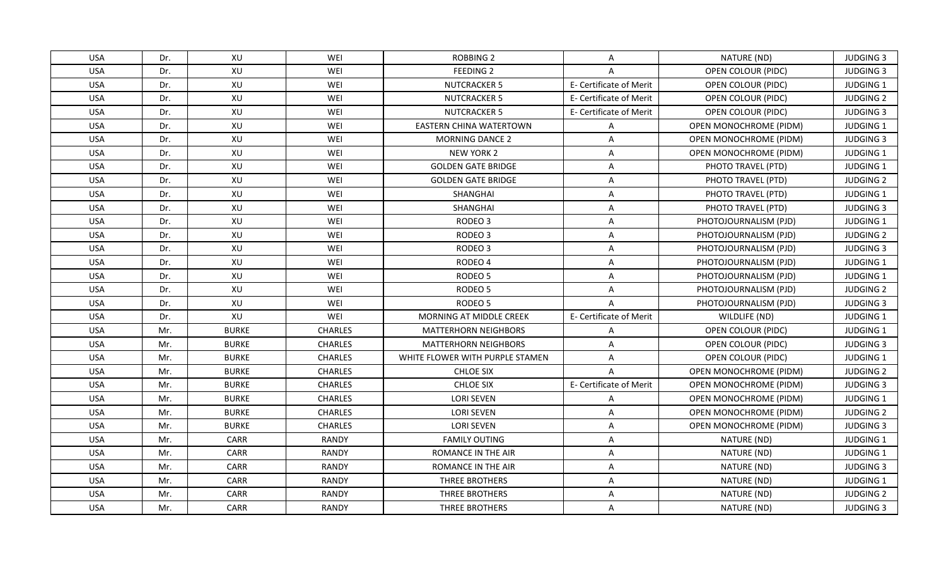| <b>USA</b> | Dr. | XU           | WEI            | ROBBING 2                       | A                       | NATURE (ND)            | <b>JUDGING 3</b> |
|------------|-----|--------------|----------------|---------------------------------|-------------------------|------------------------|------------------|
| <b>USA</b> | Dr. | XU           | WEI            | <b>FEEDING 2</b>                | A                       | OPEN COLOUR (PIDC)     | <b>JUDGING 3</b> |
| <b>USA</b> | Dr. | XU           | WEI            | <b>NUTCRACKER 5</b>             | E- Certificate of Merit | OPEN COLOUR (PIDC)     | JUDGING 1        |
| <b>USA</b> | Dr. | XU           | WEI            | <b>NUTCRACKER 5</b>             | E- Certificate of Merit | OPEN COLOUR (PIDC)     | <b>JUDGING 2</b> |
| <b>USA</b> | Dr. | XU           | WEI            | <b>NUTCRACKER 5</b>             | E- Certificate of Merit | OPEN COLOUR (PIDC)     | <b>JUDGING 3</b> |
| <b>USA</b> | Dr. | XU           | WEI            | <b>EASTERN CHINA WATERTOWN</b>  | A                       | OPEN MONOCHROME (PIDM) | <b>JUDGING 1</b> |
| <b>USA</b> | Dr. | XU           | WEI            | <b>MORNING DANCE 2</b>          | A                       | OPEN MONOCHROME (PIDM) | <b>JUDGING 3</b> |
| <b>USA</b> | Dr. | XU           | WEI            | <b>NEW YORK 2</b>               | A                       | OPEN MONOCHROME (PIDM) | JUDGING 1        |
| <b>USA</b> | Dr. | XU           | WEI            | <b>GOLDEN GATE BRIDGE</b>       | A                       | PHOTO TRAVEL (PTD)     | JUDGING 1        |
| <b>USA</b> | Dr. | XU           | WEI            | <b>GOLDEN GATE BRIDGE</b>       | Α                       | PHOTO TRAVEL (PTD)     | <b>JUDGING 2</b> |
| <b>USA</b> | Dr. | XU           | WEI            | SHANGHAI                        | A                       | PHOTO TRAVEL (PTD)     | JUDGING 1        |
| <b>USA</b> | Dr. | XU           | WEI            | SHANGHAI                        | $\overline{\mathsf{A}}$ | PHOTO TRAVEL (PTD)     | <b>JUDGING 3</b> |
| <b>USA</b> | Dr. | XU           | WEI            | RODEO <sub>3</sub>              | A                       | PHOTOJOURNALISM (PJD)  | JUDGING 1        |
| <b>USA</b> | Dr. | XU           | WEI            | RODEO <sub>3</sub>              | Α                       | PHOTOJOURNALISM (PJD)  | <b>JUDGING 2</b> |
| <b>USA</b> | Dr. | XU           | WEI            | RODEO <sub>3</sub>              | A                       | PHOTOJOURNALISM (PJD)  | <b>JUDGING 3</b> |
| <b>USA</b> | Dr. | XU           | WEI            | RODEO 4                         | A                       | PHOTOJOURNALISM (PJD)  | JUDGING 1        |
| <b>USA</b> | Dr. | XU           | WEI            | RODEO <sub>5</sub>              | $\mathsf{A}$            | PHOTOJOURNALISM (PJD)  | JUDGING 1        |
| <b>USA</b> | Dr. | XU           | WEI            | RODEO <sub>5</sub>              | $\overline{A}$          | PHOTOJOURNALISM (PJD)  | <b>JUDGING 2</b> |
| <b>USA</b> | Dr. | XU           | WEI            | RODEO <sub>5</sub>              | $\overline{A}$          | PHOTOJOURNALISM (PJD)  | <b>JUDGING 3</b> |
| <b>USA</b> | Dr. | XU           | WEI            | MORNING AT MIDDLE CREEK         | E- Certificate of Merit | WILDLIFE (ND)          | JUDGING 1        |
| <b>USA</b> | Mr. | <b>BURKE</b> | <b>CHARLES</b> | <b>MATTERHORN NEIGHBORS</b>     | A                       | OPEN COLOUR (PIDC)     | JUDGING 1        |
| <b>USA</b> | Mr. | <b>BURKE</b> | <b>CHARLES</b> | <b>MATTERHORN NEIGHBORS</b>     | A                       | OPEN COLOUR (PIDC)     | <b>JUDGING 3</b> |
| <b>USA</b> | Mr. | <b>BURKE</b> | <b>CHARLES</b> | WHITE FLOWER WITH PURPLE STAMEN | $\overline{A}$          | OPEN COLOUR (PIDC)     | <b>JUDGING 1</b> |
| <b>USA</b> | Mr. | <b>BURKE</b> | <b>CHARLES</b> | <b>CHLOE SIX</b>                | $\overline{A}$          | OPEN MONOCHROME (PIDM) | <b>JUDGING 2</b> |
| <b>USA</b> | Mr. | <b>BURKE</b> | <b>CHARLES</b> | <b>CHLOE SIX</b>                | E- Certificate of Merit | OPEN MONOCHROME (PIDM) | <b>JUDGING 3</b> |
| <b>USA</b> | Mr. | <b>BURKE</b> | <b>CHARLES</b> | <b>LORI SEVEN</b>               | Α                       | OPEN MONOCHROME (PIDM) | JUDGING 1        |
| <b>USA</b> | Mr. | <b>BURKE</b> | <b>CHARLES</b> | <b>LORI SEVEN</b>               | Α                       | OPEN MONOCHROME (PIDM) | <b>JUDGING 2</b> |
| <b>USA</b> | Mr. | <b>BURKE</b> | <b>CHARLES</b> | <b>LORI SEVEN</b>               | A                       | OPEN MONOCHROME (PIDM) | <b>JUDGING 3</b> |
| <b>USA</b> | Mr. | CARR         | <b>RANDY</b>   | <b>FAMILY OUTING</b>            | A                       | NATURE (ND)            | JUDGING 1        |
| <b>USA</b> | Mr. | CARR         | <b>RANDY</b>   | ROMANCE IN THE AIR              | A                       | NATURE (ND)            | JUDGING 1        |
| <b>USA</b> | Mr. | <b>CARR</b>  | <b>RANDY</b>   | ROMANCE IN THE AIR              | A                       | NATURE (ND)            | <b>JUDGING 3</b> |
| <b>USA</b> | Mr. | CARR         | <b>RANDY</b>   | THREE BROTHERS                  | A                       | NATURE (ND)            | JUDGING 1        |
| <b>USA</b> | Mr. | CARR         | <b>RANDY</b>   | THREE BROTHERS                  | Α                       | NATURE (ND)            | <b>JUDGING 2</b> |
| <b>USA</b> | Mr. | <b>CARR</b>  | RANDY          | THREE BROTHERS                  | $\mathsf{A}$            | NATURE (ND)            | <b>JUDGING 3</b> |
|            |     |              |                |                                 |                         |                        |                  |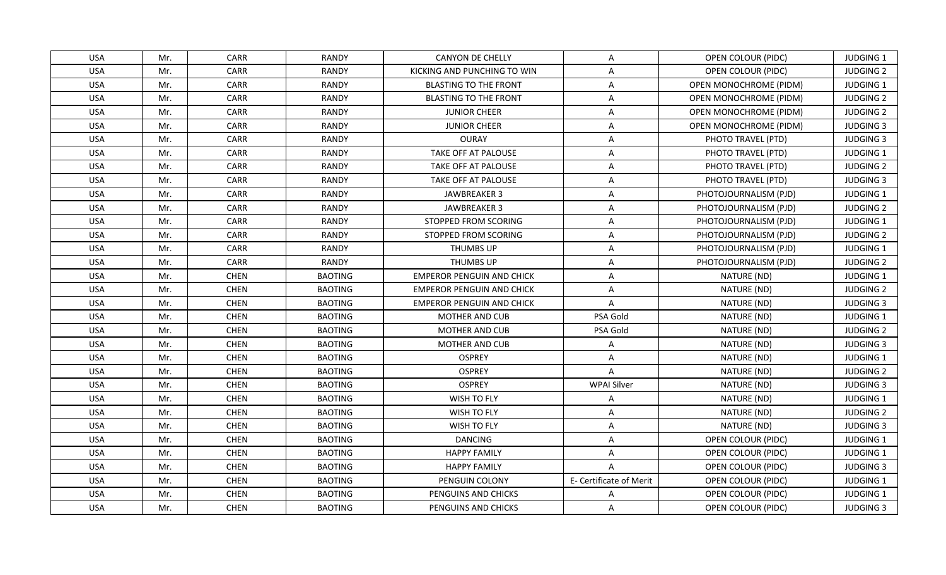| <b>USA</b> | Mr. | CARR        | <b>RANDY</b>   | <b>CANYON DE CHELLY</b>          | $\mathsf{A}$            | OPEN COLOUR (PIDC)            | <b>JUDGING 1</b> |
|------------|-----|-------------|----------------|----------------------------------|-------------------------|-------------------------------|------------------|
| <b>USA</b> | Mr. | CARR        | <b>RANDY</b>   | KICKING AND PUNCHING TO WIN      | $\mathsf{A}$            | OPEN COLOUR (PIDC)            | <b>JUDGING 2</b> |
| <b>USA</b> | Mr. | <b>CARR</b> | <b>RANDY</b>   | <b>BLASTING TO THE FRONT</b>     | $\mathsf{A}$            | OPEN MONOCHROME (PIDM)        | JUDGING 1        |
| <b>USA</b> | Mr. | CARR        | <b>RANDY</b>   | <b>BLASTING TO THE FRONT</b>     | $\mathsf{A}$            | OPEN MONOCHROME (PIDM)        | <b>JUDGING 2</b> |
| <b>USA</b> | Mr. | CARR        | <b>RANDY</b>   | <b>JUNIOR CHEER</b>              | $\overline{A}$          | OPEN MONOCHROME (PIDM)        | <b>JUDGING 2</b> |
| <b>USA</b> | Mr. | CARR        | <b>RANDY</b>   | <b>JUNIOR CHEER</b>              | A                       | <b>OPEN MONOCHROME (PIDM)</b> | <b>JUDGING 3</b> |
| <b>USA</b> | Mr. | CARR        | <b>RANDY</b>   | <b>OURAY</b>                     | $\mathsf{A}$            | PHOTO TRAVEL (PTD)            | <b>JUDGING 3</b> |
| <b>USA</b> | Mr. | CARR        | <b>RANDY</b>   | TAKE OFF AT PALOUSE              | $\overline{A}$          | PHOTO TRAVEL (PTD)            | JUDGING 1        |
| <b>USA</b> | Mr. | <b>CARR</b> | <b>RANDY</b>   | TAKE OFF AT PALOUSE              | $\mathsf{A}$            | PHOTO TRAVEL (PTD)            | <b>JUDGING 2</b> |
| <b>USA</b> | Mr. | CARR        | <b>RANDY</b>   | TAKE OFF AT PALOUSE              | $\overline{A}$          | PHOTO TRAVEL (PTD)            | <b>JUDGING 3</b> |
| <b>USA</b> | Mr. | CARR        | <b>RANDY</b>   | JAWBREAKER 3                     | A                       | PHOTOJOURNALISM (PJD)         | <b>JUDGING 1</b> |
| <b>USA</b> | Mr. | CARR        | <b>RANDY</b>   | JAWBREAKER 3                     | $\mathsf{A}$            | PHOTOJOURNALISM (PJD)         | <b>JUDGING 2</b> |
| <b>USA</b> | Mr. | CARR        | <b>RANDY</b>   | STOPPED FROM SCORING             | $\mathsf{A}$            | PHOTOJOURNALISM (PJD)         | JUDGING 1        |
| <b>USA</b> | Mr. | CARR        | <b>RANDY</b>   | STOPPED FROM SCORING             | $\mathsf{A}$            | PHOTOJOURNALISM (PJD)         | <b>JUDGING 2</b> |
| <b>USA</b> | Mr. | CARR        | <b>RANDY</b>   | <b>THUMBS UP</b>                 | A                       | PHOTOJOURNALISM (PJD)         | JUDGING 1        |
| <b>USA</b> | Mr. | CARR        | <b>RANDY</b>   | THUMBS UP                        | A                       | PHOTOJOURNALISM (PJD)         | <b>JUDGING 2</b> |
| <b>USA</b> | Mr. | <b>CHEN</b> | <b>BAOTING</b> | <b>EMPEROR PENGUIN AND CHICK</b> | A                       | NATURE (ND)                   | JUDGING 1        |
| <b>USA</b> | Mr. | <b>CHEN</b> | <b>BAOTING</b> | <b>EMPEROR PENGUIN AND CHICK</b> | $\overline{A}$          | NATURE (ND)                   | <b>JUDGING 2</b> |
| <b>USA</b> | Mr. | <b>CHEN</b> | <b>BAOTING</b> | <b>EMPEROR PENGUIN AND CHICK</b> | $\overline{A}$          | NATURE (ND)                   | <b>JUDGING 3</b> |
| <b>USA</b> | Mr. | <b>CHEN</b> | <b>BAOTING</b> | <b>MOTHER AND CUB</b>            | PSA Gold                | NATURE (ND)                   | JUDGING 1        |
| <b>USA</b> | Mr. | <b>CHEN</b> | <b>BAOTING</b> | MOTHER AND CUB                   | PSA Gold                | NATURE (ND)                   | <b>JUDGING 2</b> |
| <b>USA</b> | Mr. | <b>CHEN</b> | <b>BAOTING</b> | MOTHER AND CUB                   | A                       | NATURE (ND)                   | <b>JUDGING 3</b> |
| <b>USA</b> | Mr. | <b>CHEN</b> | <b>BAOTING</b> | <b>OSPREY</b>                    | $\mathsf{A}$            | NATURE (ND)                   | JUDGING 1        |
| <b>USA</b> | Mr. | <b>CHEN</b> | <b>BAOTING</b> | <b>OSPREY</b>                    | $\overline{A}$          | NATURE (ND)                   | <b>JUDGING 2</b> |
| <b>USA</b> | Mr. | <b>CHEN</b> | <b>BAOTING</b> | <b>OSPREY</b>                    | <b>WPAI Silver</b>      | NATURE (ND)                   | <b>JUDGING 3</b> |
| <b>USA</b> | Mr. | <b>CHEN</b> | <b>BAOTING</b> | WISH TO FLY                      | $\mathsf{A}$            | NATURE (ND)                   | JUDGING 1        |
| <b>USA</b> | Mr. | <b>CHEN</b> | <b>BAOTING</b> | WISH TO FLY                      | A                       | NATURE (ND)                   | <b>JUDGING 2</b> |
| <b>USA</b> | Mr. | <b>CHEN</b> | <b>BAOTING</b> | WISH TO FLY                      | $\mathsf{A}$            | NATURE (ND)                   | <b>JUDGING 3</b> |
| <b>USA</b> | Mr. | <b>CHEN</b> | <b>BAOTING</b> | <b>DANCING</b>                   | A                       | OPEN COLOUR (PIDC)            | <b>JUDGING 1</b> |
| <b>USA</b> | Mr. | <b>CHEN</b> | <b>BAOTING</b> | <b>HAPPY FAMILY</b>              | $\mathsf{A}$            | OPEN COLOUR (PIDC)            | <b>JUDGING 1</b> |
| <b>USA</b> | Mr. | <b>CHEN</b> | <b>BAOTING</b> | <b>HAPPY FAMILY</b>              | $\mathsf{A}$            | OPEN COLOUR (PIDC)            | <b>JUDGING 3</b> |
| <b>USA</b> | Mr. | <b>CHEN</b> | <b>BAOTING</b> | PENGUIN COLONY                   | E- Certificate of Merit | OPEN COLOUR (PIDC)            | JUDGING 1        |
| <b>USA</b> | Mr. | <b>CHEN</b> | <b>BAOTING</b> | PENGUINS AND CHICKS              | A                       | OPEN COLOUR (PIDC)            | JUDGING 1        |
| <b>USA</b> | Mr. | <b>CHEN</b> | <b>BAOTING</b> | PENGUINS AND CHICKS              | A                       | OPEN COLOUR (PIDC)            | <b>JUDGING 3</b> |
|            |     |             |                |                                  |                         |                               |                  |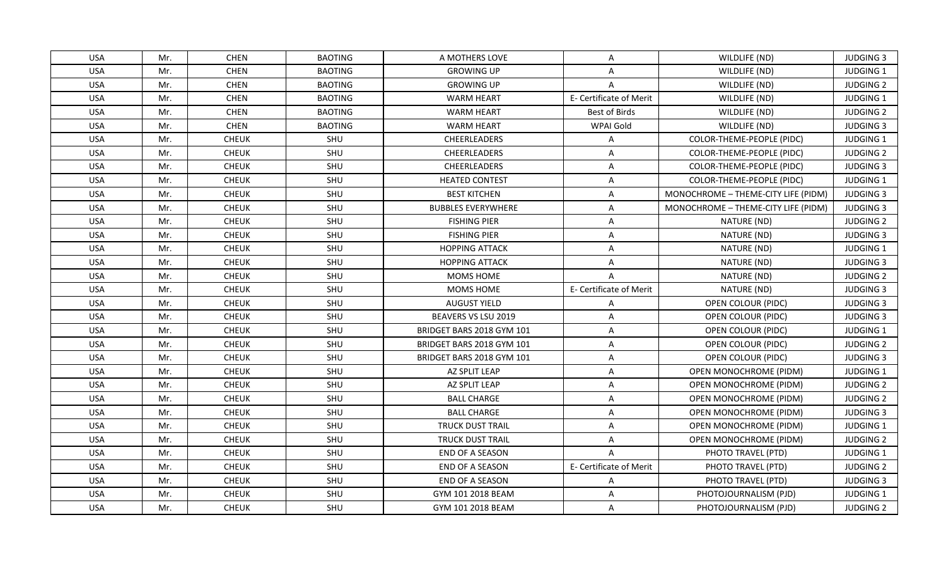| <b>USA</b> | Mr. | <b>CHEN</b>  | <b>BAOTING</b> | A MOTHERS LOVE            | A                       | WILDLIFE (ND)                       | <b>JUDGING 3</b> |
|------------|-----|--------------|----------------|---------------------------|-------------------------|-------------------------------------|------------------|
| <b>USA</b> | Mr. | <b>CHEN</b>  | <b>BAOTING</b> | <b>GROWING UP</b>         | A                       | WILDLIFE (ND)                       | JUDGING 1        |
| <b>USA</b> | Mr. | <b>CHEN</b>  | <b>BAOTING</b> | <b>GROWING UP</b>         | $\mathsf{A}$            | WILDLIFE (ND)                       | <b>JUDGING 2</b> |
| <b>USA</b> | Mr. | <b>CHEN</b>  | <b>BAOTING</b> | <b>WARM HEART</b>         | E- Certificate of Merit | WILDLIFE (ND)                       | JUDGING 1        |
| <b>USA</b> | Mr. | <b>CHEN</b>  | <b>BAOTING</b> | <b>WARM HEART</b>         | Best of Birds           | WILDLIFE (ND)                       | <b>JUDGING 2</b> |
| <b>USA</b> | Mr. | <b>CHEN</b>  | <b>BAOTING</b> | <b>WARM HEART</b>         | WPAI Gold               | WILDLIFE (ND)                       | <b>JUDGING 3</b> |
| <b>USA</b> | Mr. | <b>CHEUK</b> | SHU            | <b>CHEERLEADERS</b>       | A                       | COLOR-THEME-PEOPLE (PIDC)           | JUDGING 1        |
| <b>USA</b> | Mr. | <b>CHEUK</b> | SHU            | CHEERLEADERS              | $\overline{A}$          | COLOR-THEME-PEOPLE (PIDC)           | <b>JUDGING 2</b> |
| <b>USA</b> | Mr. | <b>CHEUK</b> | SHU            | <b>CHEERLEADERS</b>       | $\overline{A}$          | COLOR-THEME-PEOPLE (PIDC)           | <b>JUDGING 3</b> |
| <b>USA</b> | Mr. | <b>CHEUK</b> | SHU            | <b>HEATED CONTEST</b>     | $\overline{A}$          | COLOR-THEME-PEOPLE (PIDC)           | JUDGING 1        |
| <b>USA</b> | Mr. | <b>CHEUK</b> | SHU            | <b>BEST KITCHEN</b>       | A                       | MONOCHROME - THEME-CITY LIFE (PIDM) | <b>JUDGING 3</b> |
| <b>USA</b> | Mr. | <b>CHEUK</b> | SHU            | <b>BUBBLES EVERYWHERE</b> | $\mathsf{A}$            | MONOCHROME - THEME-CITY LIFE (PIDM) | <b>JUDGING 3</b> |
| <b>USA</b> | Mr. | <b>CHEUK</b> | SHU            | <b>FISHING PIER</b>       | $\mathsf{A}$            | NATURE (ND)                         | <b>JUDGING 2</b> |
| <b>USA</b> | Mr. | <b>CHEUK</b> | SHU            | <b>FISHING PIER</b>       | $\mathsf{A}$            | NATURE (ND)                         | <b>JUDGING 3</b> |
| <b>USA</b> | Mr. | <b>CHEUK</b> | SHU            | <b>HOPPING ATTACK</b>     | A                       | NATURE (ND)                         | JUDGING 1        |
| <b>USA</b> | Mr. | <b>CHEUK</b> | SHU            | <b>HOPPING ATTACK</b>     | A                       | NATURE (ND)                         | <b>JUDGING 3</b> |
| <b>USA</b> | Mr. | <b>CHEUK</b> | SHU            | MOMS HOME                 | $\overline{A}$          | NATURE (ND)                         | <b>JUDGING 2</b> |
| <b>USA</b> | Mr. | <b>CHEUK</b> | SHU            | MOMS HOME                 | E- Certificate of Merit | NATURE (ND)                         | <b>JUDGING 3</b> |
| <b>USA</b> | Mr. | <b>CHEUK</b> | SHU            | <b>AUGUST YIELD</b>       | $\mathsf{A}$            | OPEN COLOUR (PIDC)                  | <b>JUDGING 3</b> |
| <b>USA</b> | Mr. | <b>CHEUK</b> | SHU            | BEAVERS VS LSU 2019       | A                       | OPEN COLOUR (PIDC)                  | <b>JUDGING 3</b> |
| <b>USA</b> | Mr. | <b>CHEUK</b> | SHU            | BRIDGET BARS 2018 GYM 101 | $\mathsf{A}$            | <b>OPEN COLOUR (PIDC)</b>           | <b>JUDGING 1</b> |
| <b>USA</b> | Mr. | <b>CHEUK</b> | SHU            | BRIDGET BARS 2018 GYM 101 | $\mathsf{A}$            | OPEN COLOUR (PIDC)                  | <b>JUDGING 2</b> |
| <b>USA</b> | Mr. | <b>CHEUK</b> | SHU            | BRIDGET BARS 2018 GYM 101 | $\mathsf{A}$            | OPEN COLOUR (PIDC)                  | <b>JUDGING 3</b> |
| <b>USA</b> | Mr. | <b>CHEUK</b> | SHU            | AZ SPLIT LEAP             | $\mathsf{A}$            | OPEN MONOCHROME (PIDM)              | JUDGING 1        |
| <b>USA</b> | Mr. | <b>CHEUK</b> | SHU            | AZ SPLIT LEAP             | A                       | <b>OPEN MONOCHROME (PIDM)</b>       | <b>JUDGING 2</b> |
| <b>USA</b> | Mr. | <b>CHEUK</b> | SHU            | <b>BALL CHARGE</b>        | A                       | OPEN MONOCHROME (PIDM)              | <b>JUDGING 2</b> |
| <b>USA</b> | Mr. | <b>CHEUK</b> | SHU            | <b>BALL CHARGE</b>        | $\mathsf{A}$            | OPEN MONOCHROME (PIDM)              | <b>JUDGING 3</b> |
| <b>USA</b> | Mr. | <b>CHEUK</b> | SHU            | <b>TRUCK DUST TRAIL</b>   | $\mathsf{A}$            | OPEN MONOCHROME (PIDM)              | JUDGING 1        |
| <b>USA</b> | Mr. | <b>CHEUK</b> | SHU            | <b>TRUCK DUST TRAIL</b>   | A                       | OPEN MONOCHROME (PIDM)              | <b>JUDGING 2</b> |
| <b>USA</b> | Mr. | <b>CHEUK</b> | SHU            | END OF A SEASON           | $\mathsf{A}$            | PHOTO TRAVEL (PTD)                  | <b>JUDGING 1</b> |
| <b>USA</b> | Mr. | <b>CHEUK</b> | SHU            | END OF A SEASON           | E- Certificate of Merit | PHOTO TRAVEL (PTD)                  | <b>JUDGING 2</b> |
| <b>USA</b> | Mr. | <b>CHEUK</b> | SHU            | END OF A SEASON           | $\mathsf{A}$            | PHOTO TRAVEL (PTD)                  | <b>JUDGING 3</b> |
| <b>USA</b> | Mr. | CHEUK        | SHU            | GYM 101 2018 BEAM         | $\overline{A}$          | PHOTOJOURNALISM (PJD)               | JUDGING 1        |
| <b>USA</b> | Mr. | <b>CHEUK</b> | <b>SHU</b>     | GYM 101 2018 BEAM         | A                       | PHOTOJOURNALISM (PJD)               | <b>JUDGING 2</b> |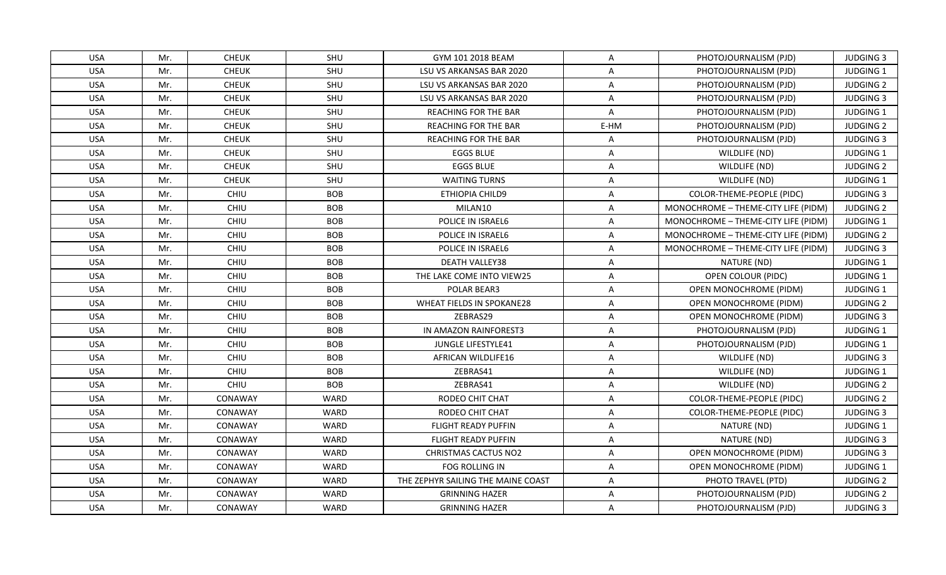| <b>USA</b> | Mr. | <b>CHEUK</b> | SHU         | GYM 101 2018 BEAM                  | A    | PHOTOJOURNALISM (PJD)               | <b>JUDGING 3</b> |
|------------|-----|--------------|-------------|------------------------------------|------|-------------------------------------|------------------|
| <b>USA</b> | Mr. | <b>CHEUK</b> | SHU         | LSU VS ARKANSAS BAR 2020           | A    | PHOTOJOURNALISM (PJD)               | JUDGING 1        |
| <b>USA</b> | Mr. | <b>CHEUK</b> | SHU         | LSU VS ARKANSAS BAR 2020           | A    | PHOTOJOURNALISM (PJD)               | <b>JUDGING 2</b> |
| <b>USA</b> | Mr. | <b>CHEUK</b> | SHU         | LSU VS ARKANSAS BAR 2020           | A    | PHOTOJOURNALISM (PJD)               | <b>JUDGING 3</b> |
| <b>USA</b> | Mr. | <b>CHEUK</b> | SHU         | <b>REACHING FOR THE BAR</b>        | A    | PHOTOJOURNALISM (PJD)               | <b>JUDGING 1</b> |
| <b>USA</b> | Mr. | <b>CHEUK</b> | <b>SHU</b>  | <b>REACHING FOR THE BAR</b>        | E-HM | PHOTOJOURNALISM (PJD)               | <b>JUDGING 2</b> |
| <b>USA</b> | Mr. | <b>CHEUK</b> | SHU         | <b>REACHING FOR THE BAR</b>        | A    | PHOTOJOURNALISM (PJD)               | <b>JUDGING 3</b> |
| <b>USA</b> | Mr. | <b>CHEUK</b> | SHU         | <b>EGGS BLUE</b>                   | A    | WILDLIFE (ND)                       | JUDGING 1        |
| <b>USA</b> | Mr. | <b>CHEUK</b> | SHU         | <b>EGGS BLUE</b>                   | A    | WILDLIFE (ND)                       | <b>JUDGING 2</b> |
| <b>USA</b> | Mr. | <b>CHEUK</b> | SHU         | <b>WAITING TURNS</b>               | A    | WILDLIFE (ND)                       | JUDGING 1        |
| <b>USA</b> | Mr. | CHIU         | <b>BOB</b>  | ETHIOPIA CHILD9                    | A    | COLOR-THEME-PEOPLE (PIDC)           | <b>JUDGING 3</b> |
| <b>USA</b> | Mr. | CHIU         | <b>BOB</b>  | MILAN10                            | A    | MONOCHROME - THEME-CITY LIFE (PIDM) | <b>JUDGING 2</b> |
| <b>USA</b> | Mr. | CHIU         | <b>BOB</b>  | POLICE IN ISRAEL6                  | A    | MONOCHROME - THEME-CITY LIFE (PIDM) | <b>JUDGING 1</b> |
| <b>USA</b> | Mr. | CHIU         | <b>BOB</b>  | POLICE IN ISRAEL6                  | A    | MONOCHROME - THEME-CITY LIFE (PIDM) | <b>JUDGING 2</b> |
| <b>USA</b> | Mr. | CHIU         | <b>BOB</b>  | POLICE IN ISRAEL6                  | A    | MONOCHROME - THEME-CITY LIFE (PIDM) | <b>JUDGING 3</b> |
| <b>USA</b> | Mr. | CHIU         | <b>BOB</b>  | <b>DEATH VALLEY38</b>              | A    | NATURE (ND)                         | <b>JUDGING 1</b> |
| <b>USA</b> | Mr. | CHIU         | <b>BOB</b>  | THE LAKE COME INTO VIEW25          | A    | OPEN COLOUR (PIDC)                  | JUDGING 1        |
| <b>USA</b> | Mr. | CHIU         | <b>BOB</b>  | POLAR BEAR3                        | A    | OPEN MONOCHROME (PIDM)              | JUDGING 1        |
| USA        | Mr. | <b>CHIU</b>  | <b>BOB</b>  | WHEAT FIELDS IN SPOKANE28          | A    | OPEN MONOCHROME (PIDM)              | <b>JUDGING 2</b> |
| <b>USA</b> | Mr. | CHIU         | <b>BOB</b>  | ZEBRAS29                           | A    | <b>OPEN MONOCHROME (PIDM)</b>       | <b>JUDGING 3</b> |
| <b>USA</b> | Mr. | CHIU         | <b>BOB</b>  | IN AMAZON RAINFOREST3              | A    | PHOTOJOURNALISM (PJD)               | <b>JUDGING 1</b> |
| <b>USA</b> | Mr. | CHIU         | <b>BOB</b>  | JUNGLE LIFESTYLE41                 | A    | PHOTOJOURNALISM (PJD)               | JUDGING 1        |
| <b>USA</b> | Mr. | CHIU         | <b>BOB</b>  | AFRICAN WILDLIFE16                 | A    | WILDLIFE (ND)                       | <b>JUDGING 3</b> |
| <b>USA</b> | Mr. | CHIU         | <b>BOB</b>  | ZEBRAS41                           | A    | WILDLIFE (ND)                       | <b>JUDGING 1</b> |
| <b>USA</b> | Mr. | CHIU         | <b>BOB</b>  | ZEBRAS41                           | A    | WILDLIFE (ND)                       | <b>JUDGING 2</b> |
| <b>USA</b> | Mr. | CONAWAY      | WARD        | RODEO CHIT CHAT                    | A    | COLOR-THEME-PEOPLE (PIDC)           | <b>JUDGING 2</b> |
| <b>USA</b> | Mr. | CONAWAY      | WARD        | RODEO CHIT CHAT                    | A    | COLOR-THEME-PEOPLE (PIDC)           | <b>JUDGING 3</b> |
| <b>USA</b> | Mr. | CONAWAY      | <b>WARD</b> | <b>FLIGHT READY PUFFIN</b>         | A    | NATURE (ND)                         | JUDGING 1        |
| <b>USA</b> | Mr. | CONAWAY      | WARD        | <b>FLIGHT READY PUFFIN</b>         | A    | NATURE (ND)                         | <b>JUDGING 3</b> |
| <b>USA</b> | Mr. | CONAWAY      | <b>WARD</b> | <b>CHRISTMAS CACTUS NO2</b>        | A    | <b>OPEN MONOCHROME (PIDM)</b>       | <b>JUDGING 3</b> |
| <b>USA</b> | Mr. | CONAWAY      | WARD        | FOG ROLLING IN                     | A    | <b>OPEN MONOCHROME (PIDM)</b>       | JUDGING 1        |
| <b>USA</b> | Mr. | CONAWAY      | WARD        | THE ZEPHYR SAILING THE MAINE COAST | A    | PHOTO TRAVEL (PTD)                  | <b>JUDGING 2</b> |
| <b>USA</b> | Mr. | CONAWAY      | <b>WARD</b> | <b>GRINNING HAZER</b>              | A    | PHOTOJOURNALISM (PJD)               | <b>JUDGING 2</b> |
| <b>USA</b> | Mr. | CONAWAY      | WARD        | <b>GRINNING HAZER</b>              | A    | PHOTOJOURNALISM (PJD)               | <b>JUDGING 3</b> |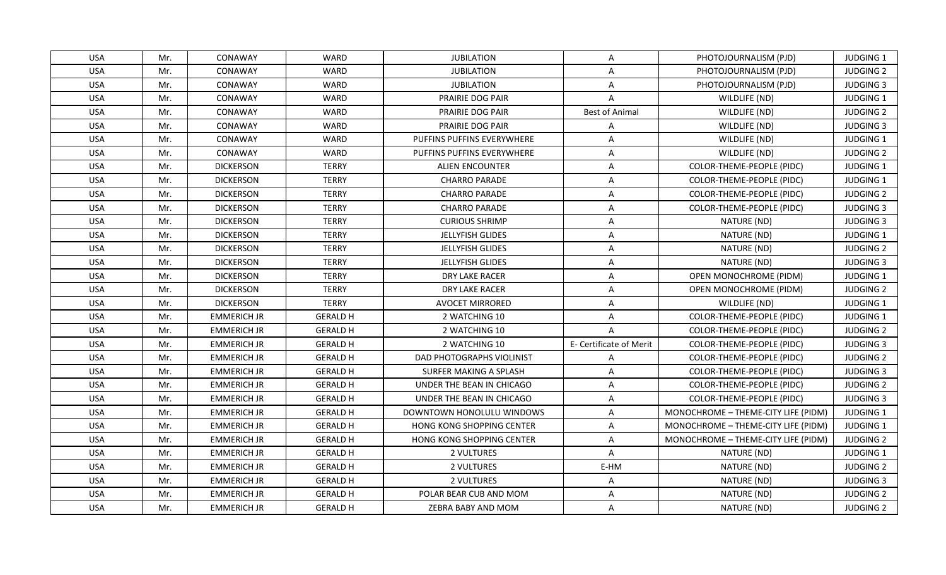| <b>USA</b> | Mr. | CONAWAY            | <b>WARD</b>     | <b>JUBILATION</b>                | Α                       | PHOTOJOURNALISM (PJD)               | <b>JUDGING 1</b> |
|------------|-----|--------------------|-----------------|----------------------------------|-------------------------|-------------------------------------|------------------|
| <b>USA</b> | Mr. | CONAWAY            | <b>WARD</b>     | <b>JUBILATION</b>                | Α                       | PHOTOJOURNALISM (PJD)               | <b>JUDGING 2</b> |
| <b>USA</b> | Mr. | CONAWAY            | WARD            | <b>JUBILATION</b>                | A                       | PHOTOJOURNALISM (PJD)               | <b>JUDGING 3</b> |
| <b>USA</b> | Mr. | CONAWAY            | <b>WARD</b>     | PRAIRIE DOG PAIR                 | $\mathsf{A}$            | WILDLIFE (ND)                       | JUDGING 1        |
| <b>USA</b> | Mr. | CONAWAY            | WARD            | PRAIRIE DOG PAIR                 | <b>Best of Animal</b>   | WILDLIFE (ND)                       | <b>JUDGING 2</b> |
| <b>USA</b> | Mr. | CONAWAY            | WARD            | PRAIRIE DOG PAIR                 | A                       | WILDLIFE (ND)                       | <b>JUDGING 3</b> |
| <b>USA</b> | Mr. | CONAWAY            | <b>WARD</b>     | PUFFINS PUFFINS EVERYWHERE       | $\overline{A}$          | WILDLIFE (ND)                       | <b>JUDGING 1</b> |
| <b>USA</b> | Mr. | CONAWAY            | <b>WARD</b>     | PUFFINS PUFFINS EVERYWHERE       | A                       | WILDLIFE (ND)                       | <b>JUDGING 2</b> |
| <b>USA</b> | Mr. | <b>DICKERSON</b>   | <b>TERRY</b>    | ALIEN ENCOUNTER                  | $\mathsf{A}$            | COLOR-THEME-PEOPLE (PIDC)           | <b>JUDGING 1</b> |
| <b>USA</b> | Mr. | <b>DICKERSON</b>   | <b>TERRY</b>    | <b>CHARRO PARADE</b>             | A                       | COLOR-THEME-PEOPLE (PIDC)           | JUDGING 1        |
| <b>USA</b> | Mr. | <b>DICKERSON</b>   | <b>TERRY</b>    | <b>CHARRO PARADE</b>             | Α                       | COLOR-THEME-PEOPLE (PIDC)           | <b>JUDGING 2</b> |
| <b>USA</b> | Mr. | <b>DICKERSON</b>   | <b>TERRY</b>    | <b>CHARRO PARADE</b>             | Α                       | COLOR-THEME-PEOPLE (PIDC)           | <b>JUDGING 3</b> |
| <b>USA</b> | Mr. | <b>DICKERSON</b>   | <b>TERRY</b>    | <b>CURIOUS SHRIMP</b>            | A                       | NATURE (ND)                         | <b>JUDGING 3</b> |
| <b>USA</b> | Mr. | <b>DICKERSON</b>   | <b>TERRY</b>    | <b>JELLYFISH GLIDES</b>          | $\mathsf{A}$            | NATURE (ND)                         | JUDGING 1        |
| <b>USA</b> | Mr. | <b>DICKERSON</b>   | <b>TERRY</b>    | JELLYFISH GLIDES                 | A                       | NATURE (ND)                         | <b>JUDGING 2</b> |
| <b>USA</b> | Mr. | <b>DICKERSON</b>   | <b>TERRY</b>    | JELLYFISH GLIDES                 | A                       | NATURE (ND)                         | <b>JUDGING 3</b> |
| <b>USA</b> | Mr. | <b>DICKERSON</b>   | <b>TERRY</b>    | DRY LAKE RACER                   | $\overline{A}$          | OPEN MONOCHROME (PIDM)              | JUDGING 1        |
| <b>USA</b> | Mr. | <b>DICKERSON</b>   | <b>TERRY</b>    | DRY LAKE RACER                   | A                       | OPEN MONOCHROME (PIDM)              | <b>JUDGING 2</b> |
| <b>USA</b> | Mr. | <b>DICKERSON</b>   | <b>TERRY</b>    | <b>AVOCET MIRRORED</b>           | $\overline{A}$          | WILDLIFE (ND)                       | <b>JUDGING 1</b> |
| <b>USA</b> | Mr. | <b>EMMERICH JR</b> | <b>GERALD H</b> | 2 WATCHING 10                    | A                       | COLOR-THEME-PEOPLE (PIDC)           | JUDGING 1        |
| <b>USA</b> | Mr. | <b>EMMERICH JR</b> | <b>GERALD H</b> | 2 WATCHING 10                    | Α                       | COLOR-THEME-PEOPLE (PIDC)           | <b>JUDGING 2</b> |
| <b>USA</b> | Mr. | <b>EMMERICH JR</b> | <b>GERALD H</b> | 2 WATCHING 10                    | E- Certificate of Merit | COLOR-THEME-PEOPLE (PIDC)           | <b>JUDGING 3</b> |
| <b>USA</b> | Mr. | <b>EMMERICH JR</b> | <b>GERALD H</b> | DAD PHOTOGRAPHS VIOLINIST        | A                       | COLOR-THEME-PEOPLE (PIDC)           | <b>JUDGING 2</b> |
| <b>USA</b> | Mr. | <b>EMMERICH JR</b> | <b>GERALD H</b> | SURFER MAKING A SPLASH           | $\overline{A}$          | <b>COLOR-THEME-PEOPLE (PIDC)</b>    | <b>JUDGING 3</b> |
| <b>USA</b> | Mr. | <b>EMMERICH JR</b> | <b>GERALD H</b> | UNDER THE BEAN IN CHICAGO        | A                       | COLOR-THEME-PEOPLE (PIDC)           | <b>JUDGING 2</b> |
| <b>USA</b> | Mr. | <b>EMMERICH JR</b> | <b>GERALD H</b> | UNDER THE BEAN IN CHICAGO        | A                       | COLOR-THEME-PEOPLE (PIDC)           | <b>JUDGING 3</b> |
| <b>USA</b> | Mr. | <b>EMMERICH JR</b> | <b>GERALD H</b> | DOWNTOWN HONOLULU WINDOWS        | $\mathsf{A}$            | MONOCHROME - THEME-CITY LIFE (PIDM) | <b>JUDGING 1</b> |
| <b>USA</b> | Mr. | <b>EMMERICH JR</b> | <b>GERALD H</b> | <b>HONG KONG SHOPPING CENTER</b> | A                       | MONOCHROME - THEME-CITY LIFE (PIDM) | JUDGING 1        |
| <b>USA</b> | Mr. | <b>EMMERICH JR</b> | <b>GERALD H</b> | <b>HONG KONG SHOPPING CENTER</b> | A                       | MONOCHROME - THEME-CITY LIFE (PIDM) | <b>JUDGING 2</b> |
| <b>USA</b> | Mr. | <b>EMMERICH JR</b> | <b>GERALD H</b> | 2 VULTURES                       | $\overline{A}$          | NATURE (ND)                         | <b>JUDGING 1</b> |
| <b>USA</b> | Mr. | <b>EMMERICH JR</b> | <b>GERALD H</b> | 2 VULTURES                       | E-HM                    | NATURE (ND)                         | <b>JUDGING 2</b> |
| <b>USA</b> | Mr. | <b>EMMERICH JR</b> | <b>GERALD H</b> | 2 VULTURES                       | A                       | NATURE (ND)                         | <b>JUDGING 3</b> |
| <b>USA</b> | Mr. | <b>EMMERICH JR</b> | <b>GERALD H</b> | POLAR BEAR CUB AND MOM           | A                       | NATURE (ND)                         | <b>JUDGING 2</b> |
| <b>USA</b> | Mr. | <b>EMMERICH JR</b> | <b>GERALD H</b> | ZEBRA BABY AND MOM               | A                       | NATURE (ND)                         | <b>JUDGING 2</b> |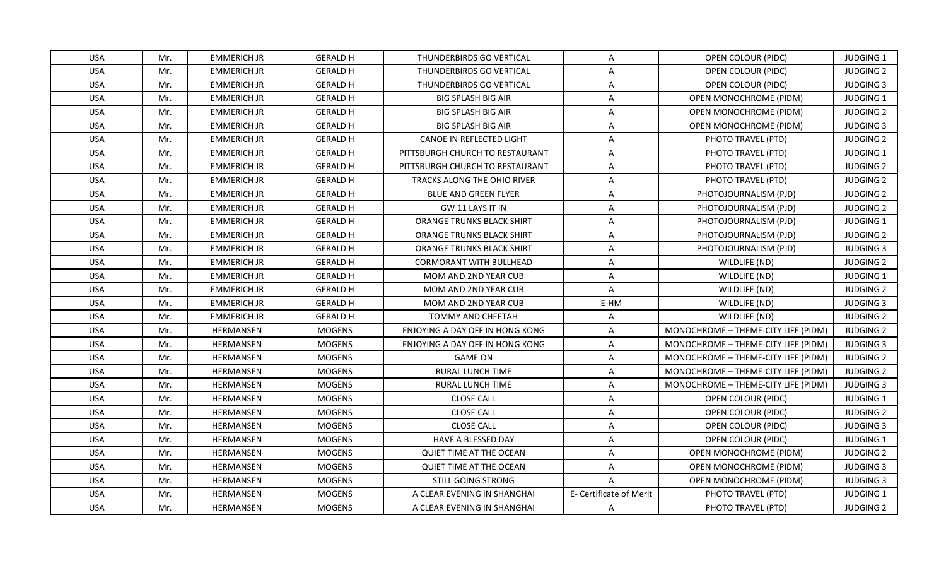| <b>USA</b> | Mr. | <b>EMMERICH JR</b> | <b>GERALD H</b> | THUNDERBIRDS GO VERTICAL         | A                       | OPEN COLOUR (PIDC)                  | <b>JUDGING 1</b> |
|------------|-----|--------------------|-----------------|----------------------------------|-------------------------|-------------------------------------|------------------|
| <b>USA</b> | Mr. | <b>EMMERICH JR</b> | <b>GERALD H</b> | THUNDERBIRDS GO VERTICAL         | A                       | OPEN COLOUR (PIDC)                  | <b>JUDGING 2</b> |
| <b>USA</b> | Mr. | <b>EMMERICH JR</b> | <b>GERALD H</b> | THUNDERBIRDS GO VERTICAL         | A                       | OPEN COLOUR (PIDC)                  | <b>JUDGING 3</b> |
| <b>USA</b> | Mr. | <b>EMMERICH JR</b> | <b>GERALD H</b> | <b>BIG SPLASH BIG AIR</b>        | A                       | OPEN MONOCHROME (PIDM)              | <b>JUDGING 1</b> |
| <b>USA</b> | Mr. | <b>EMMERICH JR</b> | <b>GERALD H</b> | <b>BIG SPLASH BIG AIR</b>        | A                       | OPEN MONOCHROME (PIDM)              | <b>JUDGING 2</b> |
| <b>USA</b> | Mr. | <b>EMMERICH JR</b> | <b>GERALD H</b> | <b>BIG SPLASH BIG AIR</b>        | A                       | OPEN MONOCHROME (PIDM)              | <b>JUDGING 3</b> |
| <b>USA</b> | Mr. | <b>EMMERICH JR</b> | <b>GERALD H</b> | CANOE IN REFLECTED LIGHT         | $\overline{\mathsf{A}}$ | PHOTO TRAVEL (PTD)                  | <b>JUDGING 2</b> |
| <b>USA</b> | Mr. | <b>EMMERICH JR</b> | <b>GERALD H</b> | PITTSBURGH CHURCH TO RESTAURANT  | A                       | PHOTO TRAVEL (PTD)                  | <b>JUDGING 1</b> |
| <b>USA</b> | Mr. | <b>EMMERICH JR</b> | <b>GERALD H</b> | PITTSBURGH CHURCH TO RESTAURANT  | A                       | PHOTO TRAVEL (PTD)                  | <b>JUDGING 2</b> |
| <b>USA</b> | Mr. | <b>EMMERICH JR</b> | <b>GERALD H</b> | TRACKS ALONG THE OHIO RIVER      | A                       | PHOTO TRAVEL (PTD)                  | <b>JUDGING 2</b> |
| <b>USA</b> | Mr. | <b>EMMERICH JR</b> | <b>GERALD H</b> | <b>BLUE AND GREEN FLYER</b>      | A                       | PHOTOJOURNALISM (PJD)               | <b>JUDGING 2</b> |
| <b>USA</b> | Mr. | <b>EMMERICH JR</b> | <b>GERALD H</b> | GW 11 LAYS IT IN                 | A                       | PHOTOJOURNALISM (PJD)               | <b>JUDGING 2</b> |
| <b>USA</b> | Mr. | <b>EMMERICH JR</b> | <b>GERALD H</b> | ORANGE TRUNKS BLACK SHIRT        | A                       | PHOTOJOURNALISM (PJD)               | JUDGING 1        |
| <b>USA</b> | Mr. | <b>EMMERICH JR</b> | <b>GERALD H</b> | ORANGE TRUNKS BLACK SHIRT        | A                       | PHOTOJOURNALISM (PJD)               | <b>JUDGING 2</b> |
| <b>USA</b> | Mr. | <b>EMMERICH JR</b> | <b>GERALD H</b> | <b>ORANGE TRUNKS BLACK SHIRT</b> | A                       | PHOTOJOURNALISM (PJD)               | <b>JUDGING 3</b> |
| <b>USA</b> | Mr. | <b>EMMERICH JR</b> | <b>GERALD H</b> | <b>CORMORANT WITH BULLHEAD</b>   | A                       | WILDLIFE (ND)                       | <b>JUDGING 2</b> |
| <b>USA</b> | Mr. | <b>EMMERICH JR</b> | <b>GERALD H</b> | <b>MOM AND 2ND YEAR CUB</b>      | $\overline{A}$          | WILDLIFE (ND)                       | <b>JUDGING 1</b> |
| <b>USA</b> | Mr. | <b>EMMERICH JR</b> | <b>GERALD H</b> | MOM AND 2ND YEAR CUB             | A                       | WILDLIFE (ND)                       | <b>JUDGING 2</b> |
| USA        | Mr. | <b>EMMERICH JR</b> | <b>GERALD H</b> | MOM AND 2ND YEAR CUB             | E-HM                    | WILDLIFE (ND)                       | <b>JUDGING 3</b> |
| <b>USA</b> | Mr. | <b>EMMERICH JR</b> | <b>GERALD H</b> | <b>TOMMY AND CHEETAH</b>         | Α                       | WILDLIFE (ND)                       | <b>JUDGING 2</b> |
| <b>USA</b> | Mr. | HERMANSEN          | <b>MOGENS</b>   | ENJOYING A DAY OFF IN HONG KONG  | A                       | MONOCHROME - THEME-CITY LIFE (PIDM) | <b>JUDGING 2</b> |
| <b>USA</b> | Mr. | HERMANSEN          | <b>MOGENS</b>   | ENJOYING A DAY OFF IN HONG KONG  | Α                       | MONOCHROME - THEME-CITY LIFE (PIDM) | <b>JUDGING 3</b> |
| <b>USA</b> | Mr. | HERMANSEN          | <b>MOGENS</b>   | <b>GAME ON</b>                   | Α                       | MONOCHROME - THEME-CITY LIFE (PIDM) | <b>JUDGING 2</b> |
| <b>USA</b> | Mr. | HERMANSEN          | <b>MOGENS</b>   | <b>RURAL LUNCH TIME</b>          | Α                       | MONOCHROME - THEME-CITY LIFE (PIDM) | <b>JUDGING 2</b> |
| <b>USA</b> | Mr. | HERMANSEN          | <b>MOGENS</b>   | RURAL LUNCH TIME                 | A                       | MONOCHROME - THEME-CITY LIFE (PIDM) | <b>JUDGING 3</b> |
| <b>USA</b> | Mr. | HERMANSEN          | <b>MOGENS</b>   | <b>CLOSE CALL</b>                | A                       | OPEN COLOUR (PIDC)                  | JUDGING 1        |
| <b>USA</b> | Mr. | HERMANSEN          | <b>MOGENS</b>   | <b>CLOSE CALL</b>                | Α                       | OPEN COLOUR (PIDC)                  | <b>JUDGING 2</b> |
| <b>USA</b> | Mr. | HERMANSEN          | <b>MOGENS</b>   | <b>CLOSE CALL</b>                | Α                       | OPEN COLOUR (PIDC)                  | <b>JUDGING 3</b> |
| <b>USA</b> | Mr. | HERMANSEN          | <b>MOGENS</b>   | HAVE A BLESSED DAY               | A                       | OPEN COLOUR (PIDC)                  | <b>JUDGING 1</b> |
| <b>USA</b> | Mr. | <b>HERMANSEN</b>   | <b>MOGENS</b>   | <b>QUIET TIME AT THE OCEAN</b>   | A                       | <b>OPEN MONOCHROME (PIDM)</b>       | <b>JUDGING 2</b> |
| <b>USA</b> | Mr. | HERMANSEN          | <b>MOGENS</b>   | <b>QUIET TIME AT THE OCEAN</b>   | A                       | <b>OPEN MONOCHROME (PIDM)</b>       | <b>JUDGING 3</b> |
| <b>USA</b> | Mr. | HERMANSEN          | <b>MOGENS</b>   | STILL GOING STRONG               | $\mathsf{A}$            | OPEN MONOCHROME (PIDM)              | <b>JUDGING 3</b> |
| <b>USA</b> | Mr. | HERMANSEN          | <b>MOGENS</b>   | A CLEAR EVENING IN SHANGHAI      | E- Certificate of Merit | PHOTO TRAVEL (PTD)                  | JUDGING 1        |
| <b>USA</b> | Mr. | HERMANSEN          | <b>MOGENS</b>   | A CLEAR EVENING IN SHANGHAI      | $\mathsf{A}$            | PHOTO TRAVEL (PTD)                  | <b>JUDGING 2</b> |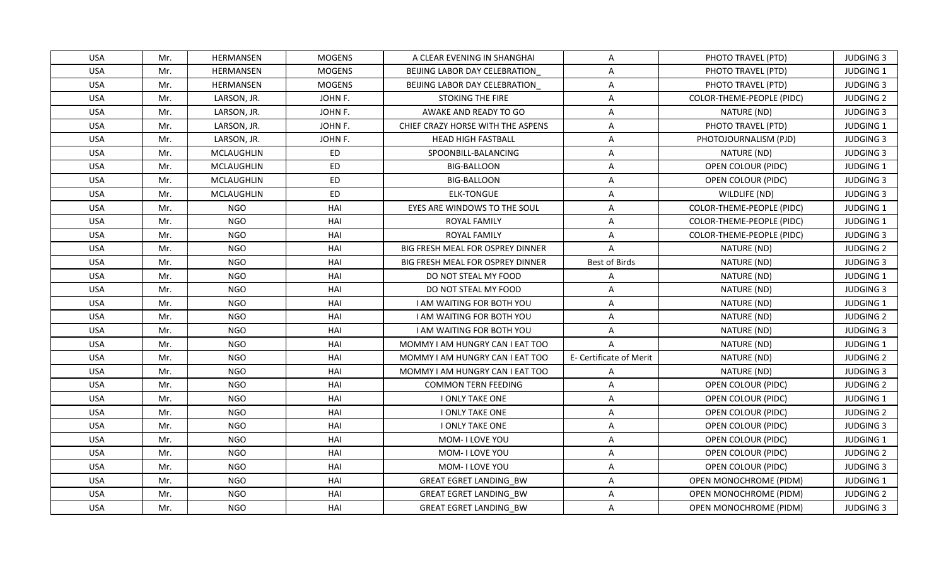| <b>USA</b> | Mr. | HERMANSEN         | <b>MOGENS</b> | A CLEAR EVENING IN SHANGHAI             | A                       | PHOTO TRAVEL (PTD)        | <b>JUDGING 3</b> |
|------------|-----|-------------------|---------------|-----------------------------------------|-------------------------|---------------------------|------------------|
| <b>USA</b> | Mr. | HERMANSEN         | <b>MOGENS</b> | BEIJING LABOR DAY CELEBRATION           | A                       | PHOTO TRAVEL (PTD)        | JUDGING 1        |
| <b>USA</b> | Mr. | HERMANSEN         | <b>MOGENS</b> | BEIJING LABOR DAY CELEBRATION           | A                       | PHOTO TRAVEL (PTD)        | <b>JUDGING 3</b> |
| <b>USA</b> | Mr. | LARSON, JR.       | JOHN F.       | <b>STOKING THE FIRE</b>                 | A                       | COLOR-THEME-PEOPLE (PIDC) | <b>JUDGING 2</b> |
| <b>USA</b> | Mr. | LARSON, JR.       | JOHN F.       | AWAKE AND READY TO GO                   | A                       | NATURE (ND)               | <b>JUDGING 3</b> |
| <b>USA</b> | Mr. | LARSON, JR.       | JOHN F.       | CHIEF CRAZY HORSE WITH THE ASPENS       | A                       | PHOTO TRAVEL (PTD)        | <b>JUDGING 1</b> |
| <b>USA</b> | Mr. | LARSON, JR.       | JOHN F.       | <b>HEAD HIGH FASTBALL</b>               | A                       | PHOTOJOURNALISM (PJD)     | <b>JUDGING 3</b> |
| <b>USA</b> | Mr. | <b>MCLAUGHLIN</b> | ED            | SPOONBILL-BALANCING                     | A                       | NATURE (ND)               | <b>JUDGING 3</b> |
| <b>USA</b> | Mr. | <b>MCLAUGHLIN</b> | <b>ED</b>     | <b>BIG-BALLOON</b>                      | A                       | OPEN COLOUR (PIDC)        | JUDGING 1        |
| <b>USA</b> | Mr. | <b>MCLAUGHLIN</b> | <b>ED</b>     | <b>BIG-BALLOON</b>                      | A                       | OPEN COLOUR (PIDC)        | <b>JUDGING 3</b> |
| <b>USA</b> | Mr. | MCLAUGHLIN        | ED            | <b>ELK-TONGUE</b>                       | A                       | WILDLIFE (ND)             | <b>JUDGING 3</b> |
| <b>USA</b> | Mr. | <b>NGO</b>        | HAI           | EYES ARE WINDOWS TO THE SOUL            | $\overline{A}$          | COLOR-THEME-PEOPLE (PIDC) | <b>JUDGING 1</b> |
| <b>USA</b> | Mr. | <b>NGO</b>        | HAI           | <b>ROYAL FAMILY</b>                     | A                       | COLOR-THEME-PEOPLE (PIDC) | JUDGING 1        |
| <b>USA</b> | Mr. | <b>NGO</b>        | HAI           | ROYAL FAMILY                            | A                       | COLOR-THEME-PEOPLE (PIDC) | <b>JUDGING 3</b> |
| <b>USA</b> | Mr. | <b>NGO</b>        | HAI           | BIG FRESH MEAL FOR OSPREY DINNER        | A                       | NATURE (ND)               | <b>JUDGING 2</b> |
| <b>USA</b> | Mr. | NGO.              | HAI           | <b>BIG FRESH MEAL FOR OSPREY DINNER</b> | Best of Birds           | NATURE (ND)               | <b>JUDGING 3</b> |
| <b>USA</b> | Mr. | <b>NGO</b>        | HAI           | DO NOT STEAL MY FOOD                    | A                       | NATURE (ND)               | JUDGING 1        |
| <b>USA</b> | Mr. | <b>NGO</b>        | HAI           | DO NOT STEAL MY FOOD                    | $\overline{A}$          | NATURE (ND)               | <b>JUDGING 3</b> |
| <b>USA</b> | Mr. | NGO               | HAI           | <b>I AM WAITING FOR BOTH YOU</b>        | A                       | NATURE (ND)               | JUDGING 1        |
| <b>USA</b> | Mr. | <b>NGO</b>        | HAI           | <b>I AM WAITING FOR BOTH YOU</b>        | A                       | NATURE (ND)               | <b>JUDGING 2</b> |
| <b>USA</b> | Mr. | <b>NGO</b>        | HAI           | <b>I AM WAITING FOR BOTH YOU</b>        | A                       | NATURE (ND)               | <b>JUDGING 3</b> |
| <b>USA</b> | Mr. | <b>NGO</b>        | HAI           | MOMMY I AM HUNGRY CAN I EAT TOO         | $\mathsf{A}$            | NATURE (ND)               | <b>JUDGING 1</b> |
| <b>USA</b> | Mr. | <b>NGO</b>        | HAI           | MOMMY I AM HUNGRY CAN I EAT TOO         | E- Certificate of Merit | NATURE (ND)               | <b>JUDGING 2</b> |
| <b>USA</b> | Mr. | <b>NGO</b>        | HAI           | MOMMY I AM HUNGRY CAN I EAT TOO         | A                       | NATURE (ND)               | <b>JUDGING 3</b> |
| <b>USA</b> | Mr. | <b>NGO</b>        | HAI           | <b>COMMON TERN FEEDING</b>              | A                       | OPEN COLOUR (PIDC)        | <b>JUDGING 2</b> |
| <b>USA</b> | Mr. | NGO               | HAI           | I ONLY TAKE ONE                         | A                       | OPEN COLOUR (PIDC)        | <b>JUDGING 1</b> |
| <b>USA</b> | Mr. | <b>NGO</b>        | HAI           | <b>I ONLY TAKE ONE</b>                  | A                       | OPEN COLOUR (PIDC)        | <b>JUDGING 2</b> |
| <b>USA</b> | Mr. | <b>NGO</b>        | HAI           | <b>I ONLY TAKE ONE</b>                  | A                       | OPEN COLOUR (PIDC)        | <b>JUDGING 3</b> |
| <b>USA</b> | Mr. | <b>NGO</b>        | HAI           | MOM-I LOVE YOU                          | A                       | OPEN COLOUR (PIDC)        | JUDGING 1        |
| <b>USA</b> | Mr. | <b>NGO</b>        | HAI           | MOM-I LOVE YOU                          | A                       | OPEN COLOUR (PIDC)        | <b>JUDGING 2</b> |
| <b>USA</b> | Mr. | <b>NGO</b>        | HAI           | MOM- I LOVE YOU                         | A                       | OPEN COLOUR (PIDC)        | <b>JUDGING 3</b> |
| <b>USA</b> | Mr. | <b>NGO</b>        | HAI           | <b>GREAT EGRET LANDING BW</b>           | A                       | OPEN MONOCHROME (PIDM)    | JUDGING 1        |
| <b>USA</b> | Mr. | <b>NGO</b>        | HAI           | <b>GREAT EGRET LANDING BW</b>           | A                       | OPEN MONOCHROME (PIDM)    | <b>JUDGING 2</b> |
| <b>USA</b> | Mr. | <b>NGO</b>        | HAI           | <b>GREAT EGRET LANDING BW</b>           | A                       | OPEN MONOCHROME (PIDM)    | <b>JUDGING 3</b> |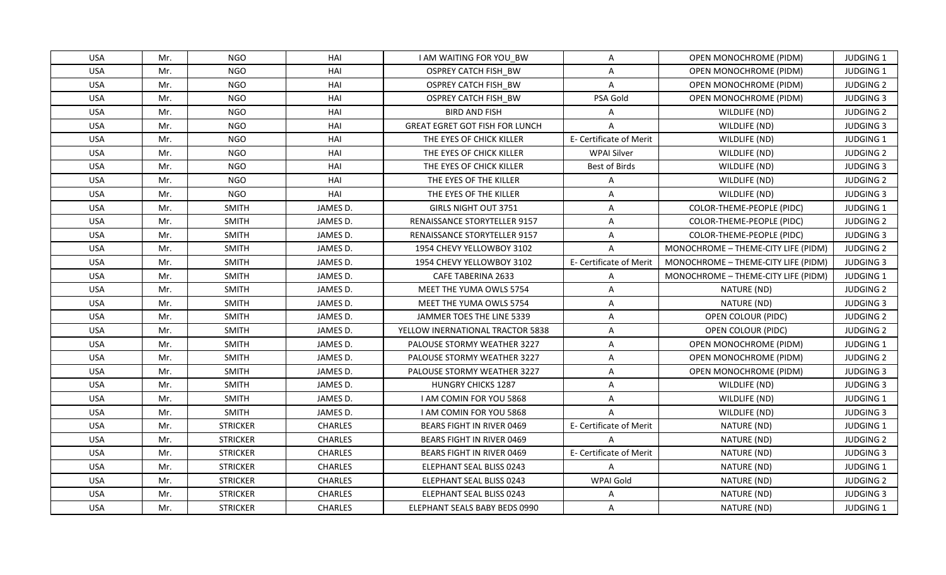| <b>USA</b> | Mr. | NGO             | HAI            | <b>I AM WAITING FOR YOU BW</b>        | A                              | OPEN MONOCHROME (PIDM)              | <b>JUDGING 1</b> |
|------------|-----|-----------------|----------------|---------------------------------------|--------------------------------|-------------------------------------|------------------|
| <b>USA</b> | Mr. | <b>NGO</b>      | HAI            | OSPREY CATCH FISH BW                  | A                              | OPEN MONOCHROME (PIDM)              | JUDGING 1        |
| <b>USA</b> | Mr. | <b>NGO</b>      | HAI            | OSPREY CATCH FISH BW                  | A                              | OPEN MONOCHROME (PIDM)              | <b>JUDGING 2</b> |
| <b>USA</b> | Mr. | <b>NGO</b>      | HAI            | OSPREY CATCH FISH BW                  | PSA Gold                       | OPEN MONOCHROME (PIDM)              | <b>JUDGING 3</b> |
| <b>USA</b> | Mr. | <b>NGO</b>      | HAI            | <b>BIRD AND FISH</b>                  | A                              | WILDLIFE (ND)                       | <b>JUDGING 2</b> |
| <b>USA</b> | Mr. | <b>NGO</b>      | HAI            | <b>GREAT EGRET GOT FISH FOR LUNCH</b> | A                              | WILDLIFE (ND)                       | <b>JUDGING 3</b> |
| <b>USA</b> | Mr. | <b>NGO</b>      | HAI            | THE EYES OF CHICK KILLER              | E- Certificate of Merit        | WILDLIFE (ND)                       | JUDGING 1        |
| <b>USA</b> | Mr. | <b>NGO</b>      | HAI            | THE EYES OF CHICK KILLER              | <b>WPAI Silver</b>             | WILDLIFE (ND)                       | <b>JUDGING 2</b> |
| <b>USA</b> | Mr. | <b>NGO</b>      | HAI            | THE EYES OF CHICK KILLER              | Best of Birds                  | WILDLIFE (ND)                       | <b>JUDGING 3</b> |
| <b>USA</b> | Mr. | <b>NGO</b>      | HAI            | THE EYES OF THE KILLER                | A                              | WILDLIFE (ND)                       | <b>JUDGING 2</b> |
| <b>USA</b> | Mr. | <b>NGO</b>      | HAI            | THE EYES OF THE KILLER                | A                              | WILDLIFE (ND)                       | <b>JUDGING 3</b> |
| <b>USA</b> | Mr. | <b>SMITH</b>    | JAMES D.       | <b>GIRLS NIGHT OUT 3751</b>           | $\mathsf{A}$                   | COLOR-THEME-PEOPLE (PIDC)           | JUDGING 1        |
| <b>USA</b> | Mr. | <b>SMITH</b>    | JAMES D.       | RENAISSANCE STORYTELLER 9157          | A                              | COLOR-THEME-PEOPLE (PIDC)           | <b>JUDGING 2</b> |
| <b>USA</b> | Mr. | <b>SMITH</b>    | JAMES D.       | <b>RENAISSANCE STORYTELLER 9157</b>   | $\mathsf{A}$                   | COLOR-THEME-PEOPLE (PIDC)           | <b>JUDGING 3</b> |
| <b>USA</b> | Mr. | <b>SMITH</b>    | JAMES D.       | 1954 CHEVY YELLOWBOY 3102             | A                              | MONOCHROME - THEME-CITY LIFE (PIDM) | <b>JUDGING 2</b> |
| <b>USA</b> | Mr. | <b>SMITH</b>    | JAMES D.       | 1954 CHEVY YELLOWBOY 3102             | <b>E- Certificate of Merit</b> | MONOCHROME - THEME-CITY LIFE (PIDM) | <b>JUDGING 3</b> |
| <b>USA</b> | Mr. | <b>SMITH</b>    | JAMES D.       | CAFE TABERINA 2633                    | Α                              | MONOCHROME - THEME-CITY LIFE (PIDM) | JUDGING 1        |
| <b>USA</b> | Mr. | <b>SMITH</b>    | JAMES D.       | <b>MEET THE YUMA OWLS 5754</b>        | $\overline{A}$                 | NATURE (ND)                         | <b>JUDGING 2</b> |
| <b>USA</b> | Mr. | <b>SMITH</b>    | JAMES D.       | MEET THE YUMA OWLS 5754               | A                              | NATURE (ND)                         | <b>JUDGING 3</b> |
| <b>USA</b> | Mr. | <b>SMITH</b>    | JAMES D.       | JAMMER TOES THE LINE 5339             | A                              | OPEN COLOUR (PIDC)                  | <b>JUDGING 2</b> |
| <b>USA</b> | Mr. | <b>SMITH</b>    | JAMES D.       | YELLOW INERNATIONAL TRACTOR 5838      | Α                              | OPEN COLOUR (PIDC)                  | <b>JUDGING 2</b> |
| <b>USA</b> | Mr. | <b>SMITH</b>    | JAMES D.       | <b>PALOUSE STORMY WEATHER 3227</b>    | $\mathsf{A}$                   | OPEN MONOCHROME (PIDM)              | JUDGING 1        |
| <b>USA</b> | Mr. | <b>SMITH</b>    | JAMES D.       | PALOUSE STORMY WEATHER 3227           | A                              | OPEN MONOCHROME (PIDM)              | <b>JUDGING 2</b> |
| <b>USA</b> | Mr. | <b>SMITH</b>    | JAMES D.       | PALOUSE STORMY WEATHER 3227           | A                              | OPEN MONOCHROME (PIDM)              | <b>JUDGING 3</b> |
| <b>USA</b> | Mr. | <b>SMITH</b>    | JAMES D.       | <b>HUNGRY CHICKS 1287</b>             | $\overline{A}$                 | WILDLIFE (ND)                       | <b>JUDGING 3</b> |
| <b>USA</b> | Mr. | <b>SMITH</b>    | JAMES D.       | I AM COMIN FOR YOU 5868               | A                              | WILDLIFE (ND)                       | <b>JUDGING 1</b> |
| <b>USA</b> | Mr. | <b>SMITH</b>    | JAMES D.       | I AM COMIN FOR YOU 5868               | $\overline{A}$                 | WILDLIFE (ND)                       | <b>JUDGING 3</b> |
| <b>USA</b> | Mr. | <b>STRICKER</b> | <b>CHARLES</b> | BEARS FIGHT IN RIVER 0469             | E- Certificate of Merit        | NATURE (ND)                         | JUDGING 1        |
| <b>USA</b> | Mr. | <b>STRICKER</b> | <b>CHARLES</b> | <b>BEARS FIGHT IN RIVER 0469</b>      | $\overline{A}$                 | NATURE (ND)                         | <b>JUDGING 2</b> |
| <b>USA</b> | Mr. | <b>STRICKER</b> | <b>CHARLES</b> | <b>BEARS FIGHT IN RIVER 0469</b>      | E- Certificate of Merit        | NATURE (ND)                         | <b>JUDGING 3</b> |
| <b>USA</b> | Mr. | <b>STRICKER</b> | <b>CHARLES</b> | ELEPHANT SEAL BLISS 0243              | A                              | NATURE (ND)                         | <b>JUDGING 1</b> |
| <b>USA</b> | Mr. | <b>STRICKER</b> | <b>CHARLES</b> | ELEPHANT SEAL BLISS 0243              | WPAI Gold                      | NATURE (ND)                         | <b>JUDGING 2</b> |
| <b>USA</b> | Mr. | <b>STRICKER</b> | <b>CHARLES</b> | ELEPHANT SEAL BLISS 0243              | A                              | NATURE (ND)                         | <b>JUDGING 3</b> |
| <b>USA</b> | Mr. | <b>STRICKER</b> | CHARLES        | ELEPHANT SEALS BABY BEDS 0990         | A                              | NATURE (ND)                         | <b>JUDGING 1</b> |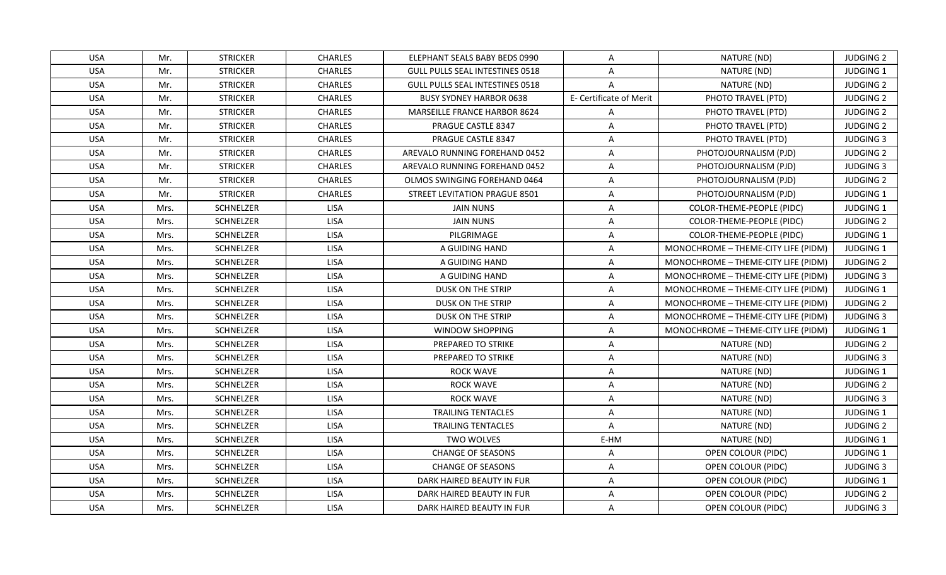| <b>USA</b> | Mr.  | <b>STRICKER</b>  | <b>CHARLES</b> | ELEPHANT SEALS BABY BEDS 0990          | A                       | NATURE (ND)                         | <b>JUDGING 2</b> |
|------------|------|------------------|----------------|----------------------------------------|-------------------------|-------------------------------------|------------------|
| <b>USA</b> | Mr.  | <b>STRICKER</b>  | <b>CHARLES</b> | <b>GULL PULLS SEAL INTESTINES 0518</b> | $\mathsf{A}$            | NATURE (ND)                         | JUDGING 1        |
| <b>USA</b> | Mr.  | <b>STRICKER</b>  | <b>CHARLES</b> | <b>GULL PULLS SEAL INTESTINES 0518</b> | $\overline{A}$          | NATURE (ND)                         | <b>JUDGING 2</b> |
| <b>USA</b> | Mr.  | <b>STRICKER</b>  | <b>CHARLES</b> | <b>BUSY SYDNEY HARBOR 0638</b>         | E- Certificate of Merit | PHOTO TRAVEL (PTD)                  | <b>JUDGING 2</b> |
| <b>USA</b> | Mr.  | <b>STRICKER</b>  | <b>CHARLES</b> | <b>MARSEILLE FRANCE HARBOR 8624</b>    | A                       | PHOTO TRAVEL (PTD)                  | <b>JUDGING 2</b> |
| <b>USA</b> | Mr.  | <b>STRICKER</b>  | <b>CHARLES</b> | PRAGUE CASTLE 8347                     | A                       | PHOTO TRAVEL (PTD)                  | <b>JUDGING 2</b> |
| <b>USA</b> | Mr.  | <b>STRICKER</b>  | <b>CHARLES</b> | <b>PRAGUE CASTLE 8347</b>              | A                       | PHOTO TRAVEL (PTD)                  | <b>JUDGING 3</b> |
| <b>USA</b> | Mr.  | <b>STRICKER</b>  | <b>CHARLES</b> | AREVALO RUNNING FOREHAND 0452          | A                       | PHOTOJOURNALISM (PJD)               | <b>JUDGING 2</b> |
| <b>USA</b> | Mr.  | <b>STRICKER</b>  | <b>CHARLES</b> | AREVALO RUNNING FOREHAND 0452          | A                       | PHOTOJOURNALISM (PJD)               | <b>JUDGING 3</b> |
| <b>USA</b> | Mr.  | <b>STRICKER</b>  | <b>CHARLES</b> | OLMOS SWINGING FOREHAND 0464           | A                       | PHOTOJOURNALISM (PJD)               | <b>JUDGING 2</b> |
| <b>USA</b> | Mr.  | <b>STRICKER</b>  | <b>CHARLES</b> | STREET LEVITATION PRAGUE 8501          | A                       | PHOTOJOURNALISM (PJD)               | <b>JUDGING 1</b> |
| <b>USA</b> | Mrs. | SCHNELZER        | LISA           | <b>JAIN NUNS</b>                       | A                       | COLOR-THEME-PEOPLE (PIDC)           | JUDGING 1        |
| <b>USA</b> | Mrs. | SCHNELZER        | <b>LISA</b>    | <b>JAIN NUNS</b>                       | A                       | COLOR-THEME-PEOPLE (PIDC)           | <b>JUDGING 2</b> |
| <b>USA</b> | Mrs. | SCHNELZER        | <b>LISA</b>    | PILGRIMAGE                             | A                       | COLOR-THEME-PEOPLE (PIDC)           | <b>JUDGING 1</b> |
| <b>USA</b> | Mrs. | <b>SCHNELZER</b> | LISA           | A GUIDING HAND                         | A                       | MONOCHROME - THEME-CITY LIFE (PIDM) | JUDGING 1        |
| <b>USA</b> | Mrs. | SCHNELZER        | <b>LISA</b>    | A GUIDING HAND                         | A                       | MONOCHROME - THEME-CITY LIFE (PIDM) | <b>JUDGING 2</b> |
| <b>USA</b> | Mrs. | SCHNELZER        | <b>LISA</b>    | A GUIDING HAND                         | A                       | MONOCHROME - THEME-CITY LIFE (PIDM) | <b>JUDGING 3</b> |
| <b>USA</b> | Mrs. | SCHNELZER        | LISA           | DUSK ON THE STRIP                      | $\overline{A}$          | MONOCHROME - THEME-CITY LIFE (PIDM) | <b>JUDGING 1</b> |
| <b>USA</b> | Mrs. | SCHNELZER        | <b>LISA</b>    | DUSK ON THE STRIP                      | A                       | MONOCHROME - THEME-CITY LIFE (PIDM) | <b>JUDGING 2</b> |
| <b>USA</b> | Mrs. | SCHNELZER        | <b>LISA</b>    | DUSK ON THE STRIP                      | A                       | MONOCHROME - THEME-CITY LIFE (PIDM) | <b>JUDGING 3</b> |
| <b>USA</b> | Mrs. | SCHNELZER        | <b>LISA</b>    | WINDOW SHOPPING                        | A                       | MONOCHROME - THEME-CITY LIFE (PIDM) | <b>JUDGING 1</b> |
| <b>USA</b> | Mrs. | SCHNELZER        | <b>LISA</b>    | PREPARED TO STRIKE                     | A                       | NATURE (ND)                         | <b>JUDGING 2</b> |
| <b>USA</b> | Mrs. | SCHNELZER        | LISA           | PREPARED TO STRIKE                     | A                       | NATURE (ND)                         | <b>JUDGING 3</b> |
| <b>USA</b> | Mrs. | SCHNELZER        | <b>LISA</b>    | <b>ROCK WAVE</b>                       | A                       | NATURE (ND)                         | <b>JUDGING 1</b> |
| <b>USA</b> | Mrs. | SCHNELZER        | <b>LISA</b>    | <b>ROCK WAVE</b>                       | A                       | NATURE (ND)                         | <b>JUDGING 2</b> |
| <b>USA</b> | Mrs. | SCHNELZER        | <b>LISA</b>    | <b>ROCK WAVE</b>                       | A                       | NATURE (ND)                         | <b>JUDGING 3</b> |
| <b>USA</b> | Mrs. | SCHNELZER        | <b>LISA</b>    | <b>TRAILING TENTACLES</b>              | A                       | NATURE (ND)                         | <b>JUDGING 1</b> |
| <b>USA</b> | Mrs. | SCHNELZER        | LISA           | <b>TRAILING TENTACLES</b>              | A                       | NATURE (ND)                         | <b>JUDGING 2</b> |
| <b>USA</b> | Mrs. | <b>SCHNELZER</b> | <b>LISA</b>    | <b>TWO WOLVES</b>                      | E-HM                    | NATURE (ND)                         | <b>JUDGING 1</b> |
| <b>USA</b> | Mrs. | SCHNELZER        | LISA           | <b>CHANGE OF SEASONS</b>               | A                       | OPEN COLOUR (PIDC)                  | <b>JUDGING 1</b> |
| <b>USA</b> | Mrs. | SCHNELZER        | <b>LISA</b>    | <b>CHANGE OF SEASONS</b>               | A                       | OPEN COLOUR (PIDC)                  | <b>JUDGING 3</b> |
| <b>USA</b> | Mrs. | SCHNELZER        | <b>LISA</b>    | DARK HAIRED BEAUTY IN FUR              | A                       | OPEN COLOUR (PIDC)                  | JUDGING 1        |
| <b>USA</b> | Mrs. | SCHNELZER        | <b>LISA</b>    | DARK HAIRED BEAUTY IN FUR              | A                       | OPEN COLOUR (PIDC)                  | <b>JUDGING 2</b> |
| <b>USA</b> | Mrs. | SCHNELZER        | <b>LISA</b>    | DARK HAIRED BEAUTY IN FUR              | A                       | OPEN COLOUR (PIDC)                  | <b>JUDGING 3</b> |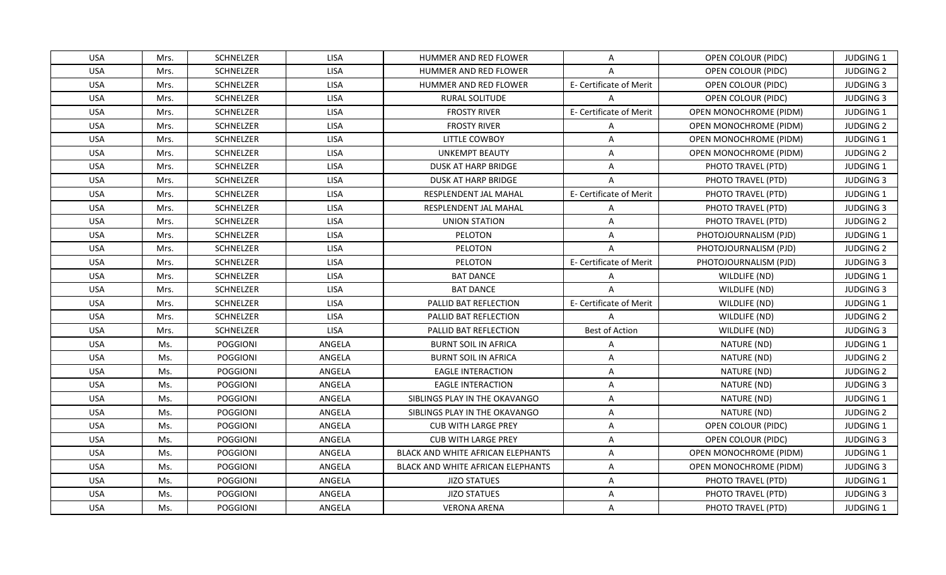| <b>USA</b> | Mrs. | SCHNELZER       | <b>LISA</b> | HUMMER AND RED FLOWER                    | A                       | OPEN COLOUR (PIDC)            | <b>JUDGING 1</b> |
|------------|------|-----------------|-------------|------------------------------------------|-------------------------|-------------------------------|------------------|
| <b>USA</b> | Mrs. | SCHNELZER       | LISA        | HUMMER AND RED FLOWER                    | $\overline{A}$          | OPEN COLOUR (PIDC)            | <b>JUDGING 2</b> |
| <b>USA</b> | Mrs. | SCHNELZER       | LISA        | HUMMER AND RED FLOWER                    | E- Certificate of Merit | OPEN COLOUR (PIDC)            | <b>JUDGING 3</b> |
| <b>USA</b> | Mrs. | SCHNELZER       | LISA        | <b>RURAL SOLITUDE</b>                    |                         | OPEN COLOUR (PIDC)            | <b>JUDGING 3</b> |
| <b>USA</b> | Mrs. | SCHNELZER       | <b>LISA</b> | <b>FROSTY RIVER</b>                      | E- Certificate of Merit | OPEN MONOCHROME (PIDM)        | <b>JUDGING 1</b> |
| <b>USA</b> | Mrs. | SCHNELZER       | <b>LISA</b> | <b>FROSTY RIVER</b>                      | A                       | OPEN MONOCHROME (PIDM)        | <b>JUDGING 2</b> |
| <b>USA</b> | Mrs. | SCHNELZER       | LISA        | LITTLE COWBOY                            | A                       | <b>OPEN MONOCHROME (PIDM)</b> | JUDGING 1        |
| <b>USA</b> | Mrs. | SCHNELZER       | LISA        | <b>UNKEMPT BEAUTY</b>                    | $\overline{A}$          | <b>OPEN MONOCHROME (PIDM)</b> | <b>JUDGING 2</b> |
| <b>USA</b> | Mrs. | SCHNELZER       | LISA        | <b>DUSK AT HARP BRIDGE</b>               | A                       | PHOTO TRAVEL (PTD)            | <b>JUDGING 1</b> |
| <b>USA</b> | Mrs. | SCHNELZER       | <b>LISA</b> | <b>DUSK AT HARP BRIDGE</b>               | $\overline{A}$          | PHOTO TRAVEL (PTD)            | <b>JUDGING 3</b> |
| <b>USA</b> | Mrs. | SCHNELZER       | LISA        | RESPLENDENT JAL MAHAL                    | E- Certificate of Merit | PHOTO TRAVEL (PTD)            | <b>JUDGING 1</b> |
| <b>USA</b> | Mrs. | SCHNELZER       | LISA        | RESPLENDENT JAL MAHAL                    | A                       | PHOTO TRAVEL (PTD)            | <b>JUDGING 3</b> |
| <b>USA</b> | Mrs. | SCHNELZER       | LISA        | <b>UNION STATION</b>                     | $\overline{A}$          | PHOTO TRAVEL (PTD)            | <b>JUDGING 2</b> |
| <b>USA</b> | Mrs. | SCHNELZER       | <b>LISA</b> | PELOTON                                  | A                       | PHOTOJOURNALISM (PJD)         | JUDGING 1        |
| <b>USA</b> | Mrs. | SCHNELZER       | LISA        | PELOTON                                  | A                       | PHOTOJOURNALISM (PJD)         | <b>JUDGING 2</b> |
| <b>USA</b> | Mrs. | SCHNELZER       | LISA        | PELOTON                                  | E- Certificate of Merit | PHOTOJOURNALISM (PJD)         | <b>JUDGING 3</b> |
| <b>USA</b> | Mrs. | SCHNELZER       | LISA        | <b>BAT DANCE</b>                         | $\overline{A}$          | WILDLIFE (ND)                 | JUDGING 1        |
| <b>USA</b> | Mrs. | SCHNELZER       | LISA        | <b>BAT DANCE</b>                         | $\Delta$                | WILDLIFE (ND)                 | <b>JUDGING 3</b> |
| USA        | Mrs. | SCHNELZER       | <b>LISA</b> | <b>PALLID BAT REFLECTION</b>             | E- Certificate of Merit | WILDLIFE (ND)                 | <b>JUDGING 1</b> |
| <b>USA</b> | Mrs. | SCHNELZER       | LISA        | PALLID BAT REFLECTION                    | $\overline{A}$          | WILDLIFE (ND)                 | <b>JUDGING 2</b> |
| <b>USA</b> | Mrs. | SCHNELZER       | LISA        | PALLID BAT REFLECTION                    | <b>Best of Action</b>   | WILDLIFE (ND)                 | <b>JUDGING 3</b> |
| <b>USA</b> | Ms.  | POGGIONI        | ANGELA      | <b>BURNT SOIL IN AFRICA</b>              | A                       | NATURE (ND)                   | JUDGING 1        |
| <b>USA</b> | Ms.  | POGGIONI        | ANGELA      | <b>BURNT SOIL IN AFRICA</b>              | A                       | NATURE (ND)                   | <b>JUDGING 2</b> |
| <b>USA</b> | Ms.  | POGGIONI        | ANGELA      | <b>EAGLE INTERACTION</b>                 | A                       | NATURE (ND)                   | <b>JUDGING 2</b> |
| <b>USA</b> | Ms.  | <b>POGGIONI</b> | ANGELA      | <b>EAGLE INTERACTION</b>                 | A                       | NATURE (ND)                   | <b>JUDGING 3</b> |
| <b>USA</b> | Ms.  | POGGIONI        | ANGELA      | SIBLINGS PLAY IN THE OKAVANGO            | A                       | NATURE (ND)                   | <b>JUDGING 1</b> |
| <b>USA</b> | Ms.  | POGGIONI        | ANGELA      | SIBLINGS PLAY IN THE OKAVANGO            | A                       | NATURE (ND)                   | <b>JUDGING 2</b> |
| <b>USA</b> | Ms.  | POGGIONI        | ANGELA      | <b>CUB WITH LARGE PREY</b>               | A                       | OPEN COLOUR (PIDC)            | JUDGING 1        |
| <b>USA</b> | Ms.  | <b>POGGIONI</b> | ANGELA      | <b>CUB WITH LARGE PREY</b>               | A                       | OPEN COLOUR (PIDC)            | <b>JUDGING 3</b> |
| <b>USA</b> | Ms.  | <b>POGGIONI</b> | ANGELA      | <b>BLACK AND WHITE AFRICAN ELEPHANTS</b> | $\overline{A}$          | <b>OPEN MONOCHROME (PIDM)</b> | <b>JUDGING 1</b> |
| <b>USA</b> | Ms.  | POGGIONI        | ANGELA      | BLACK AND WHITE AFRICAN ELEPHANTS        | A                       | OPEN MONOCHROME (PIDM)        | <b>JUDGING 3</b> |
| <b>USA</b> | Ms.  | POGGIONI        | ANGELA      | <b>JIZO STATUES</b>                      | A                       | PHOTO TRAVEL (PTD)            | JUDGING 1        |
| <b>USA</b> | Ms.  | POGGIONI        | ANGELA      | <b>JIZO STATUES</b>                      | A                       | PHOTO TRAVEL (PTD)            | <b>JUDGING 3</b> |
| <b>USA</b> | Ms.  | POGGIONI        | ANGELA      | <b>VERONA ARENA</b>                      | A                       | PHOTO TRAVEL (PTD)            | <b>JUDGING 1</b> |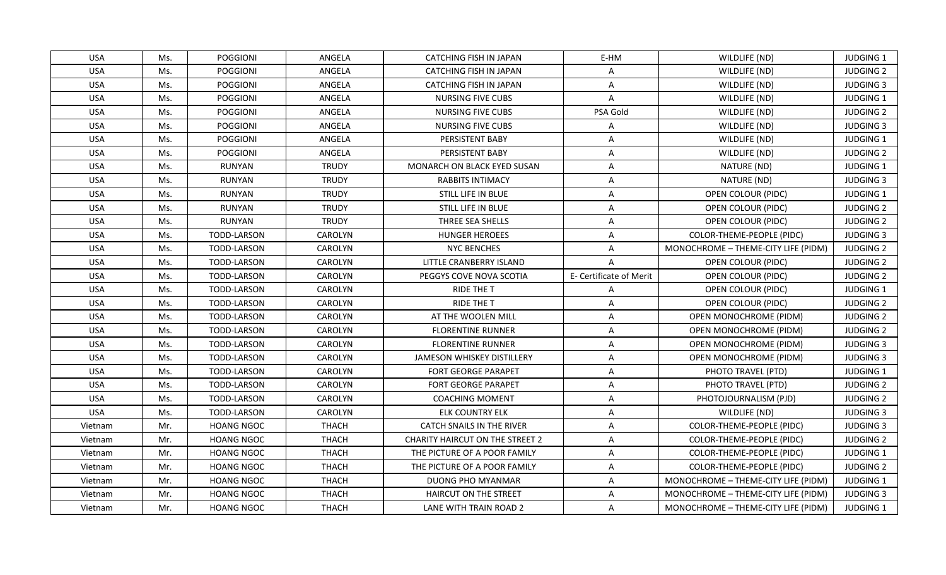| <b>USA</b> | Ms. | <b>POGGIONI</b>    | ANGELA         | CATCHING FISH IN JAPAN                 | E-HM                    | WILDLIFE (ND)                       | <b>JUDGING 1</b> |
|------------|-----|--------------------|----------------|----------------------------------------|-------------------------|-------------------------------------|------------------|
| <b>USA</b> | Ms. | <b>POGGIONI</b>    | ANGELA         | <b>CATCHING FISH IN JAPAN</b>          | $\mathsf{A}$            | WILDLIFE (ND)                       | <b>JUDGING 2</b> |
| <b>USA</b> | Ms. | <b>POGGIONI</b>    | ANGELA         | <b>CATCHING FISH IN JAPAN</b>          | A                       | WILDLIFE (ND)                       | <b>JUDGING 3</b> |
| <b>USA</b> | Ms. | <b>POGGIONI</b>    | ANGELA         | <b>NURSING FIVE CUBS</b>               | $\mathsf{A}$            | WILDLIFE (ND)                       | <b>JUDGING 1</b> |
| <b>USA</b> | Ms. | <b>POGGIONI</b>    | ANGELA         | <b>NURSING FIVE CUBS</b>               | PSA Gold                | WILDLIFE (ND)                       | <b>JUDGING 2</b> |
| <b>USA</b> | Ms. | <b>POGGIONI</b>    | ANGELA         | NURSING FIVE CUBS                      | A                       | WILDLIFE (ND)                       | <b>JUDGING 3</b> |
| <b>USA</b> | Ms. | <b>POGGIONI</b>    | ANGELA         | PERSISTENT BABY                        | A                       | WILDLIFE (ND)                       | JUDGING 1        |
| <b>USA</b> | Ms. | <b>POGGIONI</b>    | ANGELA         | PERSISTENT BABY                        | $\mathsf{A}$            | WILDLIFE (ND)                       | <b>JUDGING 2</b> |
| <b>USA</b> | Ms. | RUNYAN             | <b>TRUDY</b>   | <b>MONARCH ON BLACK EYED SUSAN</b>     | A                       | NATURE (ND)                         | <b>JUDGING 1</b> |
| <b>USA</b> | Ms. | RUNYAN             | <b>TRUDY</b>   | <b>RABBITS INTIMACY</b>                | $\overline{A}$          | NATURE (ND)                         | <b>JUDGING 3</b> |
| <b>USA</b> | Ms. | RUNYAN             | <b>TRUDY</b>   | STILL LIFE IN BLUE                     | $\mathsf{A}$            | OPEN COLOUR (PIDC)                  | JUDGING 1        |
| <b>USA</b> | Ms. | RUNYAN             | <b>TRUDY</b>   | STILL LIFE IN BLUE                     | Α                       | OPEN COLOUR (PIDC)                  | <b>JUDGING 2</b> |
| <b>USA</b> | Ms. | RUNYAN             | <b>TRUDY</b>   | THREE SEA SHELLS                       | A                       | OPEN COLOUR (PIDC)                  | <b>JUDGING 2</b> |
| <b>USA</b> | Ms. | TODD-LARSON        | CAROLYN        | <b>HUNGER HEROEES</b>                  | $\mathsf{A}$            | COLOR-THEME-PEOPLE (PIDC)           | <b>JUDGING 3</b> |
| <b>USA</b> | Ms. | <b>TODD-LARSON</b> | <b>CAROLYN</b> | <b>NYC BENCHES</b>                     | A                       | MONOCHROME - THEME-CITY LIFE (PIDM) | <b>JUDGING 2</b> |
| <b>USA</b> | Ms. | TODD-LARSON        | CAROLYN        | LITTLE CRANBERRY ISLAND                | Α                       | OPEN COLOUR (PIDC)                  | <b>JUDGING 2</b> |
| <b>USA</b> | Ms. | <b>TODD-LARSON</b> | CAROLYN        | PEGGYS COVE NOVA SCOTIA                | E- Certificate of Merit | OPEN COLOUR (PIDC)                  | <b>JUDGING 2</b> |
| <b>USA</b> | Ms. | TODD-LARSON        | CAROLYN        | RIDE THE T                             | A                       | OPEN COLOUR (PIDC)                  | JUDGING 1        |
| USA        | Ms. | TODD-LARSON        | <b>CAROLYN</b> | <b>RIDE THE T</b>                      | A                       | OPEN COLOUR (PIDC)                  | <b>JUDGING 2</b> |
| <b>USA</b> | Ms. | <b>TODD-LARSON</b> | <b>CAROLYN</b> | AT THE WOOLEN MILL                     | A                       | OPEN MONOCHROME (PIDM)              | <b>JUDGING 2</b> |
| <b>USA</b> | Ms. | TODD-LARSON        | CAROLYN        | <b>FLORENTINE RUNNER</b>               | A                       | OPEN MONOCHROME (PIDM)              | <b>JUDGING 2</b> |
| <b>USA</b> | Ms. | TODD-LARSON        | CAROLYN        | <b>FLORENTINE RUNNER</b>               | A                       | OPEN MONOCHROME (PIDM)              | <b>JUDGING 3</b> |
| <b>USA</b> | Ms. | TODD-LARSON        | CAROLYN        | JAMESON WHISKEY DISTILLERY             | A                       | OPEN MONOCHROME (PIDM)              | <b>JUDGING 3</b> |
| <b>USA</b> | Ms. | <b>TODD-LARSON</b> | CAROLYN        | <b>FORT GEORGE PARAPET</b>             | $\mathsf{A}$            | PHOTO TRAVEL (PTD)                  | <b>JUDGING 1</b> |
| <b>USA</b> | Ms. | TODD-LARSON        | CAROLYN        | <b>FORT GEORGE PARAPET</b>             | A                       | PHOTO TRAVEL (PTD)                  | <b>JUDGING 2</b> |
| <b>USA</b> | Ms. | TODD-LARSON        | CAROLYN        | <b>COACHING MOMENT</b>                 | A                       | PHOTOJOURNALISM (PJD)               | <b>JUDGING 2</b> |
| <b>USA</b> | Ms. | TODD-LARSON        | CAROLYN        | <b>ELK COUNTRY ELK</b>                 | A                       | WILDLIFE (ND)                       | <b>JUDGING 3</b> |
| Vietnam    | Mr. | <b>HOANG NGOC</b>  | <b>THACH</b>   | <b>CATCH SNAILS IN THE RIVER</b>       | A                       | COLOR-THEME-PEOPLE (PIDC)           | <b>JUDGING 3</b> |
| Vietnam    | Mr. | <b>HOANG NGOC</b>  | <b>THACH</b>   | <b>CHARITY HAIRCUT ON THE STREET 2</b> | Α                       | COLOR-THEME-PEOPLE (PIDC)           | <b>JUDGING 2</b> |
| Vietnam    | Mr. | <b>HOANG NGOC</b>  | <b>THACH</b>   | THE PICTURE OF A POOR FAMILY           | A                       | COLOR-THEME-PEOPLE (PIDC)           | <b>JUDGING 1</b> |
| Vietnam    | Mr. | <b>HOANG NGOC</b>  | <b>THACH</b>   | THE PICTURE OF A POOR FAMILY           | A                       | COLOR-THEME-PEOPLE (PIDC)           | <b>JUDGING 2</b> |
| Vietnam    | Mr. | HOANG NGOC         | <b>THACH</b>   | DUONG PHO MYANMAR                      | Α                       | MONOCHROME - THEME-CITY LIFE (PIDM) | JUDGING 1        |
| Vietnam    | Mr. | <b>HOANG NGOC</b>  | <b>THACH</b>   | HAIRCUT ON THE STREET                  | A                       | MONOCHROME - THEME-CITY LIFE (PIDM) | <b>JUDGING 3</b> |
| Vietnam    | Mr. | <b>HOANG NGOC</b>  | <b>THACH</b>   | LANE WITH TRAIN ROAD 2                 | A                       | MONOCHROME - THEME-CITY LIFE (PIDM) | <b>JUDGING 1</b> |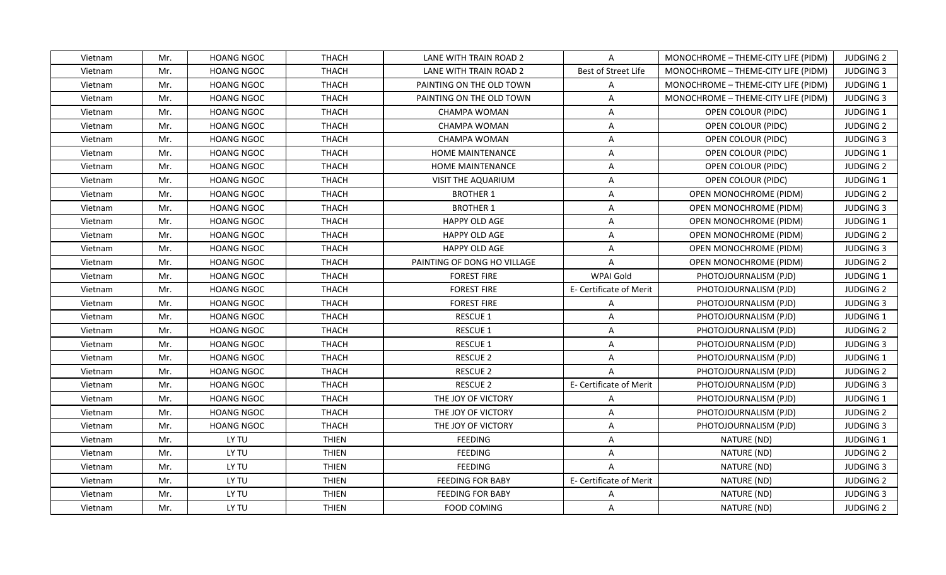| Vietnam | Mr. | <b>HOANG NGOC</b> | THACH        | LANE WITH TRAIN ROAD 2      | $\mathsf{A}$            | MONOCHROME - THEME-CITY LIFE (PIDM) | <b>JUDGING 2</b> |
|---------|-----|-------------------|--------------|-----------------------------|-------------------------|-------------------------------------|------------------|
| Vietnam | Mr. | <b>HOANG NGOC</b> | <b>THACH</b> | LANE WITH TRAIN ROAD 2      | Best of Street Life     | MONOCHROME - THEME-CITY LIFE (PIDM) | <b>JUDGING 3</b> |
| Vietnam | Mr. | <b>HOANG NGOC</b> | <b>THACH</b> | PAINTING ON THE OLD TOWN    | $\mathsf{A}$            | MONOCHROME - THEME-CITY LIFE (PIDM) | <b>JUDGING 1</b> |
| Vietnam | Mr. | <b>HOANG NGOC</b> | <b>THACH</b> | PAINTING ON THE OLD TOWN    | $\mathsf{A}$            | MONOCHROME - THEME-CITY LIFE (PIDM) | <b>JUDGING 3</b> |
| Vietnam | Mr. | <b>HOANG NGOC</b> | <b>THACH</b> | CHAMPA WOMAN                | $\mathsf{A}$            | OPEN COLOUR (PIDC)                  | JUDGING 1        |
| Vietnam | Mr. | <b>HOANG NGOC</b> | <b>THACH</b> | CHAMPA WOMAN                | A                       | OPEN COLOUR (PIDC)                  | <b>JUDGING 2</b> |
| Vietnam | Mr. | <b>HOANG NGOC</b> | <b>THACH</b> | CHAMPA WOMAN                | $\mathsf{A}$            | OPEN COLOUR (PIDC)                  | <b>JUDGING 3</b> |
| Vietnam | Mr. | <b>HOANG NGOC</b> | <b>THACH</b> | HOME MAINTENANCE            | $\mathsf{A}$            | OPEN COLOUR (PIDC)                  | JUDGING 1        |
| Vietnam | Mr. | <b>HOANG NGOC</b> | <b>THACH</b> | <b>HOME MAINTENANCE</b>     | A                       | OPEN COLOUR (PIDC)                  | <b>JUDGING 2</b> |
| Vietnam | Mr. | <b>HOANG NGOC</b> | <b>THACH</b> | <b>VISIT THE AQUARIUM</b>   | $\overline{A}$          | OPEN COLOUR (PIDC)                  | JUDGING 1        |
| Vietnam | Mr. | <b>HOANG NGOC</b> | <b>THACH</b> | <b>BROTHER 1</b>            | $\mathsf{A}$            | OPEN MONOCHROME (PIDM)              | <b>JUDGING 2</b> |
| Vietnam | Mr. | <b>HOANG NGOC</b> | <b>THACH</b> | <b>BROTHER 1</b>            | $\mathsf{A}$            | OPEN MONOCHROME (PIDM)              | <b>JUDGING 3</b> |
| Vietnam | Mr. | <b>HOANG NGOC</b> | <b>THACH</b> | HAPPY OLD AGE               | A                       | OPEN MONOCHROME (PIDM)              | JUDGING 1        |
| Vietnam | Mr. | <b>HOANG NGOC</b> | <b>THACH</b> | HAPPY OLD AGE               | $\mathsf{A}$            | OPEN MONOCHROME (PIDM)              | <b>JUDGING 2</b> |
| Vietnam | Mr. | <b>HOANG NGOC</b> | <b>THACH</b> | HAPPY OLD AGE               | $\mathsf{A}$            | <b>OPEN MONOCHROME (PIDM)</b>       | <b>JUDGING 3</b> |
| Vietnam | Mr. | <b>HOANG NGOC</b> | <b>THACH</b> | PAINTING OF DONG HO VILLAGE | $\mathsf{A}$            | OPEN MONOCHROME (PIDM)              | <b>JUDGING 2</b> |
| Vietnam | Mr. | <b>HOANG NGOC</b> | <b>THACH</b> | <b>FOREST FIRE</b>          | WPAI Gold               | PHOTOJOURNALISM (PJD)               | JUDGING 1        |
| Vietnam | Mr. | <b>HOANG NGOC</b> | <b>THACH</b> | <b>FOREST FIRE</b>          | E- Certificate of Merit | PHOTOJOURNALISM (PJD)               | <b>JUDGING 2</b> |
| Vietnam | Mr. | <b>HOANG NGOC</b> | <b>THACH</b> | <b>FOREST FIRE</b>          | $\mathsf{A}$            | PHOTOJOURNALISM (PJD)               | <b>JUDGING 3</b> |
| Vietnam | Mr. | <b>HOANG NGOC</b> | <b>THACH</b> | <b>RESCUE 1</b>             | $\overline{A}$          | PHOTOJOURNALISM (PJD)               | JUDGING 1        |
| Vietnam | Mr. | <b>HOANG NGOC</b> | <b>THACH</b> | RESCUE 1                    | $\mathsf{A}$            | PHOTOJOURNALISM (PJD)               | <b>JUDGING 2</b> |
| Vietnam | Mr. | <b>HOANG NGOC</b> | <b>THACH</b> | <b>RESCUE 1</b>             | $\mathsf{A}$            | PHOTOJOURNALISM (PJD)               | <b>JUDGING 3</b> |
| Vietnam | Mr. | <b>HOANG NGOC</b> | <b>THACH</b> | <b>RESCUE 2</b>             | $\mathsf{A}$            | PHOTOJOURNALISM (PJD)               | JUDGING 1        |
| Vietnam | Mr. | <b>HOANG NGOC</b> | <b>THACH</b> | <b>RESCUE 2</b>             | $\mathsf{A}$            | PHOTOJOURNALISM (PJD)               | <b>JUDGING 2</b> |
| Vietnam | Mr. | <b>HOANG NGOC</b> | <b>THACH</b> | <b>RESCUE 2</b>             | E- Certificate of Merit | PHOTOJOURNALISM (PJD)               | <b>JUDGING 3</b> |
| Vietnam | Mr. | <b>HOANG NGOC</b> | <b>THACH</b> | THE JOY OF VICTORY          | $\mathsf{A}$            | PHOTOJOURNALISM (PJD)               | JUDGING 1        |
| Vietnam | Mr. | <b>HOANG NGOC</b> | <b>THACH</b> | THE JOY OF VICTORY          | A                       | PHOTOJOURNALISM (PJD)               | <b>JUDGING 2</b> |
| Vietnam | Mr. | <b>HOANG NGOC</b> | <b>THACH</b> | THE JOY OF VICTORY          | A                       | PHOTOJOURNALISM (PJD)               | <b>JUDGING 3</b> |
| Vietnam | Mr. | LY TU             | <b>THIEN</b> | <b>FEEDING</b>              | $\overline{A}$          | NATURE (ND)                         | JUDGING 1        |
| Vietnam | Mr. | LY TU             | <b>THIEN</b> | <b>FEEDING</b>              | $\mathsf{A}$            | NATURE (ND)                         | <b>JUDGING 2</b> |
| Vietnam | Mr. | LY TU             | <b>THIEN</b> | <b>FEEDING</b>              | $\mathsf{A}$            | NATURE (ND)                         | <b>JUDGING 3</b> |
| Vietnam | Mr. | LY TU             | <b>THIEN</b> | <b>FEEDING FOR BABY</b>     | E- Certificate of Merit | NATURE (ND)                         | <b>JUDGING 2</b> |
| Vietnam | Mr. | LY TU             | <b>THIEN</b> | <b>FEEDING FOR BABY</b>     | A                       | NATURE (ND)                         | <b>JUDGING 3</b> |
| Vietnam | Mr. | LY TU             | <b>THIEN</b> | <b>FOOD COMING</b>          | $\mathsf{A}$            | NATURE (ND)                         | <b>JUDGING 2</b> |
|         |     |                   |              |                             |                         |                                     |                  |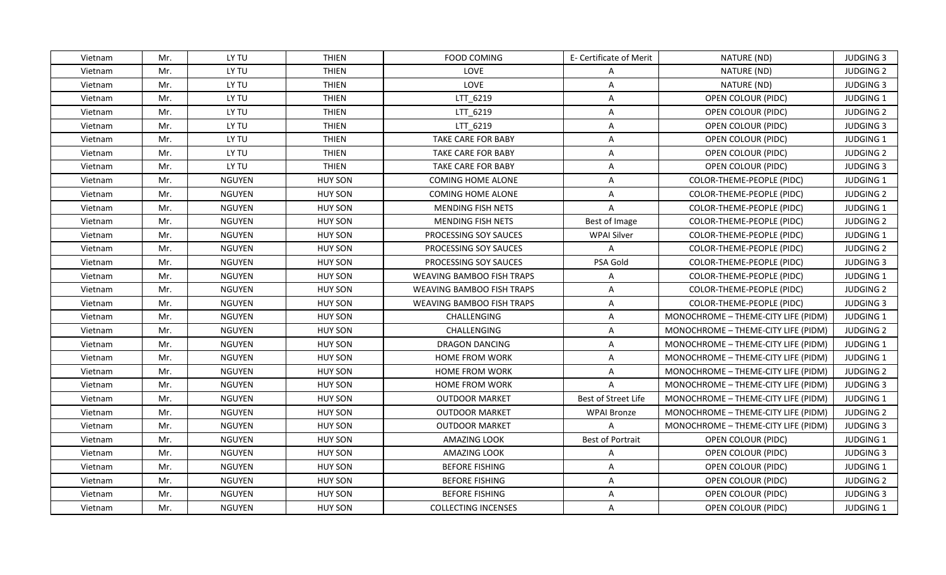| Vietnam | Mr. | LY TU         | <b>THIEN</b>   | <b>FOOD COMING</b>               | E- Certificate of Merit | NATURE (ND)                         | <b>JUDGING 3</b> |
|---------|-----|---------------|----------------|----------------------------------|-------------------------|-------------------------------------|------------------|
| Vietnam | Mr. | LY TU         | <b>THIEN</b>   | LOVE                             | A                       | NATURE (ND)                         | <b>JUDGING 2</b> |
| Vietnam | Mr. | LY TU         | <b>THIEN</b>   | LOVE                             | $\mathsf{A}$            | NATURE (ND)                         | <b>JUDGING 3</b> |
| Vietnam | Mr. | LY TU         | <b>THIEN</b>   | LTT_6219                         | $\mathsf{A}$            | OPEN COLOUR (PIDC)                  | JUDGING 1        |
| Vietnam | Mr. | LY TU         | <b>THIEN</b>   | LTT 6219                         | A                       | OPEN COLOUR (PIDC)                  | <b>JUDGING 2</b> |
| Vietnam | Mr. | LY TU         | <b>THIEN</b>   | LTT 6219                         | A                       | OPEN COLOUR (PIDC)                  | <b>JUDGING 3</b> |
| Vietnam | Mr. | LY TU         | <b>THIEN</b>   | <b>TAKE CARE FOR BABY</b>        | $\mathsf{A}$            | OPEN COLOUR (PIDC)                  | JUDGING 1        |
| Vietnam | Mr. | LY TU         | <b>THIEN</b>   | <b>TAKE CARE FOR BABY</b>        | $\overline{A}$          | OPEN COLOUR (PIDC)                  | <b>JUDGING 2</b> |
| Vietnam | Mr. | LY TU         | <b>THIEN</b>   | <b>TAKE CARE FOR BABY</b>        | $\overline{A}$          | OPEN COLOUR (PIDC)                  | <b>JUDGING 3</b> |
| Vietnam | Mr. | <b>NGUYEN</b> | <b>HUY SON</b> | COMING HOME ALONE                | $\overline{A}$          | COLOR-THEME-PEOPLE (PIDC)           | JUDGING 1        |
| Vietnam | Mr. | <b>NGUYEN</b> | <b>HUY SON</b> | COMING HOME ALONE                | A                       | COLOR-THEME-PEOPLE (PIDC)           | <b>JUDGING 2</b> |
| Vietnam | Mr. | <b>NGUYEN</b> | <b>HUY SON</b> | MENDING FISH NETS                | $\mathsf{A}$            | COLOR-THEME-PEOPLE (PIDC)           | JUDGING 1        |
| Vietnam | Mr. | <b>NGUYEN</b> | <b>HUY SON</b> | MENDING FISH NETS                | Best of Image           | COLOR-THEME-PEOPLE (PIDC)           | <b>JUDGING 2</b> |
| Vietnam | Mr. | <b>NGUYEN</b> | <b>HUY SON</b> | PROCESSING SOY SAUCES            | <b>WPAI Silver</b>      | COLOR-THEME-PEOPLE (PIDC)           | JUDGING 1        |
| Vietnam | Mr. | <b>NGUYEN</b> | <b>HUY SON</b> | PROCESSING SOY SAUCES            | A                       | COLOR-THEME-PEOPLE (PIDC)           | <b>JUDGING 2</b> |
| Vietnam | Mr. | <b>NGUYEN</b> | <b>HUY SON</b> | PROCESSING SOY SAUCES            | PSA Gold                | COLOR-THEME-PEOPLE (PIDC)           | <b>JUDGING 3</b> |
| Vietnam | Mr. | <b>NGUYEN</b> | <b>HUY SON</b> | <b>WEAVING BAMBOO FISH TRAPS</b> | A                       | COLOR-THEME-PEOPLE (PIDC)           | JUDGING 1        |
| Vietnam | Mr. | <b>NGUYEN</b> | <b>HUY SON</b> | <b>WEAVING BAMBOO FISH TRAPS</b> | $\overline{A}$          | COLOR-THEME-PEOPLE (PIDC)           | <b>JUDGING 2</b> |
| Vietnam | Mr. | <b>NGUYEN</b> | <b>HUY SON</b> | <b>WEAVING BAMBOO FISH TRAPS</b> | $\overline{A}$          | COLOR-THEME-PEOPLE (PIDC)           | <b>JUDGING 3</b> |
| Vietnam | Mr. | <b>NGUYEN</b> | <b>HUY SON</b> | CHALLENGING                      | A                       | MONOCHROME - THEME-CITY LIFE (PIDM) | <b>JUDGING 1</b> |
| Vietnam | Mr. | <b>NGUYEN</b> | <b>HUY SON</b> | CHALLENGING                      | $\mathsf{A}$            | MONOCHROME - THEME-CITY LIFE (PIDM) | <b>JUDGING 2</b> |
| Vietnam | Mr. | <b>NGUYEN</b> | <b>HUY SON</b> | <b>DRAGON DANCING</b>            | A                       | MONOCHROME - THEME-CITY LIFE (PIDM) | <b>JUDGING 1</b> |
| Vietnam | Mr. | <b>NGUYEN</b> | <b>HUY SON</b> | <b>HOME FROM WORK</b>            | $\mathsf{A}$            | MONOCHROME - THEME-CITY LIFE (PIDM) | <b>JUDGING 1</b> |
| Vietnam | Mr. | <b>NGUYEN</b> | <b>HUY SON</b> | <b>HOME FROM WORK</b>            | $\mathsf{A}$            | MONOCHROME - THEME-CITY LIFE (PIDM) | <b>JUDGING 2</b> |
| Vietnam | Mr. | <b>NGUYEN</b> | <b>HUY SON</b> | <b>HOME FROM WORK</b>            | A                       | MONOCHROME - THEME-CITY LIFE (PIDM) | <b>JUDGING 3</b> |
| Vietnam | Mr. | <b>NGUYEN</b> | <b>HUY SON</b> | <b>OUTDOOR MARKET</b>            | Best of Street Life     | MONOCHROME - THEME-CITY LIFE (PIDM) | <b>JUDGING 1</b> |
| Vietnam | Mr. | <b>NGUYEN</b> | <b>HUY SON</b> | <b>OUTDOOR MARKET</b>            | <b>WPAI Bronze</b>      | MONOCHROME - THEME-CITY LIFE (PIDM) | <b>JUDGING 2</b> |
| Vietnam | Mr. | <b>NGUYEN</b> | <b>HUY SON</b> | <b>OUTDOOR MARKET</b>            | $\overline{A}$          | MONOCHROME - THEME-CITY LIFE (PIDM) | <b>JUDGING 3</b> |
| Vietnam | Mr. | <b>NGUYEN</b> | <b>HUY SON</b> | AMAZING LOOK                     | Best of Portrait        | OPEN COLOUR (PIDC)                  | <b>JUDGING 1</b> |
| Vietnam | Mr. | <b>NGUYEN</b> | <b>HUY SON</b> | AMAZING LOOK                     | $\mathsf{A}$            | OPEN COLOUR (PIDC)                  | <b>JUDGING 3</b> |
| Vietnam | Mr. | <b>NGUYEN</b> | <b>HUY SON</b> | <b>BEFORE FISHING</b>            | $\mathsf{A}$            | OPEN COLOUR (PIDC)                  | <b>JUDGING 1</b> |
| Vietnam | Mr. | <b>NGUYEN</b> | <b>HUY SON</b> | <b>BEFORE FISHING</b>            | A                       | OPEN COLOUR (PIDC)                  | <b>JUDGING 2</b> |
| Vietnam | Mr. | <b>NGUYEN</b> | <b>HUY SON</b> | <b>BEFORE FISHING</b>            | $\overline{A}$          | OPEN COLOUR (PIDC)                  | <b>JUDGING 3</b> |
| Vietnam | Mr. | <b>NGUYEN</b> | <b>HUY SON</b> | <b>COLLECTING INCENSES</b>       | A                       | OPEN COLOUR (PIDC)                  | <b>JUDGING 1</b> |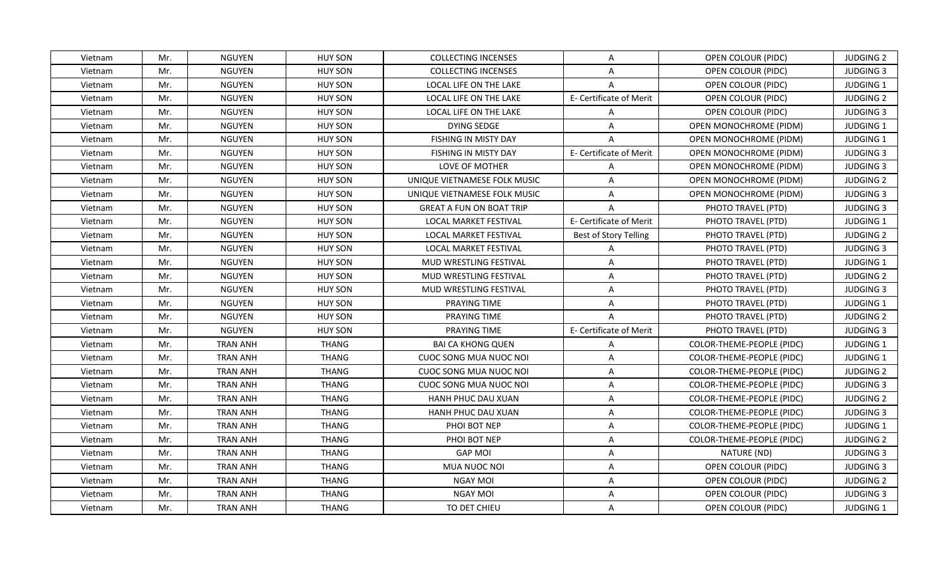| Vietnam | Mr. | <b>NGUYEN</b>   | <b>HUY SON</b> | <b>COLLECTING INCENSES</b>      | A                       | OPEN COLOUR (PIDC)            | <b>JUDGING 2</b> |
|---------|-----|-----------------|----------------|---------------------------------|-------------------------|-------------------------------|------------------|
| Vietnam | Mr. | <b>NGUYEN</b>   | <b>HUY SON</b> | <b>COLLECTING INCENSES</b>      | $\mathsf{A}$            | <b>OPEN COLOUR (PIDC)</b>     | <b>JUDGING 3</b> |
| Vietnam | Mr. | <b>NGUYEN</b>   | <b>HUY SON</b> | LOCAL LIFE ON THE LAKE          | $\mathsf{A}$            | OPEN COLOUR (PIDC)            | JUDGING 1        |
| Vietnam | Mr. | <b>NGUYEN</b>   | <b>HUY SON</b> | <b>LOCAL LIFE ON THE LAKE</b>   | E- Certificate of Merit | OPEN COLOUR (PIDC)            | <b>JUDGING 2</b> |
| Vietnam | Mr. | <b>NGUYEN</b>   | <b>HUY SON</b> | LOCAL LIFE ON THE LAKE          | A                       | OPEN COLOUR (PIDC)            | <b>JUDGING 3</b> |
| Vietnam | Mr. | <b>NGUYEN</b>   | <b>HUY SON</b> | <b>DYING SEDGE</b>              | $\mathsf{A}$            | OPEN MONOCHROME (PIDM)        | <b>JUDGING 1</b> |
| Vietnam | Mr. | <b>NGUYEN</b>   | <b>HUY SON</b> | FISHING IN MISTY DAY            | $\overline{A}$          | <b>OPEN MONOCHROME (PIDM)</b> | JUDGING 1        |
| Vietnam | Mr. | <b>NGUYEN</b>   | <b>HUY SON</b> | <b>FISHING IN MISTY DAY</b>     | E- Certificate of Merit | <b>OPEN MONOCHROME (PIDM)</b> | <b>JUDGING 3</b> |
| Vietnam | Mr. | <b>NGUYEN</b>   | <b>HUY SON</b> | <b>LOVE OF MOTHER</b>           | $\mathsf{A}$            | <b>OPEN MONOCHROME (PIDM)</b> | <b>JUDGING 3</b> |
| Vietnam | Mr. | <b>NGUYEN</b>   | <b>HUY SON</b> | UNIQUE VIETNAMESE FOLK MUSIC    | $\overline{A}$          | <b>OPEN MONOCHROME (PIDM)</b> | <b>JUDGING 2</b> |
| Vietnam | Mr. | <b>NGUYEN</b>   | <b>HUY SON</b> | UNIQUE VIETNAMESE FOLK MUSIC    | $\mathsf{A}$            | <b>OPEN MONOCHROME (PIDM)</b> | <b>JUDGING 3</b> |
| Vietnam | Mr. | <b>NGUYEN</b>   | <b>HUY SON</b> | <b>GREAT A FUN ON BOAT TRIP</b> | $\mathsf{A}$            | PHOTO TRAVEL (PTD)            | <b>JUDGING 3</b> |
| Vietnam | Mr. | <b>NGUYEN</b>   | <b>HUY SON</b> | LOCAL MARKET FESTIVAL           | E- Certificate of Merit | PHOTO TRAVEL (PTD)            | JUDGING 1        |
| Vietnam | Mr. | <b>NGUYEN</b>   | <b>HUY SON</b> | LOCAL MARKET FESTIVAL           | Best of Story Telling   | PHOTO TRAVEL (PTD)            | <b>JUDGING 2</b> |
| Vietnam | Mr. | <b>NGUYEN</b>   | <b>HUY SON</b> | <b>LOCAL MARKET FESTIVAL</b>    | A                       | PHOTO TRAVEL (PTD)            | <b>JUDGING 3</b> |
| Vietnam | Mr. | <b>NGUYEN</b>   | <b>HUY SON</b> | MUD WRESTLING FESTIVAL          | A                       | PHOTO TRAVEL (PTD)            | <b>JUDGING 1</b> |
| Vietnam | Mr. | <b>NGUYEN</b>   | <b>HUY SON</b> | MUD WRESTLING FESTIVAL          | $\mathsf{A}$            | PHOTO TRAVEL (PTD)            | <b>JUDGING 2</b> |
| Vietnam | Mr. | <b>NGUYEN</b>   | <b>HUY SON</b> | MUD WRESTLING FESTIVAL          | $\mathsf{A}$            | PHOTO TRAVEL (PTD)            | <b>JUDGING 3</b> |
| Vietnam | Mr. | <b>NGUYEN</b>   | <b>HUY SON</b> | PRAYING TIME                    | A                       | PHOTO TRAVEL (PTD)            | <b>JUDGING 1</b> |
| Vietnam | Mr. | <b>NGUYEN</b>   | <b>HUY SON</b> | PRAYING TIME                    | $\mathsf{A}$            | PHOTO TRAVEL (PTD)            | <b>JUDGING 2</b> |
| Vietnam | Mr. | <b>NGUYEN</b>   | <b>HUY SON</b> | PRAYING TIME                    | E- Certificate of Merit | PHOTO TRAVEL (PTD)            | <b>JUDGING 3</b> |
| Vietnam | Mr. | <b>TRAN ANH</b> | <b>THANG</b>   | <b>BAI CA KHONG QUEN</b>        | $\overline{A}$          | COLOR-THEME-PEOPLE (PIDC)     | JUDGING 1        |
| Vietnam | Mr. | <b>TRAN ANH</b> | <b>THANG</b>   | <b>CUOC SONG MUA NUOC NOI</b>   | $\mathsf{A}$            | COLOR-THEME-PEOPLE (PIDC)     | JUDGING 1        |
| Vietnam | Mr. | <b>TRAN ANH</b> | <b>THANG</b>   | CUOC SONG MUA NUOC NOI          | $\mathsf{A}$            | COLOR-THEME-PEOPLE (PIDC)     | <b>JUDGING 2</b> |
| Vietnam | Mr. | <b>TRAN ANH</b> | <b>THANG</b>   | <b>CUOC SONG MUA NUOC NOI</b>   | A                       | COLOR-THEME-PEOPLE (PIDC)     | <b>JUDGING 3</b> |
| Vietnam | Mr. | <b>TRAN ANH</b> | <b>THANG</b>   | <b>HANH PHUC DAU XUAN</b>       | $\overline{A}$          | COLOR-THEME-PEOPLE (PIDC)     | <b>JUDGING 2</b> |
| Vietnam | Mr. | <b>TRAN ANH</b> | <b>THANG</b>   | HANH PHUC DAU XUAN              | $\mathsf{A}$            | COLOR-THEME-PEOPLE (PIDC)     | <b>JUDGING 3</b> |
| Vietnam | Mr. | <b>TRAN ANH</b> | <b>THANG</b>   | PHOI BOT NEP                    | $\mathsf{A}$            | COLOR-THEME-PEOPLE (PIDC)     | <b>JUDGING 1</b> |
| Vietnam | Mr. | <b>TRAN ANH</b> | <b>THANG</b>   | PHOI BOT NEP                    | A                       | COLOR-THEME-PEOPLE (PIDC)     | <b>JUDGING 2</b> |
| Vietnam | Mr. | <b>TRAN ANH</b> | <b>THANG</b>   | <b>GAP MOI</b>                  | $\mathsf{A}$            | NATURE (ND)                   | <b>JUDGING 3</b> |
| Vietnam | Mr. | <b>TRAN ANH</b> | <b>THANG</b>   | MUA NUOC NOI                    | $\mathsf{A}$            | OPEN COLOUR (PIDC)            | <b>JUDGING 3</b> |
| Vietnam | Mr. | <b>TRAN ANH</b> | <b>THANG</b>   | <b>NGAY MOI</b>                 | $\mathsf{A}$            | OPEN COLOUR (PIDC)            | <b>JUDGING 2</b> |
| Vietnam | Mr. | <b>TRAN ANH</b> | <b>THANG</b>   | <b>NGAY MOI</b>                 | $\overline{A}$          | OPEN COLOUR (PIDC)            | <b>JUDGING 3</b> |
| Vietnam | Mr. | <b>TRAN ANH</b> | THANG          | TO DET CHIEU                    | A                       | OPEN COLOUR (PIDC)            | <b>JUDGING 1</b> |